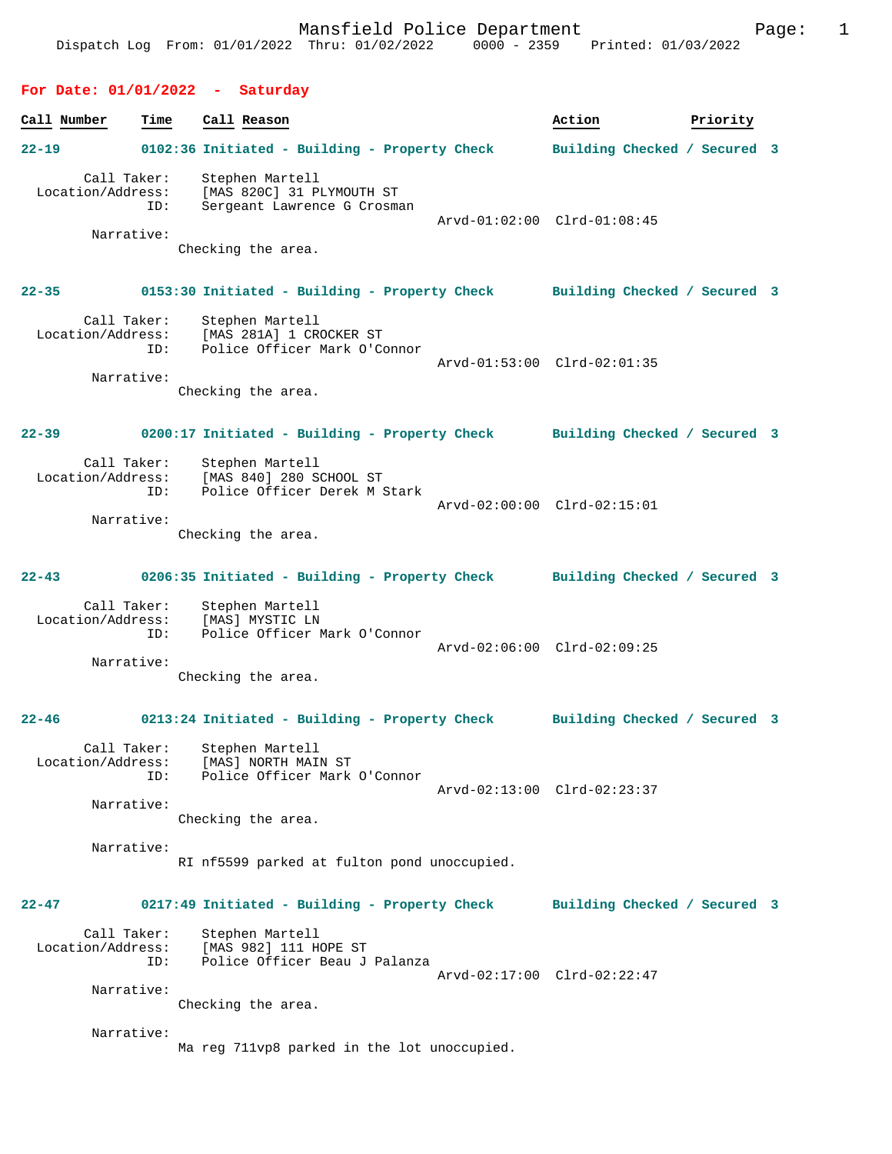# **For Date: 01/01/2022 - Saturday**

| Call Number |                                                       | Time | Call Reason                                                                                           | Action                       | Priority |  |
|-------------|-------------------------------------------------------|------|-------------------------------------------------------------------------------------------------------|------------------------------|----------|--|
| 22-19       |                                                       |      | 0102:36 Initiated - Building - Property Check                                                         | Building Checked / Secured 3 |          |  |
|             | Call Taker:<br>Location/Address:<br>ID:<br>Narrative: |      | Stephen Martell<br>[MAS 820C] 31 PLYMOUTH ST<br>Sergeant Lawrence G Crosman<br>Checking the area.     | Arvd-01:02:00 Clrd-01:08:45  |          |  |
| $22 - 35$   |                                                       |      | 0153:30 Initiated - Building - Property Check Building Checked / Secured 3                            |                              |          |  |
|             | Call Taker:<br>Location/Address:                      | ID:  | Stephen Martell<br>[MAS 281A] 1 CROCKER ST<br>Police Officer Mark O'C<br>Police Officer Mark O'Connor |                              |          |  |
|             | Narrative:                                            |      | Checking the area.                                                                                    | Arvd-01:53:00 Clrd-02:01:35  |          |  |
| $22 - 39$   |                                                       |      | 0200:17 Initiated - Building - Property Check Building Checked / Secured 3                            |                              |          |  |
|             | Call Taker:<br>Location/Address:<br>Narrative:        | ID:  | Stephen Martell<br>[MAS 840] 280 SCHOOL ST<br>Police Officer Derek M Stark                            | Arvd-02:00:00 Clrd-02:15:01  |          |  |
|             |                                                       |      | Checking the area.                                                                                    |                              |          |  |
| $22 - 43$   |                                                       |      | 0206:35 Initiated - Building - Property Check Building Checked / Secured 3                            |                              |          |  |
|             | Call Taker:<br>Location/Address:<br>Narrative:        | ID:  | Stephen Martell<br>[MAS] MYSTIC LN<br>Police Officer Mark O'Connor                                    | Arvd-02:06:00 Clrd-02:09:25  |          |  |
|             |                                                       |      | Checking the area.                                                                                    |                              |          |  |
| $22 - 46$   |                                                       |      | 0213:24 Initiated - Building - Property Check Building Checked / Secured 3                            |                              |          |  |
|             | Narrative:                                            | ID:  | Call Taker: Stephen Martell<br>Location/Address: [MAS] NORTH MAIN ST<br>Police Officer Mark O'Connor  | Arvd-02:13:00 Clrd-02:23:37  |          |  |
|             |                                                       |      | Checking the area.                                                                                    |                              |          |  |
|             | Narrative:                                            |      | RI nf5599 parked at fulton pond unoccupied.                                                           |                              |          |  |
| $22 - 47$   |                                                       |      | 0217:49 Initiated - Building - Property Check                                                         | Building Checked / Secured 3 |          |  |
|             | Call Taker:<br>Location/Address:                      | ID:  | Stephen Martell<br>[MAS 982] 111 HOPE ST<br>Police Officer Beau J Palanza                             | Arvd-02:17:00 Clrd-02:22:47  |          |  |
|             | Narrative:                                            |      | Checking the area.                                                                                    |                              |          |  |
|             | Narrative:                                            |      |                                                                                                       |                              |          |  |

Ma reg 711vp8 parked in the lot unoccupied.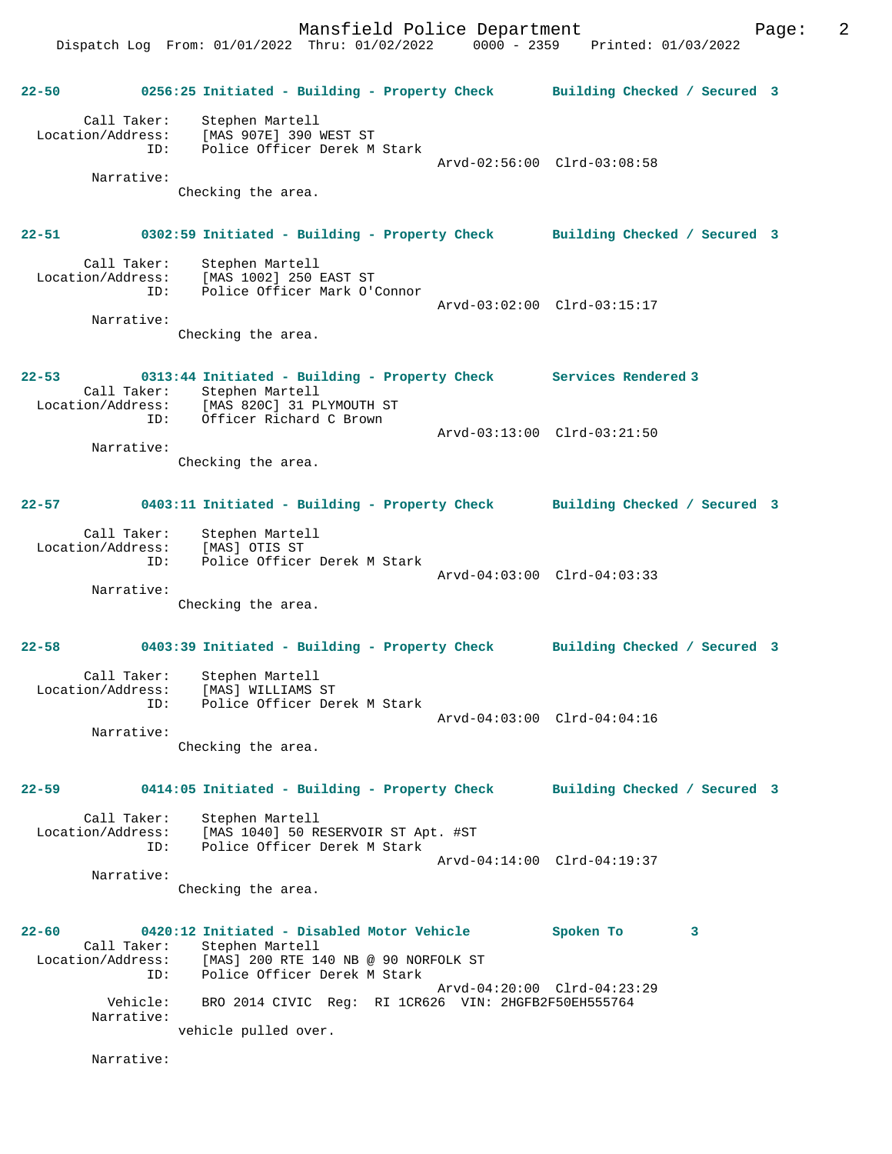Dispatch Log From: 01/01/2022 Thru: 01/02/2022 0000 - 2359 Printed: 01/03/2022

**22-50 0256:25 Initiated - Building - Property Check Building Checked / Secured 3** Call Taker: Stephen Martell Location/Address: [MAS 907E] 390 WEST ST ID: Police Officer Derek M Stark Arvd-02:56:00 Clrd-03:08:58 Narrative: Checking the area. **22-51 0302:59 Initiated - Building - Property Check Building Checked / Secured 3** Call Taker: Stephen Martell Location/Address: [MAS 1002] 250 EAST ST ID: Police Officer Mark O'Connor Arvd-03:02:00 Clrd-03:15:17 Narrative: Checking the area. **22-53 0313:44 Initiated - Building - Property Check Services Rendered 3**  Call Taker: Stephen Martell Location/Address: [MAS 820C] 31 PLYMOUTH ST ID: Officer Richard C Brown Arvd-03:13:00 Clrd-03:21:50 Narrative: Checking the area. **22-57 0403:11 Initiated - Building - Property Check Building Checked / Secured 3** Call Taker: Stephen Martell Location/Address: [MAS] OTIS ST ID: Police Officer Derek M Stark Arvd-04:03:00 Clrd-04:03:33 Narrative: Checking the area. **22-58 0403:39 Initiated - Building - Property Check Building Checked / Secured 3** Call Taker: Stephen Martell Location/Address: [MAS] WILLIAMS ST ID: Police Officer Derek M Stark Arvd-04:03:00 Clrd-04:04:16 Narrative: Checking the area. **22-59 0414:05 Initiated - Building - Property Check Building Checked / Secured 3** Call Taker: Stephen Martell Location/Address: [MAS 1040] 50 RESERVOIR ST Apt. #ST Police Officer Derek M Stark Arvd-04:14:00 Clrd-04:19:37 Narrative: Checking the area. **22-60 0420:12 Initiated - Disabled Motor Vehicle Spoken To 3**  Call Taker: Stephen Martell Location/Address: [MAS] 200 RTE 140 NB @ 90 NORFOLK ST ID: Police Officer Derek M Stark Arvd-04:20:00 Clrd-04:23:29<br>Vehicle: BRO 2014 CIVIC Req: RI 1CR626 VIN: 2HGFB2F50EH555764 BRO 2014 CIVIC Reg: RI 1CR626 VIN: 2HGFB2F50EH555764 Narrative: vehicle pulled over. Narrative: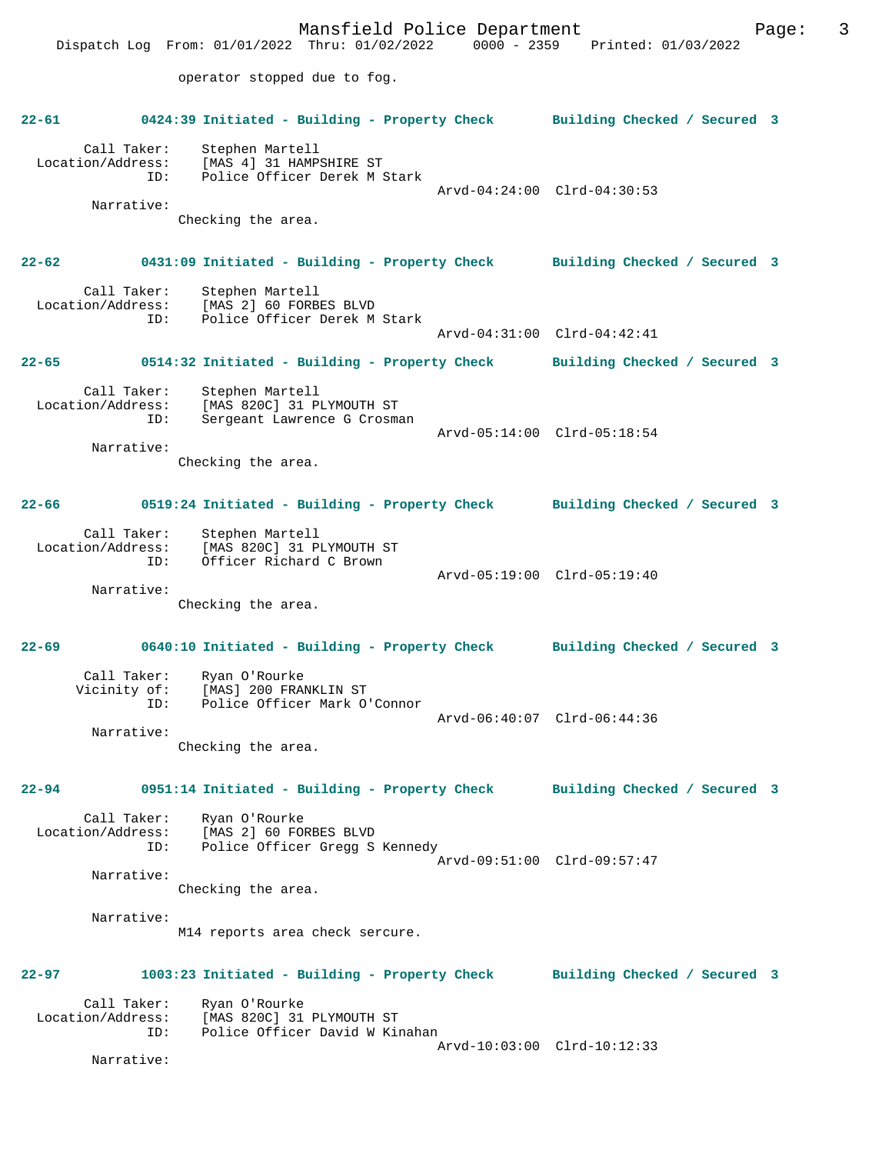Mansfield Police Department Fage: 3 Dispatch Log From: 01/01/2022 Thru: 01/02/2022 0000 - 2359 Printed: 01/03/2022 operator stopped due to fog. **22-61 0424:39 Initiated - Building - Property Check Building Checked / Secured 3** Call Taker: Stephen Martell Location/Address: [MAS 4] 31 HAMPSHIRE ST ID: Police Officer Derek M Stark Arvd-04:24:00 Clrd-04:30:53 Narrative: Checking the area. **22-62 0431:09 Initiated - Building - Property Check Building Checked / Secured 3** Call Taker: Stephen Martell Location/Address: [MAS 2] 60 FORBES BLVD ID: Police Officer Derek M Stark Arvd-04:31:00 Clrd-04:42:41 **22-65 0514:32 Initiated - Building - Property Check Building Checked / Secured 3** Call Taker: Stephen Martell Location/Address: [MAS 820C] 31 PLYMOUTH ST ID: Sergeant Lawrence G Crosman Arvd-05:14:00 Clrd-05:18:54 Narrative: Checking the area. **22-66 0519:24 Initiated - Building - Property Check Building Checked / Secured 3** Call Taker: Stephen Martell Location/Address: [MAS 820C] 31 PLYMOUTH ST<br>TD: Officer Richard C Brown Officer Richard C Brown Arvd-05:19:00 Clrd-05:19:40 Narrative: Checking the area. **22-69 0640:10 Initiated - Building - Property Check Building Checked / Secured 3** Call Taker: Ryan O'Rourke<br>Vicinity of: [MAS] 200 FRAI [MAS] 200 FRANKLIN ST ID: Police Officer Mark O'Connor Arvd-06:40:07 Clrd-06:44:36 Narrative: Checking the area. **22-94 0951:14 Initiated - Building - Property Check Building Checked / Secured 3** Call Taker: Ryan O'Rourke Location/Address: [MAS 2] 60 FORBES BLVD Police Officer Gregg S Kennedy Arvd-09:51:00 Clrd-09:57:47 Narrative: Checking the area. Narrative: M14 reports area check sercure. **22-97 1003:23 Initiated - Building - Property Check Building Checked / Secured 3** Call Taker: Ryan O'Rourke Location/Address: [MAS 820C] 31 PLYMOUTH ST Police Officer David W Kinahan Arvd-10:03:00 Clrd-10:12:33 Narrative: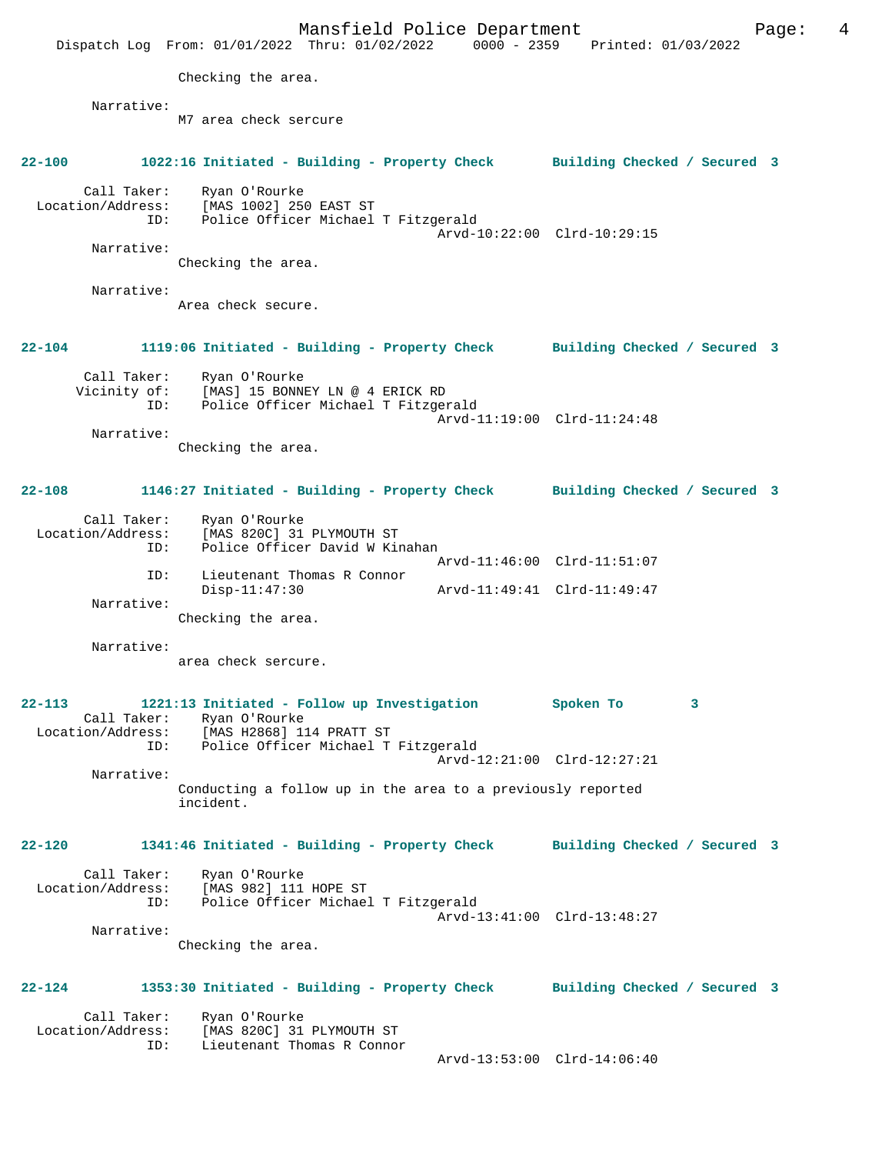Mansfield Police Department Page: 4 Dispatch Log From: 01/01/2022 Thru: 01/02/2022 0000 - 2359 Printed: 01/03/2022 Checking the area. Narrative: M7 area check sercure **22-100 1022:16 Initiated - Building - Property Check Building Checked / Secured 3** Call Taker: Ryan O'Rourke Location/Address: [MAS 1002] 250 EAST ST ID: Police Officer Michael T Fitzgerald Arvd-10:22:00 Clrd-10:29:15 Narrative: Checking the area. Narrative: Area check secure. **22-104 1119:06 Initiated - Building - Property Check Building Checked / Secured 3** Call Taker: Ryan O'Rourke Vicinity of: [MAS] 15 BONNEY LN @ 4 ERICK RD ID: Police Officer Michael T Fitzgerald Arvd-11:19:00 Clrd-11:24:48 Narrative: Checking the area. **22-108 1146:27 Initiated - Building - Property Check Building Checked / Secured 3** Call Taker: Ryan O'Rourke<br>Location/Address: [MAS 820C] 31 ess: [MAS 820C] 31 PLYMOUTH ST<br>ID: Police Officer David W Kir Police Officer David W Kinahan Arvd-11:46:00 Clrd-11:51:07 ID: Lieutenant Thomas R Connor Disp-11:47:30 Arvd-11:49:41 Clrd-11:49:47 Narrative: Checking the area. Narrative: area check sercure. **22-113 1221:13 Initiated - Follow up Investigation Spoken To 3**  Call Taker: Ryan O'Rourke<br>Location/Address: [MAS H2868] 1 Location/Address: [MAS H2868] 114 PRATT ST ID: Police Officer Michael T Fitzgerald Arvd-12:21:00 Clrd-12:27:21 Narrative: Conducting a follow up in the area to a previously reported incident. **22-120 1341:46 Initiated - Building - Property Check Building Checked / Secured 3** Call Taker: Ryan O'Rourke Location/Address: [MAS 982] 111 HOPE ST<br>TD: Police Officer Michael Police Officer Michael T Fitzgerald Arvd-13:41:00 Clrd-13:48:27 Narrative: Checking the area. **22-124 1353:30 Initiated - Building - Property Check Building Checked / Secured 3** Call Taker: Ryan O'Rourke<br>Location/Address: [MAS 820C] 31 Location/Address: [MAS 820C] 31 PLYMOUTH ST ID: Lieutenant Thomas R Connor Arvd-13:53:00 Clrd-14:06:40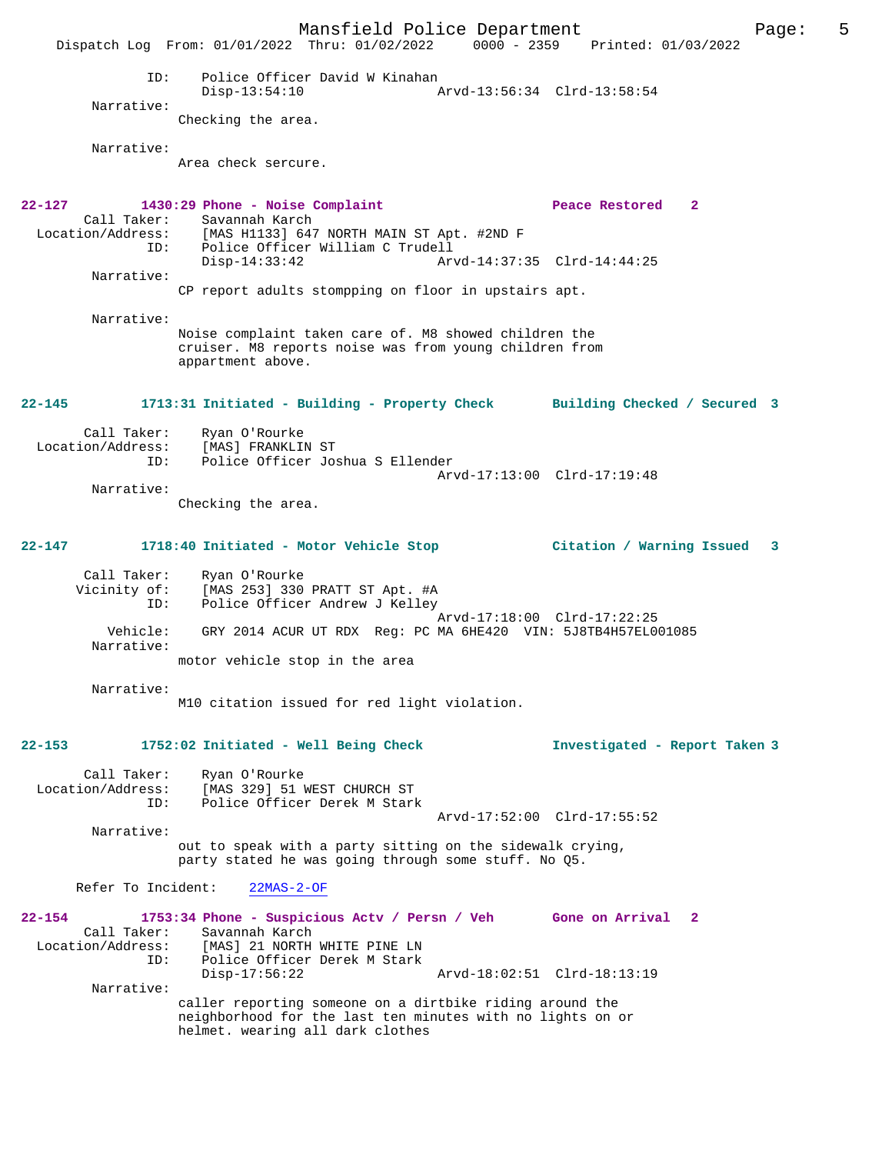Mansfield Police Department The Page: 5 Dispatch Log From: 01/01/2022 Thru: 01/02/2022 0000 - 2359 Printed: 01/03/2022 ID: Police Officer David W Kinahan Disp-13:54:10 Arvd-13:56:34 Clrd-13:58:54 Narrative: Checking the area. Narrative: Area check sercure. **22-127 1430:29 Phone - Noise Complaint Peace Restored 2**  Call Taker: Savannah Karch<br>Location/Address: [MAS H1133] 647 [MAS H1133] 647 NORTH MAIN ST Apt. #2ND F ID: Police Officer William C Trudell Disp-14:33:42 Arvd-14:37:35 Clrd-14:44:25 Narrative: CP report adults stompping on floor in upstairs apt. Narrative: Noise complaint taken care of. M8 showed children the cruiser. M8 reports noise was from young children from appartment above. **22-145 1713:31 Initiated - Building - Property Check Building Checked / Secured 3** Call Taker: Ryan O'Rourke<br>Location/Address: [MAS] FRANKLII لية المصرية المعرفية: [MAS] FRANKLIN ST<br>ID: Police Officer Jos Police Officer Joshua S Ellender Arvd-17:13:00 Clrd-17:19:48 Narrative: Checking the area. **22-147 1718:40 Initiated - Motor Vehicle Stop Citation / Warning Issued 3** Call Taker: Ryan O'Rourke Vicinity of: [MAS 253] 330 PRATT ST Apt. #A ID: Police Officer Andrew J Kelley Arvd-17:18:00 Clrd-17:22:25<br>Vehicle: GRY 2014 ACUR UT RDX Reg: PC MA 6HE420 VIN: 5J8TB4H57EL0 GRY 2014 ACUR UT RDX Reg: PC MA 6HE420 VIN: 5J8TB4H57EL001085 Narrative: motor vehicle stop in the area Narrative: M10 citation issued for red light violation. **22-153 1752:02 Initiated - Well Being Check Investigated - Report Taken 3** Call Taker: Ryan O'Rourke Location/Address: [MAS 329] 51 WEST CHURCH ST ID: Police Officer Derek M Stark Arvd-17:52:00 Clrd-17:55:52 Narrative: out to speak with a party sitting on the sidewalk crying, party stated he was going through some stuff. No Q5. Refer To Incident: 22MAS-2-OF **22-154 1753:34 Phone - Suspicious Actv / Persn / Veh Gone on Arrival 2**  Call Taker: Savannah Karch Location/Address: [MAS] 21 NORTH WHITE PINE LN Police Officer Derek M Stark<br>Disp-17:56:22 Disp-17:56:22 Arvd-18:02:51 Clrd-18:13:19 Narrative: caller reporting someone on a dirtbike riding around the neighborhood for the last ten minutes with no lights on or helmet. wearing all dark clothes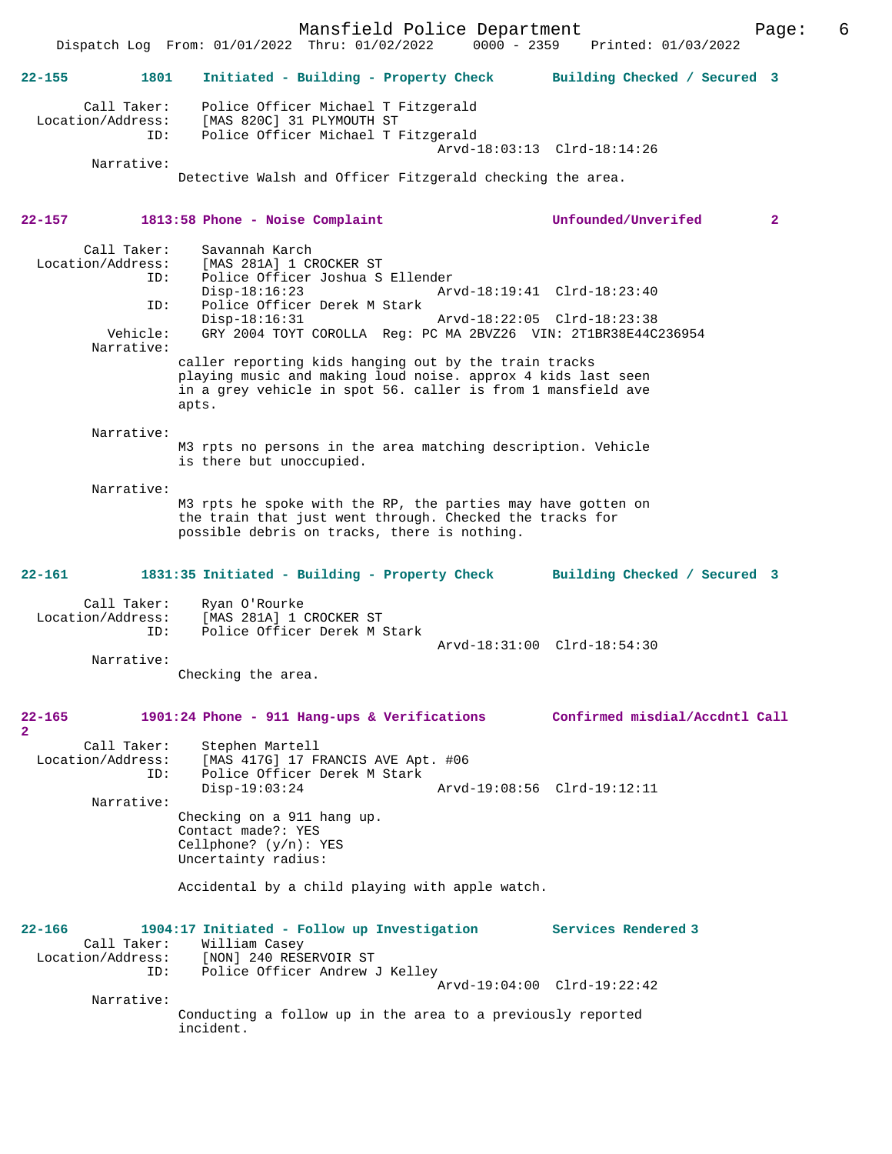Mansfield Police Department Page: 6  $Dispatch$  Log From:  $01/01/2022$  Thru:  $01/02/2022$ **22-155 1801 Initiated - Building - Property Check Building Checked / Secured 3** Call Taker: Police Officer Michael T Fitzgerald Location/Address: [MAS 820C] 31 PLYMOUTH ST ID: Police Officer Michael T Fitzgerald Arvd-18:03:13 Clrd-18:14:26 Narrative: Detective Walsh and Officer Fitzgerald checking the area. **22-157 1813:58 Phone - Noise Complaint Unfounded/Unverifed 2** Call Taker: Savannah Karch<br>Location/Address: [MAS 281A] 1 CI ess: [MAS 281A] 1 CROCKER ST<br>ID: Police Officer Joshua S Police Officer Joshua S Ellender<br>Disp-18:16:23 Arv Disp-18:16:23 Arvd-18:19:41 Clrd-18:23:40 ID: Police Officer Derek M Stark Disp-18:16:31 Arvd-18:22:05 Clrd-18:23:38 Vehicle: GRY 2004 TOYT COROLLA Reg: PC MA 2BVZ26 VIN: 2T1BR38E44C236954 Narrative: caller reporting kids hanging out by the train tracks playing music and making loud noise. approx 4 kids last seen in a grey vehicle in spot 56. caller is from 1 mansfield ave apts. Narrative: M3 rpts no persons in the area matching description. Vehicle is there but unoccupied. Narrative: M3 rpts he spoke with the RP, the parties may have gotten on the train that just went through. Checked the tracks for possible debris on tracks, there is nothing. **22-161 1831:35 Initiated - Building - Property Check Building Checked / Secured 3** Call Taker: Ryan O'Rourke<br>Location/Address: [MAS 281A] 1 ( ess: [MAS 281A] 1 CROCKER ST<br>TD: Police Officer Derek M 3 Police Officer Derek M Stark Arvd-18:31:00 Clrd-18:54:30 Narrative: Checking the area. **22-165 1901:24 Phone - 911 Hang-ups & Verifications Confirmed misdial/Accdntl Call 2**  Call Taker: Stephen Martell Location/Address: [MAS 417G] 17 FRANCIS AVE Apt. #06 ID: Police Officer Derek M Stark Disp-19:03:24 Arvd-19:08:56 Clrd-19:12:11 Narrative: Checking on a 911 hang up. Contact made?: YES Cellphone? (y/n): YES Uncertainty radius: Accidental by a child playing with apple watch. **22-166 1904:17 Initiated - Follow up Investigation Services Rendered 3**  Call Taker: William Casey Location/Address: [NON] 240 RESERVOIR ST ID: Police Officer Andrew J Kelley Arvd-19:04:00 Clrd-19:22:42 Narrative: Conducting a follow up in the area to a previously reported incident.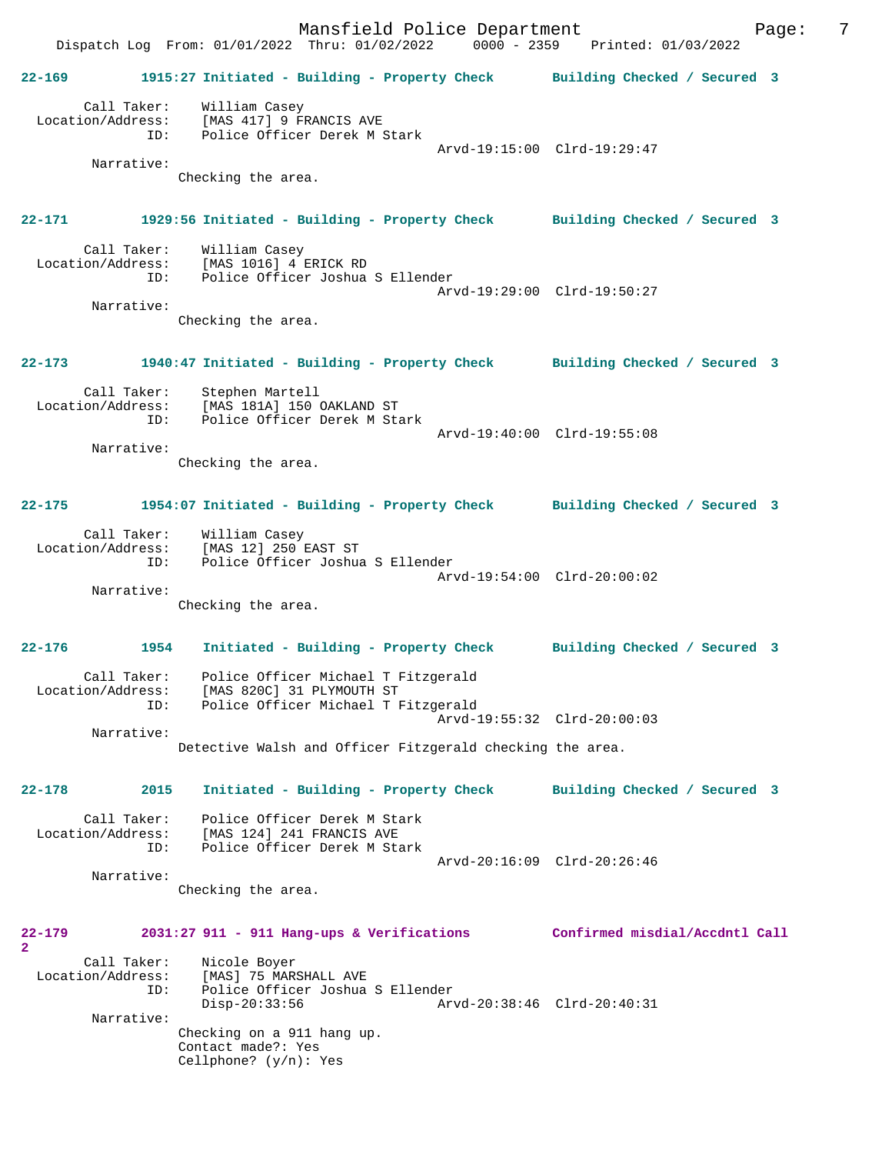Mansfield Police Department Fage: 7 Dispatch Log From: 01/01/2022 Thru: 01/02/2022 0000 - 2359 Printed: 01/03/2022 **22-169 1915:27 Initiated - Building - Property Check Building Checked / Secured 3** Call Taker: William Casey Location/Address: [MAS 417] 9 FRANCIS AVE ID: Police Officer Derek M Stark Arvd-19:15:00 Clrd-19:29:47 Narrative: Checking the area. **22-171 1929:56 Initiated - Building - Property Check Building Checked / Secured 3** Call Taker: William Casey Location/Address: [MAS 1016] 4 ERICK RD<br>TD: Police Officer Joshua Police Officer Joshua S Ellender Arvd-19:29:00 Clrd-19:50:27 Narrative: Checking the area. **22-173 1940:47 Initiated - Building - Property Check Building Checked / Secured 3** Call Taker: Stephen Martell Location/Address: [MAS 181A] 150 OAKLAND ST ID: Police Officer Derek M Stark Arvd-19:40:00 Clrd-19:55:08 Narrative: Checking the area. **22-175 1954:07 Initiated - Building - Property Check Building Checked / Secured 3** Call Taker: William Casey Location/Address: [MAS 12] 250 EAST ST ID: Police Officer Joshua S Ellender Arvd-19:54:00 Clrd-20:00:02 Narrative: Checking the area. **22-176 1954 Initiated - Building - Property Check Building Checked / Secured 3** Call Taker: Police Officer Michael T Fitzgerald Location/Address: [MAS 820C] 31 PLYMOUTH ST ID: Police Officer Michael T Fitzgerald Arvd-19:55:32 Clrd-20:00:03 Narrative: Detective Walsh and Officer Fitzgerald checking the area. **22-178 2015 Initiated - Building - Property Check Building Checked / Secured 3** Call Taker: Police Officer Derek M Stark Location/Address: [MAS 124] 241 FRANCIS AVE ID: Police Officer Derek M Stark Arvd-20:16:09 Clrd-20:26:46 Narrative: Checking the area. **22-179 2031:27 911 - 911 Hang-ups & Verifications Confirmed misdial/Accdntl Call 2**  Call Taker: Nicole Boyer<br>Location/Address: [MAS] 75 MAR ess: [MAS] 75 MARSHALL AVE<br>ID: Police Officer Joshua ......<br>Police Officer Joshua S Ellender<br>Disp-20:33:56 Arv Disp-20:33:56 Arvd-20:38:46 Clrd-20:40:31 Narrative: Checking on a 911 hang up. Contact made?: Yes Cellphone? (y/n): Yes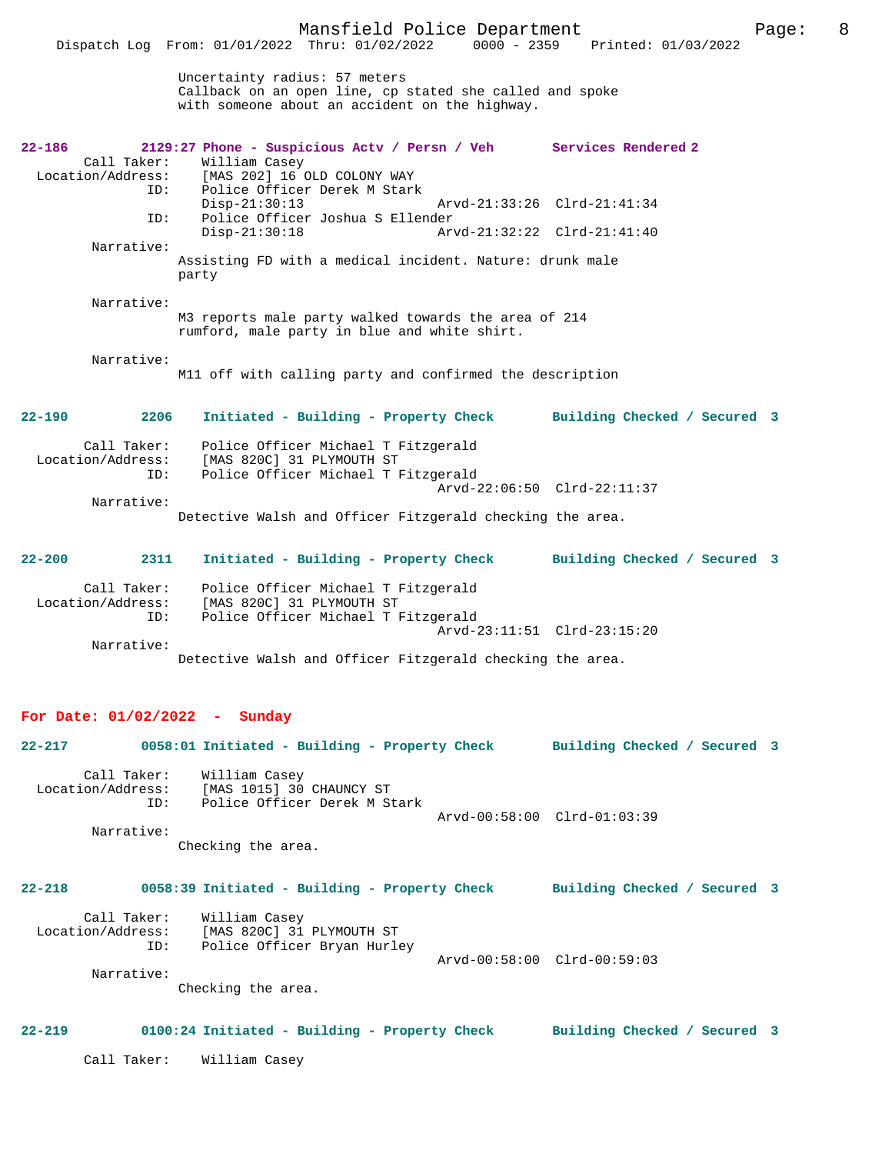| $22 - 186$         | 2129:27 Phone - Suspicious Actv / Persn / Veh Services Rendered 2 |                              |
|--------------------|-------------------------------------------------------------------|------------------------------|
| Call Taker:        | William Casey                                                     |                              |
|                    | Location/Address: [MAS 202] 16 OLD COLONY WAY                     |                              |
| ID:                | Police Officer Derek M Stark                                      |                              |
|                    | $Disp-21:30:13$                                                   | Arvd-21:33:26 Clrd-21:41:34  |
| ID:                | Police Officer Joshua S Ellender                                  |                              |
|                    | $Disp-21:30:18$                                                   | Arvd-21:32:22 Clrd-21:41:40  |
| Narrative:         |                                                                   |                              |
|                    | Assisting FD with a medical incident. Nature: drunk male          |                              |
|                    | party                                                             |                              |
|                    |                                                                   |                              |
| Narrative:         |                                                                   |                              |
|                    | M3 reports male party walked towards the area of 214              |                              |
|                    | rumford, male party in blue and white shirt.                      |                              |
|                    |                                                                   |                              |
| Narrative:         |                                                                   |                              |
|                    | M11 off with calling party and confirmed the description          |                              |
|                    |                                                                   |                              |
| $22 - 190$<br>2206 |                                                                   |                              |
|                    | Initiated - Building - Property Check                             | Building Checked / Secured 3 |
| Call Taker:        | Police Officer Michael T Fitzgerald                               |                              |
| Location/Address:  | [MAS 820C] 31 PLYMOUTH ST                                         |                              |
| ID:                | Police Officer Michael T Fitzgerald                               |                              |
|                    |                                                                   | Arvd-22:06:50 Clrd-22:11:37  |
| Narrative:         |                                                                   |                              |
|                    | Detective Walsh and Officer Fitzgerald checking the area.         |                              |
|                    |                                                                   |                              |
|                    |                                                                   |                              |
| $22 - 200$<br>2311 | Initiated - Building - Property Check                             | Building Checked / Secured 3 |
|                    |                                                                   |                              |
| Call Taker:        | Police Officer Michael T Fitzgerald                               |                              |
| Location/Address:  | [MAS 820C] 31 PLYMOUTH ST                                         |                              |
| ID:                | Police Officer Michael T Fitzgerald                               |                              |
|                    |                                                                   | Arvd-23:11:51 Clrd-23:15:20  |
|                    |                                                                   |                              |

Narrative:

## **For Date: 01/02/2022 - Sunday**

**22-217 0058:01 Initiated - Building - Property Check Building Checked / Secured 3** Call Taker: William Casey Location/Address: [MAS 1015] 30 CHAUNCY ST ID: Police Officer Derek M Stark Arvd-00:58:00 Clrd-01:03:39 Narrative: Checking the area. **22-218 0058:39 Initiated - Building - Property Check Building Checked / Secured 3**

Detective Walsh and Officer Fitzgerald checking the area.

Call Taker: William Casey<br>Location/Address: [MAS 820C] 31 Location/Address: [MAS 820C] 31 PLYMOUTH ST ID: Police Officer Bryan Hurley Arvd-00:58:00 Clrd-00:59:03 Narrative:

Checking the area.

### **22-219 0100:24 Initiated - Building - Property Check Building Checked / Secured 3**

Call Taker: William Casey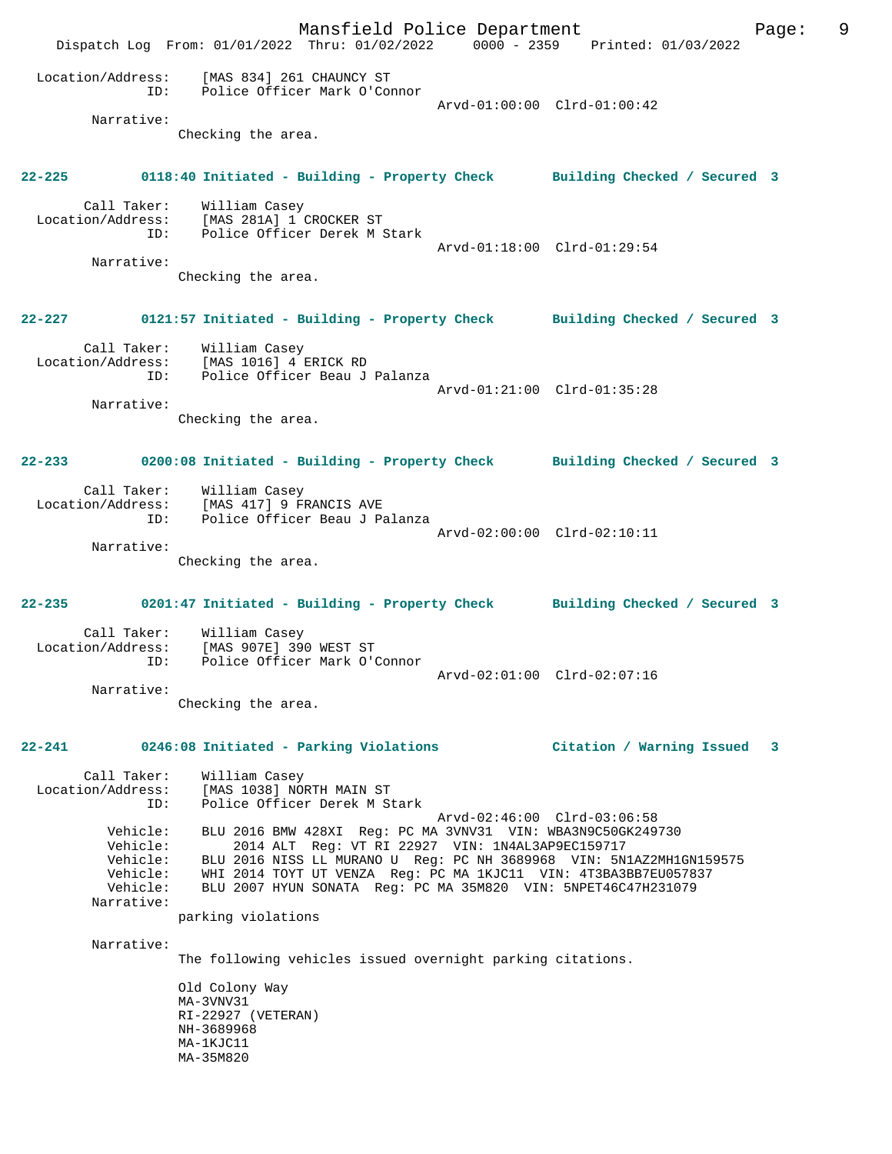Mansfield Police Department Fage: 9 Dispatch Log From: 01/01/2022 Thru: 01/02/2022 0000 - 2359 Printed: 01/03/2022 Location/Address: [MAS 834] 261 CHAUNCY ST ID: Police Officer Mark O'Connor Arvd-01:00:00 Clrd-01:00:42 Narrative: Checking the area. **22-225 0118:40 Initiated - Building - Property Check Building Checked / Secured 3** Call Taker: William Casey Location/Address: [MAS 281A] 1 CROCKER ST ID: Police Officer Derek M Stark Arvd-01:18:00 Clrd-01:29:54 Narrative: Checking the area. **22-227 0121:57 Initiated - Building - Property Check Building Checked / Secured 3** Call Taker: William Casey Location/Address: [MAS 1016] 4 ERICK RD ID: Police Officer Beau J Palanza Arvd-01:21:00 Clrd-01:35:28 Narrative: Checking the area. **22-233 0200:08 Initiated - Building - Property Check Building Checked / Secured 3** Call Taker: William Casey Location/Address: [MAS 417] 9 FRANCIS AVE ID: Police Officer Beau J Palanza Arvd-02:00:00 Clrd-02:10:11 Narrative: Checking the area. **22-235 0201:47 Initiated - Building - Property Check Building Checked / Secured 3** Call Taker: William Casey Location/Address: [MAS 907E] 390 WEST ST ID: Police Officer Mark O'Connor Arvd-02:01:00 Clrd-02:07:16 Narrative: Checking the area. **22-241 0246:08 Initiated - Parking Violations Citation / Warning Issued 3** Call Taker: William Casey Location/Address: [MAS 1038] NORTH MAIN ST ID: Police Officer Derek M Stark Arvd-02:46:00 Clrd-03:06:58 Vehicle: BLU 2016 BMW 428XI Reg: PC MA 3VNV31 VIN: WBA3N9C50GK249730 Vehicle: 2014 ALT Reg: VT RI 22927 VIN: 1N4AL3AP9EC159717 Vehicle: BLU 2016 NISS LL MURANO U Reg: PC NH 3689968 VIN: 5N1AZ2MH1GN159575 Vehicle: 2014 ALT Reg: VT RI 22927 VIN: 1N4AL3AP9EC159717<br>Vehicle: BLU 2016 NISS LL MURANO U Reg: PC NH 3689968 VIN: 5N1AZ2MH1GN159575<br>Vehicle: WHI 2014 TOYT UT VENZA Reg: PC MA 1KJC11 VIN: 4T3BA3BB7EU057837 Vehicle: BLU 2007 HYUN SONATA Reg: PC MA 35M820 VIN: 5NPET46C47H231079 Narrative: parking violations Narrative: The following vehicles issued overnight parking citations. Old Colony Way MA-3VNV31 RI-22927 (VETERAN) NH-3689968 MA-1KJC11 MA-35M820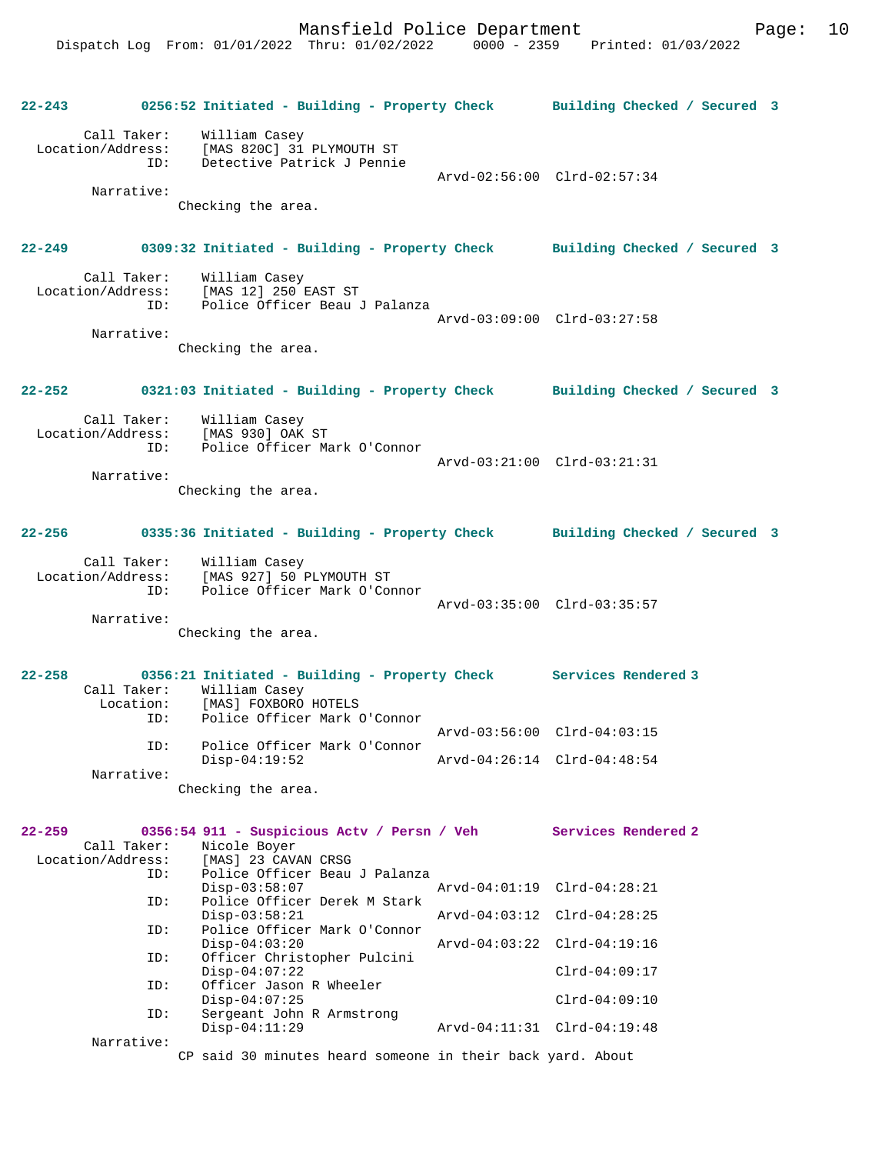|            |                                                       | 22-243 0256:52 Initiated - Building - Property Check Building Checked / Secured 3                                                                                |                             |  |
|------------|-------------------------------------------------------|------------------------------------------------------------------------------------------------------------------------------------------------------------------|-----------------------------|--|
|            | Narrative:                                            | Call Taker: William Casey<br>Location/Address: [MAS 820C] 31 PLYMOUTH ST<br>ID: Detective Patrick J Pennie<br>Detective Patrick J Pennie                         | Arvd-02:56:00 Clrd-02:57:34 |  |
|            |                                                       | Checking the area.                                                                                                                                               |                             |  |
|            | $22 - 249$                                            | 0309:32 Initiated - Building - Property Check Building Checked / Secured 3                                                                                       |                             |  |
|            | Call Taker:<br>Location/Address:<br>ID:<br>Narrative: | William Casey<br>[MAS 12] 250 EAST ST<br>Police Officer Beau J Palanza                                                                                           | Arvd-03:09:00 Clrd-03:27:58 |  |
|            |                                                       | Checking the area.                                                                                                                                               |                             |  |
| $22 - 252$ |                                                       | 0321:03 Initiated - Building - Property Check Building Checked / Secured 3                                                                                       |                             |  |
|            | Call Taker:<br>Location/Address:<br>ID:<br>Narrative: | William Cape,<br>[MAS 930] OAK ST<br>Police Officer Mark O'Connor                                                                                                | Arvd-03:21:00 Clrd-03:21:31 |  |
|            |                                                       | Checking the area.                                                                                                                                               |                             |  |
|            |                                                       | 22-256 0335:36 Initiated - Building - Property Check Building Checked / Secured 3                                                                                |                             |  |
|            | Call Taker:<br>Location/Address:<br>ID:               | William Casey<br>$[MAS 927] 50  PLYMOUTH STPolics 255'$<br>Police Officer Mark O'Connor                                                                          | Arvd-03:35:00 Clrd-03:35:57 |  |
|            | Narrative:                                            | Checking the area.                                                                                                                                               |                             |  |
| $22 - 258$ | ID:                                                   | 0356:21 Initiated - Building - Property Check Services Rendered 3<br>Call Taker: William Casey<br>Location: [MAS] FOXBORO HOTELS<br>Police Officer Mark O'Connor |                             |  |
|            |                                                       | Police Officer Mark O'Connor                                                                                                                                     | Arvd-03:56:00 Clrd-04:03:15 |  |
|            | ID:<br>Narrative:                                     | $Disp-04:19:52$                                                                                                                                                  | Arvd-04:26:14 Clrd-04:48:54 |  |
|            |                                                       | Checking the area.                                                                                                                                               |                             |  |
| $22 - 259$ | Call Taker:                                           | 0356:54 911 - Suspicious Actv / Persn / Veh Services Rendered 2<br>Nicole Boyer                                                                                  |                             |  |
|            | Location/Address:<br>ID:<br>ID:                       | [MAS] 23 CAVAN CRSG<br>Police Officer Beau J Palanza<br>$Disp-03:58:07$<br>Police Officer Derek M Stark                                                          | Arvd-04:01:19 Clrd-04:28:21 |  |
|            |                                                       | $Disp-03:58:21$                                                                                                                                                  | Arvd-04:03:12 Clrd-04:28:25 |  |
|            | ID:                                                   | Police Officer Mark O'Connor<br>$Disp-04:03:20$                                                                                                                  | Arvd-04:03:22 Clrd-04:19:16 |  |
|            | ID:                                                   | Officer Christopher Pulcini<br>$Disp-04:07:22$                                                                                                                   | $Clrd-04:09:17$             |  |
|            | ID:                                                   | Officer Jason R Wheeler<br>$Disp-04:07:25$                                                                                                                       | $Clrd-04:09:10$             |  |
|            | ID:                                                   | Sergeant John R Armstrong<br>$Disp-04:11:29$                                                                                                                     | Arvd-04:11:31 Clrd-04:19:48 |  |
|            | Narrative:                                            | CP said 30 minutes heard someone in their back yard. About                                                                                                       |                             |  |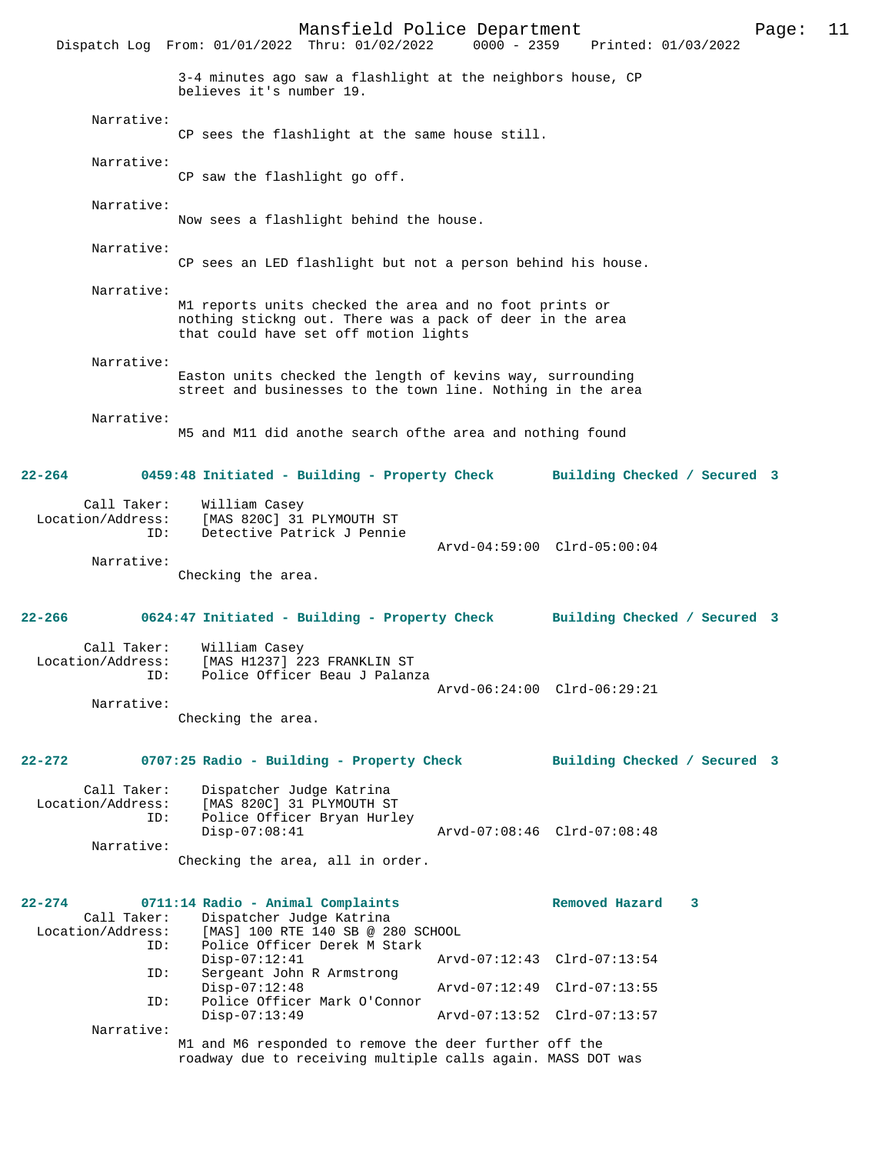Mansfield Police Department Page: 11  $Dispatch$  Log From:  $01/01/2022$  Thru:  $01/02/2022$ 3-4 minutes ago saw a flashlight at the neighbors house, CP believes it's number 19. Narrative: CP sees the flashlight at the same house still. Narrative: CP saw the flashlight go off. Narrative: Now sees a flashlight behind the house. Narrative: CP sees an LED flashlight but not a person behind his house. Narrative: M1 reports units checked the area and no foot prints or nothing stickng out. There was a pack of deer in the area that could have set off motion lights Narrative: Easton units checked the length of kevins way, surrounding street and businesses to the town line. Nothing in the area Narrative: M5 and M11 did anothe search ofthe area and nothing found **22-264 0459:48 Initiated - Building - Property Check Building Checked / Secured 3** Call Taker: William Casey<br>Location/Address: [MAS 820C] 31 [MAS 820C] 31 PLYMOUTH ST ID: Detective Patrick J Pennie Arvd-04:59:00 Clrd-05:00:04 Narrative: Checking the area. **22-266 0624:47 Initiated - Building - Property Check Building Checked / Secured 3** Call Taker: William Casey<br>Location/Address: [MAS H1237] 2 [MAS H1237] 223 FRANKLIN ST ID: Police Officer Beau J Palanza Arvd-06:24:00 Clrd-06:29:21 Narrative: Checking the area. **22-272 0707:25 Radio - Building - Property Check Building Checked / Secured 3** Call Taker: Dispatcher Judge Katrina Location/Address: [MAS 820C] 31 PLYMOUTH ST ID: Police Officer Bryan Hurley<br>Disp-07:08:41 Disp-07:08:41 Arvd-07:08:46 Clrd-07:08:48 Narrative: Checking the area, all in order. **22-274 0711:14 Radio - Animal Complaints Removed Hazard 3**  Call Taker: Dispatcher Judge Katrina<br>Location/Address: [MAS] 100 RTE 140 SB @ 28 ss: [MAS] 100 RTE 140 SB @ 280 SCHOOL<br>ID: Police Officer Derek M Stark Police Officer Derek M Stark<br>Disp-07:12:41 Disp-07:12:41 Arvd-07:12:43 Clrd-07:13:54<br>ID: Sergeant John R Armstrong Sergeant John R Armstrong Disp-07:12:48 Arvd-07:12:49 Clrd-07:13:55<br>TD: Police Officer Mark O'Connor Police Officer Mark O'Connor<br>Disp-07:13:49 Disp-07:13:49 Arvd-07:13:52 Clrd-07:13:57 Narrative: M1 and M6 responded to remove the deer further off the roadway due to receiving multiple calls again. MASS DOT was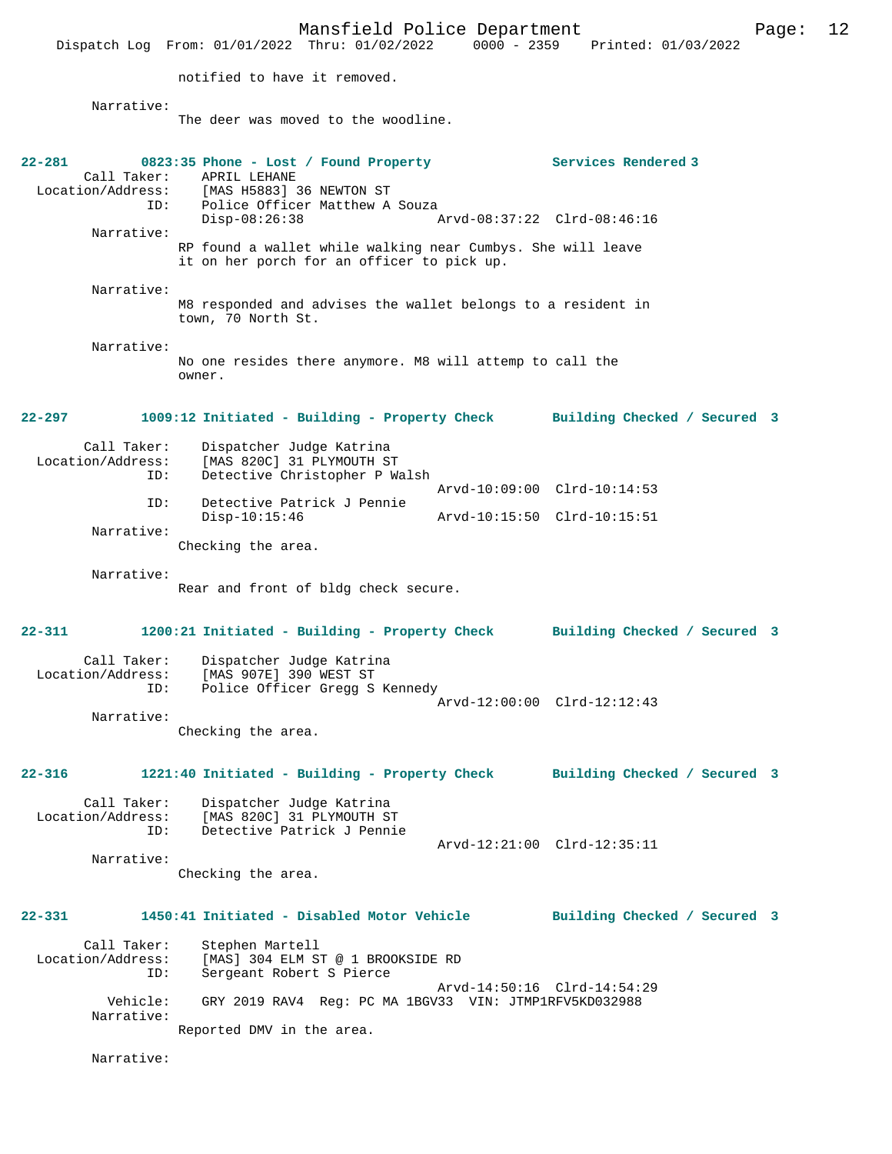Mansfield Police Department Page: 12  $Dispatch$  Log From:  $01/01/2022$  Thru:  $01/02/2022$ notified to have it removed. Narrative: The deer was moved to the woodline. **22-281 0823:35 Phone - Lost / Found Property Services Rendered 3**  Call Taker: APRIL LEHANE<br>Location/Address: [MAS H5883] [MAS H5883] 36 NEWTON ST ID: Police Officer Matthew A Souza<br>Disp-08:26:38 Disp-08:26:38 Arvd-08:37:22 Clrd-08:46:16 Narrative: RP found a wallet while walking near Cumbys. She will leave it on her porch for an officer to pick up. Narrative: M8 responded and advises the wallet belongs to a resident in town, 70 North St. Narrative: No one resides there anymore. M8 will attemp to call the owner. **22-297 1009:12 Initiated - Building - Property Check Building Checked / Secured 3** Call Taker: Dispatcher Judge Katrina<br>Location/Address: [MAS 820C] 31 PLYMOUTH ST [MAS 820C] 31 PLYMOUTH ST ID: Detective Christopher P Walsh Arvd-10:09:00 Clrd-10:14:53<br>TD: Detective Patrick J Pennie Detective Patrick J Pennie<br>Disp-10:15:46 Disp-10:15:46 Arvd-10:15:50 Clrd-10:15:51 Narrative: Checking the area. Narrative: Rear and front of bldg check secure. **22-311 1200:21 Initiated - Building - Property Check Building Checked / Secured 3** Call Taker: Dispatcher Judge Katrina<br>Location/Address: [MAS 907E] 390 WEST ST ess: [MAS 907E] 390 WEST ST<br>TD: Police Officer Gregg S Police Officer Gregg S Kennedy Arvd-12:00:00 Clrd-12:12:43 Narrative: Checking the area. **22-316 1221:40 Initiated - Building - Property Check Building Checked / Secured 3** Call Taker: Dispatcher Judge Katrina Location/Address: [MAS 820C] 31 PLYMOUTH ST Detective Patrick J Pennie Arvd-12:21:00 Clrd-12:35:11 Narrative: Checking the area. **22-331 1450:41 Initiated - Disabled Motor Vehicle Building Checked / Secured 3** Call Taker: Stephen Martell<br>Location/Address: [MAS] 304 ELM S ess: [MAS] 304 ELM ST @ 1 BROOKSIDE RD<br>ID: Sergeant Robert S Pierce Sergeant Robert S Pierce Arvd-14:50:16 Clrd-14:54:29<br>Vehicle: GRY 2019 RAV4 Reg: PC MA 1RGV33 VIN: JTMP1REV5KD032988 GRY 2019 RAV4 Reg: PC MA 1BGV33 VIN: JTMP1RFV5KD032988 Narrative: Reported DMV in the area. Narrative: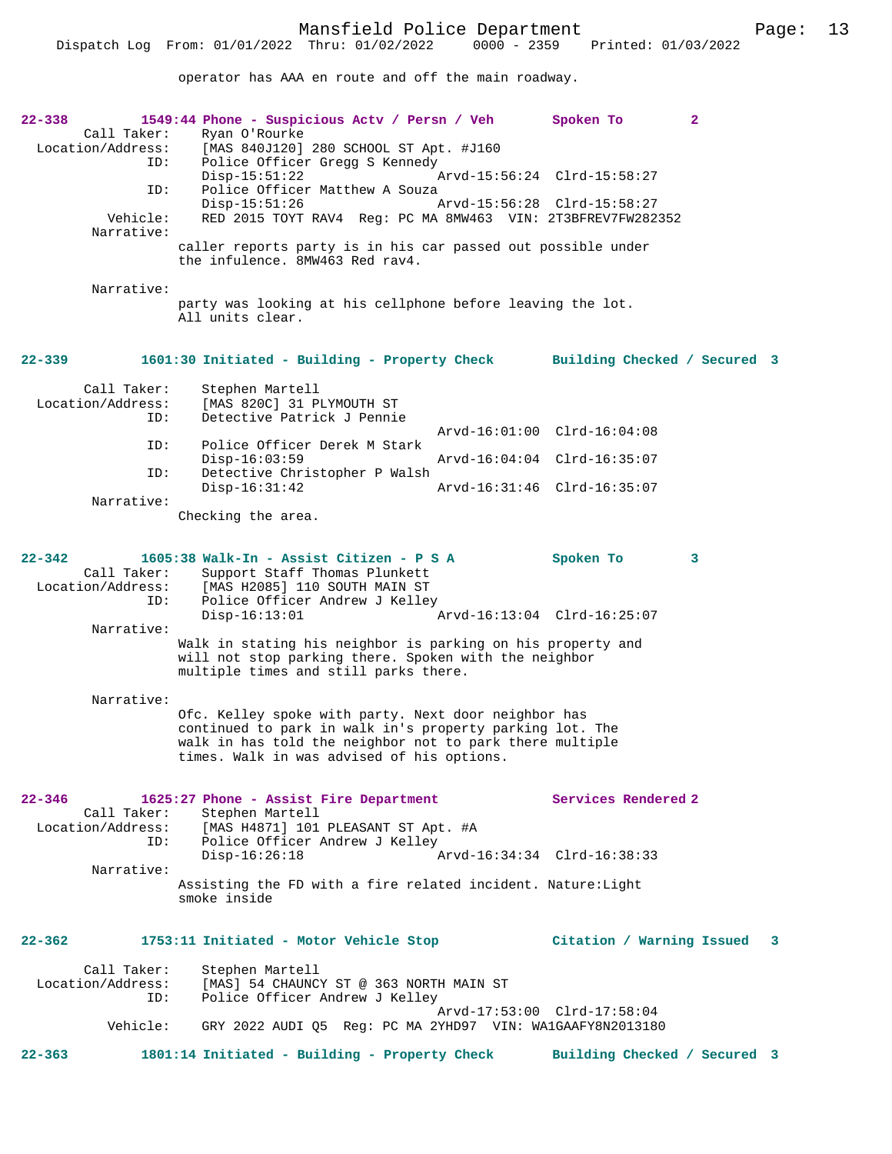operator has AAA en route and off the main roadway.

| $22 - 338$<br>Call Taker:<br>Location/Address:<br>ID: | 1549:44 Phone - Suspicious Actv / Persn / Veh<br>Ryan O'Rourke<br>[MAS 840J120] 280 SCHOOL ST Apt. #J160<br>Police Officer Gregg S Kennedy                                                                                 |                             | Spoken To                    | $\mathbf{2}$ |
|-------------------------------------------------------|----------------------------------------------------------------------------------------------------------------------------------------------------------------------------------------------------------------------------|-----------------------------|------------------------------|--------------|
| ID:                                                   | $Disp-15:51:22$<br>Police Officer Matthew A Souza                                                                                                                                                                          |                             | Arvd-15:56:24 Clrd-15:58:27  |              |
| Vehicle:<br>Narrative:                                | $Disp-15:51:26$<br>RED 2015 TOYT RAV4 Reg: PC MA 8MW463 VIN: 2T3BFREV7FW282352                                                                                                                                             | Arvd-15:56:28 Clrd-15:58:27 |                              |              |
|                                                       | caller reports party is in his car passed out possible under<br>the infulence. 8MW463 Red rav4.                                                                                                                            |                             |                              |              |
| Narrative:                                            |                                                                                                                                                                                                                            |                             |                              |              |
|                                                       | party was looking at his cellphone before leaving the lot.<br>All units clear.                                                                                                                                             |                             |                              |              |
| $22 - 339$                                            | 1601:30 Initiated - Building - Property Check                                                                                                                                                                              |                             | Building Checked / Secured 3 |              |
| Call Taker:<br>Location/Address:<br>ID:               | Stephen Martell<br>[MAS 820C] 31 PLYMOUTH ST<br>Detective Patrick J Pennie                                                                                                                                                 |                             |                              |              |
| ID:                                                   | Police Officer Derek M Stark                                                                                                                                                                                               | Arvd-16:01:00 Clrd-16:04:08 |                              |              |
| ID:                                                   | $Disp-16:03:59$<br>Detective Christopher P Walsh                                                                                                                                                                           |                             | Arvd-16:04:04 Clrd-16:35:07  |              |
| Narrative:                                            | $Disp-16:31:42$                                                                                                                                                                                                            |                             | Arvd-16:31:46 Clrd-16:35:07  |              |
|                                                       | Checking the area.                                                                                                                                                                                                         |                             |                              |              |
| $22 - 342$<br>Call Taker:<br>Location/Address:<br>ID: | 1605:38 Walk-In - Assist Citizen - P S A<br>Support Staff Thomas Plunkett<br>[MAS H2085] 110 SOUTH MAIN ST<br>Police Officer Andrew J Kelley                                                                               |                             | Spoken To                    | 3            |
|                                                       | $Disp-16:13:01$                                                                                                                                                                                                            |                             | Arvd-16:13:04 Clrd-16:25:07  |              |
| Narrative:                                            | Walk in stating his neighbor is parking on his property and<br>will not stop parking there. Spoken with the neighbor<br>multiple times and still parks there.                                                              |                             |                              |              |
| Narrative:                                            |                                                                                                                                                                                                                            |                             |                              |              |
|                                                       | Ofc. Kelley spoke with party. Next door neighbor has<br>continued to park in walk in's property parking lot. The<br>walk in has told the neighbor not to park there multiple<br>times. Walk in was advised of his options. |                             |                              |              |
| $22 - 346$<br>Call Taker:                             | 1625:27 Phone - Assist Fire Department<br>Stephen Martell                                                                                                                                                                  |                             | Services Rendered 2          |              |
| ID:                                                   | Location/Address: [MAS H4871] 101 PLEASANT ST Apt. #A<br>Police Officer Andrew J Kelley                                                                                                                                    |                             |                              |              |
| Narrative:                                            | $Disp-16:26:18$                                                                                                                                                                                                            |                             | Arvd-16:34:34 Clrd-16:38:33  |              |
|                                                       | Assisting the FD with a fire related incident. Nature: Light<br>smoke inside                                                                                                                                               |                             |                              |              |
| $22 - 362$                                            | 1753:11 Initiated - Motor Vehicle Stop                                                                                                                                                                                     |                             | Citation / Warning Issued 3  |              |
| Call Taker:<br>Location/Address:<br>ID:               | Stephen Martell<br>[MAS] 54 CHAUNCY ST @ 363 NORTH MAIN ST<br>Police Officer Andrew J Kelley                                                                                                                               |                             |                              |              |
| Vehicle:                                              | GRY 2022 AUDI Q5 Req: PC MA 2YHD97 VIN: WA1GAAFY8N2013180                                                                                                                                                                  |                             | Arvd-17:53:00 Clrd-17:58:04  |              |
| $22 - 363$                                            | 1801:14 Initiated - Building - Property Check                                                                                                                                                                              |                             | Building Checked / Secured 3 |              |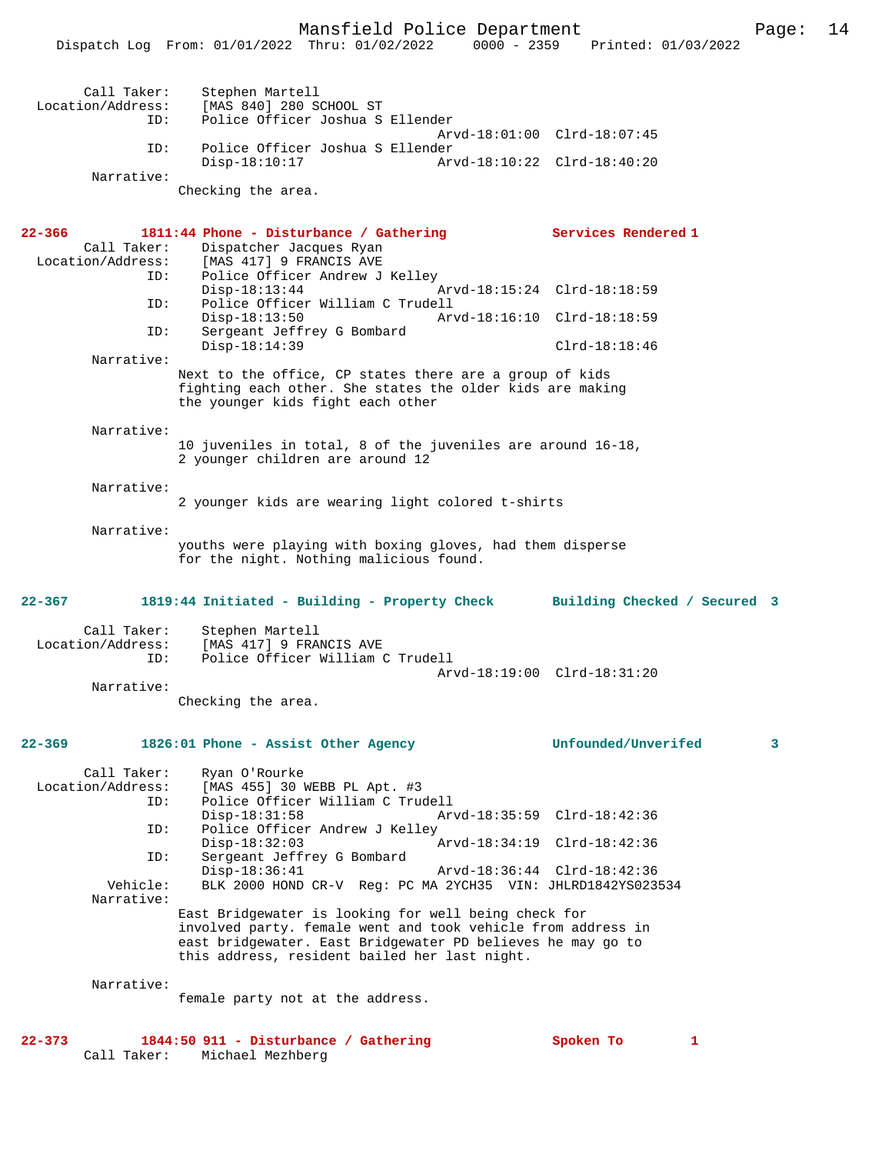| Call Taker: | Stephen Martell                           |                             |
|-------------|-------------------------------------------|-----------------------------|
|             | Location/Address: [MAS 840] 280 SCHOOL ST |                             |
|             | ID: Police Officer Joshua S Ellender      |                             |
|             |                                           | Arvd-18:01:00 Clrd-18:07:45 |
| ID:         | Police Officer Joshua S Ellender          |                             |
|             | $Disp-18:10:17$                           |                             |
| Narrative:  |                                           |                             |
|             | Checking the area.                        |                             |
|             |                                           |                             |
|             |                                           |                             |
| 22-366      | 1811:44 Phone - Disturbance / Gathering   | Services Rendered 1         |
|             | Call Taker: Dispatcher Jacques Ryan       |                             |
|             | Location/Address: [MAS 417] 9 FRANCIS AVE |                             |
| ID:         | Police Officer Andrew J Kelley            |                             |
|             | Disp-18:13:44 Arvd-18:15:24 Clrd-18:18:59 |                             |
| ID:         | Police Officer William C Trudell          |                             |
|             | $Disp-18:13:50$                           |                             |
|             |                                           |                             |
| ID:         | Sergeant Jeffrey G Bombard                |                             |

Narrative:

Next to the office, CP states there are a group of kids fighting each other. She states the older kids are making the younger kids fight each other

Narrative:

10 juveniles in total, 8 of the juveniles are around 16-18, 2 younger children are around 12

Narrative:

2 younger kids are wearing light colored t-shirts

Narrative:

youths were playing with boxing gloves, had them disperse for the night. Nothing malicious found.

## **22-367 1819:44 Initiated - Building - Property Check Building Checked / Secured 3**

| Call Taker:<br>Location/Address:<br>TD: | Stephen Martell<br>[MAS 417] 9 FRANCIS AVE<br>Police Officer William C Trudell |  |
|-----------------------------------------|--------------------------------------------------------------------------------|--|
|                                         | Arvd-18:19:00 Clrd-18:31:20                                                    |  |
| Narrative:                              |                                                                                |  |

Checking the area.

**22-369 1826:01 Phone - Assist Other Agency Unfounded/Unverifed 3**

Call Taker: Ryan O'Rourke<br>Location/Address: [MAS 455] 30 1 ess: [MAS 455] 30 WEBB PL Apt. #3<br>ID: Police Officer William C True Police Officer William C Trudell<br>Disp-18:31:58 Ar Disp-18:31:58 Arvd-18:35:59 Clrd-18:42:36 ID: Police Officer Andrew J Kelley Disp-18:32:03 Arvd-18:34:19 Clrd-18:42:36<br>ID: Sergeant Jeffrey G Bombard Sergeant Jeffrey G Bombard<br>Disp-18:36:41 Disp-18:36:41 Arvd-18:36:44 Clrd-18:42:36<br>Vehicle: BLK 2000 HOND CR-V Reg: PC MA 2YCH35 VIN: JHLRD1842YS023 BLK 2000 HOND CR-V Reg: PC MA 2YCH35 VIN: JHLRD1842YS023534 Narrative: East Bridgewater is looking for well being check for involved party. female went and took vehicle from address in east bridgewater. East Bridgewater PD believes he may go to this address, resident bailed her last night.

Narrative:

female party not at the address.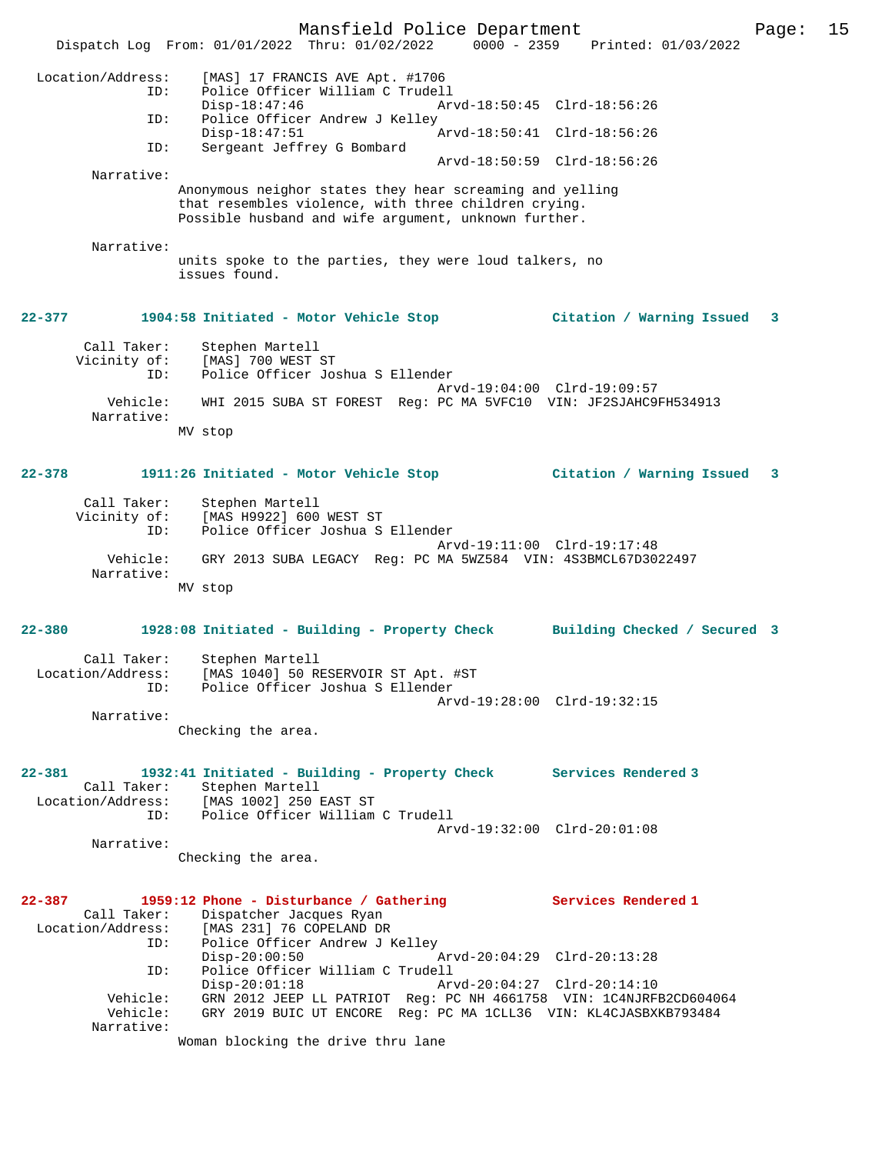Mansfield Police Department Page: 15 Dispatch Log From: 01/01/2022 Thru: 01/02/2022 0000 - 2359 Printed: 01/03/2022 Location/Address: [MAS] 17 FRANCIS AVE Apt. #1706 ID: Police Officer William C Trudell Disp-18:47:46 Arvd-18:50:45 Clrd-18:56:26 ID: Police Officer Andrew J Kelley<br>Disp-18:47:51 Disp-18:47:51 Arvd-18:50:41 Clrd-18:56:26<br>ID: Sergeant Jeffrey G Bombard Sergeant Jeffrey G Bombard Arvd-18:50:59 Clrd-18:56:26 Narrative: Anonymous neighor states they hear screaming and yelling that resembles violence, with three children crying. Possible husband and wife argument, unknown further. Narrative: units spoke to the parties, they were loud talkers, no issues found. **22-377 1904:58 Initiated - Motor Vehicle Stop Citation / Warning Issued 3** Call Taker: Stephen Martell Vicinity of: [MAS] 700 WEST ST ID: Police Officer Joshua S Ellender Arvd-19:04:00 Clrd-19:09:57 Vehicle: WHI 2015 SUBA ST FOREST Reg: PC MA 5VFC10 VIN: JF2SJAHC9FH534913 Narrative: MV stop **22-378 1911:26 Initiated - Motor Vehicle Stop Citation / Warning Issued 3** Call Taker: Stephen Martell Vicinity of: [MAS H9922] 600 WEST ST ID: Police Officer Joshua S Ellender Arvd-19:11:00 Clrd-19:17:48 Vehicle: GRY 2013 SUBA LEGACY Reg: PC MA 5WZ584 VIN: 4S3BMCL67D3022497 Narrative: MV stop **22-380 1928:08 Initiated - Building - Property Check Building Checked / Secured 3** Call Taker: Stephen Martell Location/Address: [MAS 1040] 50 RESERVOIR ST Apt. #ST ID: Police Officer Joshua S Ellender Arvd-19:28:00 Clrd-19:32:15 Narrative: Checking the area. **22-381 1932:41 Initiated - Building - Property Check Services Rendered 3**  Call Taker: Stephen Martell<br>Location/Address: [MAS 1002] 250 1 ess: [MAS 1002] 250 EAST ST<br>TD: Police Officer William Police Officer William C Trudell Arvd-19:32:00 Clrd-20:01:08 Narrative: Checking the area. **22-387 1959:12 Phone - Disturbance / Gathering Services Rendered 1**  Call Taker: Dispatcher Jacques Ryan Location/Address: [MAS 231] 76 COPELAND DR ID: Police Officer Andrew J Kelley Disp-20:00:50 Arvd-20:04:29 Clrd-20:13:28 ID: Police Officer William C Trudell Disp-20:01:18 Arvd-20:04:27 Clrd-20:14:10<br>Vehicle: GRN 2012 JEEP LL PATRIOT Reg: PC NH 4661758 VIN: 1C4NJRF GRN 2012 JEEP LL PATRIOT Reg: PC NH 4661758 VIN: 1C4NJRFB2CD604064 Vehicle: GRY 2019 BUIC UT ENCORE Reg: PC MA 1CLL36 VIN: KL4CJASBXKB793484 Narrative: Woman blocking the drive thru lane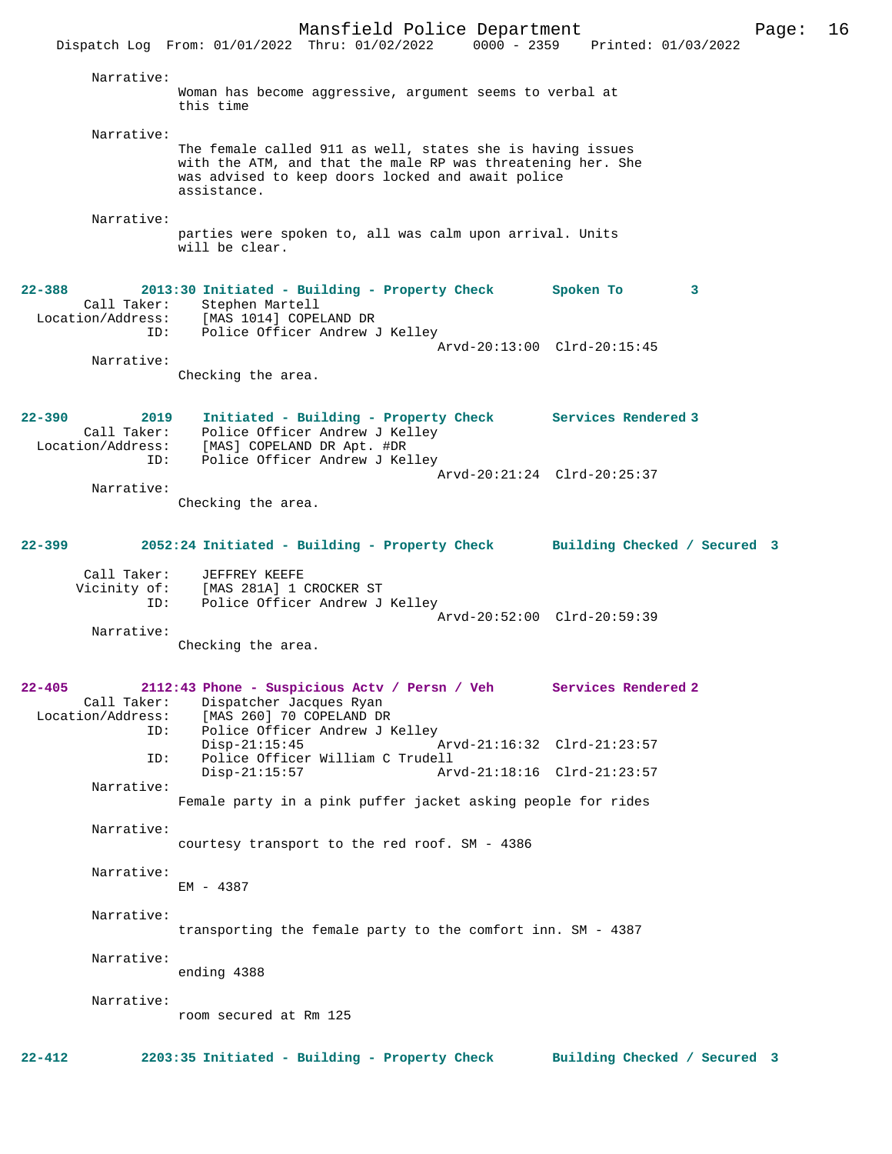Mansfield Police Department Page: 16 Dispatch Log From: 01/01/2022 Thru: 01/02/2022 Narrative: Woman has become aggressive, argument seems to verbal at this time Narrative: The female called 911 as well, states she is having issues with the ATM, and that the male RP was threatening her. She was advised to keep doors locked and await police assistance. Narrative: parties were spoken to, all was calm upon arrival. Units will be clear. **22-388 2013:30 Initiated - Building - Property Check Spoken To 3**  Call Taker: Stephen Martell Location/Address: [MAS 1014] COPELAND DR ID: Police Officer Andrew J Kelley Arvd-20:13:00 Clrd-20:15:45 Narrative: Checking the area. **22-390 2019 Initiated - Building - Property Check Services Rendered 3**  Call Taker: Police Officer Andrew J Kelley<br>Location/Address: [MAS] COPELAND DR Apt. #DR [MAS] COPELAND DR Apt. #DR ID: Police Officer Andrew J Kelley Arvd-20:21:24 Clrd-20:25:37 Narrative: Checking the area. **22-399 2052:24 Initiated - Building - Property Check Building Checked / Secured 3** Call Taker: JEFFREY KEEFE<br>Vicinity of: [MAS 281A] 1 [MAS 281A] 1 CROCKER ST ID: Police Officer Andrew J Kelley Arvd-20:52:00 Clrd-20:59:39 Narrative: Checking the area. **22-405 2112:43 Phone - Suspicious Actv / Persn / Veh Services Rendered 2**  Call Taker: Dispatcher Jacques Ryan Location/Address: [MAS 260] 70 COPELAND DR ID: Police Officer Andrew J Kelley Disp-21:15:45 Arvd-21:16:32 Clrd-21:23:57<br>ID: Police Officer William C Trudell ID: Police Officer William C Trudell Arvd-21:18:16 Clrd-21:23:57 Narrative: Female party in a pink puffer jacket asking people for rides Narrative: courtesy transport to the red roof. SM - 4386 Narrative: EM - 4387 Narrative: transporting the female party to the comfort inn. SM - 4387 Narrative: ending 4388 Narrative: room secured at Rm 125 **22-412 2203:35 Initiated - Building - Property Check Building Checked / Secured 3**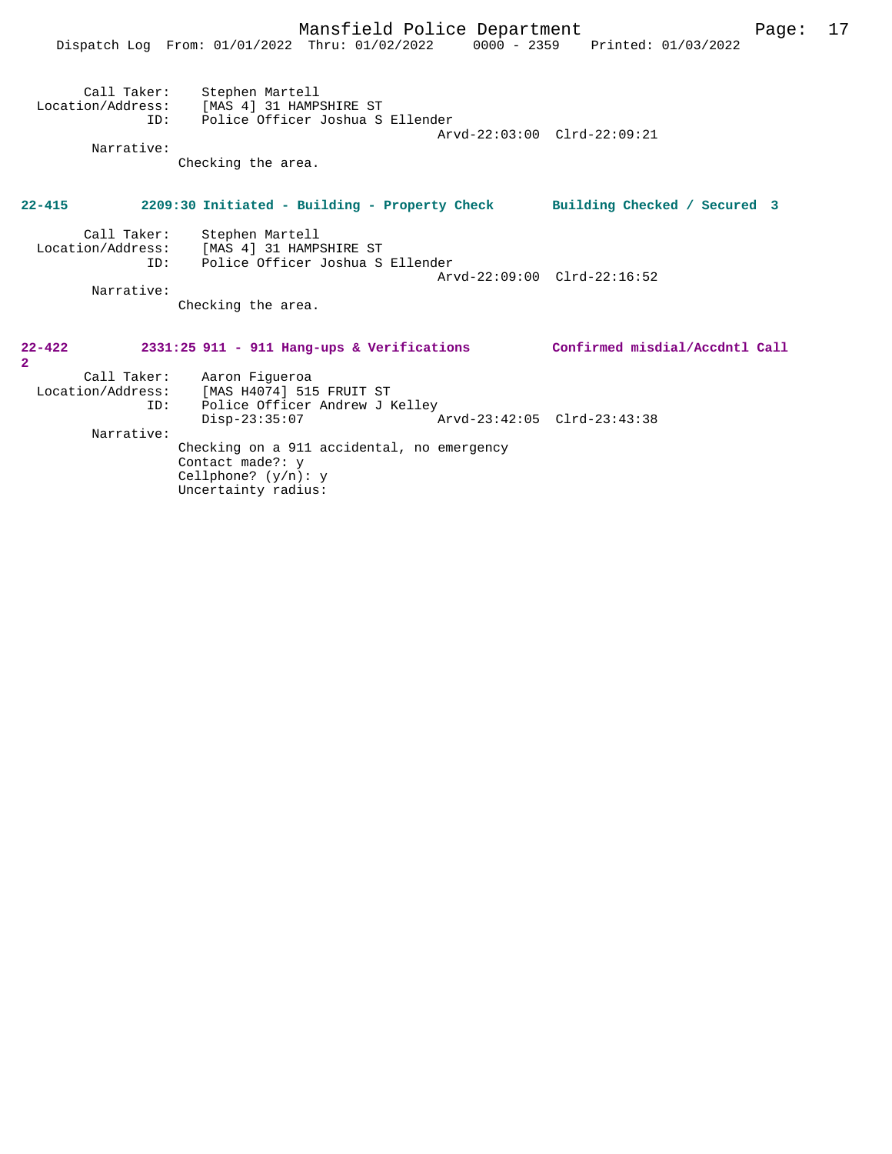|                              | Dispatch Log From: 01/01/2022 Thru: 01/02/2022 0000 - 2359 Printed: 01/03/2022                                                                          |                             |
|------------------------------|---------------------------------------------------------------------------------------------------------------------------------------------------------|-----------------------------|
| Narrative:                   | Call Taker: Stephen Martell<br>Location/Address: [MAS 4] 31 HAMPSHIRE ST<br>ID: Police Officer Joshua S Ellender<br>Checking the area.                  | Arvd-22:03:00 Clrd-22:09:21 |
| $22 - 415$                   | 2209:30 Initiated - Building - Property Check Building Checked / Secured 3                                                                              |                             |
| Narrative:                   | Call Taker: Stephen Martell<br>Location/Address: [MAS 4] 31 HAMPSHIRE ST<br>ID: Police Officer Joshua S Ellender<br>Checking the area.                  | Arvd-22:09:00 Clrd-22:16:52 |
| $22 - 422$<br>$\overline{2}$ | 2331:25 911 - 911 Hang-ups & Verifications Confirmed misdial/Accdntl Call                                                                               |                             |
| ID:                          | Call Taker: Aaron Figueroa<br>Location/Address: [MAS H4074] 515 FRUIT ST<br>Police Officer Andrew J Kelley<br>Disp-23:35:07 Arvd-23:42:05 Clrd-23:43:38 |                             |
| Narrative:                   | Checking on a 911 accidental, no emergency<br>Contact made?: y<br>Cellphone? $(y/n): y$<br>Uncertainty radius:                                          |                             |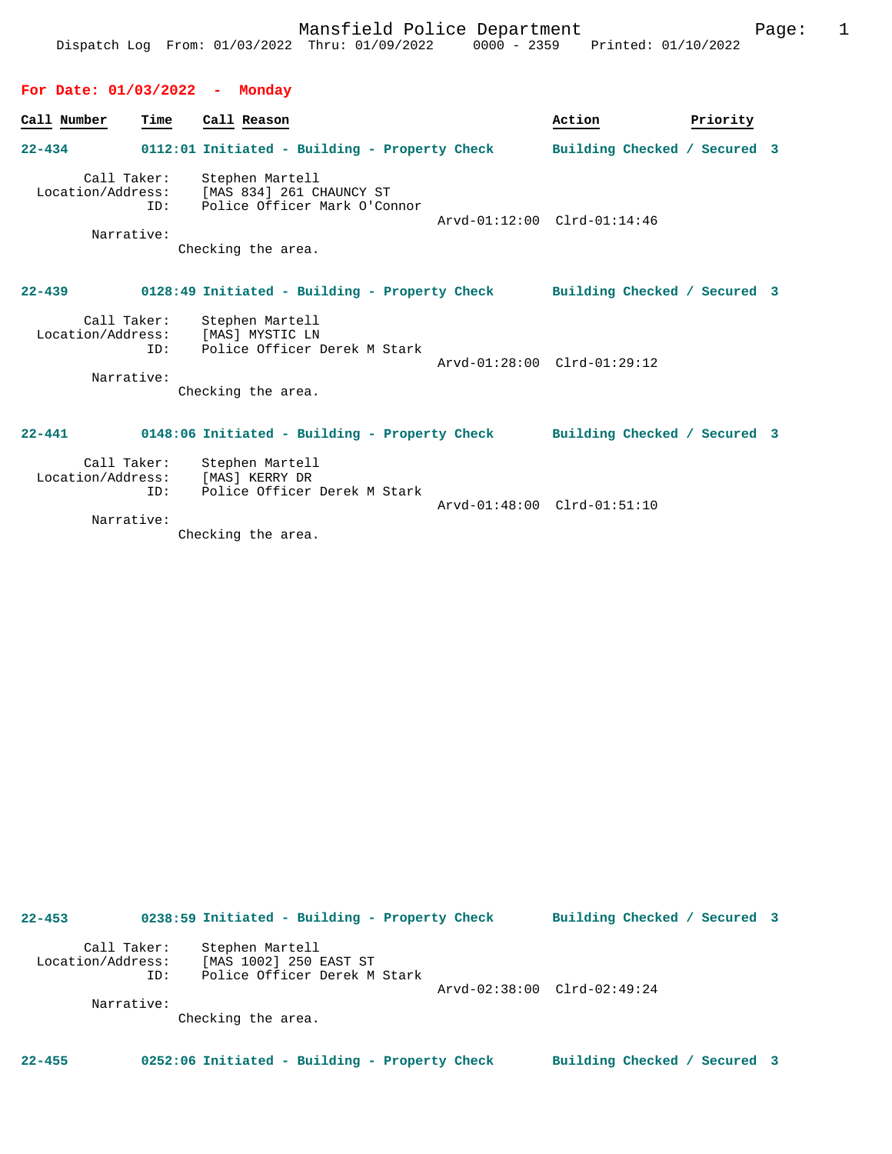## **For Date: 01/03/2022 - Monday**

| Call Number                     | Time | Call Reason                                                                                                   | Action                       | Priority |  |
|---------------------------------|------|---------------------------------------------------------------------------------------------------------------|------------------------------|----------|--|
| $22 - 434$                      |      | 0112:01 Initiated - Building - Property Check                                                                 | Building Checked / Secured 3 |          |  |
| Location/Address:<br>Narrative: | ID:  | Call Taker: Stephen Martell<br>[MAS 834] 261 CHAUNCY ST<br>Police Officer Mark O'Connor<br>Checking the area. | Arvd-01:12:00 Clrd-01:14:46  |          |  |
| $22 - 439$                      |      | 0128:49 Initiated - Building - Property Check Building Checked / Secured 3                                    |                              |          |  |
| Location/Address:<br>Narrative: | ID:  | Call Taker: Stephen Martell<br>[MAS] MYSTIC LN<br>Police Officer Derek M Stark<br>Checking the area.          | Arvd-01:28:00 Clrd-01:29:12  |          |  |
| $22 - 441$                      |      | 0148:06 Initiated - Building - Property Check                                                                 | Building Checked / Secured 3 |          |  |
| Location/Address:               | ID:  | Call Taker: Stephen Martell<br>[MAS] KERRY DR<br>Police Officer Derek M Stark                                 | Arvd-01:48:00 Clrd-01:51:10  |          |  |
| Narrative:                      |      | Chooking the area                                                                                             |                              |          |  |

Checking the area.

| $22 - 453$                                     |     | 0238:59 Initiated - Building - Property Check                             | Building Checked / Secured 3 |  |
|------------------------------------------------|-----|---------------------------------------------------------------------------|------------------------------|--|
| Call Taker:<br>Location/Address:<br>Narrative: | ID: | Stephen Martell<br>[MAS 1002] 250 EAST ST<br>Police Officer Derek M Stark | Arvd-02:38:00 Clrd-02:49:24  |  |
|                                                |     | Checking the area.                                                        |                              |  |
| $22 - 455$                                     |     | 0252:06 Initiated - Building - Property Check                             | Building Checked / Secured 3 |  |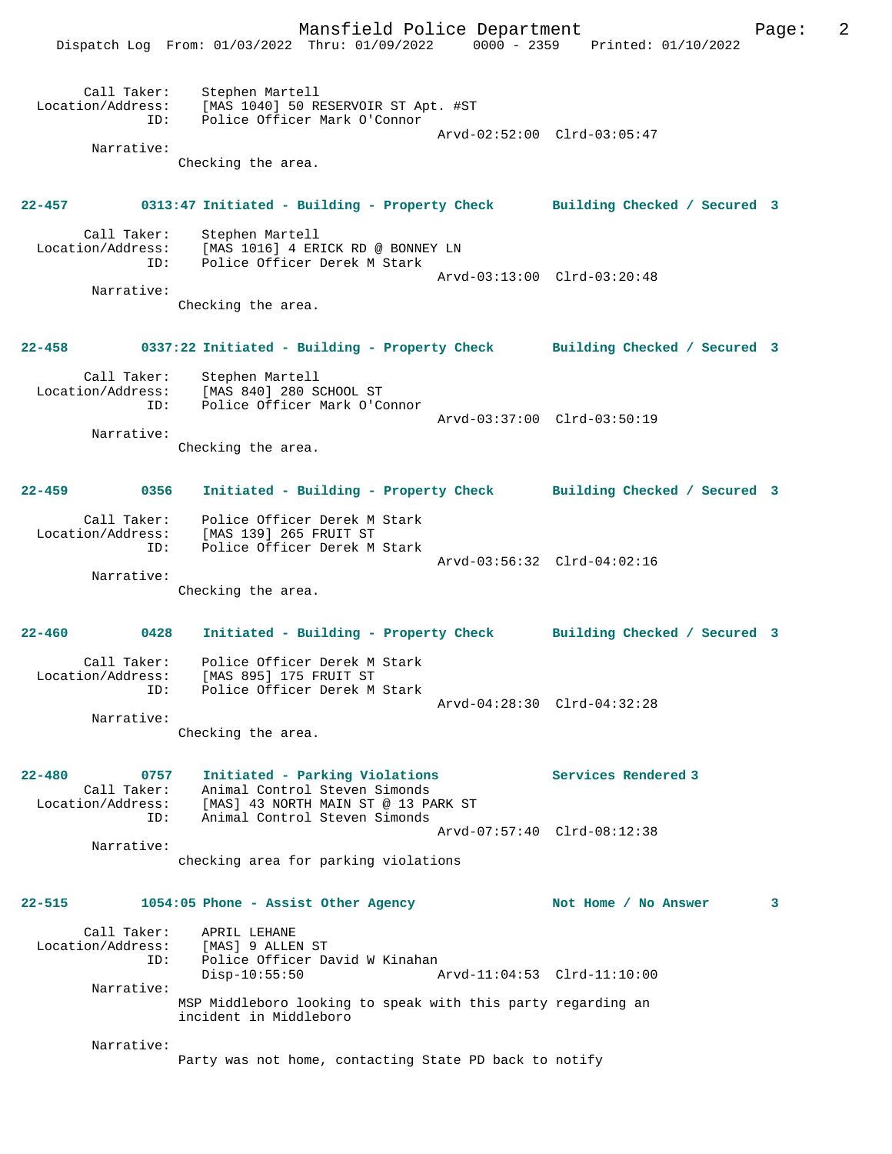Mansfield Police Department Form Page: 2 Dispatch Log From: 01/03/2022 Thru: 01/09/2022 0000 - 2359 Printed: 01/10/2022 Call Taker: Stephen Martell Location/Address: [MAS 1040] 50 RESERVOIR ST Apt. #ST ID: Police Officer Mark O'Connor Arvd-02:52:00 Clrd-03:05:47 Narrative: Checking the area. **22-457 0313:47 Initiated - Building - Property Check Building Checked / Secured 3** Call Taker: Stephen Martell Location/Address: [MAS 1016] 4 ERICK RD @ BONNEY LN ID: Police Officer Derek M Stark Arvd-03:13:00 Clrd-03:20:48 Narrative: Checking the area. **22-458 0337:22 Initiated - Building - Property Check Building Checked / Secured 3** Call Taker: Stephen Martell Location/Address: [MAS 840] 280 SCHOOL ST ID: Police Officer Mark O'Connor Arvd-03:37:00 Clrd-03:50:19 Narrative: Checking the area. **22-459 0356 Initiated - Building - Property Check Building Checked / Secured 3** Call Taker: Police Officer Derek M Stark Location/Address: [MAS 139] 265 FRUIT ST ID: Police Officer Derek M Stark Arvd-03:56:32 Clrd-04:02:16 Narrative: Checking the area. **22-460 0428 Initiated - Building - Property Check Building Checked / Secured 3** Call Taker: Police Officer Derek M Stark Location/Address: [MAS 895] 175 FRUIT ST ID: Police Officer Derek M Stark Arvd-04:28:30 Clrd-04:32:28 Narrative: Checking the area. **22-480 0757 Initiated - Parking Violations Services Rendered 3**  Call Taker: Animal Control Steven Simonds Location/Address: [MAS] 43 NORTH MAIN ST @ 13 PARK ST ID: Animal Control Steven Simonds Arvd-07:57:40 Clrd-08:12:38 Narrative: checking area for parking violations **22-515 1054:05 Phone - Assist Other Agency Not Home / No Answer 3** Call Taker: APRIL LEHANE<br>Location/Address: [MAS] 9 ALLEI Location/Address: [MAS] 9 ALLEN ST ID: Police Officer David W Kinahan Disp-10:55:50 Arvd-11:04:53 Clrd-11:10:00 Narrative: MSP Middleboro looking to speak with this party regarding an incident in Middleboro Narrative: Party was not home, contacting State PD back to notify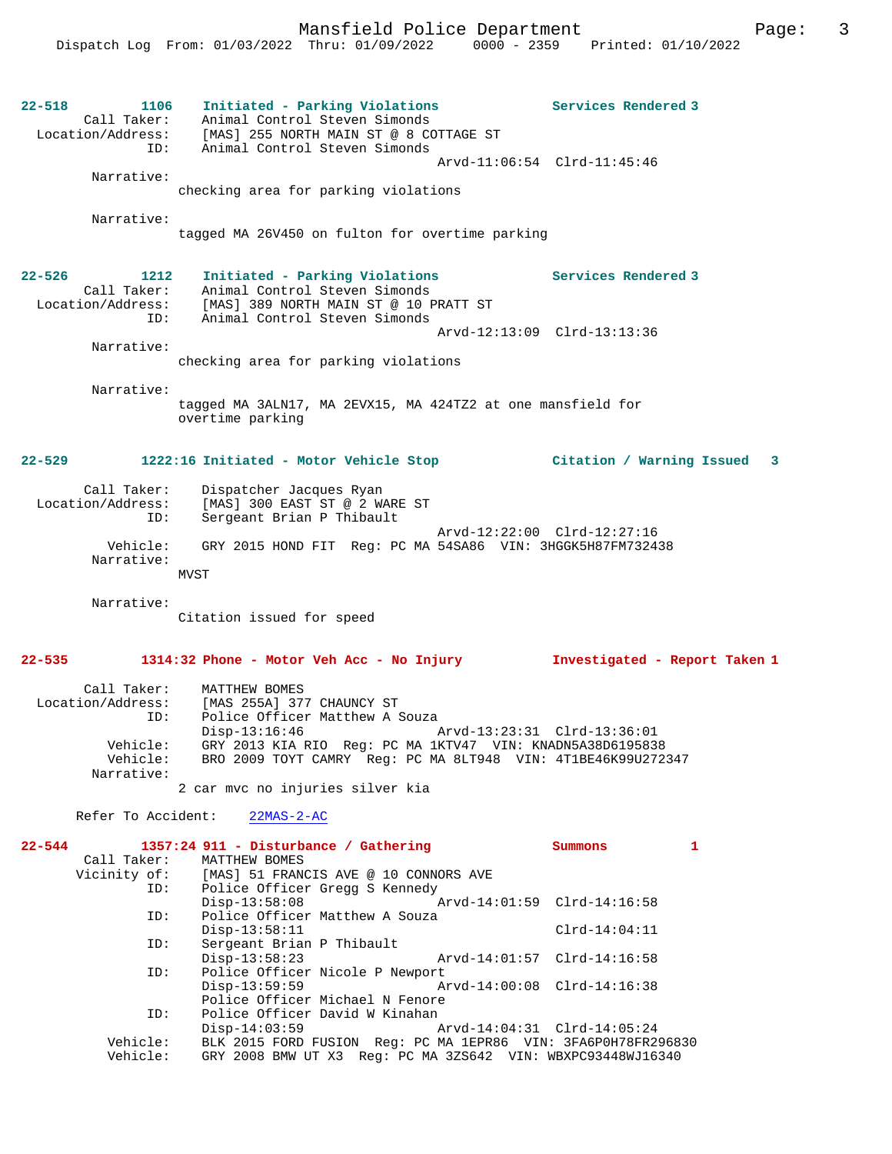**22-518 1106 Initiated - Parking Violations Services Rendered 3**  Call Taker: Animal Control Steven Simonds Location/Address: [MAS] 255 NORTH MAIN ST @ 8 COTTAGE ST ID: Animal Control Steven Simonds Arvd-11:06:54 Clrd-11:45:46 Narrative: checking area for parking violations Narrative: tagged MA 26V450 on fulton for overtime parking **22-526 1212 Initiated - Parking Violations Services Rendered 3**  Call Taker: Animal Control Steven Simonds Location/Address: [MAS] 389 NORTH MAIN ST @ 10 PRATT ST ID: Animal Control Steven Simonds Arvd-12:13:09 Clrd-13:13:36 Narrative: checking area for parking violations Narrative: tagged MA 3ALN17, MA 2EVX15, MA 424TZ2 at one mansfield for overtime parking **22-529 1222:16 Initiated - Motor Vehicle Stop Citation / Warning Issued 3** Call Taker: Dispatcher Jacques Ryan Location/Address: [MAS] 300 EAST ST @ 2 WARE ST<br>TD: Sergeant Brian P Thibault Sergeant Brian P Thibault Arvd-12:22:00 Clrd-12:27:16 Vehicle: GRY 2015 HOND FIT Reg: PC MA 54SA86 VIN: 3HGGK5H87FM732438 Narrative:  $MVST$  Narrative: Citation issued for speed **22-535 1314:32 Phone - Motor Veh Acc - No Injury Investigated - Report Taken 1** Call Taker: MATTHEW BOMES Location/Address: [MAS 255A] 377 CHAUNCY ST<br>ID: Police Officer Matthew A S Police Officer Matthew A Souza Disp-13:16:46 Arvd-13:23:31 Clrd-13:36:01 Vehicle: GRY 2013 KIA RIO Reg: PC MA 1KTV47 VIN: KNADN5A38D6195838 Vehicle: BRO 2009 TOYT CAMRY Reg: PC MA 8LT948 VIN: 4T1BE46K99U272347 Narrative: 2 car mvc no injuries silver kia Refer To Accident: 22MAS-2-AC **22-544 1357:24 911 - Disturbance / Gathering Summons 1**  Call Taker: MATTHEW BOMES<br>Vicinity of: [MAS] 51 FRAN [MAS] 51 FRANCIS AVE @ 10 CONNORS AVE ID: Police Officer Gregg S Kennedy Disp-13:58:08 Arvd-14:01:59 Clrd-14:16:58<br>TD: Police Officer Matthew A Souza Police Officer Matthew A Souza Disp-13:58:11 Clrd-14:04:11<br>TD: Sergeant Brian P Thibault Sergeant Brian P Thibault<br>Disp-13:58:23 Disp-13:58:23 Arvd-14:01:57 Clrd-14:16:58 ID: Police Officer Nicole P Newport

 Disp-13:59:59 Arvd-14:00:08 Clrd-14:16:38 Police Officer Michael N Fenore<br>ID: Police Officer David W Kinahan ID: Police Officer David W Kinahan Disp-14:03:59 Arvd-14:04:31 Clrd-14:05:24

 Vehicle: BLK 2015 FORD FUSION Reg: PC MA 1EPR86 VIN: 3FA6P0H78FR296830 Vehicle: GRY 2008 BMW UT X3 Reg: PC MA 3ZS642 VIN: WBXPC93448WJ16340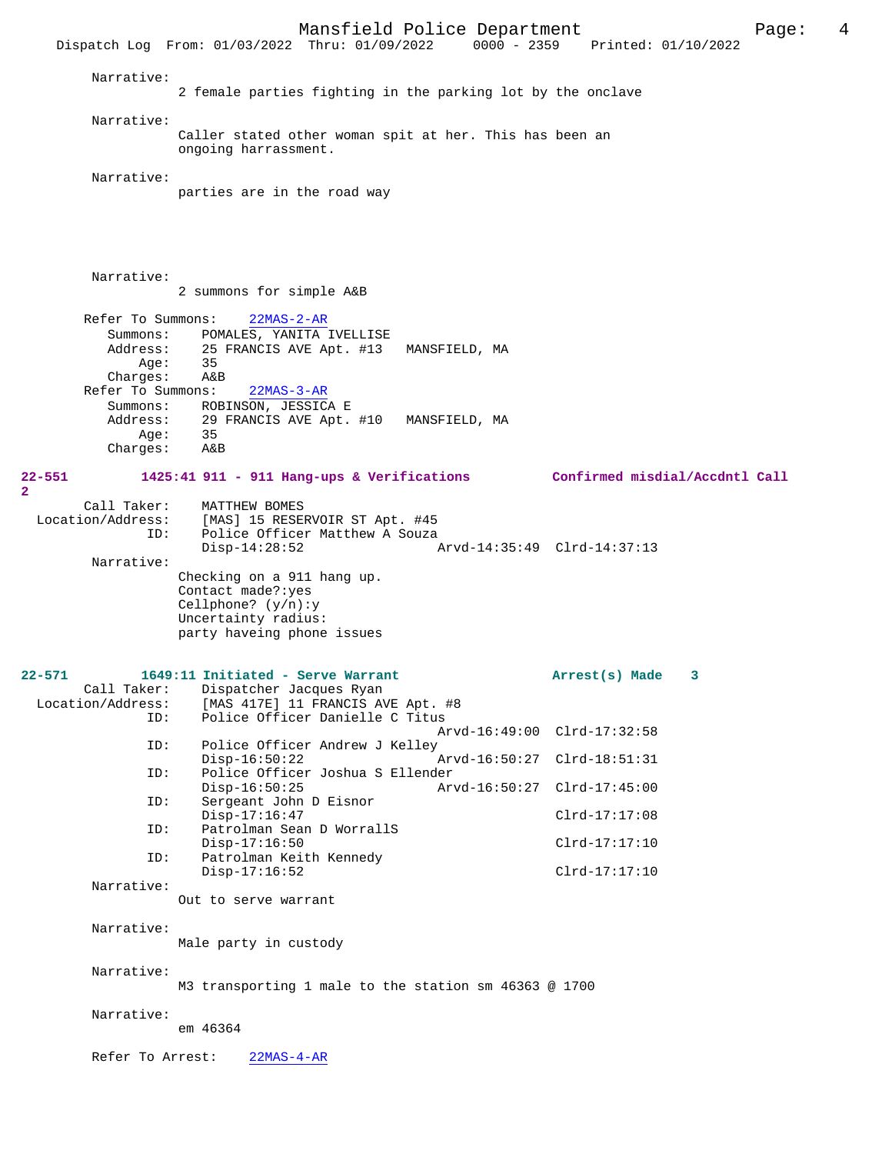Mansfield Police Department<br>
Thru:  $01/09/2022$   $0000 - 2359$  Printed:  $01/10/2022$ Dispatch Log From: 01/03/2022 Thru: 01/09/2022 Narrative: 2 female parties fighting in the parking lot by the onclave Narrative: Caller stated other woman spit at her. This has been an ongoing harrassment. Narrative: parties are in the road way Narrative: 2 summons for simple A&B Refer To Summons: 22MAS-2-AR Summons: POMALES, YANITA IVELLISE Address: 25 FRANCIS AVE Apt. #13 MANSFIELD, MA Age: 35<br>rges: A&B Charges: Refer To Summons: 22MAS-3-AR Summons: ROBINSON, JESSICA E<br>Address: 29 FRANCIS AVE Apt. 29 FRANCIS AVE Apt. #10 MANSFIELD, MA<br>35 Age: 35<br>rges: A&B  $Chargest:$ **22-551 1425:41 911 - 911 Hang-ups & Verifications Confirmed misdial/Accdntl Call** Call Taker: MATTHEW BOMES<br>Location/Address: [MAS] 15 RESE [MAS] 15 RESERVOIR ST Apt. #45 ID: Police Officer Matthew A Souza<br>Disp-14:28:52 Disp-14:28:52 Arvd-14:35:49 Clrd-14:37:13 Narrative: Checking on a 911 hang up. Contact made?:yes Cellphone? (y/n):y Uncertainty radius: party haveing phone issues **22-571 1649:11 Initiated - Serve Warrant Arrest(s) Made 3**  Call Taker: Dispatcher Jacques Ryan<br>Location/Address: [MAS 417E] 11 FRANCIS AV [MAS 417E] 11 FRANCIS AVE Apt. #8 ID: Police Officer Danielle C Titus Arvd-16:49:00 Clrd-17:32:58<br>ID: Police Officer Andrew J Kelley Police Officer Andrew J Kelley<br>Disp-16:50:22 Disp-16:50:22 Arvd-16:50:27 Clrd-18:51:31<br>ID: Police Officer Joshua S Ellender Police Officer Joshua S Ellender Disp-16:50:25 Arvd-16:50:27 Clrd-17:45:00<br>TD: Sergeant John D Eisnor Sergeant John D Eisnor Disp-17:16:47 Clrd-17:17:08 ID: Patrolman Sean D WorrallS Disp-17:16:50 Clrd-17:17:10 ID: Patrolman Keith Kennedy Disp-17:16:52 Clrd-17:17:10 Narrative: Out to serve warrant Narrative: Male party in custody Narrative: M3 transporting 1 male to the station sm 46363 @ 1700 Narrative: em 46364 Refer To Arrest: 22MAS-4-AR

**2**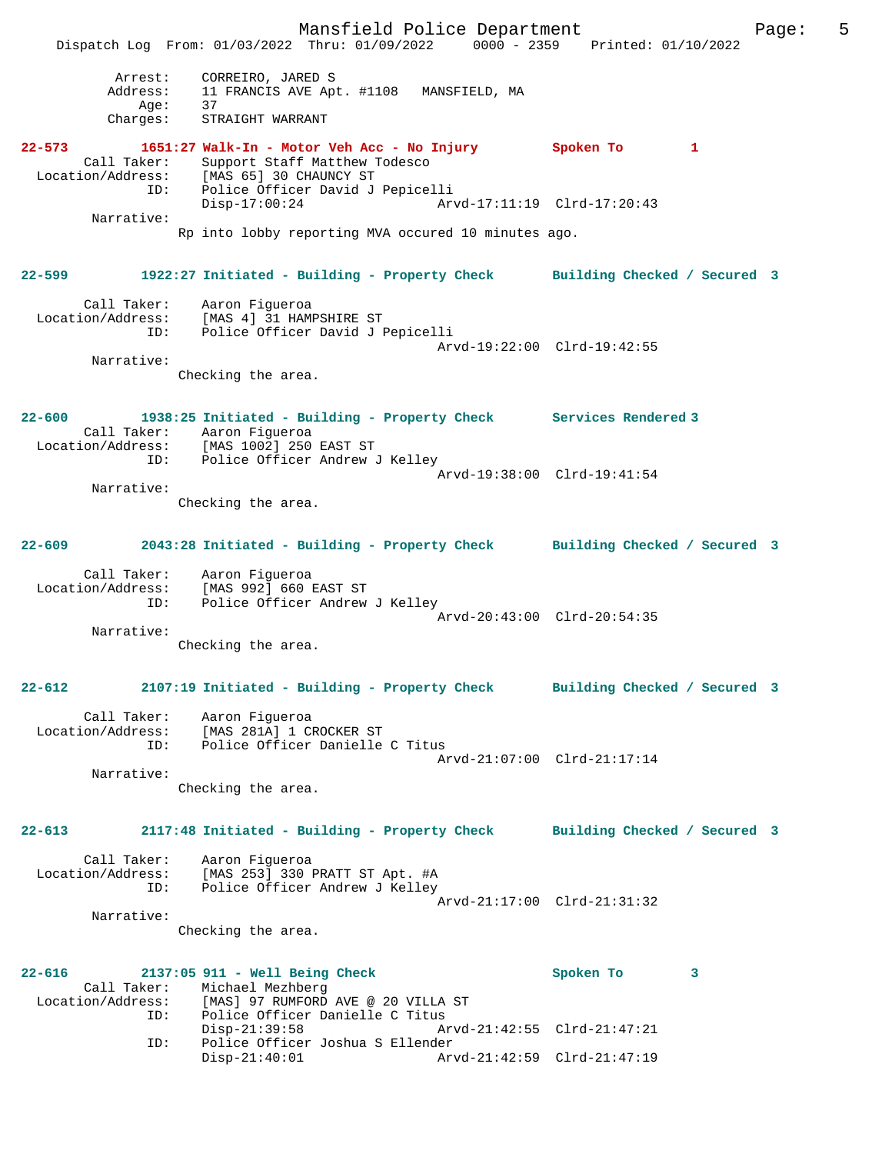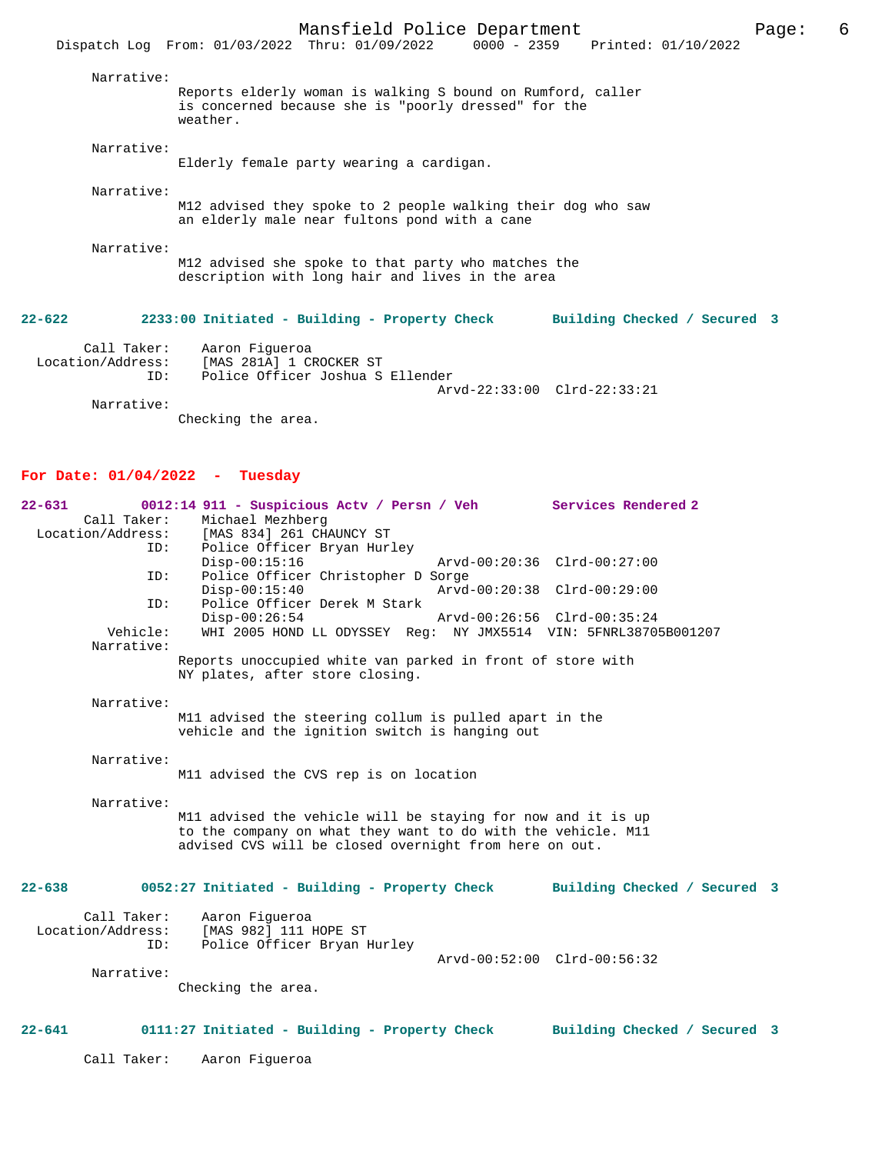|                    | Mansfield Police Department<br>Dispatch Log From: 01/03/2022 Thru: 01/09/2022 0000 - 2359 Printed: 01/10/2022                   | Page: | 6 |
|--------------------|---------------------------------------------------------------------------------------------------------------------------------|-------|---|
| Narrative:         | Reports elderly woman is walking S bound on Rumford, caller<br>is concerned because she is "poorly dressed" for the<br>weather. |       |   |
| Narrative:         | Elderly female party wearing a cardigan.                                                                                        |       |   |
| Narrative:         | M12 advised they spoke to 2 people walking their dog who saw<br>an elderly male near fultons pond with a cane                   |       |   |
| Narrative:         | M12 advised she spoke to that party who matches the<br>description with long hair and lives in the area                         |       |   |
| $22 - 622$         | 2233:00 Initiated - Building - Property Check<br>Building Checked / Secured 3                                                   |       |   |
| Call Taker:<br>ID: | Aaron Fiqueroa<br>Location/Address: [MAS 281A] 1 CROCKER ST<br>Police Officer Joshua S Ellender<br>Arvd-22:33:00 Clrd-22:33:21  |       |   |

Narrative:

Checking the area.

# **For Date: 01/04/2022 - Tuesday**

| $22 - 631$        | 0012:14 911 - Suspicious Actv / Persn / Veh                                                              | Services Rendered 2          |  |
|-------------------|----------------------------------------------------------------------------------------------------------|------------------------------|--|
| Call Taker:       | Michael Mezhberg                                                                                         |                              |  |
| Location/Address: | [MAS 834] 261 CHAUNCY ST                                                                                 |                              |  |
| ID:               | Police Officer Bryan Hurley                                                                              |                              |  |
|                   | $Disp-00:15:16$<br>Arvd-00:20:36 Clrd-00:27:00                                                           |                              |  |
| ID:               | Police Officer Christopher D Sorge                                                                       |                              |  |
|                   | $Disp-00:15:40$<br>Arvd-00:20:38 Clrd-00:29:00                                                           |                              |  |
| ID:               | Police Officer Derek M Stark                                                                             |                              |  |
|                   | $Disp-00:26:54$<br>Arvd-00:26:56 Clrd-00:35:24                                                           |                              |  |
| Vehicle:          | WHI 2005 HOND LL ODYSSEY Reg: NY JMX5514 VIN: 5FNRL38705B001207                                          |                              |  |
| Narrative:        |                                                                                                          |                              |  |
|                   | Reports unoccupied white van parked in front of store with                                               |                              |  |
|                   | NY plates, after store closing.                                                                          |                              |  |
|                   |                                                                                                          |                              |  |
| Narrative:        |                                                                                                          |                              |  |
|                   | M11 advised the steering collum is pulled apart in the<br>vehicle and the ignition switch is hanging out |                              |  |
|                   |                                                                                                          |                              |  |
| Narrative:        |                                                                                                          |                              |  |
|                   | M11 advised the CVS rep is on location                                                                   |                              |  |
|                   |                                                                                                          |                              |  |
| Narrative:        |                                                                                                          |                              |  |
|                   | M11 advised the vehicle will be staying for now and it is up                                             |                              |  |
|                   | to the company on what they want to do with the vehicle. M11                                             |                              |  |
|                   | advised CVS will be closed overnight from here on out.                                                   |                              |  |
|                   |                                                                                                          |                              |  |
|                   |                                                                                                          |                              |  |
| $22 - 638$        | 0052:27 Initiated - Building - Property Check Building Checked / Secured 3                               |                              |  |
|                   |                                                                                                          |                              |  |
| Call Taker:       | Aaron Fiqueroa                                                                                           |                              |  |
| Location/Address: | [MAS 982] 111 HOPE ST                                                                                    |                              |  |
| ID:               | Police Officer Bryan Hurley                                                                              |                              |  |
|                   | Arvd-00:52:00 Clrd-00:56:32                                                                              |                              |  |
| Narrative:        |                                                                                                          |                              |  |
|                   | Checking the area.                                                                                       |                              |  |
|                   |                                                                                                          |                              |  |
| $22 - 641$        | 0111:27 Initiated - Building - Property Check                                                            | Building Checked / Secured 3 |  |
|                   |                                                                                                          |                              |  |
| Call Taker:       | Aaron Fiqueroa                                                                                           |                              |  |
|                   |                                                                                                          |                              |  |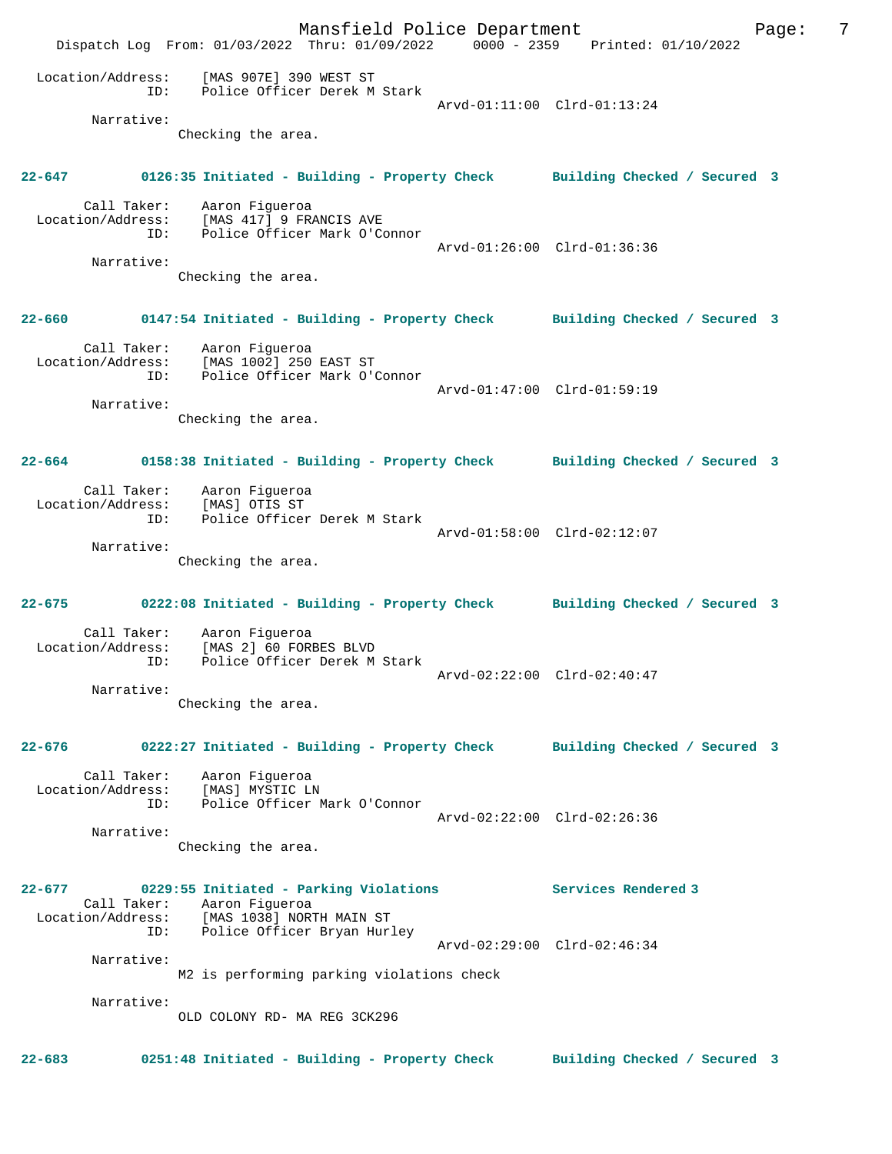Mansfield Police Department Fage: 7 Dispatch Log From: 01/03/2022 Thru: 01/09/2022 0000 - 2359 Printed: 01/10/2022 Location/Address: [MAS 907E] 390 WEST ST ID: Police Officer Derek M Stark MAS 907EJ 390 WEB1 B1<br>Police Officer Derek M Stark<br>Arvd-01:11:00 Clrd-01:13:24 Narrative: Checking the area. **22-647 0126:35 Initiated - Building - Property Check Building Checked / Secured 3** Call Taker: Aaron Figueroa Location/Address: [MAS 417] 9 FRANCIS AVE ID: Police Officer Mark O'Connor Arvd-01:26:00 Clrd-01:36:36 Narrative: Checking the area. **22-660 0147:54 Initiated - Building - Property Check Building Checked / Secured 3** Call Taker: Aaron Figueroa Location/Address: [MAS 1002] 250 EAST ST ID: Police Officer Mark O'Connor Arvd-01:47:00 Clrd-01:59:19 Narrative: Checking the area. **22-664 0158:38 Initiated - Building - Property Check Building Checked / Secured 3** Call Taker: Aaron Figueroa Location/Address: [MAS] OTIS ST ID: Police Officer Derek M Stark Arvd-01:58:00 Clrd-02:12:07 Narrative: Checking the area. **22-675 0222:08 Initiated - Building - Property Check Building Checked / Secured 3** Call Taker: Aaron Figueroa Location/Address: [MAS 2] 60 FORBES BLVD<br>ID: Police Officer Derek M Police Officer Derek M Stark Arvd-02:22:00 Clrd-02:40:47 Narrative: Checking the area. **22-676 0222:27 Initiated - Building - Property Check Building Checked / Secured 3** Call Taker: Aaron Figueroa Location/Address: [MAS] MYSTIC LN ID: Police Officer Mark O'Connor Arvd-02:22:00 Clrd-02:26:36 Narrative: Checking the area. **22-677 0229:55 Initiated - Parking Violations Services Rendered 3**  Call Taker: Aaron Figueroa Location/Address: [MAS 1038] NORTH MAIN ST ID: Police Officer Bryan Hurley Arvd-02:29:00 Clrd-02:46:34 Narrative: M2 is performing parking violations check Narrative: OLD COLONY RD- MA REG 3CK296 **22-683 0251:48 Initiated - Building - Property Check Building Checked / Secured 3**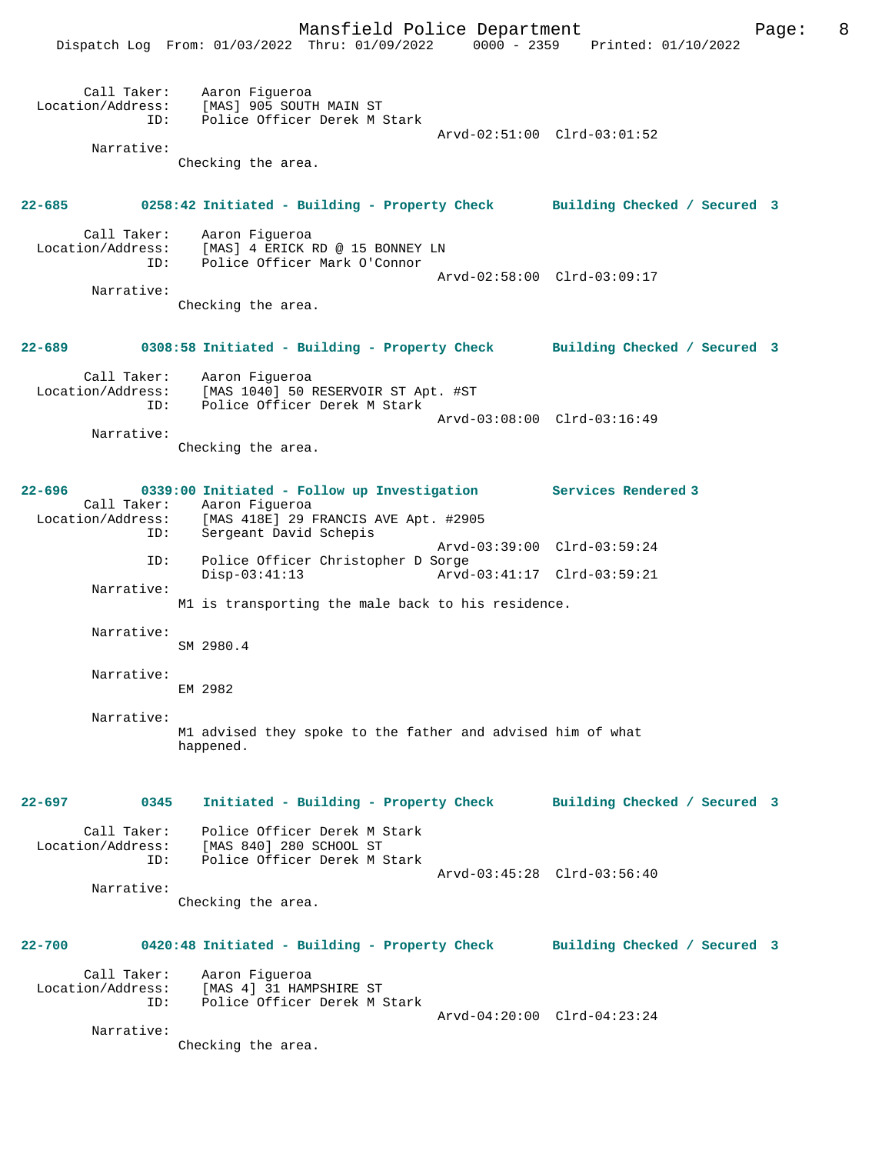|                                    | Dispatch Log From: 01/03/2022 Thru: 01/09/2022                                                                                                                  | $0000 - 2359$ | Printed: 01/10/2022          |  |
|------------------------------------|-----------------------------------------------------------------------------------------------------------------------------------------------------------------|---------------|------------------------------|--|
| Call Taker:<br>ID:                 | Aaron Figueroa<br>Location/Address: [MAS] 905 SOUTH MAIN ST<br>Police Officer Derek M Stark                                                                     |               | Arvd-02:51:00 Clrd-03:01:52  |  |
| Narrative:                         | Checking the area.                                                                                                                                              |               |                              |  |
| 22-685                             | 0258:42 Initiated - Building - Property Check Building Checked / Secured 3                                                                                      |               |                              |  |
| Call Taker:<br>ID:                 | Aaron Figueroa<br>Location/Address: [MAS] 4 ERICK RD @ 15 BONNEY LN<br>Police Officer Mark O'Connor                                                             |               |                              |  |
| Narrative:                         | Checking the area.                                                                                                                                              |               | Arvd-02:58:00 Clrd-03:09:17  |  |
| 22-689                             | 0308:58 Initiated - Building - Property Check Building Checked / Secured 3                                                                                      |               |                              |  |
| Call Taker:<br>ID:                 | Aaron Figueroa<br>Location/Address: [MAS 1040] 50 RESERVOIR ST Apt. #ST<br>Police Officer Derek M Stark                                                         |               |                              |  |
| Narrative:                         | Checking the area.                                                                                                                                              |               | Arvd-03:08:00 Clrd-03:16:49  |  |
|                                    |                                                                                                                                                                 |               |                              |  |
| 22-696<br>Location/Address:<br>ID: | 0339:00 Initiated - Follow up Investigation Services Rendered 3<br>Call Taker: Aaron Figueroa<br>[MAS 418E] 29 FRANCIS AVE Apt. #2905<br>Sergeant David Schepis |               |                              |  |
| ID:                                | Police Officer Christopher D Sorge                                                                                                                              |               | Arvd-03:39:00 Clrd-03:59:24  |  |
| Narrative:                         | $Disp-03:41:13$                                                                                                                                                 |               | Arvd-03:41:17 Clrd-03:59:21  |  |
|                                    | M1 is transporting the male back to his residence.                                                                                                              |               |                              |  |
| Narrative:                         | SM 2980.4                                                                                                                                                       |               |                              |  |
| Narrative:                         | EM 2982                                                                                                                                                         |               |                              |  |
| Narrative:                         | M1 advised they spoke to the father and advised him of what<br>happened.                                                                                        |               |                              |  |
| $22 - 697$<br>0345                 | Initiated - Building - Property Check                                                                                                                           |               | Building Checked / Secured 3 |  |
| Call Taker:<br>ID:                 | Police Officer Derek M Stark<br>Location/Address: [MAS 840] 280 SCHOOL ST<br>Police Officer Derek M Stark                                                       |               |                              |  |
| Narrative:                         |                                                                                                                                                                 |               | Arvd-03:45:28 Clrd-03:56:40  |  |
|                                    | Checking the area.                                                                                                                                              |               |                              |  |
| $22 - 700$                         | 0420:48 Initiated - Building - Property Check Building Checked / Secured 3                                                                                      |               |                              |  |
| Call Taker:<br>ID:                 | Aaron Figueroa<br>Location/Address: [MAS 4] 31 HAMPSHIRE ST<br>Police Officer Derek M Stark                                                                     |               |                              |  |
| Narrative:                         | Checking the area.                                                                                                                                              |               | Arvd-04:20:00 Clrd-04:23:24  |  |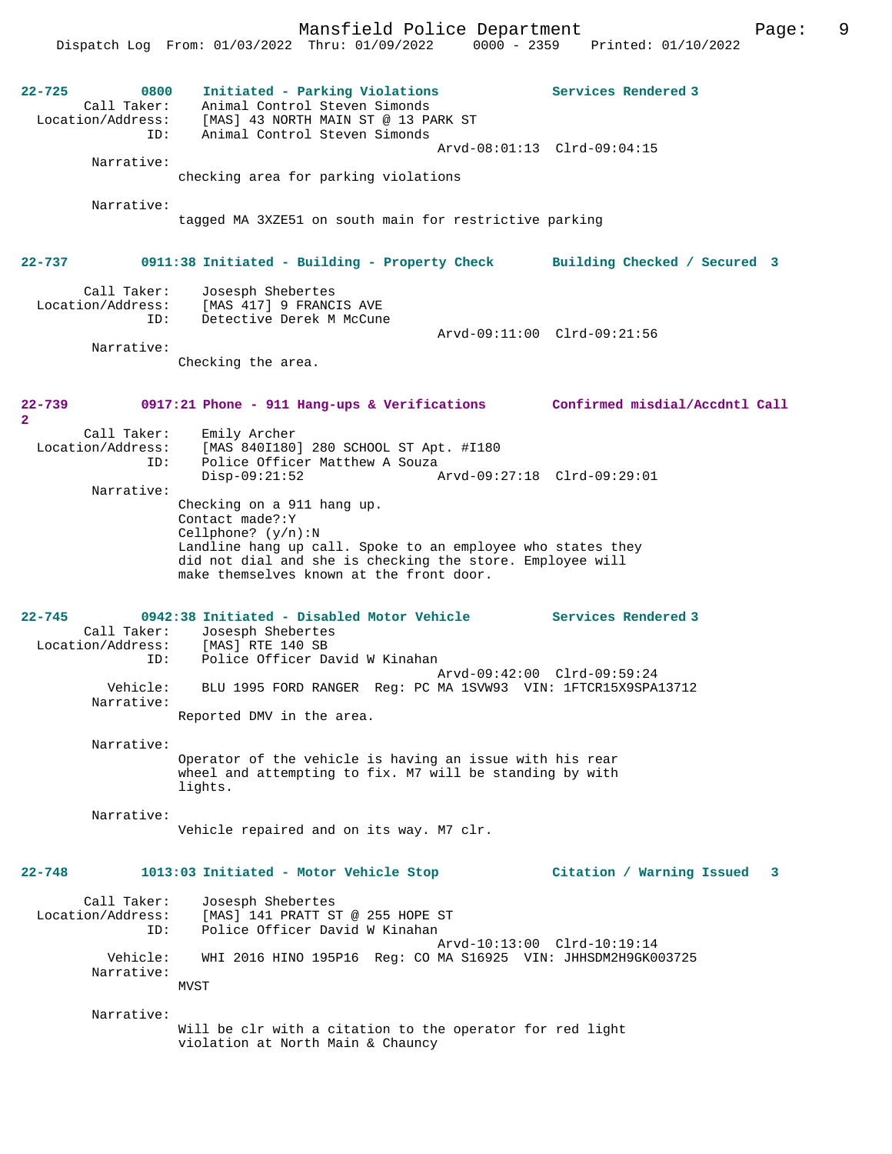Mansfield Police Department Fage: 9 Dispatch Log From: 01/03/2022 Thru: 01/09/2022 0000 - 2359 Printed: 01/10/2022 **22-725 0800 Initiated - Parking Violations Services Rendered 3**  Call Taker: Animal Control Steven Simonds Location/Address: [MAS] 43 NORTH MAIN ST @ 13 PARK ST ID: Animal Control Steven Simonds Arvd-08:01:13 Clrd-09:04:15 Narrative: checking area for parking violations Narrative: tagged MA 3XZE51 on south main for restrictive parking **22-737 0911:38 Initiated - Building - Property Check Building Checked / Secured 3** Call Taker: Josesph Shebertes Location/Address: [MAS 417] 9 FRANCIS AVE ID: Detective Derek M McCune Arvd-09:11:00 Clrd-09:21:56 Narrative: Checking the area. **22-739 0917:21 Phone - 911 Hang-ups & Verifications Confirmed misdial/Accdntl Call 2**  Call Taker: Emily Archer<br>Location/Address: [MAS 8401180] [MAS 840I180] 280 SCHOOL ST Apt. #I180 ID: Police Officer Matthew A Souza Disp-09:21:52 Arvd-09:27:18 Clrd-09:29:01 Narrative: Checking on a 911 hang up. Contact made?:Y Cellphone? (y/n):N Landline hang up call. Spoke to an employee who states they did not dial and she is checking the store. Employee will make themselves known at the front door. **22-745 0942:38 Initiated - Disabled Motor Vehicle Services Rendered 3**  Call Taker: Josesph Shebertes<br>ion/Address: [MAS] RTE 140 SB Location/Address: ID: Police Officer David W Kinahan Arvd-09:42:00 Clrd-09:59:24 Vehicle: BLU 1995 FORD RANGER Reg: PC MA 1SVW93 VIN: 1FTCR15X9SPA13712 Narrative: Reported DMV in the area. Narrative: Operator of the vehicle is having an issue with his rear wheel and attempting to fix. M7 will be standing by with lights. Narrative: Vehicle repaired and on its way. M7 clr. **22-748 1013:03 Initiated - Motor Vehicle Stop Citation / Warning Issued 3** Call Taker: Josesph Shebertes Location/Address: [MAS] 141 PRATT ST @ 255 HOPE ST ID: Police Officer David W Kinahan Arvd-10:13:00 Clrd-10:19:14 Vehicle: WHI 2016 HINO 195P16 Reg: CO MA S16925 VIN: JHHSDM2H9GK003725 Narrative: MVST Narrative: Will be clr with a citation to the operator for red light violation at North Main & Chauncy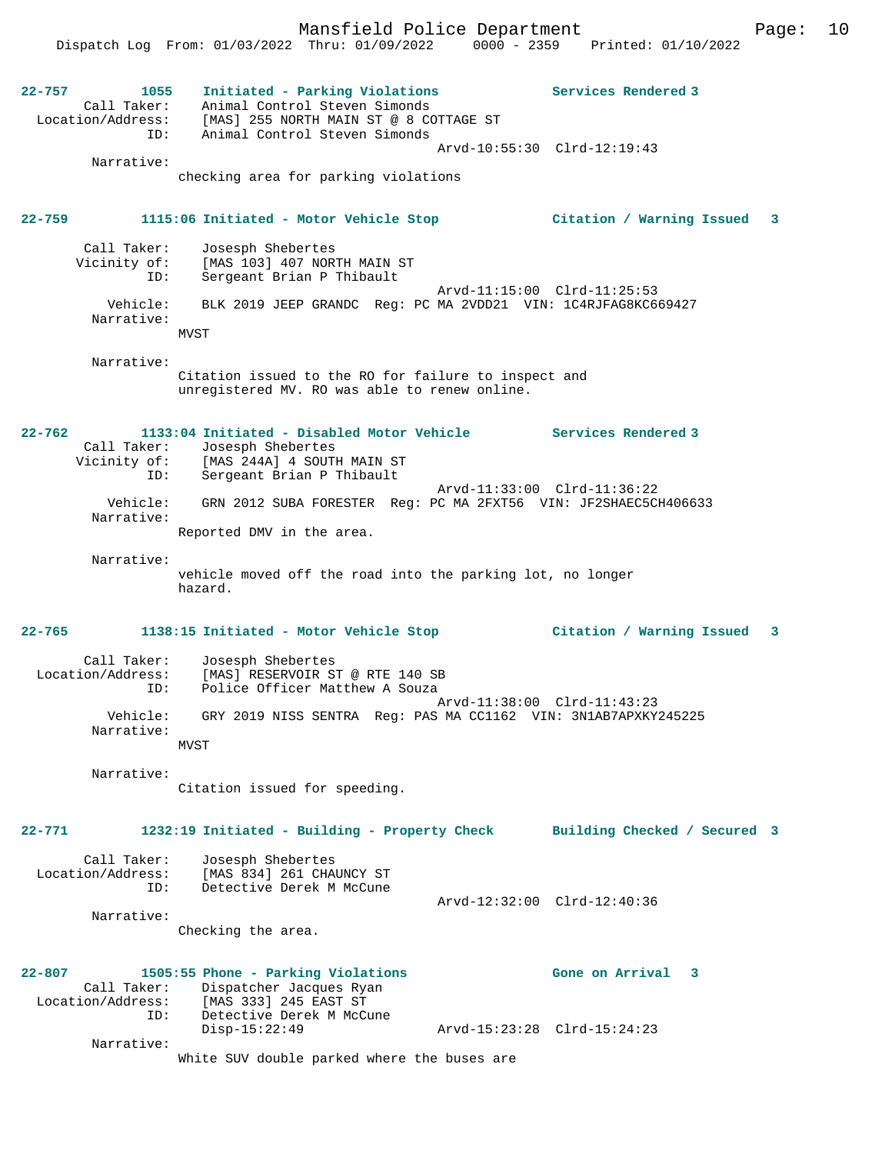Mansfield Police Department Form Page: 10 Dispatch Log From: 01/03/2022 Thru: 01/09/2022 0000 - 2359 Printed: 01/10/2022 **22-757 1055 Initiated - Parking Violations Services Rendered 3**  Call Taker: Animal Control Steven Simonds Location/Address: [MAS] 255 NORTH MAIN ST @ 8 COTTAGE ST ID: Animal Control Steven Simonds Arvd-10:55:30 Clrd-12:19:43 Narrative: checking area for parking violations **22-759 1115:06 Initiated - Motor Vehicle Stop Citation / Warning Issued 3** Call Taker: Josesph Shebertes Vicinity of: [MAS 103] 407 NORTH MAIN ST<br>ID: Sergeant Brian P Thibault Sergeant Brian P Thibault Arvd-11:15:00 Clrd-11:25:53 Vehicle: BLK 2019 JEEP GRANDC Reg: PC MA 2VDD21 VIN: 1C4RJFAG8KC669427 Narrative: MVST Narrative: Citation issued to the RO for failure to inspect and unregistered MV. RO was able to renew online. **22-762 1133:04 Initiated - Disabled Motor Vehicle Services Rendered 3**  Call Taker: Josesph Shebertes<br>Vicinity of: [MAS 244A] 4 SOUTH MAIN ST Vicinity of: [MAS 244A] 4 SOUTH MAIN ST ID: Sergeant Brian P Thibault Arvd-11:33:00 Clrd-11:36:22 Vehicle: GRN 2012 SUBA FORESTER Reg: PC MA 2FXT56 VIN: JF2SHAEC5CH406633 Narrative: Reported DMV in the area. Narrative: vehicle moved off the road into the parking lot, no longer hazard. **22-765 1138:15 Initiated - Motor Vehicle Stop Citation / Warning Issued 3** Call Taker: Josesph Shebertes Location/Address: [MAS] RESERVOIR ST @ RTE 140 SB ID: Police Officer Matthew A Souza Arvd-11:38:00 Clrd-11:43:23 Vehicle: GRY 2019 NISS SENTRA Reg: PAS MA CC1162 VIN: 3N1AB7APXKY245225 Narrative: **MVST**  Narrative: Citation issued for speeding. **22-771 1232:19 Initiated - Building - Property Check Building Checked / Secured 3** Call Taker: Josesph Shebertes Location/Address: [MAS 834] 261 CHAUNCY ST ID: Detective Derek M McCune Arvd-12:32:00 Clrd-12:40:36 Narrative: Checking the area. **22-807 1505:55 Phone - Parking Violations Gone on Arrival 3**  Call Taker: Dispatcher Jacques Ryan<br>Location/Address: [MAS 333] 245 EAST ST Location/Address: [MAS 333] 245 EAST ST ID: Detective Derek M McCune Disp-15:22:49 Arvd-15:23:28 Clrd-15:24:23 Narrative: White SUV double parked where the buses are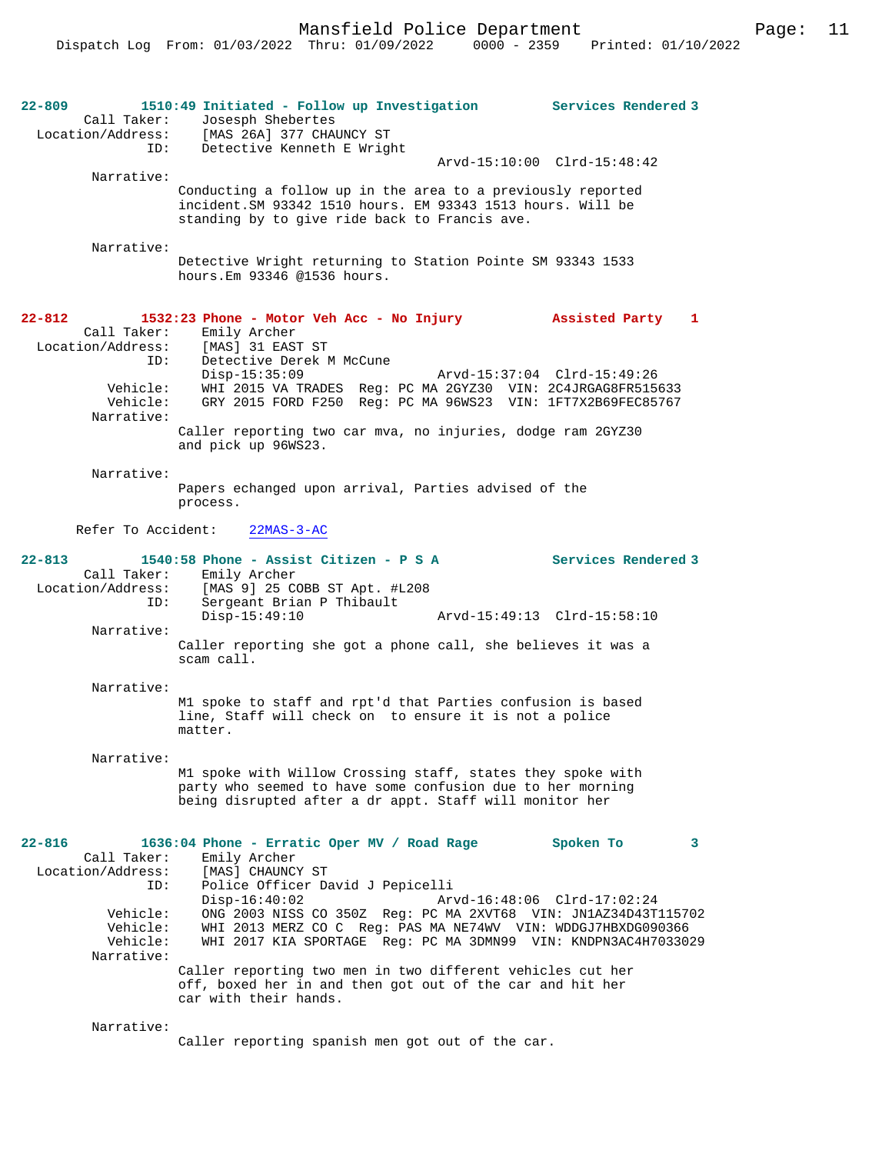Mansfield Police Department Page: 11

**22-809 1510:49 Initiated - Follow up Investigation Services Rendered 3**  Call Taker: Josesph Shebertes<br>Location/Address: [MAS 26A] 377 CHAI [MAS 26A] 377 CHAUNCY ST ID: Detective Kenneth E Wright Arvd-15:10:00 Clrd-15:48:42 Narrative: Conducting a follow up in the area to a previously reported incident.SM 93342 1510 hours. EM 93343 1513 hours. Will be standing by to give ride back to Francis ave. Narrative: Detective Wright returning to Station Pointe SM 93343 1533 hours.Em 93346 @1536 hours. **22-812 1532:23 Phone - Motor Veh Acc - No Injury Assisted Party 1**  Call Taker: Emily Archer<br>Location/Address: [MAS] 31 EAST Location/Address: [MAS] 31 EAST ST ID: Detective Derek M McCune Disp-15:35:09 Arvd-15:37:04 Clrd-15:49:26 Vehicle: WHI 2015 VA TRADES Reg: PC MA 2GYZ30 VIN: 2C4JRGAG8FR515633 Vehicle: GRY 2015 FORD F250 Reg: PC MA 96WS23 VIN: 1FT7X2B69FEC85767 Narrative: Caller reporting two car mva, no injuries, dodge ram 2GYZ30 and pick up 96WS23. Narrative: Papers echanged upon arrival, Parties advised of the process. Refer To Accident: 22MAS-3-AC **22-813 1540:58 Phone - Assist Citizen - P S A Services Rendered 3**  Call Taker: Emily Archer<br>Location/Address: [MAS 9] 25 CO ess: [MAS 9] 25 COBB ST Apt. #L208<br>ID: Sergeant Brian P Thibault Sergeant Brian P Thibault<br>Disp-15:49:10 Disp-15:49:10 Arvd-15:49:13 Clrd-15:58:10 Narrative: Caller reporting she got a phone call, she believes it was a scam call. Narrative: M1 spoke to staff and rpt'd that Parties confusion is based line, Staff will check on to ensure it is not a police matter. Narrative: M1 spoke with Willow Crossing staff, states they spoke with party who seemed to have some confusion due to her morning being disrupted after a dr appt. Staff will monitor her **22-816 1636:04 Phone - Erratic Oper MV / Road Rage Spoken To 3**  Call Taker: Emily Archer Location/Address: [MAS] CHAUNCY ST ID: Police Officer David J Pepicelli Disp-16:40:02 Arvd-16:48:06 Clrd-17:02:24<br>Vehicle: ONG 2003 NISS CO 350Z Reg: PC MA 2XVT68 VIN: JN1AZ34D43T ONG 2003 NISS CO 350Z Reg: PC MA 2XVT68 VIN: JN1AZ34D43T115702 Vehicle: WHI 2013 MERZ CO C Reg: PAS MA NE74WV VIN: WDDGJ7HBXDG090366 Vehicle: WHI 2017 KIA SPORTAGE Reg: PC MA 3DMN99 VIN: KNDPN3AC4H7033029 Narrative: Caller reporting two men in two different vehicles cut her off, boxed her in and then got out of the car and hit her car with their hands. Narrative:

Caller reporting spanish men got out of the car.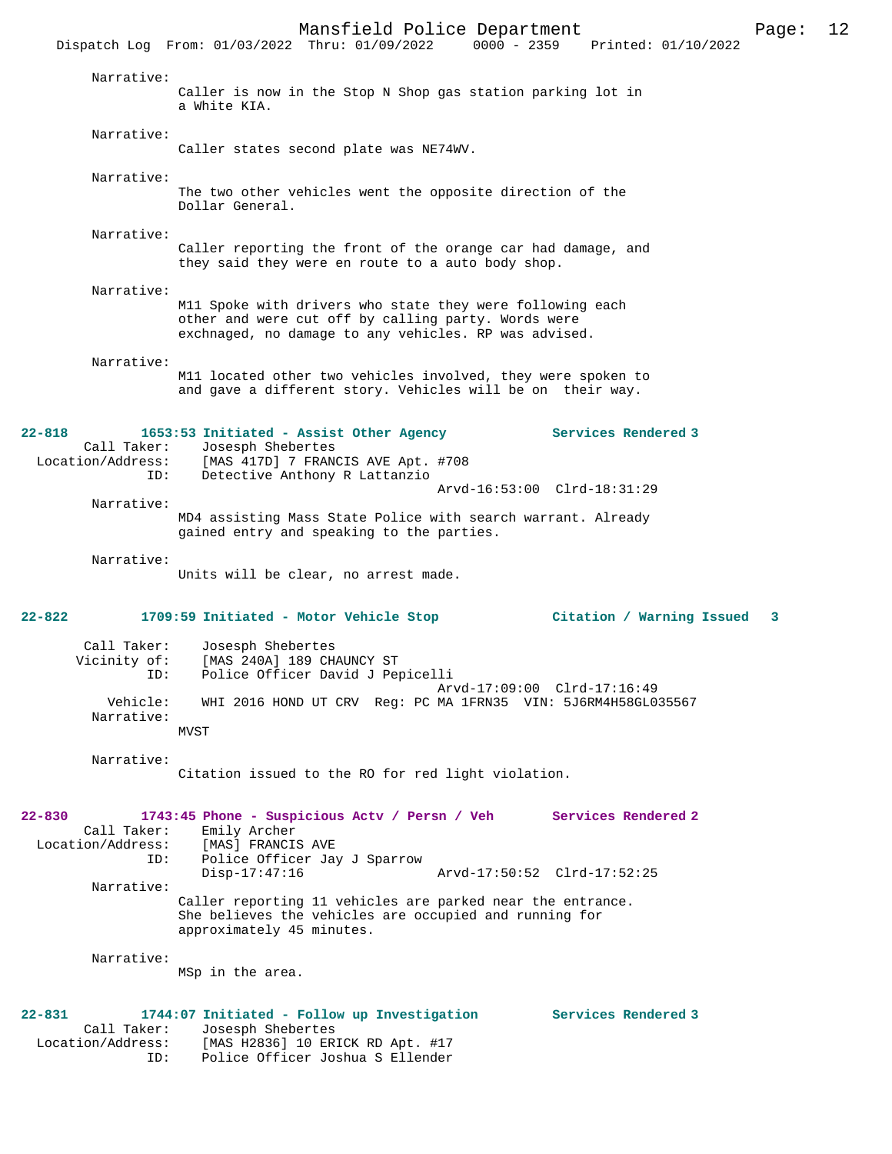Mansfield Police Department Page: 12 Dispatch Log From: 01/03/2022 Thru: 01/09/2022 Narrative: Caller is now in the Stop N Shop gas station parking lot in a White KIA. Narrative: Caller states second plate was NE74WV. Narrative: The two other vehicles went the opposite direction of the Dollar General. Narrative: Caller reporting the front of the orange car had damage, and they said they were en route to a auto body shop. Narrative: M11 Spoke with drivers who state they were following each other and were cut off by calling party. Words were exchnaged, no damage to any vehicles. RP was advised. Narrative: M11 located other two vehicles involved, they were spoken to and gave a different story. Vehicles will be on their way. **22-818 1653:53 Initiated - Assist Other Agency Services Rendered 3**  Call Taker: Josesph Shebertes Location/Address: [MAS 417D] 7 FRANCIS AVE Apt. #708 ID: Detective Anthony R Lattanzio Arvd-16:53:00 Clrd-18:31:29 Narrative: MD4 assisting Mass State Police with search warrant. Already gained entry and speaking to the parties. Narrative: Units will be clear, no arrest made. **22-822 1709:59 Initiated - Motor Vehicle Stop Citation / Warning Issued 3** Call Taker: Josesph Shebertes Vicinity of: [MAS 240A] 189 CHAUNCY ST<br>TD: Police Officer David J Per Police Officer David J Pepicelli Arvd-17:09:00 Clrd-17:16:49<br>Vehicle: WHI 2016 HOND UT CRV Reg: PC MA 1FRN35 VIN: 5J6RM4H58GL0 WHI 2016 HOND UT CRV Reg: PC MA 1FRN35 VIN: 5J6RM4H58GL035567 Narrative: MVST Narrative: Citation issued to the RO for red light violation. **22-830 1743:45 Phone - Suspicious Actv / Persn / Veh Services Rendered 2**  Call Taker: Emily Archer<br>.on/Address: [MAS] FRANCIS AVE Location/Address:<br>ID: Police Officer Jay J Sparrow<br>Disp-17:47:16 Arvd-17:50:52 Clrd-17:52:25 Narrative: Caller reporting 11 vehicles are parked near the entrance. She believes the vehicles are occupied and running for approximately 45 minutes. Narrative: MSp in the area. **22-831 1744:07 Initiated - Follow up Investigation Services Rendered 3**  Call Taker: Josesph Shebertes<br>Location/Address: [MAS H2836] 10 ER [MAS H2836] 10 ERICK RD Apt. #17 ID: Police Officer Joshua S Ellender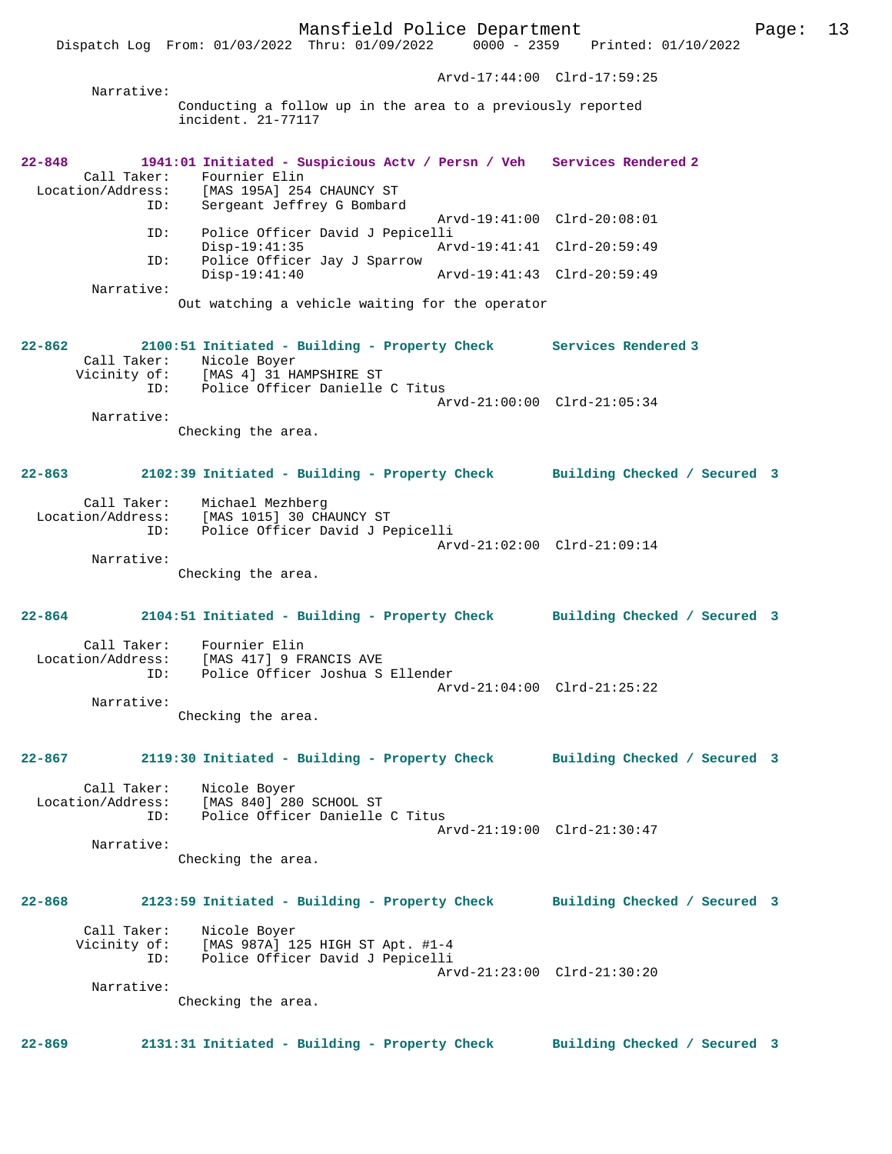Dispatch Log From: 01/03/2022 Thru: 01/09/2022

 Arvd-17:44:00 Clrd-17:59:25 Narrative: Conducting a follow up in the area to a previously reported incident. 21-77117 **22-848 1941:01 Initiated - Suspicious Actv / Persn / Veh Services Rendered 2**  Call Taker: Fournier Elin<br>Location/Address: [MAS 195A] 254 ess: [MAS 195A] 254 CHAUNCY ST<br>ID: Sergeant Jeffrey G Bombard Sergeant Jeffrey G Bombard Arvd-19:41:00 Clrd-20:08:01 ID: Police Officer David J Pepicelli Disp-19:41:35 Arvd-19:41:41 Clrd-20:59:49<br>ID: Police Officer Jay J Sparrow Police Officer Jay J Sparrow Disp-19:41:40 Arvd-19:41:43 Clrd-20:59:49 Narrative: Out watching a vehicle waiting for the operator **22-862 2100:51 Initiated - Building - Property Check Services Rendered 3**  Call Taker: Nicole Boyer Vicinity of: [MAS 4] 31 HAMPSHIRE ST ID: Police Officer Danielle C Titus Arvd-21:00:00 Clrd-21:05:34 Narrative: Checking the area. **22-863 2102:39 Initiated - Building - Property Check Building Checked / Secured 3** Call Taker: Michael Mezhberg Location/Address: [MAS 1015] 30 CHAUNCY ST ID: Police Officer David J Pepicelli Arvd-21:02:00 Clrd-21:09:14 Narrative: Checking the area. **22-864 2104:51 Initiated - Building - Property Check Building Checked / Secured 3** Call Taker: Fournier Elin<br>Location/Address: [MAS 417] 9 FI [MAS 417] 9 FRANCIS AVE ID: Police Officer Joshua S Ellender Arvd-21:04:00 Clrd-21:25:22 Narrative: Checking the area. **22-867 2119:30 Initiated - Building - Property Check Building Checked / Secured 3** Call Taker: Nicole Boyer Location/Address: [MAS 840] 280 SCHOOL ST Police Officer Danielle C Titus Arvd-21:19:00 Clrd-21:30:47 Narrative: Checking the area. **22-868 2123:59 Initiated - Building - Property Check Building Checked / Secured 3** Call Taker: Nicole Boyer Vicinity of: [MAS 987A] 125 HIGH ST Apt. #1-4 ID: Police Officer David J Pepicelli Arvd-21:23:00 Clrd-21:30:20 Narrative: Checking the area.

**22-869 2131:31 Initiated - Building - Property Check Building Checked / Secured 3**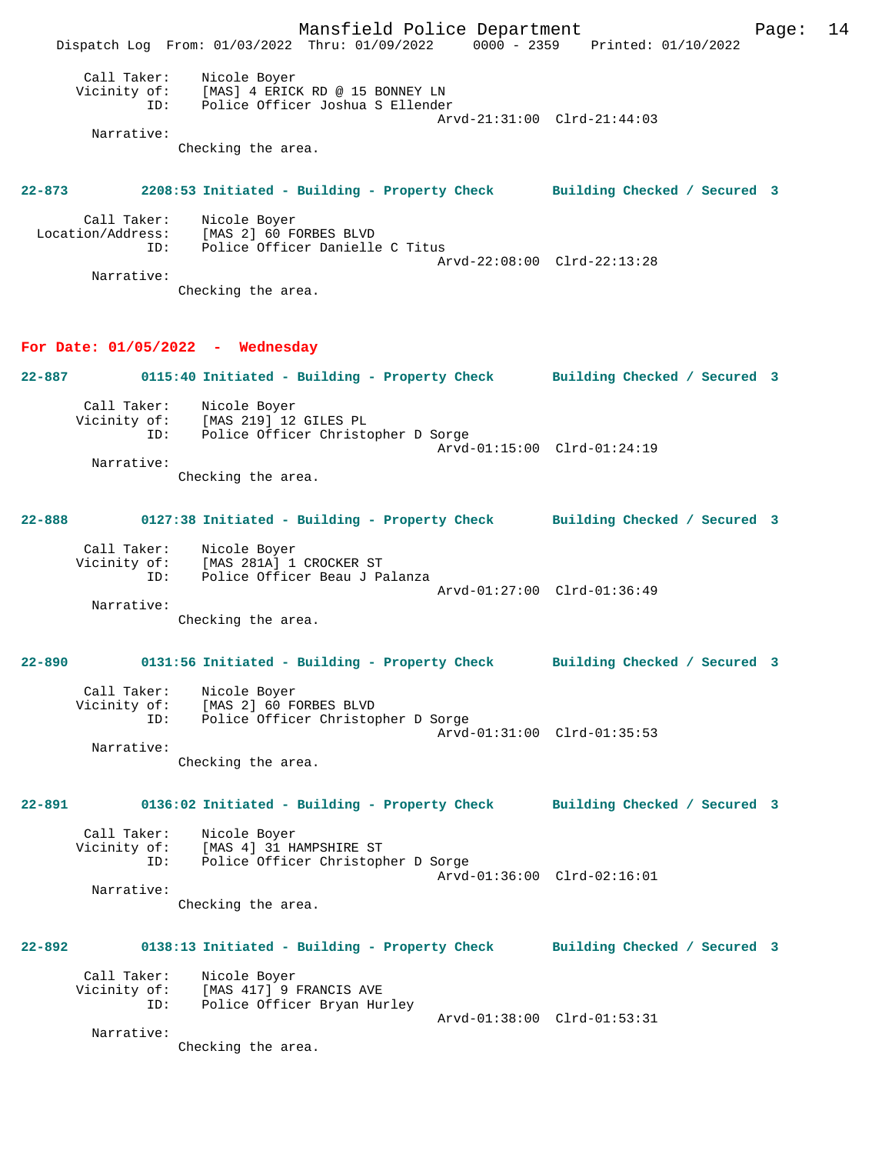Mansfield Police Department Page: 14 Dispatch Log From: 01/03/2022 Thru: 01/09/2022 0000 - 2359 Printed: 01/10/2022 Call Taker: Nicole Boyer Vicinity of: [MAS] 4 ERICK RD @ 15 BONNEY LN ID: Police Officer Joshua S Ellender Arvd-21:31:00 Clrd-21:44:03 Narrative: Checking the area. **22-873 2208:53 Initiated - Building - Property Check Building Checked / Secured 3** Call Taker: Nicole Boyer Location/Address: [MAS 2] 60 FORBES BLVD ID: Police Officer Danielle C Titus Arvd-22:08:00 Clrd-22:13:28 Narrative: Checking the area. **For Date: 01/05/2022 - Wednesday 22-887 0115:40 Initiated - Building - Property Check Building Checked / Secured 3** Call Taker: Nicole Boyer Vicinity of: [MAS 219] 12 GILES PL ID: Police Officer Christopher D Sorge Arvd-01:15:00 Clrd-01:24:19 Narrative: Checking the area. **22-888 0127:38 Initiated - Building - Property Check Building Checked / Secured 3** Call Taker: Nicole Boyer Vicinity of: [MAS 281A] 1 CROCKER ST ID: Police Officer Beau J Palanza Arvd-01:27:00 Clrd-01:36:49 Narrative: Checking the area. **22-890 0131:56 Initiated - Building - Property Check Building Checked / Secured 3** Call Taker: Nicole Boyer Vicinity of: [MAS 2] 60 FORBES BLVD ID: Police Officer Christopher D Sorge Arvd-01:31:00 Clrd-01:35:53 Narrative: Checking the area. **22-891 0136:02 Initiated - Building - Property Check Building Checked / Secured 3** Call Taker: Nicole Boyer Vicinity of: [MAS 4] 31 HAMPSHIRE ST<br>ID: Police Officer Christopl Police Officer Christopher D Sorge Arvd-01:36:00 Clrd-02:16:01 Narrative: Checking the area. **22-892 0138:13 Initiated - Building - Property Check Building Checked / Secured 3** Call Taker: Nicole Boyer Vicinity of: [MAS 417] 9 FRANCIS AVE ID: Police Officer Bryan Hurley Arvd-01:38:00 Clrd-01:53:31 Narrative: Checking the area.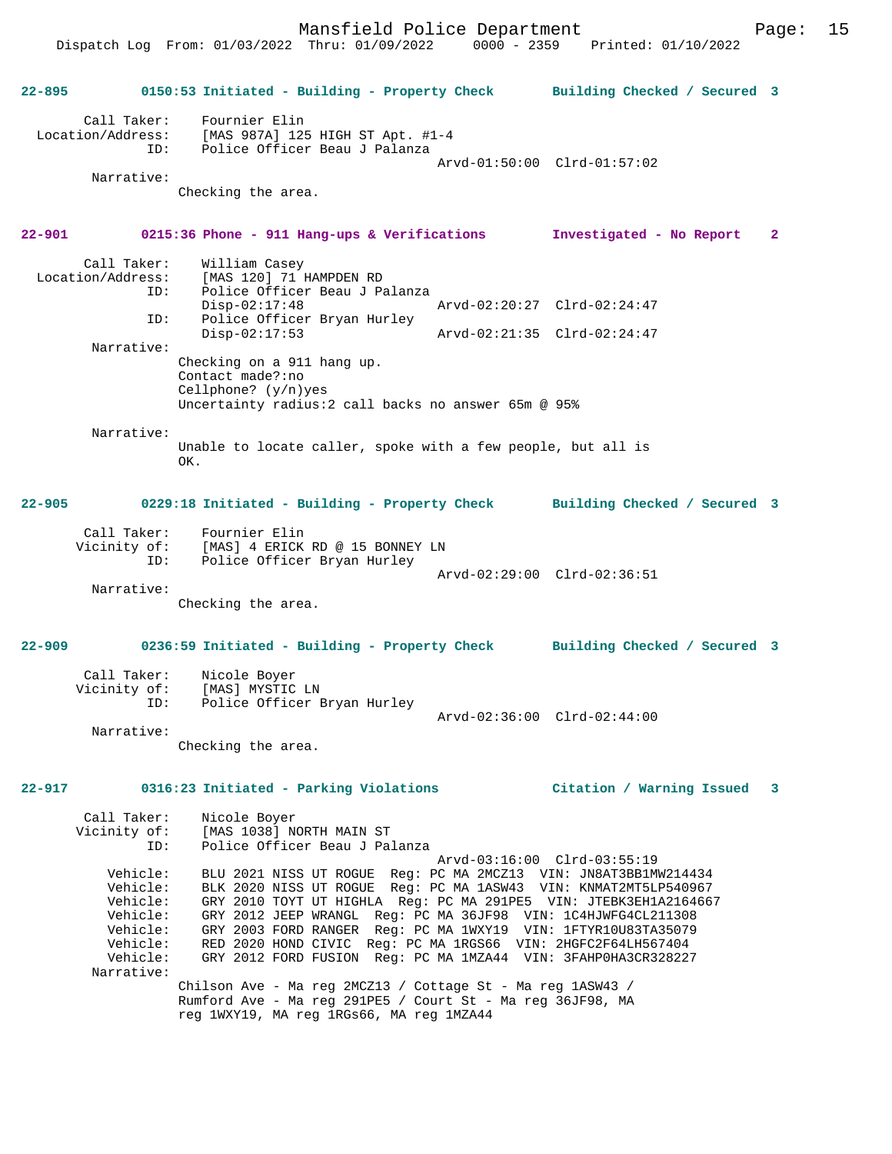Mansfield Police Department Page: 15

Dispatch Log From: 01/03/2022 Thru: 01/09/2022 0000 - 2359 Printed: 01/10/2022

**22-895 0150:53 Initiated - Building - Property Check Building Checked / Secured 3** Call Taker: Fournier Elin Location/Address: [MAS 987A] 125 HIGH ST Apt. #1-4 ID: Police Officer Beau J Palanza Arvd-01:50:00 Clrd-01:57:02 Narrative: Checking the area. **22-901 0215:36 Phone - 911 Hang-ups & Verifications Investigated - No Report 2** Call Taker: William Casey<br>Location/Address: [MAS 120] 71 B ess: [MAS 120] 71 HAMPDEN RD<br>ID: Police Officer Beau J Pa Police Officer Beau J Palanza<br>Disp-02:17:48 Arvd-02:20:27 Clrd-02:24:47 ID: Police Officer Bryan Hurley<br>Disp-02:17:53 Disp-02:17:53 Arvd-02:21:35 Clrd-02:24:47 Narrative: Checking on a 911 hang up. Contact made?:no Cellphone? (y/n)yes Uncertainty radius:2 call backs no answer 65m @ 95% Narrative: Unable to locate caller, spoke with a few people, but all is OK. **22-905 0229:18 Initiated - Building - Property Check Building Checked / Secured 3** Call Taker: Fournier Elin<br>Vicinity of: [MAS] 4 ERICK Vicinity of: [MAS] 4 ERICK RD @ 15 BONNEY LN ID: Police Officer Bryan Hurley Arvd-02:29:00 Clrd-02:36:51 Narrative: Checking the area. **22-909 0236:59 Initiated - Building - Property Check Building Checked / Secured 3** Call Taker: Nicole Boyer Vicinity of: [MAS] MYSTIC LN ID: Police Officer Bryan Hurley Arvd-02:36:00 Clrd-02:44:00 Narrative: Checking the area. **22-917 0316:23 Initiated - Parking Violations Citation / Warning Issued 3** Call Taker: Nicole Boyer<br>Vicinity of: [MAS 1038] NO Vicinity of: [MAS 1038] NORTH MAIN ST Police Officer Beau J Palanza Arvd-03:16:00 Clrd-03:55:19 Vehicle: BLU 2021 NISS UT ROGUE Reg: PC MA 2MCZ13 VIN: JN8AT3BB1MW214434 Vehicle: BLK 2020 NISS UT ROGUE Reg: PC MA 1ASW43 VIN: KNMAT2MT5LP540967 Vehicle: GRY 2010 TOYT UT HIGHLA Reg: PC MA 291PE5 VIN: JTEBK3EH1A2164667 Vehicle: GRY 2012 JEEP WRANGL Reg: PC MA 36JF98 VIN: 1C4HJWFG4CL211308 Vehicle: GRY 2003 FORD RANGER Reg: PC MA 1WXY19 VIN: 1FTYR10U83TA35079 Vehicle: RED 2020 HOND CIVIC Reg: PC MA 1RGS66 VIN: 2HGFC2F64LH567404 Vehicle: GRY 2012 FORD FUSION Reg: PC MA 1MZA44 VIN: 3FAHP0HA3CR328227 Narrative: Chilson Ave - Ma reg 2MCZ13 / Cottage St - Ma reg 1ASW43 / Rumford Ave - Ma reg 291PE5 / Court St - Ma reg 36JF98, MA reg 1WXY19, MA reg 1RGs66, MA reg 1MZA44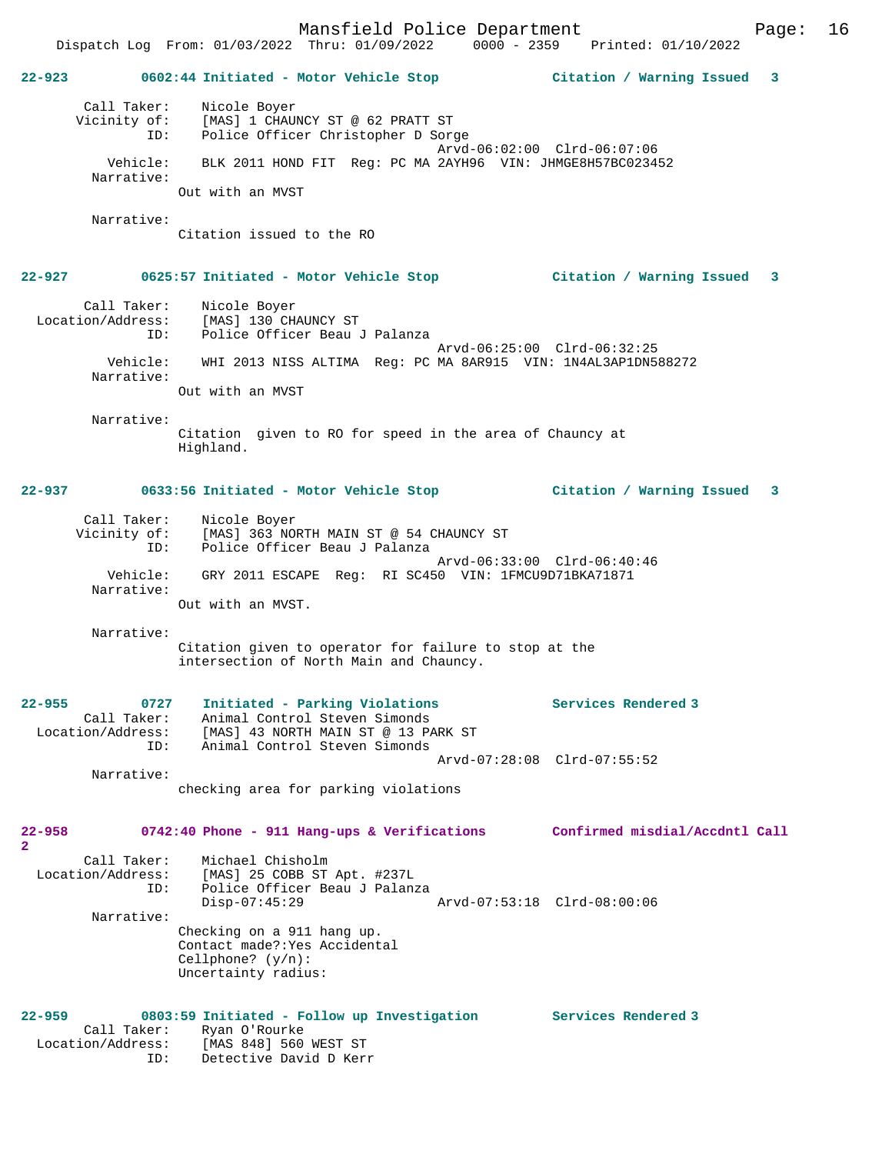Mansfield Police Department Page: 16 Dispatch Log From: 01/03/2022 Thru: 01/09/2022 0000 - 2359 Printed: 01/10/2022 **22-923 0602:44 Initiated - Motor Vehicle Stop Citation / Warning Issued 3** Call Taker: Nicole Boyer Vicinity of: [MAS] 1 CHAUNCY ST @ 62 PRATT ST ID: Police Officer Christopher D Sorge Arvd-06:02:00 Clrd-06:07:06 Vehicle: BLK 2011 HOND FIT Reg: PC MA 2AYH96 VIN: JHMGE8H57BC023452 Narrative: Out with an MVST Narrative: Citation issued to the RO **22-927 0625:57 Initiated - Motor Vehicle Stop Citation / Warning Issued 3** Call Taker: Nicole Boyer Location/Address: [MAS] 130 CHAUNCY ST ID: Police Officer Beau J Palanza Arvd-06:25:00 Clrd-06:32:25 Vehicle: WHI 2013 NISS ALTIMA Reg: PC MA 8AR915 VIN: 1N4AL3AP1DN588272 Narrative: Out with an MVST Narrative: Citation given to RO for speed in the area of Chauncy at Highland. **22-937 0633:56 Initiated - Motor Vehicle Stop Citation / Warning Issued 3** Call Taker: Nicole Boyer Vicinity of: [MAS] 363 NORTH MAIN ST @ 54 CHAUNCY ST ID: Police Officer Beau J Palanza Arvd-06:33:00 Clrd-06:40:46 Vehicle: GRY 2011 ESCAPE Reg: RI SC450 VIN: 1FMCU9D71BKA71871 Narrative: Out with an MVST. Narrative: Citation given to operator for failure to stop at the intersection of North Main and Chauncy. **22-955 0727 Initiated - Parking Violations Services Rendered 3**  Call Taker: Animal Control Steven Simonds Location/Address: [MAS] 43 NORTH MAIN ST @ 13 PARK ST ID: Animal Control Steven Simonds Arvd-07:28:08 Clrd-07:55:52 Narrative: checking area for parking violations

**22-958 0742:40 Phone - 911 Hang-ups & Verifications Confirmed misdial/Accdntl Call**

Uncertainty radius:

**2**  Call Taker: Michael Chisholm Location/Address: [MAS] 25 COBB ST Apt. #237L ID: Police Officer Beau J Palanza Disp-07:45:29 Arvd-07:53:18 Clrd-08:00:06 Narrative: Checking on a 911 hang up. Contact made?:Yes Accidental Cellphone? (y/n):

**22-959 0803:59 Initiated - Follow up Investigation Services Rendered 3**  Call Taker: Ryan O'Rourke Location/Address: [MAS 848] 560 WEST ST ID: Detective David D Kerr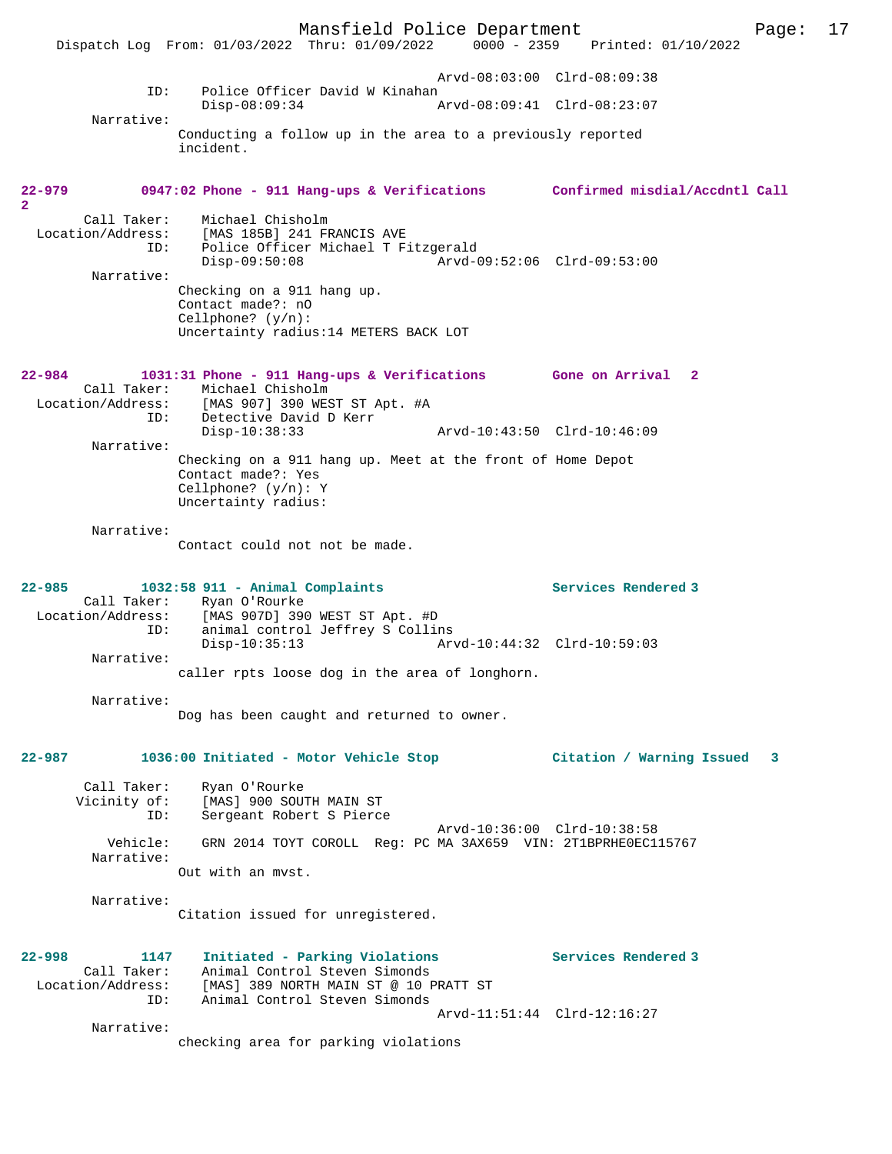Mansfield Police Department Page: 17 Dispatch Log From: 01/03/2022 Thru: 01/09/2022 Arvd-08:03:00 Clrd-08:09:38 ID: Police Officer David W Kinahan<br>Disp-08:09:34 P Disp-08:09:34 Arvd-08:09:41 Clrd-08:23:07 Narrative: Conducting a follow up in the area to a previously reported incident. **22-979 0947:02 Phone - 911 Hang-ups & Verifications Confirmed misdial/Accdntl Call 2**  Call Taker: Michael Chisholm<br>Location/Address: [MAS 185B] 241 FI [MAS 185B] 241 FRANCIS AVE ID: Police Officer Michael T Fitzgerald Disp-09:50:08 Arvd-09:52:06 Clrd-09:53:00 Narrative: Checking on a 911 hang up. Contact made?: nO Cellphone? (y/n): Uncertainty radius:14 METERS BACK LOT **22-984 1031:31 Phone - 911 Hang-ups & Verifications Gone on Arrival 2**  Call Taker: Michael Chisholm<br>Location/Address: [MAS 907] 390 WES [MAS 907] 390 WEST ST Apt. #A ID: Detective David D Kerr<br>Disp-10:38:33 Disp-10:38:33 Arvd-10:43:50 Clrd-10:46:09 Narrative: Checking on a 911 hang up. Meet at the front of Home Depot Contact made?: Yes Cellphone? (y/n): Y Uncertainty radius: Narrative: Contact could not not be made. **22-985 1032:58 911 - Animal Complaints Services Rendered 3**  Call Taker: Ryan O'Rourke<br>Location/Address: [MAS 907D] 390  $[MAS 907D] 390 WEST ST Apt. #D$  ID: animal control Jeffrey S Collins Disp-10:35:13 Arvd-10:44:32 Clrd-10:59:03 Narrative: caller rpts loose dog in the area of longhorn. Narrative: Dog has been caught and returned to owner. **22-987 1036:00 Initiated - Motor Vehicle Stop Citation / Warning Issued 3** Call Taker: Ryan O'Rourke Vicinity of: [MAS] 900 SOUTH MAIN ST<br>ID: Sergeant Robert S Pierce Sergeant Robert S Pierce Arvd-10:36:00 Clrd-10:38:58 Vehicle: GRN 2014 TOYT COROLL Reg: PC MA 3AX659 VIN: 2T1BPRHE0EC115767 Narrative: Out with an mvst. Narrative: Citation issued for unregistered. **22-998 1147 Initiated - Parking Violations Services Rendered 3**  Call Taker: Animal Control Steven Simonds Location/Address: [MAS] 389 NORTH MAIN ST @ 10 PRATT ST<br>ID: Animal Control Steven Simonds Animal Control Steven Simonds Arvd-11:51:44 Clrd-12:16:27 Narrative: checking area for parking violations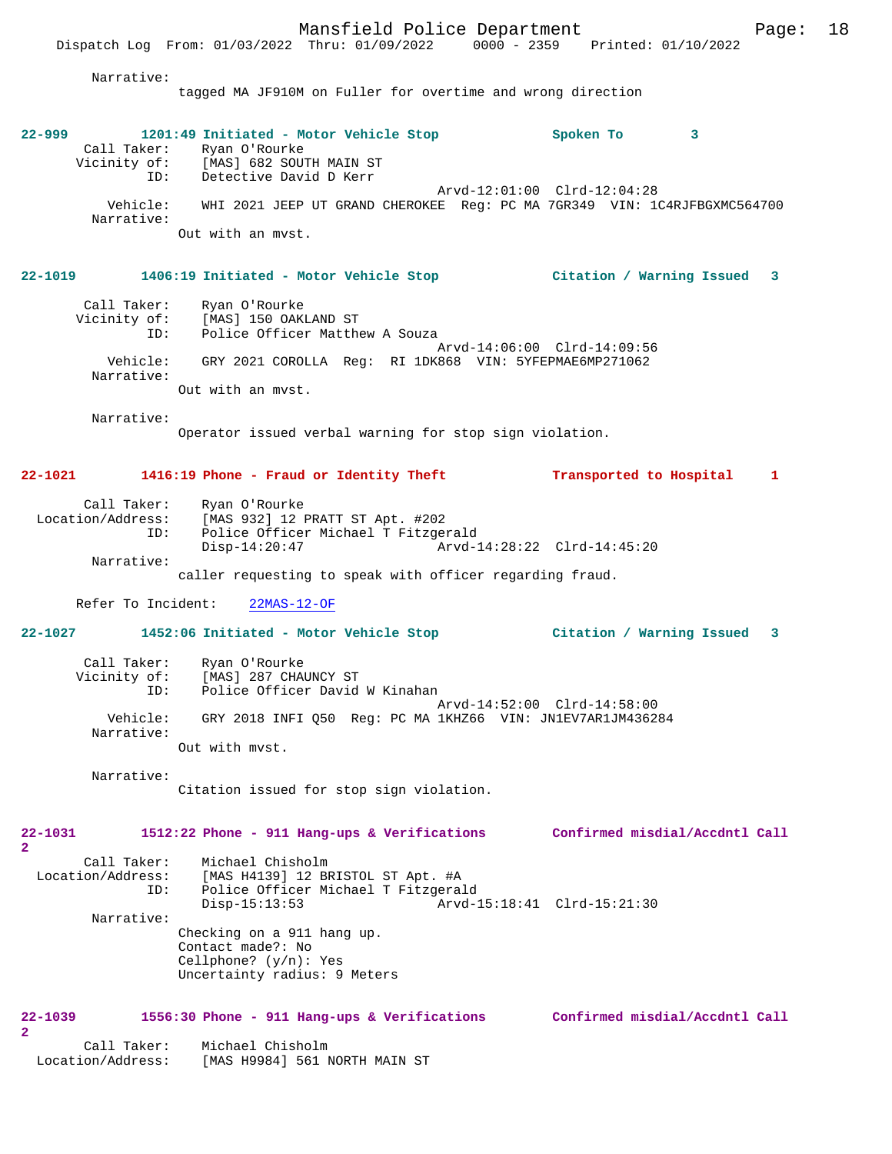Narrative:

tagged MA JF910M on Fuller for overtime and wrong direction

| $22 - 999$ |                                                     |                   | 1201:49 Initiated - Motor Vehicle Stop |  | Spoken To                   |                                                                          |  |
|------------|-----------------------------------------------------|-------------------|----------------------------------------|--|-----------------------------|--------------------------------------------------------------------------|--|
|            | Call Taker:<br>Vicinity of: [MAS] 682 SOUTH MAIN ST | Ryan O'Rourke     |                                        |  |                             |                                                                          |  |
|            | ID:                                                 |                   | Detective David D Kerr                 |  |                             |                                                                          |  |
|            |                                                     |                   |                                        |  | Arvd-12:01:00 Clrd-12:04:28 |                                                                          |  |
|            | Vehicle:<br>Narrative:                              |                   |                                        |  |                             | WHI 2021 JEEP UT GRAND CHEROKEE Req: PC MA 7GR349 VIN: 1C4RJFBGXMC564700 |  |
|            |                                                     | Out with an myst. |                                        |  |                             |                                                                          |  |

# **22-1019 1406:19 Initiated - Motor Vehicle Stop Citation / Warning Issued 3**

| Call Taker:  | Ryan O'Rourke                                          |
|--------------|--------------------------------------------------------|
| Vicinity of: | [MAS] 150 OAKLAND ST                                   |
| ID:          | Police Officer Matthew A Souza                         |
|              | Arvd-14:06:00 Clrd-14:09:56                            |
| Vehicle:     | GRY 2021 COROLLA Req: RI 1DK868 VIN: 5YFEPMAE6MP271062 |
| Narrative:   |                                                        |
|              | Out with an myst.                                      |

Narrative:

Operator issued verbal warning for stop sign violation.

## **22-1021 1416:19 Phone - Fraud or Identity Theft Transported to Hospital 1**

| Call Taker:       | Ryan O'Rourke                                            |                             |  |  |  |
|-------------------|----------------------------------------------------------|-----------------------------|--|--|--|
| Location/Address: | [MAS 932] 12 PRATT ST Apt. #202                          |                             |  |  |  |
| ID:               | Police Officer Michael T Fitzgerald                      |                             |  |  |  |
|                   | Disp-14:20:47                                            | Arvd-14:28:22 Clrd-14:45:20 |  |  |  |
| Narrative:        |                                                          |                             |  |  |  |
|                   | caller requesting to speak with officer regarding fraud. |                             |  |  |  |

Refer To Incident: 22MAS-12-OF

## **22-1027 1452:06 Initiated - Motor Vehicle Stop Citation / Warning Issued 3**

| Call Taker:  | Ryan O'Rourke                                              |
|--------------|------------------------------------------------------------|
| Vicinity of: | [MAS] 287 CHAUNCY ST                                       |
| ID:          | Police Officer David W Kinahan                             |
| Vehicle:     | Arvd-14:52:00 Clrd-14:58:00                                |
| Narrative:   | GRY 2018 INFI 050 Req: PC MA 1KHZ66 VIN: JN1EV7AR1JM436284 |
|              | Out with myst.                                             |

Narrative:

Citation issued for stop sign violation.

## **22-1031 1512:22 Phone - 911 Hang-ups & Verifications Confirmed misdial/Accdntl Call 2**  Call Taker: Michael Chisholm Location/Address: [MAS H4139] 12 BRISTOL ST Apt. #A<br>ID: Police Officer Michael T Fitzgera Police Officer Michael T Fitzgerald<br>Disp-15:13:53 Arvd-1 Arvd-15:18:41 Clrd-15:21:30

Narrative:

Checking on a 911 hang up. Contact made?: No Cellphone? (y/n): Yes Uncertainty radius: 9 Meters

- **22-1039 1556:30 Phone 911 Hang-ups & Verifications Confirmed misdial/Accdntl Call 2**  Call Taker: Michael Chisholm<br>Location/Address: [MAS H9984] 561 N
	- [MAS H9984] 561 NORTH MAIN ST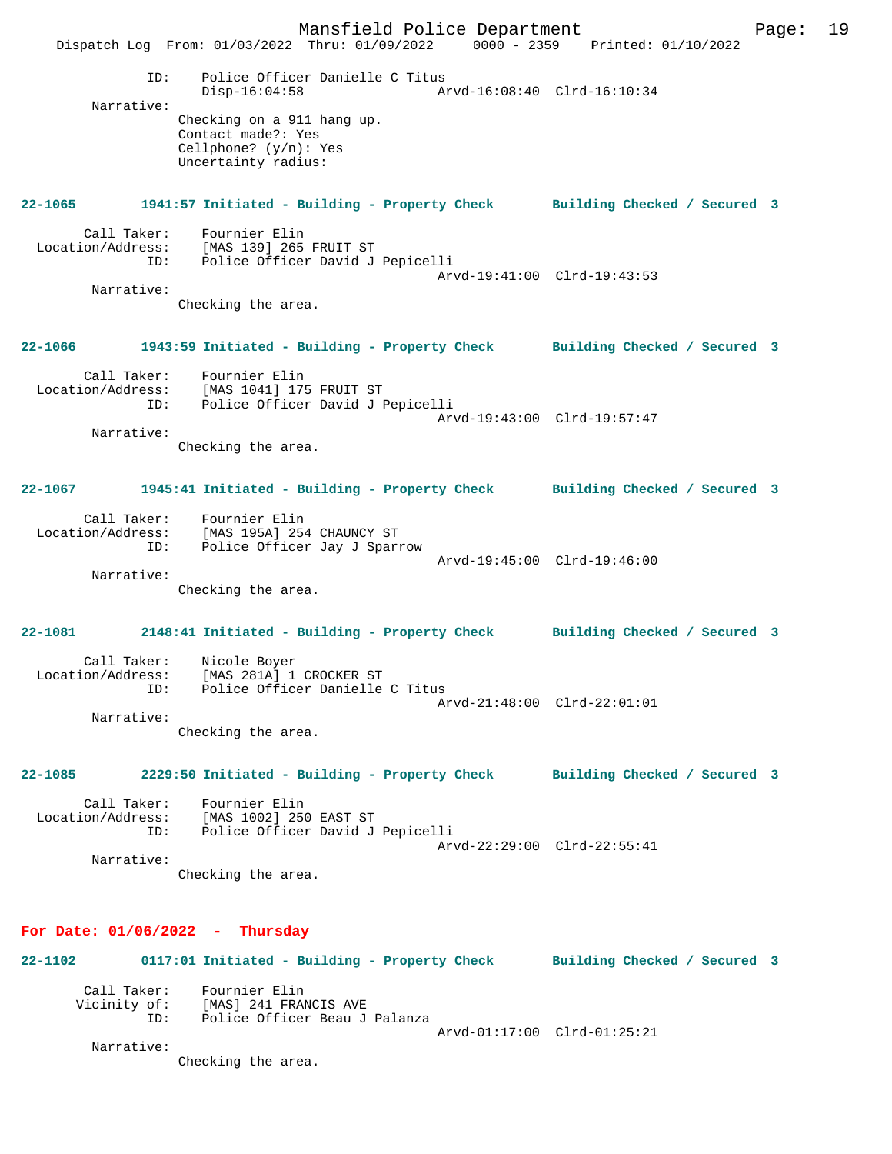Mansfield Police Department Page: 19 Dispatch Log From: 01/03/2022 Thru: 01/09/2022 0000 - 2359 Printed: 01/10/2022 ID: Police Officer Danielle C Titus Disp-16:04:58 Arvd-16:08:40 Clrd-16:10:34 Narrative: Checking on a 911 hang up. Contact made?: Yes Cellphone? (y/n): Yes Uncertainty radius: **22-1065 1941:57 Initiated - Building - Property Check Building Checked / Secured 3** Call Taker: Fournier Elin Location/Address: [MAS 139] 265 FRUIT ST<br>ID: Police Officer David J Police Officer David J Pepicelli Arvd-19:41:00 Clrd-19:43:53 Narrative: Checking the area. **22-1066 1943:59 Initiated - Building - Property Check Building Checked / Secured 3** Call Taker: Fournier Elin Location/Address: [MAS 1041] 175 FRUIT ST ID: Police Officer David J Pepicelli Arvd-19:43:00 Clrd-19:57:47 Narrative: Checking the area. **22-1067 1945:41 Initiated - Building - Property Check Building Checked / Secured 3** Call Taker: Fournier Elin Location/Address: [MAS 195A] 254 CHAUNCY ST ID: Police Officer Jay J Sparrow Arvd-19:45:00 Clrd-19:46:00 Narrative: Checking the area. **22-1081 2148:41 Initiated - Building - Property Check Building Checked / Secured 3** Call Taker: Nicole Boyer Location/Address: [MAS 281A] 1 CROCKER ST ID: Police Officer Danielle C Titus Arvd-21:48:00 Clrd-22:01:01 Narrative: Checking the area. **22-1085 2229:50 Initiated - Building - Property Check Building Checked / Secured 3** Call Taker: Fournier Elin Location/Address: [MAS 1002] 250 EAST ST ID: Police Officer David J Pepicelli Arvd-22:29:00 Clrd-22:55:41 Narrative: Checking the area. **For Date: 01/06/2022 - Thursday 22-1102 0117:01 Initiated - Building - Property Check Building Checked / Secured 3** Call Taker: Fournier Elin Vicinity of: [MAS] 241 FRANCIS AVE ID: Police Officer Beau J Palanza Arvd-01:17:00 Clrd-01:25:21 Narrative: Checking the area.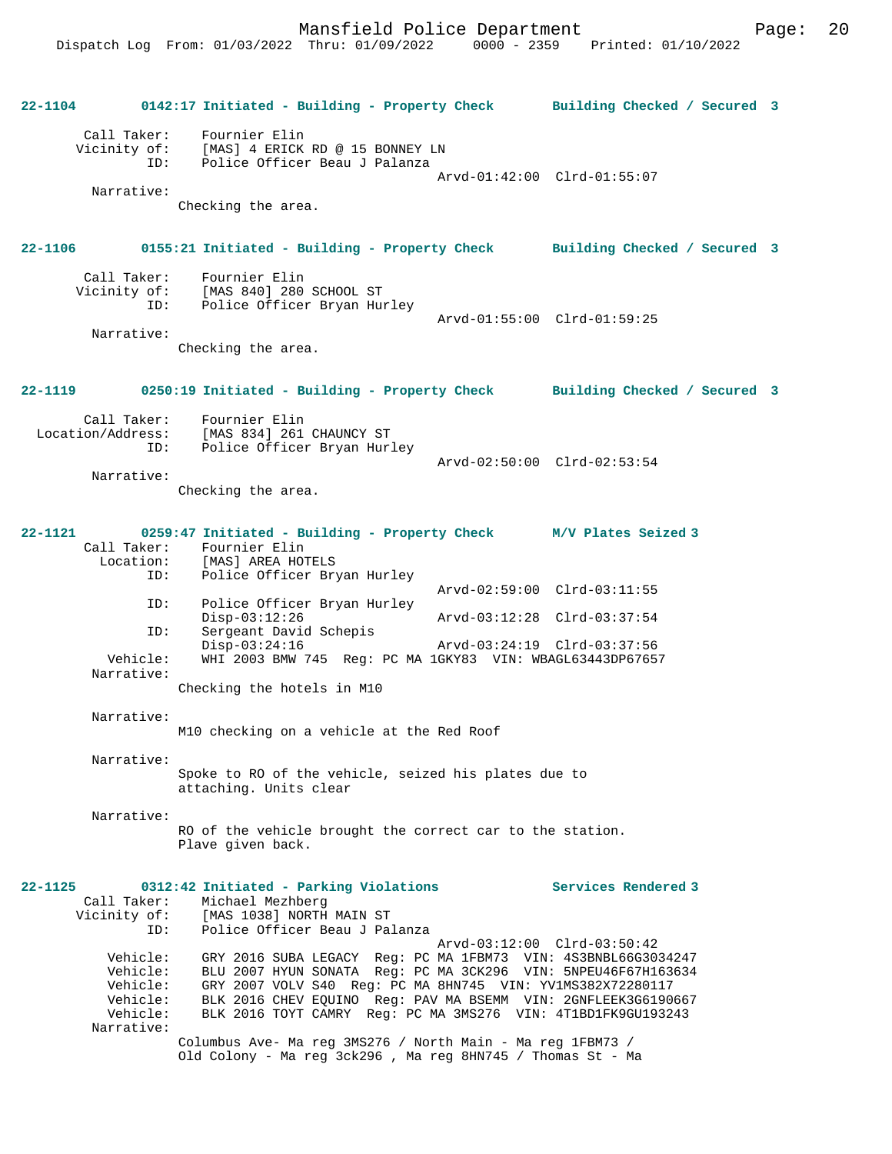|             |                                                            | 22-1104 0142:17 Initiated - Building - Property Check Building Checked / Secured 3                                                                                                                                                                                                                                                                                    |                                                                                           |  |
|-------------|------------------------------------------------------------|-----------------------------------------------------------------------------------------------------------------------------------------------------------------------------------------------------------------------------------------------------------------------------------------------------------------------------------------------------------------------|-------------------------------------------------------------------------------------------|--|
|             | Narrative:                                                 | Call Taker: Fournier Elin<br>Vicinity of: [MAS] 4 ERICK RD @ 15 BONNEY LN<br>ID: Police Officer Beau J Palanza<br>Checking the area.                                                                                                                                                                                                                                  | Arvd-01:42:00 Clrd-01:55:07                                                               |  |
|             |                                                            | 22-1106 0155:21 Initiated - Building - Property Check Building Checked / Secured 3                                                                                                                                                                                                                                                                                    |                                                                                           |  |
|             | Narrative:                                                 | Call Taker: Fournier Elin<br>Vicinity of: [MAS 840] 280 SCHOOL ST<br>ID: Police Officer Bryan Hurley<br>Checking the area.                                                                                                                                                                                                                                            | Arvd-01:55:00 Clrd-01:59:25                                                               |  |
|             | $22 - 1119$                                                | 0250:19 Initiated - Building - Property Check Building Checked / Secured 3                                                                                                                                                                                                                                                                                            |                                                                                           |  |
|             | Narrative:                                                 | Call Taker: Fournier Elin<br>Location/Address: [MAS 834] 261 CHAUNCY ST<br>ID: Police Officer Bryan Hurley<br>Checking the area.                                                                                                                                                                                                                                      | Arvd-02:50:00 Clrd-02:53:54                                                               |  |
|             | $22 - 1121$<br>ID:<br>ID:<br>ID:<br>Vehicle:<br>Narrative: | 0259:47 Initiated - Building - Property Check M/V Plates Seized 3<br>Call Taker: Fournier Elin<br>Location: [MAS] AREA HOTELS<br>Police Officer Bryan Hurley<br>Police Officer Bryan Hurley<br>$Disp-03:12:26$<br>Sergeant David Schepis<br>$Disp-03:24:16$<br>WHI 2003 BMW 745 Reg: PC MA 1GKY83 VIN: WBAGL63443DP67657<br>Checking the hotels in M10                | Arvd-02:59:00 Clrd-03:11:55<br>Arvd-03:12:28 Clrd-03:37:54<br>Arvd-03:24:19 Clrd-03:37:56 |  |
|             | Narrative:                                                 | M10 checking on a vehicle at the Red Roof                                                                                                                                                                                                                                                                                                                             |                                                                                           |  |
|             | Narrative:                                                 | Spoke to RO of the vehicle, seized his plates due to<br>attaching. Units clear                                                                                                                                                                                                                                                                                        |                                                                                           |  |
|             | Narrative:                                                 | RO of the vehicle brought the correct car to the station.<br>Plave given back.                                                                                                                                                                                                                                                                                        |                                                                                           |  |
| $22 - 1125$ | Call Taker:<br>ID:<br>Vehicle:<br>Vehicle:<br>Vehicle:     | 0312:42 Initiated - Parking Violations<br>Michael Mezhberg<br>Vicinity of: [MAS 1038] NORTH MAIN ST<br>ID: Police Officer Beau J Pal<br>Police Officer Beau J Palanza<br>GRY 2016 SUBA LEGACY Req: PC MA 1FBM73 VIN: 4S3BNBL66G3034247<br>BLU 2007 HYUN SONATA Reg: PC MA 3CK296 VIN: 5NPEU46F67H163634<br>GRY 2007 VOLV S40 Req: PC MA 8HN745 VIN: YV1MS382X72280117 | Services Rendered 3<br>Arvd-03:12:00 Clrd-03:50:42                                        |  |
|             | Vehicle:<br>Vehicle:<br>Narrative:                         | BLK 2016 CHEV EQUINO Reg: PAV MA BSEMM VIN: 2GNFLEEK3G6190667<br>BLK 2016 TOYT CAMRY Req: PC MA 3MS276 VIN: 4T1BD1FK9GU193243<br>Columbus Ave- Ma reg 3MS276 / North Main - Ma reg 1FBM73 /                                                                                                                                                                           |                                                                                           |  |
|             |                                                            | Old Colony - Ma reg 3ck296, Ma reg 8HN745 / Thomas St - Ma                                                                                                                                                                                                                                                                                                            |                                                                                           |  |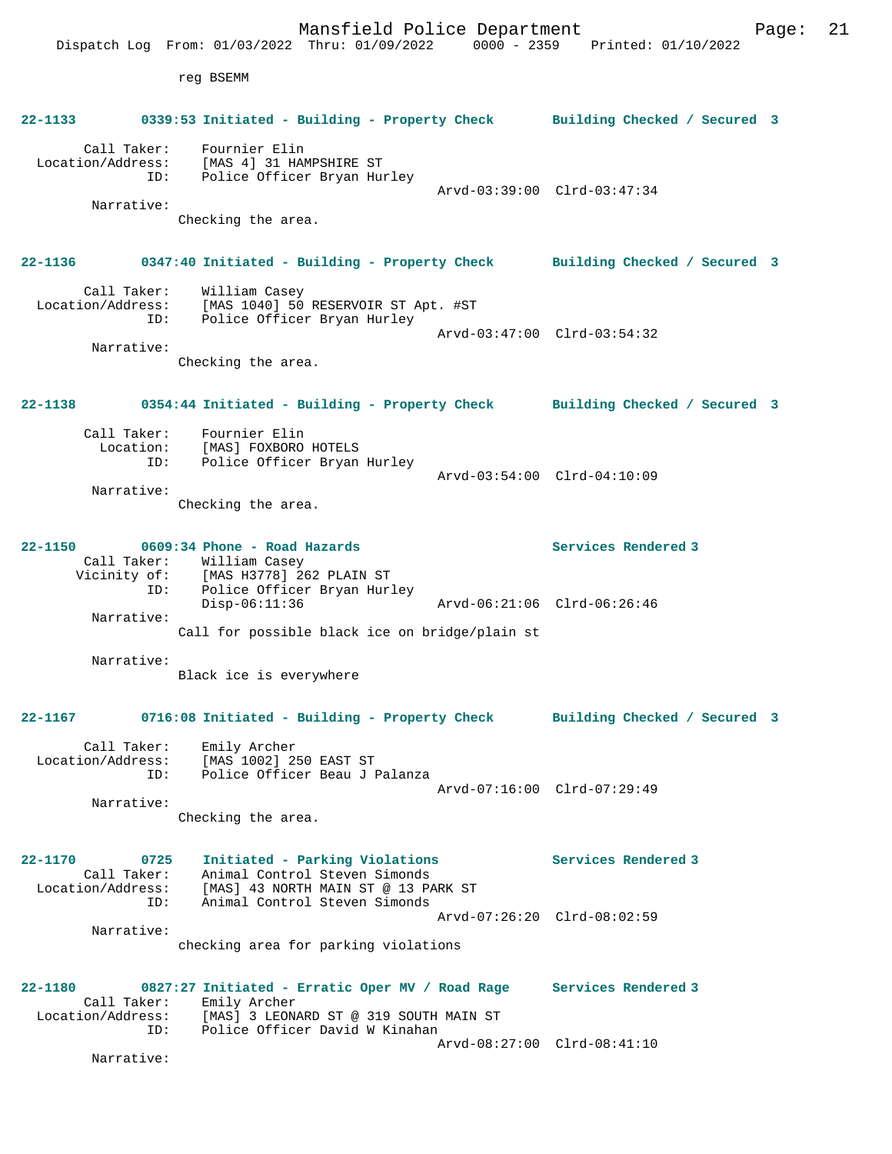Mansfield Police Department Page: 21 Dispatch Log From: 01/03/2022 Thru: 01/09/2022 0000 - 2359 Printed: 01/10/2022 reg BSEMM **22-1133 0339:53 Initiated - Building - Property Check Building Checked / Secured 3** Call Taker: Fournier Elin Location/Address: [MAS 4] 31 HAMPSHIRE ST ID: Police Officer Bryan Hurley Arvd-03:39:00 Clrd-03:47:34 Narrative: Checking the area. **22-1136 0347:40 Initiated - Building - Property Check Building Checked / Secured 3** Call Taker: William Casey Location/Address: [MAS 1040] 50 RESERVOIR ST Apt. #ST ID: Police Officer Bryan Hurley Arvd-03:47:00 Clrd-03:54:32 Narrative: Checking the area. **22-1138 0354:44 Initiated - Building - Property Check Building Checked / Secured 3** Call Taker: Fournier Elin Location: [MAS] FOXBORO HOTELS<br>TD: Police Officer Bryan Police Officer Bryan Hurley Arvd-03:54:00 Clrd-04:10:09 Narrative: Checking the area. **22-1150 0609:34 Phone - Road Hazards Services Rendered 3**  Call Taker: William Casey Vicinity of: [MAS H3778] 262 PLAIN ST ID: Police Officer Bryan Hurley Disp-06:11:36 Arvd-06:21:06 Clrd-06:26:46 Narrative: Call for possible black ice on bridge/plain st Narrative: Black ice is everywhere **22-1167 0716:08 Initiated - Building - Property Check Building Checked / Secured 3** Call Taker: Emily Archer Location/Address: [MAS 1002] 250 EAST ST ID: Police Officer Beau J Palanza Arvd-07:16:00 Clrd-07:29:49 Narrative: Checking the area. **22-1170 0725 Initiated - Parking Violations Services Rendered 3**  Call Taker: Animal Control Steven Simonds Location/Address: [MAS] 43 NORTH MAIN ST @ 13 PARK ST ID: Animal Control Steven Simonds Arvd-07:26:20 Clrd-08:02:59 Narrative: checking area for parking violations **22-1180 0827:27 Initiated - Erratic Oper MV / Road Rage Services Rendered 3**  Call Taker: Emily Archer<br>Location/Address: [MAS] 3 LEON ess: [MAS] 3 LEONARD ST @ 319 SOUTH MAIN ST<br>ID: Police Officer David W Kinahan Police Officer David W Kinahan Arvd-08:27:00 Clrd-08:41:10 Narrative: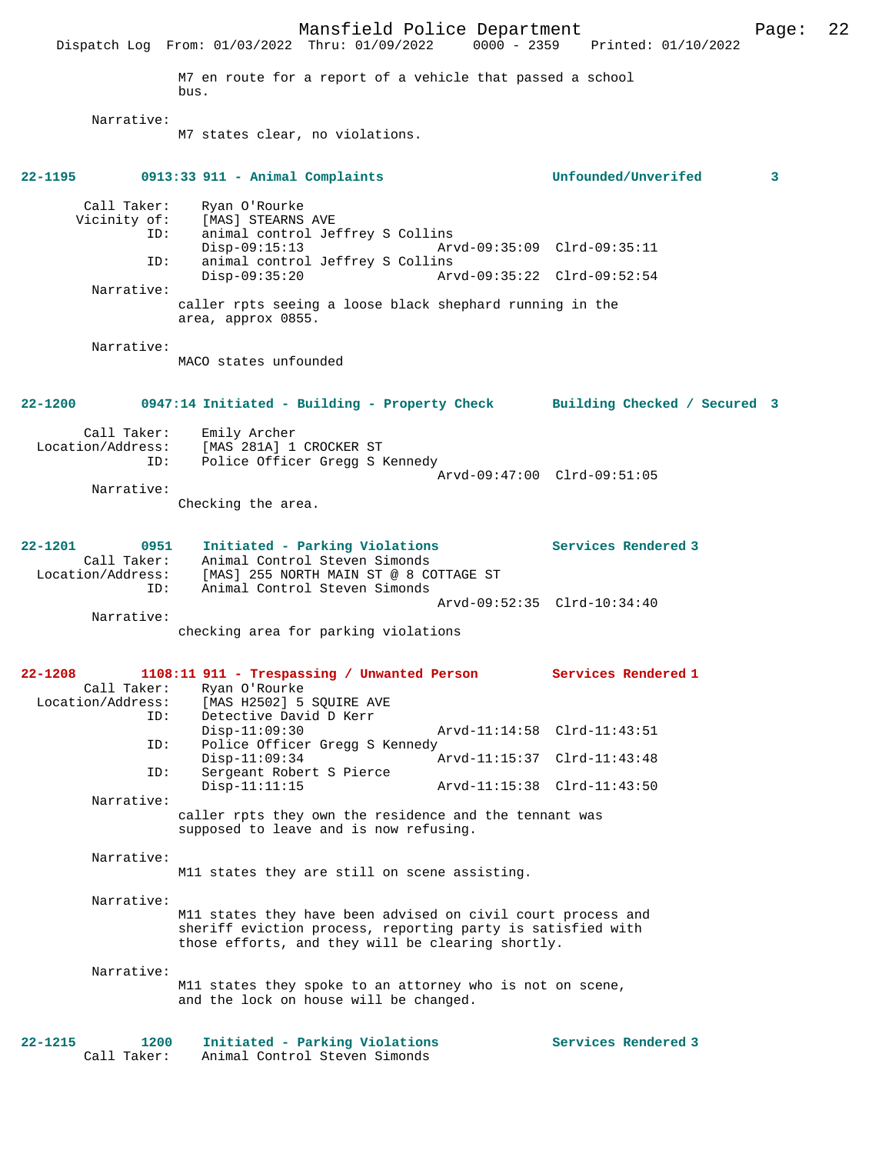Mansfield Police Department Page: 22 Dispatch Log From: 01/03/2022 Thru: 01/09/2022 0000 - 2359 Printed: 01/10/2022 M7 en route for a report of a vehicle that passed a school bus. Narrative: M7 states clear, no violations. **22-1195 0913:33 911 - Animal Complaints Unfounded/Unverifed 3** Call Taker: Ryan O'Rourke Vicinity of: [MAS] STEARNS AVE ID: animal control Jeffrey S Collins Disp-09:15:13 Arvd-09:35:09 Clrd-09:35:11<br>ID: animal control Jeffrey S Collins animal control Jeffrey S Collins<br>Disp-09:35:20 Arv Disp-09:35:20 Arvd-09:35:22 Clrd-09:52:54 Narrative: caller rpts seeing a loose black shephard running in the area, approx 0855. Narrative: MACO states unfounded **22-1200 0947:14 Initiated - Building - Property Check Building Checked / Secured 3** Call Taker: Emily Archer<br>Location/Address: [MAS 281A] 1 ess: [MAS<sup>-</sup>281A] 1 CROCKER ST<br>ID: Police Officer Gregg S P Police Officer Gregg S Kennedy Arvd-09:47:00 Clrd-09:51:05 Narrative: Checking the area. **22-1201 0951 Initiated - Parking Violations Services Rendered 3**  Call Taker: Animal Control Steven Simonds Location/Address: [MAS] 255 NORTH MAIN ST @ 8 COTTAGE ST ID: Animal Control Steven Simonds Arvd-09:52:35 Clrd-10:34:40 Narrative: checking area for parking violations **22-1208 1108:11 911 - Trespassing / Unwanted Person Services Rendered 1**  Call Taker: Ryan O'Rourke<br>Location/Address: [MAS H2502] 5 ess: [MAS H2502] 5 SQUIRE AVE<br>ID: Detective David D Kerr Detective David D Kerr<br>Disp-11:09:30 Arvd-11:14:58 Clrd-11:43:51 ID: Police Officer Gregg S Kennedy<br>Disp-11:09:34 A Disp-11:09:34 Arvd-11:15:37 Clrd-11:43:48 ID: Sergeant Robert S Pierce Disp-11:11:15 Arvd-11:15:38 Clrd-11:43:50 Narrative: caller rpts they own the residence and the tennant was supposed to leave and is now refusing. Narrative: M11 states they are still on scene assisting. Narrative: M11 states they have been advised on civil court process and sheriff eviction process, reporting party is satisfied with those efforts, and they will be clearing shortly. Narrative: M11 states they spoke to an attorney who is not on scene, and the lock on house will be changed. **22-1215 1200 Initiated - Parking Violations Services Rendered 3**  Call Taker: Animal Control Steven Simonds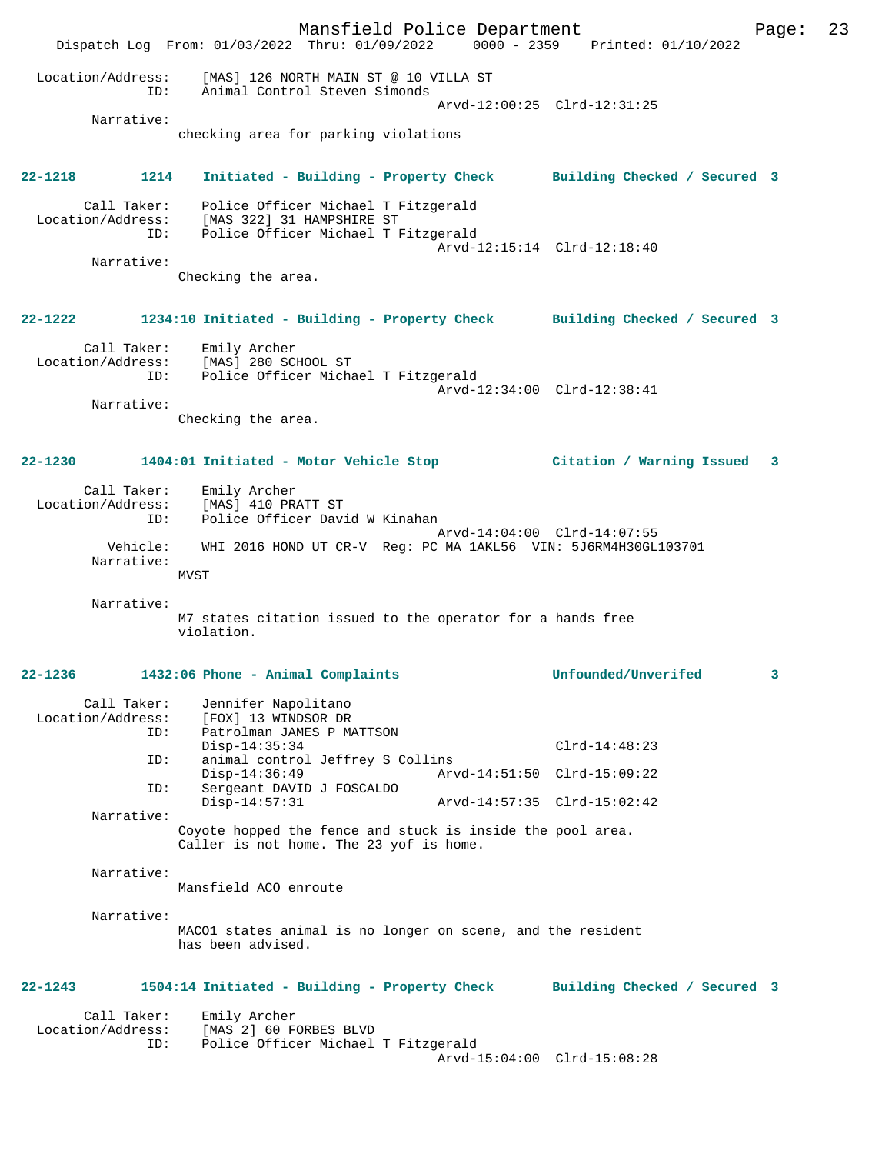Mansfield Police Department Page: 23 Dispatch Log From: 01/03/2022 Thru: 01/09/2022 0000 - 2359 Printed: 01/10/2022 Location/Address: [MAS] 126 NORTH MAIN ST @ 10 VILLA ST ID: Animal Control Steven Simonds Arvd-12:00:25 Clrd-12:31:25 Narrative: checking area for parking violations **22-1218 1214 Initiated - Building - Property Check Building Checked / Secured 3** Call Taker: Police Officer Michael T Fitzgerald Location/Address: [MAS 322] 31 HAMPSHIRE ST ID: Police Officer Michael T Fitzgerald Arvd-12:15:14 Clrd-12:18:40 Narrative: Checking the area. **22-1222 1234:10 Initiated - Building - Property Check Building Checked / Secured 3** Call Taker: Emily Archer Location/Address: [MAS] 280 SCHOOL ST ID: Police Officer Michael T Fitzgerald Arvd-12:34:00 Clrd-12:38:41 Narrative: Checking the area. **22-1230 1404:01 Initiated - Motor Vehicle Stop Citation / Warning Issued 3** Call Taker: Emily Archer Location/Address: [MAS] 410 PRATT ST<br>ID: Police Officer Dav Police Officer David W Kinahan Arvd-14:04:00 Clrd-14:07:55 Vehicle: WHI 2016 HOND UT CR-V Reg: PC MA 1AKL56 VIN: 5J6RM4H30GL103701 Narrative: MVST Narrative: M7 states citation issued to the operator for a hands free violation. **22-1236 1432:06 Phone - Animal Complaints Unfounded/Unverifed 3** Call Taker: Jennifer Napolitano Location/Address: [FOX] 13 WINDSOR DR Patrolman JAMES P MATTSON<br>Disp-14:35:34 Disp-14:35:34 Clrd-14:48:23<br>ID: animal control Jeffrey S Collins ID: animal control Jeffrey S Collins Disp-14:36:49 Arvd-14:51:50 Clrd-15:09:22 ID: Sergeant DAVID J FOSCALDO Disp-14:57:31 Arvd-14:57:35 Clrd-15:02:42 Narrative: Coyote hopped the fence and stuck is inside the pool area. Caller is not home. The 23 yof is home. Narrative: Mansfield ACO enroute Narrative: MACO1 states animal is no longer on scene, and the resident has been advised. **22-1243 1504:14 Initiated - Building - Property Check Building Checked / Secured 3** Call Taker: Emily Archer<br>Location/Address: [MAS 2] 60 F ess: [MAS 2] 60 FORBES BLVD<br>ID: Police Officer Michael Police Officer Michael T Fitzgerald Arvd-15:04:00 Clrd-15:08:28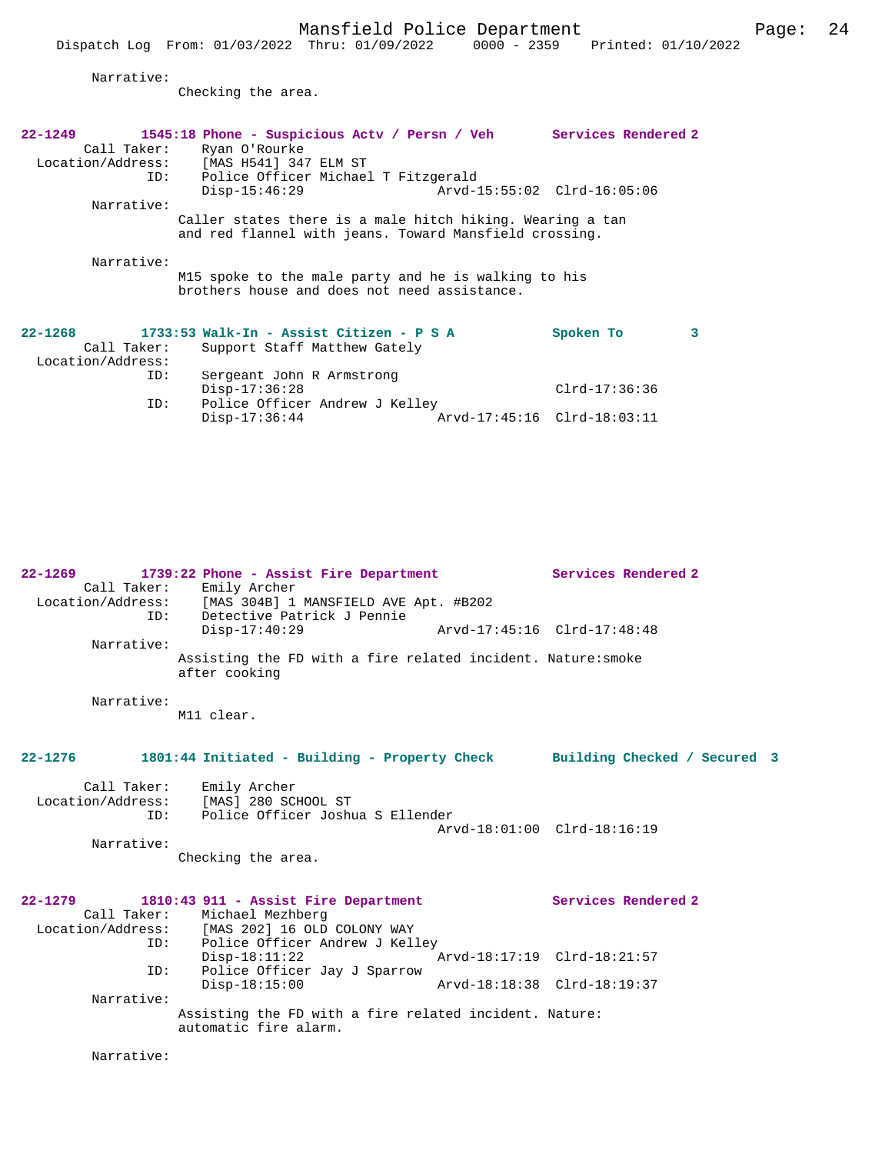Narrative:

Checking the area.

| $22 - 1249$       | 1545:18 Phone - Suspicious Actv / Persn / Veh Services Rendered 2 |                             |
|-------------------|-------------------------------------------------------------------|-----------------------------|
|                   | Call Taker: Ryan O'Rourke                                         |                             |
|                   | Location/Address: [MAS H541] 347 ELM ST                           |                             |
|                   | ID: Police Officer Michael T Fitzgerald                           |                             |
|                   | $Disp-15:46:29$                                                   |                             |
| Narrative:        |                                                                   |                             |
|                   | Caller states there is a male hitch hiking. Wearing a tan         |                             |
|                   | and red flannel with jeans. Toward Mansfield crossing.            |                             |
|                   |                                                                   |                             |
| Narrative:        |                                                                   |                             |
|                   | M15 spoke to the male party and he is walking to his              |                             |
|                   | brothers house and does not need assistance.                      |                             |
|                   |                                                                   |                             |
|                   |                                                                   |                             |
| 22-1268           | 1733:53 Walk-In - Assist Citizen - P S A                          | 3<br>Spoken To              |
| Call Taker:       | Support Staff Matthew Gately                                      |                             |
| Location/Address: |                                                                   |                             |
| ID:               | Sergeant John R Armstrong                                         |                             |
|                   | $Disp-17:36:28$                                                   | $Clrd-17:36:36$             |
| ID:               | Police Officer Andrew J Kelley                                    |                             |
|                   | $Disp-17:36:44$                                                   | Arvd-17:45:16 Clrd-18:03:11 |

**22-1269 1739:22 Phone - Assist Fire Department Services Rendered 2**  Call Taker: Emily Archer<br>Location/Address: [MAS 304B] 1 [MAS 304B] 1 MANSFIELD AVE Apt. #B202 ID: Detective Patrick J Pennie Disp-17:40:29 Arvd-17:45:16 Clrd-17:48:48 Narrative: Assisting the FD with a fire related incident. Nature:smoke after cooking Narrative: M11 clear. **22-1276 1801:44 Initiated - Building - Property Check Building Checked / Secured 3** Call Taker: Emily Archer Location/Address: [MAS] 280 SCHOOL ST<br>ID: Police Officer Joshu Police Officer Joshua S Ellender Arvd-18:01:00 Clrd-18:16:19 Narrative: Checking the area. **22-1279 1810:43 911 - Assist Fire Department Services Rendered 2**  Call Taker: Michael Mezhberg<br>Location/Address: [MAS 202] 16 OLD ess: [MAS 202] 16 OLD COLONY WAY<br>ID: Police Officer Andrew J Kel Police Officer Andrew J Kelley Disp-18:11:22 Arvd-18:17:19 Clrd-18:21:57<br>TD: Police Officer Jav J Sparrow Police Officer Jay J Sparrow<br>Disp-18:15:00 Disp-18:15:00 Arvd-18:18:38 Clrd-18:19:37 Narrative: Assisting the FD with a fire related incident. Nature: automatic fire alarm.

Narrative: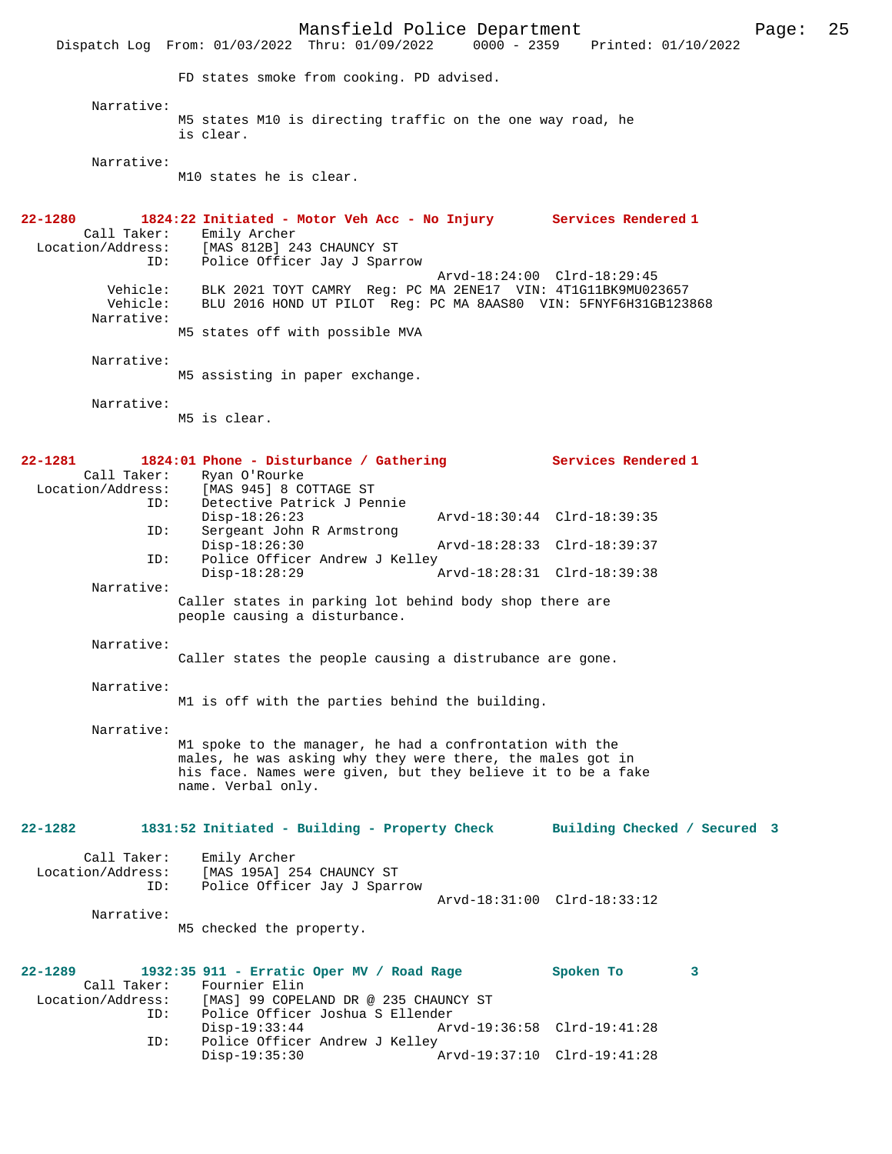Mansfield Police Department Fage: 25 Dispatch Log From: 01/03/2022 Thru: 01/09/2022 0000 - 2359 Printed: 01/10/2022 FD states smoke from cooking. PD advised. Narrative: M5 states M10 is directing traffic on the one way road, he is clear. Narrative: M10 states he is clear. **22-1280 1824:22 Initiated - Motor Veh Acc - No Injury Services Rendered 1**  Call Taker: Emily Archer<br>Location/Address: [MAS 812B] 24 ess: [MAS 812B] 243 CHAUNCY ST<br>ID: Police Officer Jay J Spar: Police Officer Jay J Sparrow Arvd-18:24:00 Clrd-18:29:45 Vehicle: BLK 2021 TOYT CAMRY Reg: PC MA 2ENE17 VIN: 4T1G11BK9MU023657 Vehicle: BLU 2016 HOND UT PILOT Reg: PC MA 8AAS80 VIN: 5FNYF6H31GB123868 Narrative: M5 states off with possible MVA Narrative: M5 assisting in paper exchange. Narrative: M5 is clear. **22-1281 1824:01 Phone - Disturbance / Gathering Services Rendered 1**  Call Taker: Ryan O'Rourke Location/Address: [MAS 945] 8 COTTAGE ST<br>ID: Detective Patrick J Per Detective Patrick J Pennie Disp-18:26:23 Arvd-18:30:44 Clrd-18:39:35<br>ID: Sergeant John R Armstrong Sergeant John R Armstrong<br>Disp-18:26:30 Disp-18:26:30 Arvd-18:28:33 Clrd-18:39:37 ID: Police Officer Andrew J Kelley Disp-18:28:29 Arvd-18:28:31 Clrd-18:39:38 Narrative: Caller states in parking lot behind body shop there are people causing a disturbance. Narrative: Caller states the people causing a distrubance are gone. Narrative: M1 is off with the parties behind the building. Narrative: M1 spoke to the manager, he had a confrontation with the males, he was asking why they were there, the males got in his face. Names were given, but they believe it to be a fake name. Verbal only. **22-1282 1831:52 Initiated - Building - Property Check Building Checked / Secured 3** Call Taker: Emily Archer Location/Address: [MAS 195A] 254 CHAUNCY ST Police Officer Jay J Sparrow Arvd-18:31:00 Clrd-18:33:12 Narrative: M5 checked the property. **22-1289 1932:35 911 - Erratic Oper MV / Road Rage Spoken To 3**  Call Taker: Fournier Elin<br>Location/Address: [MAS] 99 COPEI [MAS] 99 COPELAND DR @ 235 CHAUNCY ST ID: Police Officer Joshua S Ellender Disp-19:33:44 Arvd-19:36:58 Clrd-19:41:28 Police Officer Andrew J Kelley<br>Disp-19:35:30 P Disp-19:35:30 Arvd-19:37:10 Clrd-19:41:28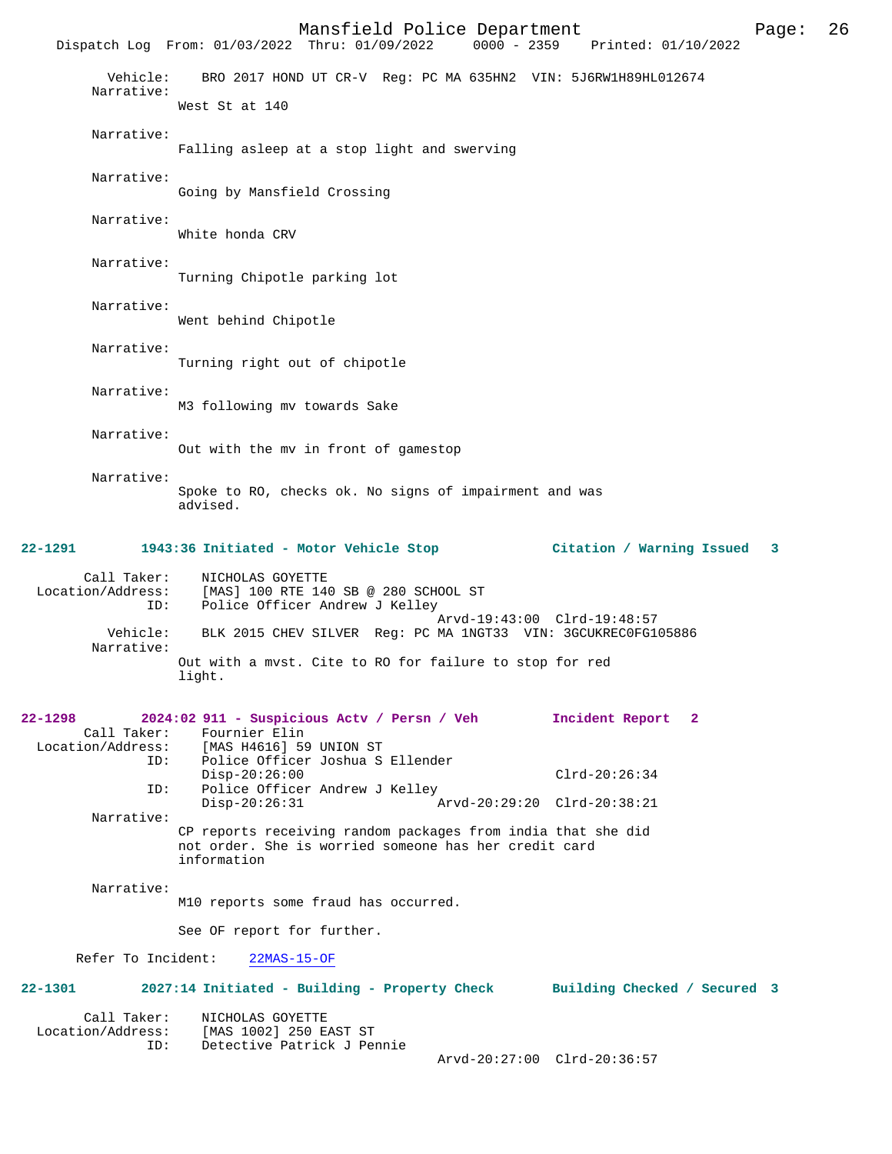|                                             | Mansfield Police Department<br>Dispatch Log From: 01/03/2022 Thru: 01/09/2022                                                                           | 0000 - 2359 Printed: 01/10/2022 | Page: | 26 |
|---------------------------------------------|---------------------------------------------------------------------------------------------------------------------------------------------------------|---------------------------------|-------|----|
| Vehicle:<br>Narrative:                      | BRO 2017 HOND UT CR-V Reg: PC MA 635HN2 VIN: 5J6RW1H89HL012674<br>West St at 140                                                                        |                                 |       |    |
| Narrative:                                  | Falling asleep at a stop light and swerving                                                                                                             |                                 |       |    |
| Narrative:                                  | Going by Mansfield Crossing                                                                                                                             |                                 |       |    |
| Narrative:                                  | White honda CRV                                                                                                                                         |                                 |       |    |
| Narrative:                                  | Turning Chipotle parking lot                                                                                                                            |                                 |       |    |
| Narrative:                                  | Went behind Chipotle                                                                                                                                    |                                 |       |    |
| Narrative:                                  | Turning right out of chipotle                                                                                                                           |                                 |       |    |
| Narrative:                                  | M3 following mv towards Sake                                                                                                                            |                                 |       |    |
| Narrative:                                  | Out with the my in front of gamestop                                                                                                                    |                                 |       |    |
| Narrative:                                  | Spoke to RO, checks ok. No signs of impairment and was<br>advised.                                                                                      |                                 |       |    |
|                                             | 22-1291 1943:36 Initiated - Motor Vehicle Stop                                                                                                          | Citation / Warning Issued 3     |       |    |
| Call Taker:<br>Location/Address:<br>ID:     | NICHOLAS GOYETTE<br>[MAS] 100 RTE 140 SB @ 280 SCHOOL ST<br>Police Officer Andrew J Kelley                                                              |                                 |       |    |
| Vehicle:<br>Narrative:                      | BLK 2015 CHEV SILVER Reg: PC MA 1NGT33 VIN: 3GCUKREC0FG105886                                                                                           | Arvd-19:43:00 Clrd-19:48:57     |       |    |
|                                             | Out with a mvst. Cite to RO for failure to stop for red<br>light.                                                                                       |                                 |       |    |
| 22-1298<br>Call Taker:<br>Location/Address: | 2024:02 911 - Suspicious Actv / Persn / Veh<br>Fournier Elin<br>[MAS H4616] 59 UNION ST                                                                 | Incident Report 2               |       |    |
| ID:<br>ID:                                  | Police Officer Joshua S Ellender<br>$Disp-20:26:00$<br>Police Officer Andrew J Kelley                                                                   | $Clrd-20:26:34$                 |       |    |
| Narrative:                                  | $Disp-20:26:31$<br>CP reports receiving random packages from india that she did<br>not order. She is worried someone has her credit card<br>information | Arvd-20:29:20 Clrd-20:38:21     |       |    |
| Narrative:                                  | M10 reports some fraud has occurred.                                                                                                                    |                                 |       |    |
|                                             | See OF report for further.                                                                                                                              |                                 |       |    |
| Refer To Incident:                          | $22MAS-15-OF$                                                                                                                                           |                                 |       |    |
| 22-1301                                     | 2027:14 Initiated - Building - Property Check                                                                                                           | Building Checked / Secured 3    |       |    |
| Call Taker:<br>ID:                          | NICHOLAS GOYETTE<br>Location/Address: [MAS 1002] 250 EAST ST<br>Detective Patrick J Pennie                                                              |                                 |       |    |
|                                             |                                                                                                                                                         | Arvd-20:27:00 Clrd-20:36:57     |       |    |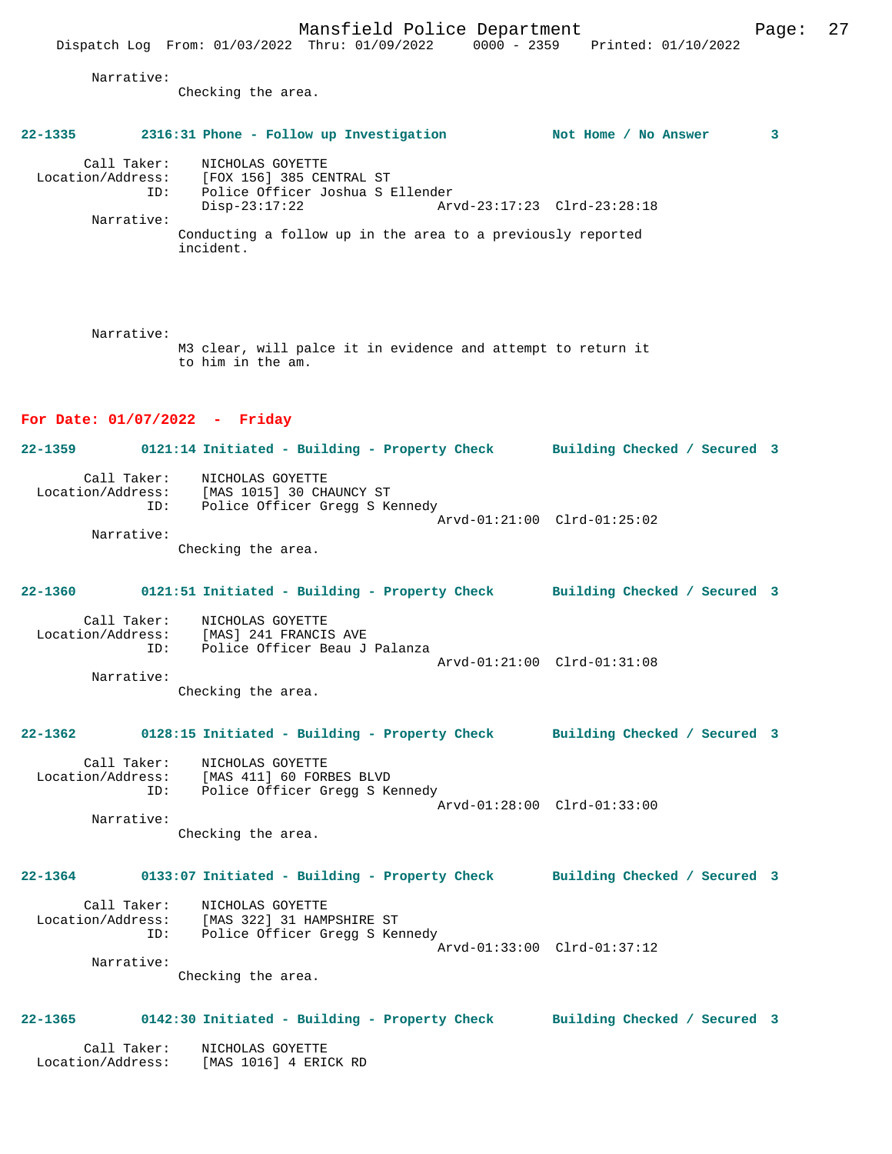Narrative:

Checking the area.

incident.

### **22-1335 2316:31 Phone - Follow up Investigation Not Home / No Answer 3**

 Call Taker: NICHOLAS GOYETTE Location/Address: [FOX 156] 385 CENTRAL ST ID: Police Officer Joshua S Ellender Disp-23:17:22 Arvd-23:17:23 Clrd-23:28:18 Narrative: Conducting a follow up in the area to a previously reported

 Narrative: M3 clear, will palce it in evidence and attempt to return it to him in the am.

### **For Date: 01/07/2022 - Friday**

**22-1359 0121:14 Initiated - Building - Property Check Building Checked / Secured 3** Call Taker: NICHOLAS GOYETTE<br>Location/Address: [MAS 1015] 30 CHAUNCY ST Location/Address: [MAS 1015] 30 CHAUNCY ST ID: Police Officer Gregg S Kennedy Arvd-01:21:00 Clrd-01:25:02 Narrative: Checking the area.

# **22-1360 0121:51 Initiated - Building - Property Check Building Checked / Secured 3** Call Taker: NICHOLAS GOYETTE Location/Address: [MAS] 241 FRANCIS AVE

 ID: Police Officer Beau J Palanza Arvd-01:21:00 Clrd-01:31:08 Narrative:

Checking the area.

#### **22-1362 0128:15 Initiated - Building - Property Check Building Checked / Secured 3**

 Call Taker: NICHOLAS GOYETTE Location/Address: [MAS 411] 60 FORBES BLVD ID: Police Officer Gregg S Kennedy Arvd-01:28:00 Clrd-01:33:00 Narrative:

Checking the area.

# **22-1364 0133:07 Initiated - Building - Property Check Building Checked / Secured 3**

 Call Taker: NICHOLAS GOYETTE Location/Address: [MAS 322] 31 HAMPSHIRE ST ID: Police Officer Gregg S Kennedy Arvd-01:33:00 Clrd-01:37:12 Narrative:

Checking the area.

#### **22-1365 0142:30 Initiated - Building - Property Check Building Checked / Secured 3**

 Call Taker: NICHOLAS GOYETTE Location/Address: [MAS 1016] 4 ERICK RD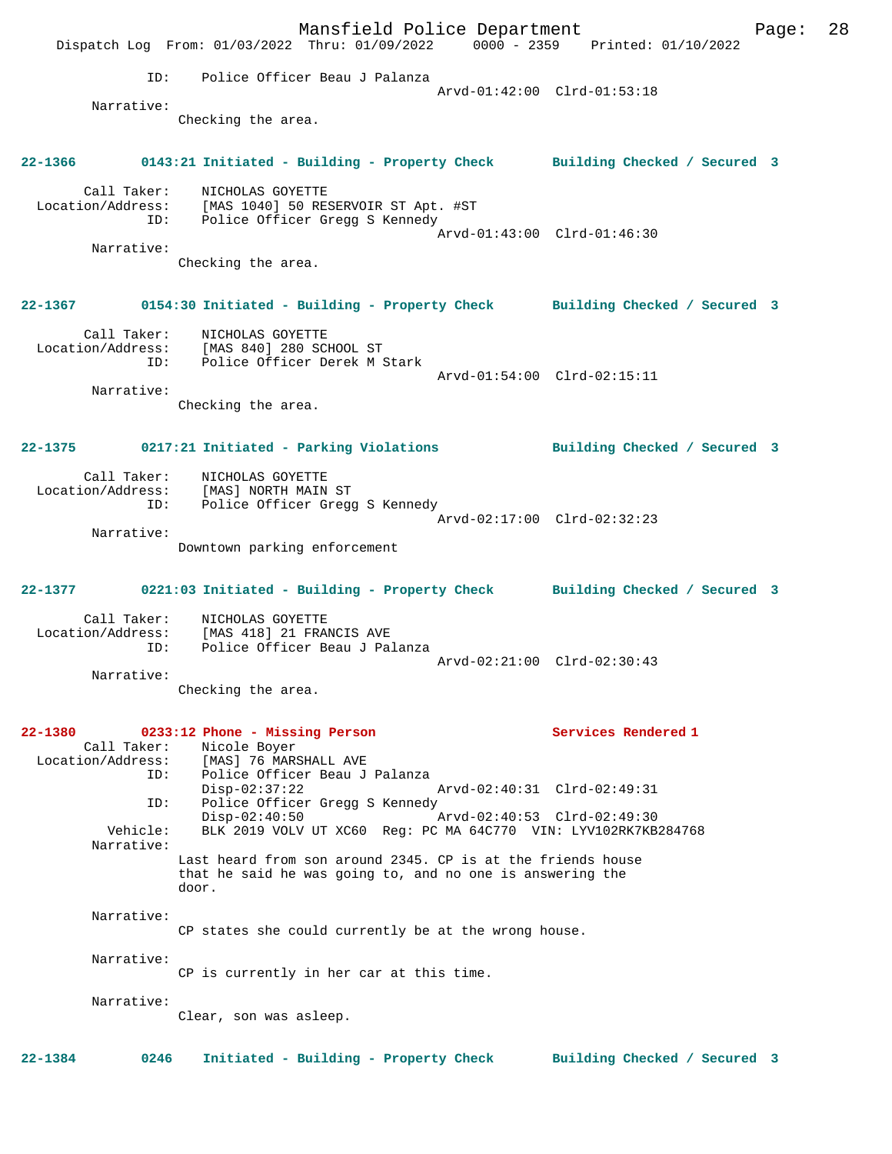|             |                                  | Dispatch Log From: 01/03/2022 Thru: 01/09/2022 0000 - 2359 Printed: 01/10/2022                                                    | Mansfield Police Department |                             |                                                                                    | Page: | 28 |
|-------------|----------------------------------|-----------------------------------------------------------------------------------------------------------------------------------|-----------------------------|-----------------------------|------------------------------------------------------------------------------------|-------|----|
|             |                                  | ID: Police Officer Beau J Palanza                                                                                                 |                             |                             |                                                                                    |       |    |
|             |                                  |                                                                                                                                   |                             | Arvd-01:42:00 Clrd-01:53:18 |                                                                                    |       |    |
|             | Narrative:                       | Checking the area.                                                                                                                |                             |                             |                                                                                    |       |    |
|             |                                  |                                                                                                                                   |                             |                             | 22-1366 0143:21 Initiated - Building - Property Check Building Checked / Secured 3 |       |    |
|             | Call Taker:                      | NICHOLAS GOYETTE<br>Location/Address: [MAS 1040] 50 RESERVOIR ST Apt. #ST<br>ID: Police Officer Gregg S Kennedy                   |                             |                             |                                                                                    |       |    |
|             | Narrative:                       |                                                                                                                                   |                             | Arvd-01:43:00 Clrd-01:46:30 |                                                                                    |       |    |
|             |                                  | Checking the area.                                                                                                                |                             |                             |                                                                                    |       |    |
|             |                                  |                                                                                                                                   |                             |                             | 22-1367 0154:30 Initiated - Building - Property Check Building Checked / Secured 3 |       |    |
|             | ID:                              | Call Taker: NICHOLAS GOYETTE<br>Location/Address: [MAS 840] 280 SCHOOL ST<br>Police Officer Derek M Stark                         |                             |                             |                                                                                    |       |    |
|             |                                  |                                                                                                                                   |                             | Arvd-01:54:00 Clrd-02:15:11 |                                                                                    |       |    |
|             | Narrative:                       | Checking the area.                                                                                                                |                             |                             |                                                                                    |       |    |
|             |                                  | 22-1375 0217:21 Initiated - Parking Violations                                                                                    |                             |                             | Building Checked / Secured 3                                                       |       |    |
|             | ID:                              | Call Taker: NICHOLAS GOYETTE<br>Location/Address: [MAS] NORTH MAIN ST<br>Police Officer Gregg S Kennedy                           |                             |                             |                                                                                    |       |    |
|             | Narrative:                       | Downtown parking enforcement                                                                                                      |                             | Arvd-02:17:00 Clrd-02:32:23 |                                                                                    |       |    |
|             |                                  |                                                                                                                                   |                             |                             | 22-1377 0221:03 Initiated - Building - Property Check Building Checked / Secured 3 |       |    |
|             |                                  | Call Taker: NICHOLAS GOYETTE<br>Location/Address: [MAS 418] 21 FRANCIS AVE                                                        |                             |                             |                                                                                    |       |    |
|             | ID:                              | Police Officer Beau J Palanza                                                                                                     |                             | Arvd-02:21:00 Clrd-02:30:43 |                                                                                    |       |    |
|             | Narrative:                       | Checking the area.                                                                                                                |                             |                             |                                                                                    |       |    |
| $22 - 1380$ | Call Taker:<br>Location/Address: | 0233:12 Phone - Missing Person<br>Nicole Boyer<br>[MAS] 76 MARSHALL AVE                                                           |                             |                             | Services Rendered 1                                                                |       |    |
|             | ID:<br>ID:                       | Police Officer Beau J Palanza<br>$Disp-02:37:22$<br>Police Officer Gregg S Kennedy                                                |                             | Arvd-02:40:31 Clrd-02:49:31 |                                                                                    |       |    |
|             | Vehicle:                         | $Disp-02:40:50$<br>BLK 2019 VOLV UT XC60 Req: PC MA 64C770 VIN: LYV102RK7KB284768                                                 |                             | Arvd-02:40:53 Clrd-02:49:30 |                                                                                    |       |    |
|             | Narrative:                       | Last heard from son around 2345. CP is at the friends house<br>that he said he was going to, and no one is answering the<br>door. |                             |                             |                                                                                    |       |    |
|             | Narrative:                       | CP states she could currently be at the wrong house.                                                                              |                             |                             |                                                                                    |       |    |
|             | Narrative:                       | CP is currently in her car at this time.                                                                                          |                             |                             |                                                                                    |       |    |
|             | Narrative:                       | Clear, son was asleep.                                                                                                            |                             |                             |                                                                                    |       |    |
| 22-1384     | 0246                             | Initiated - Building - Property Check                                                                                             |                             |                             | Building Checked / Secured 3                                                       |       |    |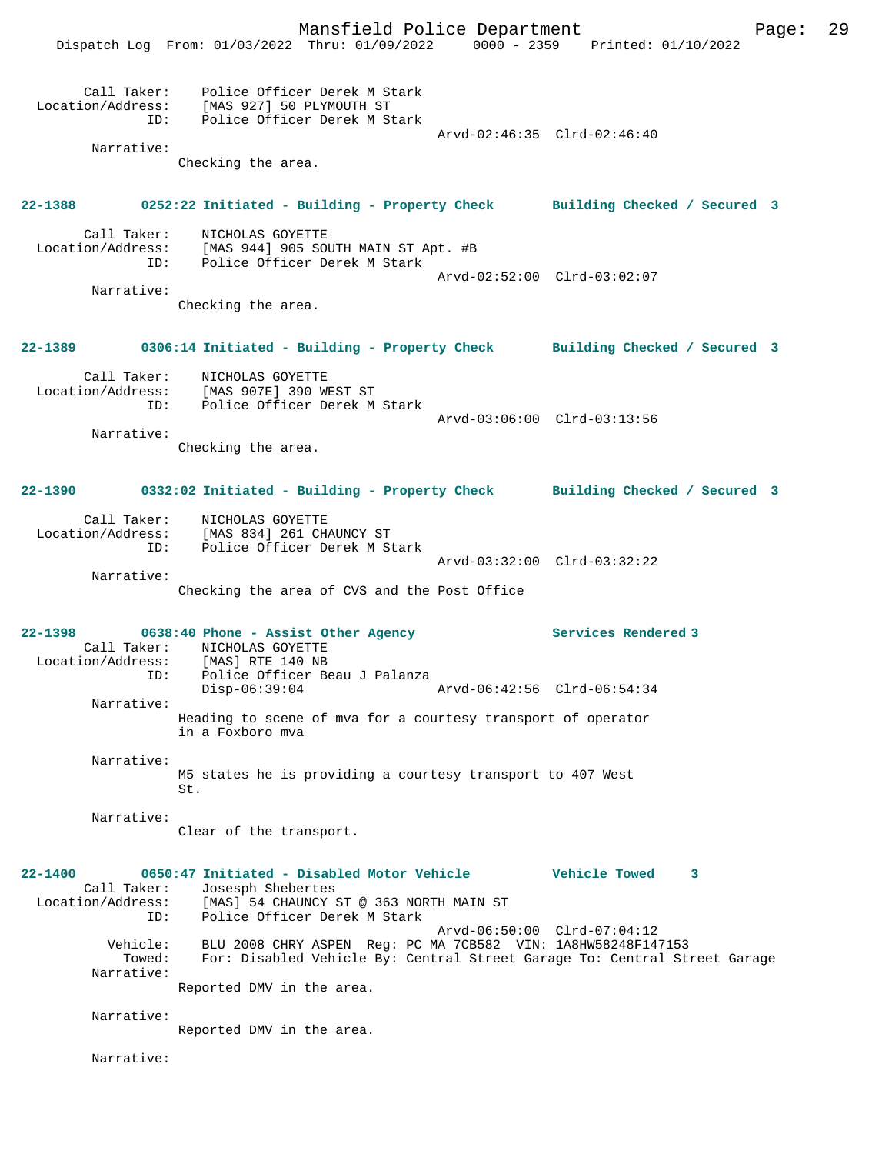Mansfield Police Department Page: 29 Dispatch Log From: 01/03/2022 Thru: 01/09/2022 0000 - 2359 Printed: 01/10/2022 Call Taker: Police Officer Derek M Stark Location/Address: [MAS 927] 50 PLYMOUTH ST ID: Police Officer Derek M Stark Arvd-02:46:35 Clrd-02:46:40 Narrative: Checking the area. **22-1388 0252:22 Initiated - Building - Property Check Building Checked / Secured 3** Call Taker: NICHOLAS GOYETTE Location/Address: [MAS 944] 905 SOUTH MAIN ST Apt. #B ID: Police Officer Derek M Stark Arvd-02:52:00 Clrd-03:02:07 Narrative: Checking the area. **22-1389 0306:14 Initiated - Building - Property Check Building Checked / Secured 3** Call Taker: NICHOLAS GOYETTE Location/Address: [MAS 907E] 390 WEST ST ID: Police Officer Derek M Stark Arvd-03:06:00 Clrd-03:13:56 Narrative: Checking the area. **22-1390 0332:02 Initiated - Building - Property Check Building Checked / Secured 3** Call Taker: NICHOLAS GOYETTE Location/Address: [MAS 834] 261 CHAUNCY ST ID: Police Officer Derek M Stark Arvd-03:32:00 Clrd-03:32:22 Narrative: Checking the area of CVS and the Post Office **22-1398 0638:40 Phone - Assist Other Agency Services Rendered 3**  Call Taker: NICHOLAS GOYETTE<br>Location/Address: [MAS] RTE 140 NB Location/Address: [MAS] RTE 140 NB ID: Police Officer Beau J Palanza Disp-06:39:04 Arvd-06:42:56 Clrd-06:54:34 Narrative: Heading to scene of mva for a courtesy transport of operator in a Foxboro mva Narrative: M5 states he is providing a courtesy transport to 407 West St. Narrative: Clear of the transport. **22-1400 0650:47 Initiated - Disabled Motor Vehicle Vehicle Towed 3**  Call Taker: Josesph Shebertes Location/Address: [MAS] 54 CHAUNCY ST @ 363 NORTH MAIN ST ID: Police Officer Derek M Stark Arvd-06:50:00 Clrd-07:04:12 Vehicle: BLU 2008 CHRY ASPEN Reg: PC MA 7CB582 VIN: 1A8HW58248F147153 Towed: For: Disabled Vehicle By: Central Street Garage To: Central Street Garage Narrative: Reported DMV in the area. Narrative: Reported DMV in the area. Narrative: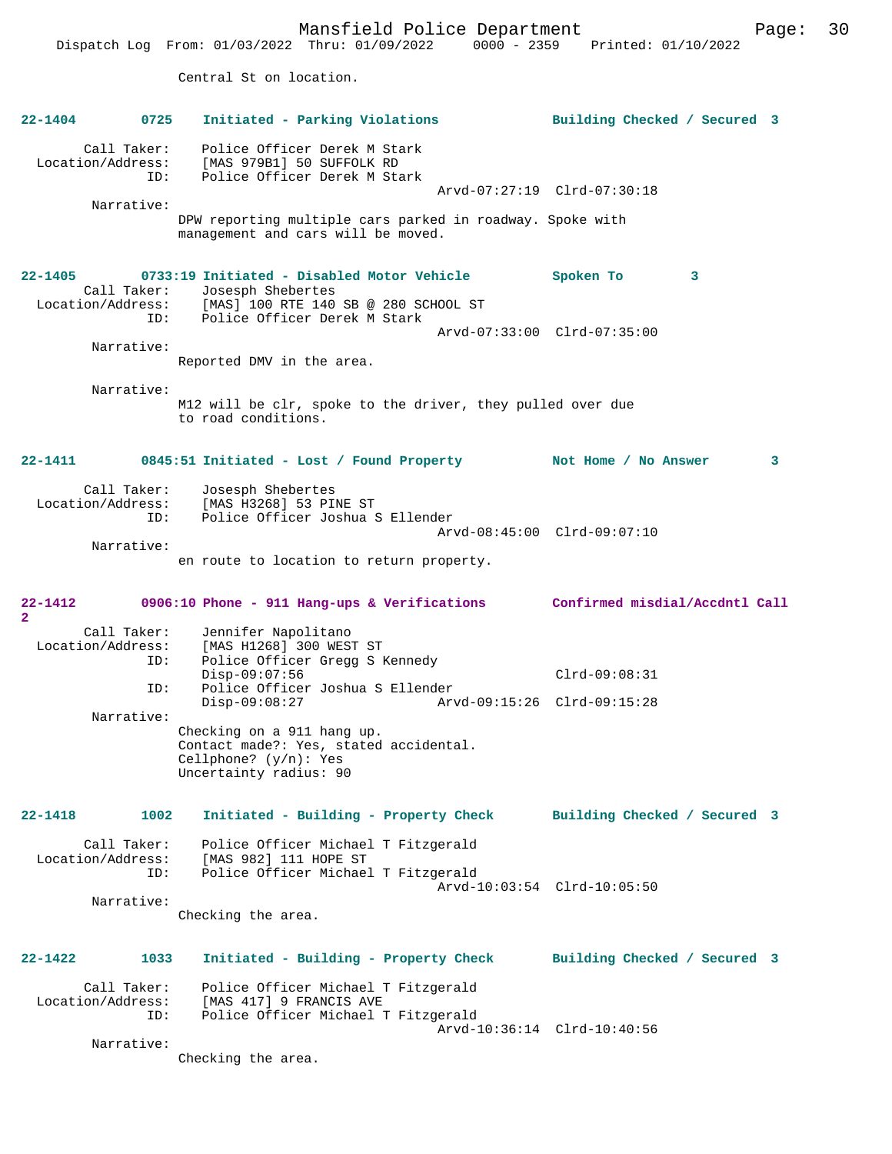Mansfield Police Department Page: 30 Dispatch Log From: 01/03/2022 Thru: 01/09/2022 0000 - 2359 Printed: 01/10/2022 Central St on location. **22-1404 0725 Initiated - Parking Violations Building Checked / Secured 3** Call Taker: Police Officer Derek M Stark Location/Address: [MAS 979B1] 50 SUFFOLK RD ID: Police Officer Derek M Stark Arvd-07:27:19 Clrd-07:30:18 Narrative: DPW reporting multiple cars parked in roadway. Spoke with management and cars will be moved. **22-1405 0733:19 Initiated - Disabled Motor Vehicle Spoken To 3**  Call Taker: Josesph Shebertes Location/Address: [MAS] 100 RTE 140 SB @ 280 SCHOOL ST ID: Police Officer Derek M Stark Arvd-07:33:00 Clrd-07:35:00 Narrative: Reported DMV in the area. Narrative: M12 will be clr, spoke to the driver, they pulled over due to road conditions. **22-1411 0845:51 Initiated - Lost / Found Property Not Home / No Answer 3** Call Taker: Josesph Shebertes Location/Address: [MAS H3268] 53 PINE ST ID: Police Officer Joshua S Ellender Arvd-08:45:00 Clrd-09:07:10 Narrative: en route to location to return property. **22-1412 0906:10 Phone - 911 Hang-ups & Verifications Confirmed misdial/Accdntl Call 2**  Call Taker: Jennifer Napolitano<br>Location/Address: [MAS H1268] 300 WEST Location/Address: [MAS H1268] 300 WEST ST ID: Police Officer Gregg S Kennedy Disp-09:07:56 Clrd-09:08:31 ID: Police Officer Joshua S Ellender Disp-09:08:27 Arvd-09:15:26 Clrd-09:15:28 Narrative: Checking on a 911 hang up. Contact made?: Yes, stated accidental. Cellphone? (y/n): Yes Uncertainty radius: 90 **22-1418 1002 Initiated - Building - Property Check Building Checked / Secured 3** Call Taker: Police Officer Michael T Fitzgerald Location/Address: [MAS 982] 111 HOPE ST ID: Police Officer Michael T Fitzgerald Arvd-10:03:54 Clrd-10:05:50 Narrative: Checking the area. **22-1422 1033 Initiated - Building - Property Check Building Checked / Secured 3** Call Taker: Police Officer Michael T Fitzgerald<br>Location/Address: [MAS 417] 9 FRANCIS AVE ess: [MAS 417] 9 FRANCIS AVE<br>ID: Police Officer Michael T Police Officer Michael T Fitzgerald Arvd-10:36:14 Clrd-10:40:56 Narrative: Checking the area.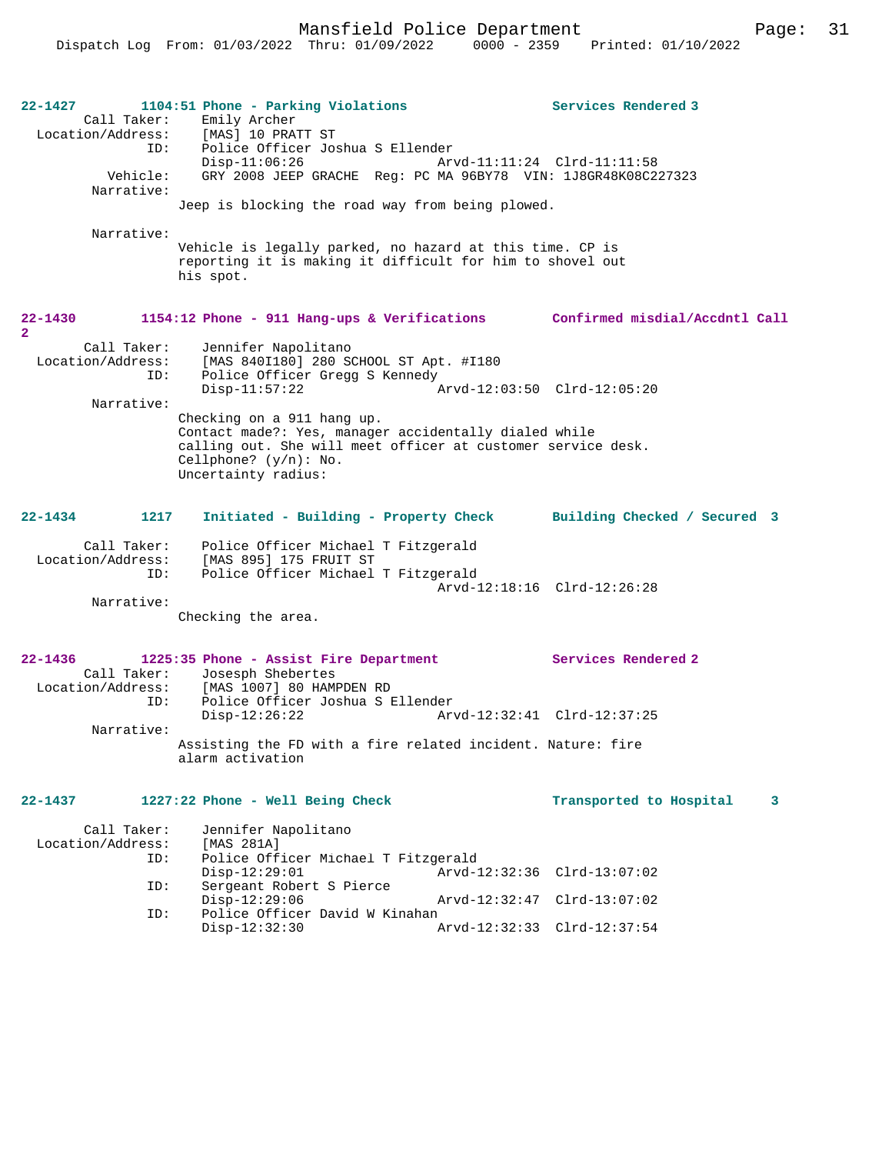Mansfield Police Department Page: 31

| 22-1427<br>Call Taker:<br>ID:<br>Vehicle:<br>Narrative:<br>Narrative: | 1104:51 Phone - Parking Violations<br>Emily Archer<br>Location/Address: [MAS] 10 PRATT ST<br>Police Officer Joshua S Ellender<br>$Disp-11:06:26$<br>GRY 2008 JEEP GRACHE Reg: PC MA 96BY78 VIN: 1J8GR48K08C227323<br>Jeep is blocking the road way from being plowed.<br>Vehicle is legally parked, no hazard at this time. CP is<br>reporting it is making it difficult for him to shovel out<br>his spot. | Arvd-11:11:24 Clrd-11:11:58 | Services Rendered 3                                                |
|-----------------------------------------------------------------------|-------------------------------------------------------------------------------------------------------------------------------------------------------------------------------------------------------------------------------------------------------------------------------------------------------------------------------------------------------------------------------------------------------------|-----------------------------|--------------------------------------------------------------------|
| 22-1430<br>$\mathbf{2}$<br>Call Taker:<br>Location/Address:           | 1154:12 Phone - 911 Hang-ups & Verifications Confirmed misdial/Accdntl Call<br>Jennifer Napolitano<br>[MAS 840I180] 280 SCHOOL ST Apt. #I180                                                                                                                                                                                                                                                                |                             |                                                                    |
| ID:<br>Narrative:                                                     | Police Officer Gregg S Kennedy<br>$Disp-11:57:22$                                                                                                                                                                                                                                                                                                                                                           | Arvd-12:03:50 Clrd-12:05:20 |                                                                    |
|                                                                       | Checking on a 911 hang up.<br>Contact made?: Yes, manager accidentally dialed while<br>calling out. She will meet officer at customer service desk.<br>Cellphone? $(y/n):$ No.<br>Uncertainty radius:                                                                                                                                                                                                       |                             |                                                                    |
| 22-1434<br>1217                                                       |                                                                                                                                                                                                                                                                                                                                                                                                             |                             | Initiated - Building - Property Check Building Checked / Secured 3 |
| Call Taker:<br>Location/Address:<br>ID:<br>Narrative:                 | Police Officer Michael T Fitzgerald<br>[MAS 895] 175 FRUIT ST<br>Police Officer Michael T Fitzgerald<br>Checking the area.                                                                                                                                                                                                                                                                                  |                             | Arvd-12:18:16 Clrd-12:26:28                                        |
| $22 - 1436$                                                           | 1225:35 Phone - Assist Fire Department<br>Call Taker: Josesph Shebertes<br>Location/Address: [MAS 1007] 80 HAMPDEN RD                                                                                                                                                                                                                                                                                       |                             | <b>Services Rendered 2</b>                                         |
| ID:<br>Narrative:                                                     | Police Officer Joshua S Ellender<br>$Disp-12:26:22$<br>Assisting the FD with a fire related incident. Nature: fire                                                                                                                                                                                                                                                                                          | Arvd-12:32:41 Clrd-12:37:25 |                                                                    |
|                                                                       | alarm activation                                                                                                                                                                                                                                                                                                                                                                                            |                             |                                                                    |
| 22-1437                                                               | 1227:22 Phone - Well Being Check                                                                                                                                                                                                                                                                                                                                                                            |                             | Transported to Hospital<br>3                                       |
| Call Taker:<br>Location/Address:<br>ID:                               | Jennifer Napolitano<br>[MAS 281A]<br>Police Officer Michael T Fitzgerald                                                                                                                                                                                                                                                                                                                                    |                             |                                                                    |
| ID:                                                                   | $Disp-12:29:01$<br>Sergeant Robert S Pierce<br>$Disp-12:29:06$                                                                                                                                                                                                                                                                                                                                              |                             | Arvd-12:32:36 Clrd-13:07:02<br>Arvd-12:32:47 Clrd-13:07:02         |

Disp-12:32:30 Arvd-12:32:33 Clrd-12:37:54

ID: Police Officer David W Kinahan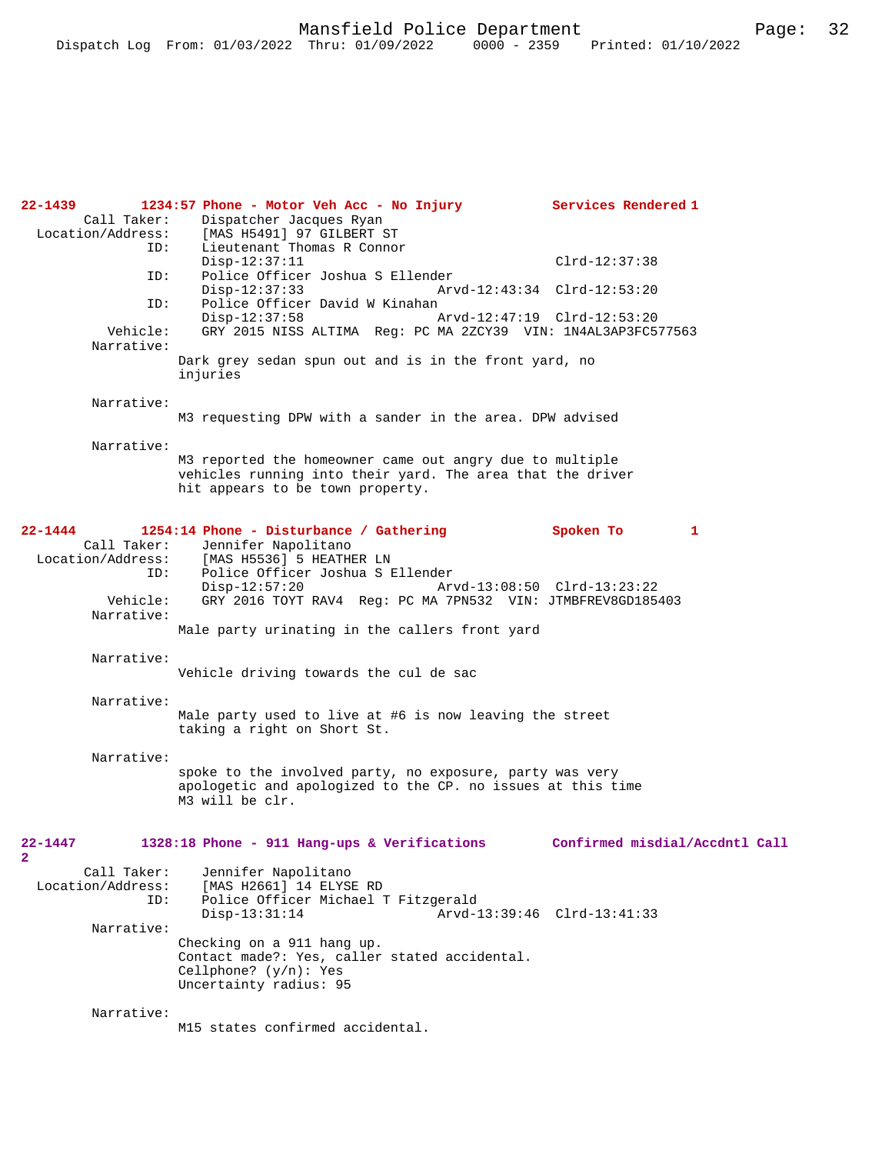| 22-1439<br>Call Taker:<br>Location/Address:<br>ID: | 1234:57 Phone - Motor Veh Acc - No Injury<br>Dispatcher Jacques Ryan<br>[MAS H5491] 97 GILBERT ST                                                                                                          | Services Rendered 1            |
|----------------------------------------------------|------------------------------------------------------------------------------------------------------------------------------------------------------------------------------------------------------------|--------------------------------|
|                                                    | Lieutenant Thomas R Connor<br>$Disp-12:37:11$                                                                                                                                                              | $Clrd-12:37:38$                |
| ID:                                                | Police Officer Joshua S Ellender<br>$Disp-12:37:33$<br>Arvd-12:43:34 Clrd-12:53:20                                                                                                                         |                                |
| ID:<br>Vehicle:<br>Narrative:                      | Police Officer David W Kinahan<br>$Disp-12:37:58$<br>Arvd-12:47:19 Clrd-12:53:20<br>GRY 2015 NISS ALTIMA Reg: PC MA 2ZCY39 VIN: 1N4AL3AP3FC577563<br>Dark grey sedan spun out and is in the front yard, no |                                |
|                                                    | injuries                                                                                                                                                                                                   |                                |
| Narrative:                                         | M3 requesting DPW with a sander in the area. DPW advised                                                                                                                                                   |                                |
| Narrative:                                         | M3 reported the homeowner came out angry due to multiple<br>vehicles running into their yard. The area that the driver<br>hit appears to be town property.                                                 |                                |
| 22-1444                                            | 1254:14 Phone - Disturbance / Gathering                                                                                                                                                                    | Spoken To<br>1                 |
| Call Taker:<br>Location/Address:<br>ID:            | Jennifer Napolitano<br>[MAS H5536] 5 HEATHER LN<br>Police Officer Joshua S Ellender<br>$Disp-12:57:20$<br>Arvd-13:08:50 Clrd-13:23:22                                                                      |                                |
| Vehicle:<br>Narrative:                             | GRY 2016 TOYT RAV4 Reg: PC MA 7PN532 VIN: JTMBFREV8GD185403<br>Male party urinating in the callers front yard                                                                                              |                                |
| Narrative:                                         | Vehicle driving towards the cul de sac                                                                                                                                                                     |                                |
| Narrative:                                         | Male party used to live at #6 is now leaving the street<br>taking a right on Short St.                                                                                                                     |                                |
| Narrative:                                         | spoke to the involved party, no exposure, party was very<br>apologetic and apologized to the CP. no issues at this time<br>M3 will be clr.                                                                 |                                |
| $22 - 1447$<br>$\overline{\mathbf{2}}$             | 1328:18 Phone - 911 Hang-ups & Verifications                                                                                                                                                               | Confirmed misdial/Accdntl Call |
| Call Taker:<br>Location/Address:<br>ID:            | Jennifer Napolitano<br>[MAS H2661] 14 ELYSE RD<br>Police Officer Michael T Fitzgerald<br>$Disp-13:31:14$<br>Arvd-13:39:46 Clrd-13:41:33                                                                    |                                |
| Narrative:                                         |                                                                                                                                                                                                            |                                |
|                                                    | Checking on a 911 hang up.<br>Contact made?: Yes, caller stated accidental.<br>Cellphone? $(y/n)$ : Yes<br>Uncertainty radius: 95                                                                          |                                |
| Narrative:                                         | M15 states confirmed accidental.                                                                                                                                                                           |                                |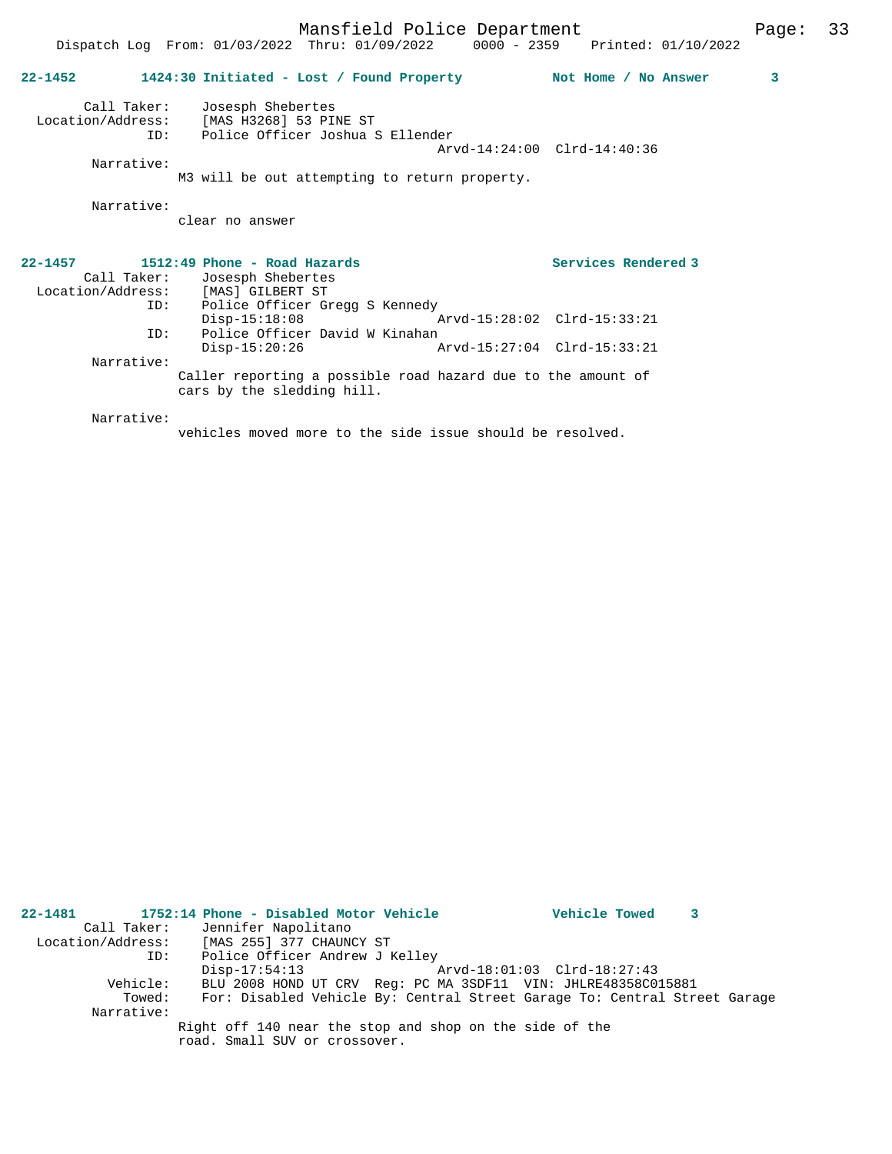|             | 22-1452 1424:30 Initiated - Lost / Found Property Not Home / No Answer                                            |                             | 3 |
|-------------|-------------------------------------------------------------------------------------------------------------------|-----------------------------|---|
|             |                                                                                                                   |                             |   |
|             | Call Taker: Josesph Shebertes<br>Location/Address: [MAS H3268] 53 PINE ST<br>ID: Police Officer Joshua S Ellender | Arvd-14:24:00 Clrd-14:40:36 |   |
| Narrative:  | M3 will be out attempting to return property.                                                                     |                             |   |
| Narrative:  |                                                                                                                   |                             |   |
|             | clear no answer                                                                                                   |                             |   |
| $22 - 1457$ | 1512:49 Phone - Road Hazards                                                                                      | Services Rendered 3         |   |
|             | Call Taker: Josesph Shebertes<br>Location/Address: [MAS] GILBERT ST                                               |                             |   |
|             | ID: Police Officer Gregg S Kennedy                                                                                |                             |   |
| TD:         | Disp-15:18:08<br>Police Officer David W Kinahan                                                                   |                             |   |
|             | $Disp-15:20:26$                                                                                                   |                             |   |
| Narrative:  |                                                                                                                   |                             |   |
|             | Caller reporting a possible road hazard due to the amount of<br>cars by the sledding hill.                        |                             |   |
| Narrative:  |                                                                                                                   |                             |   |

Dispatch Log From: 01/03/2022 Thru: 01/09/2022 0000 - 2359 Printed: 01/10/2022

vehicles moved more to the side issue should be resolved.

| 22-1481    | 1752:14 Phone - Disabled Motor Vehicle                                    | <b>Vehicle Towed</b>        |  |
|------------|---------------------------------------------------------------------------|-----------------------------|--|
|            | Call Taker: Jennifer Napolitano                                           |                             |  |
|            | Location/Address: [MAS 255] 377 CHAUNCY ST                                |                             |  |
| ID:        | Police Officer Andrew J Kelley                                            |                             |  |
|            | $Disp-17:54:13$                                                           | Arvd-18:01:03 Clrd-18:27:43 |  |
| Vehicle:   | BLU 2008 HOND UT CRV Req: PC MA 3SDF11 VIN: JHLRE48358C015881             |                             |  |
| Towed:     | For: Disabled Vehicle By: Central Street Garage To: Central Street Garage |                             |  |
| Narrative: |                                                                           |                             |  |
|            | Right off 140 near the stop and shop on the side of the                   |                             |  |
|            | road. Small SUV or crossover.                                             |                             |  |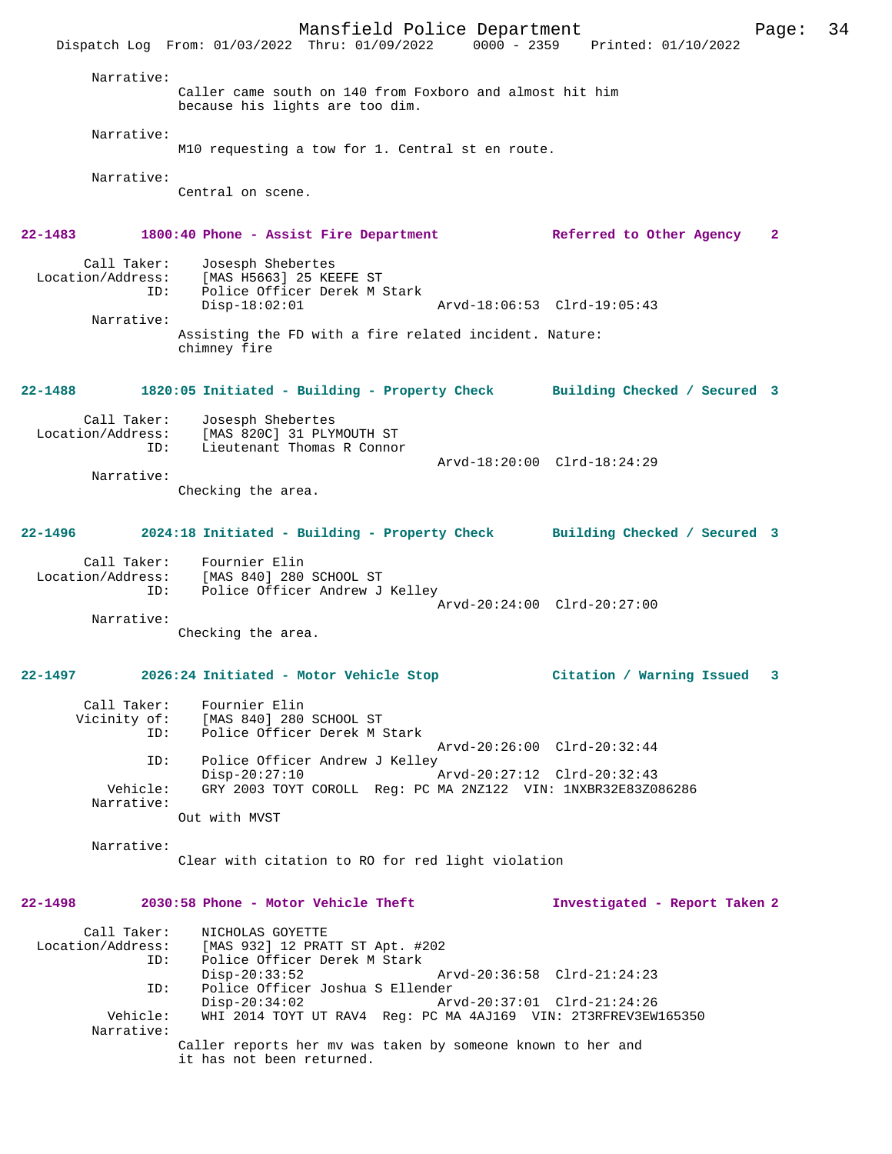Mansfield Police Department Page: 34 Dispatch Log From: 01/03/2022 Thru: 01/09/2022 0000 - 2359 Printed: 01/10/2022 Narrative: Caller came south on 140 from Foxboro and almost hit him because his lights are too dim. Narrative: M10 requesting a tow for 1. Central st en route. Narrative: Central on scene. **22-1483 1800:40 Phone - Assist Fire Department Referred to Other Agency 2** Call Taker: Josesph Shebertes<br>Location/Address: [MAS H5663] 25 KEI Location/Address: [MAS H5663] 25 KEEFE ST ID: Police Officer Derek M Stark Disp-18:02:01 Arvd-18:06:53 Clrd-19:05:43 Narrative: Assisting the FD with a fire related incident. Nature: chimney fire **22-1488 1820:05 Initiated - Building - Property Check Building Checked / Secured 3** Call Taker: Josesph Shebertes Location/Address: [MAS 820C] 31 PLYMOUTH ST Lieutenant Thomas R Connor Arvd-18:20:00 Clrd-18:24:29 Narrative: Checking the area. **22-1496 2024:18 Initiated - Building - Property Check Building Checked / Secured 3** Call Taker: Fournier Elin Location/Address: [MAS 840] 280 SCHOOL ST ID: Police Officer Andrew J Kelley Arvd-20:24:00 Clrd-20:27:00 Narrative: Checking the area. **22-1497 2026:24 Initiated - Motor Vehicle Stop Citation / Warning Issued 3** Call Taker: Fournier Elin Vicinity of: [MAS 840] 280 SCHOOL ST ID: Police Officer Derek M Stark Arvd-20:26:00 Clrd-20:32:44 ID: Police Officer Andrew J Kelley Disp-20:27:10 <br>Vehicle: GRY 2003 TOYT COROLL Reg: PC MA 2NZ122 VIN: 1NXBR32E83Z0: GRY 2003 TOYT COROLL Reg: PC MA 2NZ122 VIN: 1NXBR32E83Z086286 Narrative: Out with MVST Narrative: Clear with citation to RO for red light violation **22-1498 2030:58 Phone - Motor Vehicle Theft Investigated - Report Taken 2** Call Taker: NICHOLAS GOYETTE<br>Location/Address: [MAS 932] 12 PRA Location (Additional Server Communistic Studies)<br>In: Police Officer Derek M Stark Police Officer Derek M Stark<br>Disp-20:33:52 Disp-20:33:52 Arvd-20:36:58 Clrd-21:24:23 ID: Police Officer Joshua S Ellender Disp-20:34:02 Arvd-20:37:01 Clrd-21:24:26<br>Vehicle: WHI 2014 TOYT UT RAV4 Req: PC MA 4AJ169 VIN: 2T3RFREV3EW WHI 2014 TOYT UT RAV4 Reg: PC MA 4AJ169 VIN: 2T3RFREV3EW165350 Narrative: Caller reports her mv was taken by someone known to her and it has not been returned.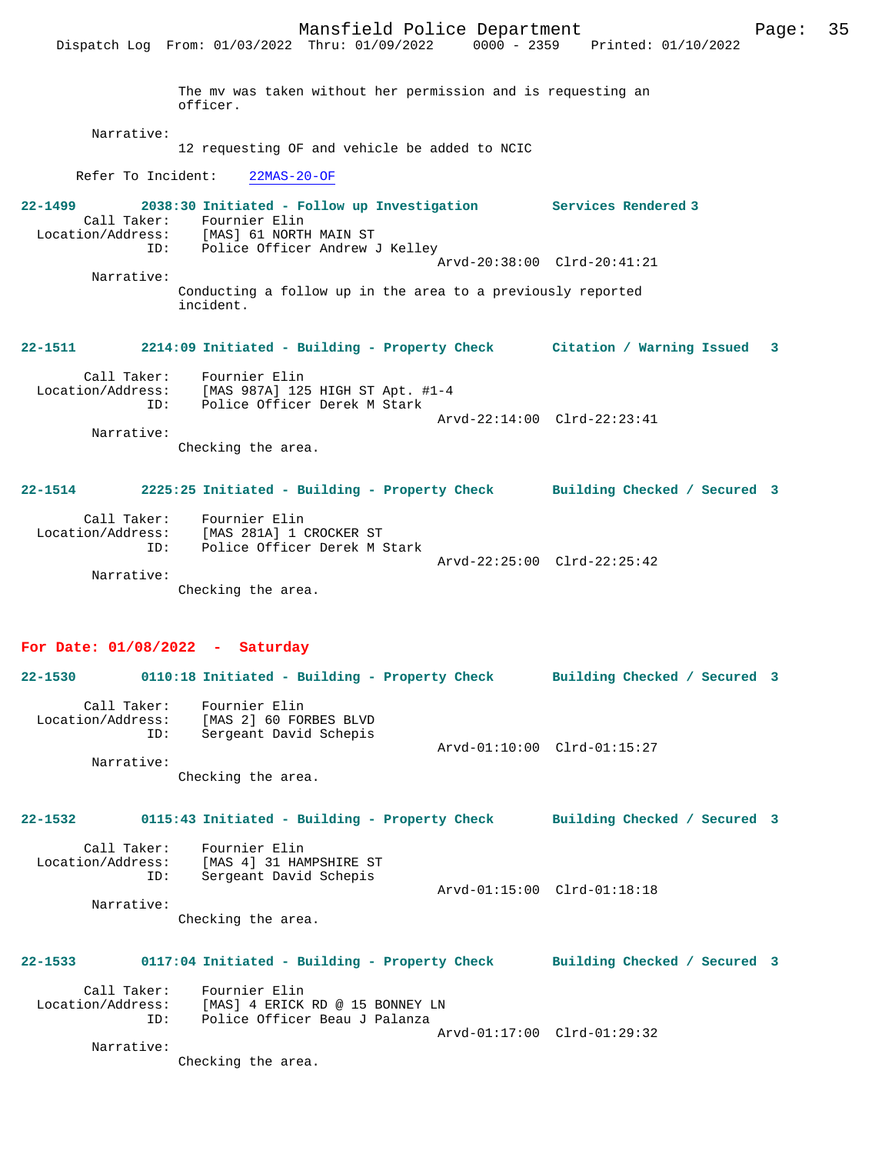|                                         | Dispatch Log From: 01/03/2022 Thru: 01/09/2022 0000 - 2359                                                                                                                     | Printed: 01/10/2022          |
|-----------------------------------------|--------------------------------------------------------------------------------------------------------------------------------------------------------------------------------|------------------------------|
|                                         | The mv was taken without her permission and is requesting an<br>officer.                                                                                                       |                              |
| Narrative:                              | 12 requesting OF and vehicle be added to NCIC                                                                                                                                  |                              |
|                                         |                                                                                                                                                                                |                              |
| Refer To Incident:                      | $22MAS-20-OF$                                                                                                                                                                  |                              |
| 22-1499                                 | 2038:30 Initiated - Follow up Investigation Services Rendered 3<br>Call Taker: Fournier Elin<br>Location/Address: [MAS] 61 NORTH MAIN ST<br>ID: Police Officer Andrew J Kelley |                              |
| Narrative:                              |                                                                                                                                                                                | Arvd-20:38:00 Clrd-20:41:21  |
|                                         | Conducting a follow up in the area to a previously reported<br>incident.                                                                                                       |                              |
|                                         | 22-1511 2214:09 Initiated - Building - Property Check Citation / Warning Issued 3                                                                                              |                              |
|                                         | Call Taker: Fournier Elin<br>Location/Address: [MAS 987A] 125 HIGH ST Apt. #1-4<br>ID: Police Officer Derek M Stark                                                            | Arvd-22:14:00 Clrd-22:23:41  |
| Narrative:                              | Checking the area.                                                                                                                                                             |                              |
|                                         | 22-1514 2225:25 Initiated - Building - Property Check Building Checked / Secured 3                                                                                             |                              |
| ID:<br>Narrative:                       | Call Taker: Fournier Elin<br>Location/Address: [MAS 281A] 1 CROCKER ST<br>Police Officer Derek M Stark<br>Checking the area.                                                   | Arvd-22:25:00 Clrd-22:25:42  |
| 22-1530                                 | For Date: $01/08/2022 - Saturday$<br>0110:18 Initiated - Building - Property Check Building Checked / Secured 3                                                                |                              |
| Call Taker:<br>Location/Address:<br>ID: | Fournier Elin<br>[MAS 2] 60 FORBES BLVD<br>Sergeant David Schepis                                                                                                              | Arvd-01:10:00 Clrd-01:15:27  |
| Narrative:                              | Checking the area.                                                                                                                                                             |                              |
| 22-1532                                 | 0115:43 Initiated - Building - Property Check                                                                                                                                  | Building Checked / Secured 3 |
| Call Taker:<br>Location/Address:<br>ID: | Fournier Elin<br>[MAS 4] 31 HAMPSHIRE ST<br>Sergeant David Schepis                                                                                                             | Arvd-01:15:00 Clrd-01:18:18  |
| Narrative:                              | Checking the area.                                                                                                                                                             |                              |
| 22-1533                                 | 0117:04 Initiated - Building - Property Check                                                                                                                                  | Building Checked / Secured 3 |
| Call Taker:                             | Fournier Elin                                                                                                                                                                  |                              |

 Location/Address: [MAS] 4 ERICK RD @ 15 BONNEY LN ID: Police Officer Beau J Palanza Arvd-01:17:00 Clrd-01:29:32

Narrative:

Checking the area.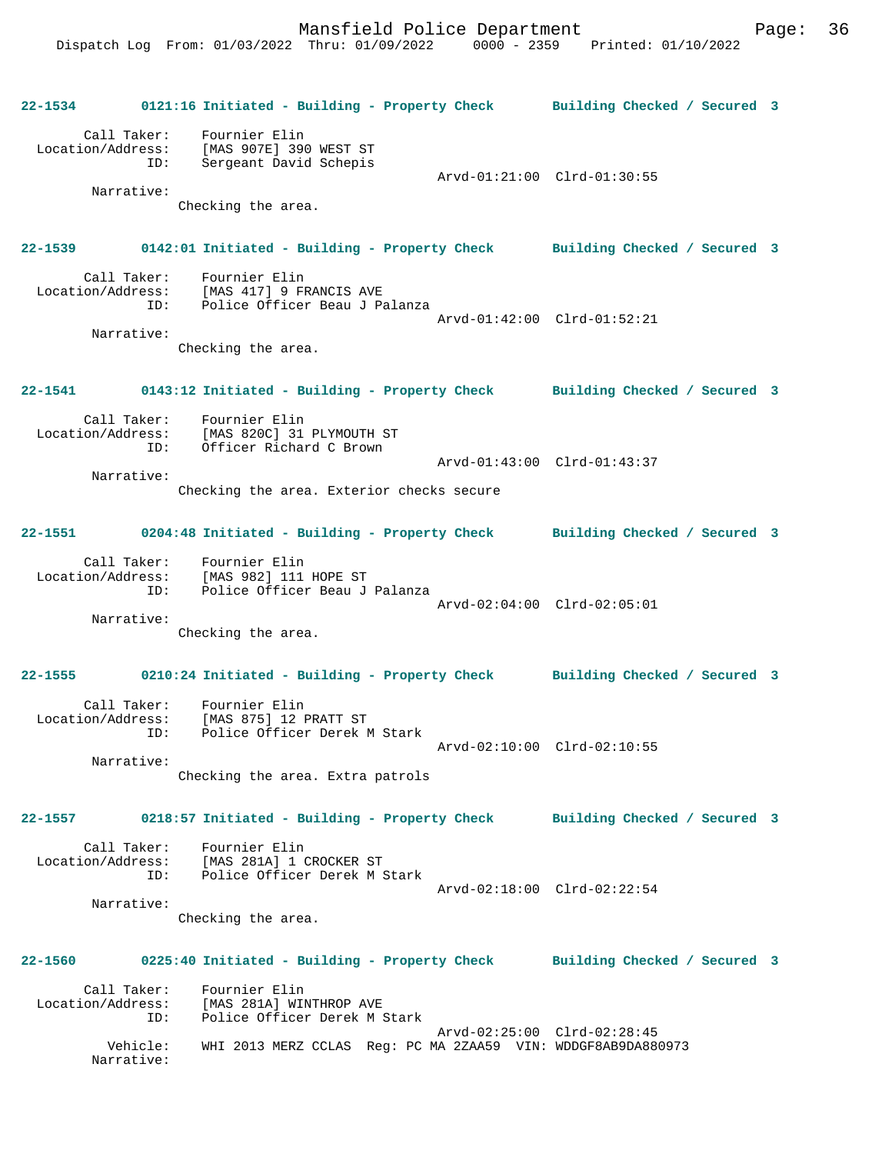|         |                                         | 22-1534 0121:16 Initiated - Building - Property Check Building Checked / Secured 3                          |                             |  |
|---------|-----------------------------------------|-------------------------------------------------------------------------------------------------------------|-----------------------------|--|
|         |                                         | Call Taker: Fournier Elin<br>Location/Address: [MAS 907E] 390 WEST ST<br>ID: Sergeant David Schepis         | Arvd-01:21:00 Clrd-01:30:55 |  |
|         | Narrative:                              | Checking the area.                                                                                          |                             |  |
|         |                                         | 22-1539 0142:01 Initiated - Building - Property Check Building Checked / Secured 3                          |                             |  |
|         |                                         | Call Taker: Fournier Elin<br>Location/Address: [MAS 417] 9 FRANCIS AVE<br>ID: Police Officer Beau J Palanza | Arvd-01:42:00 Clrd-01:52:21 |  |
|         | Narrative:                              | Checking the area.                                                                                          |                             |  |
|         |                                         | 22-1541 0143:12 Initiated - Building - Property Check Building Checked / Secured 3                          |                             |  |
|         |                                         | Call Taker: Fournier Elin<br>Location/Address: [MAS 820C] 31 PLYMOUTH ST<br>ID: Officer Richard C Brown     |                             |  |
|         | Narrative:                              |                                                                                                             | Arvd-01:43:00 Clrd-01:43:37 |  |
|         |                                         | Checking the area. Exterior checks secure                                                                   |                             |  |
|         |                                         | 22-1551 0204:48 Initiated - Building - Property Check Building Checked / Secured 3                          |                             |  |
|         |                                         | Call Taker: Fournier Elin<br>Location/Address: [MAS 982] 111 HOPE ST<br>ID: Police Officer Beau J Palanza   |                             |  |
|         | Narrative:                              |                                                                                                             | Arvd-02:04:00 Clrd-02:05:01 |  |
|         |                                         | Checking the area.                                                                                          |                             |  |
|         |                                         | 22-1555 0210:24 Initiated - Building - Property Check Building Checked / Secured 3                          |                             |  |
|         | ID:                                     | Call Taker: Fournier Elin<br>Location/Address: [MAS 875] 12 PRATT ST<br>Police Officer Derek M Stark        | Arvd-02:10:00 Clrd-02:10:55 |  |
|         | Narrative:                              | Checking the area. Extra patrols                                                                            |                             |  |
| 22-1557 |                                         | 0218:57 Initiated - Building - Property Check Building Checked / Secured 3                                  |                             |  |
|         | ID:                                     | Call Taker: Fournier Elin<br>Location/Address: [MAS 281A] 1 CROCKER ST<br>Police Officer Derek M Stark      | Arvd-02:18:00 Clrd-02:22:54 |  |
|         | Narrative:                              | Checking the area.                                                                                          |                             |  |
|         |                                         |                                                                                                             |                             |  |
|         |                                         | 22-1560 0225:40 Initiated - Building - Property Check Building Checked / Secured 3                          |                             |  |
|         | Call Taker:<br>Location/Address:<br>ID: | Fournier Elin<br>[MAS 281A] WINTHROP AVE<br>Police Officer Derek M Stark                                    |                             |  |
|         | Vehicle:<br>Narrative:                  | WHI 2013 MERZ CCLAS Req: PC MA 2ZAA59 VIN: WDDGF8AB9DA880973                                                | Arvd-02:25:00 Clrd-02:28:45 |  |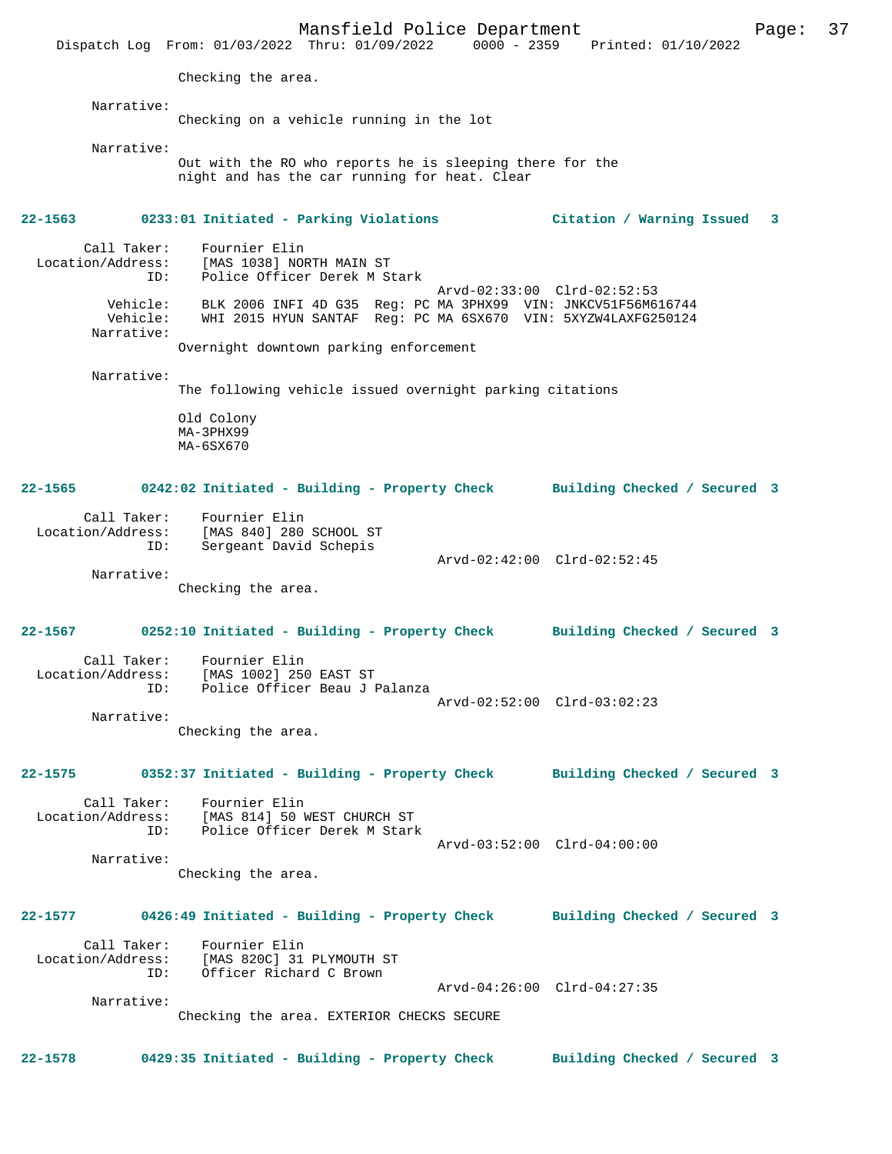Mansfield Police Department Page: 37 Dispatch Log From: 01/03/2022 Thru: 01/09/2022 0000 - 2359 Printed: 01/10/2022 Checking the area. Narrative: Checking on a vehicle running in the lot Narrative: Out with the RO who reports he is sleeping there for the night and has the car running for heat. Clear **22-1563 0233:01 Initiated - Parking Violations Citation / Warning Issued 3** Call Taker: Fournier Elin<br>Location/Address: [MAS 1038] NO [MAS 1038] NORTH MAIN ST ID: Police Officer Derek M Stark Arvd-02:33:00 Clrd-02:52:53 Vehicle: BLK 2006 INFI 4D G35 Reg: PC MA 3PHX99 VIN: JNKCV51F56M616744 Vehicle: WHI 2015 HYUN SANTAF Reg: PC MA 6SX670 VIN: 5XYZW4LAXFG250124 Narrative: Overnight downtown parking enforcement Narrative: The following vehicle issued overnight parking citations Old Colony MA-3PHX99 MA-6SX670 **22-1565 0242:02 Initiated - Building - Property Check Building Checked / Secured 3** Call Taker: Fournier Elin Location/Address: [MAS 840] 280 SCHOOL ST ID: Sergeant David Schepis Arvd-02:42:00 Clrd-02:52:45 Narrative: Checking the area. **22-1567 0252:10 Initiated - Building - Property Check Building Checked / Secured 3** Call Taker: Fournier Elin Location/Address: [MAS 1002] 250 EAST ST ID: Police Officer Beau J Palanza Arvd-02:52:00 Clrd-03:02:23 Narrative: Checking the area. **22-1575 0352:37 Initiated - Building - Property Check Building Checked / Secured 3** Call Taker: Fournier Elin<br>Location/Address: [MAS 814] 50 W للنظر المستحدة<br>SS: [MAS 814] 50 WEST CHURCH ST<br>TD: Police Officer Derek M Stark Police Officer Derek M Stark Arvd-03:52:00 Clrd-04:00:00 Narrative: Checking the area. **22-1577 0426:49 Initiated - Building - Property Check Building Checked / Secured 3** Call Taker: Fournier Elin Location/Address: [MAS 820C] 31 PLYMOUTH ST ID: Officer Richard C Brown Arvd-04:26:00 Clrd-04:27:35 Narrative: Checking the area. EXTERIOR CHECKS SECURE **22-1578 0429:35 Initiated - Building - Property Check Building Checked / Secured 3**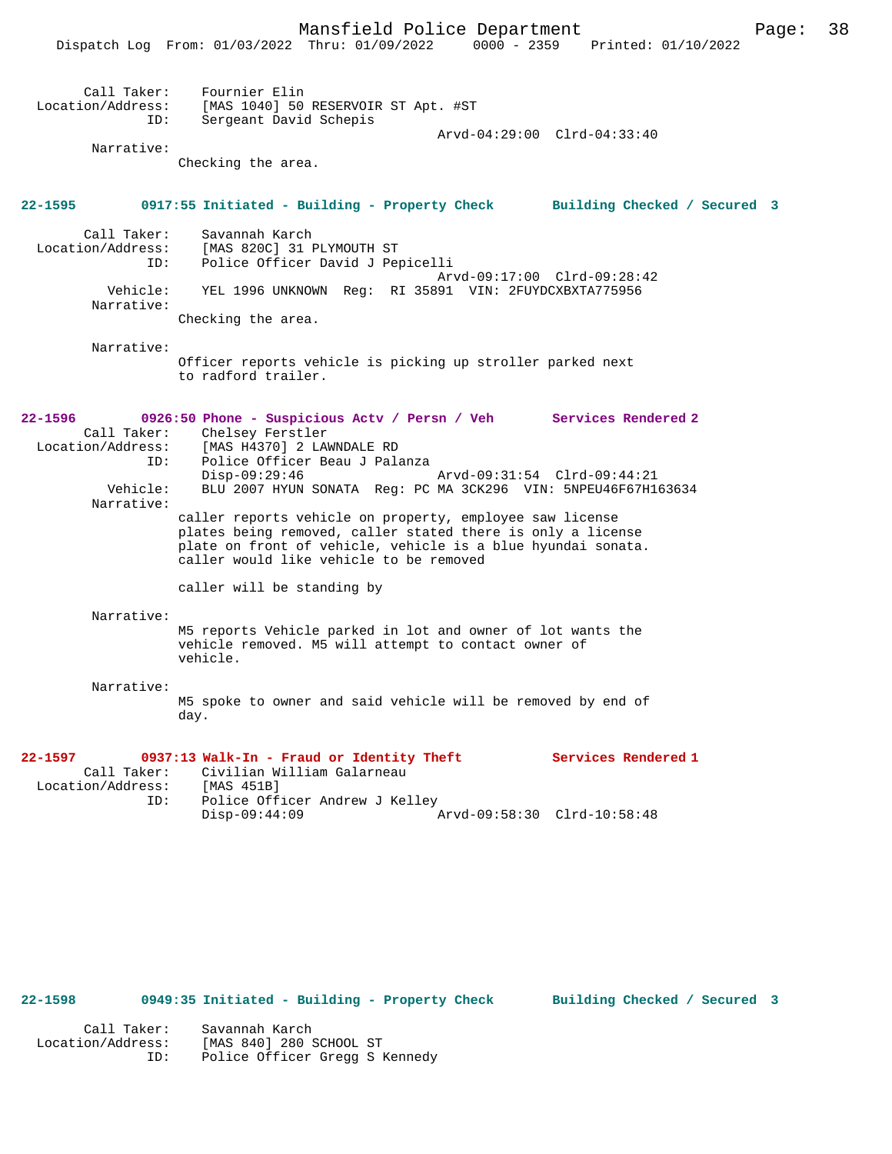|                                                                              | Malistrera Portue Department<br>rayc.<br>Dispatch Log From: 01/03/2022 Thru: 01/09/2022<br>0000 - 2359 Printed: 01/10/2022                                                                                                                                                                                                                                                                                                                                                                                                                 |
|------------------------------------------------------------------------------|--------------------------------------------------------------------------------------------------------------------------------------------------------------------------------------------------------------------------------------------------------------------------------------------------------------------------------------------------------------------------------------------------------------------------------------------------------------------------------------------------------------------------------------------|
| Call Taker:<br>ID:<br>Narrative:                                             | Fournier Elin<br>Location/Address: [MAS 1040] 50 RESERVOIR ST Apt. #ST<br>Sergeant David Schepis<br>Arvd-04:29:00 Clrd-04:33:40<br>Checking the area.                                                                                                                                                                                                                                                                                                                                                                                      |
| 22-1595                                                                      | 0917:55 Initiated - Building - Property Check Building Checked / Secured 3                                                                                                                                                                                                                                                                                                                                                                                                                                                                 |
| Call Taker:<br>Location/Address:<br>ID:                                      | Savannah Karch<br>[MAS 820C] 31 PLYMOUTH ST<br>Police Officer David J Pepicelli<br>Arvd-09:17:00 Clrd-09:28:42                                                                                                                                                                                                                                                                                                                                                                                                                             |
| Vehicle:<br>Narrative:                                                       | YEL 1996 UNKNOWN Req: RI 35891 VIN: 2FUYDCXBXTA775956                                                                                                                                                                                                                                                                                                                                                                                                                                                                                      |
| Narrative:                                                                   | Checking the area.                                                                                                                                                                                                                                                                                                                                                                                                                                                                                                                         |
|                                                                              | Officer reports vehicle is picking up stroller parked next<br>to radford trailer.                                                                                                                                                                                                                                                                                                                                                                                                                                                          |
| 22-1596<br>Call Taker:<br>Location/Address:<br>ID:<br>Vehicle:<br>Narrative: | 0926:50 Phone - Suspicious Actv / Persn / Veh Services Rendered 2<br>Chelsey Ferstler<br>[MAS H4370] 2 LAWNDALE RD<br>Police Officer Beau J Palanza<br>$Disp-09:29:46$<br>Arvd-09:31:54 Clrd-09:44:21<br>BLU 2007 HYUN SONATA Req: PC MA 3CK296 VIN: 5NPEU46F67H163634<br>caller reports vehicle on property, employee saw license<br>plates being removed, caller stated there is only a license<br>plate on front of vehicle, vehicle is a blue hyundai sonata.<br>caller would like vehicle to be removed<br>caller will be standing by |
| Narrative:                                                                   | M5 reports Vehicle parked in lot and owner of lot wants the<br>vehicle removed. M5 will attempt to contact owner of<br>vehicle.                                                                                                                                                                                                                                                                                                                                                                                                            |
| Narrative:                                                                   | M5 spoke to owner and said vehicle will be removed by end of<br>day.                                                                                                                                                                                                                                                                                                                                                                                                                                                                       |
| 22-1597<br>Call Taker:<br>Location/Address:<br>ID:                           | Services Rendered 1<br>0937:13 Walk-In - Fraud or Identity Theft<br>Civilian William Galarneau<br>[MAS 451B]<br>Police Officer Andrew J Kelley                                                                                                                                                                                                                                                                                                                                                                                             |

**22-1598 0949:35 Initiated - Building - Property Check Building Checked / Secured 3**

Disp-09:44:09 Arvd-09:58:30 Clrd-10:58:48

 Call Taker: Savannah Karch Location/Address: [MAS 840] 280 SCHOOL ST ID: Police Officer Gregg S Kennedy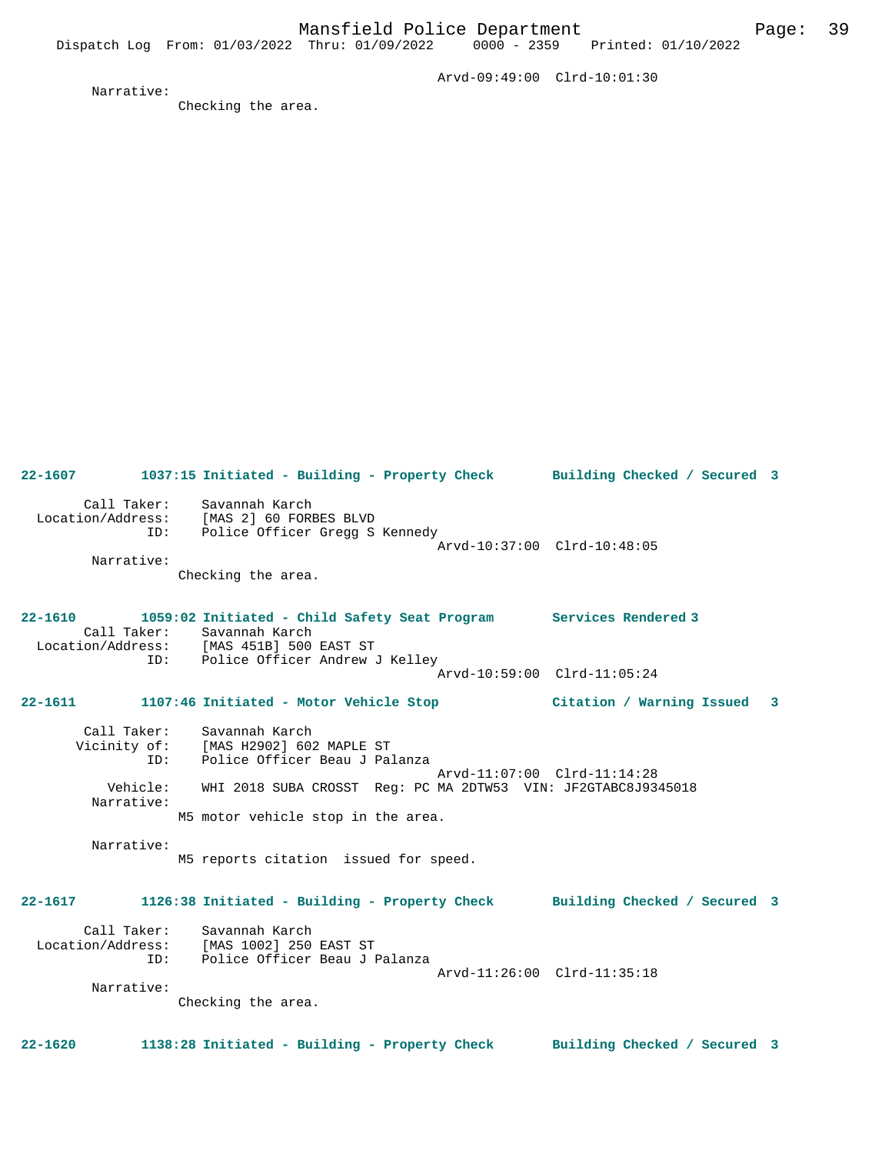Arvd-09:49:00 Clrd-10:01:30

Narrative:

Checking the area.

**22-1607 1037:15 Initiated - Building - Property Check Building Checked / Secured 3** Call Taker: Savannah Karch Location/Address: [MAS 2] 60 FORBES BLVD ID: Police Officer Gregg S Kennedy Arvd-10:37:00 Clrd-10:48:05 Narrative: Checking the area. **22-1610 1059:02 Initiated - Child Safety Seat Program Services Rendered 3**  Call Taker: Savannah Karch<br>Location/Address: [MAS 451B] 500 EAST ST Location/Address: [MAS 451B] 500 EAST ST ID: Police Officer Andrew J Kelley Arvd-10:59:00 Clrd-11:05:24 **22-1611 1107:46 Initiated - Motor Vehicle Stop Citation / Warning Issued 3** Call Taker: Savannah Karch<br>Vicinity of: [MAS H2902] 602 MAPLE ST Vicinity of: [MAS H2902] 602 MAPLE ST ID: Police Officer Beau J Palanza Arvd-11:07:00 Clrd-11:14:28 Vehicle: WHI 2018 SUBA CROSST Reg: PC MA 2DTW53 VIN: JF2GTABC8J9345018 Narrative: M5 motor vehicle stop in the area. Narrative: M5 reports citation issued for speed. **22-1617 1126:38 Initiated - Building - Property Check Building Checked / Secured 3** Call Taker: Savannah Karch Location/Address: [MAS 1002] 250 EAST ST ID: Police Officer Beau J Palanza Arvd-11:26:00 Clrd-11:35:18 Narrative: Checking the area. **22-1620 1138:28 Initiated - Building - Property Check Building Checked / Secured 3**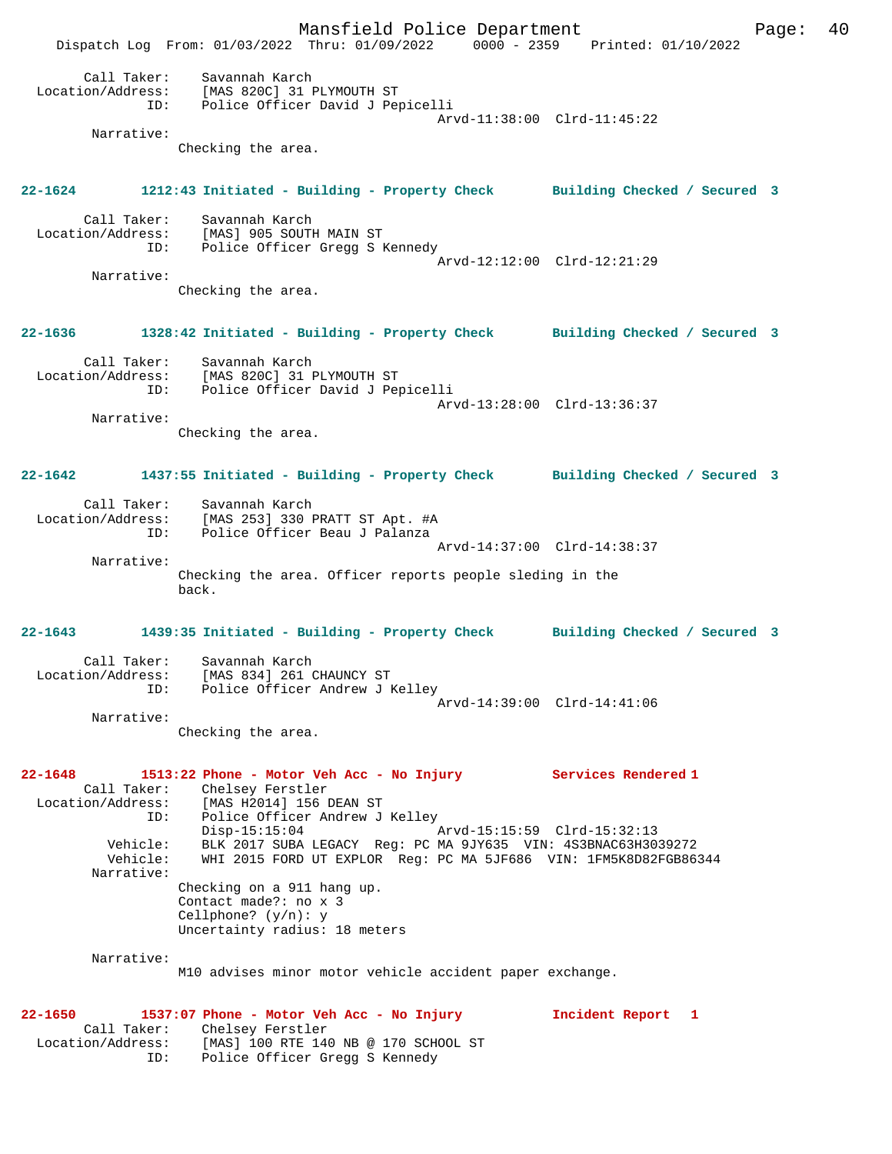Mansfield Police Department Fage: 40 Dispatch Log From: 01/03/2022 Thru: 01/09/2022 0000 - 2359 Printed: 01/10/2022 Call Taker: Savannah Karch Location/Address: [MAS 820C] 31 PLYMOUTH ST ID: Police Officer David J Pepicelli Arvd-11:38:00 Clrd-11:45:22 Narrative: Checking the area. **22-1624 1212:43 Initiated - Building - Property Check Building Checked / Secured 3** Call Taker: Savannah Karch Location/Address: [MAS] 905 SOUTH MAIN ST ID: Police Officer Gregg S Kennedy Arvd-12:12:00 Clrd-12:21:29 Narrative: Checking the area. **22-1636 1328:42 Initiated - Building - Property Check Building Checked / Secured 3** Call Taker: Savannah Karch Location/Address: [MAS 820C] 31 PLYMOUTH ST ID: Police Officer David J Pepicelli Arvd-13:28:00 Clrd-13:36:37 Narrative: Checking the area. **22-1642 1437:55 Initiated - Building - Property Check Building Checked / Secured 3** Call Taker: Savannah Karch Location/Address: [MAS 253] 330 PRATT ST Apt. #A ID: Police Officer Beau J Palanza Arvd-14:37:00 Clrd-14:38:37 Narrative: Checking the area. Officer reports people sleding in the back. **22-1643 1439:35 Initiated - Building - Property Check Building Checked / Secured 3** Call Taker: Savannah Karch Location/Address: [MAS 834] 261 CHAUNCY ST ID: Police Officer Andrew J Kelley Arvd-14:39:00 Clrd-14:41:06 Narrative: Checking the area. **22-1648 1513:22 Phone - Motor Veh Acc - No Injury Services Rendered 1**  Call Taker: Chelsey Ferstler<br>Location/Address: [MAS H2014] 156 I [MAS H2014] 156 DEAN ST ID: Police Officer Andrew J Kelley Disp-15:15:04 Arvd-15:15:59 Clrd-15:32:13<br>Vehicle: BLK 2017 SUBA LEGACY Reg: PC MA 9JY635 VIN: 4S3BNAC63H30 Vehicle: BLK 2017 SUBA LEGACY Reg: PC MA 9JY635 VIN: 4S3BNAC63H3039272 Vehicle: WHI 2015 FORD UT EXPLOR Reg: PC MA 5JF686 VIN: 1FM5K8D82FGB86344 Narrative: Checking on a 911 hang up. Contact made?: no x 3 Cellphone? (y/n): y Uncertainty radius: 18 meters Narrative: M10 advises minor motor vehicle accident paper exchange. **22-1650 1537:07 Phone - Motor Veh Acc - No Injury Incident Report 1**  Call Taker: Chelsey Ferstler Location/Address: [MAS] 100 RTE 140 NB @ 170 SCHOOL ST ID: Police Officer Gregg S Kennedy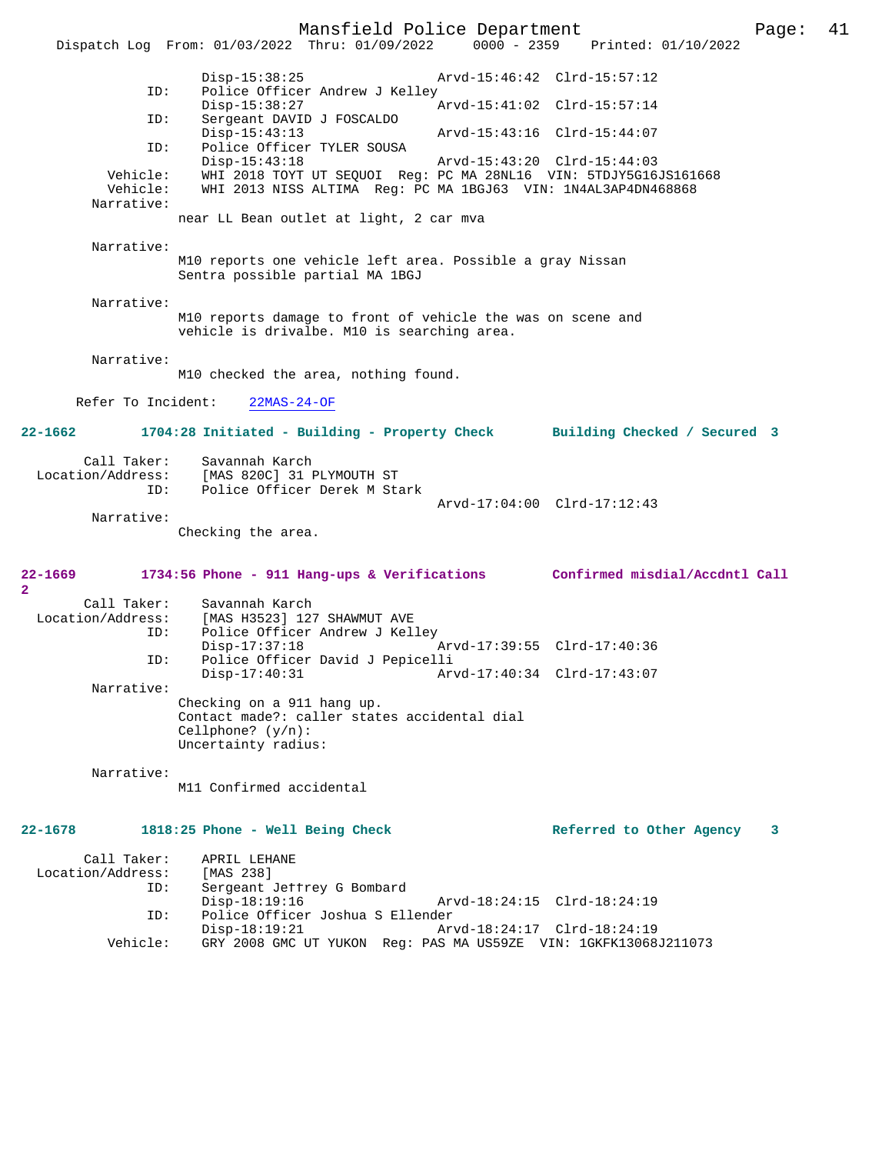Mansfield Police Department Page: 41 Dispatch Log From: 01/03/2022 Thru: 01/09/2022 Disp-15:38:25 Arvd-15:46:42 Clrd-15:57:12 ID: Police Officer Andrew J Kelley<br>Disp-15:38:27 Disp-15:38:27 <br>Th: Sergeant DAVID J FOSCALDO Sergeant DAVID J FOSCALDO<br>Disp-15:43:13 Disp-15:43:13 Arvd-15:43:16 Clrd-15:44:07 ID: Police Officer TYLER SOUSA Disp-15:43:18 Arvd-15:43:20 Clrd-15:44:03 Vehicle: WHI 2018 TOYT UT SEQUOI Reg: PC MA 28NL16 VIN: 5TDJY5G16JS161668 Vehicle: WHI 2013 NISS ALTIMA Reg: PC MA 1BGJ63 VIN: 1N4AL3AP4DN468868 Narrative: near LL Bean outlet at light, 2 car mva Narrative: M10 reports one vehicle left area. Possible a gray Nissan Sentra possible partial MA 1BGJ Narrative: M10 reports damage to front of vehicle the was on scene and vehicle is drivalbe. M10 is searching area. Narrative: M10 checked the area, nothing found. Refer To Incident: 22MAS-24-OF **22-1662 1704:28 Initiated - Building - Property Check Building Checked / Secured 3** Call Taker: Savannah Karch<br>Location/Address: [MAS 820C] 31 1 [MAS 820C] 31 PLYMOUTH ST ID: Police Officer Derek M Stark Arvd-17:04:00 Clrd-17:12:43 Narrative: Checking the area. **22-1669 1734:56 Phone - 911 Hang-ups & Verifications Confirmed misdial/Accdntl Call 2**  Call Taker: Savannah Karch Location/Address: [MAS H3523] 127 SHAWMUT AVE<br>[10] TD: Police Officer Andrew J Kel Police Officer Andrew J Kelley<br>Disp-17:37:18 Disp-17:37:18 Arvd-17:39:55 Clrd-17:40:36<br>ID: Police Officer David J Pepicelli ID: Police Officer David J Pepicelli Disp-17:40:31 Arvd-17:40:34 Clrd-17:43:07 Narrative: Checking on a 911 hang up. Contact made?: caller states accidental dial Cellphone? (y/n): Uncertainty radius: Narrative: M11 Confirmed accidental 22-1678 1818:25 Phone - Well Being Check **Referred to Other Agency** 3 Call Taker: APRIL LEHANE<br>ion/Address: [MAS 238] Location/Address:<br>ID: Sergeant Jeffrey G Bombard Disp-18:19:16 Arvd-18:24:15 Clrd-18:24:19<br>ID: Police Officer Joshua S Ellender Police Officer Joshua S Ellender Disp-18:19:21 Arvd-18:24:17 Clrd-18:24:19 Vehicle: GRY 2008 GMC UT YUKON Reg: PAS MA US59ZE VIN: 1GKFK13068J211073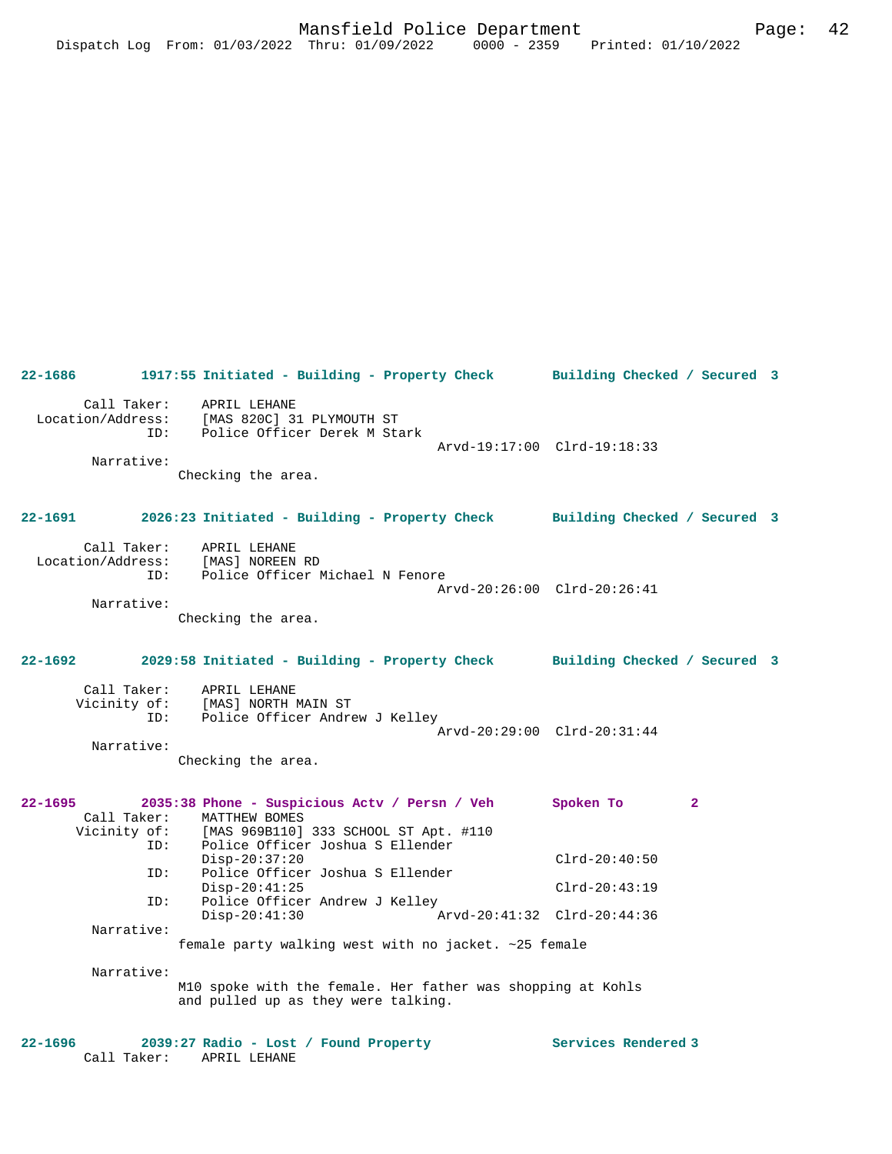**22-1686 1917:55 Initiated - Building - Property Check Building Checked / Secured 3** Call Taker: APRIL LEHANE Location/Address: [MAS 820C] 31 PLYMOUTH ST ID: Police Officer Derek M Stark Arvd-19:17:00 Clrd-19:18:33 Narrative: Checking the area. **22-1691 2026:23 Initiated - Building - Property Check Building Checked / Secured 3** Call Taker: APRIL LEHANE Location/Address: [MAS] NOREEN RD ID: Police Officer Michael N Fenore Arvd-20:26:00 Clrd-20:26:41 Narrative: Checking the area. **22-1692 2029:58 Initiated - Building - Property Check Building Checked / Secured 3** Call Taker: APRIL LEHANE Vicinity of: [MAS] NORTH MAIN ST ID: Police Officer Andrew J Kelley Arvd-20:29:00 Clrd-20:31:44 Narrative: Checking the area. **22-1695 2035:38 Phone - Suspicious Actv / Persn / Veh Spoken To 2**  Call Taker: MATTHEW BOMES<br>Vicinity of: [MAS 969B110] [MAS 969B110] 333 SCHOOL ST Apt. #110 ID: Police Officer Joshua S Ellender Disp-20:37:20 Clrd-20:40:50<br>ID: Police Officer Joshua S Ellender Police Officer Joshua S Ellender Disp-20:41:25 Clrd-20:43:19 ID: Police Officer Andrew J Kelley<br>Disp-20:41:30 A Disp-20:41:30 Arvd-20:41:32 Clrd-20:44:36 Narrative: female party walking west with no jacket. ~25 female Narrative: M10 spoke with the female. Her father was shopping at Kohls and pulled up as they were talking. **22-1696 2039:27 Radio - Lost / Found Property Services Rendered 3**  Call Taker: APRIL LEHANE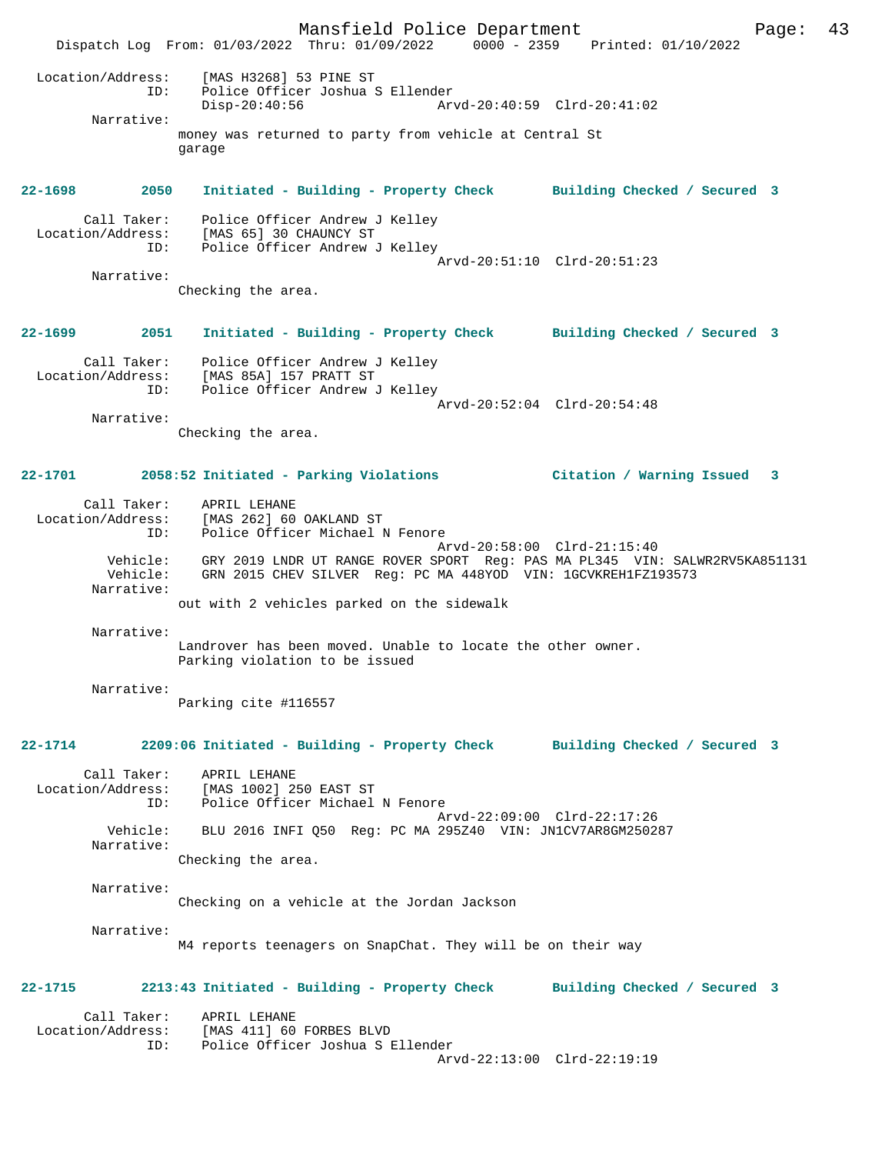Mansfield Police Department Page: 43 Dispatch Log From: 01/03/2022 Thru: 01/09/2022 0000 - 2359 Printed: 01/10/2022 Location/Address: [MAS H3268] 53 PINE ST ID: Police Officer Joshua S Ellender Disp-20:40:56 Arvd-20:40:59 Clrd-20:41:02 Narrative: money was returned to party from vehicle at Central St garage **22-1698 2050 Initiated - Building - Property Check Building Checked / Secured 3** Call Taker: Police Officer Andrew J Kelley Location/Address: [MAS 65] 30 CHAUNCY ST ID: Police Officer Andrew J Kelley Arvd-20:51:10 Clrd-20:51:23 Narrative: Checking the area. **22-1699 2051 Initiated - Building - Property Check Building Checked / Secured 3** Call Taker: Police Officer Andrew J Kelley Location/Address: [MAS 85A] 157 PRATT ST ID: Police Officer Andrew J Kelley Arvd-20:52:04 Clrd-20:54:48 Narrative: Checking the area. **22-1701 2058:52 Initiated - Parking Violations Citation / Warning Issued 3** Call Taker: APRIL LEHANE Location/Address: [MAS 262] 60 OAKLAND ST ID: Police Officer Michael N Fenore<br>Arvd-20:58:00 Clrd-21:15:40 Arvd-20:58:00 Clrd-21:15:40 Vehicle: GRY 2019 LNDR UT RANGE ROVER SPORT Reg: PAS MA PL345 VIN: SALWR2RV5KA851131 Vehicle: GRN 2015 CHEV SILVER Reg: PC MA 448YOD VIN: 1GCVKREH1FZ193573 Narrative: out with 2 vehicles parked on the sidewalk Narrative: Landrover has been moved. Unable to locate the other owner. Parking violation to be issued Narrative: Parking cite #116557 **22-1714 2209:06 Initiated - Building - Property Check Building Checked / Secured 3** Call Taker: APRIL LEHANE Location/Address: [MAS 1002] 250 EAST ST ID: Police Officer Michael N Fenore Arvd-22:09:00 Clrd-22:17:26<br>Vebicle: BLU 2016 INFI 050 Reg: PC MA 295740 VIN: JN1CV7AR8GM25028 Vehicle: BLU 2016 INFI Q50 Reg: PC MA 295Z40 VIN: JN1CV7AR8GM250287 Narrative: Checking the area. Narrative: Checking on a vehicle at the Jordan Jackson Narrative: M4 reports teenagers on SnapChat. They will be on their way **22-1715 2213:43 Initiated - Building - Property Check Building Checked / Secured 3** Call Taker: APRIL LEHANE<br>Location/Address: [MAS 411] 60 Location/Address: [MAS 411] 60 FORBES BLVD ID: Police Officer Joshua S Ellender Arvd-22:13:00 Clrd-22:19:19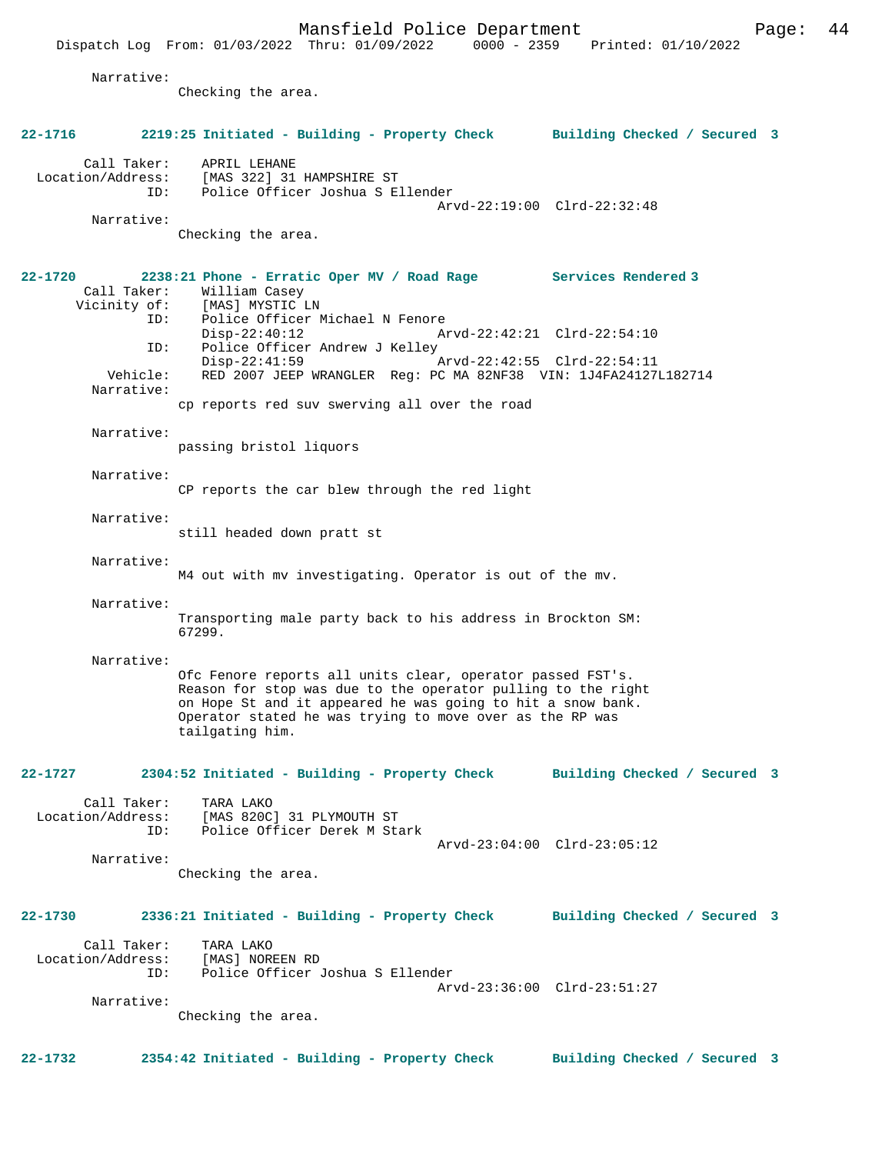$Dispatch$  Log From:  $01/03/2022$  Thru:  $01/09/2022$ 

 Narrative: Checking the area. **22-1716 2219:25 Initiated - Building - Property Check Building Checked / Secured 3** Call Taker: APRIL LEHANE<br>Location/Address: [MAS 322] 31 [MAS 322] 31 HAMPSHIRE ST ID: Police Officer Joshua S Ellender Arvd-22:19:00 Clrd-22:32:48 Narrative: Checking the area. **22-1720 2238:21 Phone - Erratic Oper MV / Road Rage Services Rendered 3**  Call Taker: William Casey Vicinity of: [MAS] MYSTIC LN<br>TD: Police Officer 1 Police Officer Michael N Fenore<br>Disp-22:40:12 A Disp-22:40:12 Arvd-22:42:21 Clrd-22:54:10<br>TD: Police Officer Andrew J Kelley Police Officer Andrew J Kelley<br>Disp-22:41:59 Disp-22:41:59 Arvd-22:42:55 Clrd-22:54:11 Vehicle: RED 2007 JEEP WRANGLER Reg: PC MA 82NF38 VIN: 1J4FA24127L182714 Narrative: cp reports red suv swerving all over the road Narrative: passing bristol liquors Narrative: CP reports the car blew through the red light Narrative: still headed down pratt st Narrative: M4 out with mv investigating. Operator is out of the mv. Narrative: Transporting male party back to his address in Brockton SM: 67299. Narrative: Ofc Fenore reports all units clear, operator passed FST's. Reason for stop was due to the operator pulling to the right on Hope St and it appeared he was going to hit a snow bank. Operator stated he was trying to move over as the RP was tailgating him. **22-1727 2304:52 Initiated - Building - Property Check Building Checked / Secured 3** Call Taker: TARA LAKO Location/Address: [MAS 820C] 31 PLYMOUTH ST Police Officer Derek M Stark Arvd-23:04:00 Clrd-23:05:12 Narrative: Checking the area. **22-1730 2336:21 Initiated - Building - Property Check Building Checked / Secured 3** Call Taker: TARA LAKO<br>.on/Address: [MAS] NOREEN RD Location/Address:<br>ID: Police Officer Joshua S Ellender Arvd-23:36:00 Clrd-23:51:27 Narrative: Checking the area. **22-1732 2354:42 Initiated - Building - Property Check Building Checked / Secured 3**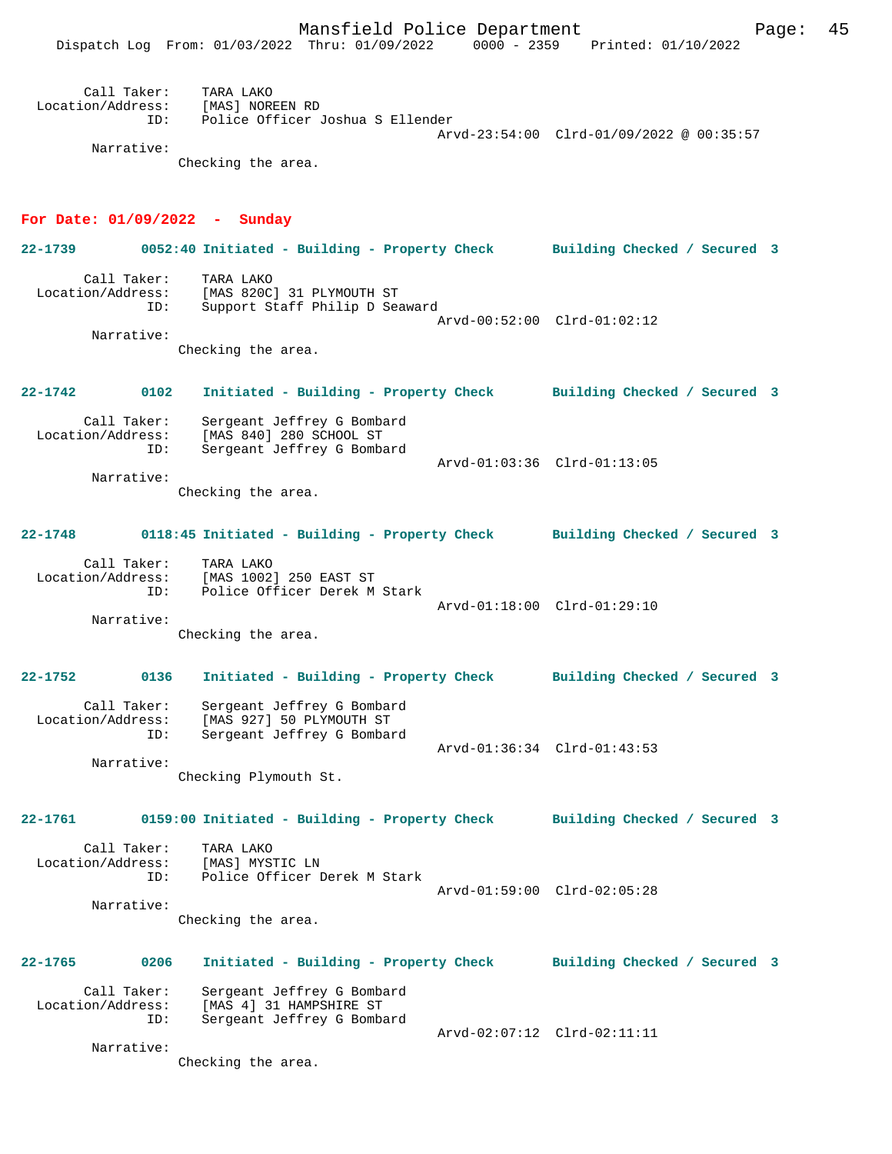Mansfield Police Department Form Page: 45

| Call Taker:<br>Location/Address:<br>TD: | TARA LAKO<br>[MAS] NOREEN RD<br>Police Officer Joshua S Ellender |                                          |
|-----------------------------------------|------------------------------------------------------------------|------------------------------------------|
|                                         |                                                                  | Arvd-23:54:00 Clrd-01/09/2022 @ 00:35:57 |
| Narrative:                              |                                                                  |                                          |

Checking the area.

#### **For Date: 01/09/2022 - Sunday**

**22-1739 0052:40 Initiated - Building - Property Check Building Checked / Secured 3** Call Taker: TARA LAKO<br>Location/Address: [MAS 820C] ess: [MAS 820C] 31 PLYMOUTH ST<br>ID: Support Staff Philip D Sea Support Staff Philip D Seaward Arvd-00:52:00 Clrd-01:02:12 Narrative: Checking the area.

**22-1742 0102 Initiated - Building - Property Check Building Checked / Secured 3** Call Taker: Sergeant Jeffrey G Bombard Location/Address: [MAS 840] 280 SCHOOL ST

 ID: Sergeant Jeffrey G Bombard Arvd-01:03:36 Clrd-01:13:05 Narrative:

Checking the area.

#### **22-1748 0118:45 Initiated - Building - Property Check Building Checked / Secured 3**

Call Taker: TARA LAKO<br>Location/Address: [MAS 1002 [MAS 1002] 250 EAST ST ID: Police Officer Derek M Stark Arvd-01:18:00 Clrd-01:29:10 Narrative:

Checking the area.

## **22-1752 0136 Initiated - Building - Property Check Building Checked / Secured 3** Call Taker: Sergeant Jeffrey G Bombard Location/Address: [MAS 927] 50 PLYMOUTH ST<br>TD: Sergeant Jeffrey G Bombar Sergeant Jeffrey G Bombard Arvd-01:36:34 Clrd-01:43:53

Checking Plymouth St.

#### **22-1761 0159:00 Initiated - Building - Property Check Building Checked / Secured 3**

Call Taker: TARA LAKO<br>.on/Address: [MAS] MYSTIC LN Location/Address:<br>ID: Police Officer Derek M Stark Arvd-01:59:00 Clrd-02:05:28 Narrative:

Checking the area.

## **22-1765 0206 Initiated - Building - Property Check Building Checked / Secured 3** Call Taker: Sergeant Jeffrey G Bombard Location/Address: [MAS 4] 31 HAMPSHIRE ST ID: Sergeant Jeffrey G Bombard Arvd-02:07:12 Clrd-02:11:11

Narrative:

Narrative:

Checking the area.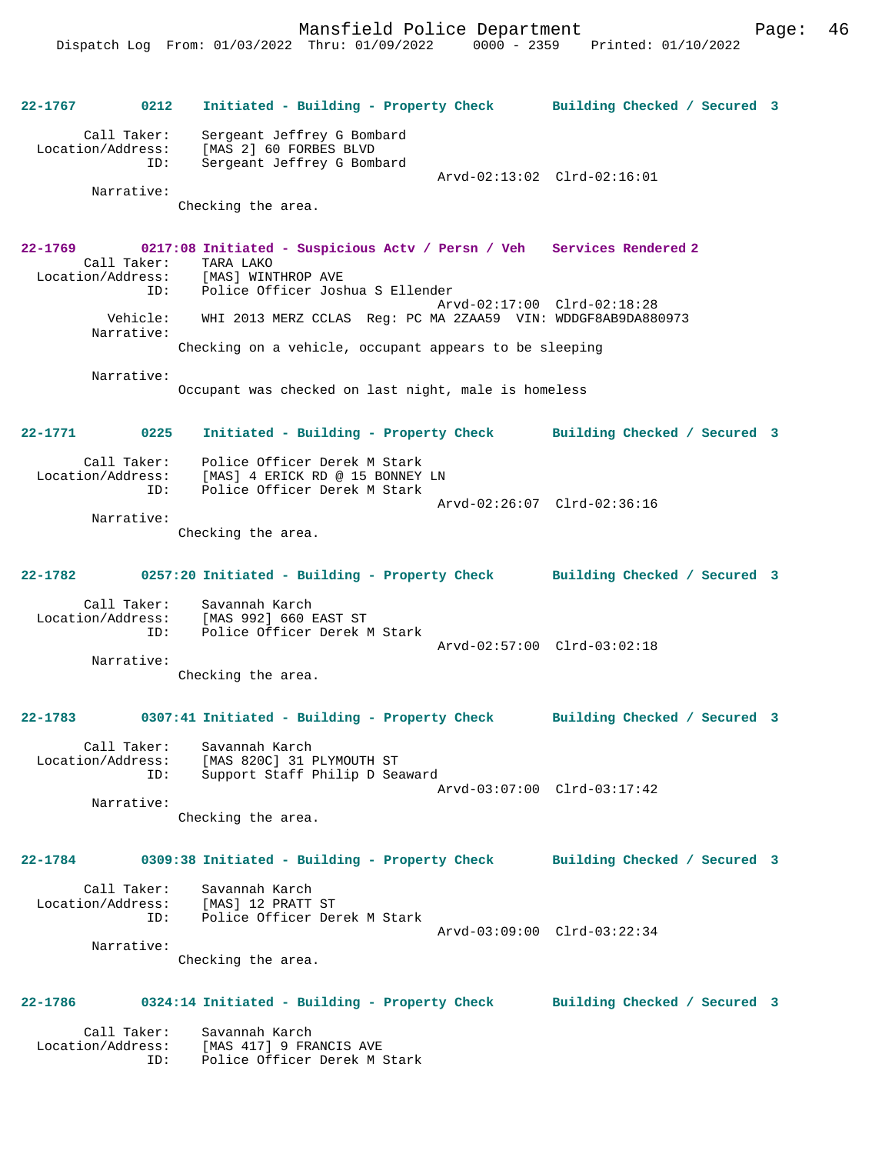Mansfield Police Department Page: 46

**22-1767 0212 Initiated - Building - Property Check Building Checked / Secured 3** Call Taker: Sergeant Jeffrey G Bombard Location/Address: [MAS 2] 60 FORBES BLVD ID: Sergeant Jeffrey G Bombard Arvd-02:13:02 Clrd-02:16:01 Narrative: Checking the area. **22-1769 0217:08 Initiated - Suspicious Actv / Persn / Veh Services Rendered 2**  Call Taker: TARA LAKO<br>Location/Address: [MAS] WINT [MAS] WINTHROP AVE ID: Police Officer Joshua S Ellender Arvd-02:17:00 Clrd-02:18:28 Vehicle: WHI 2013 MERZ CCLAS Reg: PC MA 2ZAA59 VIN: WDDGF8AB9DA880973 Narrative: Checking on a vehicle, occupant appears to be sleeping Narrative: Occupant was checked on last night, male is homeless **22-1771 0225 Initiated - Building - Property Check Building Checked / Secured 3** Call Taker: Police Officer Derek M Stark<br>ion/Address: [Mas] 4 FRICK RD @ 15 PONNEY Location/Address: [MAS] 4 ERICK RD @ 15 BONNEY LN ID: Police Officer Derek M Stark Arvd-02:26:07 Clrd-02:36:16 Narrative: Checking the area. **22-1782 0257:20 Initiated - Building - Property Check Building Checked / Secured 3** Call Taker: Savannah Karch Location/Address: [MAS 992] 660 EAST ST Police Officer Derek M Stark Arvd-02:57:00 Clrd-03:02:18 Narrative: Checking the area. **22-1783 0307:41 Initiated - Building - Property Check Building Checked / Secured 3** Call Taker: Savannah Karch<br>Location/Address: [MAS 820C] 31 PLYMOUTH ST Location/Address: [MAS 820C] 31 PLYMOUTH ST ID: Support Staff Philip D Seaward Arvd-03:07:00 Clrd-03:17:42 Narrative: Checking the area. **22-1784 0309:38 Initiated - Building - Property Check Building Checked / Secured 3** Call Taker: Savannah Karch Location/Address: [MAS] 12 PRATT ST ID: Police Officer Derek M Stark Arvd-03:09:00 Clrd-03:22:34 Narrative: Checking the area. **22-1786 0324:14 Initiated - Building - Property Check Building Checked / Secured 3** Call Taker: Savannah Karch Location/Address: [MAS 417] 9 FRANCIS AVE ID: Police Officer Derek M Stark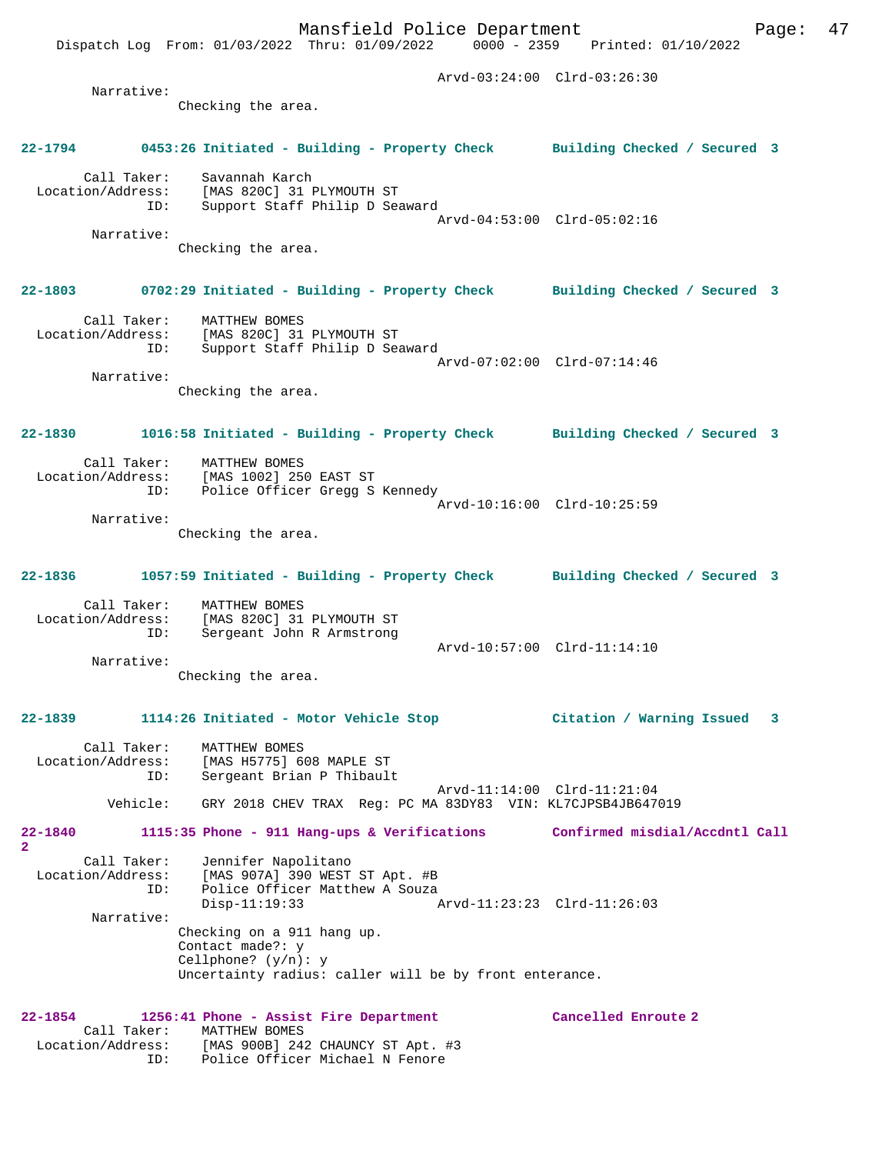Arvd-03:24:00 Clrd-03:26:30 Narrative: Checking the area. **22-1794 0453:26 Initiated - Building - Property Check Building Checked / Secured 3** Call Taker: Savannah Karch Location/Address: [MAS 820C] 31 PLYMOUTH ST ID: Support Staff Philip D Seaward Arvd-04:53:00 Clrd-05:02:16 Narrative: Checking the area. **22-1803 0702:29 Initiated - Building - Property Check Building Checked / Secured 3** Call Taker: MATTHEW BOMES Location/Address: [MAS 820C] 31 PLYMOUTH ST ID: Support Staff Philip D Seaward Arvd-07:02:00 Clrd-07:14:46 Narrative: Checking the area. **22-1830 1016:58 Initiated - Building - Property Check Building Checked / Secured 3** Call Taker: MATTHEW BOMES<br>Location/Address: [MAS 1002] 25 [MAS 1002] 250 EAST ST ESS: ITHE ISSISTED OF THE RESPONDENT TO THE POLICE Officer Gregg S Kennedy Arvd-10:16:00 Clrd-10:25:59 Narrative: Checking the area. **22-1836 1057:59 Initiated - Building - Property Check Building Checked / Secured 3** Call Taker: MATTHEW BOMES Location/Address: [MAS 820C] 31 PLYMOUTH ST ID: Sergeant John R Armstrong Arvd-10:57:00 Clrd-11:14:10 Narrative: Checking the area. **22-1839 1114:26 Initiated - Motor Vehicle Stop Citation / Warning Issued 3** Call Taker: MATTHEW BOMES<br>Location/Address: [MAS H5775] 6 Location/Address: [MAS H5775] 608 MAPLE ST ID: Sergeant Brian P Thibault Arvd-11:14:00 Clrd-11:21:04 Vehicle: GRY 2018 CHEV TRAX Reg: PC MA 83DY83 VIN: KL7CJPSB4JB647019 **22-1840 1115:35 Phone - 911 Hang-ups & Verifications Confirmed misdial/Accdntl Call 2**  Call Taker: Jennifer Napolitano Location/Address: [MAS 907A] 390 WEST ST Apt. #B ID: Police Officer Matthew A Souza<br>Disp-11:19:33 Disp-11:19:33 Arvd-11:23:23 Clrd-11:26:03 Narrative: Checking on a 911 hang up. Contact made?: y Cellphone? (y/n): y Uncertainty radius: caller will be by front enterance. **22-1854 1256:41 Phone - Assist Fire Department Cancelled Enroute 2**  Call Taker: MATTHEW BOMES Location/Address: [MAS 900B] 242 CHAUNCY ST Apt. #3 ID: Police Officer Michael N Fenore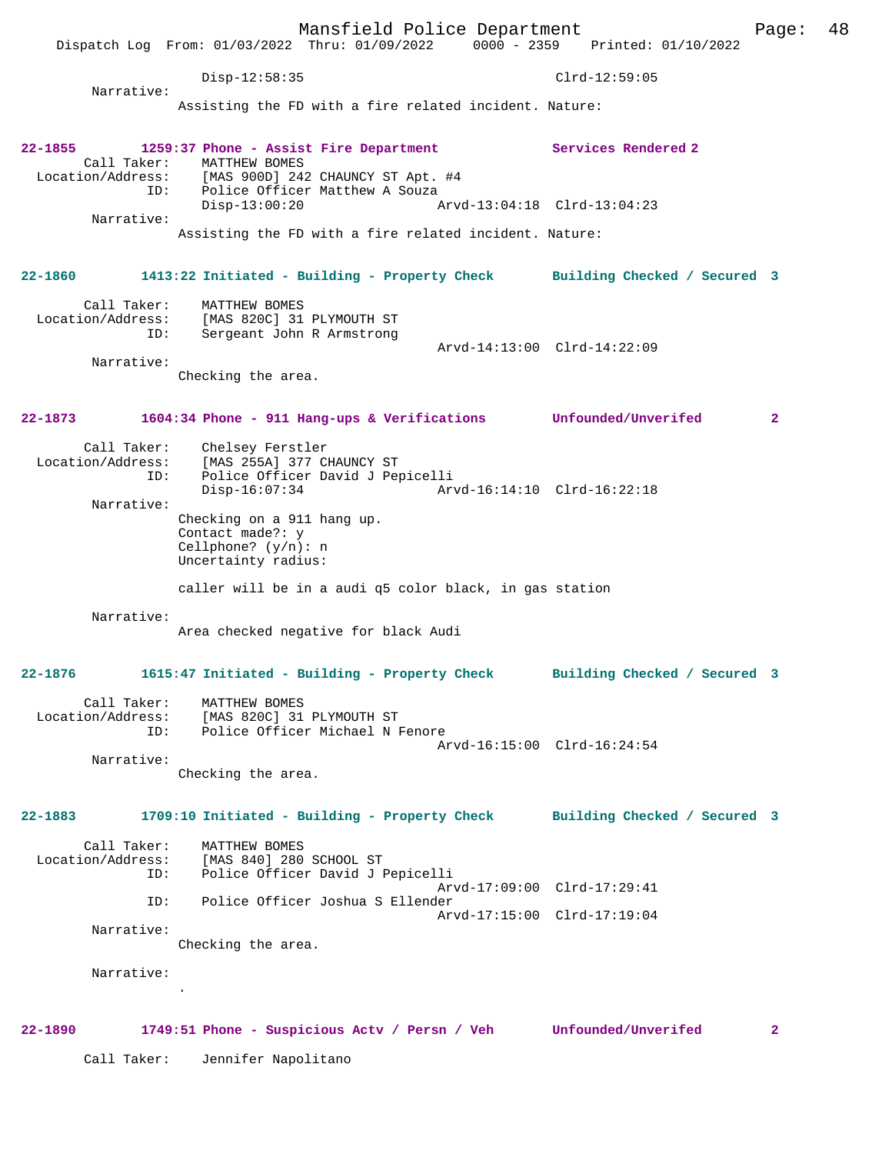Mansfield Police Department Page: 48 Dispatch Log From: 01/03/2022 Thru: 01/09/2022 0000 - 2359 Printed: 01/10/2022 Disp-12:58:35 Clrd-12:59:05 Narrative: Assisting the FD with a fire related incident. Nature: **22-1855 1259:37 Phone - Assist Fire Department Services Rendered 2**  Call Taker: MATTHEW BOMES<br>Location/Address: [MAS 900D] 24: Location/Address: [MAS 900D] 242 CHAUNCY ST Apt. #4 ID: Police Officer Matthew A Souza Disp-13:00:20 Arvd-13:04:18 Clrd-13:04:23 Narrative: Assisting the FD with a fire related incident. Nature: **22-1860 1413:22 Initiated - Building - Property Check Building Checked / Secured 3** Call Taker: MATTHEW BOMES Location/Address: [MAS 820C] 31 PLYMOUTH ST ID: Sergeant John R Armstrong Arvd-14:13:00 Clrd-14:22:09 Narrative: Checking the area. **22-1873 1604:34 Phone - 911 Hang-ups & Verifications Unfounded/Unverifed 2** Call Taker: Chelsey Ferstler<br>Location/Address: [MAS 255A] 377 CH Location/Address: [MAS 255A] 377 CHAUNCY ST ID: Police Officer David J Pepicelli Disp-16:07:34 Arvd-16:14:10 Clrd-16:22:18 Narrative: Checking on a 911 hang up. Contact made?: y Cellphone? (y/n): n Uncertainty radius: caller will be in a audi q5 color black, in gas station Narrative: Area checked negative for black Audi **22-1876 1615:47 Initiated - Building - Property Check Building Checked / Secured 3** Call Taker: MATTHEW BOMES Location/Address: [MAS 820C] 31 PLYMOUTH ST ID: Police Officer Michael N Fenore Arvd-16:15:00 Clrd-16:24:54 Narrative: Checking the area. **22-1883 1709:10 Initiated - Building - Property Check Building Checked / Secured 3** Call Taker: MATTHEW BOMES<br>Location/Address: [MAS 840] 280 [MAS 840] 280 SCHOOL ST ID: Police Officer David J Pepicelli Arvd-17:09:00 Clrd-17:29:41 ID: Police Officer Joshua S Ellender Arvd-17:15:00 Clrd-17:19:04 Narrative: Checking the area. Narrative: . **22-1890 1749:51 Phone - Suspicious Actv / Persn / Veh Unfounded/Unverifed 2** Call Taker: Jennifer Napolitano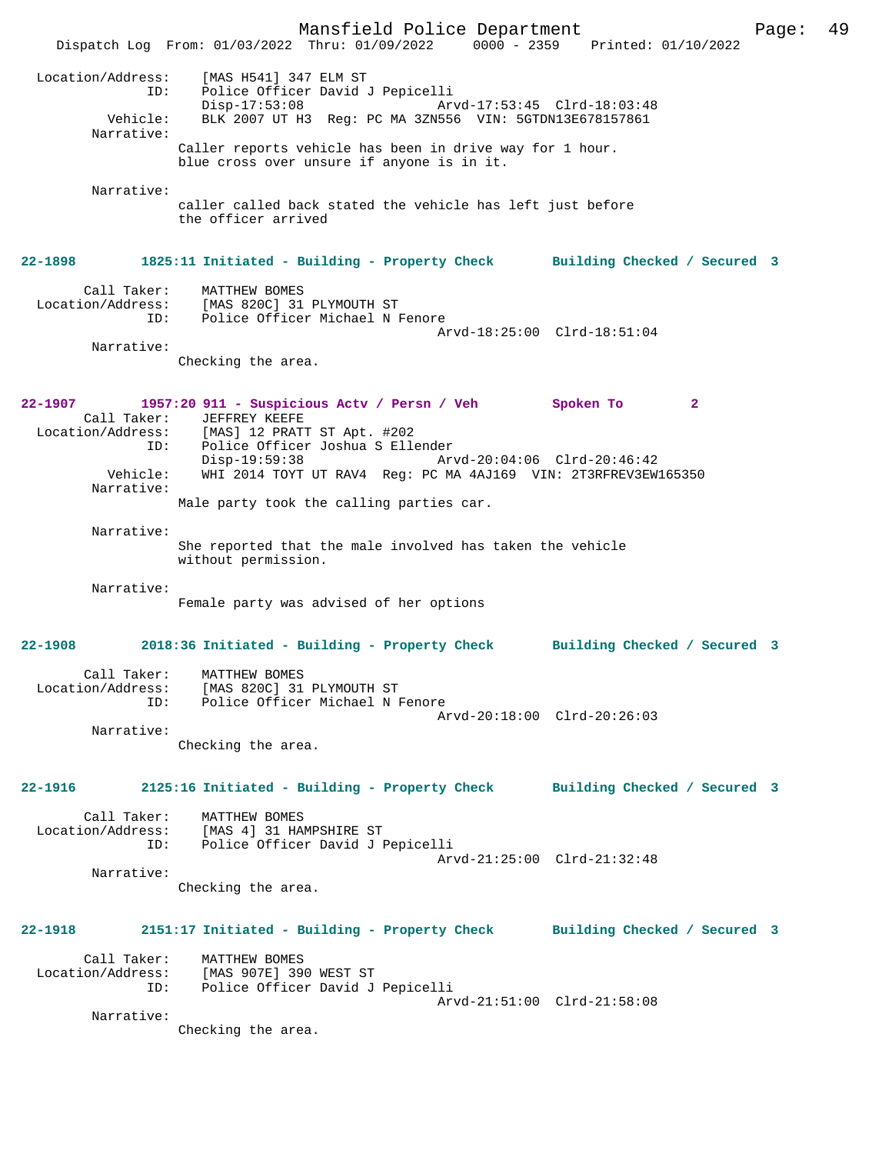Mansfield Police Department Fage: 49 Dispatch Log From: 01/03/2022 Thru: 01/09/2022 0000 - 2359 Printed: 01/10/2022 Location/Address: [MAS H541] 347 ELM ST ID: Police Officer David J Pepicelli Disp-17:53:08 Arvd-17:53:45 Clrd-18:03:48<br>Vehicle: BLK 2007 UT H3 Reg: PC MA 3ZN556 VIN: 5GTDN13E678157861 BLK 2007 UT H3 Reg: PC MA 3ZN556 VIN: 5GTDN13E678157861 Narrative: Caller reports vehicle has been in drive way for 1 hour. blue cross over unsure if anyone is in it. Narrative: caller called back stated the vehicle has left just before the officer arrived **22-1898 1825:11 Initiated - Building - Property Check Building Checked / Secured 3** Call Taker: MATTHEW BOMES Location/Address: [MAS 820C] 31 PLYMOUTH ST ID: Police Officer Michael N Fenore Arvd-18:25:00 Clrd-18:51:04 Narrative: Checking the area. **22-1907 1957:20 911 - Suspicious Actv / Persn / Veh Spoken To 2**  Call Taker: JEFFREY KEEFE Location/Address: [MAS] 12 PRATT ST Apt. #202 Police Officer Joshua S Ellender Disp-19:59:38 Arvd-20:04:06 Clrd-20:46:42<br>Vehicle: WHI 2014 TOYT UT RAV4 Req: PC MA 4AJ169 VIN: 2T3REREV3EW WHI 2014 TOYT UT RAV4 Reg: PC MA 4AJ169 VIN: 2T3RFREV3EW165350 Narrative: Male party took the calling parties car. Narrative: She reported that the male involved has taken the vehicle without permission. Narrative: Female party was advised of her options **22-1908 2018:36 Initiated - Building - Property Check Building Checked / Secured 3** Call Taker: MATTHEW BOMES Location/Address: [MAS 820C] 31 PLYMOUTH ST ID: Police Officer Michael N Fenore Arvd-20:18:00 Clrd-20:26:03 Narrative: Checking the area. **22-1916 2125:16 Initiated - Building - Property Check Building Checked / Secured 3** Call Taker: MATTHEW BOMES<br>Location/Address: [MAS 4] 31 HAM [MAS 4] 31 HAMPSHIRE ST ID: Police Officer David J Pepicelli Arvd-21:25:00 Clrd-21:32:48 Narrative: Checking the area. **22-1918 2151:17 Initiated - Building - Property Check Building Checked / Secured 3** Call Taker: MATTHEW BOMES Location/Address: [MAS 907E] 390 WEST ST ID: Police Officer David J Pepicelli Arvd-21:51:00 Clrd-21:58:08 Narrative: Checking the area.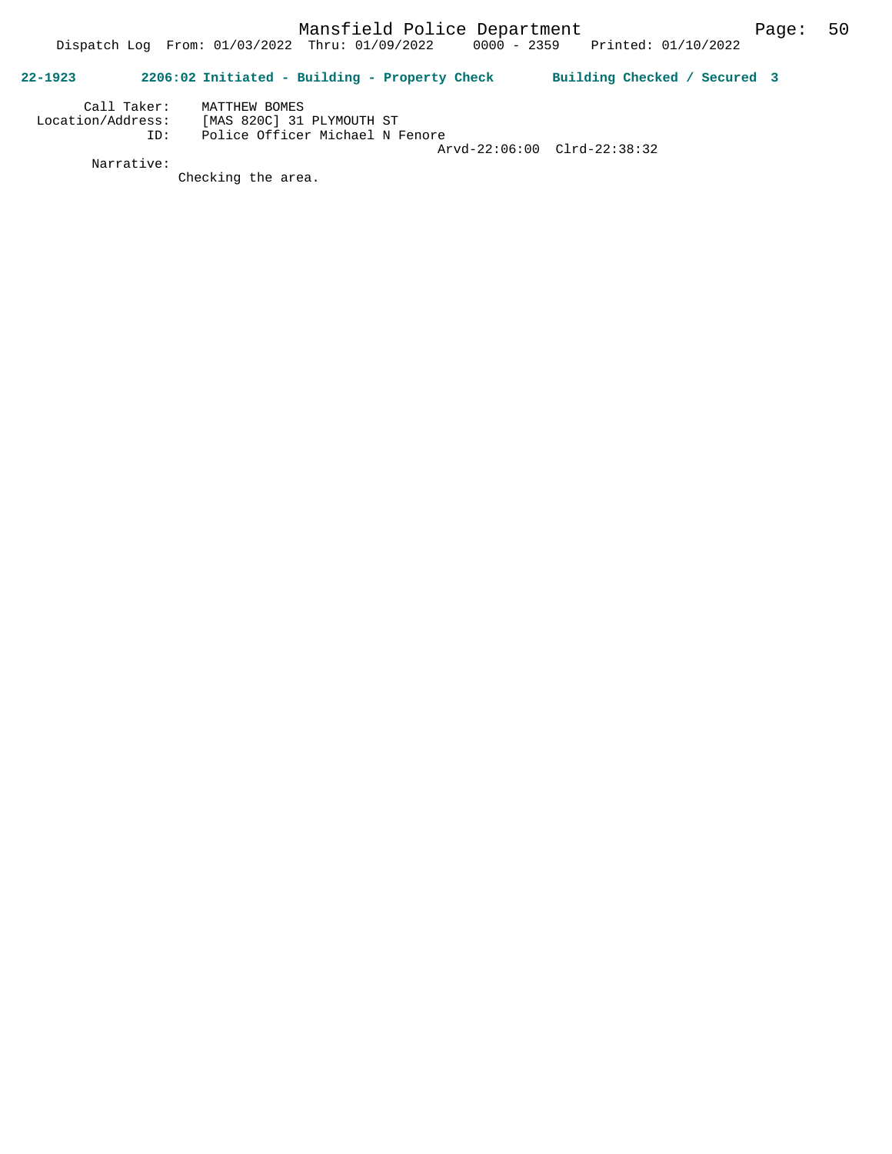## **22-1923 2206:02 Initiated - Building - Property Check Building Checked / Secured 3**

| Call Taker:       | MATTHEW BOMES                   |  |
|-------------------|---------------------------------|--|
| Location/Address: | [MAS 820C] 31 PLYMOUTH ST       |  |
| TD:               | Police Officer Michael N Fenore |  |
|                   | Arvd-22:06:00 Clrd-22:38:32     |  |

Narrative:

Checking the area.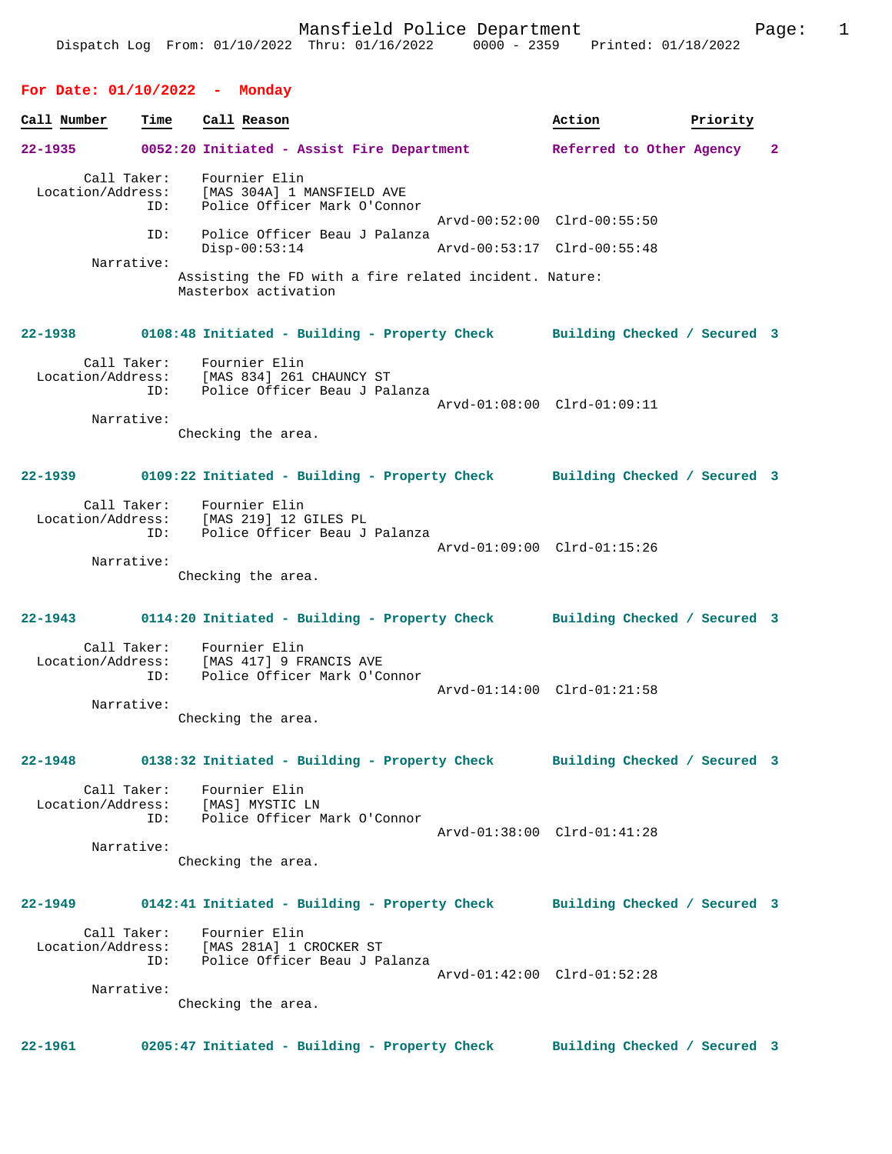| Call Number | Time                                    | Call Reason                                                                                           | Action                                                     | Priority |   |
|-------------|-----------------------------------------|-------------------------------------------------------------------------------------------------------|------------------------------------------------------------|----------|---|
| $22 - 1935$ |                                         | 0052:20 Initiated - Assist Fire Department                                                            | Referred to Other Agency                                   |          | 2 |
|             | Call Taker:<br>Location/Address:<br>ID: | Fournier Elin<br>[MAS 304A] 1 MANSFIELD AVE<br>Police Officer Mark O'Connor                           |                                                            |          |   |
|             | ID:                                     | Police Officer Beau J Palanza<br>$Disp-00:53:14$                                                      | Arvd-00:52:00 Clrd-00:55:50<br>Arvd-00:53:17 Clrd-00:55:48 |          |   |
|             | Narrative:                              |                                                                                                       |                                                            |          |   |
|             |                                         | Assisting the FD with a fire related incident. Nature:<br>Masterbox activation                        |                                                            |          |   |
| 22-1938     |                                         | 0108:48 Initiated - Building - Property Check Building Checked / Secured 3                            |                                                            |          |   |
|             | Call Taker:<br>ID:                      | Fournier Elin<br>Location/Address: [MAS 834] 261 CHAUNCY ST<br>Police Officer Beau J Palanza          | Arvd-01:08:00 Clrd-01:09:11                                |          |   |
|             | Narrative:                              | Checking the area.                                                                                    |                                                            |          |   |
|             |                                         |                                                                                                       |                                                            |          |   |
| $22 - 1939$ |                                         | 0109:22 Initiated - Building - Property Check Building Checked / Secured 3                            |                                                            |          |   |
|             | ID:                                     | Call Taker: Fournier Elin<br>Location/Address: [MAS 219] 12 GILES PL<br>Police Officer Beau J Palanza |                                                            |          |   |
|             | Narrative:                              |                                                                                                       | Arvd-01:09:00 Clrd-01:15:26                                |          |   |
|             |                                         | Checking the area.                                                                                    |                                                            |          |   |
| 22-1943     |                                         | 0114:20 Initiated - Building - Property Check Building Checked / Secured 3                            |                                                            |          |   |
|             | Call Taker:<br>Location/Address:<br>ID: | Fournier Elin<br>[MAS 417] 9 FRANCIS AVE<br>Police Officer Mark O'Connor                              |                                                            |          |   |
|             | Narrative:                              |                                                                                                       | Arvd-01:14:00 Clrd-01:21:58                                |          |   |
|             |                                         | Checking the area.                                                                                    |                                                            |          |   |
| 22-1948     |                                         | 0138:32 Initiated - Building - Property Check                                                         | Building Checked / Secured 3                               |          |   |
|             | Call Taker:                             | Fournier Elin<br>Location/Address: [MAS] MYSTIC LN<br>ID: Police Officer Mark O'Connor                |                                                            |          |   |
|             | Narrative:                              |                                                                                                       | Arvd-01:38:00 Clrd-01:41:28                                |          |   |
|             |                                         | Checking the area.                                                                                    |                                                            |          |   |
| $22 - 1949$ |                                         | 0142:41 Initiated - Building - Property Check Building Checked / Secured 3                            |                                                            |          |   |
|             | Location/Address:<br>ID:                | Call Taker: Fournier Elin<br>[MAS 281A] 1 CROCKER ST<br>Police Officer Beau J Palanza                 |                                                            |          |   |
|             | Narrative:                              |                                                                                                       | Arvd-01:42:00 Clrd-01:52:28                                |          |   |
|             |                                         | Checking the area.                                                                                    |                                                            |          |   |
| 22-1961     |                                         | 0205:47 Initiated - Building - Property Check                                                         | Building Checked / Secured 3                               |          |   |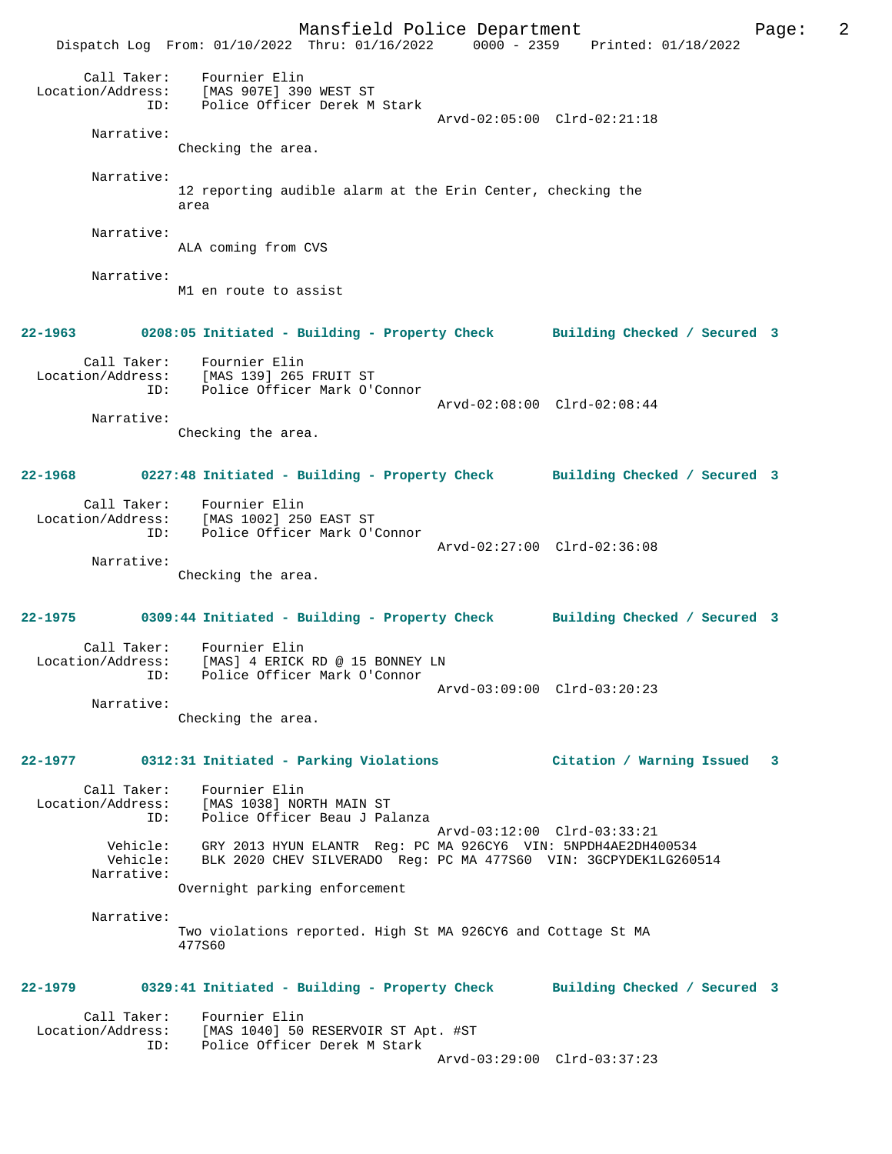Mansfield Police Department The Rage: 2 Dispatch Log From: 01/10/2022 Thru: 01/16/2022 0000 - 2359 Printed: 01/18/2022 Call Taker: Fournier Elin Location/Address: [MAS 907E] 390 WEST ST ID: Police Officer Derek M Stark Arvd-02:05:00 Clrd-02:21:18 Narrative: Checking the area. Narrative: 12 reporting audible alarm at the Erin Center, checking the area Narrative: ALA coming from CVS Narrative: M1 en route to assist **22-1963 0208:05 Initiated - Building - Property Check Building Checked / Secured 3** Call Taker: Fournier Elin Location/Address: [MAS 139] 265 FRUIT ST ID: Police Officer Mark O'Connor Arvd-02:08:00 Clrd-02:08:44 Narrative: Checking the area. **22-1968 0227:48 Initiated - Building - Property Check Building Checked / Secured 3** Call Taker: Fournier Elin Location/Address: [MAS 1002] 250 EAST ST ID: Police Officer Mark O'Connor Arvd-02:27:00 Clrd-02:36:08 Narrative: Checking the area. **22-1975 0309:44 Initiated - Building - Property Check Building Checked / Secured 3** Call Taker: Fournier Elin<br>Location/Address: [MAS] 4 ERICK ess: [MAS] 4 ERICK RD @ 15 BONNEY LN<br>ID: Police Officer Mark O'Connor Inner.<br>Police Officer Mark O'Connor Arvd-03:09:00 Clrd-03:20:23 Narrative: Checking the area. **22-1977 0312:31 Initiated - Parking Violations Citation / Warning Issued 3** Call Taker: Fournier Elin Location/Address: [MAS 1038] NORTH MAIN ST ID: Police Officer Beau J Palanza Arvd-03:12:00 Clrd-03:33:21 Vehicle: GRY 2013 HYUN ELANTR Reg: PC MA 926CY6 VIN: 5NPDH4AE2DH400534 Vehicle: BLK 2020 CHEV SILVERADO Reg: PC MA 477S60 VIN: 3GCPYDEK1LG260514 Narrative: Overnight parking enforcement Narrative: Two violations reported. High St MA 926CY6 and Cottage St MA 477S60 **22-1979 0329:41 Initiated - Building - Property Check Building Checked / Secured 3** Call Taker: Fournier Elin<br>Location/Address: [MAS 1040] 50 Location/Address: [MAS 1040] 50 RESERVOIR ST Apt. #ST ID: Police Officer Derek M Stark Arvd-03:29:00 Clrd-03:37:23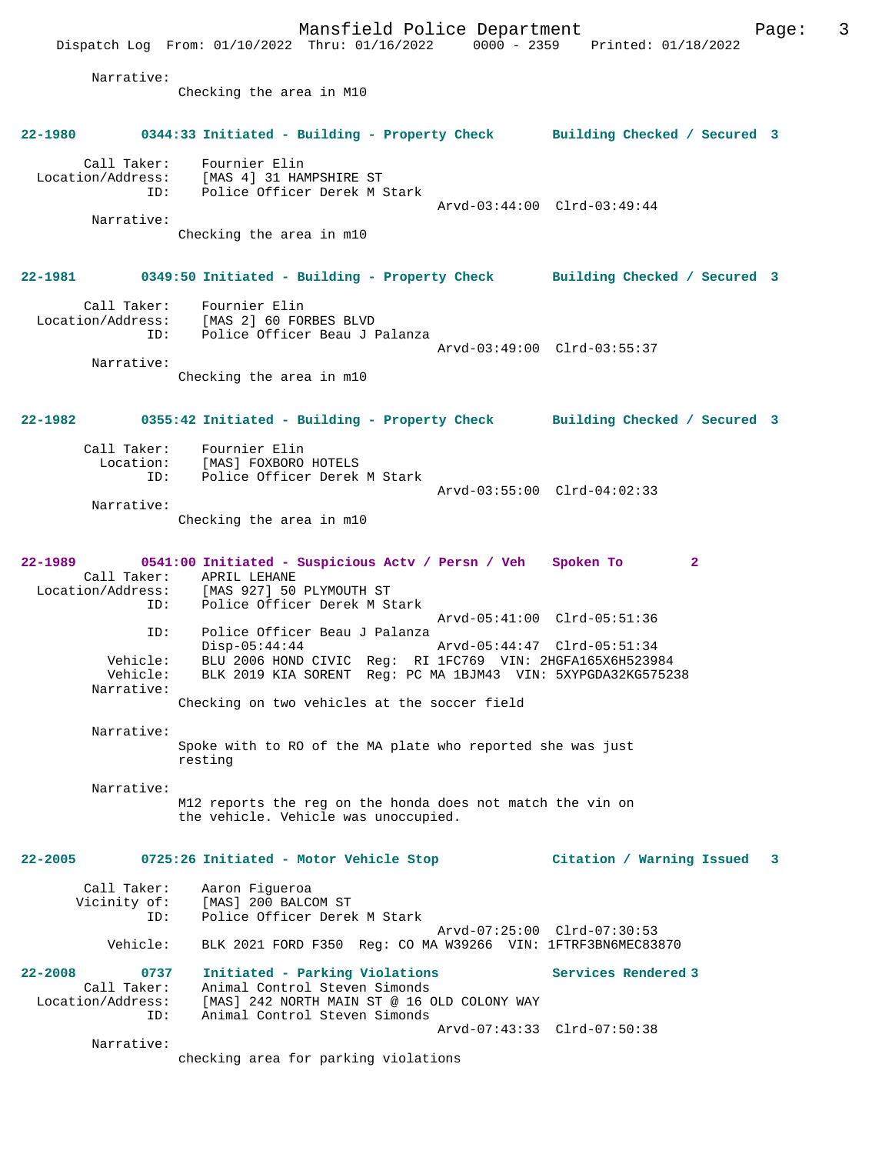Mansfield Police Department Page: 3 Dispatch Log From: 01/10/2022 Thru: 01/16/2022 0000 - 2359 Printed: 01/18/2022 Narrative: Checking the area in M10 **22-1980 0344:33 Initiated - Building - Property Check Building Checked / Secured 3** Call Taker: Fournier Elin Location/Address: [MAS 4] 31 HAMPSHIRE ST ID: Police Officer Derek M Stark Arvd-03:44:00 Clrd-03:49:44 Narrative: Checking the area in m10 **22-1981 0349:50 Initiated - Building - Property Check Building Checked / Secured 3** Call Taker: Fournier Elin Location/Address: [MAS 2] 60 FORBES BLVD ID: Police Officer Beau J Palanza Arvd-03:49:00 Clrd-03:55:37 Narrative: Checking the area in m10 **22-1982 0355:42 Initiated - Building - Property Check Building Checked / Secured 3** Call Taker: Fournier Elin<br>Location: [MAS] FOXBORO [MAS] FOXBORO HOTELS ID: Police Officer Derek M Stark Arvd-03:55:00 Clrd-04:02:33 Narrative: Checking the area in m10 **22-1989 0541:00 Initiated - Suspicious Actv / Persn / Veh Spoken To 2**  Call Taker: APRIL LEHANE Location/Address: [MAS 927] 50 PLYMOUTH ST ID: Police Officer Derek M Stark Arvd-05:41:00 Clrd-05:51:36 ID: Police Officer Beau J Palanza<br>Disp-05:44:44<br>Ne: PIU 2006 HILE Disp-05:44:44 Arvd-05:44:47 Clrd-05:51:34<br>Vehicle: BLU 2006 HOND CIVIC Req: RI 1FC769 VIN: 2HGFA165X6H52398 BLU 2006 HOND CIVIC Reg: RI 1FC769 VIN: 2HGFA165X6H523984 Vehicle: BLK 2019 KIA SORENT Reg: PC MA 1BJM43 VIN: 5XYPGDA32KG575238 Narrative: Checking on two vehicles at the soccer field Narrative: Spoke with to RO of the MA plate who reported she was just resting Narrative: M12 reports the reg on the honda does not match the vin on the vehicle. Vehicle was unoccupied. **22-2005 0725:26 Initiated - Motor Vehicle Stop Citation / Warning Issued 3** Call Taker: Aaron Figueroa<br>Vicinity of: [MAS] 200 BALC of: [MAS] 200 BALCOM ST<br>ID: Police Officer Derek Police Officer Derek M Stark Arvd-07:25:00 Clrd-07:30:53 Vehicle: BLK 2021 FORD F350 Reg: CO MA W39266 VIN: 1FTRF3BN6MEC83870 **22-2008 0737 Initiated - Parking Violations Services Rendered 3**  Call Taker: Animal Control Steven Simonds<br>Location/Address: [MAS] 242 NORTH MAIN ST @ 16 0 ess: [MAS] 242 NORTH MAIN ST @ 16 OLD COLONY WAY<br>ID: Animal Control Steven Simonds Animal Control Steven Simonds Arvd-07:43:33 Clrd-07:50:38 Narrative: checking area for parking violations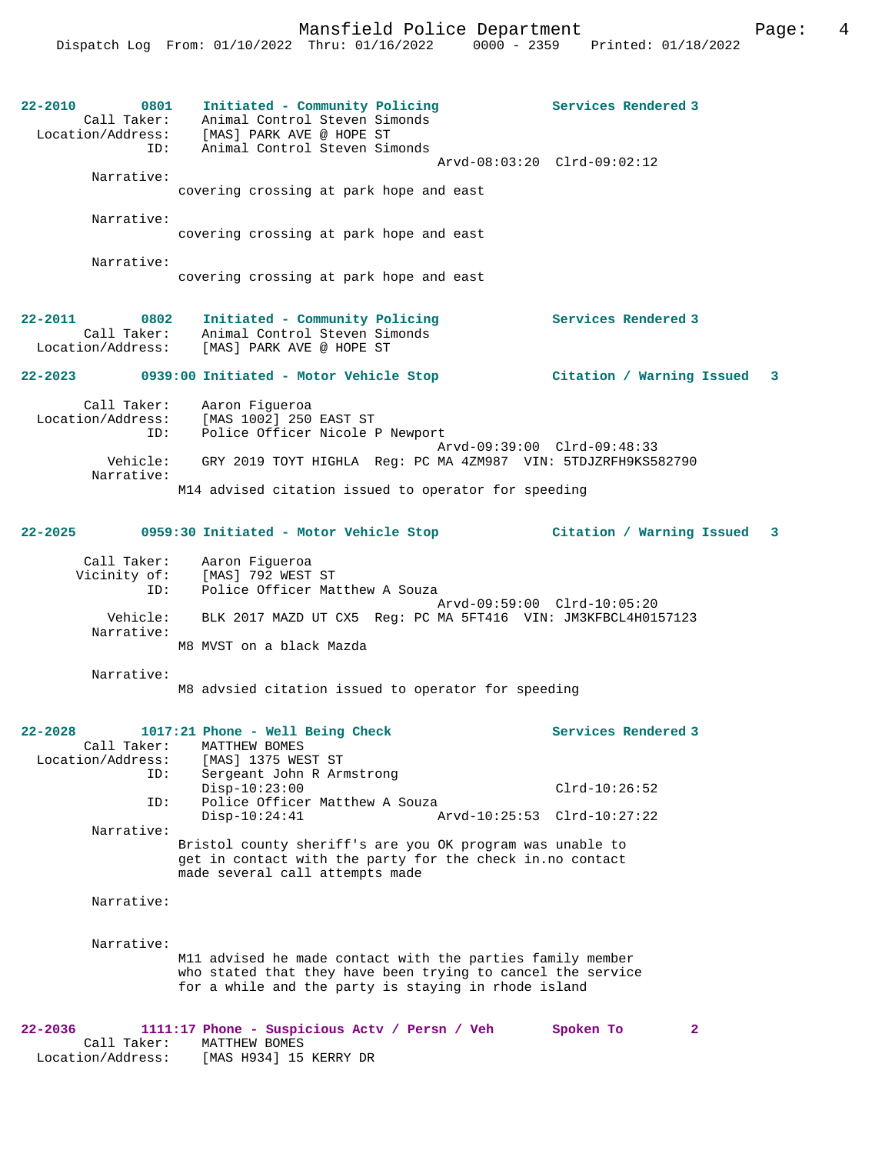22-2010 **0801** Initiated - Community Policing **Services Rendered 3**  Call Taker: Animal Control Steven Simonds Location/Address: [MAS] PARK AVE @ HOPE ST ID: Animal Control Steven Simonds Arvd-08:03:20 Clrd-09:02:12 Narrative: covering crossing at park hope and east Narrative: covering crossing at park hope and east Narrative: covering crossing at park hope and east **22-2011 0802 Initiated - Community Policing Services Rendered 3**  Call Taker: Animal Control Steven Simonds Location/Address: [MAS] PARK AVE @ HOPE ST **22-2023 0939:00 Initiated - Motor Vehicle Stop Citation / Warning Issued 3** Call Taker: Aaron Figueroa Location/Address: [MAS 1002] 250 EAST ST ID: Police Officer Nicole P Newport Arvd-09:39:00 Clrd-09:48:33<br>Vehicle: GRY 2019 TOYT HIGHLA Req: PC MA 4ZM987 VIN: 5TDJZRFH9KS58 GRY 2019 TOYT HIGHLA Reg: PC MA 4ZM987 VIN: 5TDJZRFH9KS582790 Narrative: M14 advised citation issued to operator for speeding **22-2025 0959:30 Initiated - Motor Vehicle Stop Citation / Warning Issued 3** Call Taker: Aaron Figueroa Vicinity of: [MAS] 792 WEST ST ID: Police Officer Matthew A Souza Arvd-09:59:00 Clrd-10:05:20 Vehicle: BLK 2017 MAZD UT CX5 Reg: PC MA 5FT416 VIN: JM3KFBCL4H0157123 Narrative: M8 MVST on a black Mazda Narrative: M8 advsied citation issued to operator for speeding **22-2028 1017:21 Phone - Well Being Check Services Rendered 3**  Call Taker: MATTHEW BOMES Location/Address: [MAS] 1375 WEST ST ID: Sergeant John R Armstrong Disp-10:23:00 Clrd-10:26:52 ID: Police Officer Matthew A Souza<br>Disp-10:24:41 A Disp-10:24:41 Arvd-10:25:53 Clrd-10:27:22 Narrative: Bristol county sheriff's are you OK program was unable to get in contact with the party for the check in.no contact made several call attempts made Narrative: Narrative: M11 advised he made contact with the parties family member who stated that they have been trying to cancel the service for a while and the party is staying in rhode island **22-2036 1111:17 Phone - Suspicious Actv / Persn / Veh Spoken To 2**  Call Taker: MATTHEW BOMES

Location/Address: [MAS H934] 15 KERRY DR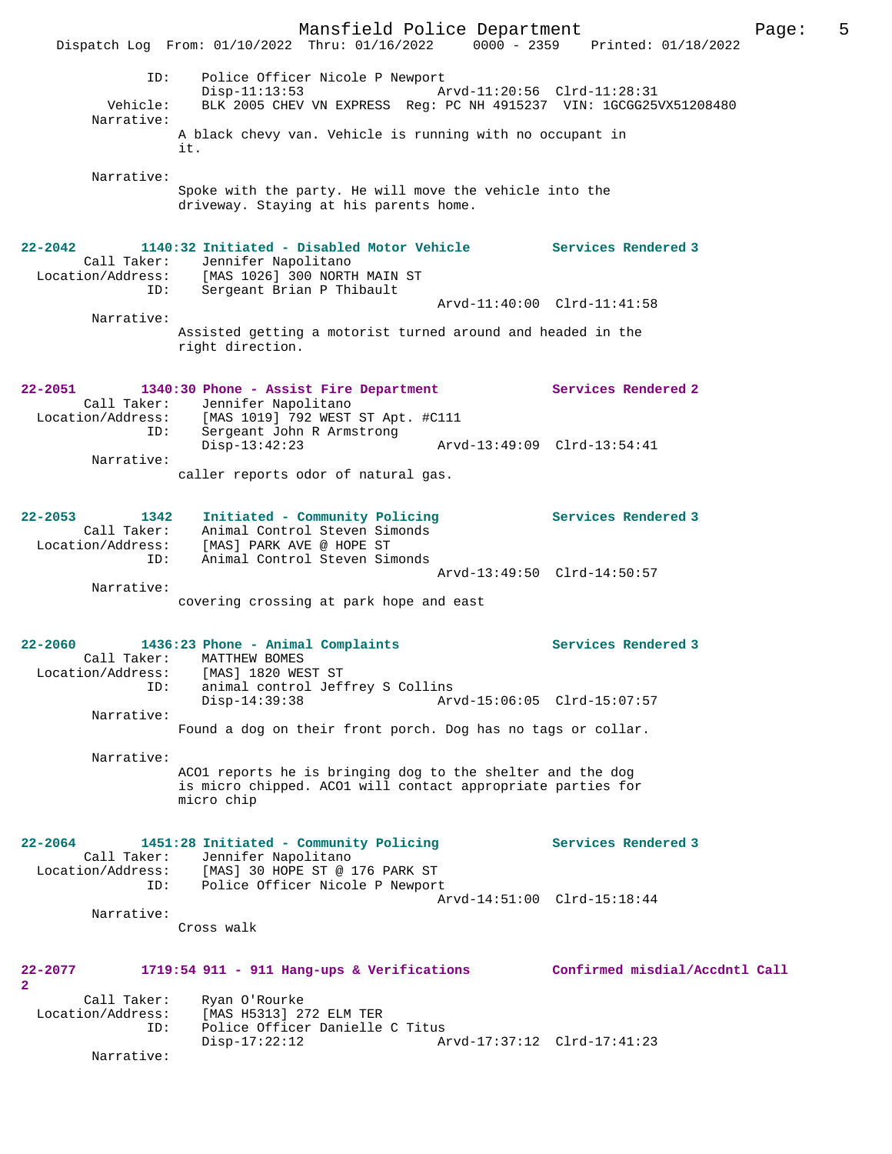Mansfield Police Department Fage: 5 Dispatch Log From: 01/10/2022 Thru: 01/16/2022 0000 - 2359 Printed: 01/18/2022 ID: Police Officer Nicole P Newport Disp-11:13:53 Arvd-11:20:56 Clrd-11:28:31 Vehicle: BLK 2005 CHEV VN EXPRESS Reg: PC NH 4915237 VIN: 1GCGG25VX51208480 Narrative: A black chevy van. Vehicle is running with no occupant in it. Narrative: Spoke with the party. He will move the vehicle into the driveway. Staying at his parents home. **22-2042 1140:32 Initiated - Disabled Motor Vehicle Services Rendered 3**  Call Taker: Jennifer Napolitano Location/Address: [MAS 1026] 300 NORTH MAIN ST Cess: IMAS IV201 JOO NORTH ALLER:<br>ID: Sergeant Brian P Thibault Arvd-11:40:00 Clrd-11:41:58 Narrative: Assisted getting a motorist turned around and headed in the right direction. **22-2051 1340:30 Phone - Assist Fire Department Services Rendered 2**  Call Taker: Jennifer Napolitano Location/Address: [MAS 1019] 792 WEST ST Apt. #C111 ID: Sergeant John R Armstrong Disp-13:42:23 Arvd-13:49:09 Clrd-13:54:41 Narrative: caller reports odor of natural gas. **22-2053 1342 Initiated - Community Policing Services Rendered 3**  Call Taker: Animal Control Steven Simonds Location/Address: [MAS] PARK AVE @ HOPE ST ID: Animal Control Steven Simonds Arvd-13:49:50 Clrd-14:50:57 Narrative: covering crossing at park hope and east **22-2060 1436:23 Phone - Animal Complaints Services Rendered 3**  Call Taker: MATTHEW BOMES Location/Address: [MAS] 1820 WEST ST ID: animal control Jeffrey S Collins Disp-14:39:38 Arvd-15:06:05 Clrd-15:07:57 Narrative: Found a dog on their front porch. Dog has no tags or collar. Narrative: ACO1 reports he is bringing dog to the shelter and the dog is micro chipped. ACO1 will contact appropriate parties for micro chip **22-2064 1451:28 Initiated - Community Policing Services Rendered 3**  Call Taker: Jennifer Napolitano Location/Address: [MAS] 30 HOPE ST @ 176 PARK ST ID: Police Officer Nicole P Newport Arvd-14:51:00 Clrd-15:18:44 Narrative: Cross walk **22-2077 1719:54 911 - 911 Hang-ups & Verifications Confirmed misdial/Accdntl Call 2**  Call Taker: Ryan O'Rourke Location/Address: [MAS H5313] 272 ELM TER ID: Police Officer Danielle C Titus<br>Disp-17:22:12 Ar Disp-17:22:12 Arvd-17:37:12 Clrd-17:41:23 Narrative: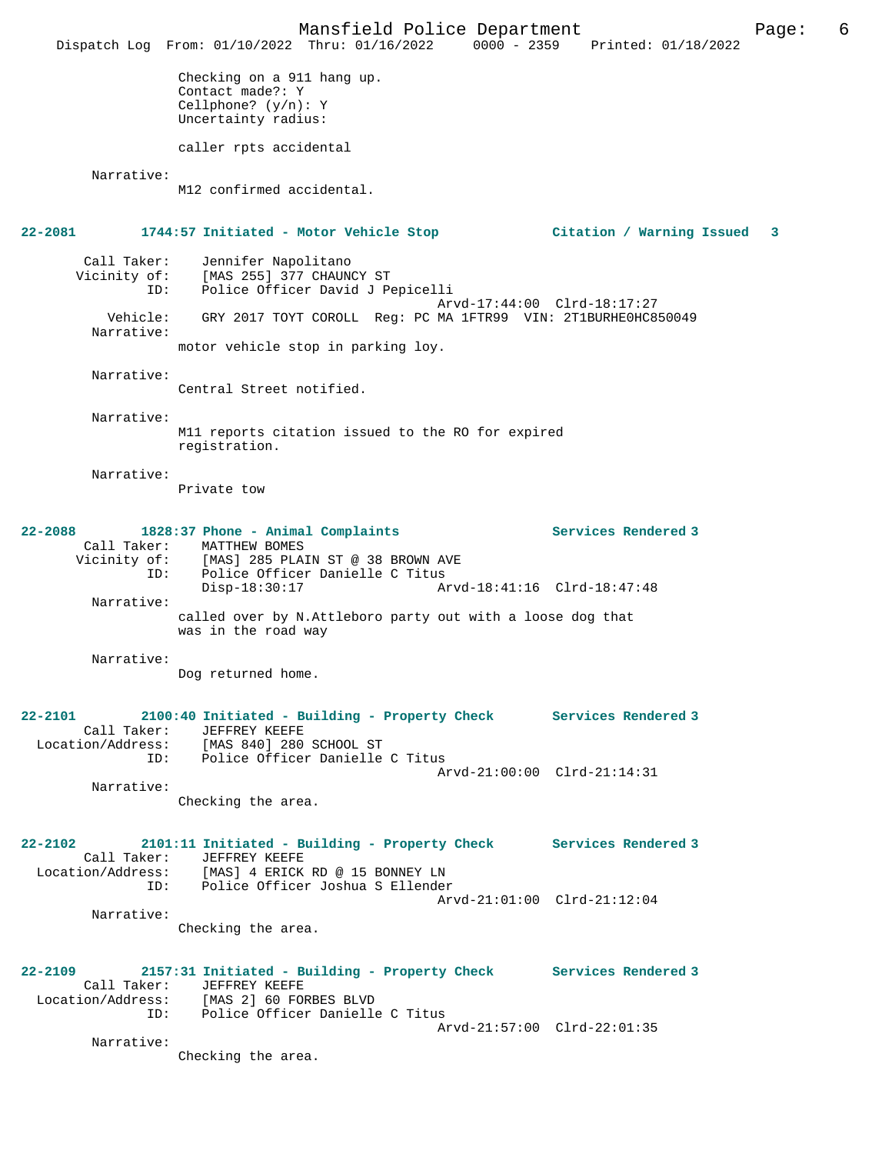Mansfield Police Department Page: 6 Dispatch Log From: 01/10/2022 Thru: 01/16/2022 0000 - 2359 Printed: 01/18/2022 Checking on a 911 hang up. Contact made?: Y Cellphone? (y/n): Y Uncertainty radius: caller rpts accidental Narrative: M12 confirmed accidental. **22-2081 1744:57 Initiated - Motor Vehicle Stop Citation / Warning Issued 3** Call Taker: Jennifer Napolitano Vicinity of: [MAS 255] 377 CHAUNCY ST ID: Police Officer David J Pepicelli Arvd-17:44:00 Clrd-18:17:27 Vehicle: GRY 2017 TOYT COROLL Reg: PC MA 1FTR99 VIN: 2T1BURHE0HC850049 Narrative: motor vehicle stop in parking loy. Narrative: Central Street notified. Narrative: M11 reports citation issued to the RO for expired registration. Narrative: Private tow **22-2088 1828:37 Phone - Animal Complaints Services Rendered 3**  Call Taker: MATTHEW BOMES Vicinity of: [MAS] 285 PLAIN ST @ 38 BROWN AVE ID: Police Officer Danielle C Titus<br>Disp-18:30:17 Ar Disp-18:30:17 Arvd-18:41:16 Clrd-18:47:48 Narrative: called over by N.Attleboro party out with a loose dog that was in the road way Narrative: Dog returned home. **22-2101 2100:40 Initiated - Building - Property Check Services Rendered 3**  Call Taker: JEFFREY KEEFE Location/Address: [MAS 840] 280 SCHOOL ST ID: Police Officer Danielle C Titus Arvd-21:00:00 Clrd-21:14:31 Narrative: Checking the area. **22-2102 2101:11 Initiated - Building - Property Check Services Rendered 3**  Call Taker: JEFFREY KEEFE Location/Address: [MAS] 4 ERICK RD @ 15 BONNEY LN ID: Police Officer Joshua S Ellender Arvd-21:01:00 Clrd-21:12:04 Narrative: Checking the area. **22-2109 2157:31 Initiated - Building - Property Check Services Rendered 3**  Call Taker: JEFFREY KEEFE<br>Location/Address: [MAS 2] 60 FOI ess: [MAS 2] 60 FORBES BLVD<br>ID: Police Officer Danielle Police Officer Danielle C Titus Arvd-21:57:00 Clrd-22:01:35 Narrative: Checking the area.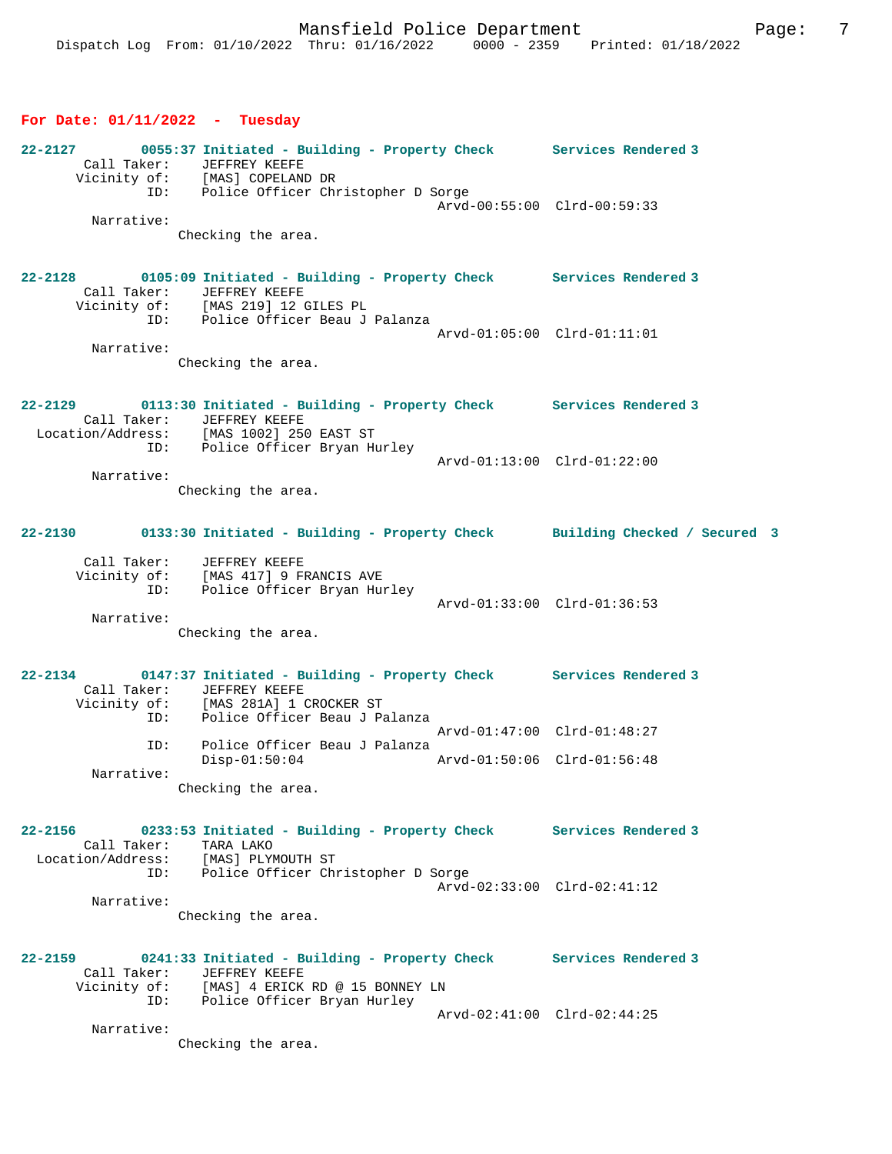### **For Date: 01/11/2022 - Tuesday**

| 22-2127 |              | 0055:37 Initiated - Building - Property Check | Services Rendered 3         |
|---------|--------------|-----------------------------------------------|-----------------------------|
|         | Call Taker:  | JEFFREY KEEFE                                 |                             |
|         | Vicinity of: | [MAS] COPELAND DR                             |                             |
|         | ID:          | Police Officer Christopher D Sorge            |                             |
|         |              |                                               | Arvd-00:55:00 Clrd-00:59:33 |
|         | Narrative:   |                                               |                             |
|         |              | Checking the area.                            |                             |

#### **22-2128 0105:09 Initiated - Building - Property Check Services Rendered 3**  Call Taker: JEFFREY KEEFE Vicinity of: [MAS 219] 12 GILES PL ID: Police Officer Beau J Palanza Arvd-01:05:00 Clrd-01:11:01 Narrative:

Checking the area.

```
22-2129 0113:30 Initiated - Building - Property Check Services Rendered 3 
    Call Taker: JEFFREY KEEFE
  Location/Address: [MAS 1002] 250 EAST ST
              ID: Police Officer Bryan Hurley
                                                Arvd-01:13:00 Clrd-01:22:00
        Narrative:
```
Checking the area.

# **22-2130 0133:30 Initiated - Building - Property Check Building Checked / Secured 3**

| Call Taker:  | JEFFREY KEEFE               |                             |  |
|--------------|-----------------------------|-----------------------------|--|
| Vicinity of: | [MAS 417] 9 FRANCIS AVE     |                             |  |
| ID:          | Police Officer Bryan Hurley |                             |  |
|              |                             | Arvd-01:33:00 Clrd-01:36:53 |  |
| Narrative:   |                             |                             |  |

Checking the area.

### **22-2134 0147:37 Initiated - Building - Property Check Services Rendered 3**  Call Taker: JEFFREY KEEFE Vicinity of: [MAS 281A] 1 CROCKER ST ID: Police Officer Beau J Palanza Arvd-01:47:00 Clrd-01:48:27 ID: Police Officer Beau J Palanza Disp-01:50:04 Arvd-01:50:06 Clrd-01:56:48 Narrative: Checking the area.

# **22-2156 0233:53 Initiated - Building - Property Check Services Rendered 3**  Call Taker: TARA LAKO Location/Address: [MAS] PLYMOUTH ST ID: Police Officer Christopher D Sorge Arvd-02:33:00 Clrd-02:41:12 Narrative:

Checking the area.

**22-2159 0241:33 Initiated - Building - Property Check Services Rendered 3**  Call Taker: JEFFREY KEEFE Vicinity of: [MAS] 4 ERICK RD @ 15 BONNEY LN ID: Police Officer Bryan Hurley Arvd-02:41:00 Clrd-02:44:25 Narrative:

Checking the area.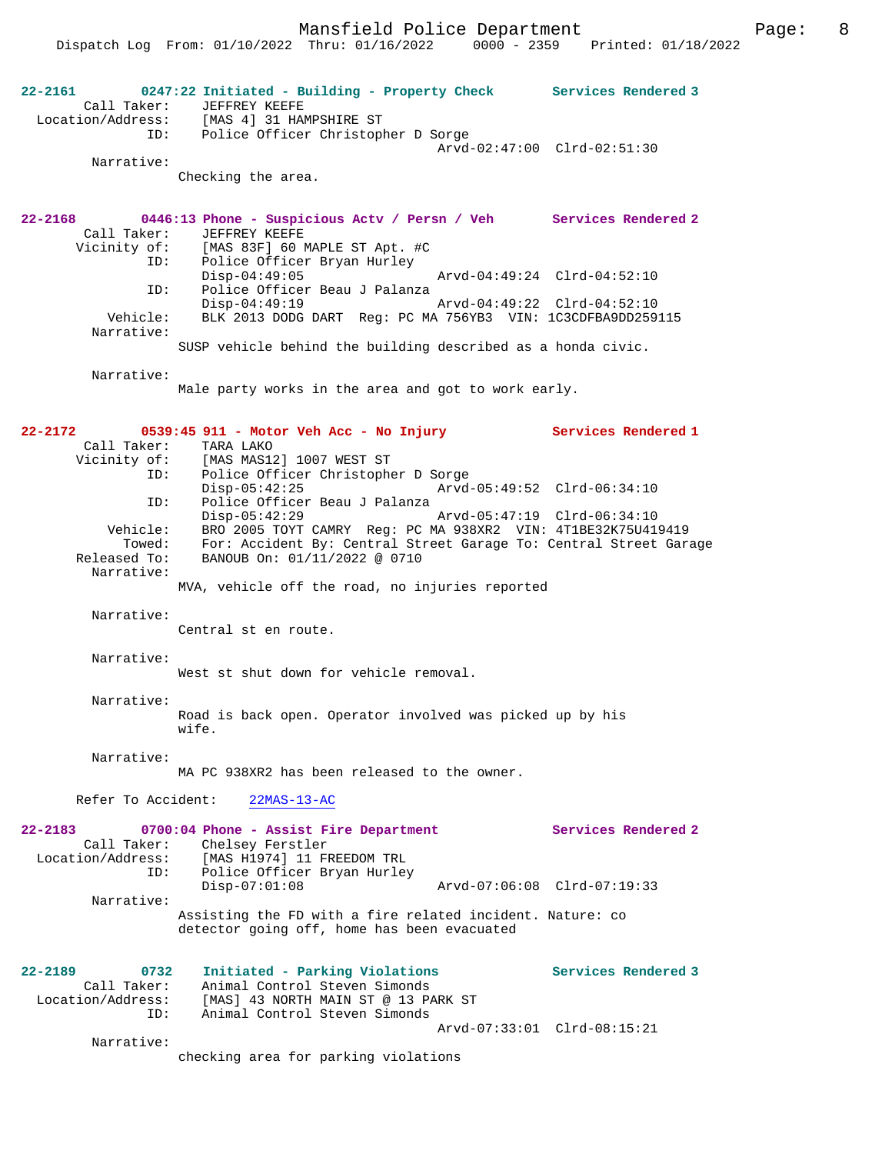Dispatch Log From: 01/10/2022 Thru: 01/16/2022 0000 - 2359 Printed: 01/18/2022

**22-2161 0247:22 Initiated - Building - Property Check Services Rendered 3**  Call Taker: JEFFREY KEEFE Location/Address: [MAS 4] 31 HAMPSHIRE ST ID: Police Officer Christopher D Sorge Arvd-02:47:00 Clrd-02:51:30 Narrative: Checking the area. **22-2168 0446:13 Phone - Suspicious Actv / Persn / Veh Services Rendered 2**  Call Taker: JEFFREY KEEFE<br>Vicinity of: [MAS 83F] 60 1 of: [MAS 83F] 60 MAPLE ST Apt. #C<br>ID: Police Officer Bryan Hurley Police Officer Bryan Hurley<br>Disp-04:49:05 Disp-04:49:05 Arvd-04:49:24 Clrd-04:52:10<br>ID: Police Officer Beau J Palanza Police Officer Beau J Palanza<br>Disp-04:49:19 Disp-04:49:19 Arvd-04:49:22 Clrd-04:52:10 Vehicle: BLK 2013 DODG DART Reg: PC MA 756YB3 VIN: 1C3CDFBA9DD259115 Narrative: SUSP vehicle behind the building described as a honda civic. Narrative: Male party works in the area and got to work early. **22-2172 0539:45 911 - Motor Veh Acc - No Injury Services Rendered 1**  Call Taker: TARA LAKO Vicinity of: [MAS MAS12] 1007 WEST ST ID: Police Officer Christopher D Sorge Disp-05:42:25 Arvd-05:49:52 Clrd-06:34:10 ID: Police Officer Beau J Palanza Disp-05:42:29 Arvd-05:47:19 Clrd-06:34:10 Vehicle: BRO 2005 TOYT CAMRY Reg: PC MA 938XR2 VIN: 4T1BE32K75U419419 Towed: For: Accident By: Central Street Garage To: Central Street Garage Released To: BANOUB On: 01/11/2022 @ 0710 Narrative: MVA, vehicle off the road, no injuries reported Narrative: Central st en route. Narrative: West st shut down for vehicle removal. Narrative: Road is back open. Operator involved was picked up by his wife. Narrative: MA PC 938XR2 has been released to the owner. Refer To Accident: 22MAS-13-AC **22-2183 0700:04 Phone - Assist Fire Department Services Rendered 2**  Call Taker: Chelsey Ferstler Location/Address: [MAS H1974] 11 FREEDOM TRL ID: Police Officer Bryan Hurley<br>Disp-07:01:08 Disp-07:01:08 Arvd-07:06:08 Clrd-07:19:33 Narrative: Assisting the FD with a fire related incident. Nature: co detector going off, home has been evacuated **22-2189 0732 Initiated - Parking Violations Services Rendered 3**  Call Taker: Animal Control Steven Simonds<br>Location/Address: [MAS] 43 NORTH MAIN ST @ 13 PA Location/Address: [MAS] 43 NORTH MAIN ST @ 13 PARK ST ID: Animal Control Steven Simonds Arvd-07:33:01 Clrd-08:15:21 Narrative: checking area for parking violations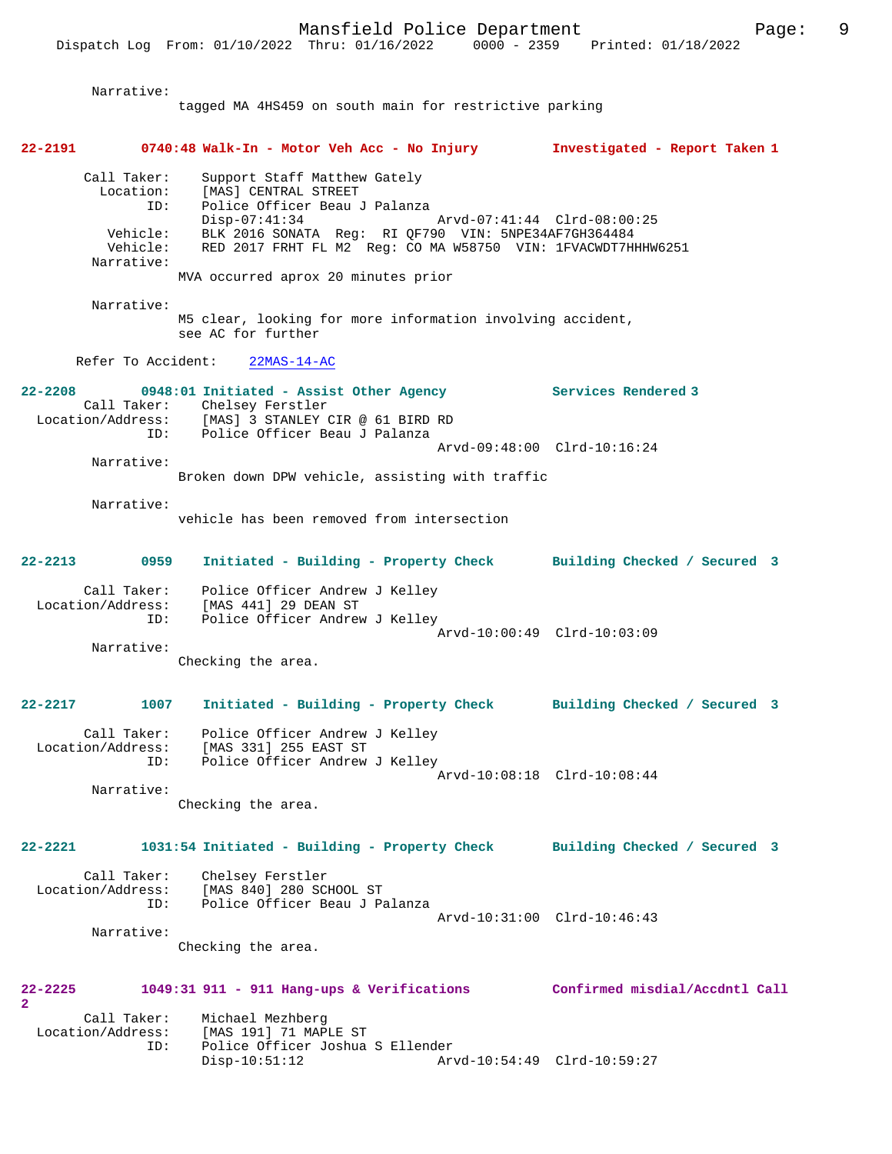Narrative: tagged MA 4HS459 on south main for restrictive parking **22-2191 0740:48 Walk-In - Motor Veh Acc - No Injury Investigated - Report Taken 1** Call Taker: Support Staff Matthew Gately Location: [MAS] CENTRAL STREET<br>ID: Police Officer Beau السماء المدينة<br>Police Officer Beau J Palanza<br>Disp-07:41:34 Disp-07:41:34 Arvd-07:41:44 Clrd-08:00:25 Vehicle: BLK 2016 SONATA Reg: RI QF790 VIN: 5NPE34AF7GH364484 Vehicle: RED 2017 FRHT FL M2 Reg: CO MA W58750 VIN: 1FVACWDT7HHHW6251 Narrative: MVA occurred aprox 20 minutes prior Narrative: M5 clear, looking for more information involving accident, see AC for further Refer To Accident: 22MAS-14-AC **22-2208 0948:01 Initiated - Assist Other Agency Services Rendered 3**  Call Taker: Chelsey Ferstler<br>Location/Address: [MAS] 3 STANLEY ( [MAS] 3 STANLEY CIR @ 61 BIRD RD ID: Police Officer Beau J Palanza Arvd-09:48:00 Clrd-10:16:24 Narrative: Broken down DPW vehicle, assisting with traffic Narrative: vehicle has been removed from intersection **22-2213 0959 Initiated - Building - Property Check Building Checked / Secured 3** Call Taker: Police Officer Andrew J Kelley Location/Address: [MAS 441] 29 DEAN ST ID: Police Officer Andrew J Kelley Arvd-10:00:49 Clrd-10:03:09 Narrative: Checking the area. **22-2217 1007 Initiated - Building - Property Check Building Checked / Secured 3** Call Taker: Police Officer Andrew J Kelley Location/Address: [MAS 331] 255 EAST ST ID: Police Officer Andrew J Kelley Arvd-10:08:18 Clrd-10:08:44 Narrative: Checking the area. **22-2221 1031:54 Initiated - Building - Property Check Building Checked / Secured 3** Call Taker: Chelsey Ferstler Location/Address: [MAS 840] 280 SCHOOL ST ID: Police Officer Beau J Palanza Arvd-10:31:00 Clrd-10:46:43 Narrative: Checking the area. **22-2225 1049:31 911 - 911 Hang-ups & Verifications Confirmed misdial/Accdntl Call 2** 

Call Taker: Michael Mezhberg<br>Location/Address: [MAS 191] 71 MAP [MAS 191] 71 MAPLE ST ID: Police Officer Joshua S Ellender Disp-10:51:12 Arvd-10:54:49 Clrd-10:59:27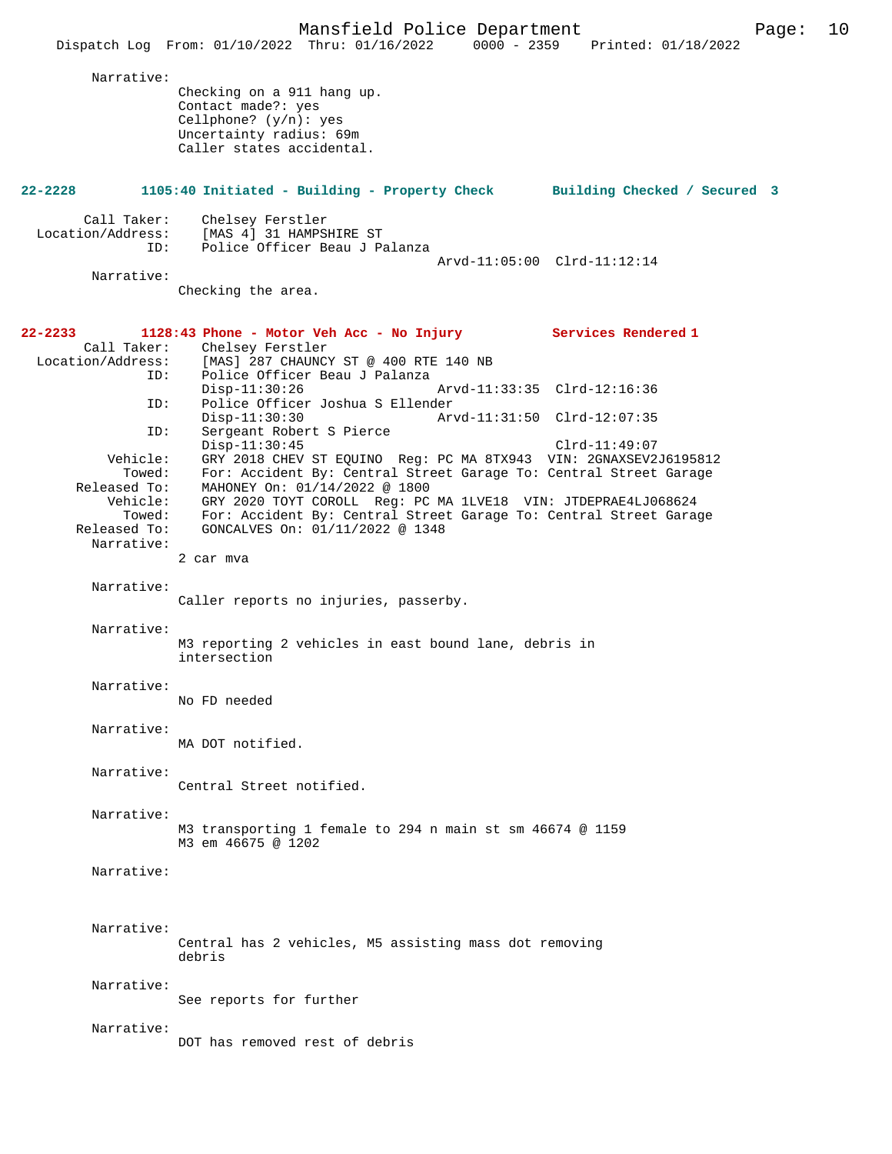|                                                                                                      | Mansfield Police Department<br>Page:<br>0000 - 2359 Printed: 01/18/2022<br>Dispatch Log From: 01/10/2022 Thru: 01/16/2022                                                                                                                                                                                                                                                                                                                                                                                            | 10 |
|------------------------------------------------------------------------------------------------------|----------------------------------------------------------------------------------------------------------------------------------------------------------------------------------------------------------------------------------------------------------------------------------------------------------------------------------------------------------------------------------------------------------------------------------------------------------------------------------------------------------------------|----|
| Narrative:                                                                                           | Checking on a 911 hang up.<br>Contact made?: yes<br>Cellphone? $(y/n):$ yes<br>Uncertainty radius: 69m<br>Caller states accidental.                                                                                                                                                                                                                                                                                                                                                                                  |    |
| $22 - 2228$                                                                                          | 1105:40 Initiated - Building - Property Check<br>Building Checked / Secured 3                                                                                                                                                                                                                                                                                                                                                                                                                                        |    |
| Call Taker:<br>Location/Address:<br>ID:<br>Narrative:                                                | Chelsey Ferstler<br>[MAS 4] 31 HAMPSHIRE ST<br>Police Officer Beau J Palanza<br>Arvd-11:05:00 Clrd-11:12:14<br>Checking the area.                                                                                                                                                                                                                                                                                                                                                                                    |    |
| 22-2233<br>Call Taker:<br>Location/Address:<br>ID:                                                   | 1128:43 Phone - Motor Veh Acc - No Injury Services Rendered 1<br>Chelsey Ferstler<br>[MAS] 287 CHAUNCY ST @ 400 RTE 140 NB<br>Police Officer Beau J Palanza<br>$Disp-11:30:26$<br>Arvd-11:33:35 Clrd-12:16:36                                                                                                                                                                                                                                                                                                        |    |
| ID:<br>ID:<br>Vehicle:<br>Towed:<br>Released To:<br>Vehicle:<br>Towed:<br>Released To:<br>Narrative: | Police Officer Joshua S Ellender<br>$Disp-11:30:30$<br>Arvd-11:31:50 Clrd-12:07:35<br>Sergeant Robert S Pierce<br>$Disp-11:30:45$<br>$Clrd-11:49:07$<br>GRY 2018 CHEV ST EQUINO Reg: PC MA 8TX943 VIN: 2GNAXSEV2J6195812<br>For: Accident By: Central Street Garage To: Central Street Garage<br>MAHONEY On: 01/14/2022 @ 1800<br>GRY 2020 TOYT COROLL Req: PC MA 1LVE18 VIN: JTDEPRAE4LJ068624<br>For: Accident By: Central Street Garage To: Central Street Garage<br>GONCALVES On: 01/11/2022 @ 1348<br>2 car mva |    |
| Narrative:                                                                                           | Caller reports no injuries, passerby.                                                                                                                                                                                                                                                                                                                                                                                                                                                                                |    |
| Narrative:                                                                                           | M3 reporting 2 vehicles in east bound lane, debris in<br>intersection                                                                                                                                                                                                                                                                                                                                                                                                                                                |    |
| Narrative:                                                                                           | No FD needed                                                                                                                                                                                                                                                                                                                                                                                                                                                                                                         |    |
| Narrative:                                                                                           | MA DOT notified.                                                                                                                                                                                                                                                                                                                                                                                                                                                                                                     |    |
| Narrative:                                                                                           | Central Street notified.                                                                                                                                                                                                                                                                                                                                                                                                                                                                                             |    |
| Narrative:                                                                                           | M3 transporting 1 female to 294 n main st sm 46674 @ 1159<br>M3 em 46675 @ 1202                                                                                                                                                                                                                                                                                                                                                                                                                                      |    |
| Narrative:                                                                                           |                                                                                                                                                                                                                                                                                                                                                                                                                                                                                                                      |    |
| Narrative:                                                                                           | Central has 2 vehicles, M5 assisting mass dot removing<br>debris                                                                                                                                                                                                                                                                                                                                                                                                                                                     |    |
| Narrative:                                                                                           | See reports for further                                                                                                                                                                                                                                                                                                                                                                                                                                                                                              |    |
| Narrative:                                                                                           | DOT has removed rest of debris                                                                                                                                                                                                                                                                                                                                                                                                                                                                                       |    |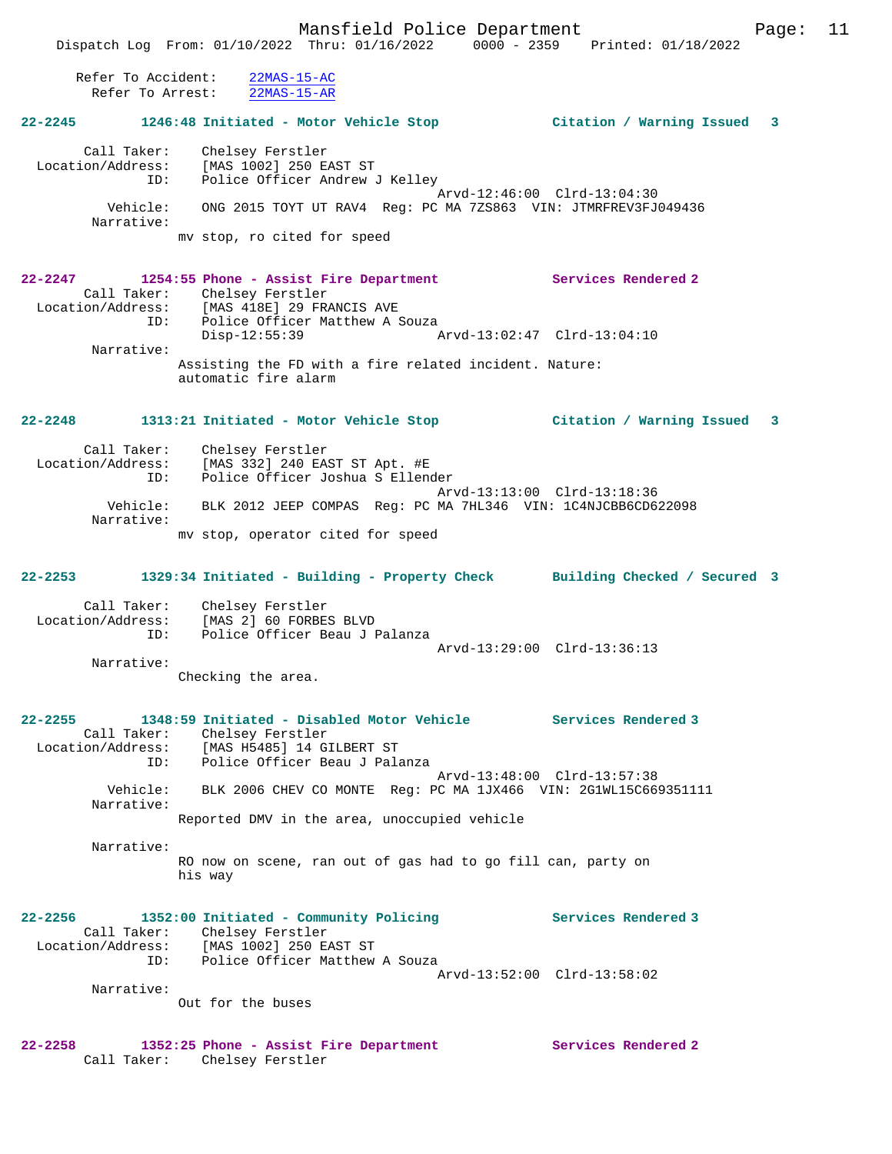Refer To Accident: 22MAS-15-AC Refer To Arrest: 22MAS-15-AR

# **22-2245 1246:48 Initiated - Motor Vehicle Stop Citation / Warning Issued 3**

 Call Taker: Chelsey Ferstler Location/Address: [MAS 1002] 250 EAST ST ID: Police Officer Andrew J Kelley Arvd-12:46:00 Clrd-13:04:30 Vehicle: ONG 2015 TOYT UT RAV4 Reg: PC MA 7ZS863 VIN: JTMRFREV3FJ049436 Narrative: mv stop, ro cited for speed

### **22-2247 1254:55 Phone - Assist Fire Department Services Rendered 2**  Call Taker: Chelsey Ferstler<br>Location/Address: [MAS 418E] 29 FR [MAS 418E] 29 FRANCIS AVE ID: [MAS 410E] 29 FRANCIS AVE<br>ID: Police Officer Matthew A Souza<br>Disp-12:55:39 A Disp-12:55:39 Arvd-13:02:47 Clrd-13:04:10 Narrative: Assisting the FD with a fire related incident. Nature: automatic fire alarm

# **22-2248 1313:21 Initiated - Motor Vehicle Stop Citation / Warning Issued 3**

 Call Taker: Chelsey Ferstler Location/Address: [MAS 332] 240 EAST ST Apt. #E ID: Police Officer Joshua S Ellender Arvd-13:13:00 Clrd-13:18:36<br>Vehicle: BLK 2012 JEEP COMPAS Reg: PC MA 7HL346 VIN: 1C4NJCBB6CD6 BLK 2012 JEEP COMPAS Reg: PC MA 7HL346 VIN: 1C4NJCBB6CD622098 Narrative: mv stop, operator cited for speed

# **22-2253 1329:34 Initiated - Building - Property Check Building Checked / Secured 3**

 Call Taker: Chelsey Ferstler Location/Address: [MAS 2] 60 FORBES BLVD ID: Police Officer Beau J Palanza Arvd-13:29:00 Clrd-13:36:13

Narrative:

Checking the area.

### **22-2255 1348:59 Initiated - Disabled Motor Vehicle Services Rendered 3**  Call Taker: Chelsey Ferstler Location/Address: [MAS H5485] 14 GILBERT ST ID: Police Officer Beau J Palanza Arvd-13:48:00 Clrd-13:57:38 Vehicle: BLK 2006 CHEV CO MONTE Reg: PC MA 1JX466 VIN: 2G1WL15C669351111 Narrative:

Reported DMV in the area, unoccupied vehicle

 Narrative: RO now on scene, ran out of gas had to go fill can, party on his way

### **22-2256 1352:00 Initiated - Community Policing Services Rendered 3**  Call Taker: Chelsey Ferstler<br>Location/Address: [MAS 1002] 250 E Location/Address: [MAS 1002] 250 EAST ST ID: Police Officer Matthew A Souza Arvd-13:52:00 Clrd-13:58:02 Narrative: Out for the buses

#### **22-2258 1352:25 Phone - Assist Fire Department Services Rendered 2**  Call Taker: Chelsey Ferstler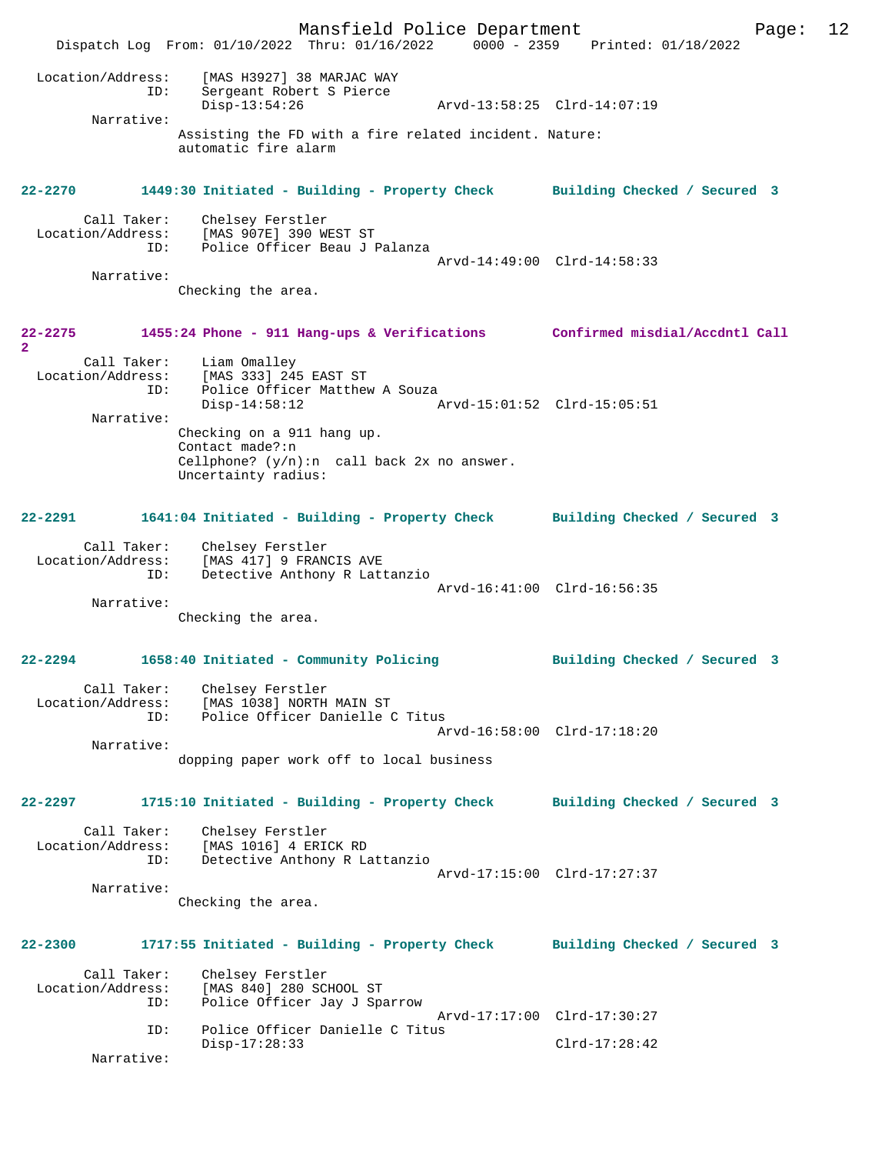Mansfield Police Department Page: 12 Dispatch Log From: 01/10/2022 Thru: 01/16/2022 0000 - 2359 Printed: 01/18/2022 Location/Address: [MAS H3927] 38 MARJAC WAY<br>ID: Sergeant Robert S Pierce<br>Disp-13:54:26 ID: Sergeant Robert S Pierce Disp-13:54:26 Arvd-13:58:25 Clrd-14:07:19 Narrative: Assisting the FD with a fire related incident. Nature: automatic fire alarm **22-2270 1449:30 Initiated - Building - Property Check Building Checked / Secured 3** Call Taker: Chelsey Ferstler<br>Location/Address: [MAS 907E] 390 W. Location/Address: [MAS 907E] 390 WEST ST ID: Police Officer Beau J Palanza Arvd-14:49:00 Clrd-14:58:33 Narrative: Checking the area. **22-2275 1455:24 Phone - 911 Hang-ups & Verifications Confirmed misdial/Accdntl Call 2**  Call Taker: Liam Omalley Location/Address: [MAS 333] 245 EAST ST ESS. THE SUS IS IN THE POLICE Officer Matthew A Souza<br>Disp-14:58:12 Disp-14:58:12 Arvd-15:01:52 Clrd-15:05:51 Narrative: Checking on a 911 hang up. Contact made?:n Cellphone?  $(y/n):n$  call back  $2x$  no answer. Uncertainty radius: **22-2291 1641:04 Initiated - Building - Property Check Building Checked / Secured 3** Call Taker: Chelsey Ferstler Location/Address: [MAS 417] 9 FRANCIS AVE ID: Detective Anthony R Lattanzio Arvd-16:41:00 Clrd-16:56:35 Narrative: Checking the area. **22-2294 1658:40 Initiated - Community Policing Building Checked / Secured 3** Call Taker: Chelsey Ferstler Location/Address: [MAS 1038] NORTH MAIN ST Police Officer Danielle C Titus Arvd-16:58:00 Clrd-17:18:20 Narrative: dopping paper work off to local business **22-2297 1715:10 Initiated - Building - Property Check Building Checked / Secured 3** Call Taker: Chelsey Ferstler<br>Location/Address: [MAS 1016] 4 ERIO [MAS 1016] 4 ERICK RD ID: Detective Anthony R Lattanzio Arvd-17:15:00 Clrd-17:27:37 Narrative: Checking the area. **22-2300 1717:55 Initiated - Building - Property Check Building Checked / Secured 3** Call Taker: Chelsey Ferstler<br>Location/Address: [MAS 840] 280 SC ess: [MAS 840] 280 SCHOOL ST<br>ID: Police Officer Jay J Spa Police Officer Jay J Sparrow Arvd-17:17:00 Clrd-17:30:27<br>ID: Police Officer Danielle C Titus Police Officer Danielle C Titus Disp-17:28:33 Clrd-17:28:42 Narrative: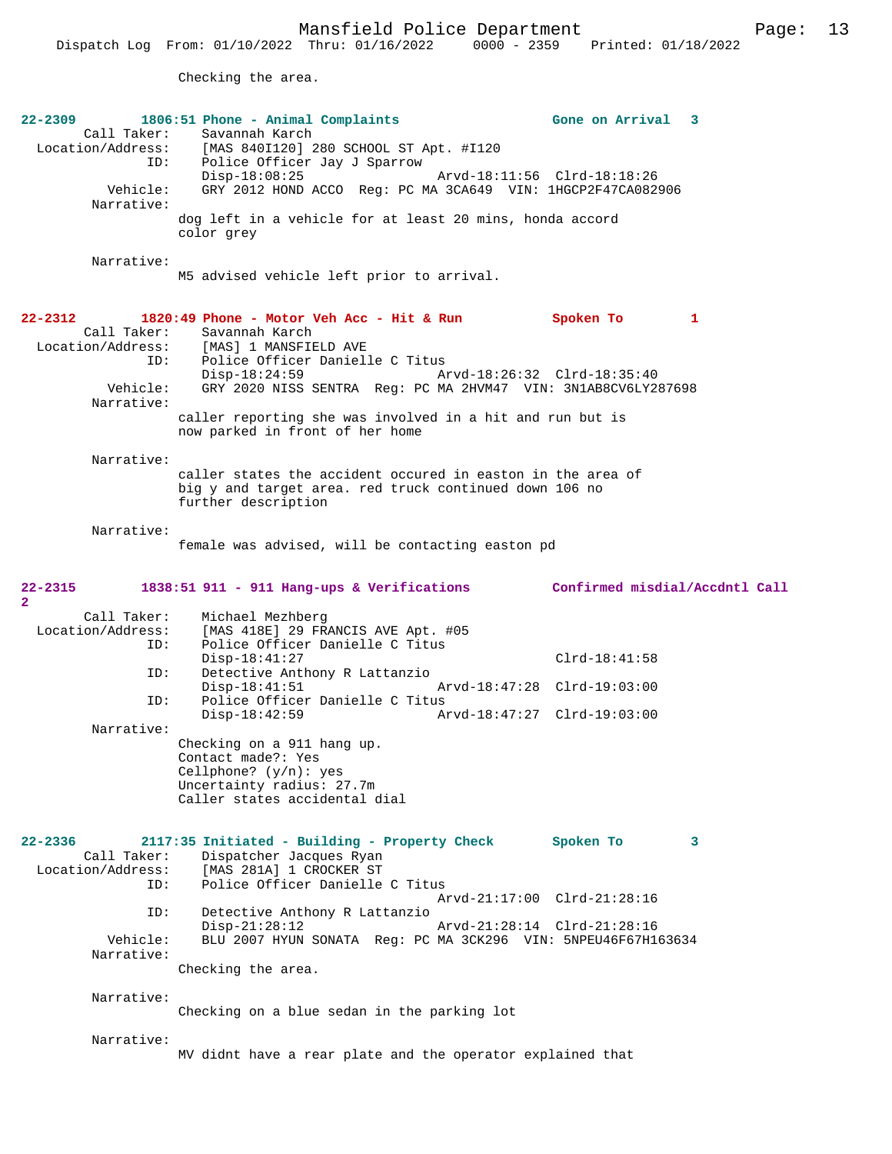Checking the area.

| 22-2309                  | 1806:51 Phone - Animal Complaints                             | Gone on Arrival<br>3           |
|--------------------------|---------------------------------------------------------------|--------------------------------|
| Call Taker:              | Savannah Karch                                                |                                |
| Location/Address:        | [MAS 840I120] 280 SCHOOL ST Apt. #I120                        |                                |
| ID:                      | Police Officer Jay J Sparrow                                  |                                |
|                          | $Disp-18:08:25$                                               | Arvd-18:11:56 Clrd-18:18:26    |
| Vehicle:                 | GRY 2012 HOND ACCO Reg: PC MA 3CA649 VIN: 1HGCP2F47CA082906   |                                |
| Narrative:               |                                                               |                                |
|                          | dog left in a vehicle for at least 20 mins, honda accord      |                                |
|                          | color grey                                                    |                                |
|                          |                                                               |                                |
| Narrative:               |                                                               |                                |
|                          | M5 advised vehicle left prior to arrival.                     |                                |
|                          |                                                               |                                |
|                          |                                                               |                                |
| 22-2312                  | 1820:49 Phone - Motor Veh Acc - Hit & Run                     | Spoken To<br>1                 |
| Call Taker:              | Savannah Karch                                                |                                |
|                          | Location/Address: [MAS] 1 MANSFIELD AVE                       |                                |
| ID:                      | Police Officer Danielle C Titus                               |                                |
|                          | Disp-18:24:59                                                 | Arvd-18:26:32 Clrd-18:35:40    |
| Vehicle:                 | GRY 2020 NISS SENTRA Req: PC MA 2HVM47 VIN: 3N1AB8CV6LY287698 |                                |
| Narrative:               |                                                               |                                |
|                          | caller reporting she was involved in a hit and run but is     |                                |
|                          | now parked in front of her home                               |                                |
|                          |                                                               |                                |
| Narrative:               |                                                               |                                |
|                          | caller states the accident occured in easton in the area of   |                                |
|                          | big y and target area. red truck continued down 106 no        |                                |
|                          | further description                                           |                                |
|                          |                                                               |                                |
| Narrative:               |                                                               |                                |
|                          | female was advised, will be contacting easton pd              |                                |
|                          |                                                               |                                |
|                          |                                                               |                                |
| 22-2315                  | 1838:51 911 - 911 Hang-ups & Verifications                    | Confirmed misdial/Accdntl Call |
|                          |                                                               |                                |
|                          |                                                               |                                |
| $\overline{2}$           |                                                               |                                |
| Call Taker:              | Michael Mezhberg                                              |                                |
| Location/Address:        | [MAS 418E] 29 FRANCIS AVE Apt. #05                            |                                |
| ID:                      | Police Officer Danielle C Titus                               |                                |
|                          | $Disp-18:41:27$                                               | $Clrd-18:41:58$                |
| ID:                      | Detective Anthony R Lattanzio                                 |                                |
|                          | $Disp-18:41:51$                                               | Arvd-18:47:28 Clrd-19:03:00    |
| ID:                      | Police Officer Danielle C Titus                               |                                |
|                          | $Disp-18:42:59$                                               | Arvd-18:47:27 Clrd-19:03:00    |
| Narrative:               |                                                               |                                |
|                          | Checking on a 911 hang up.                                    |                                |
|                          | Contact made?: Yes                                            |                                |
|                          | Cellphone? $(y/n): ye$ s                                      |                                |
|                          | Uncertainty radius: 27.7m                                     |                                |
|                          | Caller states accidental dial                                 |                                |
|                          |                                                               |                                |
|                          |                                                               |                                |
| $22 - 2336$              | 2117:35 Initiated - Building - Property Check                 | Spoken To<br>3                 |
| Call Taker:              | Dispatcher Jacques Ryan                                       |                                |
| Location/Address:<br>ID: | [MAS 281A] 1 CROCKER ST                                       |                                |
|                          | Police Officer Danielle C Titus                               |                                |
|                          |                                                               | Arvd-21:17:00 Clrd-21:28:16    |
| ID:                      | Detective Anthony R Lattanzio                                 |                                |
|                          | $Disp-21:28:12$                                               | Arvd-21:28:14 Clrd-21:28:16    |
| Vehicle:                 | BLU 2007 HYUN SONATA Req: PC MA 3CK296 VIN: 5NPEU46F67H163634 |                                |
| Narrative:               |                                                               |                                |
|                          | Checking the area.                                            |                                |
|                          |                                                               |                                |
| Narrative:               |                                                               |                                |
|                          | Checking on a blue sedan in the parking lot                   |                                |
|                          |                                                               |                                |
| Narrative:               | MV didnt have a rear plate and the operator explained that    |                                |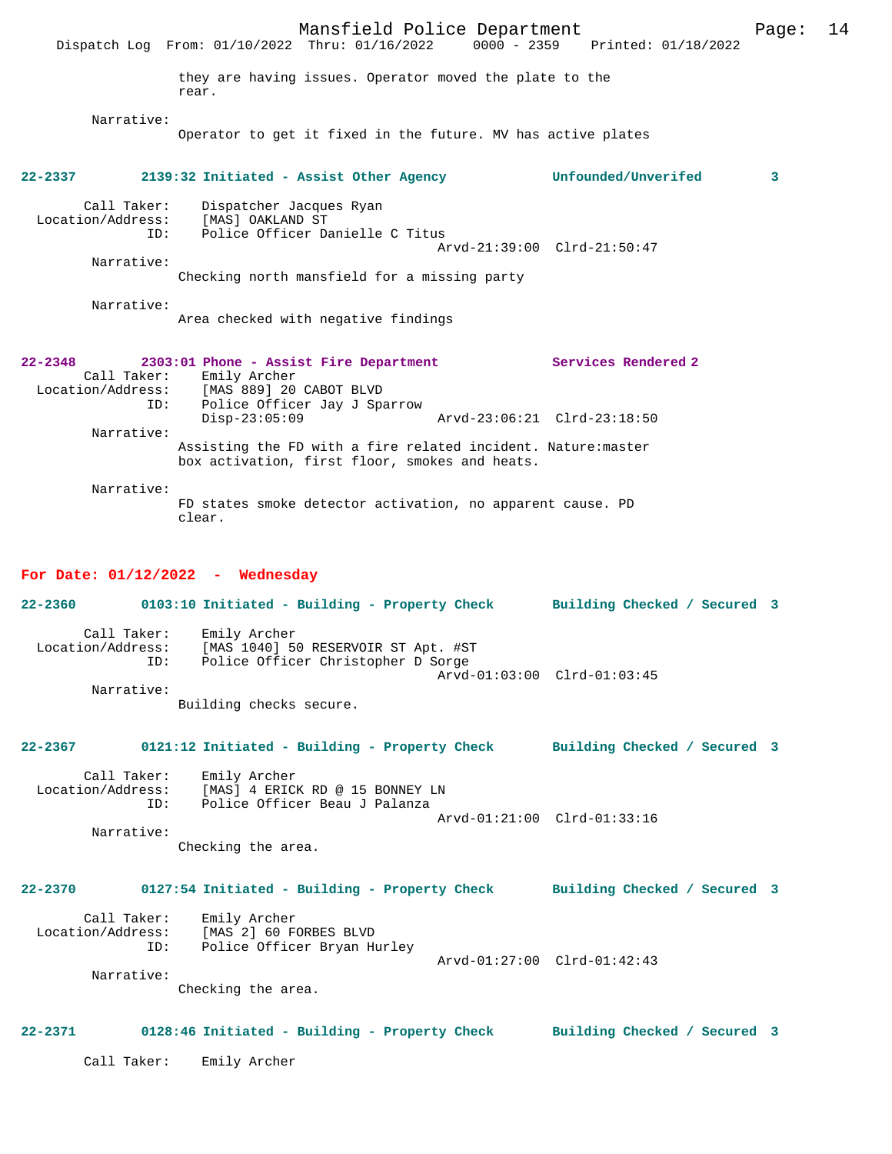Mansfield Police Department Page: 14 Dispatch Log From: 01/10/2022 Thru: 01/16/2022 they are having issues. Operator moved the plate to the rear. Narrative: Operator to get it fixed in the future. MV has active plates **22-2337 2139:32 Initiated - Assist Other Agency Unfounded/Unverifed 3** Call Taker: Dispatcher Jacques Ryan Location/Address: [MAS] OAKLAND ST ID: Police Officer Danielle C Titus Arvd-21:39:00 Clrd-21:50:47 Narrative: Checking north mansfield for a missing party Narrative: Area checked with negative findings **22-2348 2303:01 Phone - Assist Fire Department Services Rendered 2**  Call Taker: Emily Archer Location/Address: [MAS 889] 20 CABOT BLVD ID: Police Officer Jay J Sparrow Disp-23:05:09 Arvd-23:06:21 Clrd-23:18:50 Narrative: Assisting the FD with a fire related incident. Nature:master box activation, first floor, smokes and heats. Narrative: FD states smoke detector activation, no apparent cause. PD clear. **For Date: 01/12/2022 - Wednesday**

**22-2360 0103:10 Initiated - Building - Property Check Building Checked / Secured 3** Call Taker: Emily Archer Location/Address: [MAS 1040] 50 RESERVOIR ST Apt. #ST Police Officer Christopher D Sorge Arvd-01:03:00 Clrd-01:03:45 Narrative: Building checks secure.

**22-2367 0121:12 Initiated - Building - Property Check Building Checked / Secured 3**

 Call Taker: Emily Archer Location/Address: [MAS] 4 ERICK RD @ 15 BONNEY LN ID: Police Officer Beau J Palanza Arvd-01:21:00 Clrd-01:33:16 Narrative:

Checking the area.

# **22-2370 0127:54 Initiated - Building - Property Check Building Checked / Secured 3**

Call Taker: Emily Archer<br>Location/Address: [MAS 2] 60 F ess: [MAS 2] 60 FORBES BLVD<br>ID: Police Officer Brvan Hy Police Officer Bryan Hurley Arvd-01:27:00 Clrd-01:42:43 Narrative:

Checking the area.

# **22-2371 0128:46 Initiated - Building - Property Check Building Checked / Secured 3**

Call Taker: Emily Archer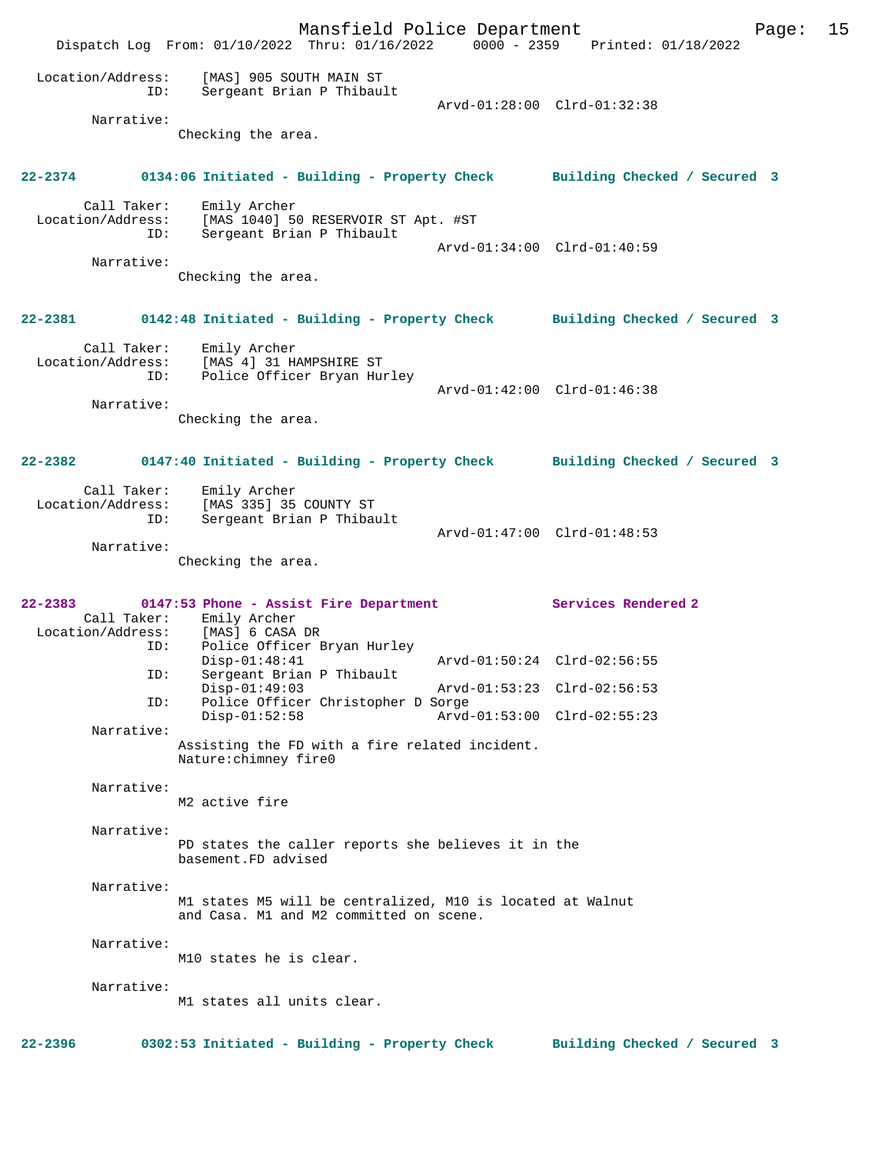Mansfield Police Department Page: 15 Dispatch Log From: 01/10/2022 Thru: 01/16/2022 0000 - 2359 Printed: 01/18/2022 Location/Address: [MAS] 905 SOUTH MAIN ST ID: Sergeant Brian P Thibault Arvd-01:28:00 Clrd-01:32:38 Narrative: Checking the area. **22-2374 0134:06 Initiated - Building - Property Check Building Checked / Secured 3** Call Taker: Emily Archer Location/Address: [MAS 1040] 50 RESERVOIR ST Apt. #ST<br>ID: Sergeant Brian P Thibault Sergeant Brian P Thibault Arvd-01:34:00 Clrd-01:40:59 Narrative: Checking the area. **22-2381 0142:48 Initiated - Building - Property Check Building Checked / Secured 3** Call Taker: Emily Archer<br>Location/Address: [MAS 4] 31 H Location/Address: [MAS 4] 31 HAMPSHIRE ST ID: Police Officer Bryan Hurley Arvd-01:42:00 Clrd-01:46:38 Narrative: Checking the area. **22-2382 0147:40 Initiated - Building - Property Check Building Checked / Secured 3** Call Taker: Emily Archer Location/Address: [MAS 335] 35 COUNTY ST<br>ID: Sergeant Brian P Thibay Sergeant Brian P Thibault Arvd-01:47:00 Clrd-01:48:53 Narrative: Checking the area. **22-2383 0147:53 Phone - Assist Fire Department Services Rendered 2**  Call Taker: Emily Archer<br>Location/Address: [MAS] 6 CASA ess: [MAS] 6 CASA DR<br>ID: Police Officer E Police Officer Bryan Hurley Disp-01:48:41 Arvd-01:50:24 Clrd-02:56:55<br>ID: Sergeant Brian P Thibault Sergeant Brian P Thibault<br>Disp-01:49:03 Disp-01:49:03 Arvd-01:53:23 Clrd-02:56:53<br>ID: Police Officer Christopher D Sorge Police Officer Christopher D Sorge Disp-01:52:58 Arvd-01:53:00 Clrd-02:55:23 Narrative: Assisting the FD with a fire related incident. Nature:chimney fire0 Narrative: M2 active fire Narrative: PD states the caller reports she believes it in the basement.FD advised Narrative: M1 states M5 will be centralized, M10 is located at Walnut and Casa. M1 and M2 committed on scene. Narrative: M10 states he is clear. Narrative: M1 states all units clear. **22-2396 0302:53 Initiated - Building - Property Check Building Checked / Secured 3**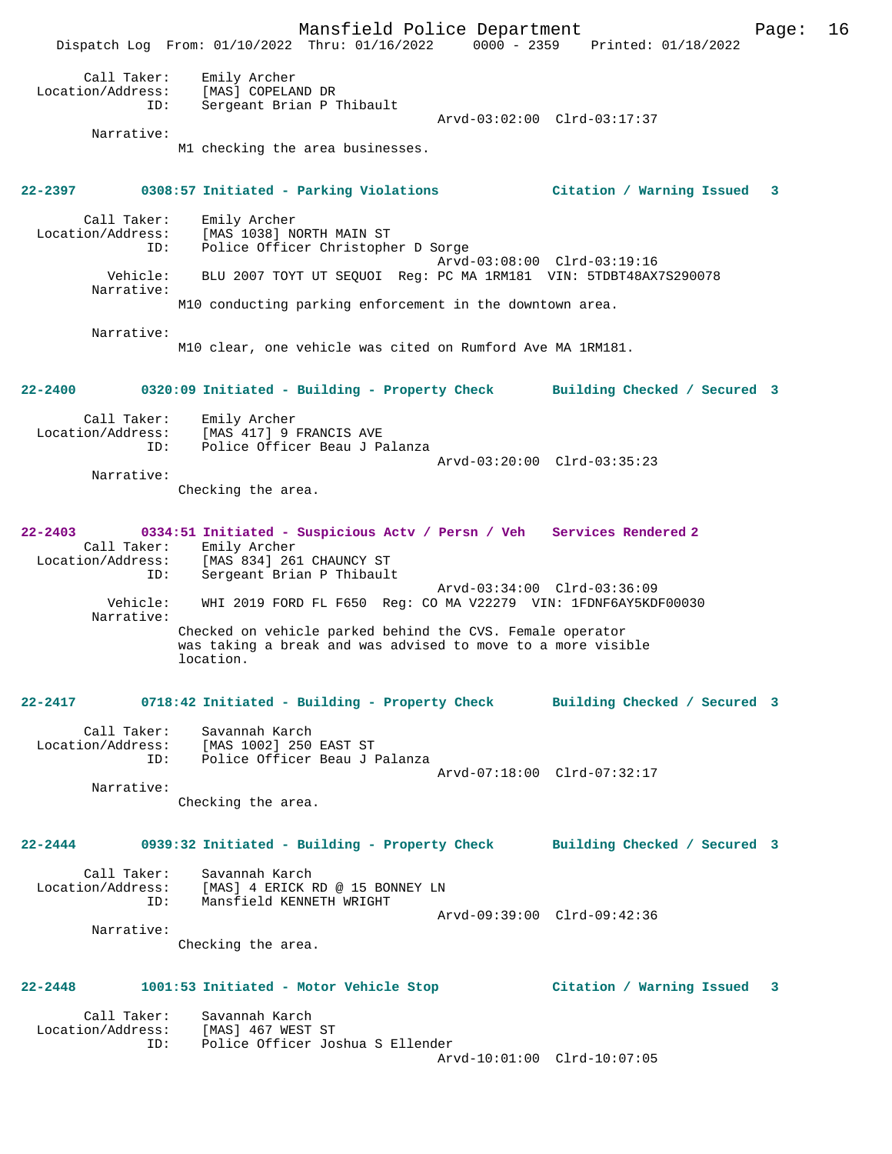Mansfield Police Department Page: 16 Dispatch Log From: 01/10/2022 Thru: 01/16/2022 0000 - 2359 Printed: 01/18/2022 Call Taker: Emily Archer Location/Address: [MAS] COPELAND DR ID: Sergeant Brian P Thibault Arvd-03:02:00 Clrd-03:17:37 Narrative: M1 checking the area businesses. **22-2397 0308:57 Initiated - Parking Violations Citation / Warning Issued 3** Call Taker: Emily Archer Location/Address: [MAS 1038] NORTH MAIN ST ID: Police Officer Christopher D Sorge Arvd-03:08:00 Clrd-03:19:16 Vehicle: BLU 2007 TOYT UT SEQUOI Reg: PC MA 1RM181 VIN: 5TDBT48AX7S290078 Narrative: M10 conducting parking enforcement in the downtown area. Narrative: M10 clear, one vehicle was cited on Rumford Ave MA 1RM181. **22-2400 0320:09 Initiated - Building - Property Check Building Checked / Secured 3** Call Taker: Emily Archer Location/Address: [MAS 417] 9 FRANCIS AVE Police Officer Beau J Palanza Arvd-03:20:00 Clrd-03:35:23 Narrative: Checking the area. **22-2403 0334:51 Initiated - Suspicious Actv / Persn / Veh Services Rendered 2**  Call Taker: Emily Archer Location/Address: [MAS 834] 261 CHAUNCY ST ID: Sergeant Brian P Thibault Arvd-03:34:00 Clrd-03:36:09 Vehicle: WHI 2019 FORD FL F650 Reg: CO MA V22279 VIN: 1FDNF6AY5KDF00030 Narrative: Checked on vehicle parked behind the CVS. Female operator was taking a break and was advised to move to a more visible location. **22-2417 0718:42 Initiated - Building - Property Check Building Checked / Secured 3** Call Taker: Savannah Karch Location/Address: [MAS 1002] 250 EAST ST ID: Police Officer Beau J Palanza Arvd-07:18:00 Clrd-07:32:17 Narrative: Checking the area. **22-2444 0939:32 Initiated - Building - Property Check Building Checked / Secured 3** Call Taker: Savannah Karch Location/Address: [MAS] 4 ERICK RD @ 15 BONNEY LN ID: Mansfield KENNETH WRIGHT Arvd-09:39:00 Clrd-09:42:36 Narrative: Checking the area. **22-2448 1001:53 Initiated - Motor Vehicle Stop Citation / Warning Issued 3** Call Taker: Savannah Karch<br>ion/Address: [MAS] 467 WEST ST Location/Address: ID: Police Officer Joshua S Ellender Arvd-10:01:00 Clrd-10:07:05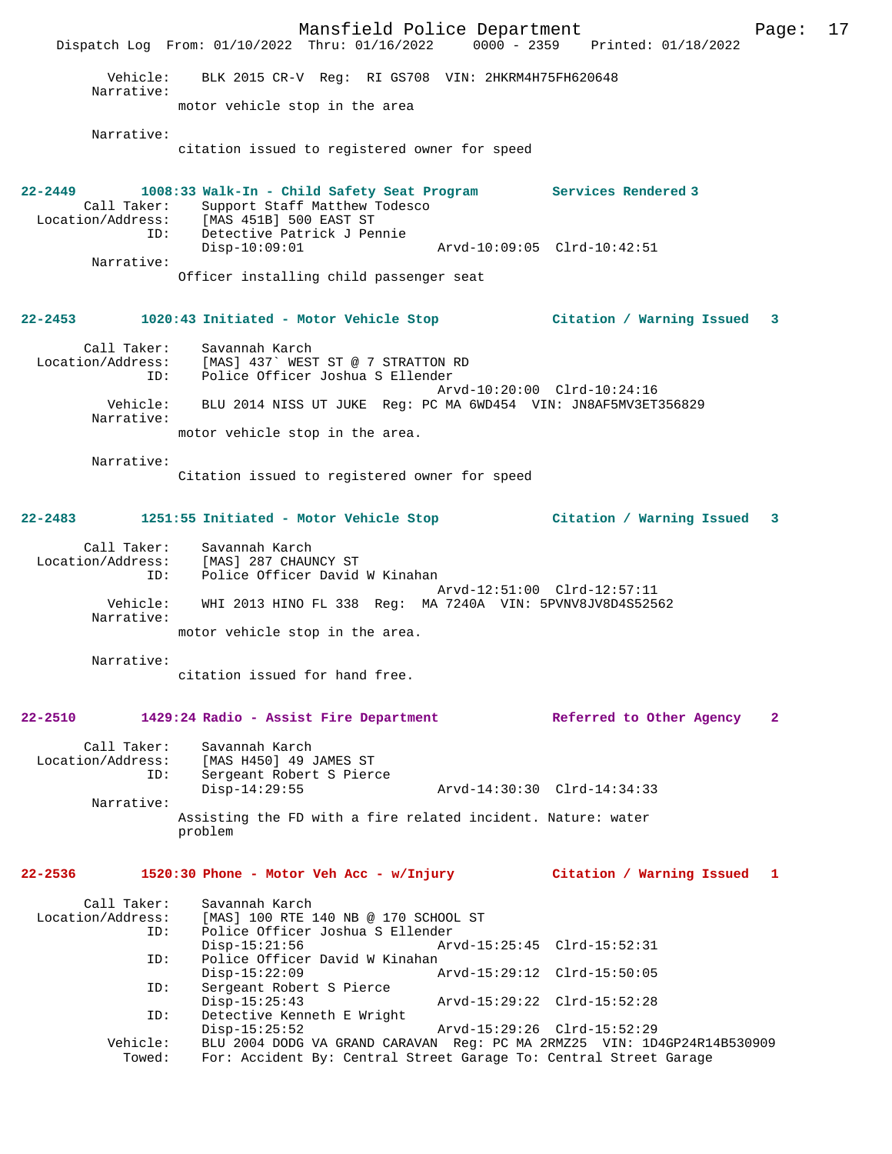Mansfield Police Department Page: 17 Dispatch Log From: 01/10/2022 Thru: 01/16/2022 0000 - 2359 Printed: 01/18/2022 Vehicle: BLK 2015 CR-V Reg: RI GS708 VIN: 2HKRM4H75FH620648 Narrative: motor vehicle stop in the area Narrative: citation issued to registered owner for speed **22-2449 1008:33 Walk-In - Child Safety Seat Program Services Rendered 3**  Call Taker: Support Staff Matthew Todesco Location/Address: [MAS 451B] 500 EAST ST ID: Detective Patrick J Pennie Disp-10:09:01 Arvd-10:09:05 Clrd-10:42:51 Narrative: Officer installing child passenger seat **22-2453 1020:43 Initiated - Motor Vehicle Stop Citation / Warning Issued 3** Call Taker: Savannah Karch Location/Address: [MAS] 437` WEST ST @ 7 STRATTON RD ID: Police Officer Joshua S Ellender Arvd-10:20:00 Clrd-10:24:16 Vehicle: BLU 2014 NISS UT JUKE Reg: PC MA 6WD454 VIN: JN8AF5MV3ET356829 Narrative: motor vehicle stop in the area. Narrative: Citation issued to registered owner for speed **22-2483 1251:55 Initiated - Motor Vehicle Stop Citation / Warning Issued 3** Call Taker: Savannah Karch Location/Address: [MAS] 287 CHAUNCY ST ID: Police Officer David W Kinahan Arvd-12:51:00 Clrd-12:57:11 Vehicle: WHI 2013 HINO FL 338 Reg: MA 7240A VIN: 5PVNV8JV8D4S52562 Narrative: motor vehicle stop in the area. Narrative: citation issued for hand free. **22-2510 1429:24 Radio - Assist Fire Department Referred to Other Agency 2** Call Taker: Savannah Karch<br>: Location/Address: [MAS H450] 49 [MAS H450] 49 JAMES ST Ess. The History of the Electron Control of the Sergeant Robert S Pierce<br>Disp-14:29:55 Disp-14:29:55 Arvd-14:30:30 Clrd-14:34:33 Narrative: Assisting the FD with a fire related incident. Nature: water problem **22-2536 1520:30 Phone - Motor Veh Acc - w/Injury Citation / Warning Issued 1** Call Taker: Savannah Karch Location/Address: [MAS] 100 RTE 140 NB @ 170 SCHOOL ST Police Officer Joshua S Ellender<br>Disp-15:21:56 Arv Arvd-15:25:45 Clrd-15:52:31 ID: Police Officer David W Kinahan<br>Disp-15:22:09 Disp-15:22:09 Arvd-15:29:12 Clrd-15:50:05 ID: Sergeant Robert S Pierce Disp-15:25:43 Arvd-15:29:22 Clrd-15:52:28<br>TD: Detective Kenneth E Wright Detective Kenneth E Wright Disp-15:25:52 Arvd-15:29:26 Clrd-15:52:29 Vehicle: BLU 2004 DODG VA GRAND CARAVAN Reg: PC MA 2RMZ25 VIN: 1D4GP24R14B530909 Towed: For: Accident By: Central Street Garage To: Central Street Garage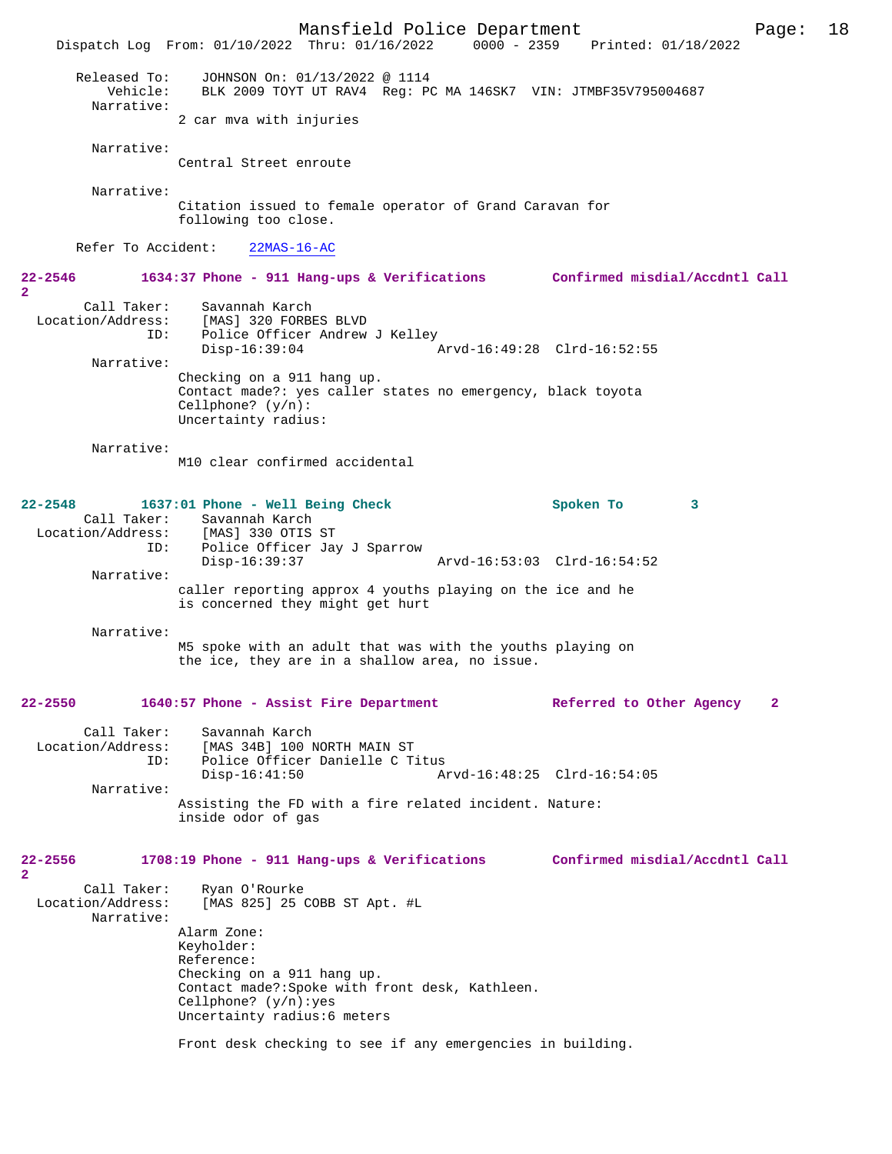Mansfield Police Department Page: 18 Dispatch Log From: 01/10/2022 Thru: 01/16/2022 Released To: JOHNSON On: 01/13/2022 @ 1114 Vehicle: BLK 2009 TOYT UT RAV4 Reg: PC MA 146SK7 VIN: JTMBF35V795004687 Narrative: 2 car mva with injuries Narrative: Central Street enroute Narrative: Citation issued to female operator of Grand Caravan for following too close. Refer To Accident: 22MAS-16-AC **22-2546 1634:37 Phone - 911 Hang-ups & Verifications Confirmed misdial/Accdntl Call 2**  Call Taker: Savannah Karch Location/Address: [MAS] 320 FORBES BLVD Police Officer Andrew J Kelley Disp-16:39:04 Arvd-16:49:28 Clrd-16:52:55 Narrative: Checking on a 911 hang up. Contact made?: yes caller states no emergency, black toyota Cellphone? (y/n): Uncertainty radius: Narrative: M10 clear confirmed accidental **22-2548 1637:01 Phone - Well Being Check Spoken To 3**  Call Taker: Savannah Karch<br>.on/Address: [MAS] 330 OTIS ST Location/Address:<br>ID: Police Officer Jay J Sparrow<br>Disp-16:39:37 Disp-16:39:37 Arvd-16:53:03 Clrd-16:54:52 Narrative: caller reporting approx 4 youths playing on the ice and he is concerned they might get hurt Narrative: M5 spoke with an adult that was with the youths playing on the ice, they are in a shallow area, no issue. **22-2550 1640:57 Phone - Assist Fire Department Referred to Other Agency 2** Call Taker: Savannah Karch<br>Location/Address: [MAS 34B] 100 1 ess: [MAS 34B] 100 NORTH MAIN ST<br>TD: Police Officer Danielle C T Police Officer Danielle C Titus<br>Disp-16:41:50 A Disp-16:41:50 Arvd-16:48:25 Clrd-16:54:05 Narrative: Assisting the FD with a fire related incident. Nature: inside odor of gas **22-2556 1708:19 Phone - 911 Hang-ups & Verifications Confirmed misdial/Accdntl Call 2**  Call Taker: Ryan O'Rourke<br>Location/Address: [MAS 825] 25 (  $[MAS 825] 25 COBB ST Apt. #L$  Narrative: Alarm Zone: Keyholder: Reference: Checking on a 911 hang up. Contact made?:Spoke with front desk, Kathleen. Cellphone? (y/n):yes Uncertainty radius:6 meters Front desk checking to see if any emergencies in building.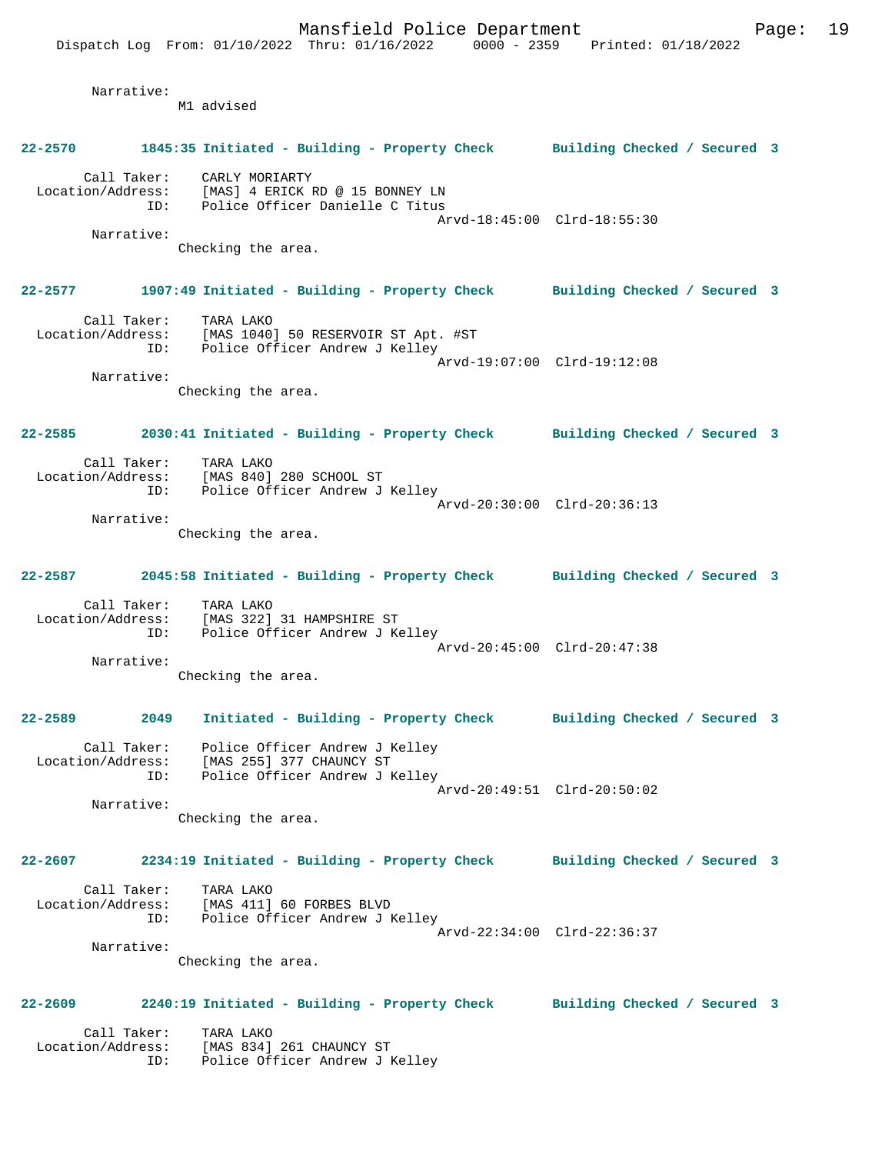Narrative: M1 advised **22-2570 1845:35 Initiated - Building - Property Check Building Checked / Secured 3** Call Taker: CARLY MORIARTY Location/Address: [MAS] 4 ERICK RD @ 15 BONNEY LN ID: Police Officer Danielle C Titus Arvd-18:45:00 Clrd-18:55:30 Narrative: Checking the area. **22-2577 1907:49 Initiated - Building - Property Check Building Checked / Secured 3** Call Taker: TARA LAKO Location/Address: [MAS 1040] 50 RESERVOIR ST Apt. #ST ID: Police Officer Andrew J Kelley Arvd-19:07:00 Clrd-19:12:08 Narrative: Checking the area. **22-2585 2030:41 Initiated - Building - Property Check Building Checked / Secured 3** Call Taker: TARA LAKO<br>Location/Address: [MAS 840] [MAS 840] 280 SCHOOL ST ID: Police Officer Andrew J Kelley Arvd-20:30:00 Clrd-20:36:13 Narrative: Checking the area. **22-2587 2045:58 Initiated - Building - Property Check Building Checked / Secured 3** Call Taker: TARA LAKO Location/Address: [MAS 322] 31 HAMPSHIRE ST ID: Police Officer Andrew J Kelley Arvd-20:45:00 Clrd-20:47:38 Narrative: Checking the area. **22-2589 2049 Initiated - Building - Property Check Building Checked / Secured 3** Call Taker: Police Officer Andrew J Kelley Location/Address: [MAS 255] 377 CHAUNCY ST ID: Police Officer Andrew J Kelley Arvd-20:49:51 Clrd-20:50:02 Narrative: Checking the area. **22-2607 2234:19 Initiated - Building - Property Check Building Checked / Secured 3** Call Taker: TARA LAKO Location/Address: [MAS 411] 60 FORBES BLVD ID: Police Officer Andrew J Kelley Arvd-22:34:00 Clrd-22:36:37 Narrative: Checking the area. **22-2609 2240:19 Initiated - Building - Property Check Building Checked / Secured 3** Call Taker: TARA LAKO Location/Address: [MAS 834] 261 CHAUNCY ST ID: Police Officer Andrew J Kelley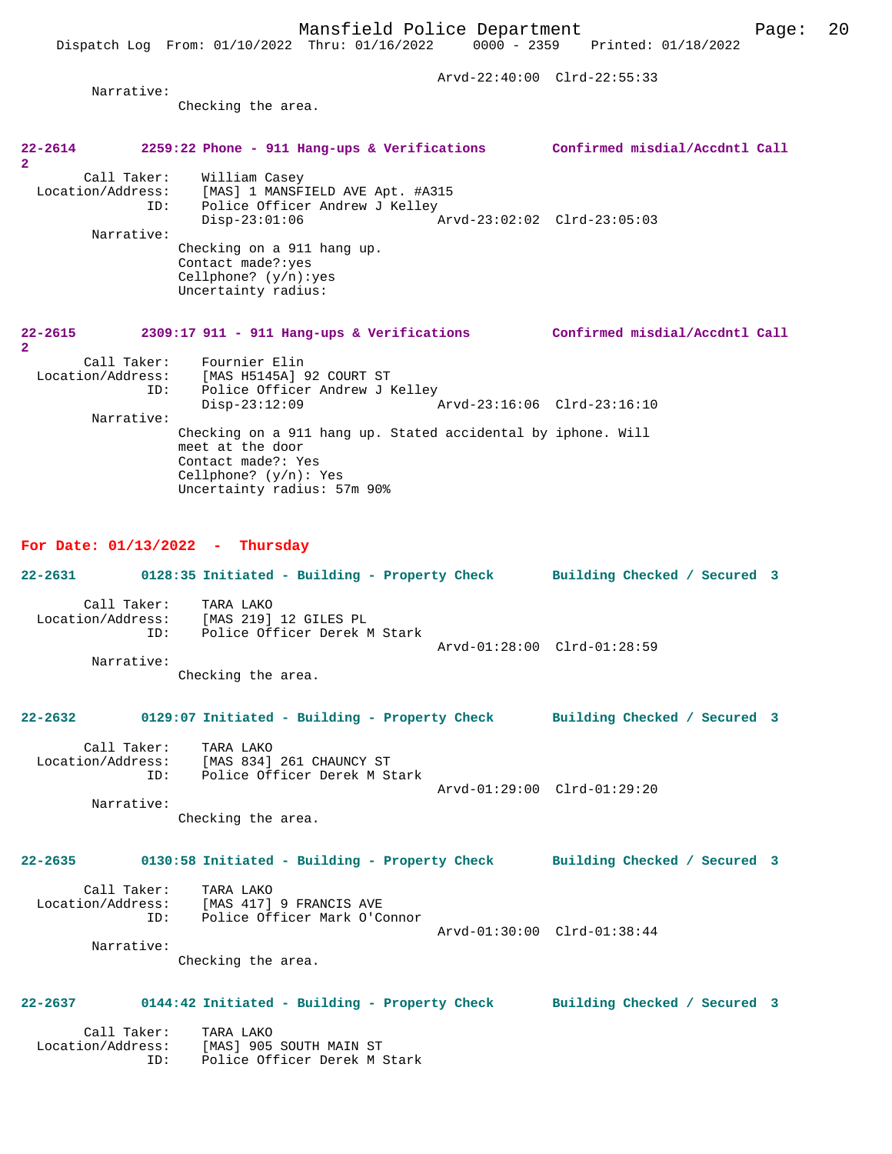Arvd-22:40:00 Clrd-22:55:33

Narrative:

Checking the area.

# **22-2614 2259:22 Phone - 911 Hang-ups & Verifications Confirmed misdial/Accdntl Call 2**

Call Taker: William Casey<br>Location/Address: [MAS] 1 MANSFI Location/Address: [MAS] 1 MANSFIELD AVE Apt. #A315 ID: Police Officer Andrew J Kelley Disp-23:01:06 Arvd-23:02:02 Clrd-23:05:03 Narrative: Checking on a 911 hang up. Contact made?:yes Cellphone? (y/n):yes Uncertainty radius:

#### **22-2615 2309:17 911 - 911 Hang-ups & Verifications Confirmed misdial/Accdntl Call 2**

| Call Taker:<br>Location/Address:<br>ID: | Fournier Elin<br>[MAS H5145A] 92 COURT ST<br>Police Officer Andrew J Kelley                                                                                       |                             |  |
|-----------------------------------------|-------------------------------------------------------------------------------------------------------------------------------------------------------------------|-----------------------------|--|
|                                         | $Disp-23:12:09$                                                                                                                                                   | Arvd-23:16:06 Clrd-23:16:10 |  |
| Narrative:                              |                                                                                                                                                                   |                             |  |
|                                         | Checking on a 911 hang up. Stated accidental by iphone. Will<br>meet at the door<br>Contact made?: Yes<br>Cellphone? $(y/n)$ : Yes<br>Uncertainty radius: 57m 90% |                             |  |

### **For Date: 01/13/2022 - Thursday**

|             | 22-2631 0128:35 Initiated - Building - Property Check Building Checked / Secured 3                                            |                             |  |
|-------------|-------------------------------------------------------------------------------------------------------------------------------|-----------------------------|--|
| Narrative:  | Call Taker: TARA LAKO<br>Location/Address: [MAS 219] 12 GILES PL<br>ID: Police Officer Derek M Stark<br>Checking the area.    | Arvd-01:28:00 Clrd-01:28:59 |  |
|             |                                                                                                                               |                             |  |
|             | 22-2632 0129:07 Initiated - Building - Property Check Building Checked / Secured 3                                            |                             |  |
| Narrative:  | Call Taker: TARA LAKO<br>Location/Address: [MAS 834] 261 CHAUNCY ST<br>ID: Police Officer Derek M Stark<br>Checking the area. | Arvd-01:29:00 Clrd-01:29:20 |  |
|             | 22-2635 0130:58 Initiated - Building - Property Check Building Checked / Secured 3                                            |                             |  |
|             | Call Taker: TARA LAKO<br>Location/Address: [MAS 417] 9 FRANCIS AVE<br>ID: Police Officer Mark O'Connor                        | Arvd-01:30:00 Clrd-01:38:44 |  |
| Narrative:  | Checking the area.                                                                                                            |                             |  |
| $22 - 2637$ | 0144:42 Initiated - Building - Property Check Building Checked / Secured 3                                                    |                             |  |

 Call Taker: TARA LAKO Location/Address: [MAS] 905 SOUTH MAIN ST ID: Police Officer Derek M Stark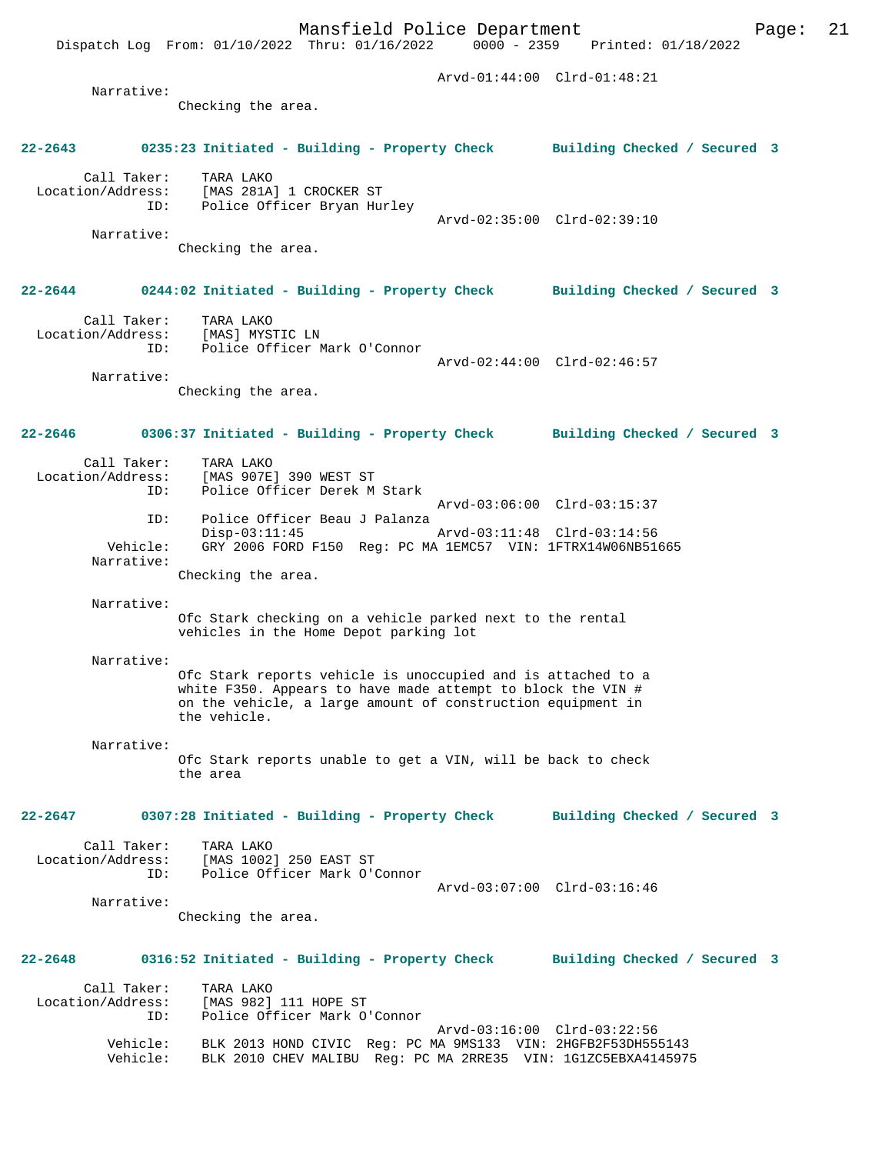Checking the area.

# **22-2643 0235:23 Initiated - Building - Property Check Building Checked / Secured 3**

 Call Taker: TARA LAKO Location/Address: [MAS 281A] 1 CROCKER ST ID: Police Officer Bryan Hurley Arvd-02:35:00 Clrd-02:39:10

> Narrative: Checking the area.

# **22-2644 0244:02 Initiated - Building - Property Check Building Checked / Secured 3**

 Call Taker: TARA LAKO Location/Address: [MAS] MYSTIC LN ID: Police Officer Mark O'Connor

 Arvd-02:44:00 Clrd-02:46:57 Narrative:

Checking the area.

# **22-2646 0306:37 Initiated - Building - Property Check Building Checked / Secured 3**

| Call Taker:<br>Location/Address:<br>ID: | TARA LAKO<br>[MAS 907E] 390 WEST ST<br>Police Officer Derek M Stark             |
|-----------------------------------------|---------------------------------------------------------------------------------|
|                                         | Arvd-03:06:00 Clrd-03:15:37                                                     |
| TD:                                     | Police Officer Beau J Palanza<br>Arvd-03:11:48 Clrd-03:14:56<br>$Disp-03:11:45$ |
| Vehicle:<br>Narrative:                  | GRY 2006 FORD F150 Reg: PC MA 1EMC57 VIN: 1FTRX14W06NB51665                     |
|                                         | Checking the area.                                                              |

Narrative:

Narrative:

Ofc Stark checking on a vehicle parked next to the rental vehicles in the Home Depot parking lot

#### Narrative:

Ofc Stark reports vehicle is unoccupied and is attached to a white F350. Appears to have made attempt to block the VIN # on the vehicle, a large amount of construction equipment in the vehicle.

#### Narrative:

Ofc Stark reports unable to get a VIN, will be back to check the area

# **22-2647 0307:28 Initiated - Building - Property Check Building Checked / Secured 3**

Call Taker: TARA LAKO<br>ion/Address: [MAS 1002] 250 EAST ST Location/Address: ID: Police Officer Mark O'Connor

Arvd-03:07:00 Clrd-03:16:46

 Narrative: Checking the area.

# **22-2648 0316:52 Initiated - Building - Property Check Building Checked / Secured 3**

| Call Taker:<br>Location/Address: | TARA LAKO<br>[MAS 982] 111 HOPE ST                            |
|----------------------------------|---------------------------------------------------------------|
| TD:                              | Police Officer Mark O'Connor                                  |
|                                  | Arvd-03:16:00 Clrd-03:22:56                                   |
| Vehicle:                         | BLK 2013 HOND CIVIC Req: PC MA 9MS133 VIN: 2HGFB2F53DH555143  |
| Vehicle:                         | BLK 2010 CHEV MALIBU Req: PC MA 2RRE35 VIN: 1G1ZC5EBXA4145975 |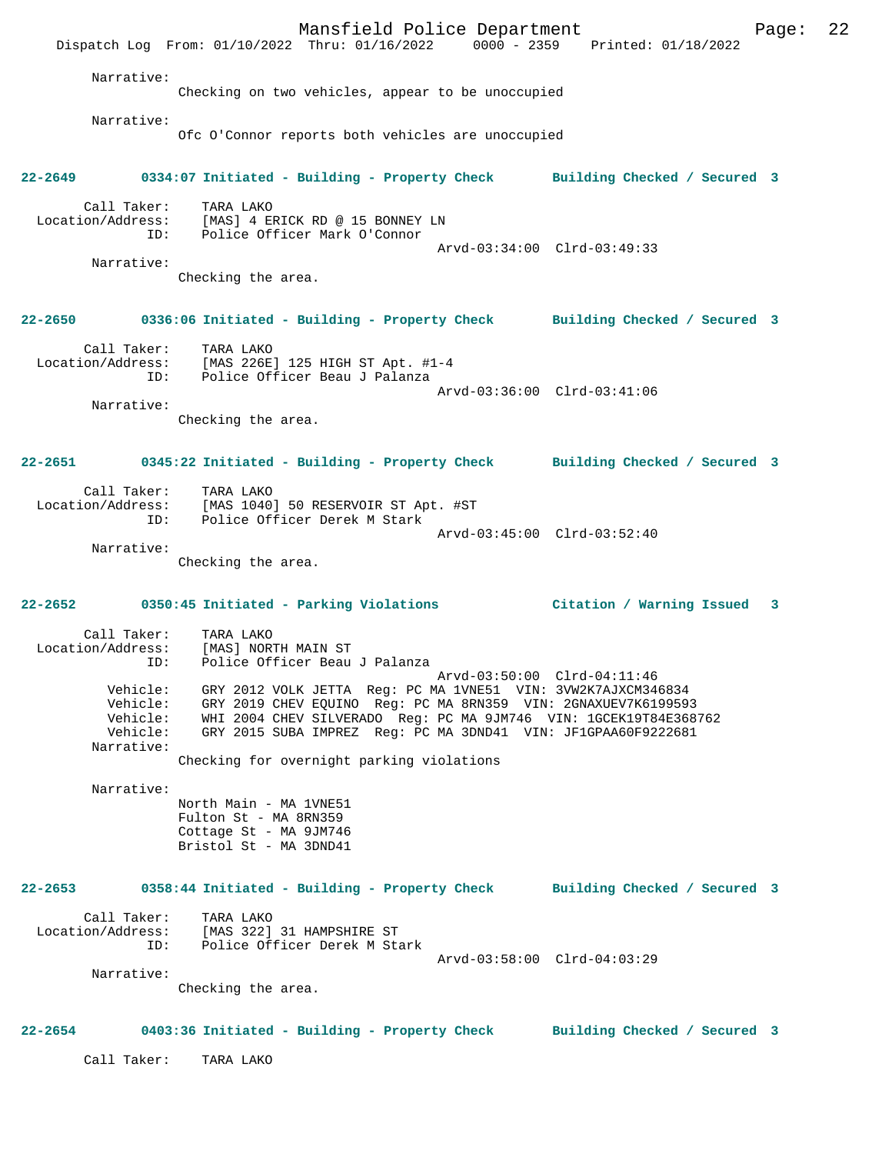Mansfield Police Department Page: 22 Dispatch Log From: 01/10/2022 Thru: 01/16/2022 0000 - 2359 Printed: 01/18/2022 Narrative: Checking on two vehicles, appear to be unoccupied Narrative: Ofc O'Connor reports both vehicles are unoccupied **22-2649 0334:07 Initiated - Building - Property Check Building Checked / Secured 3** Call Taker: TARA LAKO Location/Address: [MAS] 4 ERICK RD @ 15 BONNEY LN ID: Police Officer Mark O'Connor Arvd-03:34:00 Clrd-03:49:33 Narrative: Checking the area. **22-2650 0336:06 Initiated - Building - Property Check Building Checked / Secured 3** Call Taker: TARA LAKO Location/Address: [MAS 226E] 125 HIGH ST Apt. #1-4 ID: Police Officer Beau J Palanza Arvd-03:36:00 Clrd-03:41:06 Narrative: Checking the area. **22-2651 0345:22 Initiated - Building - Property Check Building Checked / Secured 3** Call Taker: TARA LAKO<br>Location/Address: [MAS 1040 [MAS 1040] 50 RESERVOIR ST Apt. #ST ID: Police Officer Derek M Stark Arvd-03:45:00 Clrd-03:52:40 Narrative: Checking the area. **22-2652 0350:45 Initiated - Parking Violations Citation / Warning Issued 3** Call Taker: TARA LAKO Location/Address: [MAS] NORTH MAIN ST<br>ID: Police Officer Beau Police Officer Beau J Palanza Arvd-03:50:00 Clrd-04:11:46 Vehicle: GRY 2012 VOLK JETTA Reg: PC MA 1VNE51 VIN: 3VW2K7AJXCM346834 Vehicle: GRY 2019 CHEV EQUINO Reg: PC MA 8RN359 VIN: 2GNAXUEV7K6199593 Vehicle: WHI 2004 CHEV SILVERADO Reg: PC MA 9JM746 VIN: 1GCEK19T84E368762<br>Vehicle: GRY 2015 SUBA IMPREZ Reg: PC MA 3DND41 VIN: JF1GPAA60F9222681 GRY 2015 SUBA IMPREZ Reg: PC MA 3DND41 VIN: JF1GPAA60F9222681 Narrative: Checking for overnight parking violations Narrative: North Main - MA 1VNE51 Fulton St - MA 8RN359 Cottage St - MA 9JM746 Bristol St - MA 3DND41 **22-2653 0358:44 Initiated - Building - Property Check Building Checked / Secured 3** Call Taker: TARA LAKO Location/Address: [MAS 322] 31 HAMPSHIRE ST ID: Police Officer Derek M Stark Arvd-03:58:00 Clrd-04:03:29 Narrative: Checking the area. **22-2654 0403:36 Initiated - Building - Property Check Building Checked / Secured 3** Call Taker: TARA LAKO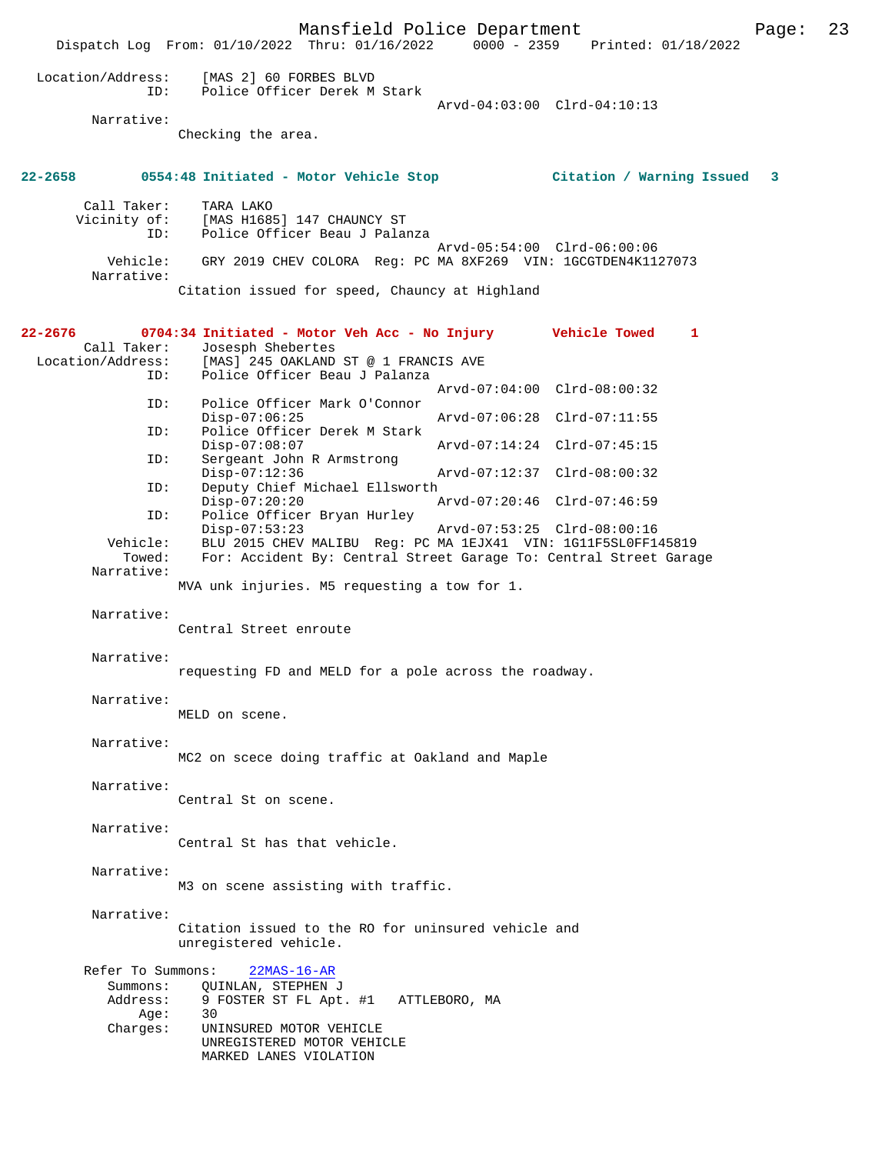Mansfield Police Department Page: 23 Dispatch Log From:  $01/10/2022$  Thru:  $01/16/2022$  0000 - 2359 Location/Address: [MAS 2] 60 FORBES BLVD ID: Police Officer Derek M Stark Arvd-04:03:00 Clrd-04:10:13 Narrative: Checking the area. **22-2658 0554:48 Initiated - Motor Vehicle Stop Citation / Warning Issued 3** Call Taker: TARA LAKO Vicinity of: [MAS H1685] 147 CHAUNCY ST ID: Police Officer Beau J Palanza Arvd-05:54:00 Clrd-06:00:06 Vehicle: GRY 2019 CHEV COLORA Reg: PC MA 8XF269 VIN: 1GCGTDEN4K1127073 Narrative: Citation issued for speed, Chauncy at Highland **22-2676 0704:34 Initiated - Motor Veh Acc - No Injury Vehicle Towed 1**  Call Taker: Josesph Shebertes<br>Location/Address: [MAS] 245 OAKLAND Location/Address: [MAS] 245 OAKLAND ST @ 1 FRANCIS AVE ID: Police Officer Beau J Palanza Arvd-07:04:00 Clrd-08:00:32 ID: Police Officer Mark O'Connor Disp-07:06:25 Arvd-07:06:28 Clrd-07:11:55<br>ID: Police Officer Derek M Stark Police Officer Derek M Stark Disp-07:08:07 <br>D: Sergeant John R Armstrong <br>D: Sergeant John R Armstrong Sergeant John R Armstrong<br>Disp-07:12:36 Disp-07:12:36 Arvd-07:12:37 Clrd-08:00:32<br>ID: Deputy Chief Michael Ellsworth Deputy Chief Michael Ellsworth<br>Disp-07:20:20 Disp-07:20:20 Arvd-07:20:46 Clrd-07:46:59 ID: Police Officer Bryan Hurley Disp-07:53:23 Arvd-07:53:25 Clrd-08:00:16<br>Vehicle: BLU 2015 CHEV MALIBU Req: PC MA 1EJX41 VIN: 1G11F5SL0FF1 ehicle: BLU 2015 CHEV MALIBU Reg: PC MA 1EJX41 VIN: 1G11F5SL0FF145819<br>Towed: For: Accident By: Central Street Garage To: Central Street Gara For: Accident By: Central Street Garage To: Central Street Garage Narrative: MVA unk injuries. M5 requesting a tow for 1. Narrative: Central Street enroute Narrative: requesting FD and MELD for a pole across the roadway. Narrative: MELD on scene. Narrative: MC2 on scece doing traffic at Oakland and Maple Narrative: Central St on scene. Narrative: Central St has that vehicle. Narrative: M3 on scene assisting with traffic. Narrative: Citation issued to the RO for uninsured vehicle and unregistered vehicle. Refer To Summons: 22MAS-16-AR Summons: QUINLAN, STEPHEN J<br>Address: 9 FOSTER ST FL Apt 9 FOSTER ST FL Apt. #1 ATTLEBORO, MA<br>30 Age:<br>:Charges UNINSURED MOTOR VEHICLE UNREGISTERED MOTOR VEHICLE MARKED LANES VIOLATION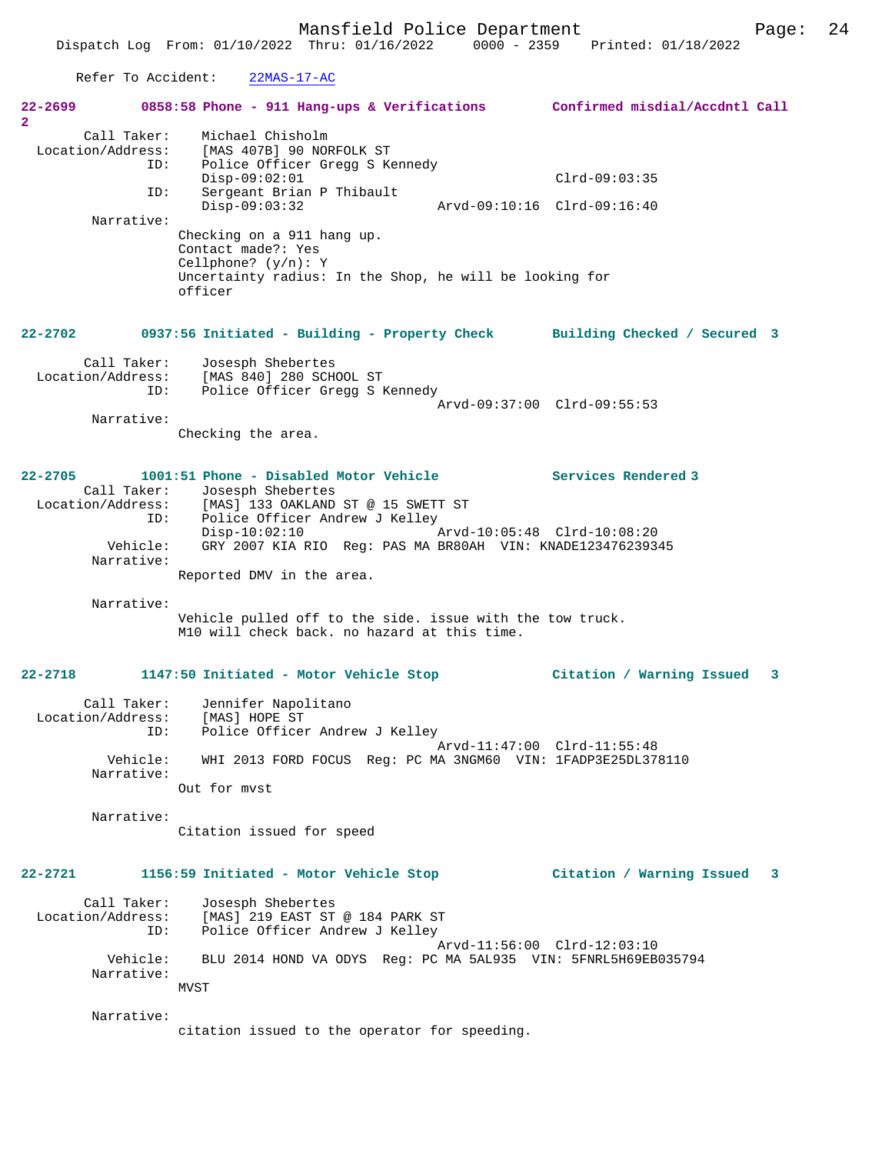Mansfield Police Department Page: 24 Dispatch Log From: 01/10/2022 Thru: 01/16/2022 0000 - 2359 Printed: 01/18/2022 Refer To Accident: 22MAS-17-AC **22-2699 0858:58 Phone - 911 Hang-ups & Verifications Confirmed misdial/Accdntl Call 2**  Call Taker: Michael Chisholm Location/Address: [MAS 407B] 90 NORFOLK ST ID: Police Officer Gregg S Kennedy Disp-09:02:01 Clrd-09:03:35<br>ID: Sergeant Brian P Thibault Sergeant Brian P Thibault<br>Disp-09:03:32 Disp-09:03:32 Arvd-09:10:16 Clrd-09:16:40 Narrative: Checking on a 911 hang up. Contact made?: Yes Cellphone? (y/n): Y Uncertainty radius: In the Shop, he will be looking for officer **22-2702 0937:56 Initiated - Building - Property Check Building Checked / Secured 3** Call Taker: Josesph Shebertes Location/Address: [MAS 840] 280 SCHOOL ST ID: Police Officer Gregg S Kennedy Arvd-09:37:00 Clrd-09:55:53 Narrative: Checking the area. **22-2705 1001:51 Phone - Disabled Motor Vehicle Services Rendered 3**  Call Taker: Josesph Shebertes<br>Location/Address: [MAS] 133 OAKLAND [MAS] 133 OAKLAND ST @ 15 SWETT ST ID: Police Officer Andrew J Kelley<br>Disp-10:02:10 Arvd-10:05:48 Clrd-10:08:20 Disp-10:02:10<br>Vehicle: GRY 2007 KIA RIO Req: PAS GRY 2007 KIA RIO Reg: PAS MA BR80AH VIN: KNADE123476239345 Narrative: Reported DMV in the area. Narrative: Vehicle pulled off to the side. issue with the tow truck. M10 will check back. no hazard at this time. **22-2718 1147:50 Initiated - Motor Vehicle Stop Citation / Warning Issued 3** Call Taker: Jennifer Napolitano Location/Address: [MAS] HOPE ST ID: Police Officer Andrew J Kelley Arvd-11:47:00 Clrd-11:55:48 Vehicle: WHI 2013 FORD FOCUS Reg: PC MA 3NGM60 VIN: 1FADP3E25DL378110 Narrative: Out for mvst Narrative: Citation issued for speed **22-2721 1156:59 Initiated - Motor Vehicle Stop Citation / Warning Issued 3** Call Taker: Josesph Shebertes Location/Address: [MAS] 219 EAST ST @ 184 PARK ST ID: Police Officer Andrew J Kelley Arvd-11:56:00 Clrd-12:03:10 Vehicle: BLU 2014 HOND VA ODYS Reg: PC MA 5AL935 VIN: 5FNRL5H69EB035794 Narrative:

Narrative:

MVST

citation issued to the operator for speeding.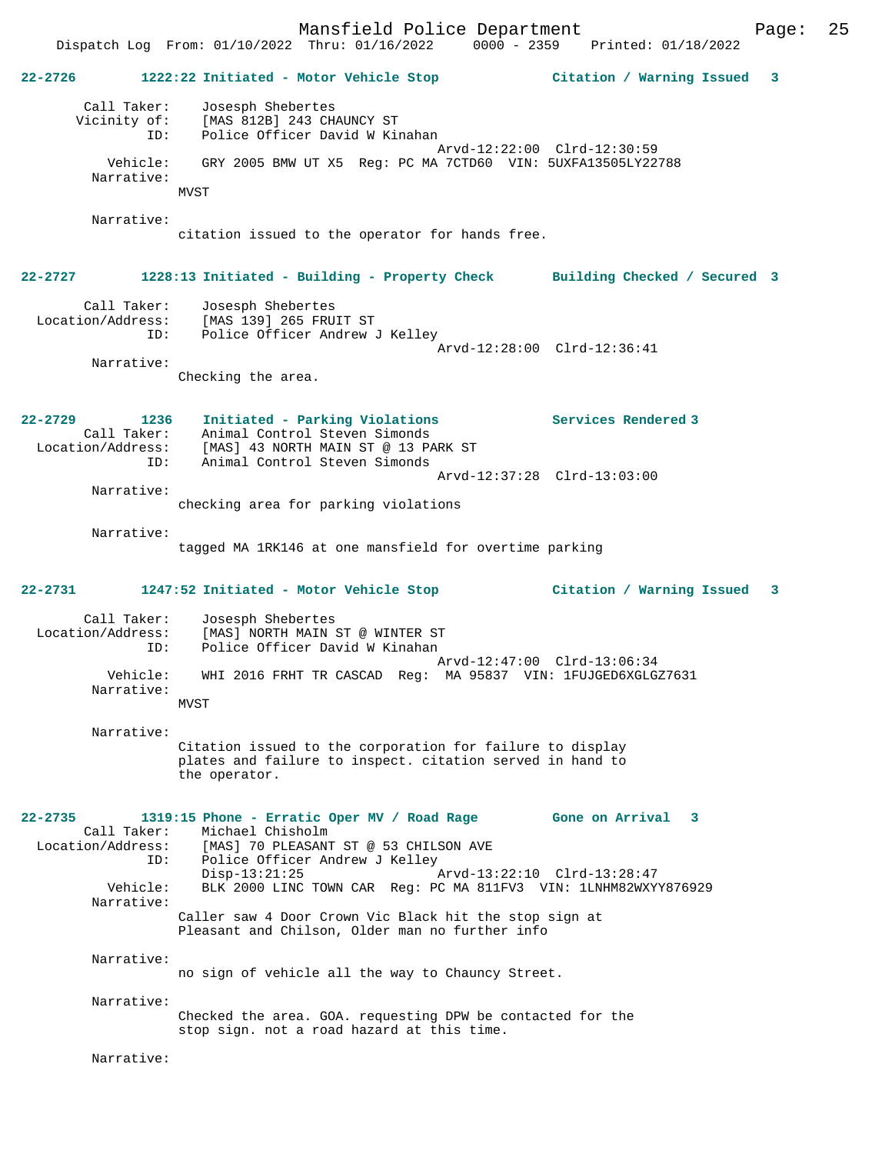Mansfield Police Department Page: 25 Dispatch Log From:  $01/10/2022$  Thru:  $01/16/2022$  0000 - 2359 **22-2726 1222:22 Initiated - Motor Vehicle Stop Citation / Warning Issued 3** Call Taker: Josesph Shebertes Vicinity of: [MAS 812B] 243 CHAUNCY ST ID: Police Officer David W Kinahan Arvd-12:22:00 Clrd-12:30:59 Vehicle: GRY 2005 BMW UT X5 Reg: PC MA 7CTD60 VIN: 5UXFA13505LY22788 Narrative: MVST Narrative: citation issued to the operator for hands free. **22-2727 1228:13 Initiated - Building - Property Check Building Checked / Secured 3** Call Taker: Josesph Shebertes Location/Address: [MAS 139] 265 FRUIT ST ID: Police Officer Andrew J Kelley Arvd-12:28:00 Clrd-12:36:41 Narrative: Checking the area. **22-2729 1236 Initiated - Parking Violations Services Rendered 3**  Call Taker: Animal Control Steven Simonds Location/Address: [MAS] 43 NORTH MAIN ST @ 13 PARK ST Animal Control Steven Simonds Arvd-12:37:28 Clrd-13:03:00 Narrative: checking area for parking violations Narrative: tagged MA 1RK146 at one mansfield for overtime parking **22-2731 1247:52 Initiated - Motor Vehicle Stop Citation / Warning Issued 3** Call Taker: Josesph Shebertes Location/Address: [MAS] NORTH MAIN ST @ WINTER ST Police Officer David W Kinahan Arvd-12:47:00 Clrd-13:06:34 Vehicle: WHI 2016 FRHT TR CASCAD Reg: MA 95837 VIN: 1FUJGED6XGLGZ7631 Narrative: MVST Narrative: Citation issued to the corporation for failure to display plates and failure to inspect. citation served in hand to the operator. **22-2735 1319:15 Phone - Erratic Oper MV / Road Rage Gone on Arrival 3**  Call Taker: Michael Chisholm Location/Address: [MAS] 70 PLEASANT ST @ 53 CHILSON AVE<br>ID: Police Officer Andrew J Kelley ID: Police Officer Andrew J Kelley Disp-13:21:25 Arvd-13:22:10 Clrd-13:28:47<br>Vehicle: RLK 2000 LINC TOWN CAR Reg: PC MA 811EV3 VIN: 1LNHM82WXY BLK 2000 LINC TOWN CAR Reg: PC MA 811FV3 VIN: 1LNHM82WXYY876929 Narrative: Caller saw 4 Door Crown Vic Black hit the stop sign at Pleasant and Chilson, Older man no further info Narrative: no sign of vehicle all the way to Chauncy Street. Narrative: Checked the area. GOA. requesting DPW be contacted for the stop sign. not a road hazard at this time. Narrative: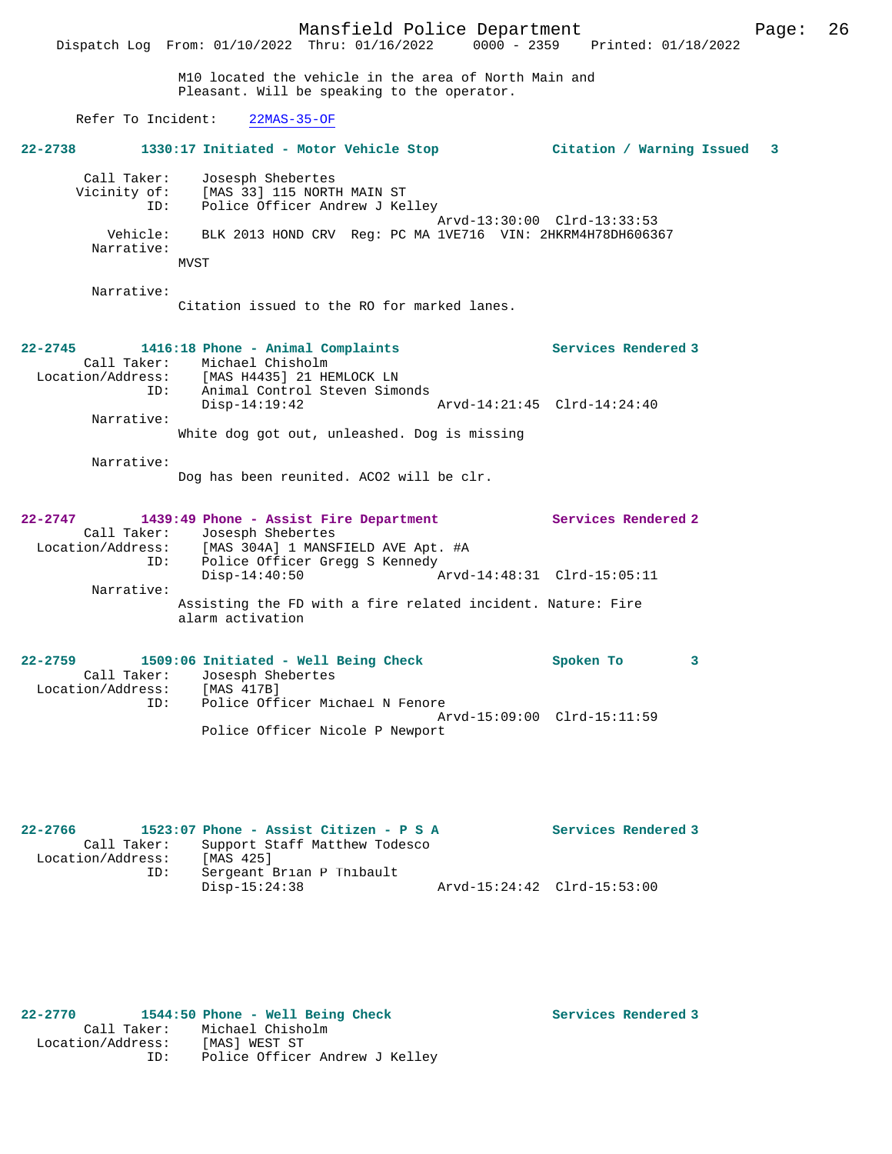Call Taker: Josesph Shebertes Vicinity of: [MAS 33] 115 NORTH MAIN ST ID: Police Officer Andrew J Kelley Arvd-13:30:00 Clrd-13:33:53 Vehicle: BLK 2013 HOND CRV Reg: PC MA 1VE716 VIN: 2HKRM4H78DH606367 Narrative: MVST

Narrative:

Citation issued to the RO for marked lanes.

Dog has been reunited. ACO2 will be clr.

### **22-2745 1416:18 Phone - Animal Complaints Services Rendered 3**  Call Taker: Michael Chisholm<br>Location/Address: [MAS H4435] 21 HE Location/Address: [MAS H4435] 21 HEMLOCK LN ID: Animal Control Steven Simonds Disp-14:19:42 Arvd-14:21:45 Clrd-14:24:40 Narrative: White dog got out, unleashed. Dog is missing

Narrative:

| $22 - 2747$       | 1439:49 Phone - Assist Fire Department                                          |                             | Services Rendered 2 |
|-------------------|---------------------------------------------------------------------------------|-----------------------------|---------------------|
| Call Taker:       | Josesph Shebertes                                                               |                             |                     |
| Location/Address: | [MAS 304A] 1 MANSFIELD AVE Apt. #A                                              |                             |                     |
| ID:               | Police Officer Gregg S Kennedy                                                  |                             |                     |
|                   | $Disp-14:40:50$                                                                 | Arvd-14:48:31 Clrd-15:05:11 |                     |
| Narrative:        |                                                                                 |                             |                     |
|                   | Assisting the FD with a fire related incident. Nature: Fire<br>alarm activation |                             |                     |

| $22 - 2759$       |     | 1509:06 Initiated - Well Being Check | Spoken To |  |
|-------------------|-----|--------------------------------------|-----------|--|
|                   |     | Call Taker: Josesph Shebertes        |           |  |
| Location/Address: |     | [MAS 417B]                           |           |  |
|                   | TD: | Police Officer Michael N Fenore      |           |  |
|                   |     | Arvd-15:09:00 Clrd-15:11:59          |           |  |
|                   |     | Police Officer Nicole P Newport      |           |  |

| $22 - 2766$       | 1523:07 Phone - Assist Citizen - P S A |                             | Services Rendered 3 |
|-------------------|----------------------------------------|-----------------------------|---------------------|
| Call Taker:       | Support Staff Matthew Todesco          |                             |                     |
| Location/Address: | [MAS 425]                              |                             |                     |
| ID:               | Sergeant Brian P Thibault              |                             |                     |
|                   | Disp-15:24:38                          | Arvd-15:24:42 Clrd-15:53:00 |                     |

# **22-2770 1544:50 Phone - Well Being Check Services Rendered 3**

 Call Taker: Michael Chisholm Location/Address: [MAS] WEST ST ID: Police Officer Andrew J Kelley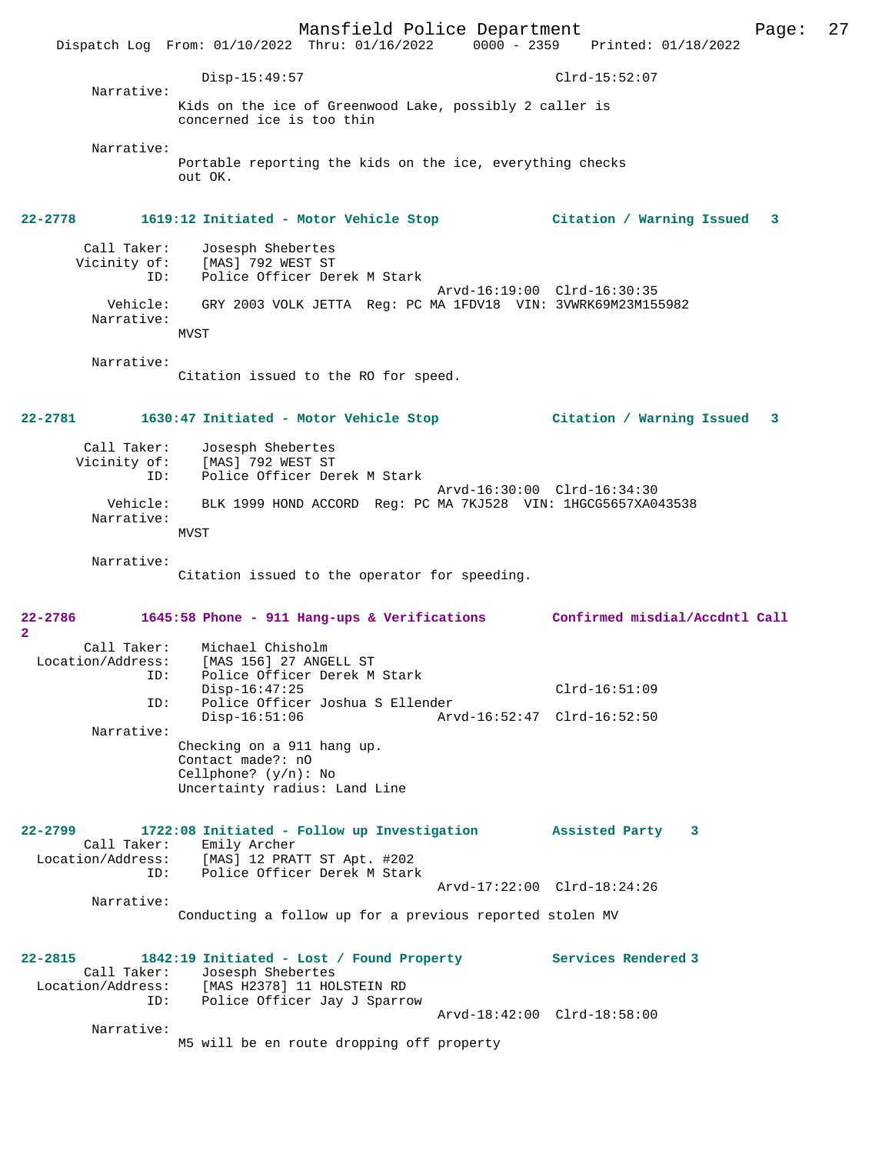Mansfield Police Department Page: 27 Dispatch Log From: 01/10/2022 Thru: 01/16/2022 0000 - 2359 Printed: 01/18/2022 Disp-15:49:57 Clrd-15:52:07 Narrative: Kids on the ice of Greenwood Lake, possibly 2 caller is concerned ice is too thin Narrative: Portable reporting the kids on the ice, everything checks out OK. **22-2778 1619:12 Initiated - Motor Vehicle Stop Citation / Warning Issued 3** Call Taker: Josesph Shebertes<br>Vicinity of: [MAS] 792 WEST ST Victory of: [MAS] 792 WEST ST<br>ID: Police Officer Der Police Officer Derek M Stark Arvd-16:19:00 Clrd-16:30:35 Vehicle: GRY 2003 VOLK JETTA Reg: PC MA 1FDV18 VIN: 3VWRK69M23M155982 Narrative: **MVST**  Narrative: Citation issued to the RO for speed. **22-2781 1630:47 Initiated - Motor Vehicle Stop Citation / Warning Issued 3** Call Taker: Josesph Shebertes Vicinity of: [MAS] 792 WEST ST<br>TD: Police Officer Dev ID: Police Officer Derek M Stark Arvd-16:30:00 Clrd-16:34:30 Vehicle: BLK 1999 HOND ACCORD Reg: PC MA 7KJ528 VIN: 1HGCG5657XA043538 Narrative: MVST Narrative: Citation issued to the operator for speeding. **22-2786 1645:58 Phone - 911 Hang-ups & Verifications Confirmed misdial/Accdntl Call 2**  Call Taker: Michael Chisholm<br>Location/Address: [MAS 156] 27 ANGE ess: [MAS 156] 27 ANGELL ST<br>ID: Police Officer Derek M Police Officer Derek M Stark Disp-16:47:25 Clrd-16:51:09 ID: Police Officer Joshua S Ellender Disp-16:51:06 Arvd-16:52:47 Clrd-16:52:50 Narrative: Checking on a 911 hang up. Contact made?: nO Cellphone? (y/n): No Uncertainty radius: Land Line **22-2799 1722:08 Initiated - Follow up Investigation Assisted Party 3**  Call Taker: Emily Archer Location/Address: [MAS] 12 PRATT ST Apt. #202 ID: Police Officer Derek M Stark Arvd-17:22:00 Clrd-18:24:26 Narrative: Conducting a follow up for a previous reported stolen MV **22-2815 1842:19 Initiated - Lost / Found Property Services Rendered 3**  Call Taker: Josesph Shebertes Location/Address: [MAS H2378] 11 HOLSTEIN RD Police Officer Jay J Sparrow Arvd-18:42:00 Clrd-18:58:00 Narrative: M5 will be en route dropping off property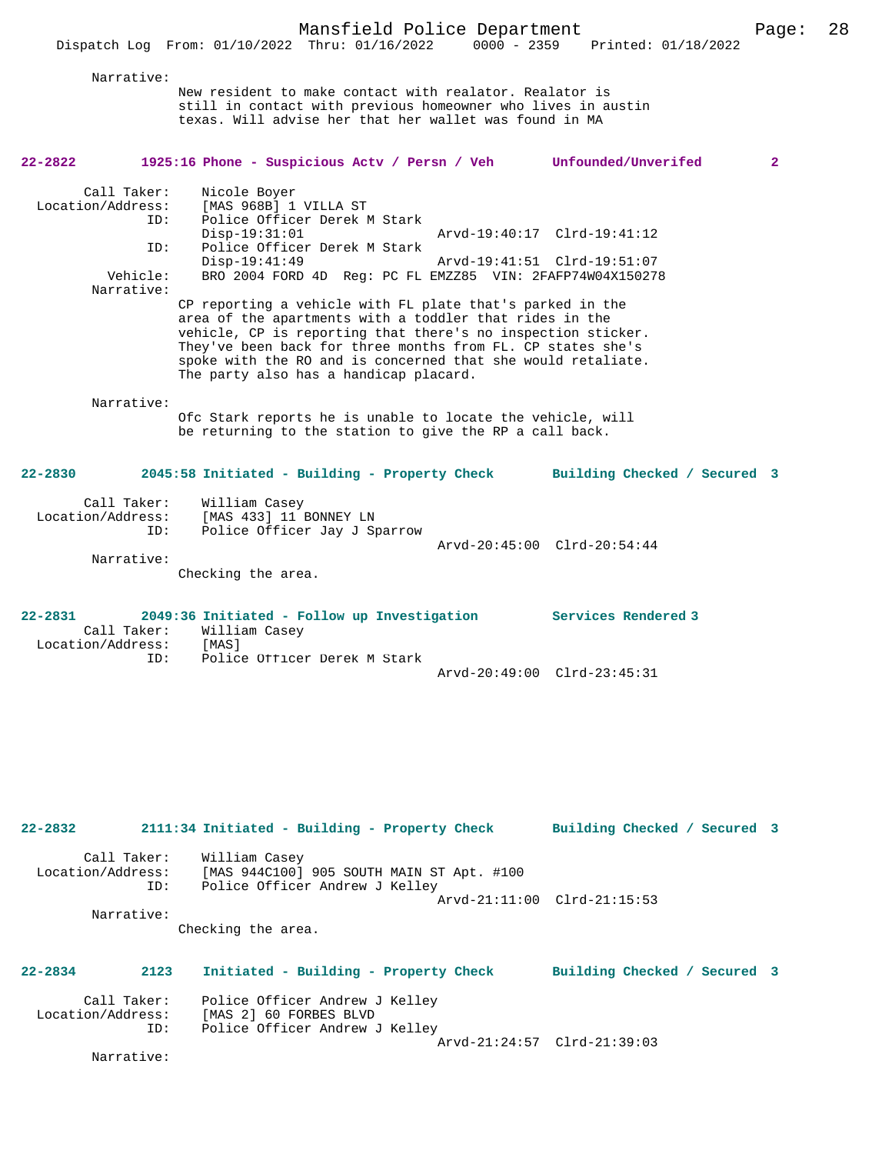New resident to make contact with realator. Realator is still in contact with previous homeowner who lives in austin texas. Will advise her that her wallet was found in MA **22-2822 1925:16 Phone - Suspicious Actv / Persn / Veh Unfounded/Unverifed 2** Call Taker: Nicole Boyer Location/Address: [MAS 968B] 1 VILLA ST ID: Police Officer Derek M Stark Disp-19:31:01 Arvd-19:40:17 Clrd-19:41:12<br>ID: Police Officer Derek M Stark Police Officer Derek M Stark<br>Disp-19:41:49 Disp-19:41:49 Arvd-19:41:51 Clrd-19:51:07<br>Vehicle: BRO 2004 FORD 4D Req: PC FL EMZZ85 VIN: 2FAFP74W04X15027 BRO 2004 FORD 4D Reg: PC FL EMZZ85 VIN: 2FAFP74W04X150278 Narrative: CP reporting a vehicle with FL plate that's parked in the area of the apartments with a toddler that rides in the vehicle, CP is reporting that there's no inspection sticker. They've been back for three months from FL. CP states she's spoke with the RO and is concerned that she would retaliate. The party also has a handicap placard. Narrative: Ofc Stark reports he is unable to locate the vehicle, will be returning to the station to give the RP a call back. **22-2830 2045:58 Initiated - Building - Property Check Building Checked / Secured 3** Call Taker: William Casey Location/Address: [MAS 433] 11 BONNEY LN<br>TD: Police Officer Jay J St Police Officer Jay J Sparrow Arvd-20:45:00 Clrd-20:54:44 Narrative:

Checking the area.

Narrative:

| $22 - 2831$       | 2049:36 Initiated - Follow up Investigation |                             | Services Rendered 3 |
|-------------------|---------------------------------------------|-----------------------------|---------------------|
|                   | Call Taker: William Casey                   |                             |                     |
| Location/Address: | [MAS]                                       |                             |                     |
|                   | Police Officer Derek M Stark<br>TD:         |                             |                     |
|                   |                                             | Arvd-20:49:00 Clrd-23:45:31 |                     |

```
22-2832 2111:34 Initiated - Building - Property Check Building Checked / Secured 3
  Call Taker: William Casey<br>Location/Address: [MAS 944C100]
                ess: [MAS 944C100] 905 SOUTH MAIN ST Apt. #100<br>ID: Police Officer Andrew J Kelley
                       Police Officer Andrew J Kelley
                                                          Arvd-21:11:00 Clrd-21:15:53
          Narrative: 
                     Checking the area.
22-2834 2123 Initiated - Building - Property Check Building Checked / Secured 3
```

| Call Taker:<br>Location/Address: | Police Officer Andrew J Kelley<br>[MAS 2] 60 FORBES BLVD |  |
|----------------------------------|----------------------------------------------------------|--|
| ID:                              | Police Officer Andrew J Kelley                           |  |
|                                  |                                                          |  |
|                                  | Arvd-21:24:57 Clrd-21:39:03                              |  |
| Narrative:                       |                                                          |  |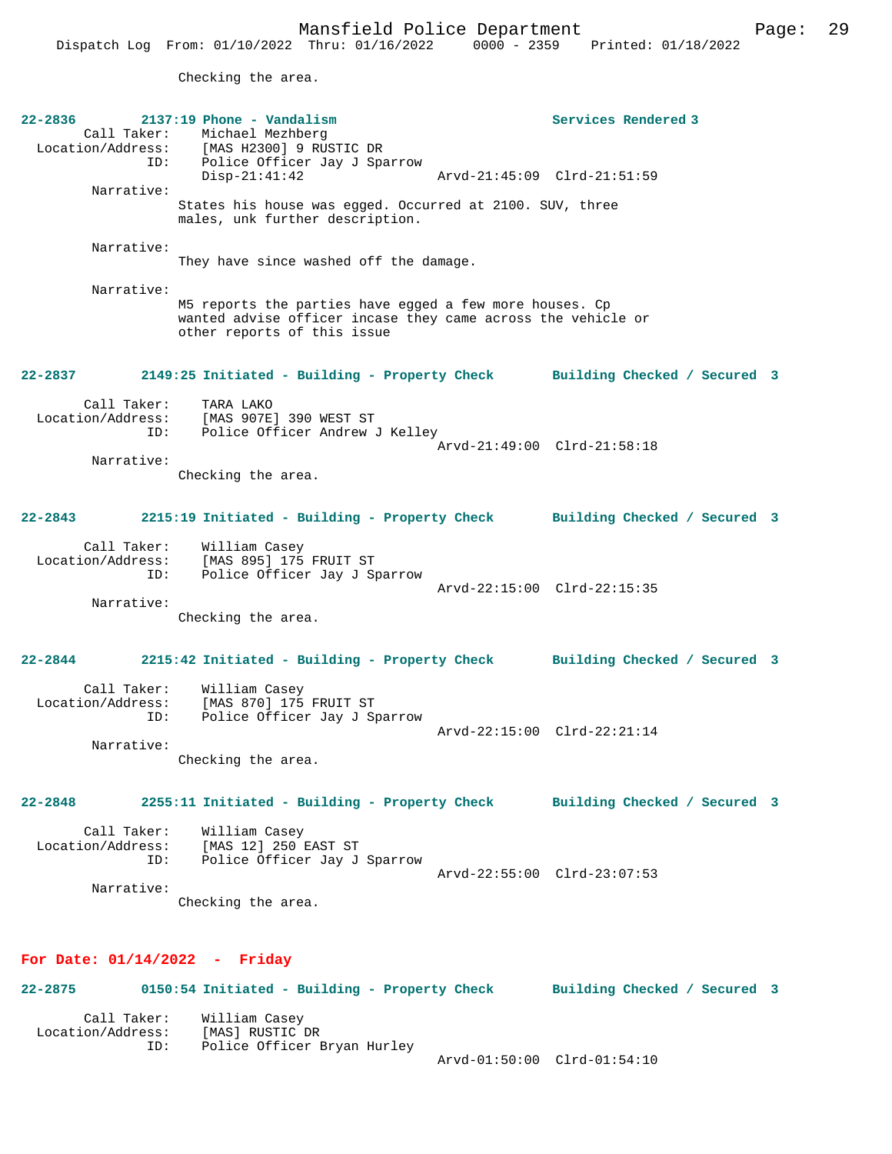Checking the area.

| 22-2836<br>Call Taker:<br>ID:<br>Narrative:<br>Narrative:<br>Narrative: | $2137:19$ Phone - Vandalism<br>Michael Mezhberg<br>Location/Address: [MAS H2300] 9 RUSTIC DR<br>Police Officer Jay J Sparrow<br>$Disp-21:41:42$<br>States his house was egged. Occurred at 2100. SUV, three<br>males, unk further description.<br>They have since washed off the damage. | Services Rendered 3<br>Arvd-21:45:09 Clrd-21:51:59 |
|-------------------------------------------------------------------------|------------------------------------------------------------------------------------------------------------------------------------------------------------------------------------------------------------------------------------------------------------------------------------------|----------------------------------------------------|
|                                                                         | M5 reports the parties have egged a few more houses. Cp<br>wanted advise officer incase they came across the vehicle or<br>other reports of this issue                                                                                                                                   |                                                    |
| 22-2837                                                                 | 2149:25 Initiated - Building - Property Check                                                                                                                                                                                                                                            | Building Checked / Secured 3                       |
| Call Taker:<br>Location/Address:<br>ID:                                 | TARA LAKO<br>[MAS 907E] 390 WEST ST<br>Police Officer Andrew J Kelley                                                                                                                                                                                                                    | Arvd-21:49:00 Clrd-21:58:18                        |
| Narrative:                                                              |                                                                                                                                                                                                                                                                                          |                                                    |
|                                                                         | Checking the area.                                                                                                                                                                                                                                                                       |                                                    |
| 22-2843                                                                 | 2215:19 Initiated - Building - Property Check                                                                                                                                                                                                                                            | Building Checked / Secured 3                       |
| Call Taker:<br>Location/Address:<br>ID:                                 | William Casey<br>[MAS 895] 175 FRUIT ST<br>Police Officer Jay J Sparrow                                                                                                                                                                                                                  | Arvd-22:15:00 Clrd-22:15:35                        |
| Narrative:                                                              |                                                                                                                                                                                                                                                                                          |                                                    |
|                                                                         | Checking the area.                                                                                                                                                                                                                                                                       |                                                    |
| 22-2844                                                                 | 2215:42 Initiated - Building - Property Check                                                                                                                                                                                                                                            | Building Checked / Secured 3                       |
| Call Taker:<br>Location/Address:<br>ID:                                 | William Casey<br>[MAS 870] 175 FRUIT ST<br>Police Officer Jay J Sparrow                                                                                                                                                                                                                  |                                                    |
| Narrative:                                                              |                                                                                                                                                                                                                                                                                          | Arvd-22:15:00 Clrd-22:21:14                        |
|                                                                         | Checking the area.                                                                                                                                                                                                                                                                       |                                                    |
| 22-2848                                                                 | 2255:11 Initiated - Building - Property Check                                                                                                                                                                                                                                            | Building Checked / Secured 3                       |
| Call Taker:<br>Location/Address:<br>ID:<br>Narrative:                   | William Casey<br>[MAS 12] 250 EAST ST<br>Police Officer Jay J Sparrow                                                                                                                                                                                                                    | Arvd-22:55:00 Clrd-23:07:53                        |
|                                                                         | Checking the area.                                                                                                                                                                                                                                                                       |                                                    |
|                                                                         |                                                                                                                                                                                                                                                                                          |                                                    |
| For Date: $01/14/2022 -$ Friday                                         |                                                                                                                                                                                                                                                                                          |                                                    |
| 22-2875                                                                 | 0150:54 Initiated - Building - Property Check                                                                                                                                                                                                                                            | Building Checked / Secured 3                       |

| Call Taker:       | William Casey               |                             |
|-------------------|-----------------------------|-----------------------------|
| Location/Address: | [MAS] RUSTIC DR             |                             |
| ID:               | Police Officer Bryan Hurley |                             |
|                   |                             | Arvd-01:50:00 Clrd-01:54:10 |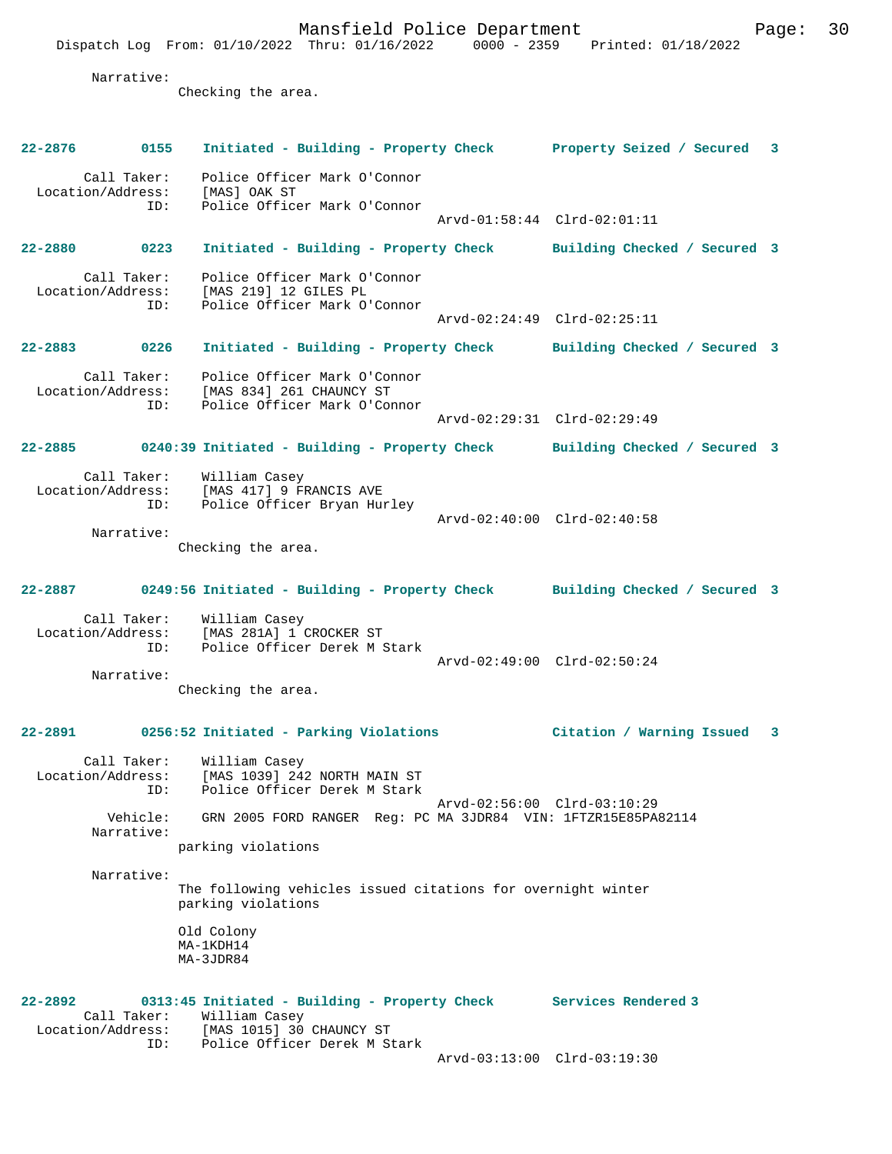Mansfield Police Department Page: 30 Dispatch Log From: 01/10/2022 Thru: 01/16/2022 0000 - 2359 Printed: 01/18/2022 Narrative: Checking the area. **22-2876 0155 Initiated - Building - Property Check Property Seized / Secured 3** Call Taker: Police Officer Mark O'Connor Location/Address:<br>ID: [MAS] OAK ST<br>Police Officer Mark O'Connor Arvd-01:58:44 Clrd-02:01:11 **22-2880 0223 Initiated - Building - Property Check Building Checked / Secured 3** Call Taker: Police Officer Mark O'Connor<br>Location/Address: [MAS 219] 12 GILES PL ess: [MAS 219] 12 GILES PL<br>ID: Police Officer Mark O' Police Officer Mark O'Connor Arvd-02:24:49 Clrd-02:25:11 **22-2883 0226 Initiated - Building - Property Check Building Checked / Secured 3** Call Taker: Police Officer Mark O'Connor Location/Address: [MAS 834] 261 CHAUNCY ST ID: Police Officer Mark O'Connor Arvd-02:29:31 Clrd-02:29:49 **22-2885 0240:39 Initiated - Building - Property Check Building Checked / Secured 3** Call Taker: William Casey Location/Address: [MAS 417] 9 FRANCIS AVE ID: Police Officer Bryan Hurley Arvd-02:40:00 Clrd-02:40:58 Narrative: Checking the area. **22-2887 0249:56 Initiated - Building - Property Check Building Checked / Secured 3** Call Taker: William Casey Location/Address: [MAS 281A] 1 CROCKER ST Police Officer Derek M Stark Arvd-02:49:00 Clrd-02:50:24 Narrative: Checking the area. **22-2891 0256:52 Initiated - Parking Violations Citation / Warning Issued 3** Call Taker: William Casey Location/Address: [MAS 1039] 242 NORTH MAIN ST ID: Police Officer Derek M Stark Arvd-02:56:00 Clrd-03:10:29<br>Vehicle: GRN 2005 FORD RANGER Req: PC MA 3JDR84 VIN: 1FTZR15E85PA GRN 2005 FORD RANGER Reg: PC MA 3JDR84 VIN: 1FTZR15E85PA82114 Narrative: parking violations Narrative: The following vehicles issued citations for overnight winter parking violations Old Colony MA-1KDH14 MA-3JDR84 **22-2892 0313:45 Initiated - Building - Property Check Services Rendered 3**  Call Taker: William Casey<br>Location/Address: [MAS 1015] 30 [MAS 1015] 30 CHAUNCY ST ID: Police Officer Derek M Stark Arvd-03:13:00 Clrd-03:19:30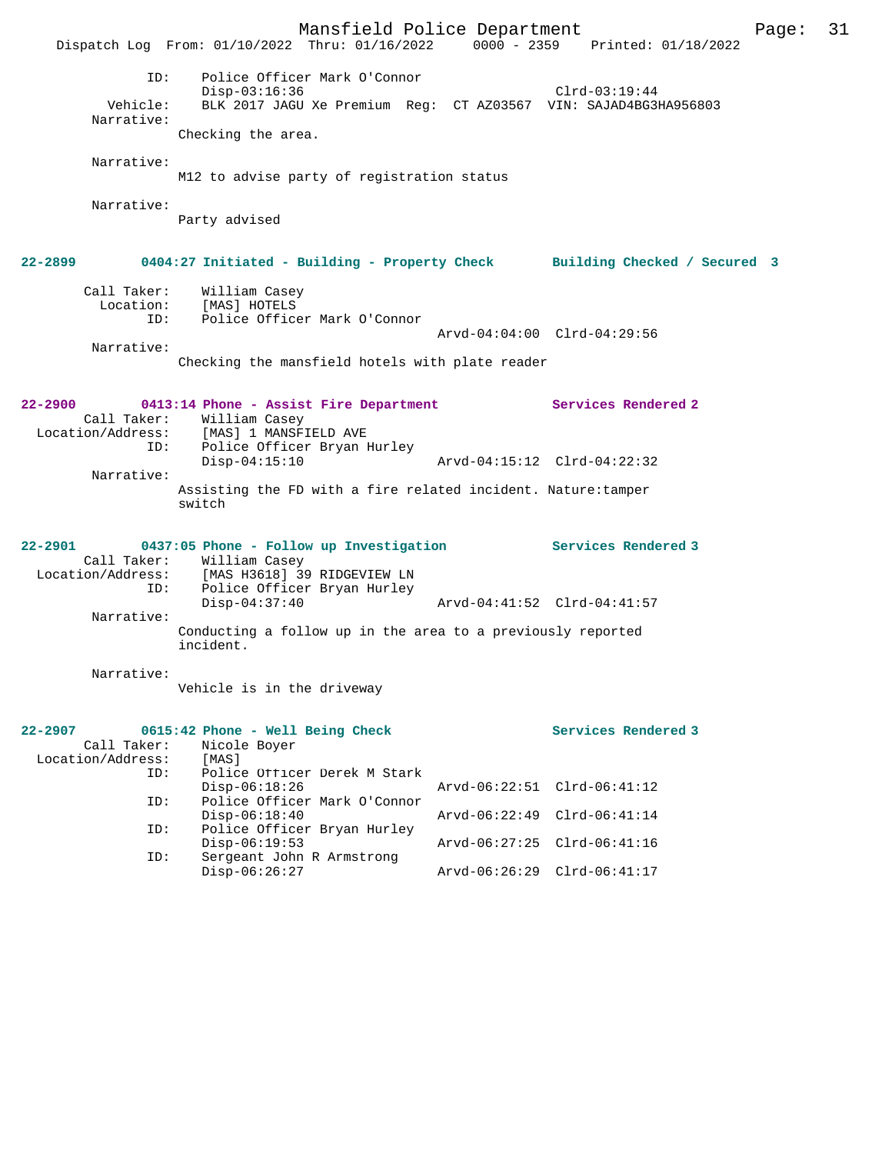Mansfield Police Department Page: 31 Dispatch Log From: 01/10/2022 Thru: 01/16/2022 ID: Police Officer Mark O'Connor Disp-03:16:36 Clrd-03:19:44 Vehicle: BLK 2017 JAGU Xe Premium Reg: CT AZ03567 VIN: SAJAD4BG3HA956803 Narrative: Checking the area. Narrative: M12 to advise party of registration status Narrative: Party advised **22-2899 0404:27 Initiated - Building - Property Check Building Checked / Secured 3** Call Taker: William Casey Location: [MAS] HOTELS ID: Police Officer Mark O'Connor Arvd-04:04:00 Clrd-04:29:56 Narrative: Checking the mansfield hotels with plate reader **22-2900 0413:14 Phone - Assist Fire Department Services Rendered 2**  Call Taker: William Casey Location/Address: [MAS] 1 MANSFIELD AVE ID: Police Officer Bryan Hurley Arvd-04:15:12 Clrd-04:22:32 Narrative: Assisting the FD with a fire related incident. Nature:tamper switch **22-2901 0437:05 Phone - Follow up Investigation Services Rendered 3**  Call Taker: William Casey Location/Address: [MAS H3618] 39 RIDGEVIEW LN ID: Police Officer Bryan Hurley Disp-04:37:40 Arvd-04:41:52 Clrd-04:41:57 Narrative: Conducting a follow up in the area to a previously reported incident. Narrative: Vehicle is in the driveway **22-2907 0615:42 Phone - Well Being Check Services Rendered 3**  Call Taker: Nicole Boyer<br>.on/Address: [MAS] Location/Address: ID: Police Officer Derek M Stark Disp-06:18:26 Arvd-06:22:51 Clrd-06:41:12<br>TD: Police Officer Mark O'Connor Police Officer Mark O'Connor<br>Disp-06:18:40 Disp-06:18:40 Arvd-06:22:49 Clrd-06:41:14<br>ID: Police Officer Bryan Hurley Disp-00:10:10<br>Police Officer Bryan Hurley Disp-06:19:53 Arvd-06:27:25 Clrd-06:41:16<br>ID: Sergeant John R Armstrong Sergeant John R Armstrong<br>Disp-06:26:27 Disp-06:26:27 Arvd-06:26:29 Clrd-06:41:17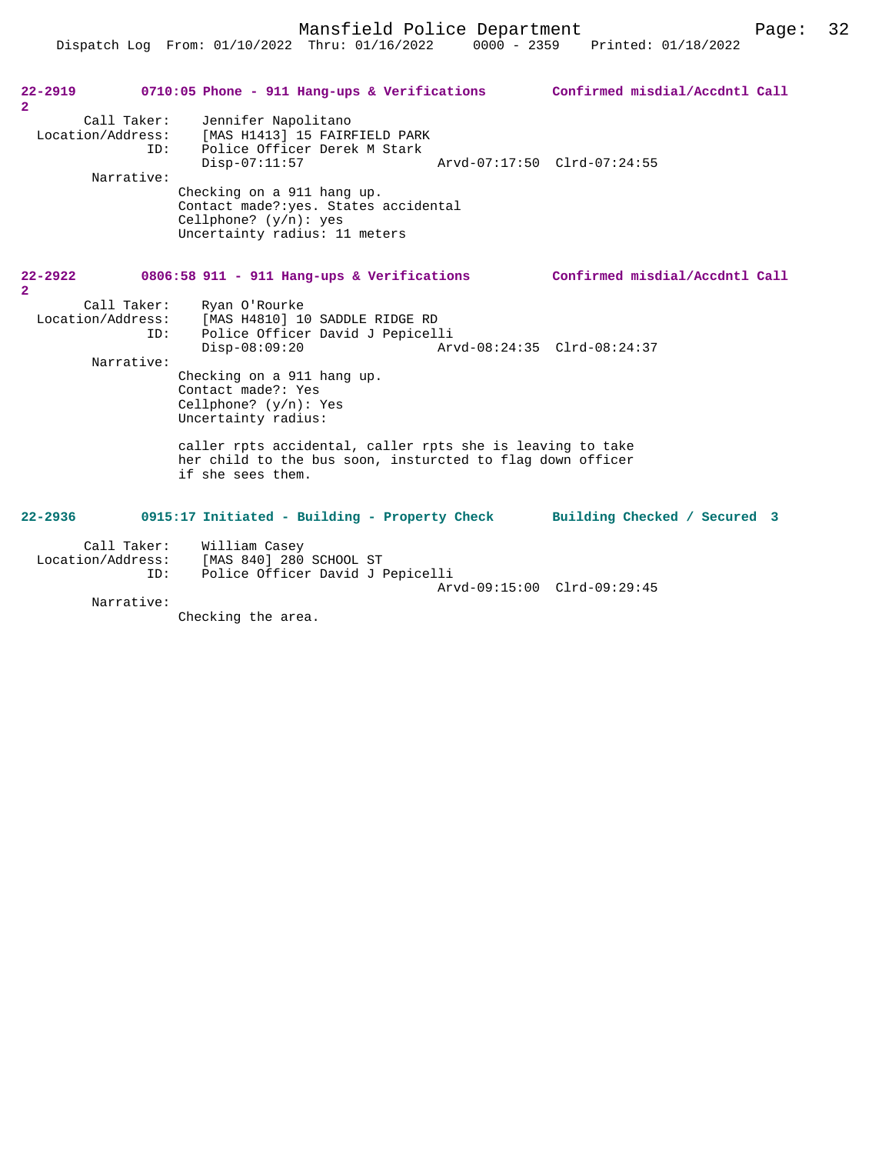Dispatch Log From: 01/10/2022 Thru: 01/16/2022 0000 - 2359 Printed: 01/18/2022

| 22-2919<br>$\overline{2}$     |                                         | 0710:05 Phone - 911 Hang-ups & Verifications                                                                                                                                                                                                                                                                                                                                     | Confirmed misdial/Accdntl Call |
|-------------------------------|-----------------------------------------|----------------------------------------------------------------------------------------------------------------------------------------------------------------------------------------------------------------------------------------------------------------------------------------------------------------------------------------------------------------------------------|--------------------------------|
|                               | Call Taker:<br>TD:<br>Narrative:        | Jennifer Napolitano<br>Location/Address: [MAS H1413] 15 FAIRFIELD PARK<br>Police Officer Derek M Stark<br>$Disp-07:11:57$<br>Checking on a 911 hang up.<br>Contact made?: yes. States accidental<br>Cellphone? $(y/n)$ : yes<br>Uncertainty radius: 11 meters                                                                                                                    | Arvd-07:17:50 Clrd-07:24:55    |
| $22 - 2922$<br>$\overline{2}$ |                                         | 0806:58 911 - 911 Hang-ups & Verifications                                                                                                                                                                                                                                                                                                                                       | Confirmed misdial/Accdntl Call |
|                               | Call Taker:<br>ID:<br>Narrative:        | Ryan O'Rourke<br>Location/Address: [MAS H4810] 10 SADDLE RIDGE RD<br>Police Officer David J Pepicelli<br>$Disp-08:09:20$<br>Checking on a 911 hang up.<br>Contact made?: Yes<br>Cellphone? $(y/n)$ : Yes<br>Uncertainty radius:<br>caller rpts accidental, caller rpts she is leaving to take<br>her child to the bus soon, insturcted to flag down officer<br>if she sees them. | Arvd-08:24:35 Clrd-08:24:37    |
| $22 - 2936$                   |                                         | 0915:17 Initiated - Building - Property Check Building Checked / Secured 3                                                                                                                                                                                                                                                                                                       |                                |
|                               | Call Taker:<br>Location/Address:<br>ID: | William Casey<br>[MAS 840] 280 SCHOOL ST<br>Police Officer David J Pepicelli                                                                                                                                                                                                                                                                                                     | Arvd-09:15:00 Clrd-09:29:45    |
|                               | Narrative:                              |                                                                                                                                                                                                                                                                                                                                                                                  |                                |

Checking the area.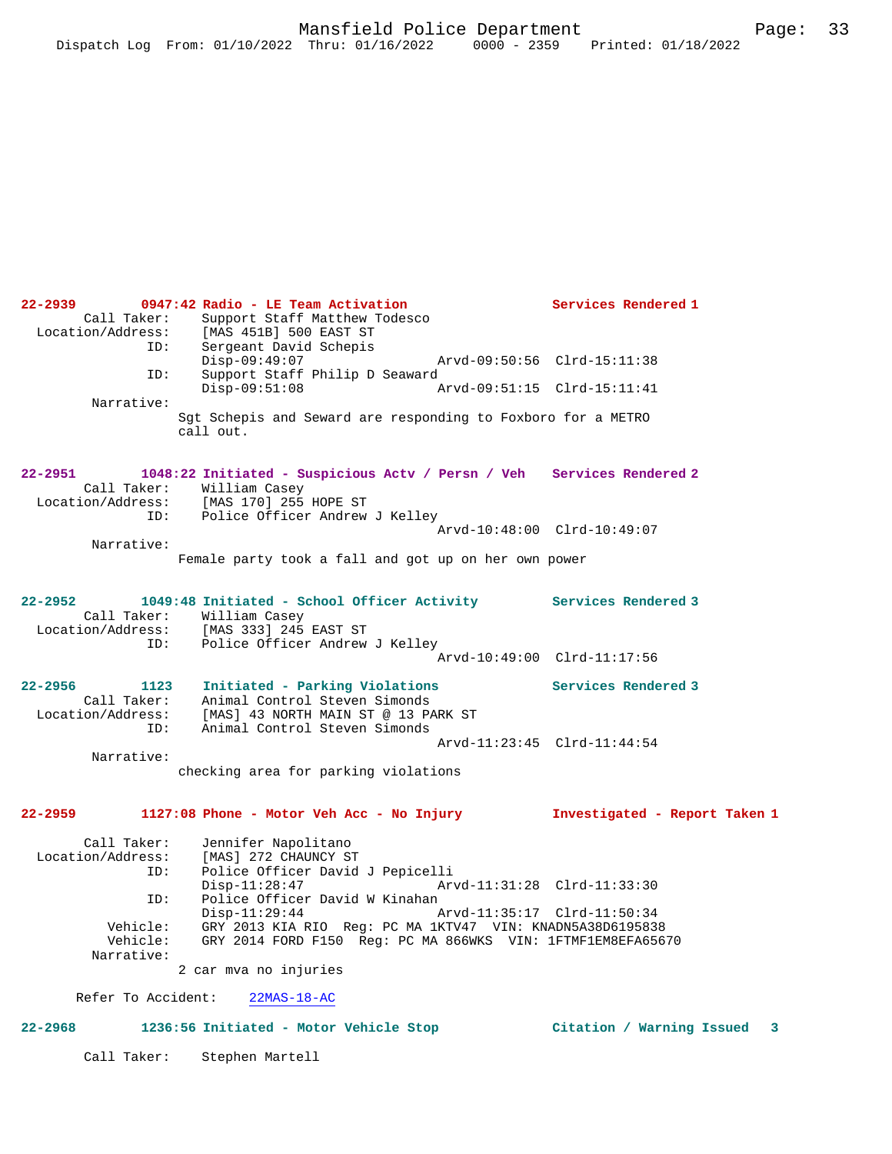**22-2939 0947:42 Radio - LE Team Activation Services Rendered 1**  Call Taker: Support Staff Matthew Todesco<br>Location/Address: [MAS 451B] 500 EAST ST ess: [MAS 451B] 500 EAST ST<br>TD: Sergeant David Schepis Sergeant David Schepis<br>Disp-09:49:07 Disp-09:49:07 Arvd-09:50:56 Clrd-15:11:38<br>TD: Support Staff Philip D Seaward Support Staff Philip D Seaward Disp-09:51:08 Arvd-09:51:15 Clrd-15:11:41 Narrative: Sgt Schepis and Seward are responding to Foxboro for a METRO call out. **22-2951 1048:22 Initiated - Suspicious Actv / Persn / Veh Services Rendered 2**  Call Taker: William Casey Location/Address: [MAS 170] 255 HOPE ST ID: Police Officer Andrew J Kelley Arvd-10:48:00 Clrd-10:49:07 Narrative: Female party took a fall and got up on her own power **22-2952 1049:48 Initiated - School Officer Activity Services Rendered 3**  Call Taker: William Casey Location/Address: [MAS 333] 245 EAST ST ID: Police Officer Andrew J Kelley Arvd-10:49:00 Clrd-11:17:56 **22-2956 1123 Initiated - Parking Violations Services Rendered 3**  Call Taker: Animal Control Steven Simonds Location/Address: [MAS] 43 NORTH MAIN ST @ 13 PARK ST ID: Animal Control Steven Simonds Arvd-11:23:45 Clrd-11:44:54 Narrative: checking area for parking violations **22-2959 1127:08 Phone - Motor Veh Acc - No Injury Investigated - Report Taken 1** Call Taker: Jennifer Napolitano<br>Location/Address: [MAS] 272 CHAUNCY ST ess: [MAS] 272 CHAUNCY ST<br>ID: Police Officer David ID: Police Officer David J Pepicelli Disp-11:28:47 Arvd-11:31:28 Clrd-11:33:30<br>ID: Police Officer David W Kinahan ID: Police Officer David W Kinahan Disp-11:29:44 Arvd-11:35:17 Clrd-11:50:34 Vehicle: GRY 2013 KIA RIO Reg: PC MA 1KTV47 VIN: KNADN5A38D6195838 GRY 2014 FORD F150 Reg: PC MA 866WKS VIN: 1FTMF1EM8EFA65670 Narrative: 2 car mva no injuries Refer To Accident: 22MAS-18-AC **22-2968 1236:56 Initiated - Motor Vehicle Stop Citation / Warning Issued 3**

Call Taker: Stephen Martell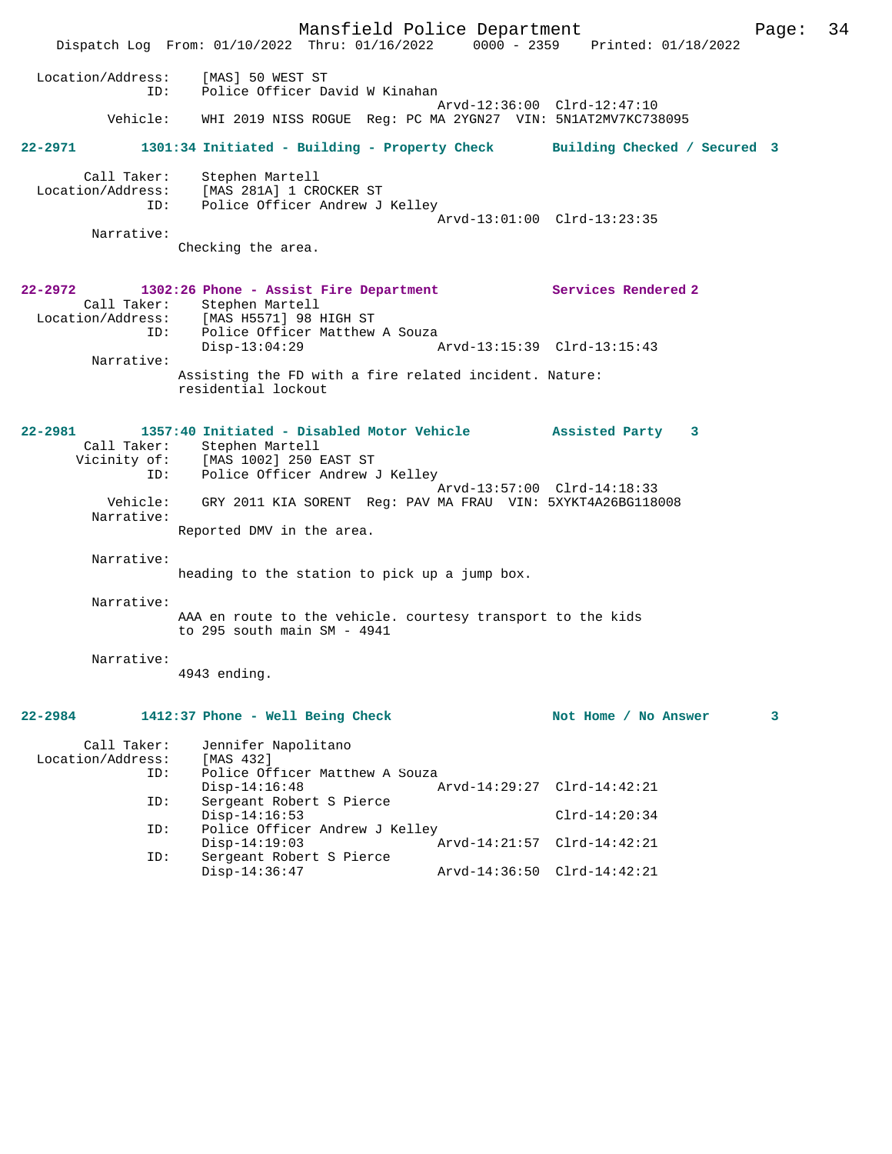Mansfield Police Department Page: 34 Dispatch Log From: 01/10/2022 Thru: 01/16/2022 0000 - 2359 Printed: 01/18/2022 Location/Address: [MAS] 50 WEST ST ID: Police Officer David W Kinahan Arvd-12:36:00 Clrd-12:47:10<br>Vehicle: WHI 2019 NISS ROGUE Reg: PC MA 2YGN27 VIN: 5N1AT2MV7KC738 WHI 2019 NISS ROGUE Reg: PC MA 2YGN27 VIN: 5N1AT2MV7KC738095 **22-2971 1301:34 Initiated - Building - Property Check Building Checked / Secured 3** Call Taker: Stephen Martell Location/Address: [MAS 281A] 1 CROCKER ST ID: Police Officer Andrew J Kelley Arvd-13:01:00 Clrd-13:23:35 Narrative: Checking the area. **22-2972 1302:26 Phone - Assist Fire Department Services Rendered 2**  Call Taker: Stephen Martell Location/Address: [MAS H5571] 98 HIGH ST ID: Police Officer Matthew A Souza<br>Disp-13:04:29 A Disp-13:04:29 Arvd-13:15:39 Clrd-13:15:43 Narrative: Assisting the FD with a fire related incident. Nature: residential lockout **22-2981 1357:40 Initiated - Disabled Motor Vehicle Assisted Party 3**  Call Taker: Stephen Martell Vicinity of: [MAS 1002] 250 EAST ST ID: Police Officer Andrew J Kelley Arvd-13:57:00 Clrd-14:18:33 Vehicle: GRY 2011 KIA SORENT Reg: PAV MA FRAU VIN: 5XYKT4A26BG118008 Narrative: Reported DMV in the area. Narrative: heading to the station to pick up a jump box. Narrative: AAA en route to the vehicle. courtesy transport to the kids to 295 south main SM - 4941 Narrative: 4943 ending. **22-2984 1412:37 Phone - Well Being Check Not Home / No Answer 3** Call Taker: Jennifer Napolitano<br>.on/Address: [MAS 432] Location/Address: ID: Police Officer Matthew A Souza Disp-14:16:48 Arvd-14:29:27 Clrd-14:42:21<br>ID: Sergeant Robert S Pierce Sergeant Robert S Pierce Disp-14:16:53 Clrd-14:20:34 ID: Police Officer Andrew J Kelley Disp-14:19:03 Arvd-14:21:57 Clrd-14:42:21 ID: Sergeant Robert S Pierce Disp-14:36:47 Arvd-14:36:50 Clrd-14:42:21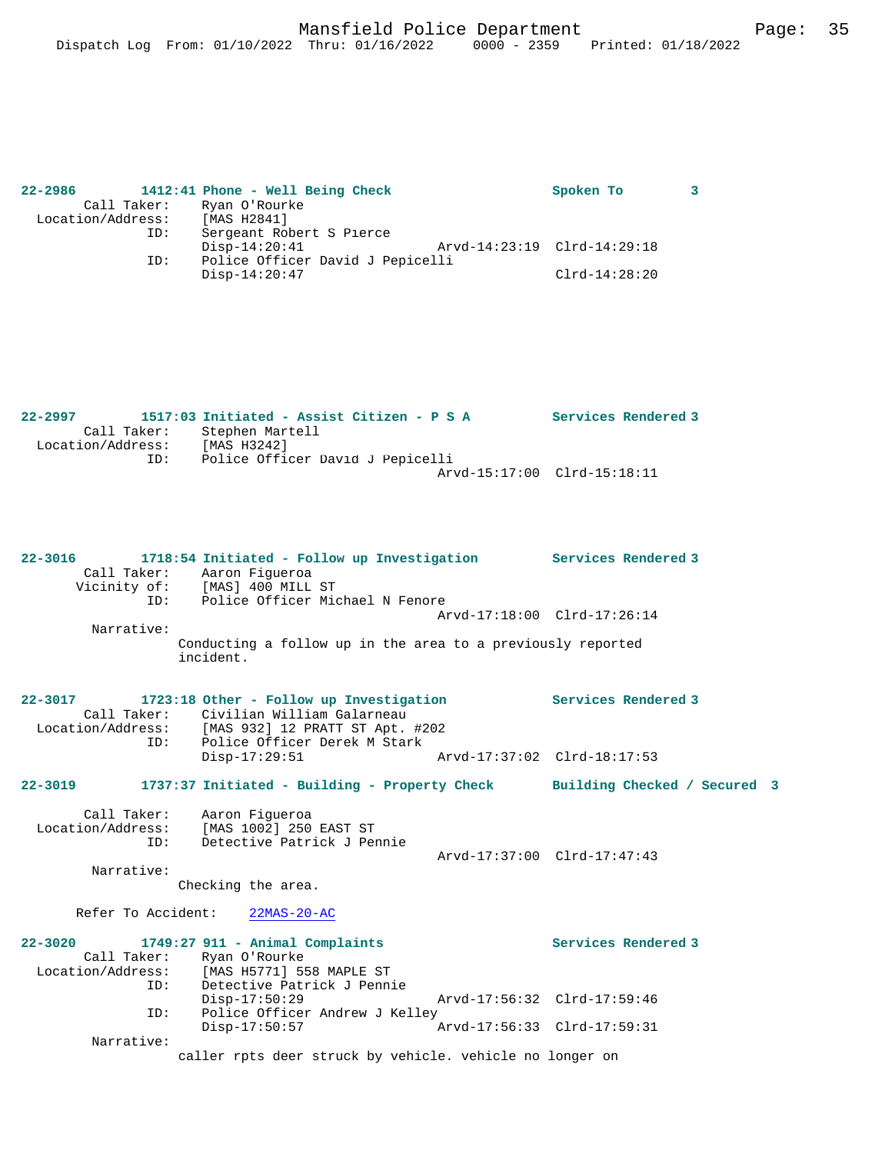| $22 - 2986$ |                   | 1412:41 Phone - Well Being Check | Spoken To                   |  |
|-------------|-------------------|----------------------------------|-----------------------------|--|
|             | Call Taker:       | Ryan O'Rourke                    |                             |  |
|             | Location/Address: | [MAS H2841]                      |                             |  |
|             | ID:               | Sergeant Robert S Pierce         |                             |  |
|             |                   | $Disp-14:20:41$                  | Arvd-14:23:19 Clrd-14:29:18 |  |
|             | ID:               | Police Officer David J Pepicelli |                             |  |
|             |                   | $Disp-14:20:47$                  | $Clrd-14:28:20$             |  |
|             |                   |                                  |                             |  |

| 22–2997           | 1517:03 Initiated - Assist Citizen - P S A | Services Rendered 3 |
|-------------------|--------------------------------------------|---------------------|
| Call Taker:       | Stephen Martell                            |                     |
| Location/Address: | [MAS H3242]                                |                     |
| ID:               | Police Officer David J Pepicelli           |                     |
|                   | Arvd-15:17:00 Clrd-15:18:11                |                     |

**22-3016 1718:54 Initiated - Follow up Investigation Services Rendered 3**  Call Taker: Aaron Figueroa Vicinity of: [MAS] 400 MILL ST ID: Police Officer Michael N Fenore Arvd-17:18:00 Clrd-17:26:14 Narrative: Conducting a follow up in the area to a previously reported incident. **22-3017 1723:18 Other - Follow up Investigation Services Rendered 3**  Call Taker: Civilian William Galarneau Location/Address: [MAS 932] 12 PRATT ST Apt. #202 Location/Address: [MAS 932] 12 PRATT ST Apt. #20<br>ID: Police Officer Derek M Stark Disp-17:29:51 Arvd-17:37:02 Clrd-18:17:53 **22-3019 1737:37 Initiated - Building - Property Check Building Checked / Secured 3** Call Taker: Aaron Figueroa Location/Address: [MAS 1002] 250 EAST ST ID: Detective Patrick J Pennie Arvd-17:37:00 Clrd-17:47:43 Narrative: Checking the area. Refer To Accident: 22MAS-20-AC **22-3020 1749:27 911 - Animal Complaints Services Rendered 3**  Call Taker: Ryan O'Rourke<br>Location/Address: [MAS H5771] 5! [MAS H5771] 558 MAPLE ST ID: Detective Patrick J Pennie Disp-17:50:29 Arvd-17:56:32 Clrd-17:59:46 ID: Police Officer Andrew J Kelley<br>Disp-17:50:57 A Disp-17:50:57 Arvd-17:56:33 Clrd-17:59:31 Narrative: caller rpts deer struck by vehicle. vehicle no longer on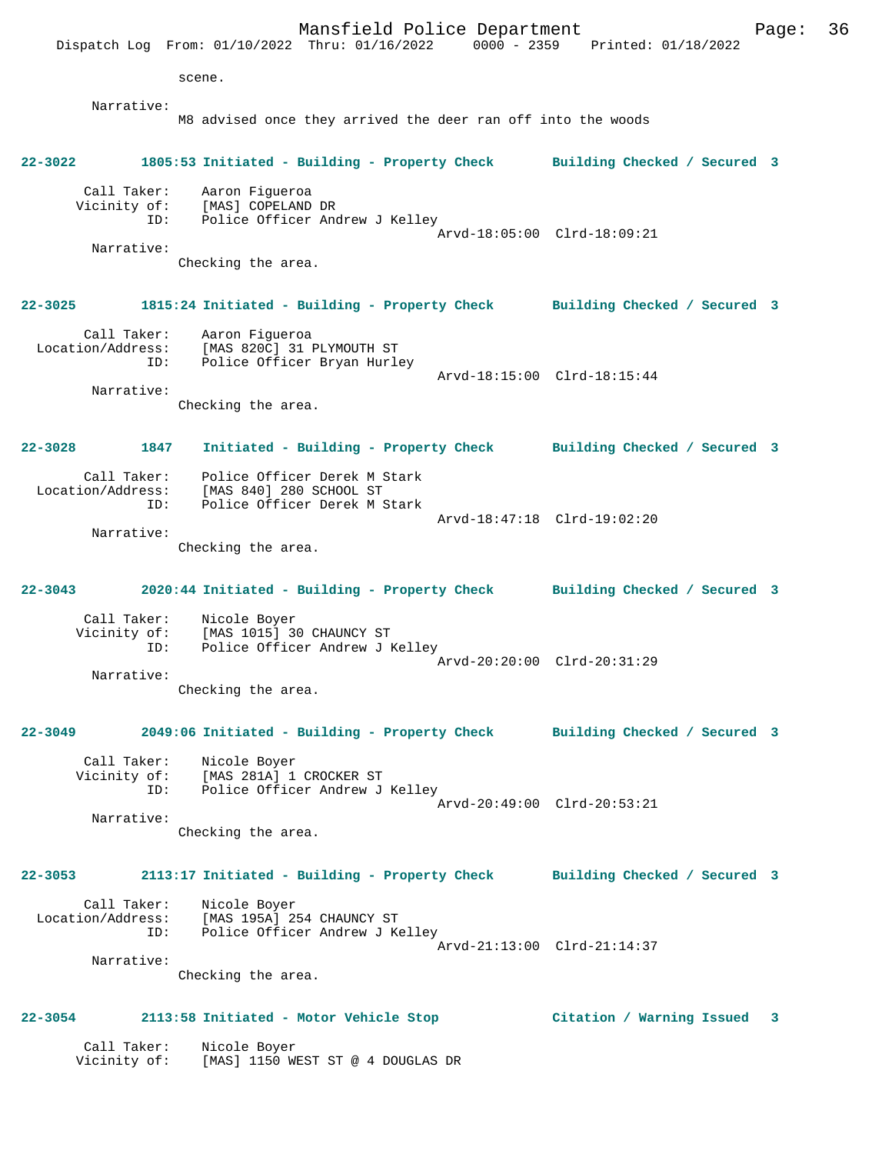Mansfield Police Department Page: 36 Dispatch Log From: 01/10/2022 Thru: 01/16/2022 0000 - 2359 Printed: 01/18/2022 scene. Narrative: M8 advised once they arrived the deer ran off into the woods **22-3022 1805:53 Initiated - Building - Property Check Building Checked / Secured 3** Call Taker: Aaron Figueroa Vicinity of: [MAS] COPELAND DR ID: Police Officer Andrew J Kelley Arvd-18:05:00 Clrd-18:09:21 Narrative: Checking the area. **22-3025 1815:24 Initiated - Building - Property Check Building Checked / Secured 3** Call Taker: Aaron Figueroa Location/Address: [MAS 820C] 31 PLYMOUTH ST ID: Police Officer Bryan Hurley Arvd-18:15:00 Clrd-18:15:44 Narrative: Checking the area. **22-3028 1847 Initiated - Building - Property Check Building Checked / Secured 3** Call Taker: Police Officer Derek M Stark Location/Address: [MAS 840] 280 SCHOOL ST ID: Police Officer Derek M Stark Arvd-18:47:18 Clrd-19:02:20 Narrative: Checking the area. **22-3043 2020:44 Initiated - Building - Property Check Building Checked / Secured 3** Call Taker: Nicole Boyer Vicinity of: [MAS 1015] 30 CHAUNCY ST<br>ID: Police Officer Andrew J B Police Officer Andrew J Kelley Arvd-20:20:00 Clrd-20:31:29 Narrative: Checking the area. **22-3049 2049:06 Initiated - Building - Property Check Building Checked / Secured 3** Call Taker: Nicole Boyer Vicinity of: [MAS 281A] 1 CROCKER ST ID: Police Officer Andrew J Kelley Arvd-20:49:00 Clrd-20:53:21 Narrative: Checking the area. **22-3053 2113:17 Initiated - Building - Property Check Building Checked / Secured 3** Call Taker: Nicole Boyer Location/Address: [MAS 195A] 254 CHAUNCY ST Police Officer Andrew J Kelley Arvd-21:13:00 Clrd-21:14:37 Narrative: Checking the area. **22-3054 2113:58 Initiated - Motor Vehicle Stop Citation / Warning Issued 3** Call Taker: Nicole Boyer<br>Vicinity of: [MAS] [MAS] 1150 WEST ST @ 4 DOUGLAS DR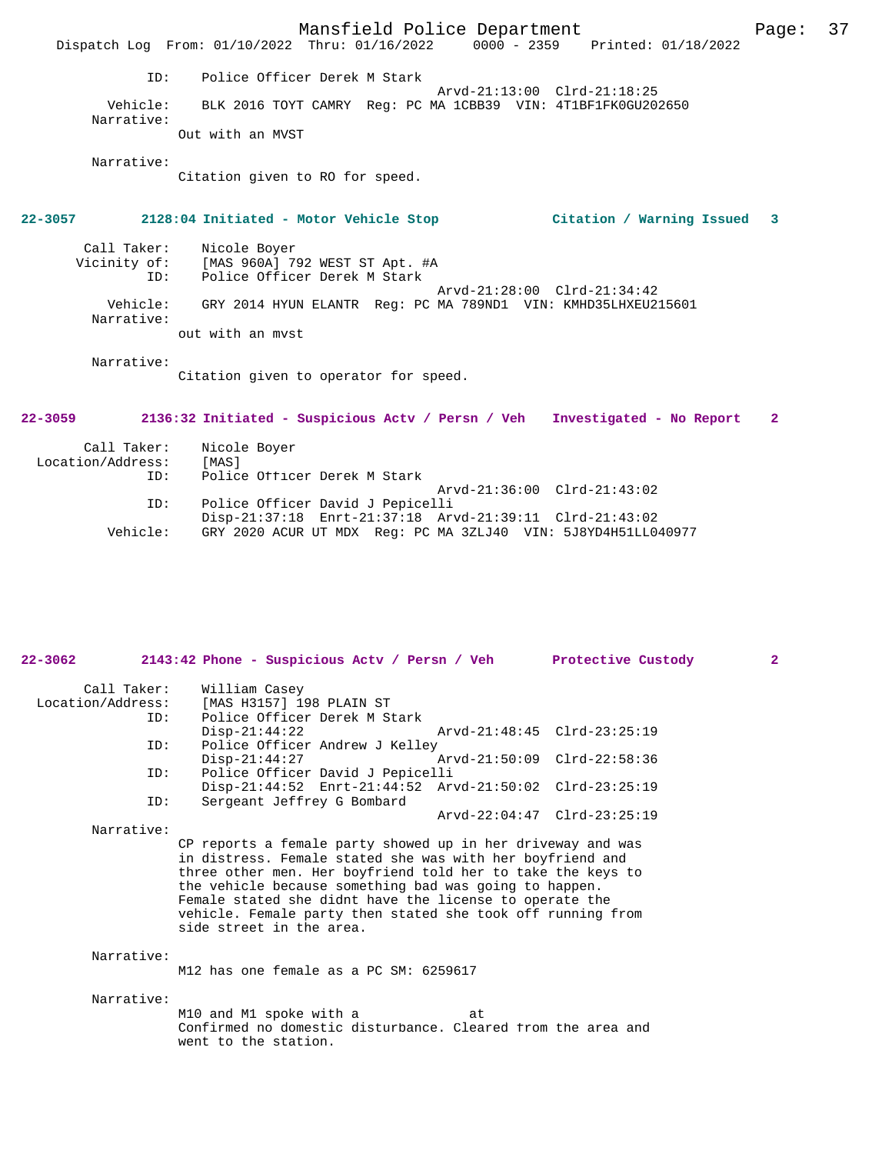Mansfield Police Department Fage: 37 Dispatch Log From: 01/10/2022 Thru: 01/16/2022 0000 - 2359 Printed: 01/18/2022 ID: Police Officer Derek M Stark Arvd-21:13:00 Clrd-21:18:25 Vehicle: BLK 2016 TOYT CAMRY Reg: PC MA 1CBB39 VIN: 4T1BF1FK0GU202650 Narrative: Out with an MVST Narrative: Citation given to RO for speed. **22-3057 2128:04 Initiated - Motor Vehicle Stop Citation / Warning Issued 3** Call Taker: Nicole Boyer<br>Vicinity of: [MAS 960A] 79 Vicinity of: [MAS 960A] 792 WEST ST Apt. #A ID: Police Officer Derek M Stark Arvd-21:28:00 Clrd-21:34:42<br>Vehicle: GRY 2014 HYUN ELANTR Reg: PC MA 789ND1 VIN: KMHD35LHXEU2 GRY 2014 HYUN ELANTR Reg: PC MA 789ND1 VIN: KMHD35LHXEU215601 Narrative: out with an mvst Narrative: Citation given to operator for speed. **22-3059 2136:32 Initiated - Suspicious Actv / Persn / Veh Investigated - No Report 2** Call Taker: Nicole Boyer<br>ion/Address: [MAS] Location/Address: ID: Police Officer Derek M Stark Arvd-21:36:00 Clrd-21:43:02<br>TD: Police Officer David J Pepicelli Police Officer David J Pepicelli

> Disp-21:37:18 Enrt-21:37:18 Arvd-21:39:11 Clrd-21:43:02<br>Vehicle: GRY 2020 ACUR UT MDX Reg: PC MA 3ZLJ40 VIN: 5J8YD4H51LL0 GRY 2020 ACUR UT MDX Reg: PC MA 3ZLJ40 VIN: 5J8YD4H51LL040977

| $22 - 3062$                      | 2143:42 Phone - Suspicious Actv / Persn / Veh                                                                                                                                                                                                                                                                                                                                                           |                             | Protective Custody          | 2 <sup>1</sup> |
|----------------------------------|---------------------------------------------------------------------------------------------------------------------------------------------------------------------------------------------------------------------------------------------------------------------------------------------------------------------------------------------------------------------------------------------------------|-----------------------------|-----------------------------|----------------|
| Call Taker:<br>Location/Address: | William Casey<br>[MAS H3157] 198 PLAIN ST<br>Police Officer Derek M Stark                                                                                                                                                                                                                                                                                                                               |                             |                             |                |
| ID:<br>ID:                       | $Disp-21:44:22$<br>Police Officer Andrew J Kelley                                                                                                                                                                                                                                                                                                                                                       | Arvd-21:48:45 Clrd-23:25:19 |                             |                |
|                                  | $Disp-21:44:27$                                                                                                                                                                                                                                                                                                                                                                                         |                             | Arvd-21:50:09 Clrd-22:58:36 |                |
| ID:                              | Police Officer David J Pepicelli<br>Disp-21:44:52 Enrt-21:44:52 Arvd-21:50:02 Clrd-23:25:19                                                                                                                                                                                                                                                                                                             |                             |                             |                |
| ID:<br>Narrative:                | Sergeant Jeffrey G Bombard                                                                                                                                                                                                                                                                                                                                                                              |                             | Arvd-22:04:47 Clrd-23:25:19 |                |
|                                  | CP reports a female party showed up in her driveway and was<br>in distress. Female stated she was with her boyfriend and<br>three other men. Her boyfriend told her to take the keys to<br>the vehicle because something bad was going to happen.<br>Female stated she didnt have the license to operate the<br>vehicle. Female party then stated she took off running from<br>side street in the area. |                             |                             |                |
| Narrative:                       | M12 has one female as a PC SM: 6259617                                                                                                                                                                                                                                                                                                                                                                  |                             |                             |                |
| Narrative:                       | M10 and M1 spoke with a<br>Confirmed no domestic disturbance. Cleared from the area and<br>went to the station.                                                                                                                                                                                                                                                                                         | at                          |                             |                |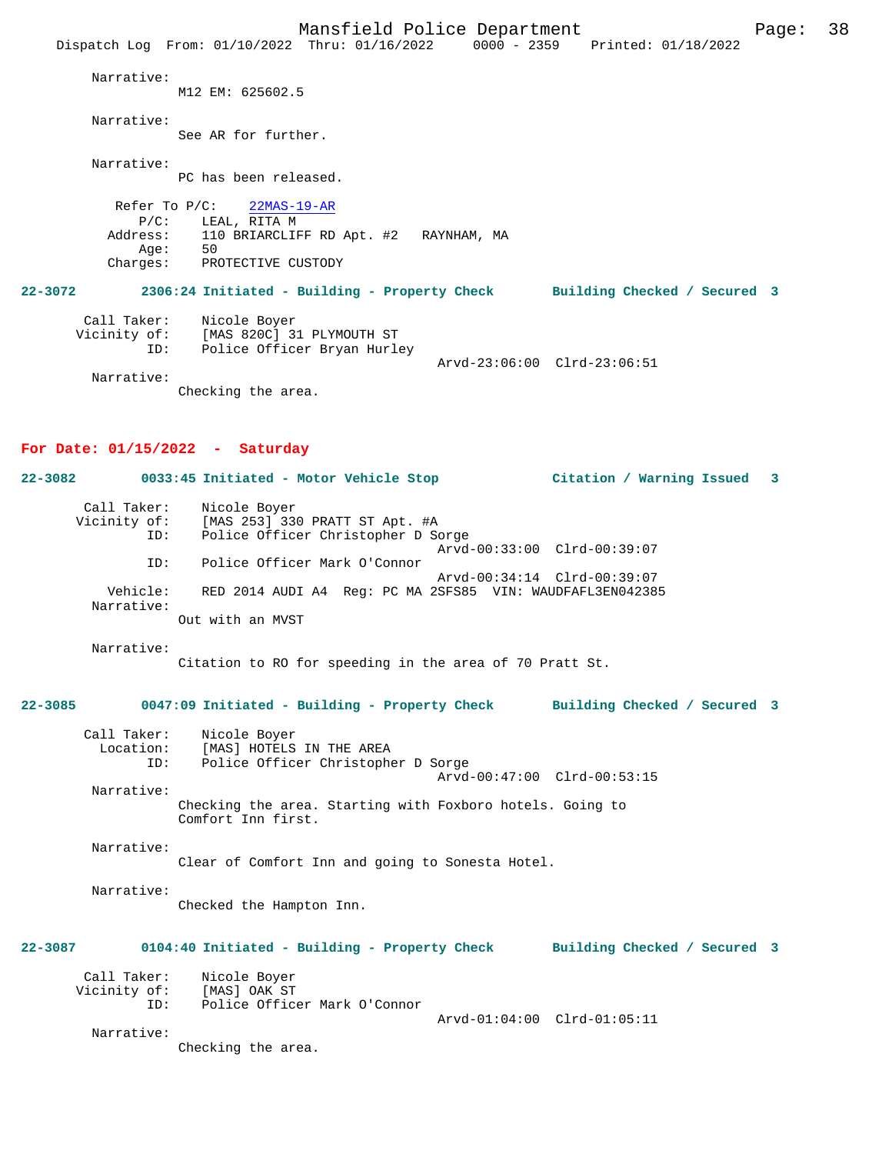Mansfield Police Department Form Page: 38 Dispatch Log From: 01/10/2022 Thru: 01/16/2022 0000 - 2359 Printed: 01/18/2022 Narrative: M12 EM: 625602.5 Narrative: See AR for further. Narrative: PC has been released. Refer To P/C: 22MAS-19-AR P/C: LEAL, RITA M<br>Address: 110 BRIARCLIF 110 BRIARCLIFF RD Apt. #2 RAYNHAM, MA<br>50 Age:<br>:Charges PROTECTIVE CUSTODY **22-3072 2306:24 Initiated - Building - Property Check Building Checked / Secured 3** Call Taker: Nicole Boyer Vicinity of: [MAS 820C] 31 PLYMOUTH ST ID: Police Officer Bryan Hurley Arvd-23:06:00 Clrd-23:06:51 Narrative: Checking the area.

# **For Date: 01/15/2022 - Saturday**

**22-3082 0033:45 Initiated - Motor Vehicle Stop Citation / Warning Issued 3** Call Taker: Nicole Boyer Vicinity of: [MAS 253] 330 PRATT ST Apt. #A ID: Police Officer Christopher D Sorge Arvd-00:33:00 Clrd-00:39:07 ID: Police Officer Mark O'Connor Arvd-00:34:14 Clrd-00:39:07<br>Vehicle: RED 2014 AUDI A4 Req: PC MA 2SFS85 VIN: WAUDFAFL3EN04238 RED 2014 AUDI A4 Reg: PC MA 2SFS85 VIN: WAUDFAFL3EN042385 Narrative: Out with an MVST

Narrative:

Citation to RO for speeding in the area of 70 Pratt St.

# **22-3085 0047:09 Initiated - Building - Property Check Building Checked / Secured 3**

| Call Taker: | Nicole Boyer                       |  |
|-------------|------------------------------------|--|
| Location:   | [MAS] HOTELS IN THE AREA           |  |
| ID:         | Police Officer Christopher D Sorge |  |
|             | Arvd-00:47:00 Clrd-00:53:15        |  |
| Narrative:  |                                    |  |

Checking the area. Starting with Foxboro hotels. Going to Comfort Inn first.

 Narrative: Clear of Comfort Inn and going to Sonesta Hotel.

 Narrative: Checked the Hampton Inn.

# **22-3087 0104:40 Initiated - Building - Property Check Building Checked / Secured 3**

| Call Taker:  | Nicole Boyer                 |
|--------------|------------------------------|
| Vicinity of: | [MAS] OAK ST                 |
|              | Police Officer Mark O'Connor |

Arvd-01:04:00 Clrd-01:05:11

Narrative:

Checking the area.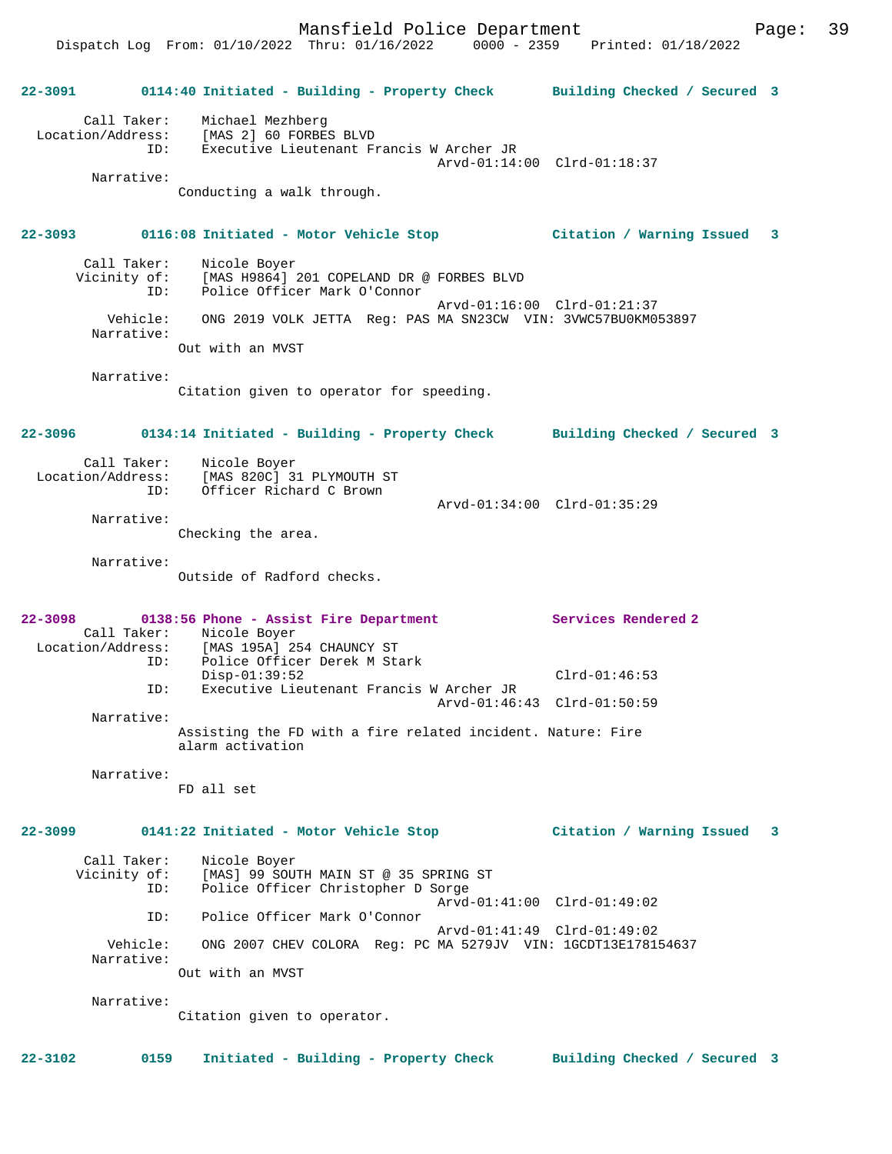Mansfield Police Department Page: 39

Dispatch Log From: 01/10/2022 Thru: 01/16/2022 0000 - 2359 Printed: 01/18/2022

**22-3091 0114:40 Initiated - Building - Property Check Building Checked / Secured 3** Call Taker: Michael Mezhberg Location/Address: [MAS 2] 60 FORBES BLVD ID: Executive Lieutenant Francis W Archer JR Arvd-01:14:00 Clrd-01:18:37 Narrative: Conducting a walk through. **22-3093 0116:08 Initiated - Motor Vehicle Stop Citation / Warning Issued 3** Call Taker: Nicole Boyer Vicinity of: [MAS H9864] 201 COPELAND DR @ FORBES BLVD<br>ID: Police Officer Mark O'Connor Police Officer Mark O'Connor Arvd-01:16:00 Clrd-01:21:37 Vehicle: ONG 2019 VOLK JETTA Reg: PAS MA SN23CW VIN: 3VWC57BU0KM053897 Narrative: Out with an MVST Narrative: Citation given to operator for speeding. **22-3096 0134:14 Initiated - Building - Property Check Building Checked / Secured 3** Call Taker: Nicole Boyer<br>Location/Address: [MAS 820C] 3 [MAS 820C] 31 PLYMOUTH ST ID: Officer Richard C Brown Arvd-01:34:00 Clrd-01:35:29 Narrative: Checking the area. Narrative: Outside of Radford checks. **22-3098 0138:56 Phone - Assist Fire Department Services Rendered 2**  Call Taker: Nicole Boyer<br>Location/Address: [MAS 195A] 2  $[MAS 195A] 254 CHAUNCY ST$  ID: Police Officer Derek M Stark Disp-01:39:52 Clrd-01:46:53<br>ID: Executive Lieutenant Francis W Archer JR Executive Lieutenant Francis W Archer JR Arvd-01:46:43 Clrd-01:50:59 Narrative: Assisting the FD with a fire related incident. Nature: Fire alarm activation Narrative: FD all set **22-3099 0141:22 Initiated - Motor Vehicle Stop Citation / Warning Issued 3** Call Taker: Nicole Boyer<br>Vicinity of: [MAS] 99 SOU of: [MAS] 99 SOUTH MAIN ST @ 35 SPRING ST<br>TD: Police Officer Christopher D Sorge Police Officer Christopher D Sorge Arvd-01:41:00 Clrd-01:49:02 ID: Police Officer Mark O'Connor Arvd-01:41:49 Clrd-01:49:02 Vehicle: ONG 2007 CHEV COLORA Reg: PC MA 5279JV VIN: 1GCDT13E178154637 Narrative: Out with an MVST Narrative: Citation given to operator. **22-3102 0159 Initiated - Building - Property Check Building Checked / Secured 3**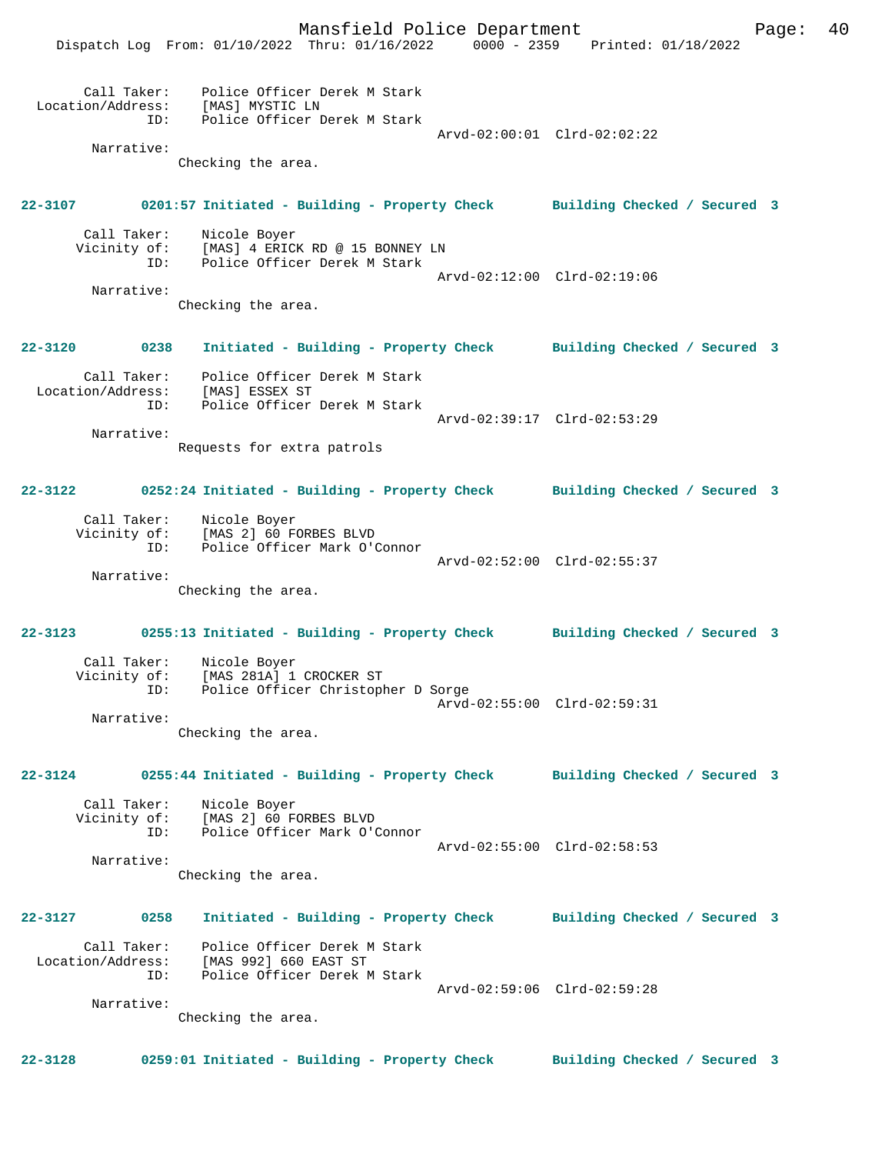Mansfield Police Department Form Page: 40 Dispatch Log From: 01/10/2022 Thru: 01/16/2022 0000 - 2359 Printed: 01/18/2022 Call Taker: Police Officer Derek M Stark Location/Address: [MAS] MYSTIC LN ID: Police Officer Derek M Stark Arvd-02:00:01 Clrd-02:02:22 Narrative: Checking the area. **22-3107 0201:57 Initiated - Building - Property Check Building Checked / Secured 3** Call Taker: Nicole Boyer Vicinity of: [MAS] 4 ERICK RD @ 15 BONNEY LN<br>ID: Police Officer Derek M Stark Police Officer Derek M Stark Arvd-02:12:00 Clrd-02:19:06 Narrative: Checking the area. **22-3120 0238 Initiated - Building - Property Check Building Checked / Secured 3** Call Taker: Police Officer Derek M Stark Location/Address: [MAS] ESSEX ST ID: Police Officer Derek M Stark Arvd-02:39:17 Clrd-02:53:29 Narrative: Requests for extra patrols **22-3122 0252:24 Initiated - Building - Property Check Building Checked / Secured 3** Call Taker: Nicole Boyer Vicinity of: [MAS 2] 60 FORBES BLVD<br>ID: Police Officer Mark O'O Police Officer Mark O'Connor Arvd-02:52:00 Clrd-02:55:37 Narrative: Checking the area. **22-3123 0255:13 Initiated - Building - Property Check Building Checked / Secured 3** Call Taker: Nicole Boyer Vicinity of: [MAS 281A] 1 CROCKER ST Police Officer Christopher D Sorge Arvd-02:55:00 Clrd-02:59:31 Narrative: Checking the area. **22-3124 0255:44 Initiated - Building - Property Check Building Checked / Secured 3** Call Taker: Nicole Boyer<br>Vicinity of: [MAS 2] 60 F of: [MAS 2] 60 FORBES BLVD<br>TD: Police Officer Mark O'O Police Officer Mark O'Connor Arvd-02:55:00 Clrd-02:58:53 Narrative: Checking the area. **22-3127 0258 Initiated - Building - Property Check Building Checked / Secured 3** Call Taker: Police Officer Derek M Stark Location/Address: [MAS 992] 660 EAST ST ID: Police Officer Derek M Stark Arvd-02:59:06 Clrd-02:59:28 Narrative: Checking the area. **22-3128 0259:01 Initiated - Building - Property Check Building Checked / Secured 3**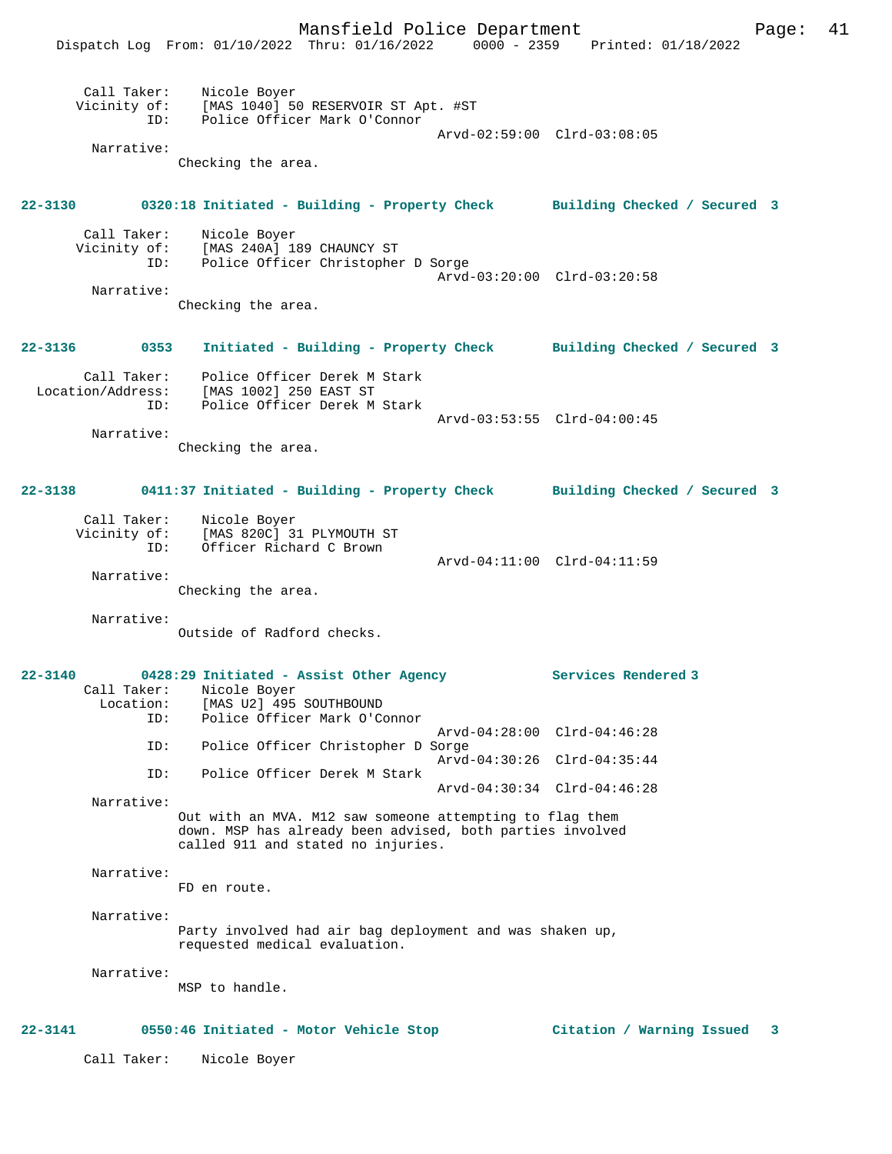|                                                | Mansfield Police Department<br>Dispatch Log From: 01/10/2022 Thru: 01/16/2022 0000 - 2359 Printed: 01/18/2022                                               |                             |                             | Page: | 41 |
|------------------------------------------------|-------------------------------------------------------------------------------------------------------------------------------------------------------------|-----------------------------|-----------------------------|-------|----|
| Narrative:                                     | Call Taker: Nicole Boyer<br>Vicinity of: [MAS 1040] 50 RESERVOIR ST Apt. #ST<br>ID: Police Officer Mark O'Connor                                            |                             | Arvd-02:59:00 Clrd-03:08:05 |       |    |
|                                                | Checking the area.                                                                                                                                          |                             |                             |       |    |
|                                                | 22-3130 0320:18 Initiated - Building - Property Check Building Checked / Secured 3                                                                          |                             |                             |       |    |
|                                                | Call Taker: Nicole Boyer<br>Vicinity of: [MAS 240A] 189 CHAUNCY ST<br>ID: Police Officer Christopher D Sorge                                                |                             | Arvd-03:20:00 Clrd-03:20:58 |       |    |
| Narrative:                                     | Checking the area.                                                                                                                                          |                             |                             |       |    |
| 22-3136                                        | 0353 Initiated - Building - Property Check Building Checked / Secured 3                                                                                     |                             |                             |       |    |
|                                                | Call Taker: Police Officer Derek M Stark<br>Location/Address: [MAS 1002] 250 EAST ST<br>ID: Police Officer Derek M Stark                                    |                             |                             |       |    |
| Narrative:                                     | Checking the area.                                                                                                                                          |                             | Arvd-03:53:55 Clrd-04:00:45 |       |    |
|                                                | 22-3138 0411:37 Initiated - Building - Property Check Building Checked / Secured 3                                                                          |                             |                             |       |    |
| ID:                                            | Call Taker: Nicole Boyer<br>Vicinity of: [MAS 820C] 31 PLYMOUTH ST<br>Officer Richard C Brown                                                               |                             |                             |       |    |
| Narrative:                                     | Checking the area.                                                                                                                                          | Arvd-04:11:00 Clrd-04:11:59 |                             |       |    |
| Narrative:                                     | Outside of Radford checks.                                                                                                                                  |                             |                             |       |    |
| $22 - 3140$<br>Call Taker:<br>Location:<br>ID: | 0428:29 Initiated - Assist Other Agency<br>Nicole Boyer<br>[MAS U2] 495 SOUTHBOUND<br>Police Officer Mark O'Connor                                          |                             | Services Rendered 3         |       |    |
| ID:                                            | Police Officer Christopher D Sorge                                                                                                                          |                             | Arvd-04:28:00 Clrd-04:46:28 |       |    |
| ID:                                            | Police Officer Derek M Stark                                                                                                                                |                             | Arvd-04:30:26 Clrd-04:35:44 |       |    |
| Narrative:                                     | Out with an MVA. M12 saw someone attempting to flag them<br>down. MSP has already been advised, both parties involved<br>called 911 and stated no injuries. |                             | Arvd-04:30:34 Clrd-04:46:28 |       |    |
| Narrative:                                     | FD en route.                                                                                                                                                |                             |                             |       |    |
| Narrative:                                     | Party involved had air bag deployment and was shaken up,<br>requested medical evaluation.                                                                   |                             |                             |       |    |
| Narrative:                                     | MSP to handle.                                                                                                                                              |                             |                             |       |    |
| 22-3141                                        | 0550:46 Initiated - Motor Vehicle Stop                                                                                                                      |                             | Citation / Warning Issued 3 |       |    |
| Call Taker:                                    | Nicole Boyer                                                                                                                                                |                             |                             |       |    |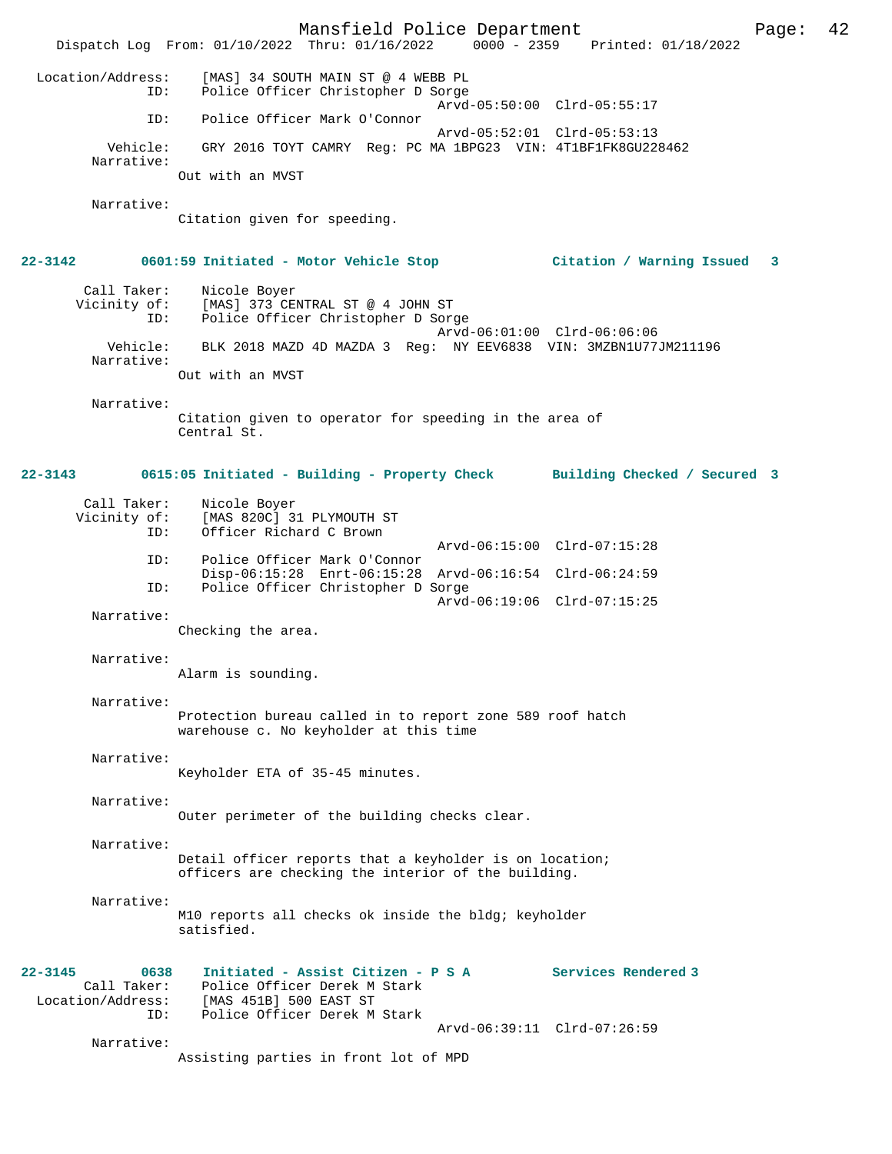Mansfield Police Department Page: 42 Dispatch Log From:  $01/10/2022$  Thru:  $01/16/2022$  Location/Address: [MAS] 34 SOUTH MAIN ST @ 4 WEBB PL ID: Police Officer Christopher D Sorge Arvd-05:50:00 Clrd-05:55:17<br>TD: Police Officer Mark O'Connor Police Officer Mark O'Connor Arvd-05:52:01 Clrd-05:53:13 Vehicle: GRY 2016 TOYT CAMRY Reg: PC MA 1BPG23 VIN: 4T1BF1FK8GU228462 Narrative: Out with an MVST Narrative: Citation given for speeding. **22-3142 0601:59 Initiated - Motor Vehicle Stop Citation / Warning Issued 3** Call Taker: Nicole Boyer Vicinity of: [MAS] 373 CENTRAL ST @ 4 JOHN ST ID: Police Officer Christopher D Sorge Arvd-06:01:00 Clrd-06:06:06 Vehicle: BLK 2018 MAZD 4D MAZDA 3 Reg: NY EEV6838 VIN: 3MZBN1U77JM211196 Narrative: Out with an MVST Narrative: Citation given to operator for speeding in the area of Central St. **22-3143 0615:05 Initiated - Building - Property Check Building Checked / Secured 3** Call Taker: Nicole Boyer<br>Vicinity of: [MAS 820C] 3 of: [MAS 820C] 31 PLYMOUTH ST<br>ID: Officer Richard C Brown Officer Richard C Brown Arvd-06:15:00 Clrd-07:15:28<br>TD: Police Officer Mark O'Connor Police Officer Mark O'Connor Disp-06:15:28 Enrt-06:15:28 Arvd-06:16:54 Clrd-06:24:59 ID: Police Officer Christopher D Sorge Arvd-06:19:06 Clrd-07:15:25 Narrative: Checking the area. Narrative: Alarm is sounding. Narrative: Protection bureau called in to report zone 589 roof hatch warehouse c. No keyholder at this time Narrative: Keyholder ETA of 35-45 minutes. Narrative: Outer perimeter of the building checks clear. Narrative: Detail officer reports that a keyholder is on location; officers are checking the interior of the building. Narrative: M10 reports all checks ok inside the bldg; keyholder satisfied. **22-3145 0638 Initiated - Assist Citizen - P S A Services Rendered 3**  Call Taker: Police Officer Derek M Stark Location/Address: [MAS 451B] 500 EAST ST ID: Police Officer Derek M Stark Arvd-06:39:11 Clrd-07:26:59 Narrative: Assisting parties in front lot of MPD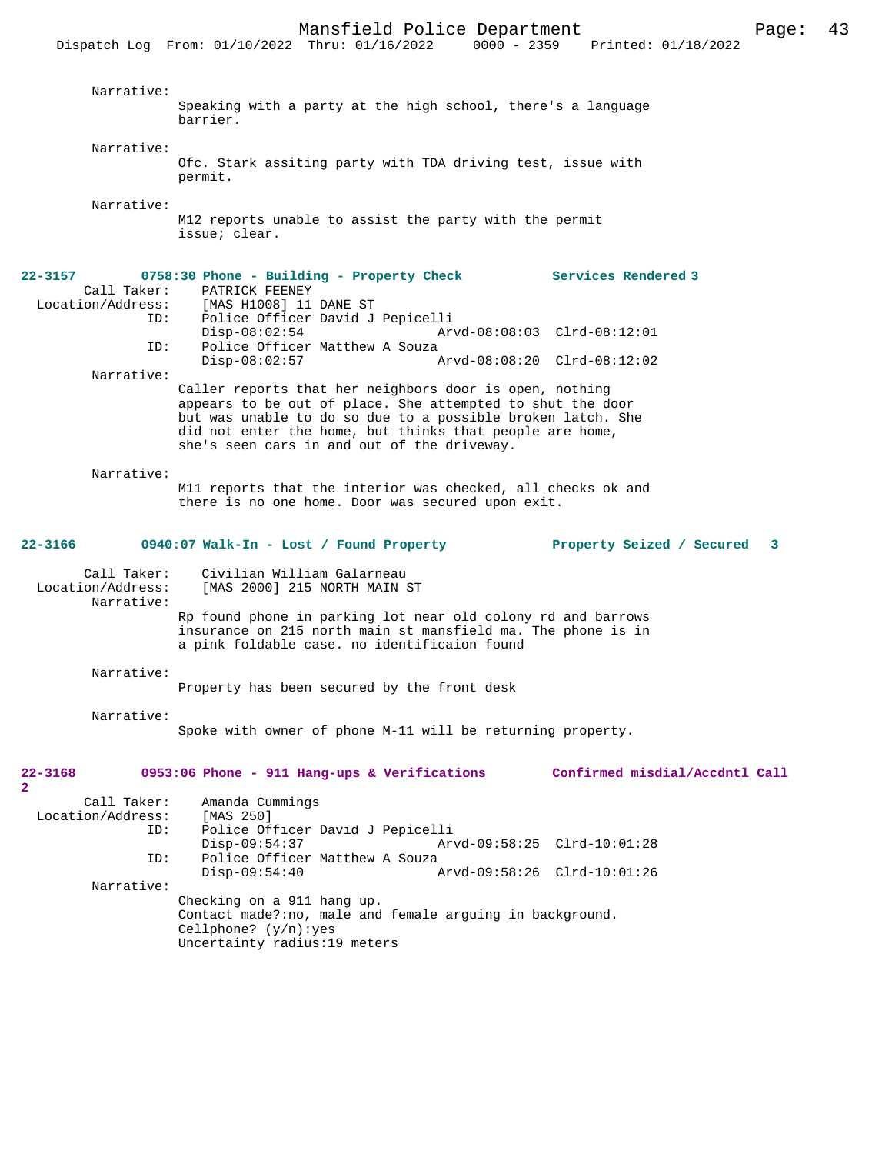|                                  | Mansfield Police Department                                                                                                                                                  |                                | Page: | 43 |
|----------------------------------|------------------------------------------------------------------------------------------------------------------------------------------------------------------------------|--------------------------------|-------|----|
|                                  | Dispatch Log From: 01/10/2022 Thru: 01/16/2022 0000 - 2359 Printed: 01/18/2022                                                                                               |                                |       |    |
|                                  |                                                                                                                                                                              |                                |       |    |
| Narrative:                       |                                                                                                                                                                              |                                |       |    |
|                                  | Speaking with a party at the high school, there's a language<br>barrier.                                                                                                     |                                |       |    |
| Narrative:                       |                                                                                                                                                                              |                                |       |    |
|                                  | Ofc. Stark assiting party with TDA driving test, issue with<br>permit.                                                                                                       |                                |       |    |
| Narrative:                       |                                                                                                                                                                              |                                |       |    |
|                                  | M12 reports unable to assist the party with the permit<br>issue; clear.                                                                                                      |                                |       |    |
| 22-3157                          | 0758:30 Phone - Building - Property Check                                                                                                                                    | <b>Services Rendered 3</b>     |       |    |
| Call Taker:                      | PATRICK FEENEY<br>Location/Address: [MAS H1008] 11 DANE ST                                                                                                                   |                                |       |    |
| ID:                              | Police Officer David J Pepicelli                                                                                                                                             |                                |       |    |
| ID:                              | $Disp-08:02:54$<br>Arvd-08:08:03 Clrd-08:12:01<br>Police Officer Matthew A Souza                                                                                             |                                |       |    |
|                                  | $Disp-08:02:57$<br>Arvd-08:08:20 Clrd-08:12:02                                                                                                                               |                                |       |    |
| Narrative:                       |                                                                                                                                                                              |                                |       |    |
|                                  | Caller reports that her neighbors door is open, nothing<br>appears to be out of place. She attempted to shut the door                                                        |                                |       |    |
|                                  | but was unable to do so due to a possible broken latch. She                                                                                                                  |                                |       |    |
|                                  | did not enter the home, but thinks that people are home,<br>she's seen cars in and out of the driveway.                                                                      |                                |       |    |
| Narrative:                       |                                                                                                                                                                              |                                |       |    |
|                                  | M11 reports that the interior was checked, all checks ok and<br>there is no one home. Door was secured upon exit.                                                            |                                |       |    |
| 22-3166                          | 0940:07 Walk-In - Lost / Found Property                                                                                                                                      | Property Seized / Secured      | 3     |    |
| Call Taker:<br>Location/Address: | Civilian William Galarneau<br>[MAS 2000] 215 NORTH MAIN ST                                                                                                                   |                                |       |    |
| Narrative:                       |                                                                                                                                                                              |                                |       |    |
|                                  | Rp found phone in parking lot near old colony rd and barrows<br>insurance on 215 north main st mansfield ma. The phone is in<br>a pink foldable case. no identificaion found |                                |       |    |
| Narrative:                       |                                                                                                                                                                              |                                |       |    |
|                                  | Property has been secured by the front desk                                                                                                                                  |                                |       |    |
| Narrative:                       | Spoke with owner of phone M-11 will be returning property.                                                                                                                   |                                |       |    |
|                                  |                                                                                                                                                                              |                                |       |    |
| 22-3168<br>2                     | 0953:06 Phone - 911 Hang-ups & Verifications                                                                                                                                 | Confirmed misdial/Accdntl Call |       |    |
| Call Taker:                      | Amanda Cummings                                                                                                                                                              |                                |       |    |
| Location/Address:<br>ID:         | [MAS 250]<br>Police Officer David J Pepicelli                                                                                                                                |                                |       |    |
|                                  | $Disp-09:54:37$<br>Arvd-09:58:25 Clrd-10:01:28                                                                                                                               |                                |       |    |
| ID:                              | Police Officer Matthew A Souza<br>$Disp-09:54:40$<br>Arvd-09:58:26 Clrd-10:01:26                                                                                             |                                |       |    |
| Narrative:                       |                                                                                                                                                                              |                                |       |    |

Checking on a 911 hang up. Contact made?:no, male and female arguing in background. Cellphone? (y/n):yes Uncertainty radius:19 meters

**2**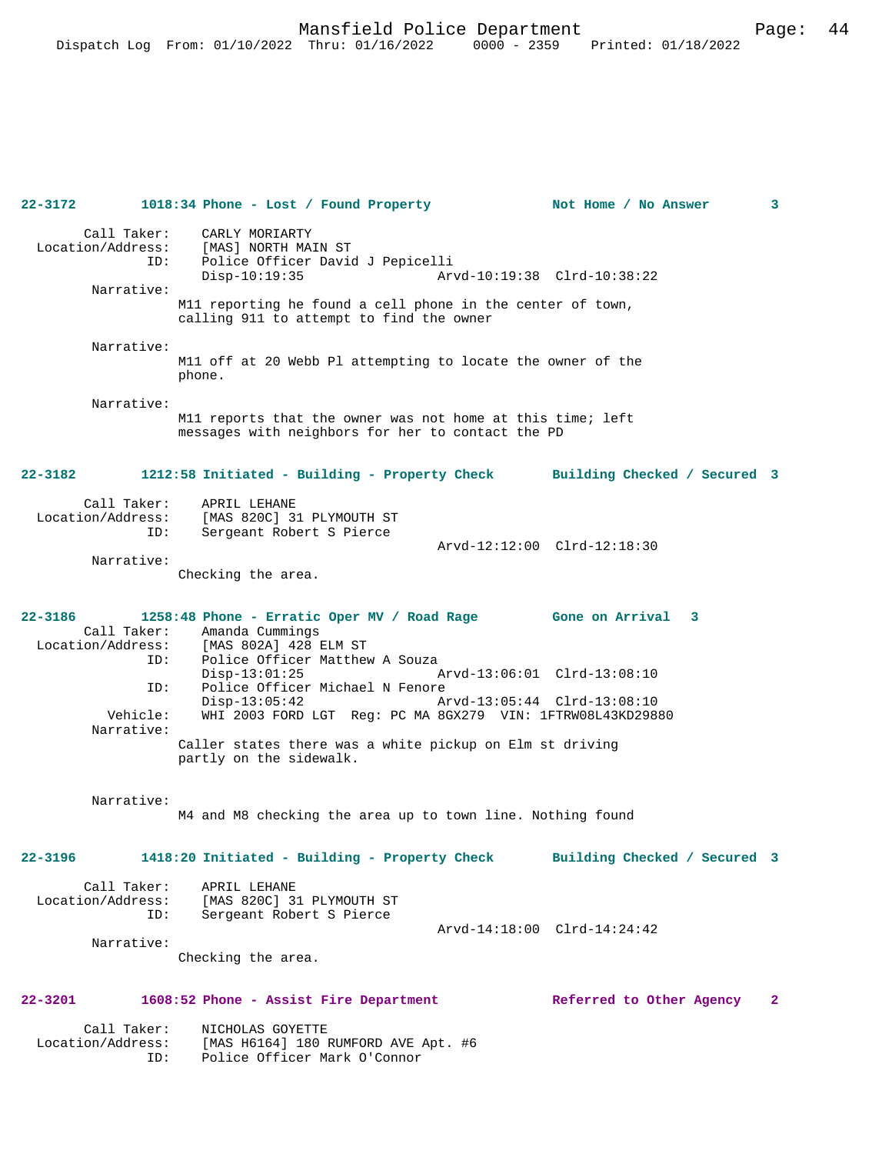**22-3172 1018:34 Phone - Lost / Found Property Not Home / No Answer 3** Call Taker: CARLY MORIARTY Location/Address: [MAS] NORTH MAIN ST<br>ID: Police Officer David<br>Disp-10:19:35 Police Officer David J Pepicelli Disp-10:19:35 Arvd-10:19:38 Clrd-10:38:22 Narrative: M11 reporting he found a cell phone in the center of town, calling 911 to attempt to find the owner Narrative: M11 off at 20 Webb Pl attempting to locate the owner of the phone. Narrative: M11 reports that the owner was not home at this time; left messages with neighbors for her to contact the PD **22-3182 1212:58 Initiated - Building - Property Check Building Checked / Secured 3** Call Taker: APRIL LEHANE Location/Address: [MAS 820C] 31 PLYMOUTH ST ID: Sergeant Robert S Pierce Arvd-12:12:00 Clrd-12:18:30 Narrative: Checking the area. **22-3186 1258:48 Phone - Erratic Oper MV / Road Rage Gone on Arrival 3**  Call Taker: Amanda Cummings<br>Location/Address: [MAS 802A] 428 B [MAS 802A] 428 ELM ST ID: Police Officer Matthew A Souza<br>Disp-13:01:25 Disp-13:01:25 Arvd-13:06:01 Clrd-13:08:10<br>TD: Police Officer Michael N Fenore Police Officer Michael N Fenore<br>Disp-13:05:42 Ar Disp-13:05:42 Arvd-13:05:44 Clrd-13:08:10<br>Vehicle: WHI 2003 FORD LGT Req: PC MA 8GX279 VIN: 1FTRW08L43KD2988 WHI 2003 FORD LGT Reg: PC MA 8GX279 VIN: 1FTRW08L43KD29880 Narrative: Caller states there was a white pickup on Elm st driving partly on the sidewalk. Narrative: M4 and M8 checking the area up to town line. Nothing found **22-3196 1418:20 Initiated - Building - Property Check Building Checked / Secured 3** Call Taker: APRIL LEHANE<br>Location/Address: [MAS 820C] 3 ess: [MAS 820C] 31 PLYMOUTH ST<br>TD: Sergeant Robert S Pierce Sergeant Robert S Pierce Arvd-14:18:00 Clrd-14:24:42 Narrative: Checking the area. **22-3201 1608:52 Phone - Assist Fire Department Referred to Other Agency 2** Call Taker: NICHOLAS GOYETTE Location/Address: [MAS H6164] 180 RUMFORD AVE Apt. #6

ID: Police Officer Mark O'Connor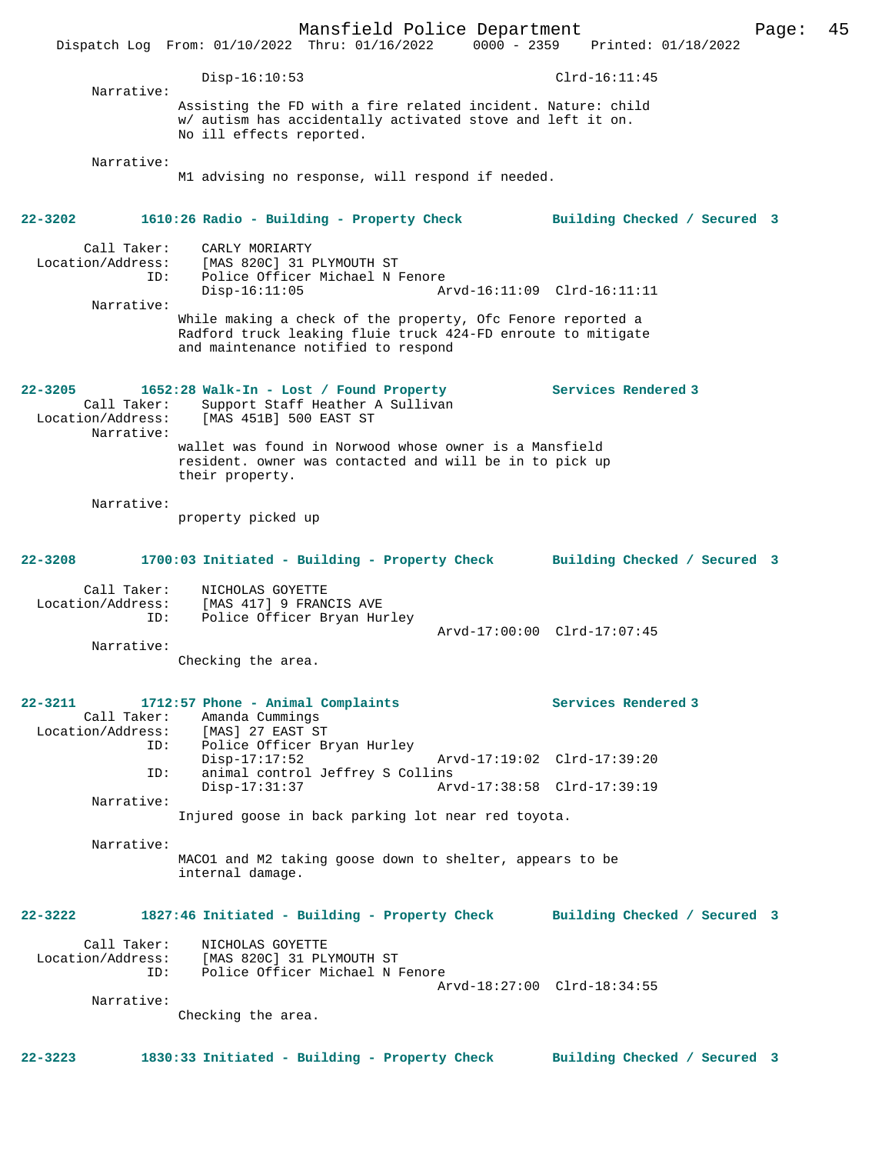Mansfield Police Department Page: 45 Dispatch Log From: 01/10/2022 Thru: 01/16/2022 0000 - 2359 Printed: 01/18/2022 Disp-16:10:53 Clrd-16:11:45 Narrative: Assisting the FD with a fire related incident. Nature: child w/ autism has accidentally activated stove and left it on. No ill effects reported. Narrative: M1 advising no response, will respond if needed. **22-3202 1610:26 Radio - Building - Property Check Building Checked / Secured 3** Call Taker: CARLY MORIARTY<br>Location/Address: [MAS 820C] 31 B Location/Address: [MAS 820C] 31 PLYMOUTH ST Police Officer Michael N Fenore<br>Disp-16:11:05 Ar Disp-16:11:05 Arvd-16:11:09 Clrd-16:11:11 Narrative: While making a check of the property, Ofc Fenore reported a Radford truck leaking fluie truck 424-FD enroute to mitigate and maintenance notified to respond 22-3205 **1652:28 Walk-In - Lost / Found Property** Services Rendered 3 Call Taker: Support Staff Heather A Sullivan Location/Address: [MAS 451B] 500 EAST ST Narrative: wallet was found in Norwood whose owner is a Mansfield resident. owner was contacted and will be in to pick up their property. Narrative: property picked up **22-3208 1700:03 Initiated - Building - Property Check Building Checked / Secured 3** Call Taker: NICHOLAS GOYETTE Location/Address: [MAS 417] 9 FRANCIS AVE ID: Police Officer Bryan Hurley Arvd-17:00:00 Clrd-17:07:45 Narrative: Checking the area. **22-3211 1712:57 Phone - Animal Complaints Services Rendered 3**  Call Taker: Amanda Cummings<br>Location/Address: [MAS] 27 EAST ST Location/Address: [MAS] 27 EAST ST ID: Police Officer Bryan Hurley Disp-17:17:52 Arvd-17:19:02 Clrd-17:39:20 ID: animal control Jeffrey S Collins Disp-17:31:37 Arvd-17:38:58 Clrd-17:39:19 Narrative: Injured goose in back parking lot near red toyota. Narrative: MACO1 and M2 taking goose down to shelter, appears to be internal damage. **22-3222 1827:46 Initiated - Building - Property Check Building Checked / Secured 3** Call Taker: NICHOLAS GOYETTE Location/Address: [MAS 820C] 31 PLYMOUTH ST ID: Police Officer Michael N Fenore Arvd-18:27:00 Clrd-18:34:55 Narrative: Checking the area. **22-3223 1830:33 Initiated - Building - Property Check Building Checked / Secured 3**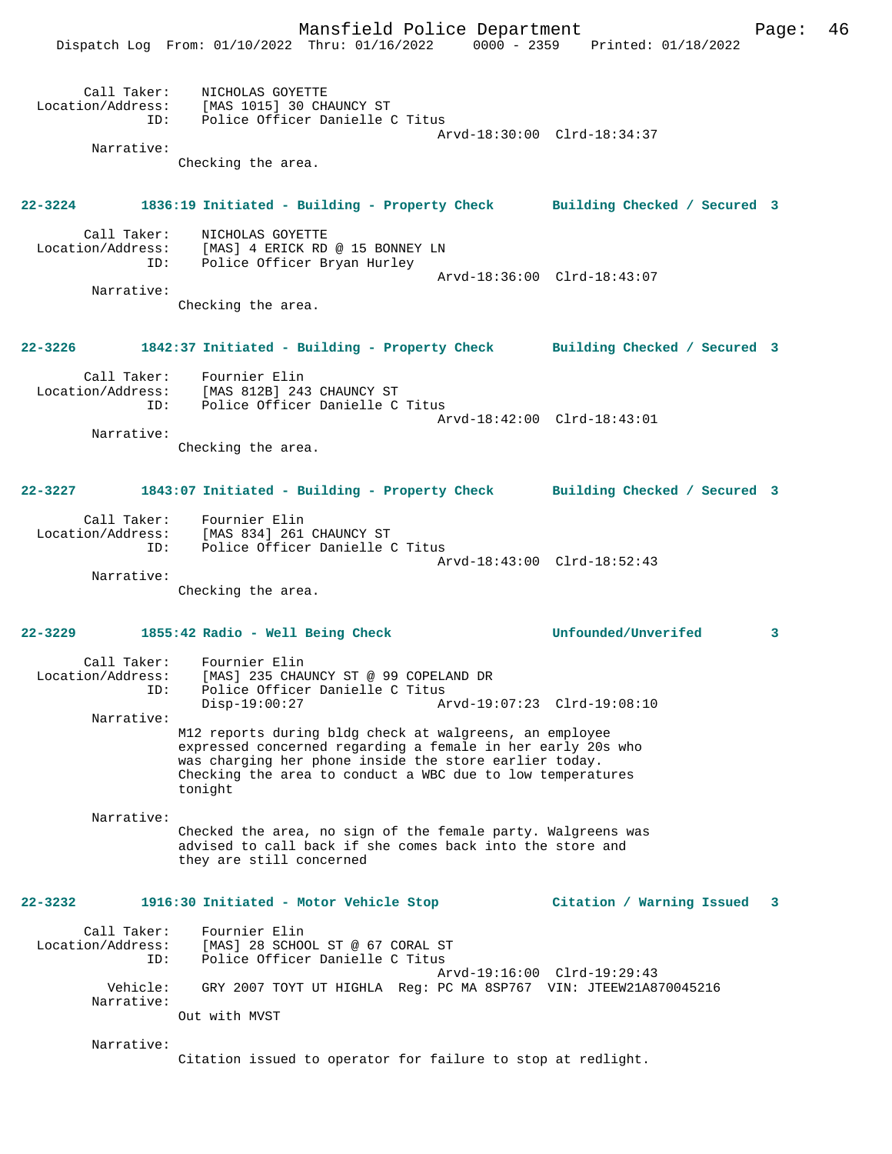Mansfield Police Department Page: 46

 Dispatch Log From: 01/10/2022 Thru: 01/16/2022 0000 - 2359 Printed: 01/18/2022 Call Taker: NICHOLAS GOYETTE Location/Address: [MAS 1015] 30 CHAUNCY ST ID: Police Officer Danielle C Titus Arvd-18:30:00 Clrd-18:34:37 Narrative: Checking the area. **22-3224 1836:19 Initiated - Building - Property Check Building Checked / Secured 3** Call Taker: NICHOLAS GOYETTE Location/Address: [MAS] 4 ERICK RD @ 15 BONNEY LN Police Officer Bryan Hurley Arvd-18:36:00 Clrd-18:43:07 Narrative: Checking the area. **22-3226 1842:37 Initiated - Building - Property Check Building Checked / Secured 3** Call Taker: Fournier Elin<br>Location/Address: [MAS 812B] 243 [MAS 812B] 243 CHAUNCY ST ID: Police Officer Danielle C Titus Arvd-18:42:00 Clrd-18:43:01 Narrative: Checking the area. **22-3227 1843:07 Initiated - Building - Property Check Building Checked / Secured 3** Call Taker: Fournier Elin Location/Address: [MAS 834] 261 CHAUNCY ST Police Officer Danielle C Titus Arvd-18:43:00 Clrd-18:52:43 Narrative: Checking the area. **22-3229 1855:42 Radio - Well Being Check Unfounded/Unverifed 3** Call Taker: Fournier Elin<br>Location/Address: [MAS] 235 CHAL ess: [MAS] 235 CHAUNCY ST @ 99 COPELAND DR<br>ID: Police Officer Danielle C Titus Police Officer Danielle C Titus<br>Disp-19:00:27 Ar Disp-19:00:27 Arvd-19:07:23 Clrd-19:08:10 Narrative: M12 reports during bldg check at walgreens, an employee expressed concerned regarding a female in her early 20s who was charging her phone inside the store earlier today. Checking the area to conduct a WBC due to low temperatures tonight Narrative: Checked the area, no sign of the female party. Walgreens was advised to call back if she comes back into the store and they are still concerned **22-3232 1916:30 Initiated - Motor Vehicle Stop Citation / Warning Issued 3** Call Taker: Fournier Elin Location/Address: [MAS] 28 SCHOOL ST @ 67 CORAL ST ID: Police Officer Danielle C Titus Arvd-19:16:00 Clrd-19:29:43 Vehicle: GRY 2007 TOYT UT HIGHLA Reg: PC MA 8SP767 VIN: JTEEW21A870045216 Narrative: Out with MVST Narrative: Citation issued to operator for failure to stop at redlight.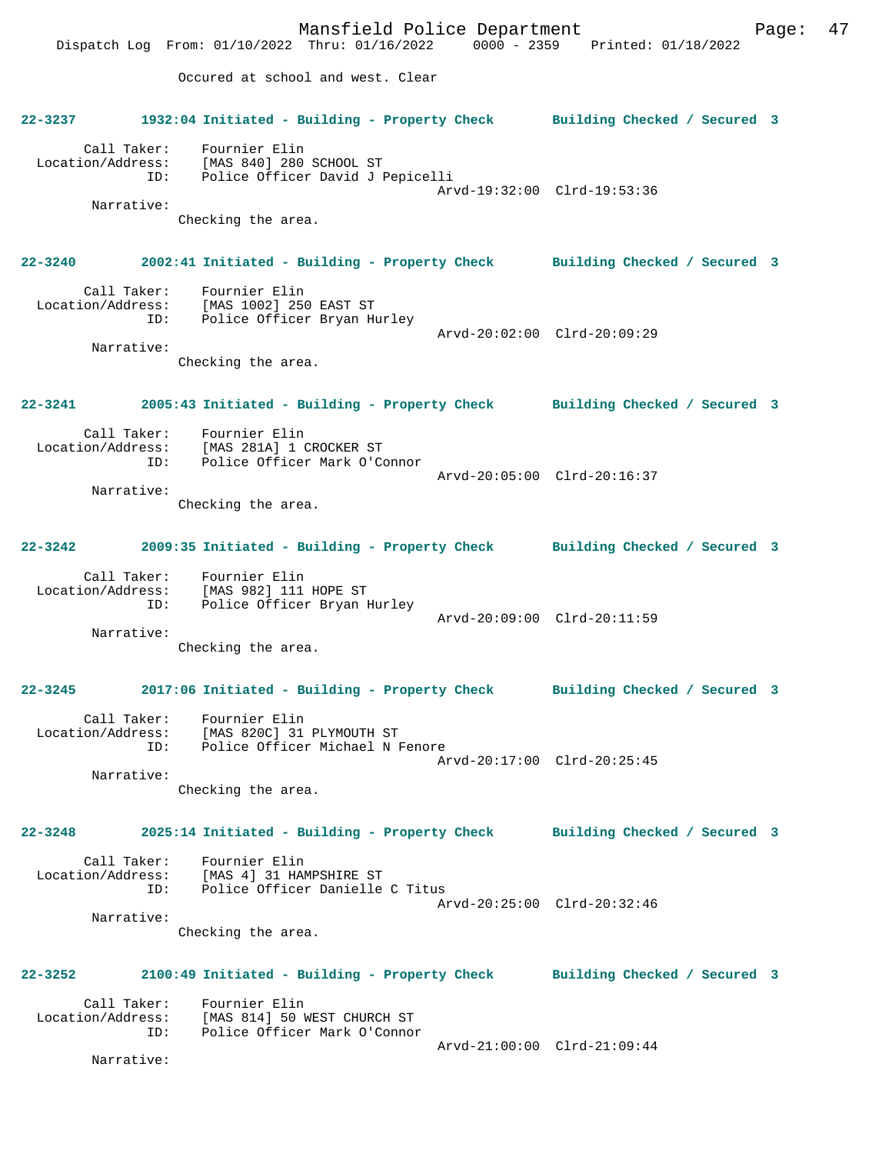Mansfield Police Department Fage: 47 Dispatch Log From: 01/10/2022 Thru: 01/16/2022 0000 - 2359 Printed: 01/18/2022 Occured at school and west. Clear **22-3237 1932:04 Initiated - Building - Property Check Building Checked / Secured 3** Call Taker: Fournier Elin Location/Address: [MAS 840] 280 SCHOOL ST ID: Police Officer David J Pepicelli Arvd-19:32:00 Clrd-19:53:36 Narrative: Checking the area. **22-3240 2002:41 Initiated - Building - Property Check Building Checked / Secured 3** Call Taker: Fournier Elin Location/Address: [MAS 1002] 250 EAST ST ID: Police Officer Bryan Hurley Arvd-20:02:00 Clrd-20:09:29 Narrative: Checking the area. **22-3241 2005:43 Initiated - Building - Property Check Building Checked / Secured 3** Call Taker: Fournier Elin Location/Address: [MAS 281A] 1 CROCKER ST<br>TD: Police Officer Mark O'Co Police Officer Mark O'Connor Arvd-20:05:00 Clrd-20:16:37 Narrative: Checking the area. **22-3242 2009:35 Initiated - Building - Property Check Building Checked / Secured 3** Call Taker: Fournier Elin Location/Address: [MAS 982] 111 HOPE ST ID: Police Officer Bryan Hurley Arvd-20:09:00 Clrd-20:11:59 Narrative: Checking the area. **22-3245 2017:06 Initiated - Building - Property Check Building Checked / Secured 3** Call Taker: Fournier Elin Location/Address: [MAS 820C] 31 PLYMOUTH ST ID: Police Officer Michael N Fenore Arvd-20:17:00 Clrd-20:25:45 Narrative: Checking the area. **22-3248 2025:14 Initiated - Building - Property Check Building Checked / Secured 3** Call Taker: Fournier Elin<br>ion/Address: [MAS 4] 31 HAMPSHIRE ST Location/Address: ID: Police Officer Danielle C Titus Arvd-20:25:00 Clrd-20:32:46 Narrative: Checking the area. **22-3252 2100:49 Initiated - Building - Property Check Building Checked / Secured 3** Call Taker: Fournier Elin Location/Address: [MAS 814] 50 WEST CHURCH ST Police Officer Mark O'Connor Arvd-21:00:00 Clrd-21:09:44 Narrative: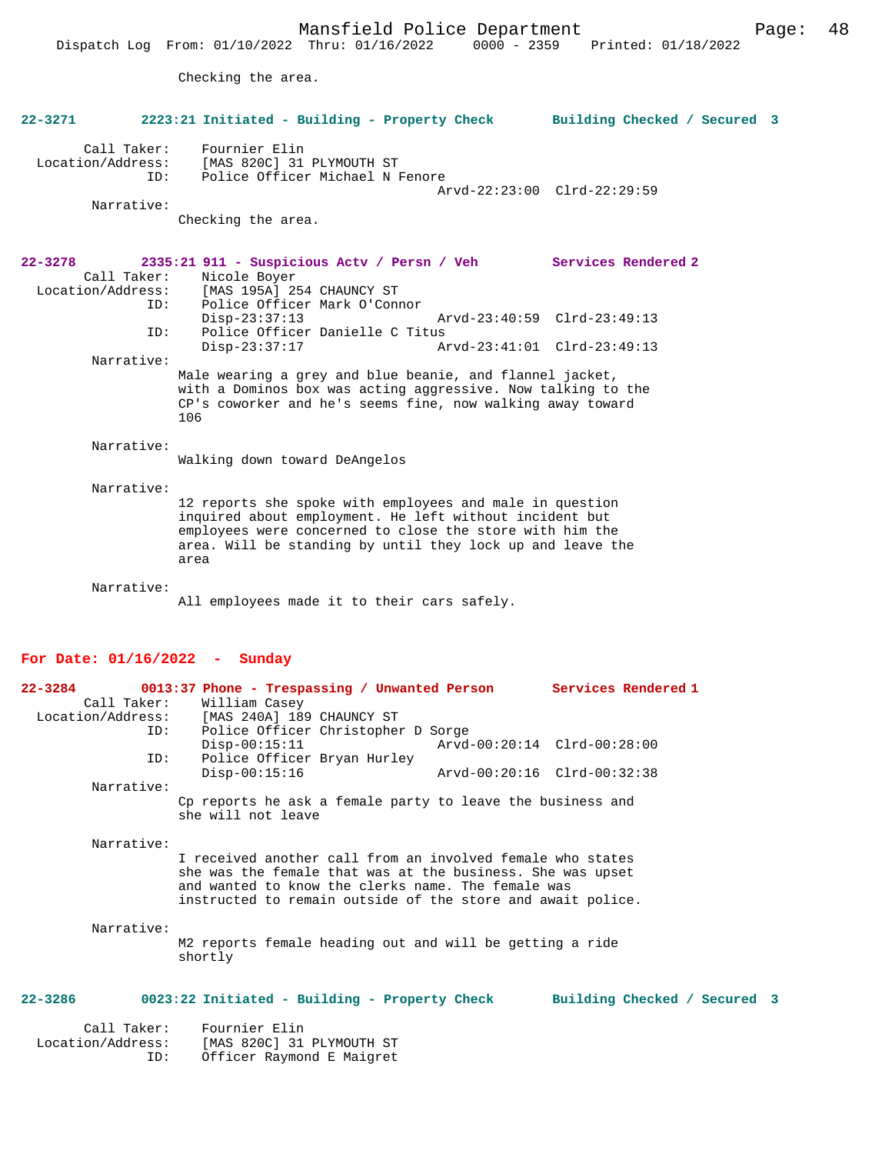Checking the area.

| $22 - 3271$                                     | 2223:21 Initiated - Building - Property Check                                                                                                                                                                                                         | Building Checked / Secured 3 |
|-------------------------------------------------|-------------------------------------------------------------------------------------------------------------------------------------------------------------------------------------------------------------------------------------------------------|------------------------------|
| Call Taker:<br>Location/Address:                | Fournier Elin<br>[MAS 820C] 31 PLYMOUTH ST<br>Police Officer Michael N Fenore<br>ID:<br>Arvd-22:23:00 Clrd-22:29:59                                                                                                                                   |                              |
| Narrative:                                      |                                                                                                                                                                                                                                                       |                              |
|                                                 | Checking the area.                                                                                                                                                                                                                                    |                              |
| $22 - 3278$<br>Call Taker:<br>Location/Address: | 2335:21 911 - Suspicious Actv / Persn / Veh Services Rendered 2<br>Nicole Boyer<br>[MAS 195A] 254 CHAUNCY ST                                                                                                                                          |                              |
|                                                 | Police Officer Mark O'Connor<br>ID:<br>$Disp-23:37:13$<br>Arvd-23:40:59 Clrd-23:49:13                                                                                                                                                                 |                              |
|                                                 | Police Officer Danielle C Titus<br>ID:<br>$Disp-23:37:17$<br>Arvd-23:41:01 Clrd-23:49:13                                                                                                                                                              |                              |
| Narrative:                                      |                                                                                                                                                                                                                                                       |                              |
|                                                 | Male wearing a grey and blue beanie, and flannel jacket,<br>with a Dominos box was acting aggressive. Now talking to the<br>CP's coworker and he's seems fine, now walking away toward<br>106                                                         |                              |
| Narrative:                                      | Walking down toward DeAngelos                                                                                                                                                                                                                         |                              |
| Narrative:                                      |                                                                                                                                                                                                                                                       |                              |
|                                                 | 12 reports she spoke with employees and male in question<br>inquired about employment. He left without incident but<br>employees were concerned to close the store with him the<br>area. Will be standing by until they lock up and leave the<br>area |                              |
| Narrative:                                      |                                                                                                                                                                                                                                                       |                              |
|                                                 | All employees made it to their cars safely.                                                                                                                                                                                                           |                              |
|                                                 | For Date: $01/16/2022 -$ Sunday                                                                                                                                                                                                                       |                              |
| $22 - 3284$<br>Location/Address:                | 0013:37 Phone - Trespassing / Unwanted Person Services Rendered 1<br>Call Taker:<br>William Casey<br>[MAS 240A] 189 CHAUNCY ST                                                                                                                        |                              |
|                                                 | Police Officer Christopher D Sorge<br>ID:<br>Arvd-00:20:14 Clrd-00:28:00<br>$Disp-00:15:11$                                                                                                                                                           |                              |
|                                                 | Police Officer Bryan Hurley<br>ID:<br>$Disp-00:15:16$<br>Arvd-00:20:16 Clrd-00:32:38                                                                                                                                                                  |                              |
| Narrative:                                      | Cp reports he ask a female party to leave the business and                                                                                                                                                                                            |                              |
|                                                 | she will not leave                                                                                                                                                                                                                                    |                              |
| Narrative:                                      |                                                                                                                                                                                                                                                       |                              |
|                                                 | I received another call from an involved female who states<br>she was the female that was at the business. She was upset<br>and wanted to know the clerks name. The female was<br>instructed to remain outside of the store and await police.         |                              |
| Narrative:                                      | M2 reports female heading out and will be getting a ride<br>shortly                                                                                                                                                                                   |                              |
| $22 - 3286$                                     | 0023:22 Initiated - Building - Property Check                                                                                                                                                                                                         | Building Checked / Secured 3 |
| Call Taker:<br>Location/Address:                | Fournier Elin<br>[MAS 820C] 31 PLYMOUTH ST                                                                                                                                                                                                            |                              |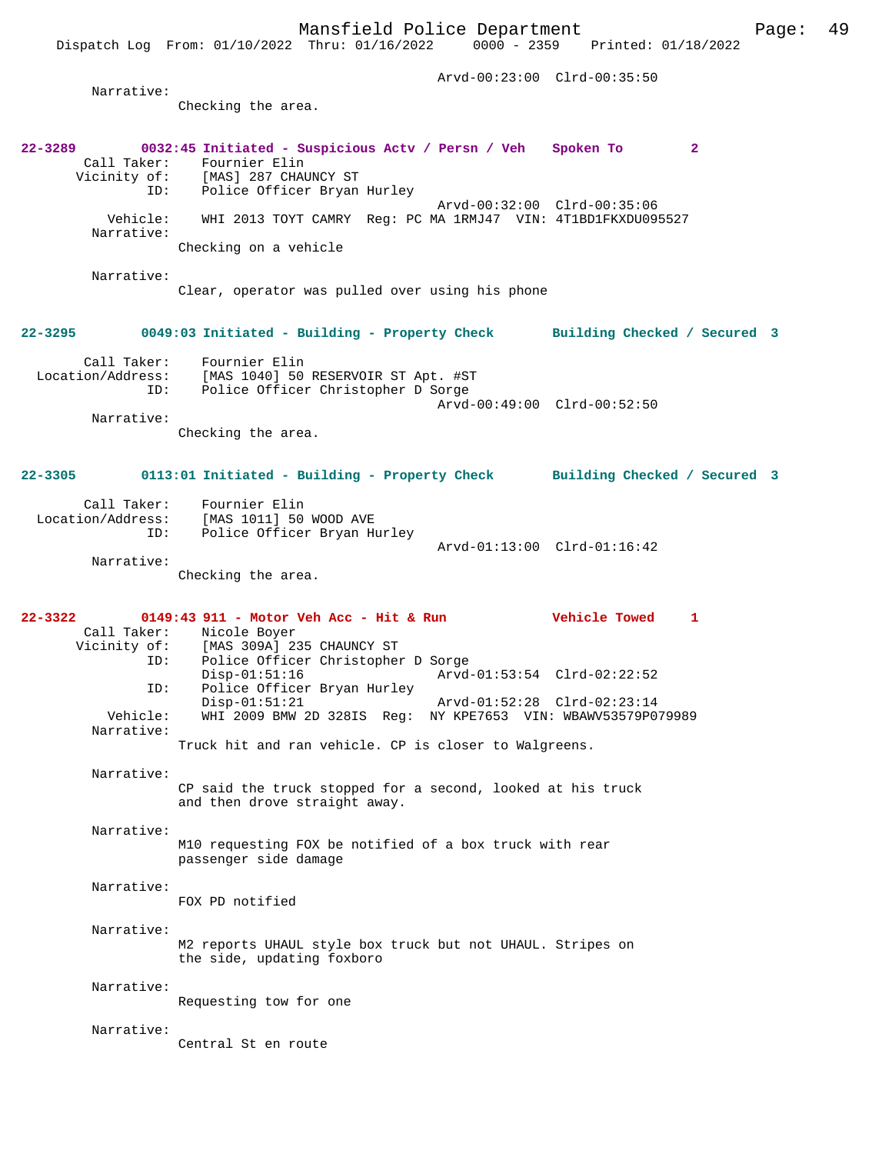Dispatch Log From: 01/10/2022 Thru: 01/16/2022

 Arvd-00:23:00 Clrd-00:35:50 Narrative: Checking the area. **22-3289 0032:45 Initiated - Suspicious Actv / Persn / Veh Spoken To 2**  Call Taker: Fournier Elin<br>Vicinity of: [MAS] 287 CHAL Vicinity of: [MAS] 287 CHAUNCY ST ID: Police Officer Bryan Hurley Arvd-00:32:00 Clrd-00:35:06 Vehicle: WHI 2013 TOYT CAMRY Reg: PC MA 1RMJ47 VIN: 4T1BD1FKXDU095527 Narrative: Checking on a vehicle Narrative: Clear, operator was pulled over using his phone **22-3295 0049:03 Initiated - Building - Property Check Building Checked / Secured 3** Call Taker: Fournier Elin<br>Location/Address: [MAS 1040] 50 ess: [MAS 1040] 50 RESERVOIR ST Apt. #ST<br>ID: Police Officer Christopher D Sorge Police Officer Christopher D Sorge Arvd-00:49:00 Clrd-00:52:50 Narrative: Checking the area. **22-3305 0113:01 Initiated - Building - Property Check Building Checked / Secured 3** Call Taker: Fournier Elin Location/Address: [MAS 1011] 50 WOOD AVE ID: Police Officer Bryan Hurley Arvd-01:13:00 Clrd-01:16:42 Narrative: Checking the area. **22-3322 0149:43 911 - Motor Veh Acc - Hit & Run Vehicle Towed 1**  Call Taker: Nicole Boyer<br>Vicinity of: [MAS 309A] 23  $[MAS 309A] 235 CHAUNCY ST$  ID: Police Officer Christopher D Sorge Disp-01:51:16 Arvd-01:53:54 Clrd-02:22:52<br>TD: Police Officer Bryan Hurley Police Officer Bryan Hurley<br>Disp-01:51:21 Arvd-01:52:28 Clrd-02:23:14 Vehicle: WHI 2009 BMW 2D 328IS Reg: NY KPE7653 VIN: WBAWV53579P079989 Narrative: Truck hit and ran vehicle. CP is closer to Walgreens. Narrative: CP said the truck stopped for a second, looked at his truck and then drove straight away. Narrative: M10 requesting FOX be notified of a box truck with rear passenger side damage Narrative: FOX PD notified Narrative: M2 reports UHAUL style box truck but not UHAUL. Stripes on the side, updating foxboro Narrative: Requesting tow for one Narrative: Central St en route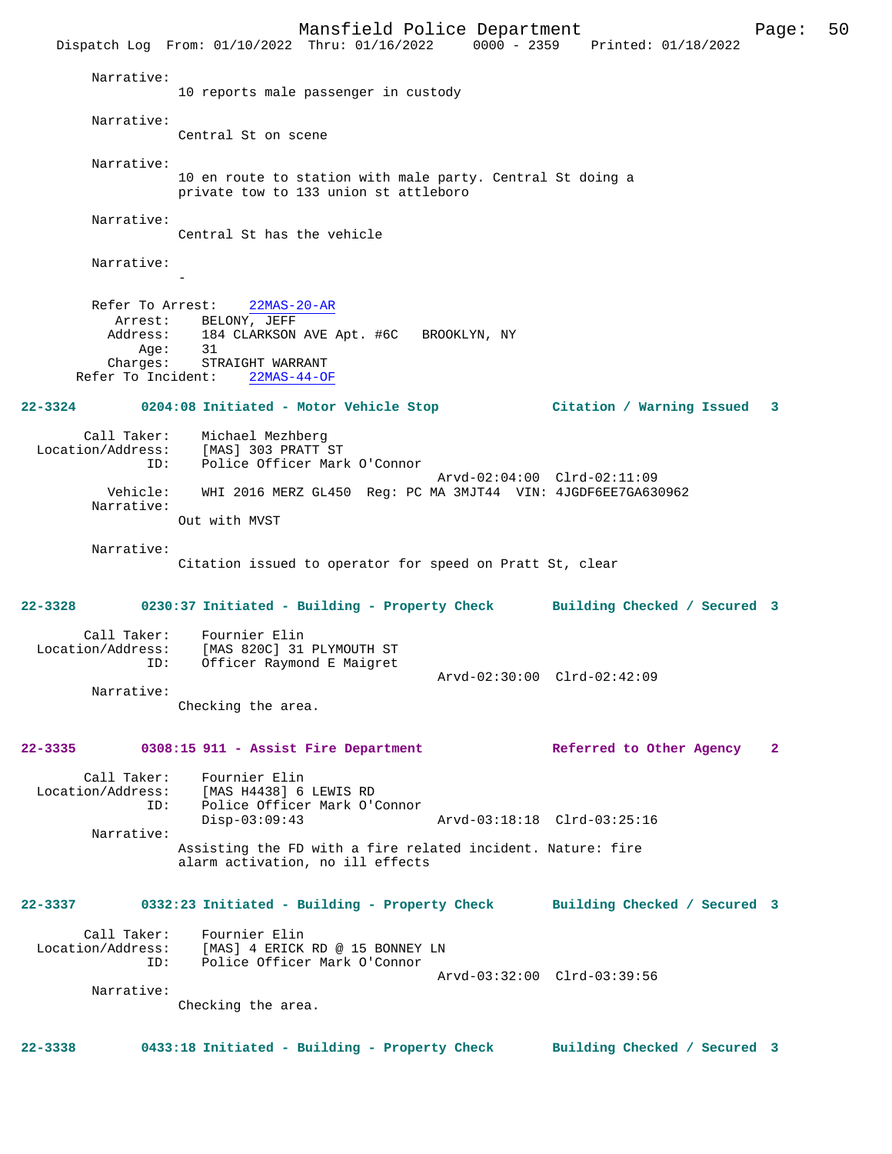Mansfield Police Department Page: 50 Dispatch Log From: 01/10/2022 Thru: 01/16/2022 0000 - 2359 Printed: 01/18/2022 Narrative: 10 reports male passenger in custody Narrative: Central St on scene Narrative: 10 en route to station with male party. Central St doing a private tow to 133 union st attleboro Narrative: Central St has the vehicle Narrative: - Refer To Arrest: 22MAS-20-AR Arrest: BELONY, JEFF<br>Address: 184 CLARKSON 184 CLARKSON AVE Apt. #6C BROOKLYN, NY Age: 31 Charges: STRAIGHT WARRANT Refer To Incident: 22MAS-44-OF **22-3324 0204:08 Initiated - Motor Vehicle Stop Citation / Warning Issued 3** Call Taker: Michael Mezhberg Location/Address: [MAS] 303 PRATT ST ID: Police Officer Mark O'Connor Arvd-02:04:00 Clrd-02:11:09<br>Vehicle: WHI 2016 MERZ GL450 Reg: PC MA 3MJT44 VIN: 4JGDF6EE7GA630 WHI 2016 MERZ GL450 Reg: PC MA 3MJT44 VIN: 4JGDF6EE7GA630962 Narrative: Out with MVST Narrative: Citation issued to operator for speed on Pratt St, clear **22-3328 0230:37 Initiated - Building - Property Check Building Checked / Secured 3** Call Taker: Fournier Elin Location/Address: [MAS 820C] 31 PLYMOUTH ST ID: Officer Raymond E Maigret Arvd-02:30:00 Clrd-02:42:09 Narrative: Checking the area. **22-3335 0308:15 911 - Assist Fire Department Referred to Other Agency 2** Call Taker: Fournier Elin<br>Location/Address: [MAS H4438] 6 [MAS H4438] 6 LEWIS RD ID: Police Officer Mark O'Connor<br>Disp-03:09:43 Arvd-03:18:18 Clrd-03:25:16 Narrative: Assisting the FD with a fire related incident. Nature: fire alarm activation, no ill effects **22-3337 0332:23 Initiated - Building - Property Check Building Checked / Secured 3** Call Taker: Fournier Elin Location/Address: [MAS] 4 ERICK RD @ 15 BONNEY LN<br>TD: Police Officer Mark O'Connor Police Officer Mark O'Connor Arvd-03:32:00 Clrd-03:39:56 Narrative: Checking the area. **22-3338 0433:18 Initiated - Building - Property Check Building Checked / Secured 3**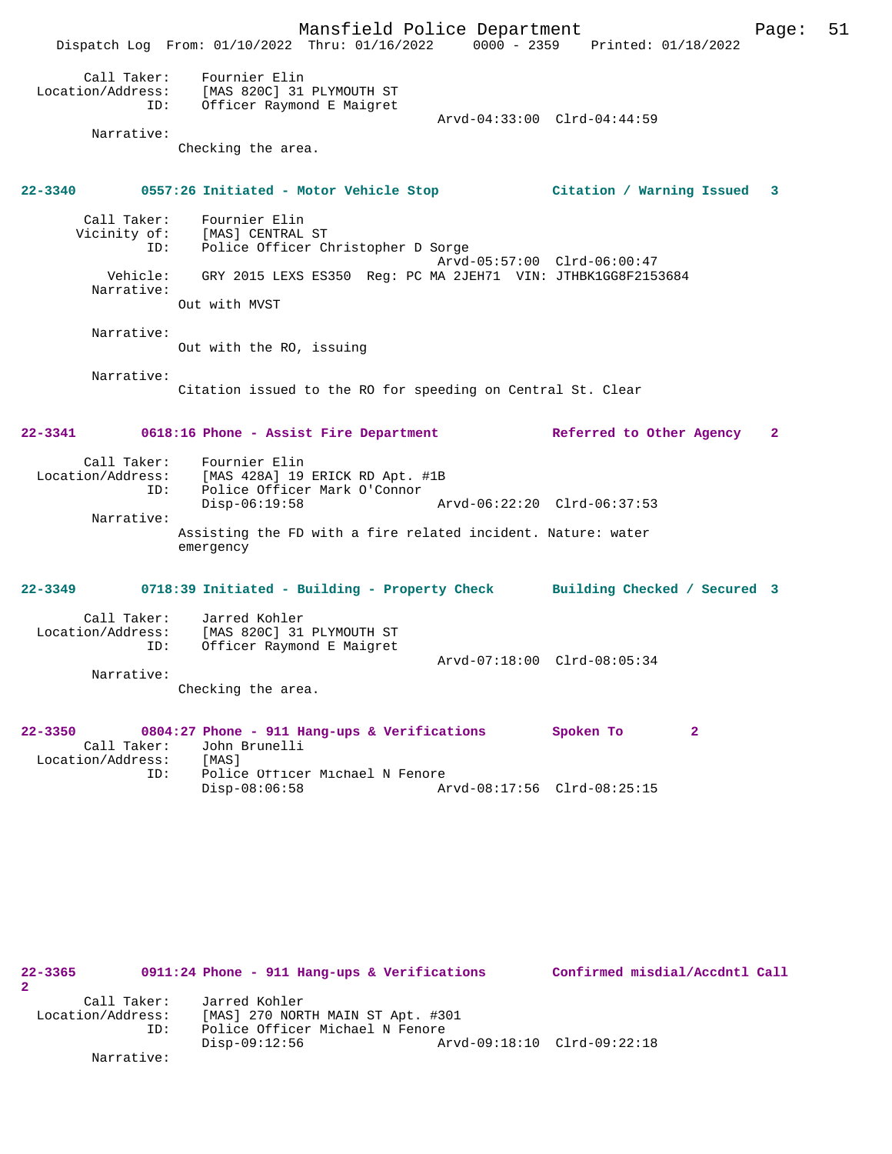Mansfield Police Department Page: 51 Dispatch Log From: 01/10/2022 Thru: 01/16/2022 0000 - 2359 Printed: 01/18/2022 Call Taker: Fournier Elin Location/Address: [MAS 820C] 31 PLYMOUTH ST ID: Officer Raymond E Maigret Arvd-04:33:00 Clrd-04:44:59 Narrative: Checking the area. **22-3340 0557:26 Initiated - Motor Vehicle Stop Citation / Warning Issued 3** Call Taker: Fournier Elin Vicinity of: [MAS] CENTRAL ST ID: Police Officer Christopher D Sorge Arvd-05:57:00 Clrd-06:00:47 Vehicle: GRY 2015 LEXS ES350 Reg: PC MA 2JEH71 VIN: JTHBK1GG8F2153684 Narrative: Out with MVST Narrative: Out with the RO, issuing Narrative: Citation issued to the RO for speeding on Central St. Clear **22-3341 0618:16 Phone - Assist Fire Department Referred to Other Agency 2** Call Taker: Fournier Elin Location/Address: [MAS 428A] 19 ERICK RD Apt. #1B ID: Police Officer Mark O'Connor<br>Disp-06:19:58 Disp-06:19:58 Arvd-06:22:20 Clrd-06:37:53 Narrative: Assisting the FD with a fire related incident. Nature: water emergency **22-3349 0718:39 Initiated - Building - Property Check Building Checked / Secured 3** Call Taker: Jarred Kohler Location/Address: [MAS 820C] 31 PLYMOUTH ST<br>ID: Officer Raymond E Maigret Officer Raymond E Maigret Arvd-07:18:00 Clrd-08:05:34 Narrative: Checking the area. **22-3350 0804:27 Phone - 911 Hang-ups & Verifications Spoken To 2**  Call Taker: John Brunelli Location/Address: [MAS]<br>ID: Police Police Officer Michael N Fenore<br>Disp-08:06:58 Disp-08:06:58 Arvd-08:17:56 Clrd-08:25:15

**22-3365 0911:24 Phone - 911 Hang-ups & Verifications Confirmed misdial/Accdntl Call 2**  Call Taker: Jarred Kohler<br>Location/Address: [MAS] 270 NOR Location/Address: [MAS] 270 NORTH MAIN ST Apt. #301 ID: Police Officer Michael N Fenore Disp-09:12:56 Arvd-09:18:10 Clrd-09:22:18 Narrative: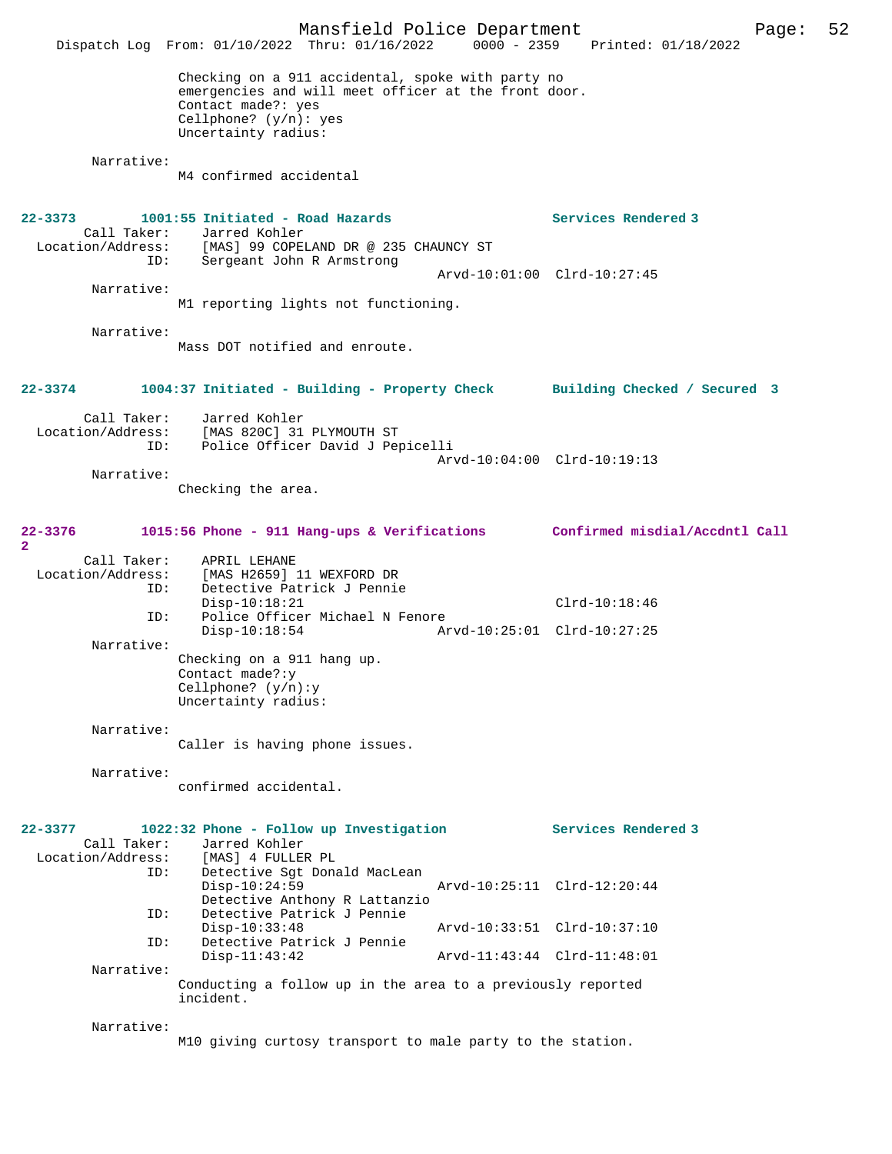|                              |                    | Dispatch Log From: 01/10/2022 Thru: 01/16/2022 0000 - 2359 Printed: 01/18/2022                                                                                                    | Mansfield Police Department | Page:                                                                       | 52 |
|------------------------------|--------------------|-----------------------------------------------------------------------------------------------------------------------------------------------------------------------------------|-----------------------------|-----------------------------------------------------------------------------|----|
|                              |                    | Checking on a 911 accidental, spoke with party no<br>emergencies and will meet officer at the front door.<br>Contact made?: yes<br>Cellphone? $(y/n):$ yes<br>Uncertainty radius: |                             |                                                                             |    |
|                              | Narrative:         | M4 confirmed accidental                                                                                                                                                           |                             |                                                                             |    |
| $22 - 3373$                  |                    | 1001:55 Initiated - Road Hazards<br>Call Taker: Jarred Kohler<br>Location/Address: [MAS] 99 COPELAND DR @ 235 CHAUNCY ST                                                          |                             | Services Rendered 3                                                         |    |
|                              | ID:                | Sergeant John R Armstrong                                                                                                                                                         |                             | Arvd-10:01:00 Clrd-10:27:45                                                 |    |
|                              | Narrative:         | M1 reporting lights not functioning.                                                                                                                                              |                             |                                                                             |    |
|                              | Narrative:         | Mass DOT notified and enroute.                                                                                                                                                    |                             |                                                                             |    |
| 22-3374                      |                    |                                                                                                                                                                                   |                             | 1004:37 Initiated - Building - Property Check Building Checked / Secured 3  |    |
|                              | Call Taker:<br>ID: | Jarred Kohler<br>Location/Address: [MAS 820C] 31 PLYMOUTH ST<br>Police Officer David J Pepicelli                                                                                  |                             |                                                                             |    |
|                              | Narrative:         |                                                                                                                                                                                   |                             | Arvd-10:04:00 Clrd-10:19:13                                                 |    |
|                              |                    | Checking the area.                                                                                                                                                                |                             |                                                                             |    |
| 22-3376<br>2                 |                    |                                                                                                                                                                                   |                             | 1015:56 Phone - 911 Hang-ups & Verifications Confirmed misdial/Accdntl Call |    |
| Location/Address:            | Call Taker:<br>ID: | APRIL LEHANE<br>[MAS H2659] 11 WEXFORD DR<br>Detective Patrick J Pennie<br>$Disp-10:18:21$                                                                                        |                             | $Clrd-10:18:46$                                                             |    |
|                              | ID:                | Police Officer Michael N Fenore<br>$Disp-10:18:54$                                                                                                                                |                             | Arvd-10:25:01 Clrd-10:27:25                                                 |    |
|                              | Narrative:         | Checking on a 911 hang up.<br>Contact made?:y<br>Cellphone? $(y/n):y$<br>Uncertainty radius:                                                                                      |                             |                                                                             |    |
|                              | Narrative:         | Caller is having phone issues.                                                                                                                                                    |                             |                                                                             |    |
|                              | Narrative:         | confirmed accidental.                                                                                                                                                             |                             |                                                                             |    |
| 22-3377<br>Location/Address: | Call Taker:<br>ID: | 1022:32 Phone - Follow up Investigation<br>Jarred Kohler<br>[MAS] 4 FULLER PL<br>Detective Sgt Donald MacLean                                                                     |                             | Services Rendered 3                                                         |    |
|                              | ID:                | $Disp-10:24:59$<br>Detective Anthony R Lattanzio<br>Detective Patrick J Pennie                                                                                                    |                             | Arvd-10:25:11 Clrd-12:20:44                                                 |    |
|                              | ID:                | $Disp-10:33:48$<br>Detective Patrick J Pennie                                                                                                                                     |                             | Arvd-10:33:51 Clrd-10:37:10                                                 |    |
|                              | Narrative:         | $Disp-11:43:42$                                                                                                                                                                   |                             | Arvd-11:43:44 Clrd-11:48:01                                                 |    |
|                              |                    | Conducting a follow up in the area to a previously reported<br>incident.                                                                                                          |                             |                                                                             |    |
|                              | Narrative:         | M10 giving curtosy transport to male party to the station.                                                                                                                        |                             |                                                                             |    |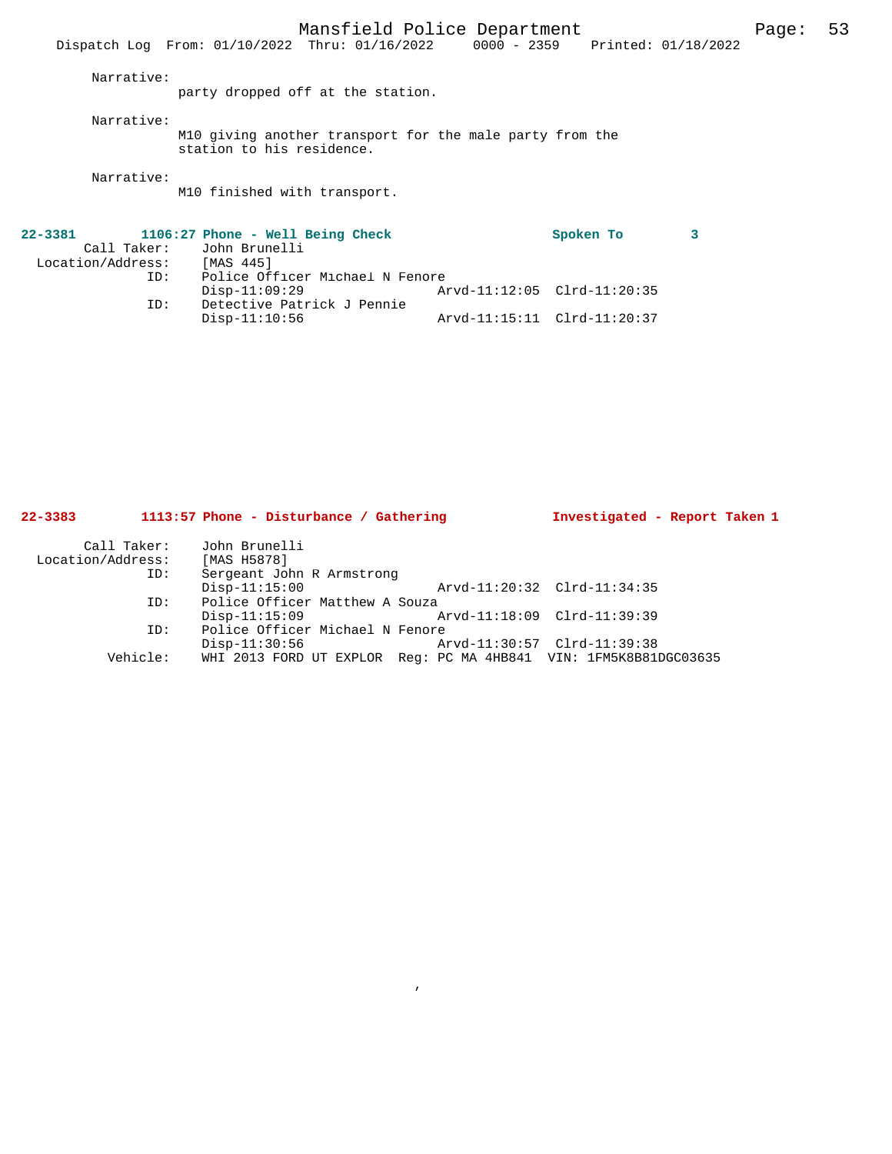M10 finished with transport.

| 22-3381           |     | 1106:27 Phone - Well Being Check |                             | Spoken To |  |
|-------------------|-----|----------------------------------|-----------------------------|-----------|--|
|                   |     | Call Taker: John Brunelli        |                             |           |  |
| Location/Address: |     | [MAS 445]                        |                             |           |  |
|                   | ID: | Police Officer Michael N Fenore  |                             |           |  |
|                   |     | Disp-11:09:29                    | Arvd-11:12:05 Clrd-11:20:35 |           |  |
|                   | ID: | Detective Patrick J Pennie       |                             |           |  |
|                   |     | Disp-11:10:56                    | Arvd-11:15:11 Clrd-11:20:37 |           |  |

| $22 - 3383$       | 1113:57 Phone - Disturbance / Gathering                          | Investigated - Report Taken 1 |  |
|-------------------|------------------------------------------------------------------|-------------------------------|--|
| Call Taker:       | John Brunelli                                                    |                               |  |
| Location/Address: | [MAS H5878]                                                      |                               |  |
| ID:               | Sergeant John R Armstrong                                        |                               |  |
|                   | $Disp-11:15:00$                                                  | Arvd-11:20:32 Clrd-11:34:35   |  |
| ID:               | Police Officer Matthew A Souza                                   |                               |  |
|                   | $Disp-11:15:09$                                                  | Arvd-11:18:09 Clrd-11:39:39   |  |
| ID:               | Police Officer Michael N Fenore                                  |                               |  |
|                   | $Disp-11:30:56$                                                  | Arvd-11:30:57 Clrd-11:39:38   |  |
| Vehicle:          | WHI 2013 FORD UT EXPLOR Req: PC MA 4HB841 VIN: 1FM5K8B81DGC03635 |                               |  |

,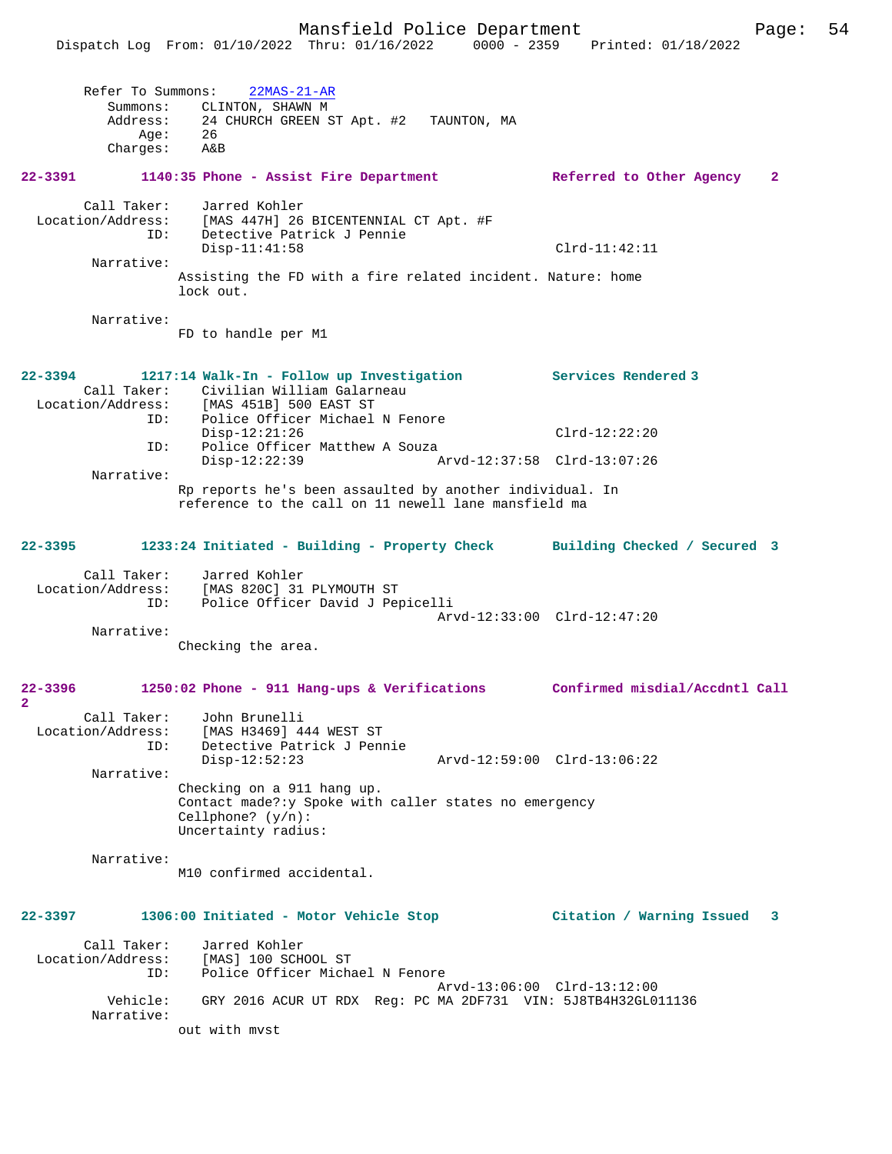|                                    |                                         | Dispatch Log From: 01/10/2022 Thru: 01/16/2022 0000 - 2359                                                                                          | Printed: 01/18/2022                      |  |
|------------------------------------|-----------------------------------------|-----------------------------------------------------------------------------------------------------------------------------------------------------|------------------------------------------|--|
|                                    | Refer To Summons:<br>Summons:<br>Aqe:   | $22MAS-21-AR$<br>CLINTON, SHAWN M<br>Address: 24 CHURCH GREEN ST Apt. #2 TAUNTON, MA<br>- 26                                                        |                                          |  |
|                                    | Charges: A&B                            |                                                                                                                                                     |                                          |  |
| 22-3391                            |                                         | 1140:35 Phone - Assist Fire Department                                                                                                              | $\mathbf{2}$<br>Referred to Other Agency |  |
|                                    | Call Taker:<br>ID:                      | Jarred Kohler<br>Location/Address: [MAS 447H] 26 BICENTENNIAL CT Apt. #F<br>Detective Patrick J Pennie                                              | $Clrd-11:42:11$                          |  |
|                                    | Narrative:                              | $Disp-11:41:58$                                                                                                                                     |                                          |  |
|                                    |                                         | Assisting the FD with a fire related incident. Nature: home<br>lock out.                                                                            |                                          |  |
|                                    | Narrative:                              | FD to handle per M1                                                                                                                                 |                                          |  |
| 22-3394                            |                                         | 1217:14 Walk-In - Follow up Investigation Services Rendered 3<br>Call Taker: Civilian William Galarneau<br>Location/Address: [MAS 451B] 500 EAST ST |                                          |  |
|                                    | ID:                                     | Police Officer Michael N Fenore<br>$Disp-12:21:26$                                                                                                  | $Clrd-12:22:20$                          |  |
|                                    | ID:                                     | Police Officer Matthew A Souza<br>Disp-12:22:39                                                                                                     | Arvd-12:37:58 Clrd-13:07:26              |  |
|                                    | Narrative:                              | Rp reports he's been assaulted by another individual. In<br>reference to the call on 11 newell lane mansfield ma                                    |                                          |  |
|                                    |                                         | 22-3395 1233:24 Initiated - Building - Property Check Building Checked / Secured 3                                                                  |                                          |  |
|                                    | ID:                                     | Call Taker: Jarred Kohler<br>Location/Address: [MAS 820C] 31 PLYMOUTH ST<br>Police Officer David J Pepicelli                                        | Arvd-12:33:00 Clrd-12:47:20              |  |
|                                    | Narrative:                              |                                                                                                                                                     |                                          |  |
|                                    |                                         | Checking the area.                                                                                                                                  |                                          |  |
| 22-3396<br>$\overline{\mathbf{2}}$ |                                         | 1250:02 Phone - 911 Hang-ups & Verifications                                                                                                        | Confirmed misdial/Accdntl Call           |  |
|                                    | Location/Address:<br>ID:                | Call Taker: John Brunelli<br>[MAS H3469] 444 WEST ST<br>Detective Patrick J Pennie<br>$Disp-12:52:23$                                               | Arvd-12:59:00 Clrd-13:06:22              |  |
|                                    | Narrative:                              | Checking on a 911 hang up.<br>Contact made?: y Spoke with caller states no emergency<br>Cellphone? $(y/n)$ :<br>Uncertainty radius:                 |                                          |  |
|                                    | Narrative:                              | M10 confirmed accidental.                                                                                                                           |                                          |  |
| 22-3397                            |                                         | 1306:00 Initiated - Motor Vehicle Stop                                                                                                              | Citation / Warning Issued<br>3           |  |
|                                    | Call Taker:<br>Location/Address:<br>ID: | Jarred Kohler<br>[MAS] 100 SCHOOL ST<br>Police Officer Michael N Fenore                                                                             |                                          |  |
|                                    | Vehicle:<br>Narrative:                  | GRY 2016 ACUR UT RDX Req: PC MA 2DF731 VIN: 5J8TB4H32GL011136                                                                                       | Arvd-13:06:00 Clrd-13:12:00              |  |
|                                    |                                         | out with myst                                                                                                                                       |                                          |  |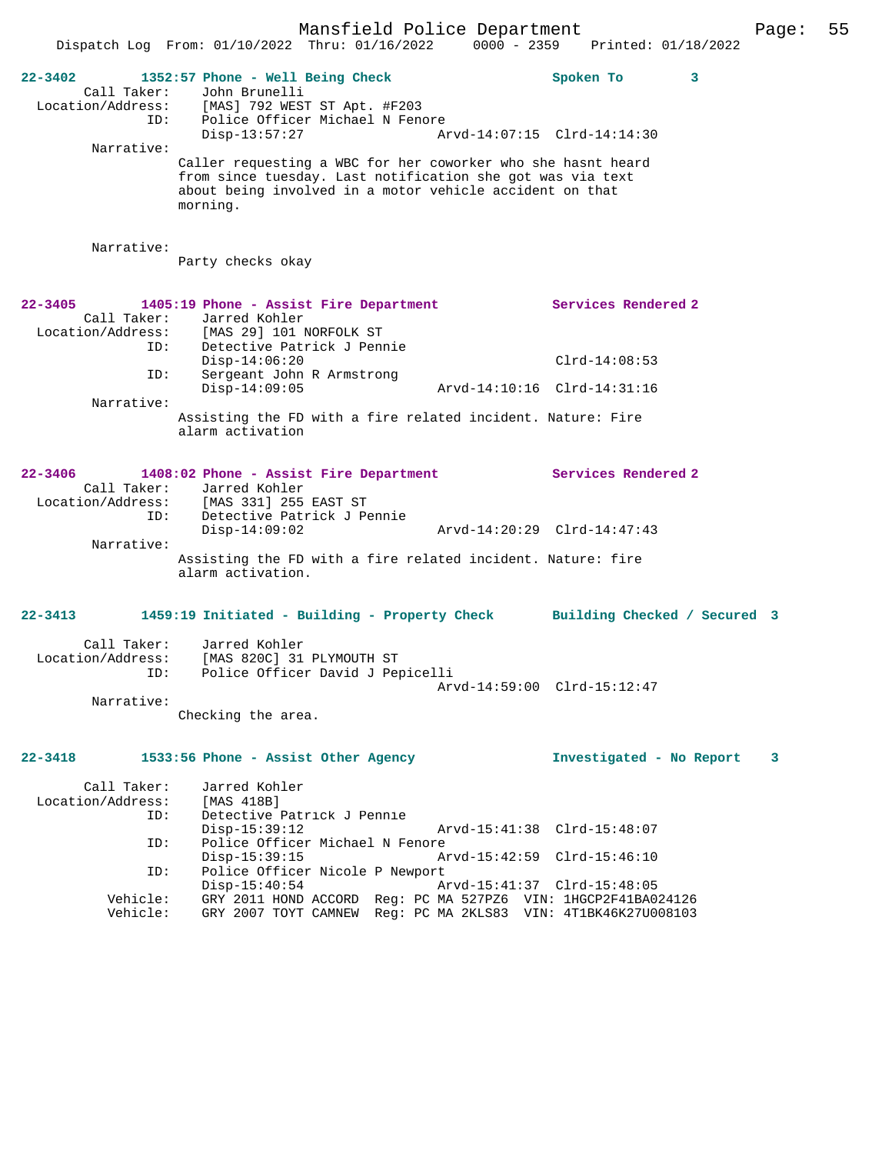Mansfield Police Department Page: 55 Dispatch Log From: 01/10/2022 Thru: 01/16/2022 0000 - 2359 Printed: 01/18/2022 **22-3402 1352:57 Phone - Well Being Check Spoken To 3**  Call Taker: John Brunelli Location/Address: [MAS] 792 WEST ST Apt. #F203 ID: Police Officer Michael N Fenore<br>Disp-13:57:27 Ar Disp-13:57:27 Arvd-14:07:15 Clrd-14:14:30 Narrative: Caller requesting a WBC for her coworker who she hasnt heard from since tuesday. Last notification she got was via text about being involved in a motor vehicle accident on that morning. Narrative: Party checks okay **22-3405 1405:19 Phone - Assist Fire Department Services Rendered 2**  Call Taker: Jarred Kohler<br>Location/Address: [MAS 29] 101 1 Location/Address: [MAS 29] 101 NORFOLK ST ID: Detective Patrick J Pennie Disp-14:06:20 Clrd-14:08:53 ID: Sergeant John R Armstrong<br>Disp-14:09:05 Disp-14:09:05 Arvd-14:10:16 Clrd-14:31:16 Narrative: Assisting the FD with a fire related incident. Nature: Fire alarm activation **22-3406 1408:02 Phone - Assist Fire Department Services Rendered 2**  Call Taker: Jarred Kohler<br>Location/Address: [MAS 331] 255 Location/Address: [MAS 331] 255 EAST ST ID: Detective Patrick J Pennie Disp-14:09:02 Arvd-14:20:29 Clrd-14:47:43 Narrative: Assisting the FD with a fire related incident. Nature: fire alarm activation. **22-3413 1459:19 Initiated - Building - Property Check Building Checked / Secured 3** Call Taker: Jarred Kohler Location/Address: [MAS 820C] 31 PLYMOUTH ST ID: Police Officer David J Pepicelli Arvd-14:59:00 Clrd-15:12:47 Narrative: Checking the area. **22-3418 1533:56 Phone - Assist Other Agency Investigated - No Report 3** Call Taker: Jarred Kohler<br>Location/Address: [MAS 418B] ualled Koh.<br>Ess: [MAS 418B]<br>ID: Detective I Detective Patrick J Pennie<br>Disp-15:39:12 Disp-15:39:12 Arvd-15:41:38 Clrd-15:48:07<br>ID: Police Officer Michael N Fenore Police Officer Michael N Fenore<br>Disp-15:39:15 Ar Disp-15:39:15 Arvd-15:42:59 Clrd-15:46:10 ID: Police Officer Nicole P Newport Disp-15:40:54 Arvd-15:41:37 Clrd-15:48:05 Vehicle: GRY 2011 HOND ACCORD Reg: PC MA 527PZ6 VIN: 1HGCP2F41BA024126

Vehicle: GRY 2007 TOYT CAMNEW Reg: PC MA 2KLS83 VIN: 4T1BK46K27U008103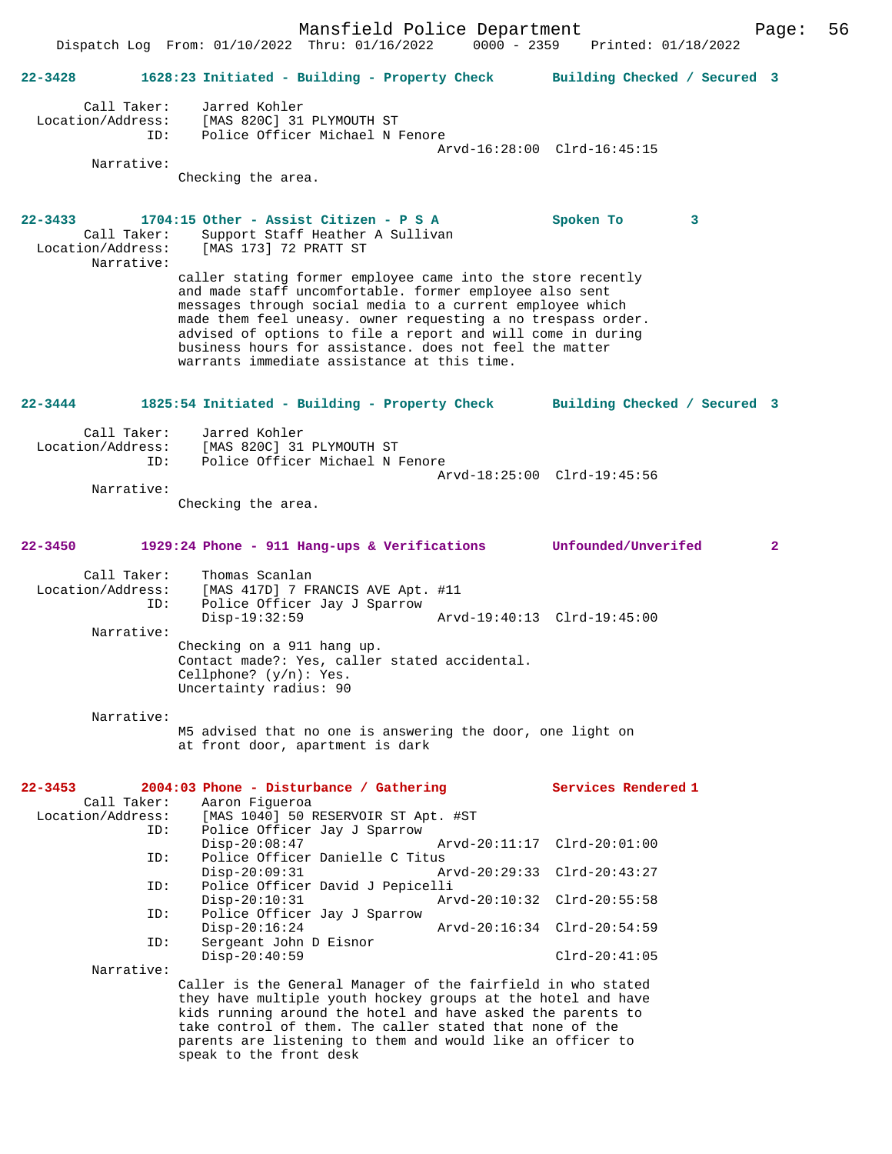Mansfield Police Department Page: 56 Dispatch Log From:  $01/10/2022$  Thru:  $01/16/2022$ **22-3428 1628:23 Initiated - Building - Property Check Building Checked / Secured 3** Call Taker: Jarred Kohler<br>Location/Address: [MAS 820C] 31 [MAS 820C] 31 PLYMOUTH ST ID: Police Officer Michael N Fenore Arvd-16:28:00 Clrd-16:45:15 Narrative: Checking the area. **22-3433 1704:15 Other - Assist Citizen - P S A Spoken To 3**  Call Taker: Support Staff Heather A Sullivan Location/Address: [MAS 173] 72 PRATT ST Narrative: caller stating former employee came into the store recently and made staff uncomfortable. former employee also sent messages through social media to a current employee which made them feel uneasy. owner requesting a no trespass order. advised of options to file a report and will come in during business hours for assistance. does not feel the matter warrants immediate assistance at this time. **22-3444 1825:54 Initiated - Building - Property Check Building Checked / Secured 3** Call Taker: Jarred Kohler<br>Location/Address: [MAS 820C] 31 ess: [MAS 820C] 31 PLYMOUTH ST<br>ID: Police Officer Michael N I Police Officer Michael N Fenore Arvd-18:25:00 Clrd-19:45:56 Narrative: Checking the area. **22-3450 1929:24 Phone - 911 Hang-ups & Verifications Unfounded/Unverifed 2** Call Taker: Thomas Scanlan Location/Address: [MAS 417D] 7 FRANCIS AVE Apt. #11 ID: Police Officer Jay J Sparrow Disp-19:32:59 Arvd-19:40:13 Clrd-19:45:00 Narrative: Checking on a 911 hang up. Contact made?: Yes, caller stated accidental. Cellphone? (y/n): Yes. Uncertainty radius: 90 Narrative: M5 advised that no one is answering the door, one light on at front door, apartment is dark **22-3453 2004:03 Phone - Disturbance / Gathering Services Rendered 1**  Call Taker: Aaron Figueroa<br>Location/Address: [MAS 1040] 50 I [MAS 1040] 50 RESERVOIR ST Apt. #ST ID: Police Officer Jay J Sparrow Disp-20:08:47 Arvd-20:11:17 Clrd-20:01:00<br>TD: Police Officer Danielle C Titus Police Officer Danielle C Titus<br>Disp-20:09:31 A Disp-20:09:31 Arvd-20:29:33 Clrd-20:43:27<br>ID: Police Officer David J Pepicelli Police Officer David J Pepicelli Disp-20:10:31 Arvd-20:10:32 Clrd-20:55:58<br>TD: Police Officer Jav J Sparrow Police Officer Jay J Sparrow<br>Disp-20:16:24 Arvd-20:16:34 Clrd-20:54:59 ID: Sergeant John D Eisnor Disp-20:40:59 Clrd-20:41:05 Narrative: Caller is the General Manager of the fairfield in who stated they have multiple youth hockey groups at the hotel and have kids running around the hotel and have asked the parents to take control of them. The caller stated that none of the parents are listening to them and would like an officer to speak to the front desk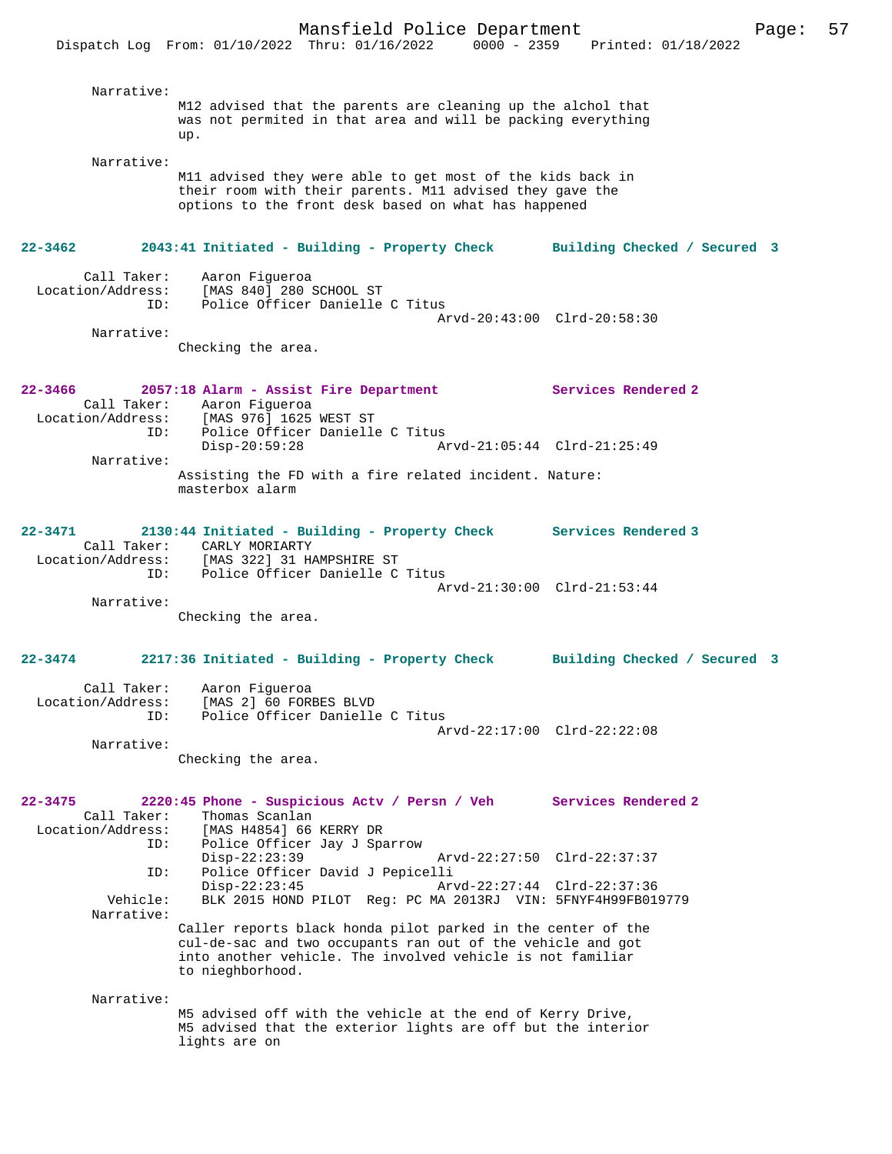Narrative: M12 advised that the parents are cleaning up the alchol that was not permited in that area and will be packing everything up. Narrative: M11 advised they were able to get most of the kids back in their room with their parents. M11 advised they gave the options to the front desk based on what has happened **22-3462 2043:41 Initiated - Building - Property Check Building Checked / Secured 3** Call Taker: Aaron Figueroa Location/Address: [MAS 840] 280 SCHOOL ST ID: Police Officer Danielle C Titus Arvd-20:43:00 Clrd-20:58:30 Narrative: Checking the area. **22-3466 2057:18 Alarm - Assist Fire Department Services Rendered 2**  Call Taker: Aaron Figueroa<br>Location/Address: [MAS 976] 1625 [MAS 976] 1625 WEST ST ID: Police Officer Danielle C Titus Disp-20:59:28 Arvd-21:05:44 Clrd-21:25:49 Narrative: Assisting the FD with a fire related incident. Nature: masterbox alarm **22-3471 2130:44 Initiated - Building - Property Check Services Rendered 3**  Call Taker: CARLY MORIARTY Location/Address: [MAS 322] 31 HAMPSHIRE ST ID: Police Officer Danielle C Titus Arvd-21:30:00 Clrd-21:53:44 Narrative: Checking the area. **22-3474 2217:36 Initiated - Building - Property Check Building Checked / Secured 3** Call Taker: Aaron Figueroa Location/Address: [MAS 2] 60 FORBES BLVD ID: Police Officer Danielle C Titus Arvd-22:17:00 Clrd-22:22:08 Narrative: Checking the area. **22-3475 2220:45 Phone - Suspicious Actv / Persn / Veh Services Rendered 2**  Call Taker: Thomas Scanlan<br>Location/Address: [MAS H4854] 66 [MAS H4854] 66 KERRY DR ESS: THE HIST, STREET JAY J Sparrow<br>ID: Police Officer Jay J Sparrow<br>Disp-22:23:39 Disp-22:23:39 Arvd-22:27:50 Clrd-22:37:37 ID: Police Officer David J Pepicelli Disp-22:23:45 Arvd-22:27:44 Clrd-22:37:36 Vehicle: BLK 2015 HOND PILOT Reg: PC MA 2013RJ VIN: 5FNYF4H99FB019779 Narrative: Caller reports black honda pilot parked in the center of the cul-de-sac and two occupants ran out of the vehicle and got into another vehicle. The involved vehicle is not familiar to nieghborhood. Narrative: M5 advised off with the vehicle at the end of Kerry Drive, M5 advised that the exterior lights are off but the interior

lights are on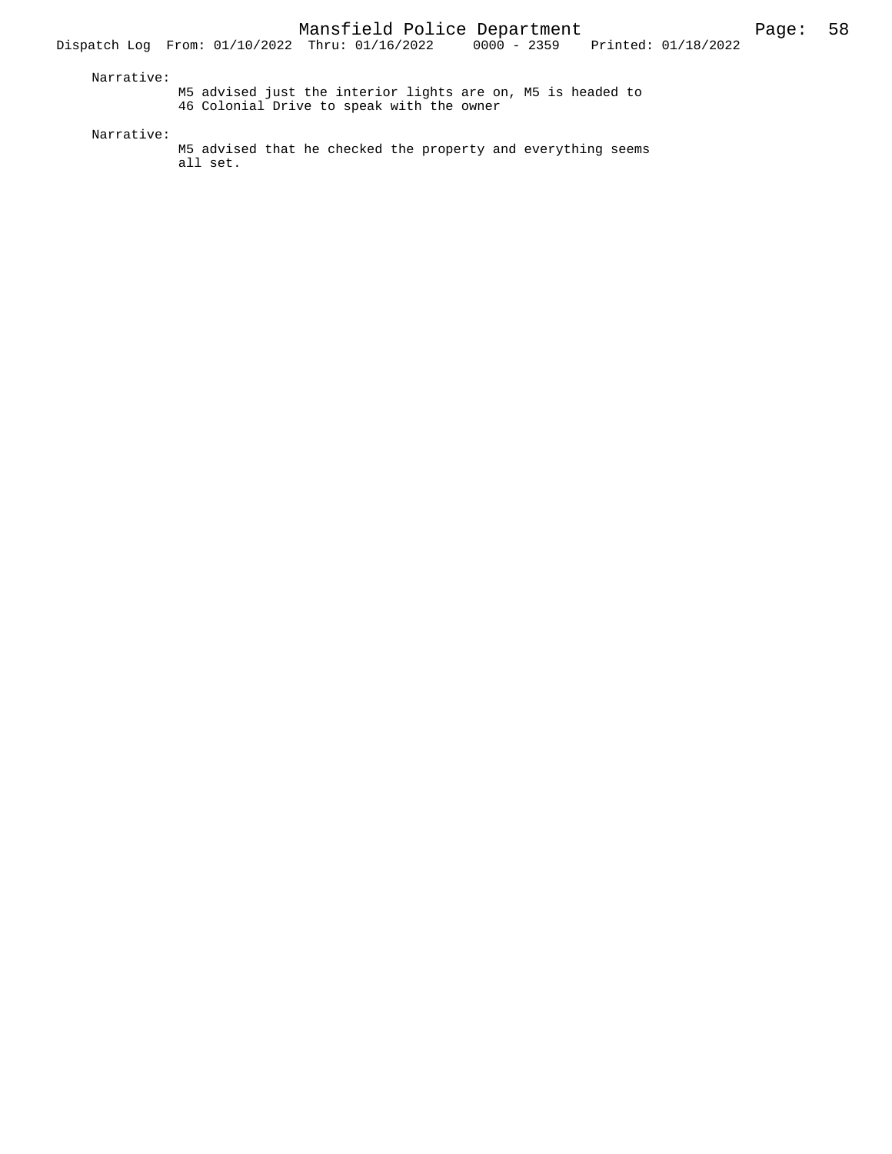M5 advised just the interior lights are on, M5 is headed to 46 Colonial Drive to speak with the owner

Narrative:

M5 advised that he checked the property and everything seems all set.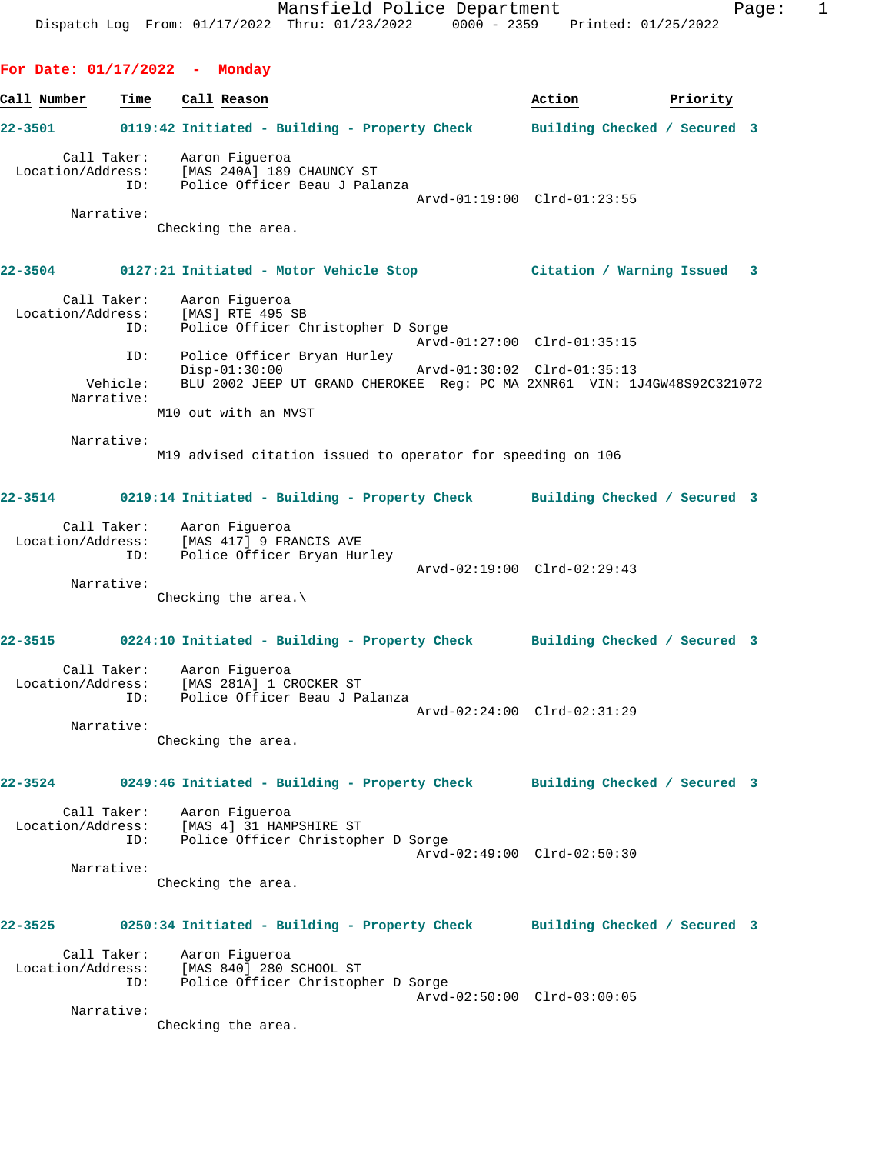**For Date: 01/17/2022 - Monday**

**Call Number Time Call Reason Action Priority 22-3501 0119:42 Initiated - Building - Property Check Building Checked / Secured 3** Call Taker: Aaron Figueroa Location/Address: [MAS 240A] 189 CHAUNCY ST ID: Police Officer Beau J Palanza Arvd-01:19:00 Clrd-01:23:55 Narrative: Checking the area. **22-3504 0127:21 Initiated - Motor Vehicle Stop Citation / Warning Issued 3** Call Taker: Aaron Figueroa<br>ion/Address: [MAS] RTE 495 SB Location/Address: ID: Police Officer Christopher D Sorge Arvd-01:27:00 Clrd-01:35:15 ID: Police Officer Bryan Hurley Disp-01:30:00 Arvd-01:30:02 Clrd-01:35:13 Vehicle: BLU 2002 JEEP UT GRAND CHEROKEE Reg: PC MA 2XNR61 VIN: 1J4GW48S92C321072 Narrative: M10 out with an MVST Narrative: M19 advised citation issued to operator for speeding on 106 **22-3514 0219:14 Initiated - Building - Property Check Building Checked / Secured 3** Call Taker: Aaron Figueroa Location/Address: [MAS 417] 9 FRANCIS AVE ID: Police Officer Bryan Hurley Arvd-02:19:00 Clrd-02:29:43 Narrative: Checking the area.\ **22-3515 0224:10 Initiated - Building - Property Check Building Checked / Secured 3** Call Taker: Aaron Figueroa Location/Address: [MAS 281A] 1 CROCKER ST ID: Police Officer Beau J Palanza Arvd-02:24:00 Clrd-02:31:29 Narrative: Checking the area. **22-3524 0249:46 Initiated - Building - Property Check Building Checked / Secured 3** Call Taker: Aaron Figueroa Location/Address: [MAS 4] 31 HAMPSHIRE ST ID: Police Officer Christopher D Sorge Arvd-02:49:00 Clrd-02:50:30 Narrative: Checking the area. **22-3525 0250:34 Initiated - Building - Property Check Building Checked / Secured 3** Call Taker: Aaron Figueroa<br>Location/Address: [MAS 840] 280 ; [MAS 840] 280 SCHOOL ST ID: Police Officer Christopher D Sorge Arvd-02:50:00 Clrd-03:00:05 Narrative: Checking the area.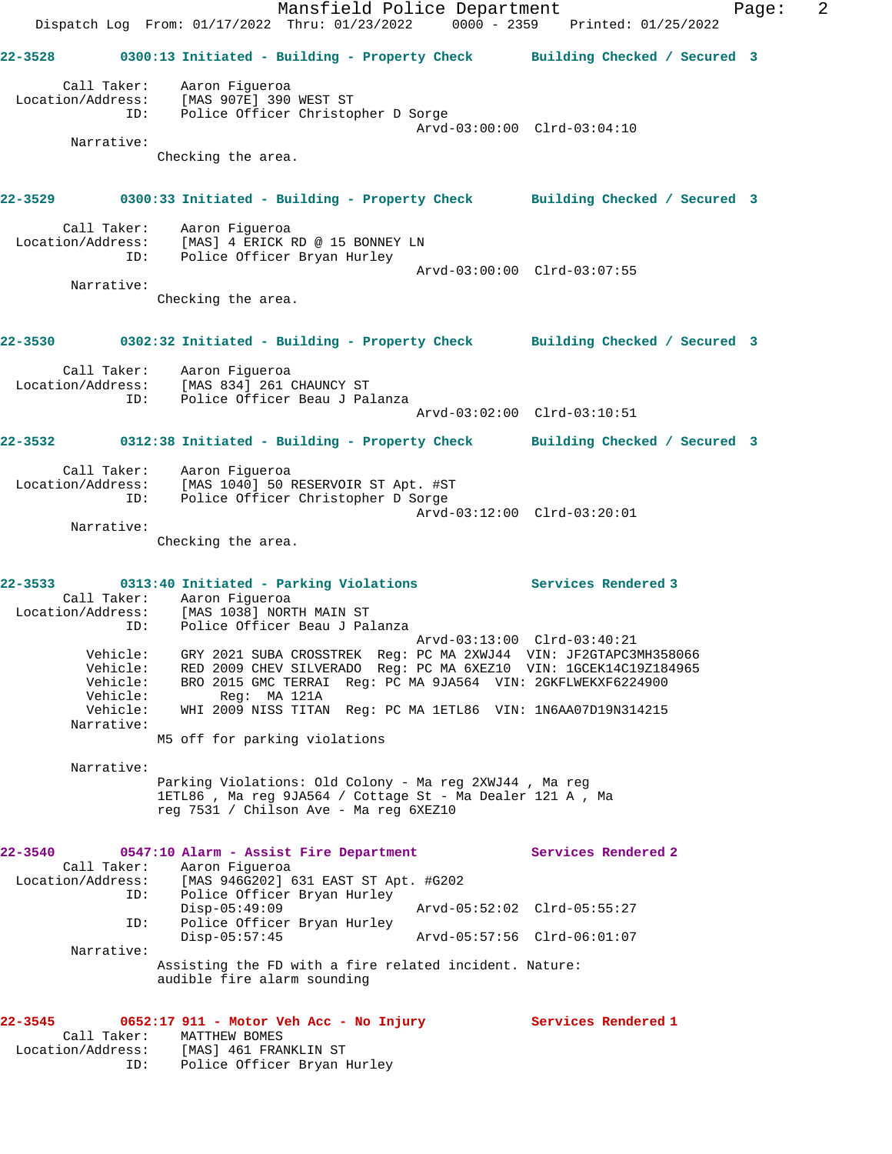Mansfield Police Department Fage: 2 Dispatch Log From: 01/17/2022 Thru: 01/23/2022 0000 - 2359 Printed: 01/25/2022 **22-3528 0300:13 Initiated - Building - Property Check Building Checked / Secured 3** Call Taker: Aaron Figueroa Location/Address: [MAS 907E] 390 WEST ST ID: Police Officer Christopher D Sorge Arvd-03:00:00 Clrd-03:04:10 Narrative: Checking the area. **22-3529 0300:33 Initiated - Building - Property Check Building Checked / Secured 3** Call Taker: Aaron Figueroa Location/Address: [MAS] 4 ERICK RD @ 15 BONNEY LN ID: Police Officer Bryan Hurley Arvd-03:00:00 Clrd-03:07:55 Narrative: Checking the area. **22-3530 0302:32 Initiated - Building - Property Check Building Checked / Secured 3** Call Taker: Aaron Figueroa Location/Address: [MAS 834] 261 CHAUNCY ST ID: Police Officer Beau J Palanza Arvd-03:02:00 Clrd-03:10:51 **22-3532 0312:38 Initiated - Building - Property Check Building Checked / Secured 3** Call Taker: Aaron Figueroa Location/Address: [MAS 1040] 50 RESERVOIR ST Apt. #ST ID: Police Officer Christopher D Sorge Arvd-03:12:00 Clrd-03:20:01 Narrative: Checking the area. **22-3533 0313:40 Initiated - Parking Violations Services Rendered 3**  Call Taker: Aaron Figueroa Location/Address: [MAS 1038] NORTH MAIN ST ID: Police Officer Beau J Palanza Arvd-03:13:00 Clrd-03:40:21 Vehicle: GRY 2021 SUBA CROSSTREK Reg: PC MA 2XWJ44 VIN: JF2GTAPC3MH358066 Vehicle: RED 2009 CHEV SILVERADO Reg: PC MA 6XEZ10 VIN: 1GCEK14C19Z184965 Vehicle: BRO 2015 GMC TERRAI Reg: PC MA 9JA564 VIN: 2GKFLWEKXF6224900 Vehicle: Reg: MA 121A Vehicle: WHI 2009 NISS TITAN Reg: PC MA 1ETL86 VIN: 1N6AA07D19N314215 Narrative: M5 off for parking violations Narrative: Parking Violations: Old Colony - Ma reg 2XWJ44 , Ma reg 1ETL86 , Ma reg 9JA564 / Cottage St - Ma Dealer 121 A , Ma reg 7531 / Chilson Ave - Ma reg 6XEZ10 **22-3540 0547:10 Alarm - Assist Fire Department Services Rendered 2**  Call Taker: Aaron Figueroa Location/Address: [MAS 946G202] 631 EAST ST Apt. #G202 ID: Police Officer Bryan Hurley<br>Disp-05:49:09<br>ID: Police Officer Bryan Hurley<br>Disp-05:57:45 Disp-05:49:09 Arvd-05:52:02 Clrd-05:55:27 ID: Police Officer Bryan Hurley Disp-05:57:45 Arvd-05:57:56 Clrd-06:01:07 Narrative: Assisting the FD with a fire related incident. Nature: audible fire alarm sounding **22-3545 0652:17 911 - Motor Veh Acc - No Injury Services Rendered 1**  Call Taker: MATTHEW BOMES Location/Address: [MAS] 461 FRANKLIN ST ID: Police Officer Bryan Hurley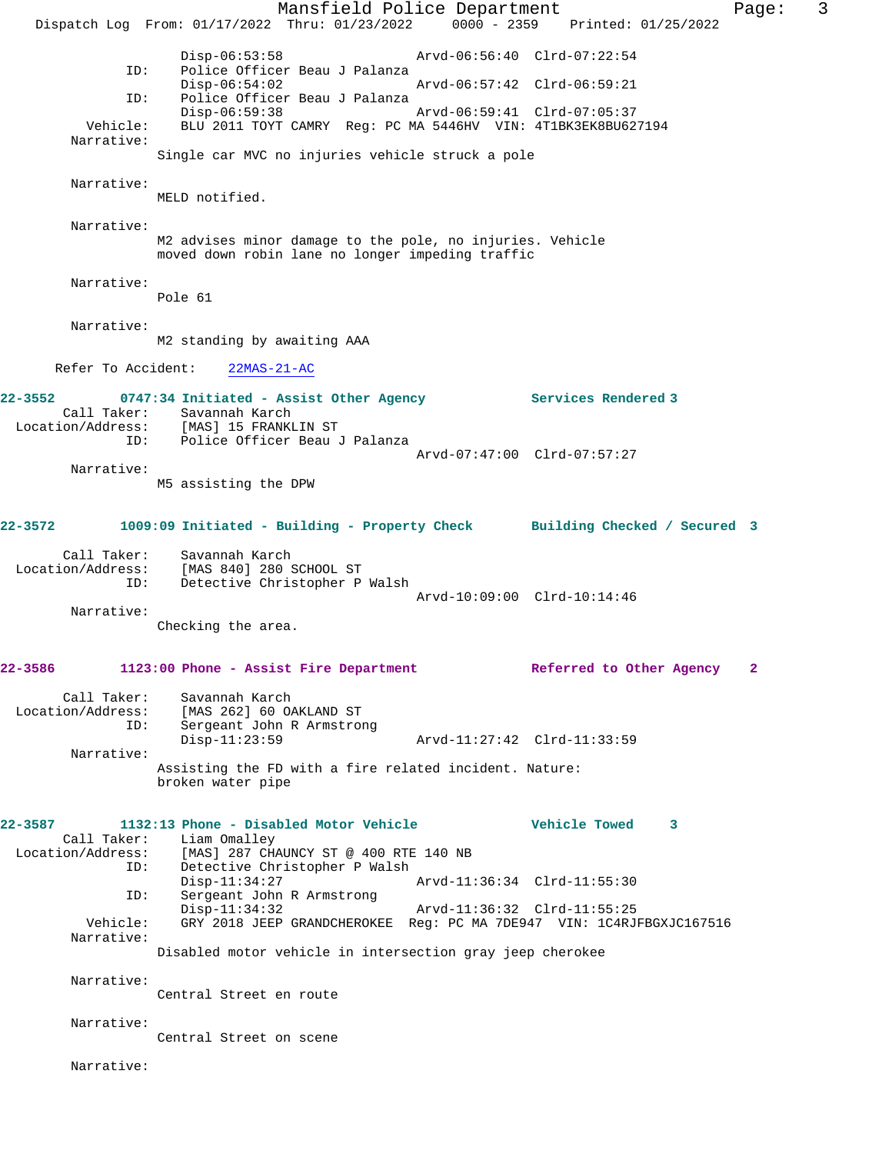Mansfield Police Department Fage: 3 Dispatch Log From: 01/17/2022 Thru: 01/23/2022 0000 - 2359 Printed: 01/25/2022 Disp-06:53:58 Arvd-06:56:40 Clrd-07:22:54<br>ID: Police Officer Beau J Palanza Police Officer Beau J Palanza<br>Disp-06:54:02 Disp-06:54:02 Arvd-06:57:42 Clrd-06:59:21 ID: Police Officer Beau J Palanza Disp-06:59:38 Arvd-06:59:41 Clrd-07:05:37 Vehicle: BLU 2011 TOYT CAMRY Reg: PC MA 5446HV VIN: 4T1BK3EK8BU627194 Narrative: Single car MVC no injuries vehicle struck a pole Narrative: MELD notified. Narrative: M2 advises minor damage to the pole, no injuries. Vehicle moved down robin lane no longer impeding traffic Narrative: Pole 61 Narrative: M2 standing by awaiting AAA Refer To Accident: 22MAS-21-AC **22-3552 0747:34 Initiated - Assist Other Agency Services Rendered 3**  Call Taker: Savannah Karch<br>Location/Address: [MAS] 15 FRANKI [MAS] 15 FRANKLIN ST ID: Police Officer Beau J Palanza Arvd-07:47:00 Clrd-07:57:27 Narrative: M5 assisting the DPW **22-3572 1009:09 Initiated - Building - Property Check Building Checked / Secured 3** Call Taker: Savannah Karch<br>Location/Address: [MAS 840] 280 9 [MAS 840] 280 SCHOOL ST ID: Detective Christopher P Walsh Arvd-10:09:00 Clrd-10:14:46 Narrative: Checking the area. **22-3586 1123:00 Phone - Assist Fire Department Referred to Other Agency 2** Call Taker: Savannah Karch Location/Address: [MAS 262] 60 OAKLAND ST ID: Sergeant John R Armstrong Disp-11:23:59 Arvd-11:27:42 Clrd-11:33:59 Narrative: Assisting the FD with a fire related incident. Nature: broken water pipe **22-3587 1132:13 Phone - Disabled Motor Vehicle Vehicle Towed 3**  Call Taker: Liam Omalley<br>Location/Address: [MAS] 287 CH [MAS] 287 CHAUNCY ST @ 400 RTE 140 NB ID: Detective Christopher P Walsh Disp-11:34:27 Arvd-11:36:34 Clrd-11:55:30<br>TD: Sergeant John R Armstrong Sergeant John R Armstrong<br>Disp-11:34:32 Disp-11:34:32 Arvd-11:36:32 Clrd-11:55:25<br>Vehicle: GRY 2018 JEEP GRANDCHEROKEE Req: PC MA 7DE947 VIN: 1C4RJI GRY 2018 JEEP GRANDCHEROKEE Reg: PC MA 7DE947 VIN: 1C4RJFBGXJC167516 Narrative: Disabled motor vehicle in intersection gray jeep cherokee Narrative: Central Street en route Narrative: Central Street on scene Narrative: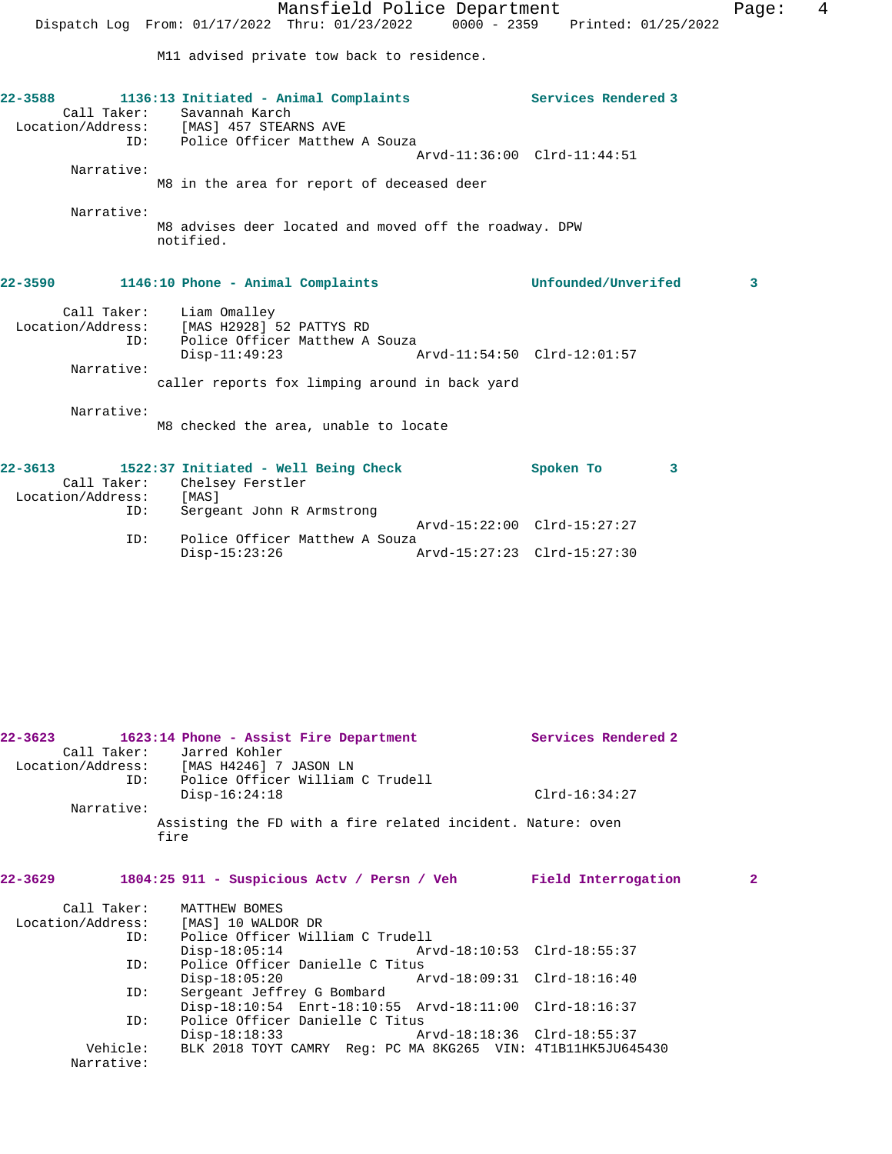|                                                                 |                                                                                                           | Mansfield Police Department                            |                             |                     |                                 | Page: | 4 |
|-----------------------------------------------------------------|-----------------------------------------------------------------------------------------------------------|--------------------------------------------------------|-----------------------------|---------------------|---------------------------------|-------|---|
|                                                                 | Dispatch Log From: 01/17/2022 Thru: 01/23/2022                                                            |                                                        |                             |                     | 0000 - 2359 Printed: 01/25/2022 |       |   |
|                                                                 |                                                                                                           | M11 advised private tow back to residence.             |                             |                     |                                 |       |   |
| $22 - 3588$<br>Location/Address: [MAS] 457 STEARNS AVE          | 1136:13 Initiated - Animal Complaints<br>Call Taker: Savannah Karch<br>ID: Police Officer Matthew A Souza |                                                        |                             | Services Rendered 3 |                                 |       |   |
|                                                                 |                                                                                                           |                                                        | Arvd-11:36:00 Clrd-11:44:51 |                     |                                 |       |   |
| Narrative:                                                      |                                                                                                           |                                                        |                             |                     |                                 |       |   |
|                                                                 |                                                                                                           | M8 in the area for report of deceased deer             |                             |                     |                                 |       |   |
| Narrative:                                                      | notified.                                                                                                 | M8 advises deer located and moved off the roadway. DPW |                             |                     |                                 |       |   |
| 22-3590                                                         | 1146:10 Phone - Animal Complaints                                                                         |                                                        |                             | Unfounded/Unverifed |                                 | 3     |   |
| Location/Address: [MAS H2928] 52 PATTYS RD<br>ID:<br>Narrative: | Call Taker: Liam Omalley<br>$Disp-11:49:23$                                                               | Police Officer Matthew A Souza                         |                             |                     |                                 |       |   |
|                                                                 |                                                                                                           | caller reports fox limping around in back yard         |                             |                     |                                 |       |   |
| Narrative:                                                      |                                                                                                           | M8 checked the area, unable to locate                  |                             |                     |                                 |       |   |

| 22-3613           |     | 1522:37 Initiated - Well Being Check | Spoken To                   |  |
|-------------------|-----|--------------------------------------|-----------------------------|--|
|                   |     | Call Taker: Chelsey Ferstler         |                             |  |
| Location/Address: |     | [MAS]                                |                             |  |
|                   | ID: | Sergeant John R Armstrong            |                             |  |
|                   |     |                                      | Arvd-15:22:00 Clrd-15:27:27 |  |
|                   | ID: | Police Officer Matthew A Souza       |                             |  |
|                   |     | Disp-15:23:26                        | Arvd-15:27:23 Clrd-15:27:30 |  |

| $22 - 3623$       | 1623:14 Phone - Assist Fire Department                              | Services Rendered 2 |
|-------------------|---------------------------------------------------------------------|---------------------|
| Call Taker:       | Jarred Kohler                                                       |                     |
| Location/Address: | [MAS H4246] 7 JASON LN                                              |                     |
|                   | Police Officer William C Trudell<br>ID:                             |                     |
|                   | $Disp-16:24:18$                                                     | $Clrd-16:34:27$     |
| Narrative:        |                                                                     |                     |
|                   | Assisting the FD with a fire related incident. Nature: oven<br>fire |                     |
|                   |                                                                     |                     |

## **22-3629 1804:25 911 - Suspicious Actv / Persn / Veh Field Interrogation 2**

| Call Taker:       | MATTHEW BOMES                                                |  |
|-------------------|--------------------------------------------------------------|--|
| Location/Address: | [MAS] 10 WALDOR DR                                           |  |
| ID:               | Police Officer William C Trudell                             |  |
|                   | $Disp-18:05:14$                                              |  |
| ID:               | Police Officer Danielle C Titus                              |  |
|                   | Arvd-18:09:31 Clrd-18:16:40<br>$Disp-18:05:20$               |  |
| ID:               | Sergeant Jeffrey G Bombard                                   |  |
|                   | Disp-18:10:54 Enrt-18:10:55 Arvd-18:11:00 Clrd-18:16:37      |  |
| ID:               | Police Officer Danielle C Titus                              |  |
|                   | $Disp-18:18:33$<br>Arvd-18:18:36 Clrd-18:55:37               |  |
| Vehicle:          | BLK 2018 TOYT CAMRY Req: PC MA 8KG265 VIN: 4T1B11HK5JU645430 |  |
| Narrative:        |                                                              |  |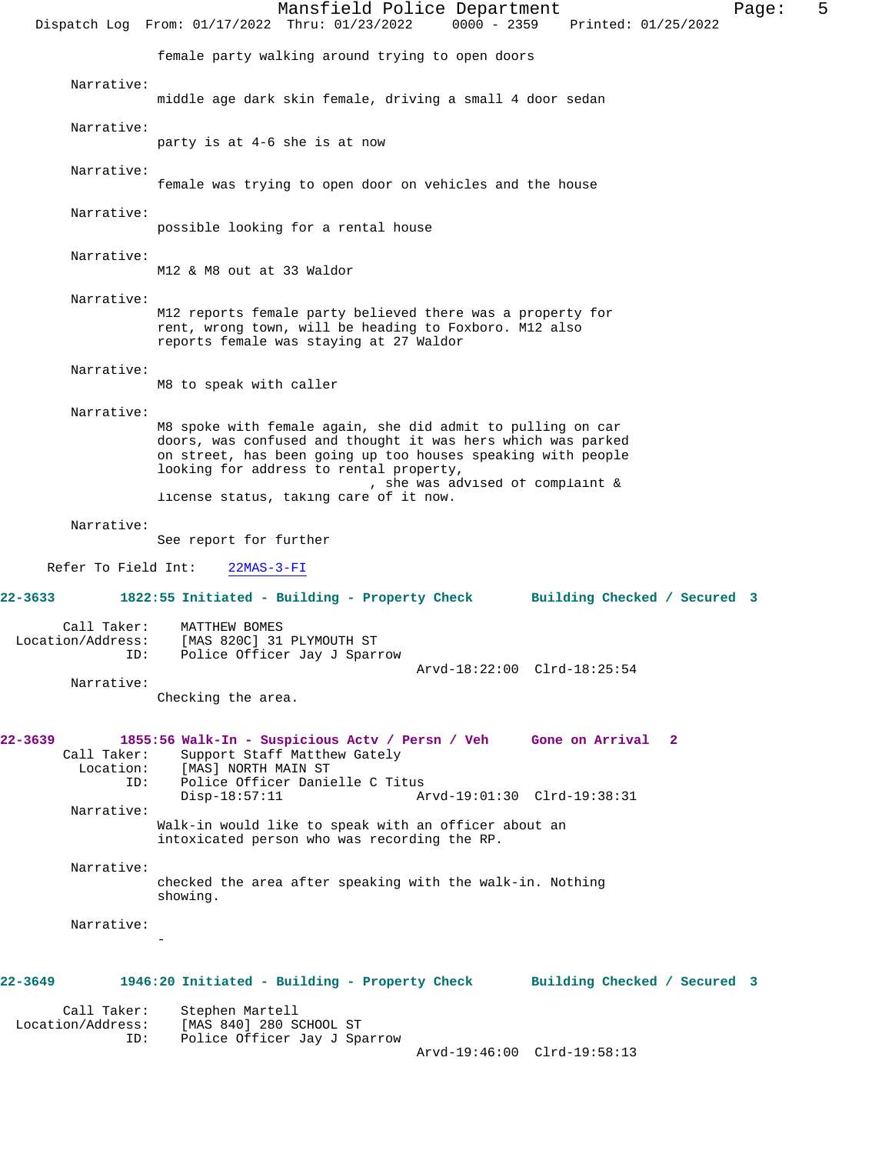Mansfield Police Department Fage: 5 Dispatch Log From: 01/17/2022 Thru: 01/23/2022 0000 - 2359 Printed: 01/25/2022 female party walking around trying to open doors Narrative: middle age dark skin female, driving a small 4 door sedan Narrative: party is at 4-6 she is at now Narrative: female was trying to open door on vehicles and the house Narrative: possible looking for a rental house Narrative: M12 & M8 out at 33 Waldor Narrative: M12 reports female party believed there was a property for rent, wrong town, will be heading to Foxboro. M12 also reports female was staying at 27 Waldor Narrative: M8 to speak with caller Narrative: M8 spoke with female again, she did admit to pulling on car doors, was confused and thought it was hers which was parked on street, has been going up too houses speaking with people looking for address to rental property, , she was advised of complaint & license status, taking care of it now. Narrative: See report for further Refer To Field Int: 22MAS-3-FI **22-3633 1822:55 Initiated - Building - Property Check Building Checked / Secured 3** Call Taker: MATTHEW BOMES Location/Address: [MAS 820C] 31 PLYMOUTH ST Police Officer Jay J Sparrow Arvd-18:22:00 Clrd-18:25:54 Narrative: Checking the area. **22-3639 1855:56 Walk-In - Suspicious Actv / Persn / Veh Gone on Arrival 2**  Call Taker: Support Staff Matthew Gately<br>Location: [MAS] NORTH MAIN ST [MAS] NORTH MAIN ST ID: Police Officer Danielle C Titus Disp-18:57:11 Arvd-19:01:30 Clrd-19:38:31 Narrative: Walk-in would like to speak with an officer about an intoxicated person who was recording the RP. Narrative: checked the area after speaking with the walk-in. Nothing showing. Narrative: - **22-3649 1946:20 Initiated - Building - Property Check Building Checked / Secured 3** Call Taker: Stephen Martell<br>Location/Address: [MAS 840] 280 S [MAS 840] 280 SCHOOL ST ID: Police Officer Jay J Sparrow Arvd-19:46:00 Clrd-19:58:13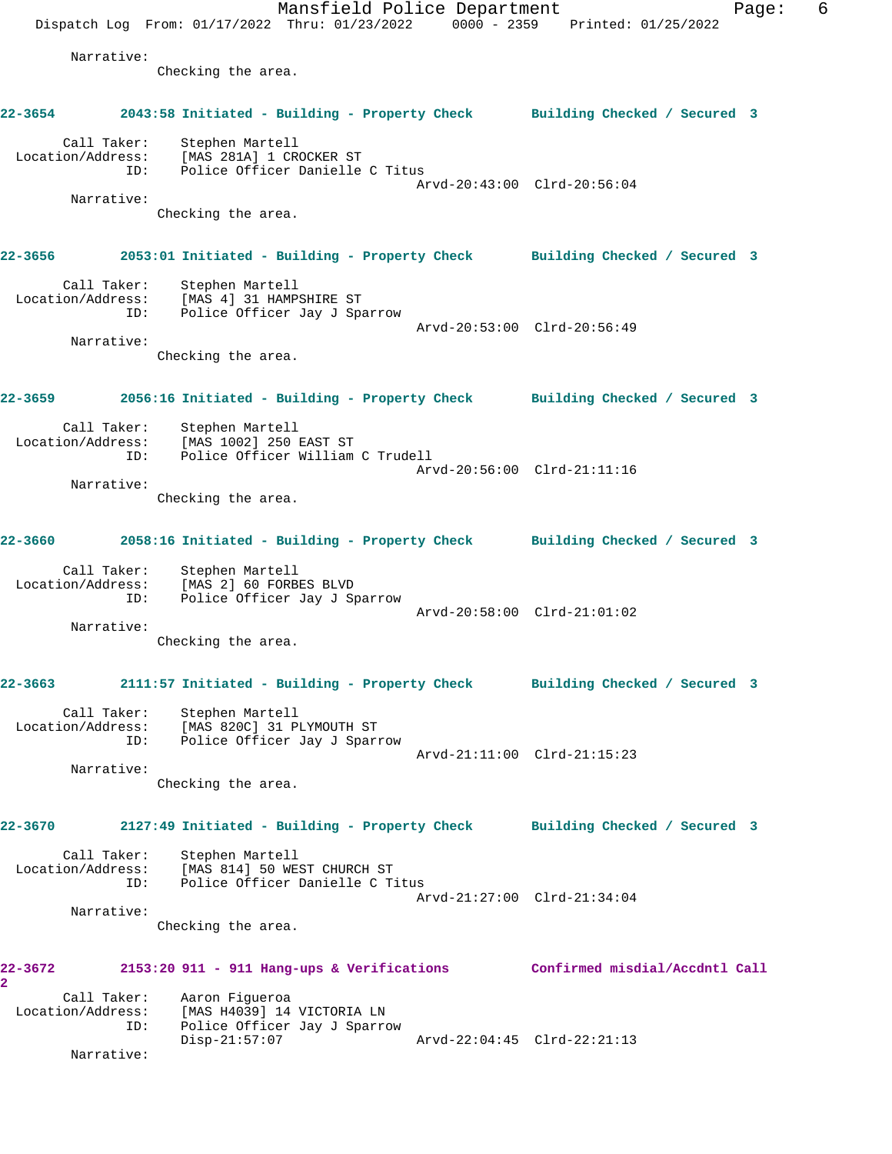Mansfield Police Department Fage: 6 Dispatch Log From: 01/17/2022 Thru: 01/23/2022 0000 - 2359 Printed: 01/25/2022 Narrative: Checking the area. **22-3654 2043:58 Initiated - Building - Property Check Building Checked / Secured 3** Call Taker: Stephen Martell Location/Address: [MAS 281A] 1 CROCKER ST ID: Police Officer Danielle C Titus Arvd-20:43:00 Clrd-20:56:04 Narrative: Checking the area. **22-3656 2053:01 Initiated - Building - Property Check Building Checked / Secured 3** Call Taker: Stephen Martell Location/Address: [MAS 4] 31 HAMPSHIRE ST ID: Police Officer Jay J Sparrow Arvd-20:53:00 Clrd-20:56:49 Narrative: Checking the area. **22-3659 2056:16 Initiated - Building - Property Check Building Checked / Secured 3** Call Taker: Stephen Martell Location/Address: [MAS 1002] 250 EAST ST ID: Police Officer William C Trudell Arvd-20:56:00 Clrd-21:11:16 Narrative: Checking the area. **22-3660 2058:16 Initiated - Building - Property Check Building Checked / Secured 3** Call Taker: Stephen Martell Location/Address: [MAS 2] 60 FORBES BLVD ID: Police Officer Jay J Sparrow Police Officer Jay J Sparrow<br>Police Officer Jay J Sparrow Arvd-20:58:00 Clrd-21:01:02 Narrative: Checking the area. **22-3663 2111:57 Initiated - Building - Property Check Building Checked / Secured 3** Call Taker: Stephen Martell Location/Address: [MAS 820C] 31 PLYMOUTH ST ID: Police Officer Jay J Sparrow Arvd-21:11:00 Clrd-21:15:23 Narrative: Checking the area. **22-3670 2127:49 Initiated - Building - Property Check Building Checked / Secured 3** Call Taker: Stephen Martell Location/Address: [MAS 814] 50 WEST CHURCH ST ID: Police Officer Danielle C Titus Arvd-21:27:00 Clrd-21:34:04 Narrative: Checking the area. **22-3672 2153:20 911 - 911 Hang-ups & Verifications Confirmed misdial/Accdntl Call 2**  Call Taker: Aaron Figueroa Location/Address: [MAS H4039] 14 VICTORIA LN ID: Police Officer Jay J Sparrow Disp-21:57:07 Arvd-22:04:45 Clrd-22:21:13 Narrative: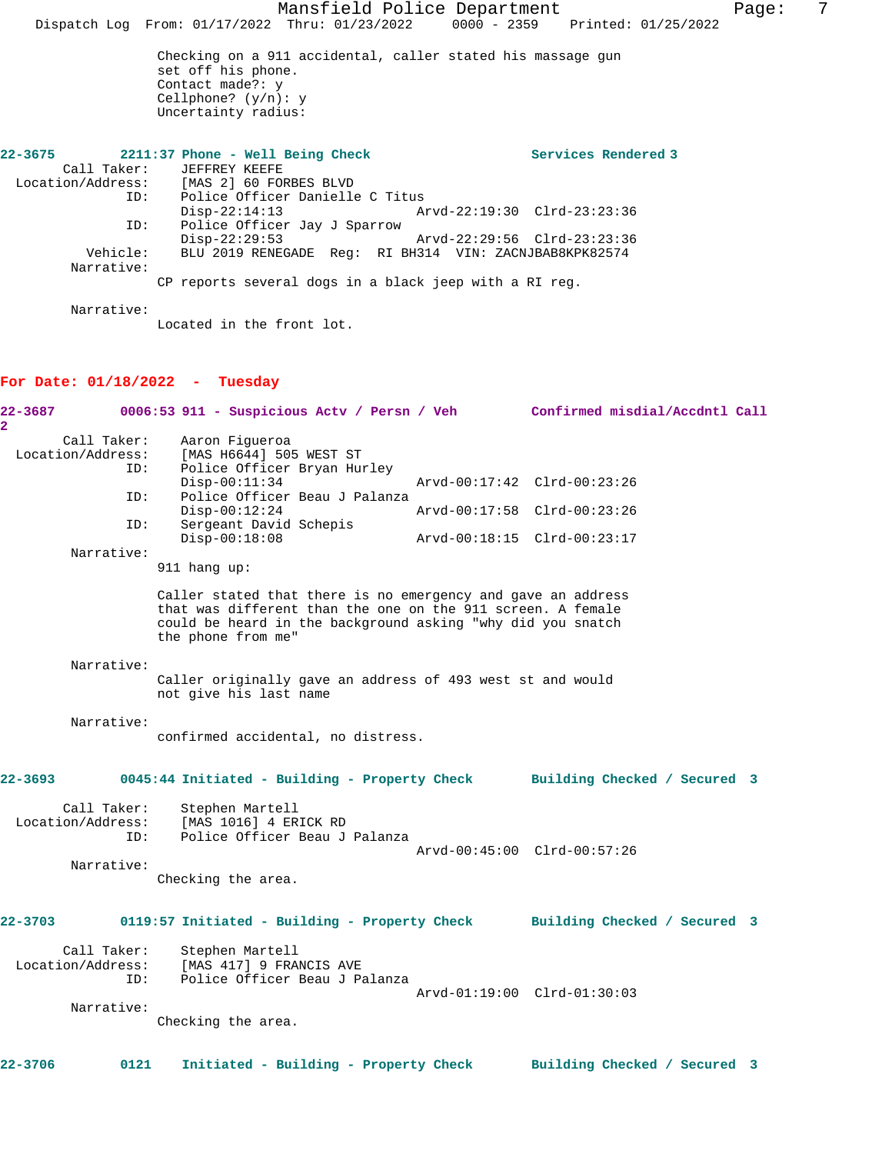Mansfield Police Department Fage: 7 Dispatch Log From: 01/17/2022 Thru: 01/23/2022 0000 - 2359 Printed: 01/25/2022 Checking on a 911 accidental, caller stated his massage gun set off his phone. Contact made?: y Cellphone? (y/n): y Uncertainty radius: **22-3675 2211:37 Phone - Well Being Check Services Rendered 3**  Call Taker: JEFFREY KEEFE Location/Address: [MAS 2] 60 FORBES BLVD ID: Police Officer Danielle C Titus Disp-22:14:13 Arvd-22:19:30 Clrd-23:23:36 ID: Police Officer Jay J Sparrow Disp-22:29:53 Arvd-22:29:56 Clrd-23:23:36 Vehicle: BLU 2019 RENEGADE Reg: RI BH314 VIN: ZACNJBAB8KPK82574 Narrative: CP reports several dogs in a black jeep with a RI reg. Narrative: Located in the front lot. **For Date: 01/18/2022 - Tuesday 22-3687 0006:53 911 - Suspicious Actv / Persn / Veh Confirmed misdial/Accdntl Call 2**  Call Taker: Aaron Figueroa<br>Location/Address: [MAS H6644] 50 [MAS H6644] 505 WEST ST ID: Police Officer Bryan Hurley Disp-00:11:34 Arvd-00:17:42 Clrd-00:23:26<br>TD: Police Officer Beau J Palanza Police Officer Beau J Palanza<br>Disp-00:12:24 Disp-00:12:24 Arvd-00:17:58 Clrd-00:23:26 ID: Sergeant David Schepis Disp-00:18:08 Arvd-00:18:15 Clrd-00:23:17 Narrative: 911 hang up: Caller stated that there is no emergency and gave an address that was different than the one on the 911 screen. A female could be heard in the background asking "why did you snatch the phone from me" Narrative: Caller originally gave an address of 493 west st and would not give his last name Narrative: confirmed accidental, no distress. **22-3693 0045:44 Initiated - Building - Property Check Building Checked / Secured 3** Call Taker: Stephen Martell Location/Address: [MAS 1016] 4 ERICK RD ID: Police Officer Beau J Palanza Arvd-00:45:00 Clrd-00:57:26 Narrative: Checking the area. **22-3703 0119:57 Initiated - Building - Property Check Building Checked / Secured 3** Call Taker: Stephen Martell Location/Address: [MAS 417] 9 FRANCIS AVE ID: Police Officer Beau J Palanza Arvd-01:19:00 Clrd-01:30:03 Narrative: Checking the area. **22-3706 0121 Initiated - Building - Property Check Building Checked / Secured 3**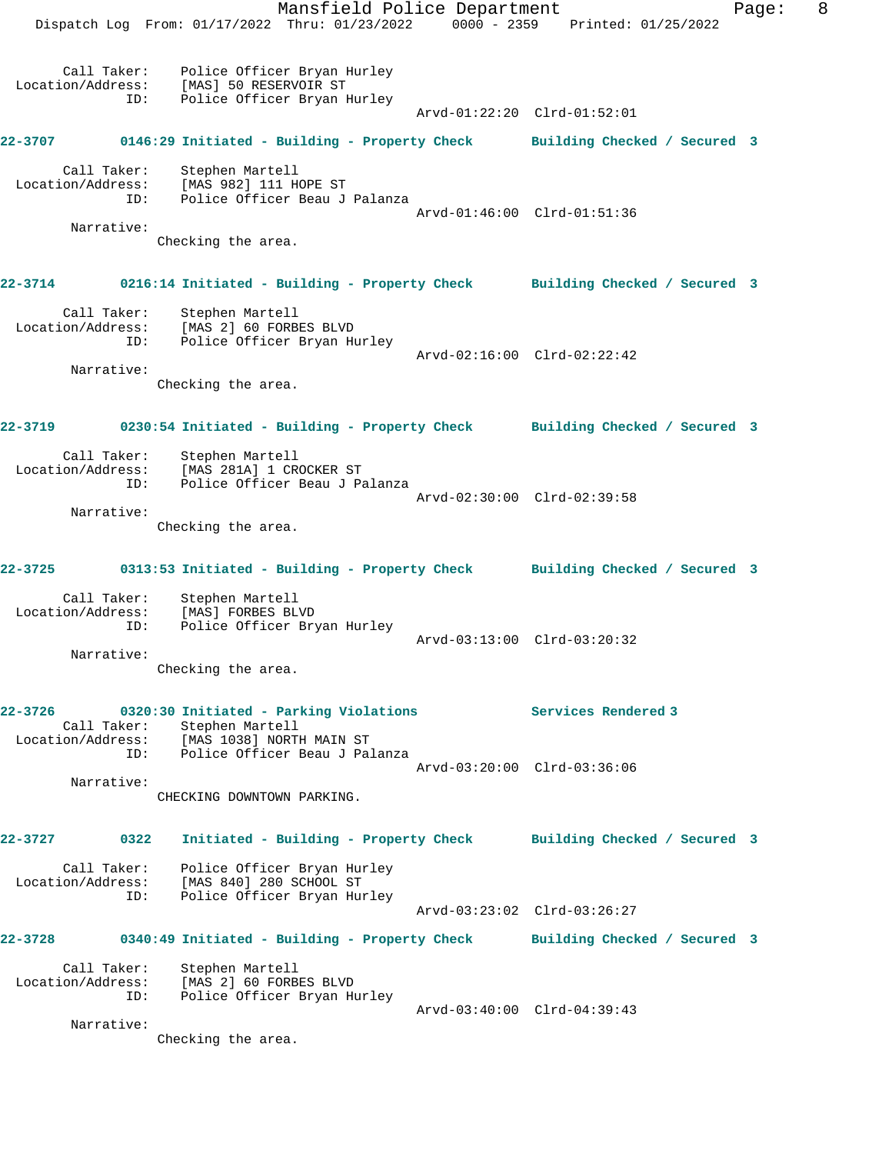Mansfield Police Department Fage: 8 Dispatch Log From: 01/17/2022 Thru: 01/23/2022 0000 - 2359 Printed: 01/25/2022 Call Taker: Police Officer Bryan Hurley Location/Address: [MAS] 50 RESERVOIR ST ID: Police Officer Bryan Hurley Arvd-01:22:20 Clrd-01:52:01 **22-3707 0146:29 Initiated - Building - Property Check Building Checked / Secured 3** Call Taker: Stephen Martell Location/Address: [MAS 982] 111 HOPE ST ID: Police Officer Beau J Palanza Arvd-01:46:00 Clrd-01:51:36 Narrative: Checking the area. **22-3714 0216:14 Initiated - Building - Property Check Building Checked / Secured 3** Call Taker: Stephen Martell Location/Address: [MAS 2] 60 FORBES BLVD ID: Police Officer Bryan Hurley Arvd-02:16:00 Clrd-02:22:42 Narrative: Checking the area. **22-3719 0230:54 Initiated - Building - Property Check Building Checked / Secured 3** Call Taker: Stephen Martell Location/Address: [MAS 281A] 1 CROCKER ST ID: Police Officer Beau J Palanza Arvd-02:30:00 Clrd-02:39:58 Narrative: Checking the area. **22-3725 0313:53 Initiated - Building - Property Check Building Checked / Secured 3** Call Taker: Stephen Martell Location/Address: [MAS] FORBES BLVD ID: Police Officer Bryan Hurley Arvd-03:13:00 Clrd-03:20:32 Narrative: Checking the area. **22-3726 0320:30 Initiated - Parking Violations Services Rendered 3**  Call Taker: Stephen Martell Location/Address: [MAS 1038] NORTH MAIN ST ID: Police Officer Beau J Palanza Arvd-03:20:00 Clrd-03:36:06 Narrative: CHECKING DOWNTOWN PARKING. **22-3727 0322 Initiated - Building - Property Check Building Checked / Secured 3** Call Taker: Police Officer Bryan Hurley Location/Address: [MAS 840] 280 SCHOOL ST ID: Police Officer Bryan Hurley Arvd-03:23:02 Clrd-03:26:27 **22-3728 0340:49 Initiated - Building - Property Check Building Checked / Secured 3** Call Taker: Stephen Martell Location/Address: [MAS 2] 60 FORBES BLVD ID: Police Officer Bryan Hurley Arvd-03:40:00 Clrd-04:39:43 Narrative: Checking the area.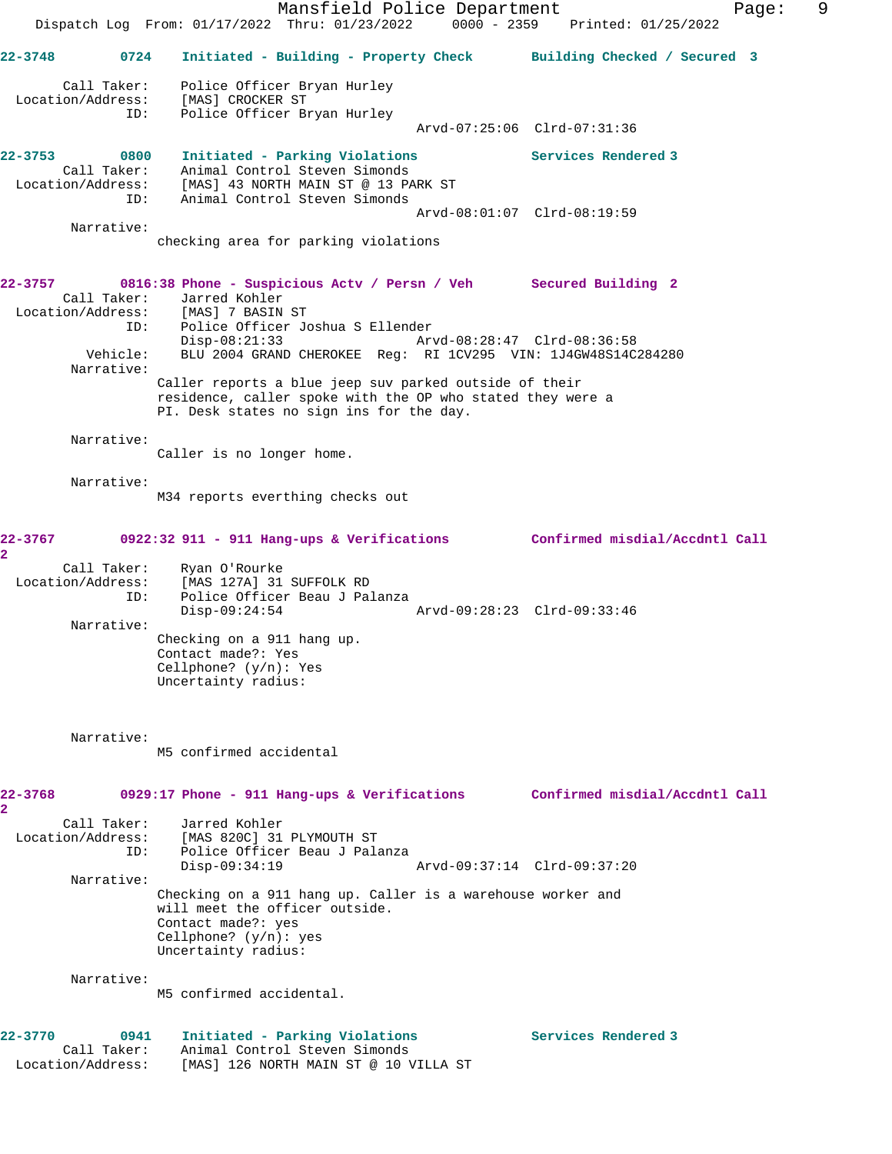Mansfield Police Department Fage: 9 Dispatch Log From: 01/17/2022 Thru: 01/23/2022 0000 - 2359 Printed: 01/25/2022 **22-3748 0724 Initiated - Building - Property Check Building Checked / Secured 3** Call Taker: Police Officer Bryan Hurley Location/Address: [MAS] CROCKER ST ID: Police Officer Bryan Hurley Arvd-07:25:06 Clrd-07:31:36 **22-3753 0800 Initiated - Parking Violations Services Rendered 3**  Call Taker: Animal Control Steven Simonds Location/Address: [MAS] 43 NORTH MAIN ST @ 13 PARK ST ID: Animal Control Steven Simonds Arvd-08:01:07 Clrd-08:19:59 Narrative: checking area for parking violations **22-3757 0816:38 Phone - Suspicious Actv / Persn / Veh Secured Building 2**  Call Taker: Jarred Kohler Location/Address: [MAS] 7 BASIN ST ID: Police Officer Joshua S Ellender Disp-08:21:33 Arvd-08:28:47 Clrd-08:36:58 Vehicle: BLU 2004 GRAND CHEROKEE Reg: RI 1CV295 VIN: 1J4GW48S14C284280 Narrative: Caller reports a blue jeep suv parked outside of their residence, caller spoke with the OP who stated they were a PI. Desk states no sign ins for the day. Narrative: Caller is no longer home. Narrative: M34 reports everthing checks out **22-3767 0922:32 911 - 911 Hang-ups & Verifications Confirmed misdial/Accdntl Call 2**  Call Taker: Ryan O'Rourke Location/Address: [MAS 127A] 31 SUFFOLK RD ID: Police Officer Beau J Palanza Disp-09:24:54 Arvd-09:28:23 Clrd-09:33:46 Narrative: Checking on a 911 hang up. Contact made?: Yes Cellphone? (y/n): Yes Uncertainty radius: Narrative: M5 confirmed accidental **22-3768 0929:17 Phone - 911 Hang-ups & Verifications Confirmed misdial/Accdntl Call 2**  Call Taker: Jarred Kohler Location/Address: [MAS 820C] 31 PLYMOUTH ST ID: Police Officer Beau J Palanza Disp-09:34:19 Arvd-09:37:14 Clrd-09:37:20 Narrative: Checking on a 911 hang up. Caller is a warehouse worker and will meet the officer outside. Contact made?: yes Cellphone? (y/n): yes Uncertainty radius: Narrative: M5 confirmed accidental. 22-3770 0941 Initiated - Parking Violations **Services Rendered 3**  Call Taker: Animal Control Steven Simonds Location/Address: [MAS] 126 NORTH MAIN ST @ 10 VILLA ST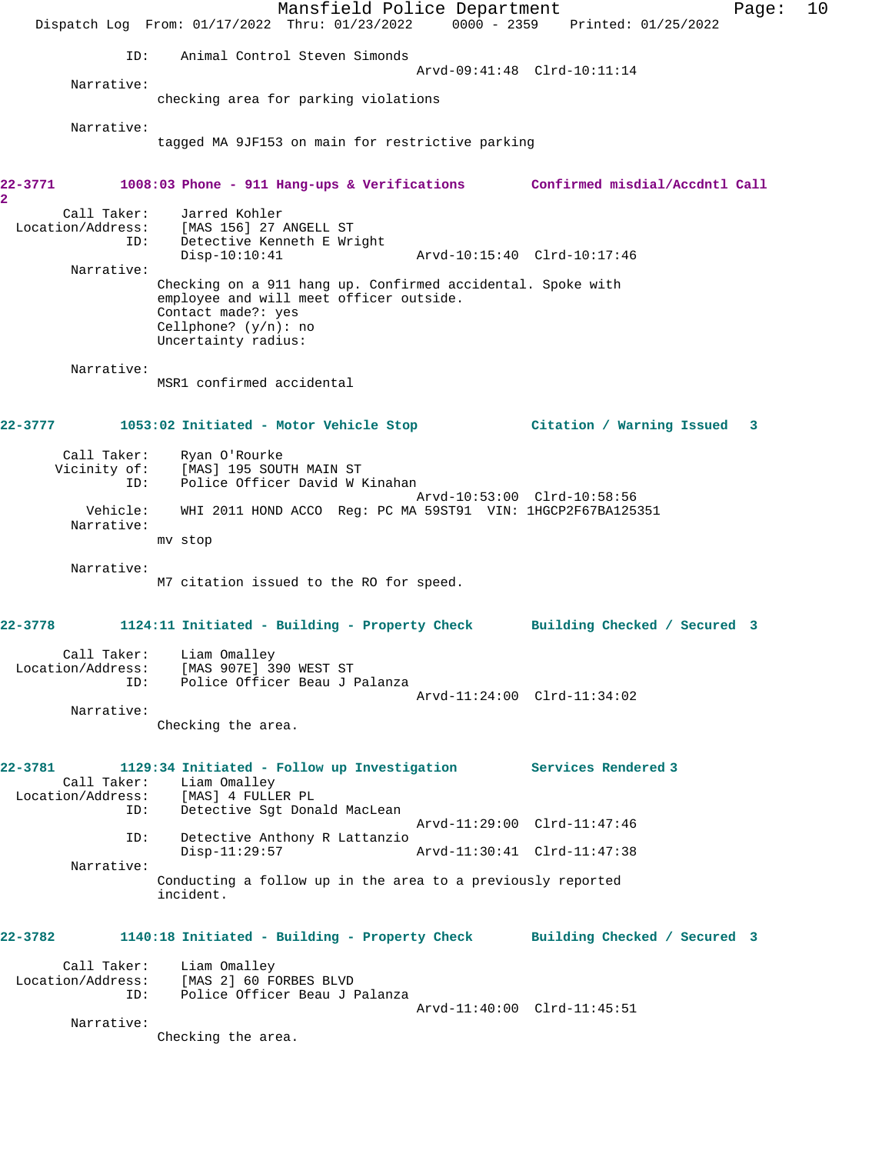Mansfield Police Department Fage: 10 Dispatch Log From: 01/17/2022 Thru: 01/23/2022 0000 - 2359 Printed: 01/25/2022 ID: Animal Control Steven Simonds Arvd-09:41:48 Clrd-10:11:14 Narrative: checking area for parking violations Narrative: tagged MA 9JF153 on main for restrictive parking **22-3771 1008:03 Phone - 911 Hang-ups & Verifications Confirmed misdial/Accdntl Call 2**  Call Taker: Jarred Kohler Location/Address: [MAS 156] 27 ANGELL ST ID: Detective Kenneth E Wright Disp-10:10:41 Arvd-10:15:40 Clrd-10:17:46 Narrative: Checking on a 911 hang up. Confirmed accidental. Spoke with employee and will meet officer outside. Contact made?: yes Cellphone? (y/n): no Uncertainty radius: Narrative: MSR1 confirmed accidental **22-3777 1053:02 Initiated - Motor Vehicle Stop Citation / Warning Issued 3** Call Taker: Ryan O'Rourke Vicinity of: [MAS] 195 SOUTH MAIN ST ID: Police Officer David W Kinahan Arvd-10:53:00 Clrd-10:58:56 Vehicle: WHI 2011 HOND ACCO Reg: PC MA 59ST91 VIN: 1HGCP2F67BA125351 Narrative: mv stop Narrative: M7 citation issued to the RO for speed. **22-3778 1124:11 Initiated - Building - Property Check Building Checked / Secured 3** Call Taker: Liam Omalley Location/Address: [MAS 907E] 390 WEST ST ID: Police Officer Beau J Palanza Arvd-11:24:00 Clrd-11:34:02 Narrative: Checking the area. **22-3781 1129:34 Initiated - Follow up Investigation Services Rendered 3**  Call Taker: Liam Omalley Location/Address: [MAS] 4 FULLER PL ID: Detective Sgt Donald MacLean Arvd-11:29:00 Clrd-11:47:46<br>ID: Detective Anthony R Lattanzio Detective Anthony R Lattanzio Disp-11:29:57 Arvd-11:30:41 Clrd-11:47:38 Narrative: Conducting a follow up in the area to a previously reported incident. **22-3782 1140:18 Initiated - Building - Property Check Building Checked / Secured 3** Call Taker: Liam Omalley Location/Address: [MAS 2] 60 FORBES BLVD ID: Police Officer Beau J Palanza Arvd-11:40:00 Clrd-11:45:51 Narrative: Checking the area.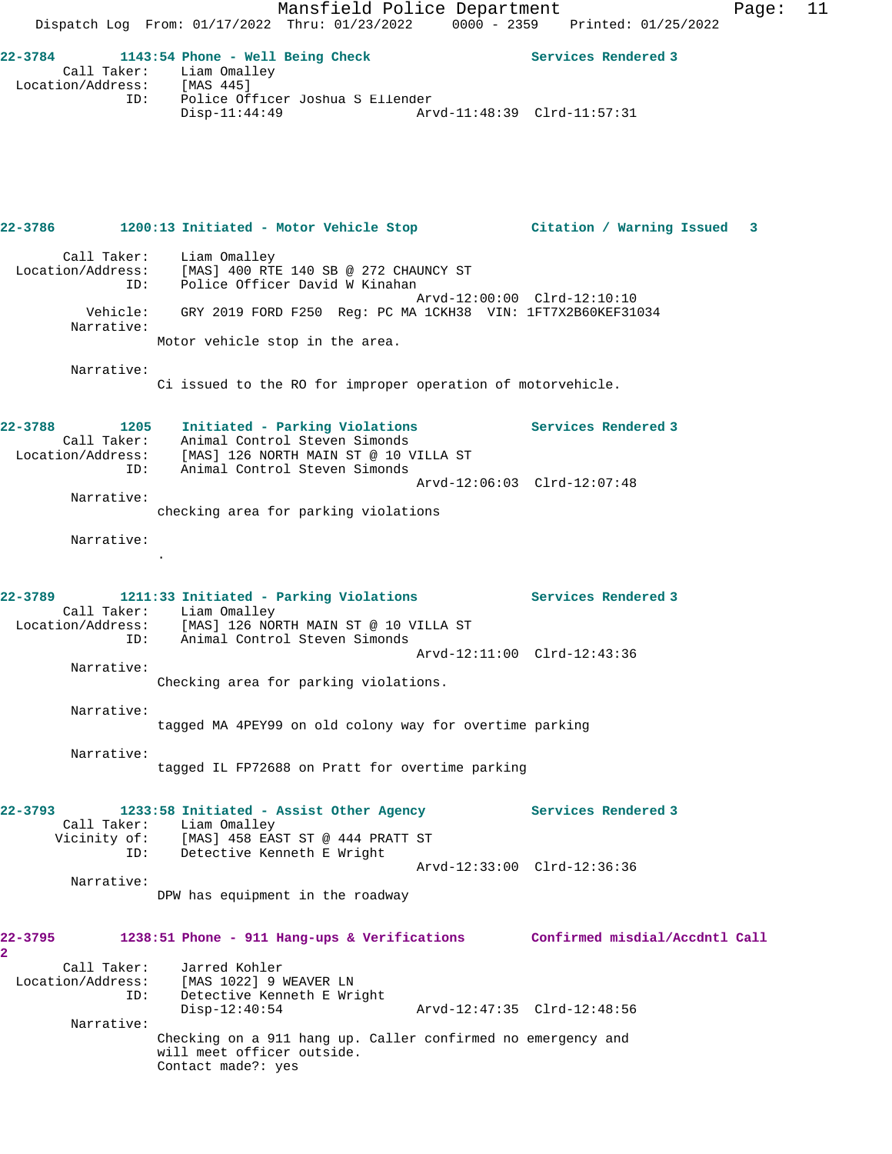Mansfield Police Department Fage: 11 Dispatch Log From: 01/17/2022 Thru: 01/23/2022 0000 - 2359 Printed: 01/25/2022 **22-3784 1143:54 Phone - Well Being Check Services Rendered 3**  Call Taker: Liam Omalley Location/Address: [MAS 445] ID: Police Officer Joshua S Ellender Disp-11:44:49 Arvd-11:48:39 Clrd-11:57:31 **22-3786 1200:13 Initiated - Motor Vehicle Stop Citation / Warning Issued 3** Call Taker: Liam Omalley Location/Address: [MAS] 400 RTE 140 SB @ 272 CHAUNCY ST ID: Police Officer David W Kinahan Arvd-12:00:00 Clrd-12:10:10 Vehicle: GRY 2019 FORD F250 Reg: PC MA 1CKH38 VIN: 1FT7X2B60KEF31034 Narrative: Motor vehicle stop in the area. Narrative: Ci issued to the RO for improper operation of motorvehicle. **22-3788 1205 Initiated - Parking Violations Services Rendered 3**  Call Taker: Animal Control Steven Simonds Location/Address: [MAS] 126 NORTH MAIN ST @ 10 VILLA ST ID: Animal Control Steven Simonds Arvd-12:06:03 Clrd-12:07:48 Narrative: checking area for parking violations Narrative: . **22-3789 1211:33 Initiated - Parking Violations Services Rendered 3**  Call Taker: Liam Omalley Location/Address: [MAS] 126 NORTH MAIN ST @ 10 VILLA ST ID: Animal Control Steven Simonds Arvd-12:11:00 Clrd-12:43:36 Narrative: Checking area for parking violations. Narrative: tagged MA 4PEY99 on old colony way for overtime parking Narrative: tagged IL FP72688 on Pratt for overtime parking **22-3793 1233:58 Initiated - Assist Other Agency Services Rendered 3**  Call Taker: Liam Omalley Vicinity of: [MAS] 458 EAST ST @ 444 PRATT ST ID: Detective Kenneth E Wright Arvd-12:33:00 Clrd-12:36:36 Narrative: DPW has equipment in the roadway **22-3795 1238:51 Phone - 911 Hang-ups & Verifications Confirmed misdial/Accdntl Call 2**  Call Taker: Jarred Kohler Location/Address: [MAS 1022] 9 WEAVER LN ID: Detective Kenneth E Wright Disp-12:40:54 Arvd-12:47:35 Clrd-12:48:56 Narrative: Checking on a 911 hang up. Caller confirmed no emergency and will meet officer outside. Contact made?: yes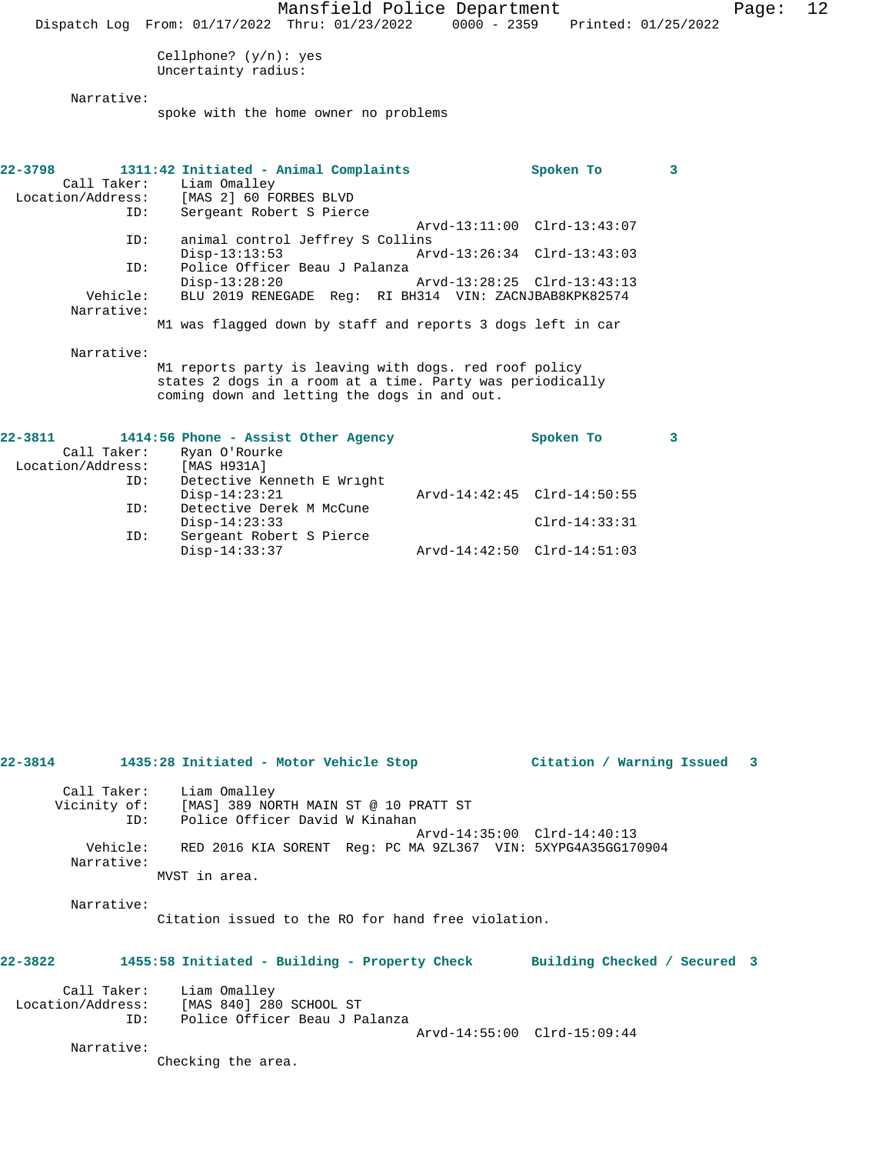Cellphone? (y/n): yes Uncertainty radius:

Narrative:

spoke with the home owner no problems

| $22 - 3798$       | 1311:42 Initiated - Animal Complaints                       |                             | Spoken To                   | 3 |
|-------------------|-------------------------------------------------------------|-----------------------------|-----------------------------|---|
|                   | Call Taker: Liam Omalley                                    |                             |                             |   |
| Location/Address: | [MAS 2] 60 FORBES BLVD                                      |                             |                             |   |
| ID:               | Sergeant Robert S Pierce                                    |                             |                             |   |
|                   |                                                             |                             | Arvd-13:11:00 Clrd-13:43:07 |   |
| ID:               | animal control Jeffrey S Collins                            |                             |                             |   |
|                   | $Disp-13:13:53$                                             | Arvd-13:26:34 Clrd-13:43:03 |                             |   |
| ID:               | Police Officer Beau J Palanza                               |                             |                             |   |
|                   | $Disp-13:28:20$                                             | Arvd-13:28:25 Clrd-13:43:13 |                             |   |
| Vehicle:          | BLU 2019 RENEGADE Reg: RI BH314 VIN: ZACNJBAB8KPK82574      |                             |                             |   |
| Narrative:        |                                                             |                             |                             |   |
|                   | M1 was flagged down by staff and reports 3 dogs left in car |                             |                             |   |
| Narrative:        |                                                             |                             |                             |   |
|                   | M1 reports party is leaving with dogs. red roof policy      |                             |                             |   |

states 2 dogs in a room at a time. Party was periodically coming down and letting the dogs in and out.

| $22 - 3811$       |             | 1414:56 Phone - Assist Other Agency |                             | Spoken To       |  |
|-------------------|-------------|-------------------------------------|-----------------------------|-----------------|--|
|                   | Call Taker: | Ryan O'Rourke                       |                             |                 |  |
| Location/Address: |             | [MAS H931A]                         |                             |                 |  |
|                   | ID:         | Detective Kenneth E Wright          |                             |                 |  |
|                   |             | $Disp-14:23:21$                     | Arvd-14:42:45 Clrd-14:50:55 |                 |  |
|                   | ID:         | Detective Derek M McCune            |                             |                 |  |
|                   |             | $Disp-14:23:33$                     |                             | $Clrd-14:33:31$ |  |
|                   | ID:         | Sergeant Robert S Pierce            |                             |                 |  |
|                   |             | $Disp-14:33:37$                     | Arvd-14:42:50 Clrd-14:51:03 |                 |  |
|                   |             |                                     |                             |                 |  |

|         |            | 22-3814 1435:28 Initiated - Motor Vehicle Stop                                                                       | Citation / Warning Issued 3 |  |
|---------|------------|----------------------------------------------------------------------------------------------------------------------|-----------------------------|--|
|         |            | Call Taker: Liam Omalley<br>Vicinity of: [MAS] 389 NORTH MAIN ST @ 10 PRATT ST<br>ID: Police Officer David W Kinahan | Arvd-14:35:00 Clrd-14:40:13 |  |
|         | Narrative: | Vehicle: RED 2016 KIA SORENT Req: PC MA 9ZL367 VIN: 5XYPG4A35GG170904<br>MVST in area.                               |                             |  |
|         |            |                                                                                                                      |                             |  |
|         | Narrative: | Citation issued to the RO for hand free violation.                                                                   |                             |  |
| 22-3822 |            | 1455:58 Initiated - Building - Property Check Building Checked / Secured 3                                           |                             |  |
|         | ID:        | Call Taker: Liam Omalley<br>Location/Address: [MAS 840] 280 SCHOOL ST<br>Police Officer Beau J Palanza               | Arvd-14:55:00 Clrd-15:09:44 |  |
|         | Narrative: | Checking the area.                                                                                                   |                             |  |
|         |            |                                                                                                                      |                             |  |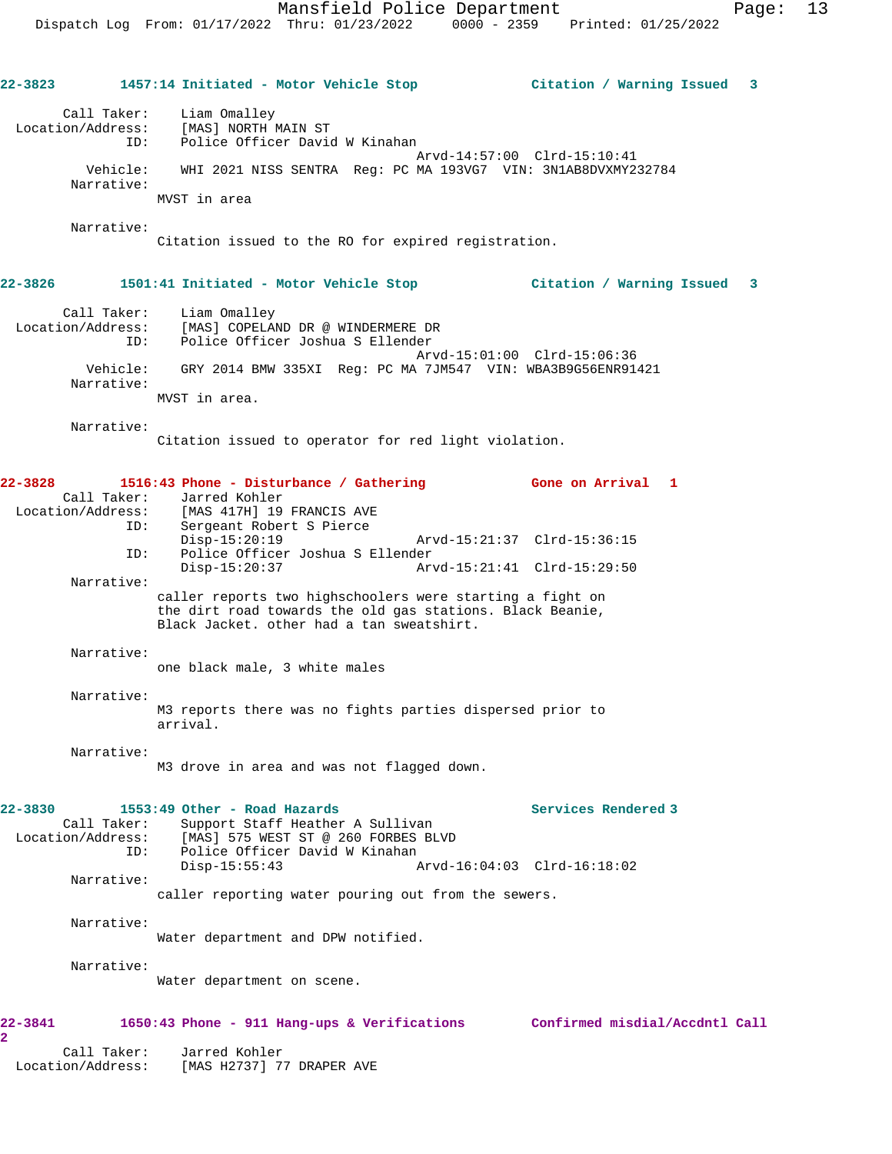**22-3823 1457:14 Initiated - Motor Vehicle Stop Citation / Warning Issued 3** Call Taker: Liam Omalley Location/Address: [MAS] NORTH MAIN ST ID: Police Officer David W Kinahan Arvd-14:57:00 Clrd-15:10:41 Vehicle: WHI 2021 NISS SENTRA Reg: PC MA 193VG7 VIN: 3N1AB8DVXMY232784 Narrative: MVST in area Narrative: Citation issued to the RO for expired registration. **22-3826 1501:41 Initiated - Motor Vehicle Stop Citation / Warning Issued 3** Call Taker: Liam Omalley Location/Address: [MAS] COPELAND DR @ WINDERMERE DR ID: Police Officer Joshua S Ellender Arvd-15:01:00 Clrd-15:06:36 Vehicle: GRY 2014 BMW 335XI Reg: PC MA 7JM547 VIN: WBA3B9G56ENR91421 Narrative: MVST in area. Narrative: Citation issued to operator for red light violation. **22-3828 1516:43 Phone - Disturbance / Gathering Gone on Arrival 1**  Call Taker: Jarred Kohler<br>Location/Address: [MAS 417H] 19 [MAS 417H] 19 FRANCIS AVE ID: Sergeant Robert S Pierce Disp-15:20:19 Arvd-15:21:37 Clrd-15:36:15<br>ID: Police Officer Joshua S Ellender Police Officer Joshua S Ellender Disp-15:20:37 Arvd-15:21:41 Clrd-15:29:50 Narrative: caller reports two highschoolers were starting a fight on the dirt road towards the old gas stations. Black Beanie, Black Jacket. other had a tan sweatshirt. Narrative: one black male, 3 white males Narrative: M3 reports there was no fights parties dispersed prior to arrival. Narrative: M3 drove in area and was not flagged down. **22-3830 1553:49 Other - Road Hazards Services Rendered 3**  Call Taker: Support Staff Heather A Sullivan Location/Address: [MAS] 575 WEST ST @ 260 FORBES BLVD ----<br>ID: Police Officer David W Kinahan<br>Disp-15:55:43 A Disp-15:55:43 Arvd-16:04:03 Clrd-16:18:02 Narrative: caller reporting water pouring out from the sewers. Narrative: Water department and DPW notified. Narrative: Water department on scene. **22-3841 1650:43 Phone - 911 Hang-ups & Verifications Confirmed misdial/Accdntl Call 2**  Call Taker: Jarred Kohler Location/Address: [MAS H2737] 77 DRAPER AVE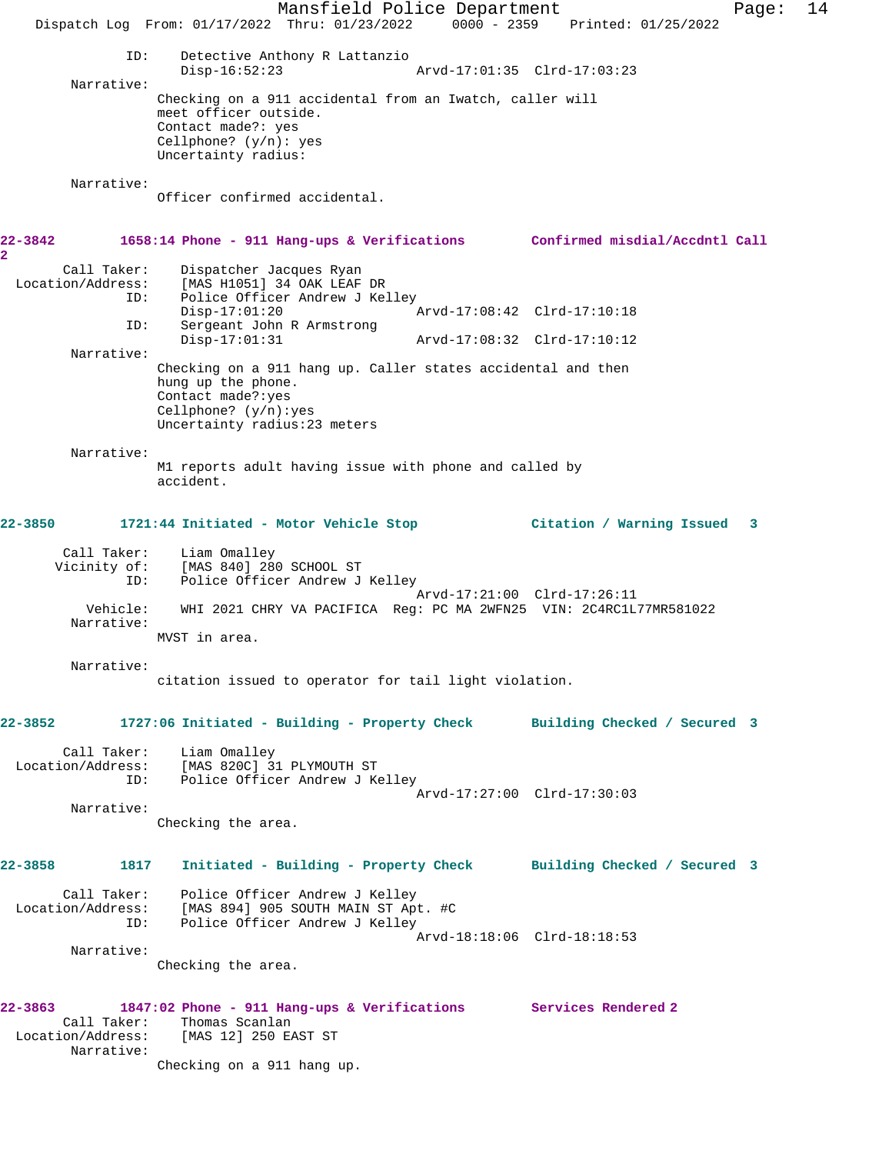Mansfield Police Department Form Page: 14 Dispatch Log From: 01/17/2022 Thru: 01/23/2022 0000 - 2359 Printed: 01/25/2022 ID: Detective Anthony R Lattanzio<br>Disp-16:52:23 Disp-16:52:23 Arvd-17:01:35 Clrd-17:03:23 Narrative: Checking on a 911 accidental from an Iwatch, caller will meet officer outside. Contact made?: yes Cellphone? (y/n): yes Uncertainty radius: Narrative: Officer confirmed accidental. **22-3842 1658:14 Phone - 911 Hang-ups & Verifications Confirmed misdial/Accdntl Call 2**  Call Taker: Dispatcher Jacques Ryan Location/Address: [MAS H1051] 34 OAK LEAF DR ID: Police Officer Andrew J Kelley<br>Disp-17:01:20 Arvd-17:08:42 Clrd-17:10:18 ID: Sergeant John R Armstrong Disp-17:01:31 Arvd-17:08:32 Clrd-17:10:12 Narrative: Checking on a 911 hang up. Caller states accidental and then hung up the phone. Contact made?:yes Cellphone? (y/n):yes Uncertainty radius:23 meters Narrative: M1 reports adult having issue with phone and called by accident. **22-3850 1721:44 Initiated - Motor Vehicle Stop Citation / Warning Issued 3** Call Taker: Liam Omalley<br>Vicinity of: [MAS 840] 28 [MAS 840] 280 SCHOOL ST ID: Police Officer Andrew J Kelley Arvd-17:21:00 Clrd-17:26:11<br>Vehicle: WHI 2021 CHRY VA PACIFICA Reg: PC MA 2WFN25 VIN: 2C4RC1L Vehicle: WHI 2021 CHRY VA PACIFICA Reg: PC MA 2WFN25 VIN: 2C4RC1L77MR581022 Narrative: MVST in area. Narrative: citation issued to operator for tail light violation. **22-3852 1727:06 Initiated - Building - Property Check Building Checked / Secured 3** Call Taker: Liam Omalley Location/Address: [MAS 820C] 31 PLYMOUTH ST ID: Police Officer Andrew J Kelley Arvd-17:27:00 Clrd-17:30:03 Narrative: Checking the area. **22-3858 1817 Initiated - Building - Property Check Building Checked / Secured 3** Call Taker: Police Officer Andrew J Kelley<br>Location/Address: [MAS 894] 905 SOUTH MAIN ST Ap ess: [MAS 894] 905 SOUTH MAIN ST Apt. #C<br>ID: Police Officer Andrew J Kelley Police Officer Andrew J Kelley Arvd-18:18:06 Clrd-18:18:53 Narrative: Checking the area. **22-3863 1847:02 Phone - 911 Hang-ups & Verifications Services Rendered 2**  Call Taker: Thomas Scanlan Location/Address: [MAS 12] 250 EAST ST Narrative: Checking on a 911 hang up.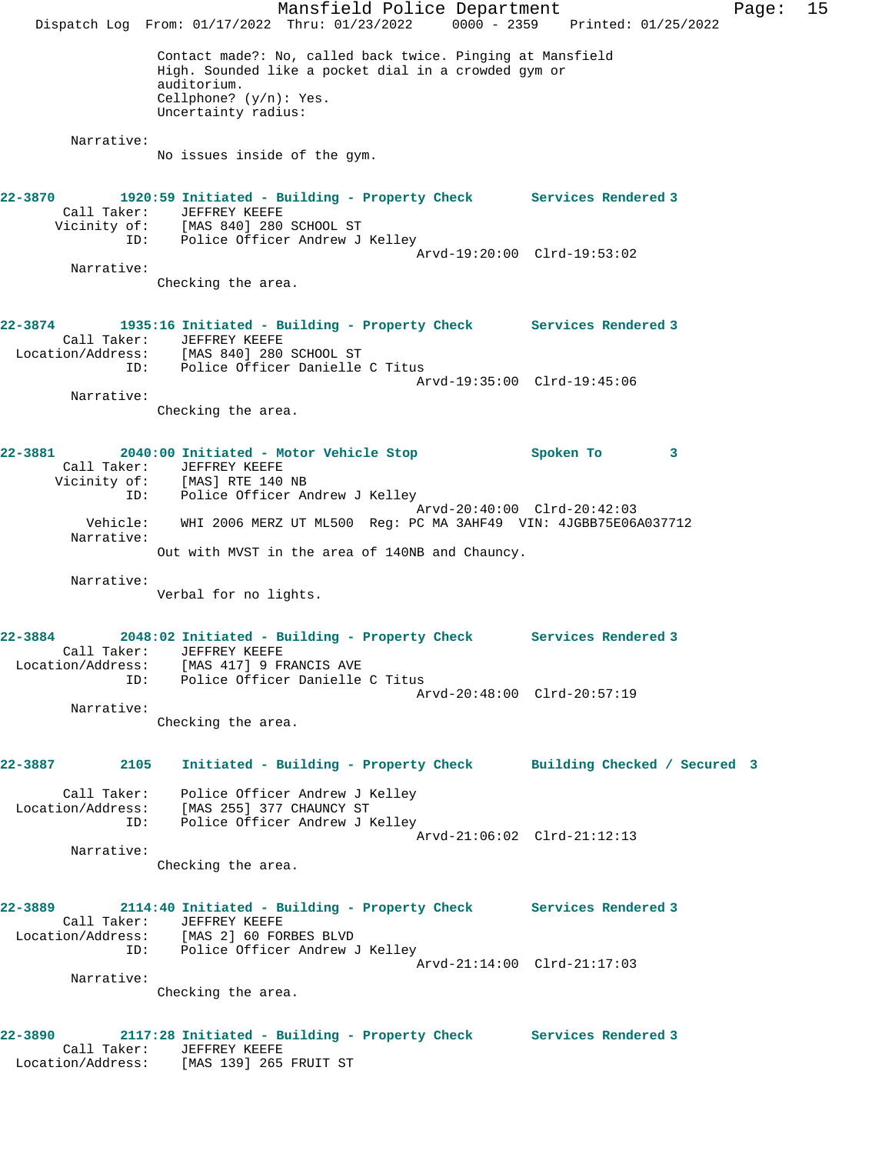Mansfield Police Department Fage: 15 Dispatch Log From: 01/17/2022 Thru: 01/23/2022 0000 - 2359 Printed: 01/25/2022 Contact made?: No, called back twice. Pinging at Mansfield High. Sounded like a pocket dial in a crowded gym or auditorium. Cellphone? (y/n): Yes. Uncertainty radius: Narrative: No issues inside of the gym. **22-3870 1920:59 Initiated - Building - Property Check Services Rendered 3**  Call Taker: JEFFREY KEEFE Vicinity of: [MAS 840] 280 SCHOOL ST ID: Police Officer Andrew J Kelley Arvd-19:20:00 Clrd-19:53:02 Narrative: Checking the area. **22-3874 1935:16 Initiated - Building - Property Check Services Rendered 3**  Call Taker: JEFFREY KEEFE Location/Address: [MAS 840] 280 SCHOOL ST ID: Police Officer Danielle C Titus Arvd-19:35:00 Clrd-19:45:06 Narrative: Checking the area. **22-3881 2040:00 Initiated - Motor Vehicle Stop Spoken To 3**  Call Taker: JEFFREY KEEFE Vicinity of: [MAS] RTE 140 NB ID: Police Officer Andrew J Kelley Arvd-20:40:00 Clrd-20:42:03 Vehicle: WHI 2006 MERZ UT ML500 Reg: PC MA 3AHF49 VIN: 4JGBB75E06A037712 Narrative: Out with MVST in the area of 140NB and Chauncy. Narrative: Verbal for no lights. **22-3884 2048:02 Initiated - Building - Property Check Services Rendered 3**  Call Taker: JEFFREY KEEFE Location/Address: [MAS 417] 9 FRANCIS AVE ID: Police Officer Danielle C Titus Arvd-20:48:00 Clrd-20:57:19 Narrative: Checking the area. **22-3887 2105 Initiated - Building - Property Check Building Checked / Secured 3** Call Taker: Police Officer Andrew J Kelley Location/Address: [MAS 255] 377 CHAUNCY ST ID: Police Officer Andrew J Kelley Arvd-21:06:02 Clrd-21:12:13 Narrative: Checking the area. **22-3889 2114:40 Initiated - Building - Property Check Services Rendered 3**  Call Taker: JEFFREY KEEFE Location/Address: [MAS 2] 60 FORBES BLVD ID: Police Officer Andrew J Kelley Arvd-21:14:00 Clrd-21:17:03 Narrative: Checking the area. **22-3890 2117:28 Initiated - Building - Property Check Services Rendered 3**  Call Taker: JEFFREY KEEFE Location/Address: [MAS 139] 265 FRUIT ST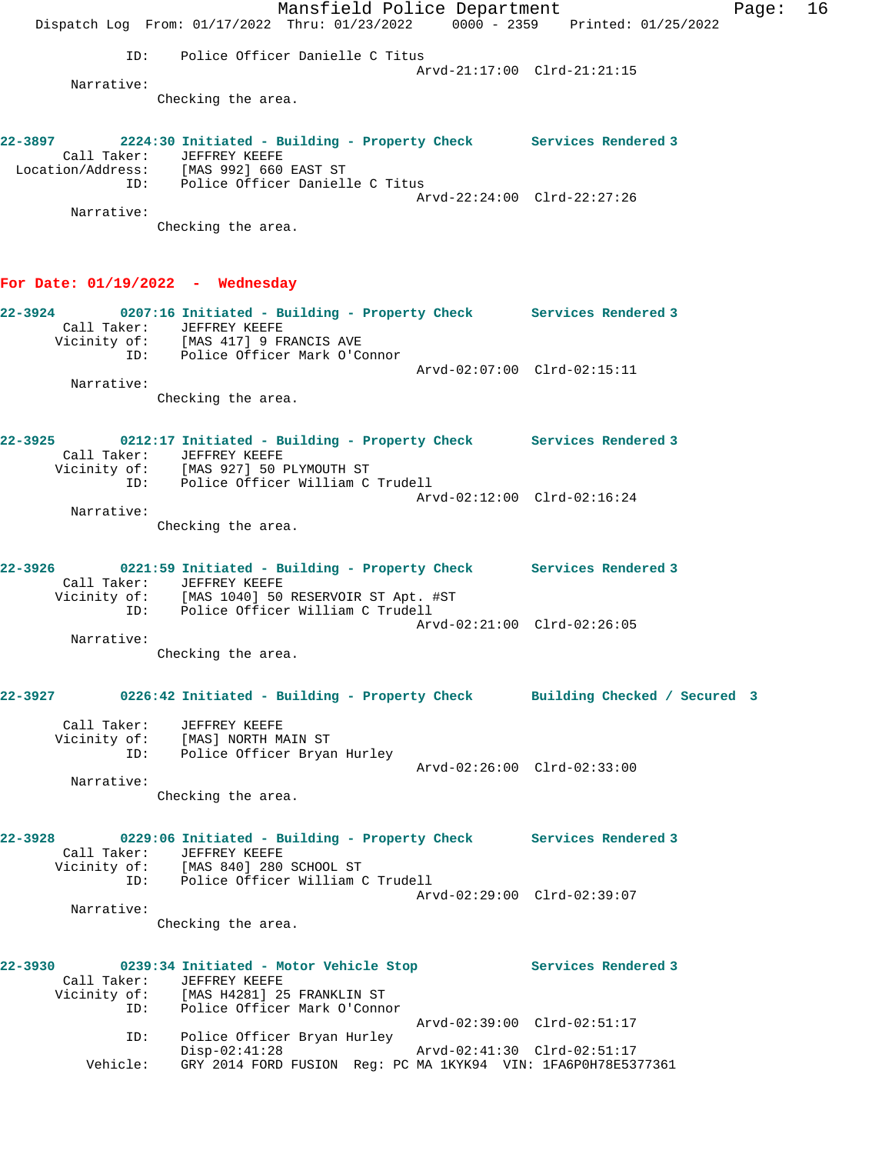Mansfield Police Department Fage: 16 Dispatch Log From: 01/17/2022 Thru: 01/23/2022 0000 - 2359 Printed: 01/25/2022 ID: Police Officer Danielle C Titus Arvd-21:17:00 Clrd-21:21:15 Narrative: Checking the area. **22-3897 2224:30 Initiated - Building - Property Check Services Rendered 3**  Call Taker: JEFFREY KEEFE Location/Address: [MAS 992] 660 EAST ST ID: Police Officer Danielle C Titus Arvd-22:24:00 Clrd-22:27:26 Narrative: Checking the area. **For Date: 01/19/2022 - Wednesday 22-3924 0207:16 Initiated - Building - Property Check Services Rendered 3**  Call Taker: JEFFREY KEEFE Vicinity of: [MAS 417] 9 FRANCIS AVE ID: Police Officer Mark O'Connor Arvd-02:07:00 Clrd-02:15:11 Narrative: Checking the area. **22-3925 0212:17 Initiated - Building - Property Check Services Rendered 3**  Call Taker: JEFFREY KEEFE Vicinity of: [MAS 927] 50 PLYMOUTH ST ID: Police Officer William C Trudell Arvd-02:12:00 Clrd-02:16:24 Narrative: Checking the area. **22-3926 0221:59 Initiated - Building - Property Check Services Rendered 3**  Call Taker: JEFFREY KEEFE Vicinity of: [MAS 1040] 50 RESERVOIR ST Apt. #ST ID: Police Officer William C Trudell Arvd-02:21:00 Clrd-02:26:05 Narrative: Checking the area. **22-3927 0226:42 Initiated - Building - Property Check Building Checked / Secured 3** Call Taker: JEFFREY KEEFE Vicinity of: [MAS] NORTH MAIN ST ID: Police Officer Bryan Hurley EXTREM MAIN STREET ARRY ARRY 1991 CLTD-02:26:00 ClTD-02:33:00<br>Arvd-02:26:00 ClTD-02:33:00 Narrative: Checking the area. **22-3928 0229:06 Initiated - Building - Property Check Services Rendered 3**  Call Taker: JEFFREY KEEFE Vicinity of: [MAS 840] 280 SCHOOL ST ID: Police Officer William C Trudell Arvd-02:29:00 Clrd-02:39:07 Narrative: Checking the area. **22-3930 0239:34 Initiated - Motor Vehicle Stop Services Rendered 3**  Call Taker: JEFFREY KEEFE Vicinity of: [MAS H4281] 25 FRANKLIN ST ID: Police Officer Mark O'Connor Arvd-02:39:00 Clrd-02:51:17 ID: Police Officer Bryan Hurley Disp-02:41:28 Arvd-02:41:30 Clrd-02:51:17 Vehicle: GRY 2014 FORD FUSION Reg: PC MA 1KYK94 VIN: 1FA6P0H78E5377361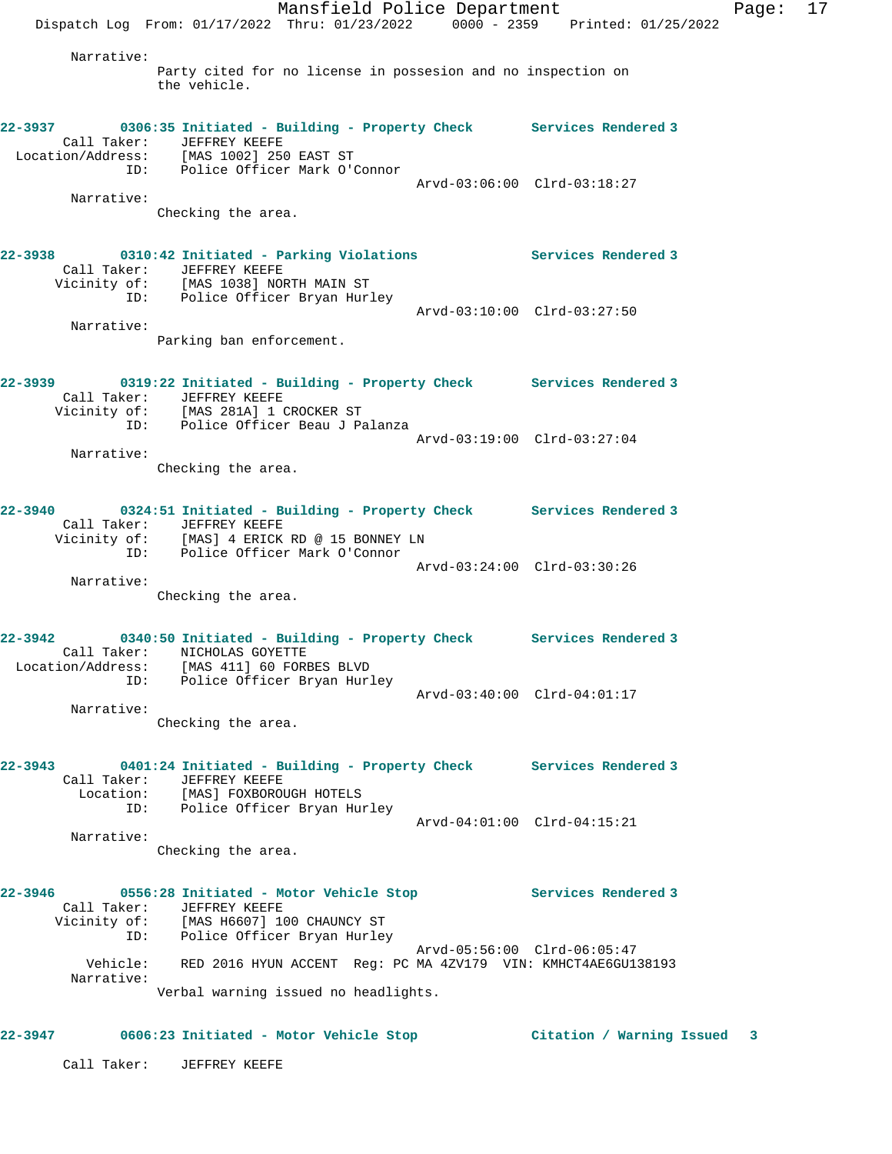Mansfield Police Department Fage: 17 Dispatch Log From: 01/17/2022 Thru: 01/23/2022 0000 - 2359 Printed: 01/25/2022 Narrative: Party cited for no license in possesion and no inspection on the vehicle. **22-3937 0306:35 Initiated - Building - Property Check Services Rendered 3**  Call Taker: JEFFREY KEEFE Location/Address: [MAS 1002] 250 EAST ST ID: Police Officer Mark O'Connor Arvd-03:06:00 Clrd-03:18:27 Narrative: Checking the area. **22-3938 0310:42 Initiated - Parking Violations Services Rendered 3**  Call Taker: JEFFREY KEEFE Vicinity of: [MAS 1038] NORTH MAIN ST ID: Police Officer Bryan Hurley Arvd-03:10:00 Clrd-03:27:50 Narrative: Parking ban enforcement. **22-3939 0319:22 Initiated - Building - Property Check Services Rendered 3**  Call Taker: JEFFREY KEEFE Vicinity of: [MAS 281A] 1 CROCKER ST ID: Police Officer Beau J Palanza Arvd-03:19:00 Clrd-03:27:04 Narrative: Checking the area. **22-3940 0324:51 Initiated - Building - Property Check Services Rendered 3**  Call Taker: JEFFREY KEEFE Vicinity of: [MAS] 4 ERICK RD @ 15 BONNEY LN ID: Police Officer Mark O'Connor Arvd-03:24:00 Clrd-03:30:26 Narrative: Checking the area. **22-3942 0340:50 Initiated - Building - Property Check Services Rendered 3**  Call Taker: NICHOLAS GOYETTE Location/Address: [MAS 411] 60 FORBES BLVD ID: Police Officer Bryan Hurley Arvd-03:40:00 Clrd-04:01:17 Narrative: Checking the area. **22-3943 0401:24 Initiated - Building - Property Check Services Rendered 3**  Call Taker: JEFFREY KEEFE Location: [MAS] FOXBOROUGH HOTELS ID: Police Officer Bryan Hurley Arvd-04:01:00 Clrd-04:15:21 Narrative: Checking the area. **22-3946 0556:28 Initiated - Motor Vehicle Stop Services Rendered 3**  Call Taker: JEFFREY KEEFE Vicinity of: [MAS H6607] 100 CHAUNCY ST ID: Police Officer Bryan Hurley Arvd-05:56:00 Clrd-06:05:47 Vehicle: RED 2016 HYUN ACCENT Reg: PC MA 4ZV179 VIN: KMHCT4AE6GU138193 Narrative: Verbal warning issued no headlights. **22-3947 0606:23 Initiated - Motor Vehicle Stop Citation / Warning Issued 3**

Call Taker: JEFFREY KEEFE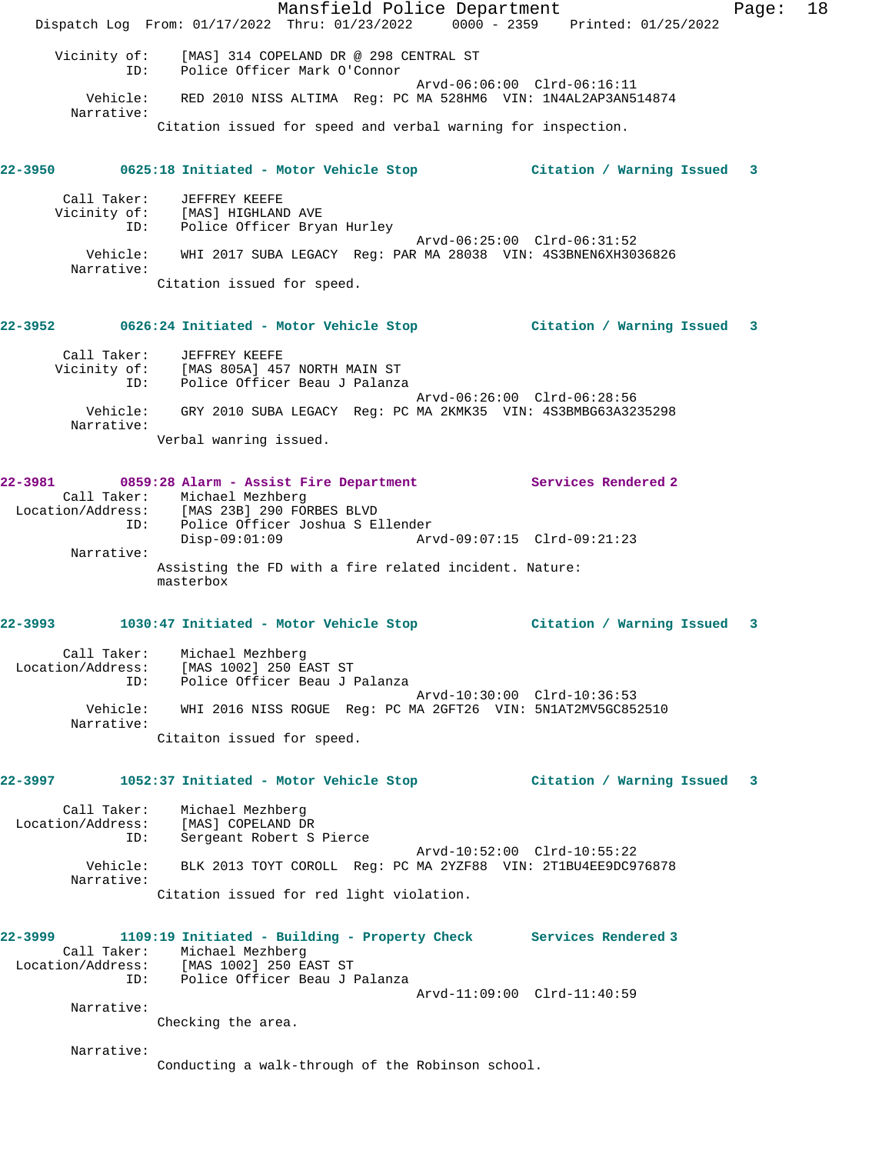Mansfield Police Department Form Page: 18 Dispatch Log From: 01/17/2022 Thru: 01/23/2022 0000 - 2359 Printed: 01/25/2022 Vicinity of: [MAS] 314 COPELAND DR @ 298 CENTRAL ST ID: Police Officer Mark O'Connor Arvd-06:06:00 Clrd-06:16:11 Vehicle: RED 2010 NISS ALTIMA Reg: PC MA 528HM6 VIN: 1N4AL2AP3AN514874 Narrative: Citation issued for speed and verbal warning for inspection. **22-3950 0625:18 Initiated - Motor Vehicle Stop Citation / Warning Issued 3** Call Taker: JEFFREY KEEFE Vicinity of: [MAS] HIGHLAND AVE ID: Police Officer Bryan Hurley Arvd-06:25:00 Clrd-06:31:52 Vehicle: WHI 2017 SUBA LEGACY Reg: PAR MA 28038 VIN: 4S3BNEN6XH3036826 Narrative: Citation issued for speed. **22-3952 0626:24 Initiated - Motor Vehicle Stop Citation / Warning Issued 3** Call Taker: JEFFREY KEEFE Vicinity of: [MAS 805A] 457 NORTH MAIN ST ID: Police Officer Beau J Palanza Arvd-06:26:00 Clrd-06:28:56 Vehicle: GRY 2010 SUBA LEGACY Reg: PC MA 2KMK35 VIN: 4S3BMBG63A3235298 Narrative: Verbal wanring issued. **22-3981 0859:28 Alarm - Assist Fire Department Services Rendered 2**  Call Taker: Michael Mezhberg Location/Address: [MAS 23B] 290 FORBES BLVD ID: Police Officer Joshua S Ellender Disp-09:01:09 Arvd-09:07:15 Clrd-09:21:23 Narrative: Assisting the FD with a fire related incident. Nature: masterbox **22-3993 1030:47 Initiated - Motor Vehicle Stop Citation / Warning Issued 3** Call Taker: Michael Mezhberg Location/Address: [MAS 1002] 250 EAST ST ID: Police Officer Beau J Palanza Arvd-10:30:00 Clrd-10:36:53 Vehicle: WHI 2016 NISS ROGUE Reg: PC MA 2GFT26 VIN: 5N1AT2MV5GC852510 Narrative: Citaiton issued for speed. **22-3997 1052:37 Initiated - Motor Vehicle Stop Citation / Warning Issued 3** Call Taker: Michael Mezhberg Location/Address: [MAS] COPELAND DR ID: Sergeant Robert S Pierce Arvd-10:52:00 Clrd-10:55:22 Vehicle: BLK 2013 TOYT COROLL Reg: PC MA 2YZF88 VIN: 2T1BU4EE9DC976878 Narrative: Citation issued for red light violation. **22-3999 1109:19 Initiated - Building - Property Check Services Rendered 3**  Call Taker: Michael Mezhberg Location/Address: [MAS 1002] 250 EAST ST ID: Police Officer Beau J Palanza Arvd-11:09:00 Clrd-11:40:59 Narrative: Checking the area. Narrative: Conducting a walk-through of the Robinson school.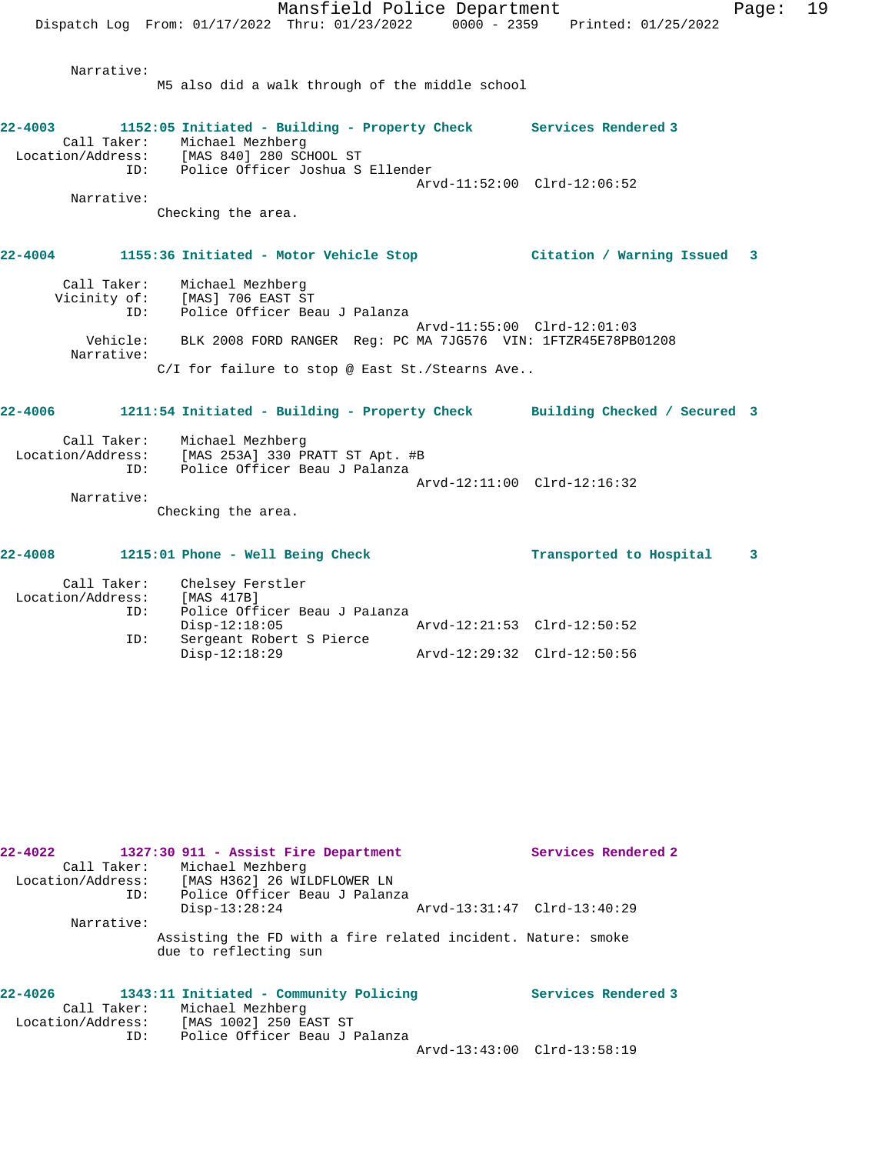Narrative:

M5 also did a walk through of the middle school

| $22 - 4003$<br>Call Taker:       |          | 1152:05 Initiated - Building - Property Check Services Rendered 3<br>Michael Mezhberg<br>Location/Address: [MAS 840] 280 SCHOOL ST<br>ID: Police Officer Joshua S Ellender |                                                            |                            |
|----------------------------------|----------|----------------------------------------------------------------------------------------------------------------------------------------------------------------------------|------------------------------------------------------------|----------------------------|
| Narrative:                       |          | Checking the area.                                                                                                                                                         | Arvd-11:52:00 Clrd-12:06:52                                |                            |
|                                  |          | 22-4004 1155:36 Initiated - Motor Vehicle Stop                                                                                                                             | Citation / Warning Issued 3                                |                            |
| Call Taker:                      | ID:      | Michael Mezhberg<br>Vicinity of: [MAS] 706 EAST ST<br>Police Officer Beau J Palanza                                                                                        | Arvd-11:55:00 Clrd-12:01:03                                |                            |
| Narrative:                       | Vehicle: | BLK 2008 FORD RANGER Req: PC MA 7JG576 VIN: 1FTZR45E78PB01208<br>C/I for failure to stop @ East St./Stearns Ave                                                            |                                                            |                            |
| $22 - 4006$                      |          | 1211:54 Initiated - Building - Property Check Building Checked / Secured 3                                                                                                 |                                                            |                            |
| Call Taker:                      | TD:      | Michael Mezhberg<br>Location/Address: [MAS 253A] 330 PRATT ST Apt. #B<br>Police Officer Beau J Palanza                                                                     | Arvd-12:11:00 Clrd-12:16:32                                |                            |
| Narrative:                       |          | Checking the area.                                                                                                                                                         |                                                            |                            |
| $22 - 4008$                      |          | 1215:01 Phone - Well Being Check                                                                                                                                           | Transported to Hospital                                    | $\overline{\phantom{a}}$ 3 |
| Call Taker:<br>Location/Address: | ID:      | Chelsey Ferstler<br>[MAS 417B]<br>Police Officer Beau J Palanza                                                                                                            |                                                            |                            |
|                                  | ID:      | $Disp-12:18:05$<br>Sergeant Robert S Pierce<br>$Disp-12:18:29$                                                                                                             | Arvd-12:21:53 Clrd-12:50:52<br>Arvd-12:29:32 Clrd-12:50:56 |                            |

| $22 - 4022$ |                   | 1327:30 911 - Assist Fire Department                                                  |  |                             |  | Services Rendered 2 |
|-------------|-------------------|---------------------------------------------------------------------------------------|--|-----------------------------|--|---------------------|
|             |                   | Call Taker: Michael Mezhberg                                                          |  |                             |  |                     |
|             | Location/Address: | [MAS H362] 26 WILDFLOWER LN                                                           |  |                             |  |                     |
|             | ID:               | Police Officer Beau J Palanza                                                         |  |                             |  |                     |
|             |                   | $Disp-13:28:24$                                                                       |  | Arvd-13:31:47 Clrd-13:40:29 |  |                     |
|             | Narrative:        |                                                                                       |  |                             |  |                     |
|             |                   | Assisting the FD with a fire related incident. Nature: smoke<br>due to reflecting sun |  |                             |  |                     |

| $22 - 4026$       | 1343:11 Initiated - Community Policing | Services Rendered 3         |
|-------------------|----------------------------------------|-----------------------------|
| Call Taker:       | Michael Mezhberg                       |                             |
| Location/Address: | [MAS 1002] 250 EAST ST                 |                             |
| ID:               | Police Officer Beau J Palanza          |                             |
|                   |                                        | Arvd-13:43:00 Clrd-13:58:19 |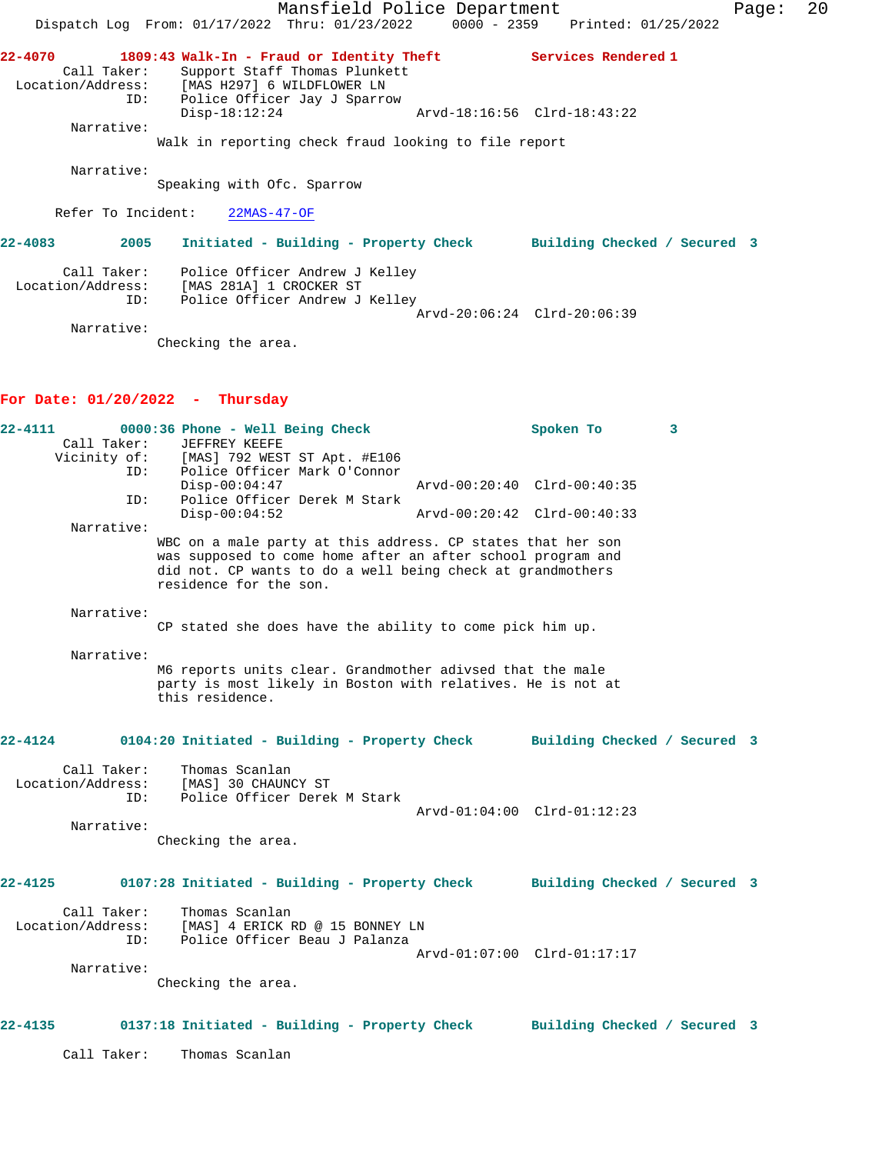Mansfield Police Department Fage: 20 Dispatch Log From: 01/17/2022 Thru: 01/23/2022 0000 - 2359 Printed: 01/25/2022 **22-4070 1809:43 Walk-In - Fraud or Identity Theft Services Rendered 1**  Call Taker: Support Staff Thomas Plunkett Location/Address: [MAS H297] 6 WILDFLOWER LN ID: Police Officer Jay J Sparrow Disp-18:12:24 Arvd-18:16:56 Clrd-18:43:22 Narrative: Walk in reporting check fraud looking to file report Narrative: Speaking with Ofc. Sparrow Refer To Incident: 22MAS-47-OF **22-4083 2005 Initiated - Building - Property Check Building Checked / Secured 3** Call Taker: Police Officer Andrew J Kelley Location/Address: [MAS 281A] 1 CROCKER ST ID: Police Officer Andrew J Kelley Arvd-20:06:24 Clrd-20:06:39 Narrative: Checking the area. **For Date: 01/20/2022 - Thursday 22-4111 0000:36 Phone - Well Being Check Spoken To 3**  Call Taker: JEFFREY KEEFE Vicinity of: [MAS] 792 WEST ST Apt. #E106 ID: Police Officer Mark O'Connor Disp-00:04:47 Arvd-00:20:40 Clrd-00:40:35 ID: Police Officer Derek M Stark Disp-00:04:52 Arvd-00:20:42 Clrd-00:40:33 Narrative: WBC on a male party at this address. CP states that her son was supposed to come home after an after school program and did not. CP wants to do a well being check at grandmothers residence for the son. Narrative: CP stated she does have the ability to come pick him up. Narrative: M6 reports units clear. Grandmother adivsed that the male party is most likely in Boston with relatives. He is not at this residence. **22-4124 0104:20 Initiated - Building - Property Check Building Checked / Secured 3** Call Taker: Thomas Scanlan Location/Address: [MAS] 30 CHAUNCY ST ID: Police Officer Derek M Stark Arvd-01:04:00 Clrd-01:12:23 Narrative: Checking the area. **22-4125 0107:28 Initiated - Building - Property Check Building Checked / Secured 3** Call Taker: Thomas Scanlan Location/Address: [MAS] 4 ERICK RD @ 15 BONNEY LN ID: Police Officer Beau J Palanza Arvd-01:07:00 Clrd-01:17:17 Narrative: Checking the area. **22-4135 0137:18 Initiated - Building - Property Check Building Checked / Secured 3** Call Taker: Thomas Scanlan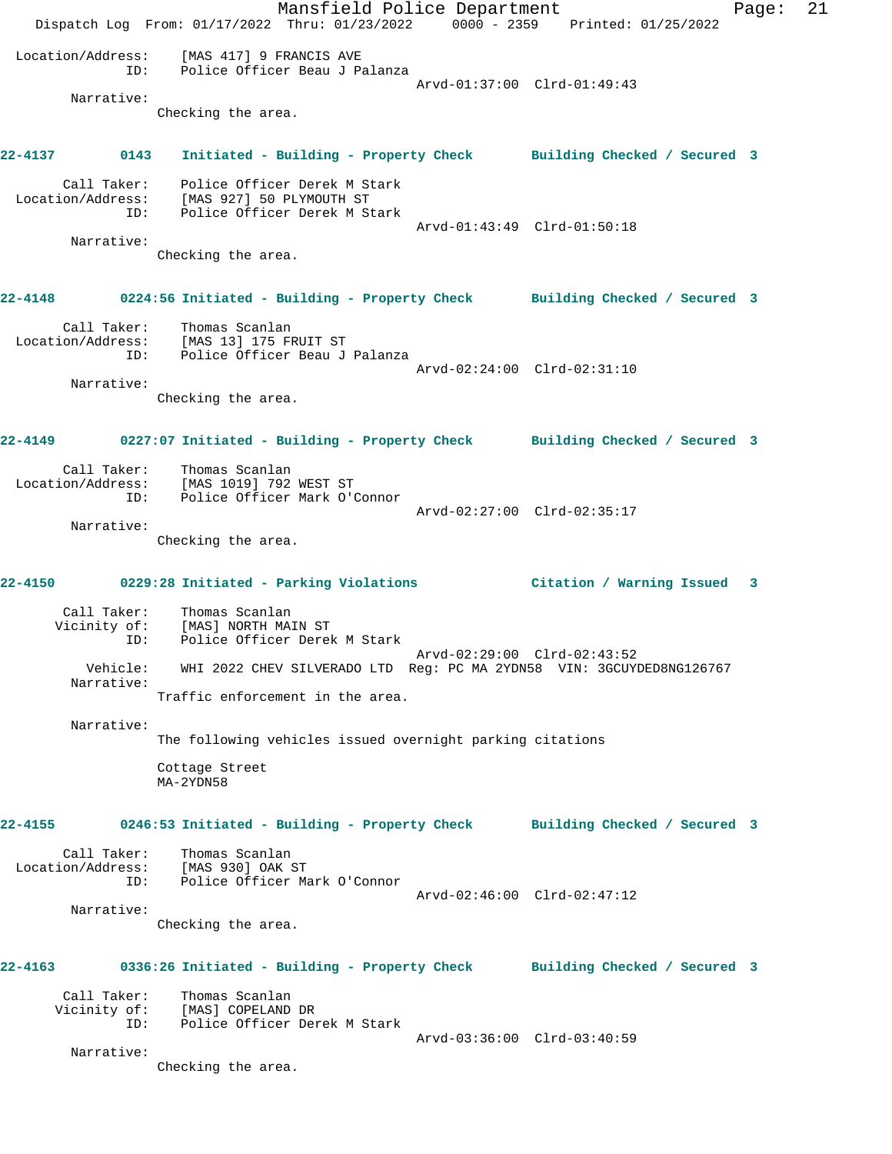Mansfield Police Department Fage: 21 Dispatch Log From: 01/17/2022 Thru: 01/23/2022 0000 - 2359 Printed: 01/25/2022 Location/Address: [MAS 417] 9 FRANCIS AVE ID: Police Officer Beau J Palanza Arvd-01:37:00 Clrd-01:49:43 Narrative: Checking the area. **22-4137 0143 Initiated - Building - Property Check Building Checked / Secured 3** Call Taker: Police Officer Derek M Stark Location/Address: [MAS 927] 50 PLYMOUTH ST ID: Police Officer Derek M Stark Arvd-01:43:49 Clrd-01:50:18 Narrative: Checking the area. **22-4148 0224:56 Initiated - Building - Property Check Building Checked / Secured 3** Call Taker: Thomas Scanlan Location/Address: [MAS 13] 175 FRUIT ST<br>ID: Police Officer Beau J Police Officer Beau J Palanza Arvd-02:24:00 Clrd-02:31:10 Narrative: Checking the area. **22-4149 0227:07 Initiated - Building - Property Check Building Checked / Secured 3** Call Taker: Thomas Scanlan Location/Address: [MAS 1019] 792 WEST ST ID: Police Officer Mark O'Connor Arvd-02:27:00 Clrd-02:35:17 Narrative: Checking the area. **22-4150 0229:28 Initiated - Parking Violations Citation / Warning Issued 3** Call Taker: Thomas Scanlan Vicinity of: [MAS] NORTH MAIN ST ID: Police Officer Derek M Stark Arvd-02:29:00 Clrd-02:43:52 Vehicle: WHI 2022 CHEV SILVERADO LTD Reg: PC MA 2YDN58 VIN: 3GCUYDED8NG126767 Narrative: Traffic enforcement in the area. Narrative: The following vehicles issued overnight parking citations Cottage Street MA-2YDN58 **22-4155 0246:53 Initiated - Building - Property Check Building Checked / Secured 3** Call Taker: Thomas Scanlan Location/Address: [MAS 930] OAK ST ID: Police Officer Mark O'Connor Arvd-02:46:00 Clrd-02:47:12 Narrative: Checking the area. **22-4163 0336:26 Initiated - Building - Property Check Building Checked / Secured 3** Call Taker: Thomas Scanlan Vicinity of: [MAS] COPELAND DR ID: Police Officer Derek M Stark Arvd-03:36:00 Clrd-03:40:59 Narrative: Checking the area.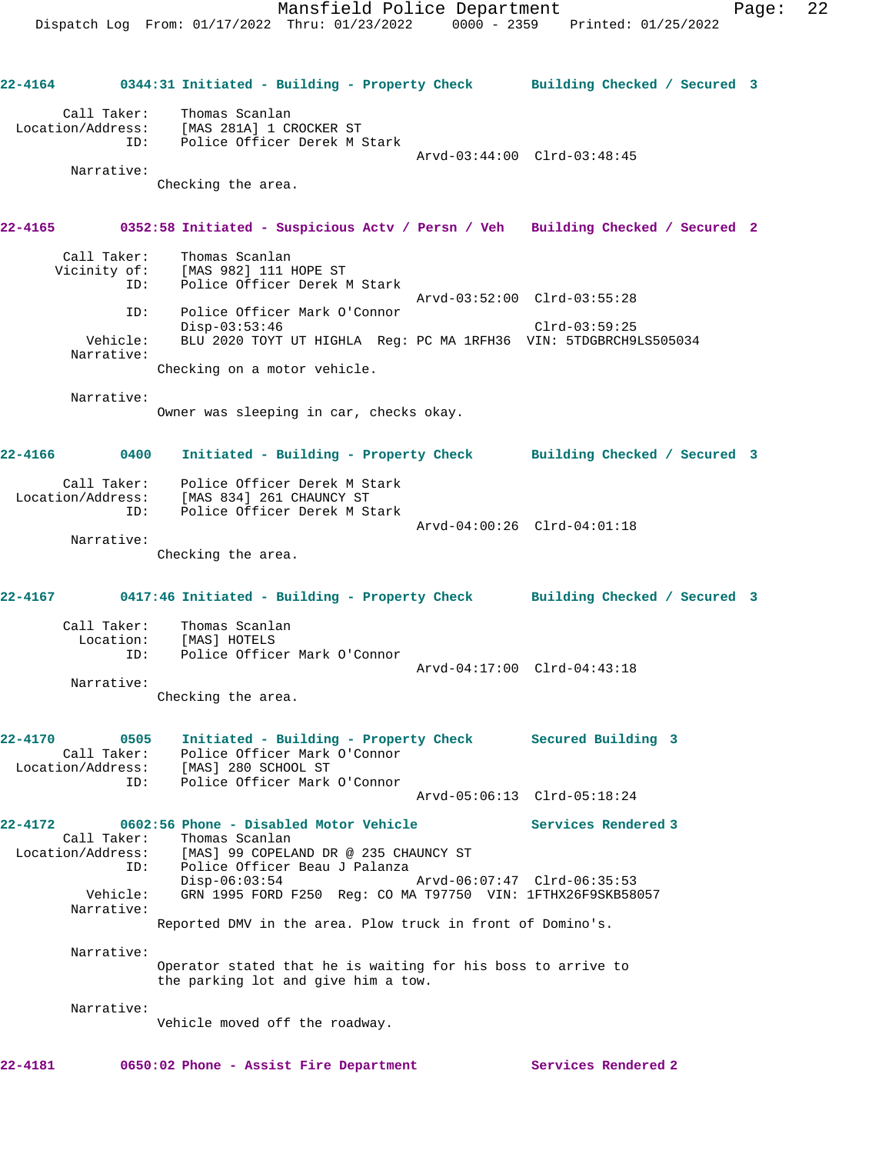Mansfield Police Department Page: 22 Dispatch Log From: 01/17/2022 Thru: 01/23/2022 0000 - 2359 Printed: 01/25/2022 **22-4164 0344:31 Initiated - Building - Property Check Building Checked / Secured 3** Call Taker: Thomas Scanlan Location/Address: [MAS 281A] 1 CROCKER ST ID: Police Officer Derek M Stark Arvd-03:44:00 Clrd-03:48:45 Narrative: Checking the area. **22-4165 0352:58 Initiated - Suspicious Actv / Persn / Veh Building Checked / Secured 2** Call Taker: Thomas Scanlan Vicinity of: [MAS 982] 111 HOPE ST ID: Police Officer Derek M Stark Arvd-03:52:00 Clrd-03:55:28 ID: Police Officer Mark O'Connor Disp-03:53:46 Clrd-03:59:25 Vehicle: BLU 2020 TOYT UT HIGHLA Reg: PC MA 1RFH36 VIN: 5TDGBRCH9LS505034 Narrative: Checking on a motor vehicle. Narrative: Owner was sleeping in car, checks okay. **22-4166 0400 Initiated - Building - Property Check Building Checked / Secured 3** Call Taker: Police Officer Derek M Stark Location/Address: [MAS 834] 261 CHAUNCY ST ID: Police Officer Derek M Stark Arvd-04:00:26 Clrd-04:01:18 Narrative: Checking the area. **22-4167 0417:46 Initiated - Building - Property Check Building Checked / Secured 3** Call Taker: Thomas Scanlan Location: [MAS] HOTELS ID: Police Officer Mark O'Connor Arvd-04:17:00 Clrd-04:43:18 Narrative: Checking the area. **22-4170 0505 Initiated - Building - Property Check Secured Building 3**  Call Taker: Police Officer Mark O'Connor Location/Address: [MAS] 280 SCHOOL ST ID: Police Officer Mark O'Connor Arvd-05:06:13 Clrd-05:18:24 **22-4172 0602:56 Phone - Disabled Motor Vehicle Services Rendered 3**  Call Taker: Thomas Scanlan Location/Address: [MAS] 99 COPELAND DR @ 235 CHAUNCY ST ID: Police Officer Beau J Palanza<br>Disp-06:03:54 Disp-06:03:54 Arvd-06:07:47 Clrd-06:35:53 Vehicle: GRN 1995 FORD F250 Reg: CO MA T97750 VIN: 1FTHX26F9SKB58057 Narrative: Reported DMV in the area. Plow truck in front of Domino's. Narrative: Operator stated that he is waiting for his boss to arrive to the parking lot and give him a tow. Narrative: Vehicle moved off the roadway.

**22-4181 0650:02 Phone - Assist Fire Department Services Rendered 2**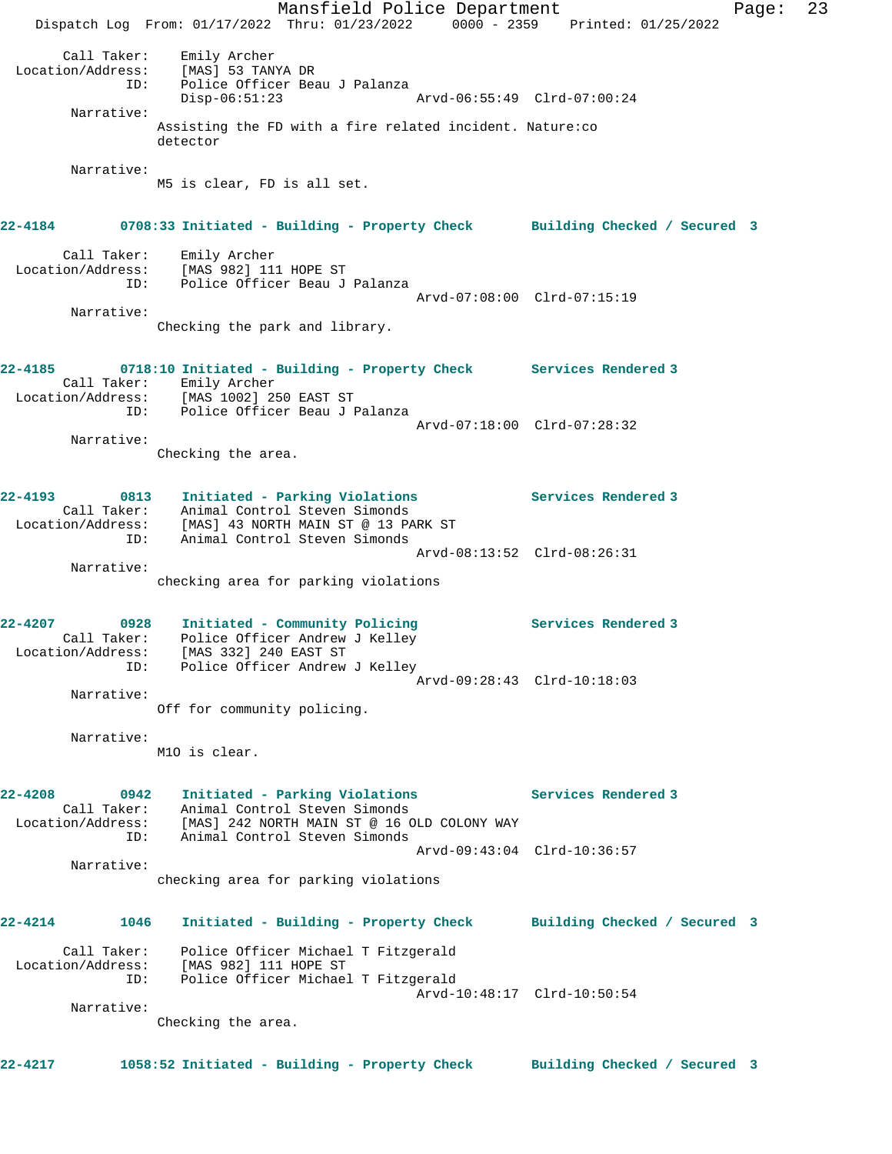Mansfield Police Department Page: 23 Dispatch Log From: 01/17/2022 Thru: 01/23/2022 0000 - 2359 Printed: 01/25/2022 Call Taker: Emily Archer Location/Address: [MAS] 53 TANYA DR ID: Police Officer Beau J Palanza Disp-06:51:23 Arvd-06:55:49 Clrd-07:00:24 Narrative: Assisting the FD with a fire related incident. Nature:co detector Narrative: M5 is clear, FD is all set. **22-4184 0708:33 Initiated - Building - Property Check Building Checked / Secured 3** Call Taker: Emily Archer Location/Address: [MAS 982] 111 HOPE ST ID: Police Officer Beau J Palanza Arvd-07:08:00 Clrd-07:15:19 Narrative: Checking the park and library. **22-4185 0718:10 Initiated - Building - Property Check Services Rendered 3**  Call Taker: Emily Archer Location/Address: [MAS 1002] 250 EAST ST ID: Police Officer Beau J Palanza Arvd-07:18:00 Clrd-07:28:32 Narrative: Checking the area. **22-4193 0813 Initiated - Parking Violations Services Rendered 3**  Call Taker: Animal Control Steven Simonds Location/Address: [MAS] 43 NORTH MAIN ST @ 13 PARK ST ID: Animal Control Steven Simonds Arvd-08:13:52 Clrd-08:26:31 Narrative: checking area for parking violations **22-4207 0928 Initiated - Community Policing Services Rendered 3**  Call Taker: Police Officer Andrew J Kelley Location/Address: [MAS 332] 240 EAST ST ID: Police Officer Andrew J Kelley Arvd-09:28:43 Clrd-10:18:03 Narrative: Off for community policing. Narrative: M1O is clear. **22-4208 0942 Initiated - Parking Violations Services Rendered 3**  Call Taker: Animal Control Steven Simonds Location/Address: [MAS] 242 NORTH MAIN ST @ 16 OLD COLONY WAY ID: Animal Control Steven Simonds Arvd-09:43:04 Clrd-10:36:57 Narrative: checking area for parking violations **22-4214 1046 Initiated - Building - Property Check Building Checked / Secured 3** Call Taker: Police Officer Michael T Fitzgerald Location/Address: [MAS 982] 111 HOPE ST ID: Police Officer Michael T Fitzgerald Arvd-10:48:17 Clrd-10:50:54 Narrative: Checking the area. **22-4217 1058:52 Initiated - Building - Property Check Building Checked / Secured 3**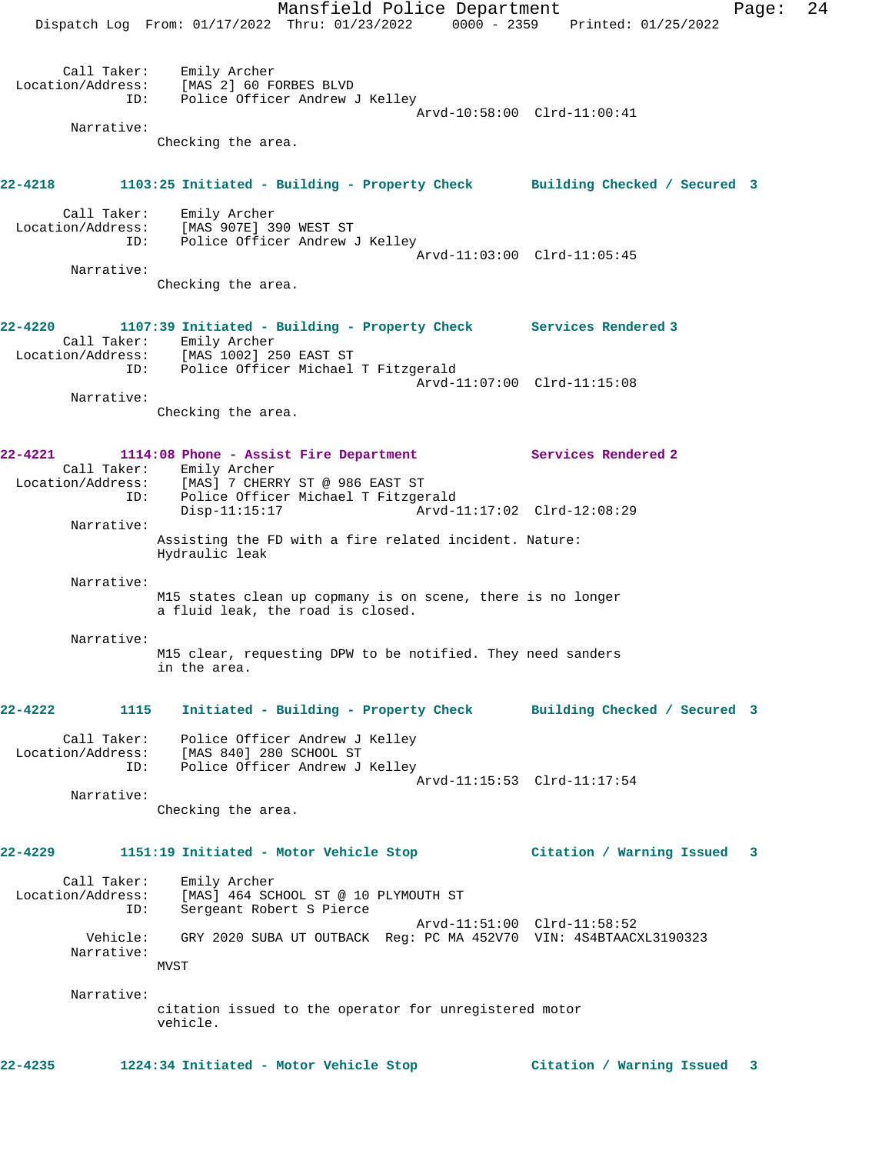Mansfield Police Department Fage: 24 Dispatch Log From: 01/17/2022 Thru: 01/23/2022 0000 - 2359 Printed: 01/25/2022 Call Taker: Emily Archer Location/Address: [MAS 2] 60 FORBES BLVD ID: Police Officer Andrew J Kelley Arvd-10:58:00 Clrd-11:00:41 Narrative: Checking the area. **22-4218 1103:25 Initiated - Building - Property Check Building Checked / Secured 3** Call Taker: Emily Archer Location/Address: [MAS 907E] 390 WEST ST ID: Police Officer Andrew J Kelley Arvd-11:03:00 Clrd-11:05:45 Narrative: Checking the area. **22-4220 1107:39 Initiated - Building - Property Check Services Rendered 3**  Call Taker: Emily Archer Location/Address: [MAS 1002] 250 EAST ST ID: Police Officer Michael T Fitzgerald Arvd-11:07:00 Clrd-11:15:08 Narrative: Checking the area. **22-4221 1114:08 Phone - Assist Fire Department Services Rendered 2**  Call Taker: Emily Archer Location/Address: [MAS] 7 CHERRY ST @ 986 EAST ST ID: Police Officer Michael T Fitzgerald Disp-11:15:17 Arvd-11:17:02 Clrd-12:08:29 Narrative: Assisting the FD with a fire related incident. Nature: Hydraulic leak Narrative: M15 states clean up copmany is on scene, there is no longer a fluid leak, the road is closed. Narrative: M15 clear, requesting DPW to be notified. They need sanders in the area. **22-4222 1115 Initiated - Building - Property Check Building Checked / Secured 3** Call Taker: Police Officer Andrew J Kelley Location/Address: [MAS 840] 280 SCHOOL ST ID: Police Officer Andrew J Kelley Arvd-11:15:53 Clrd-11:17:54 Narrative: Checking the area. **22-4229 1151:19 Initiated - Motor Vehicle Stop Citation / Warning Issued 3** Call Taker: Emily Archer Location/Address: [MAS] 464 SCHOOL ST @ 10 PLYMOUTH ST ID: Sergeant Robert S Pierce Arvd-11:51:00 Clrd-11:58:52 Vehicle: GRY 2020 SUBA UT OUTBACK Reg: PC MA 452V70 VIN: 4S4BTAACXL3190323 Narrative: MVST Narrative: citation issued to the operator for unregistered motor vehicle. **22-4235 1224:34 Initiated - Motor Vehicle Stop Citation / Warning Issued 3**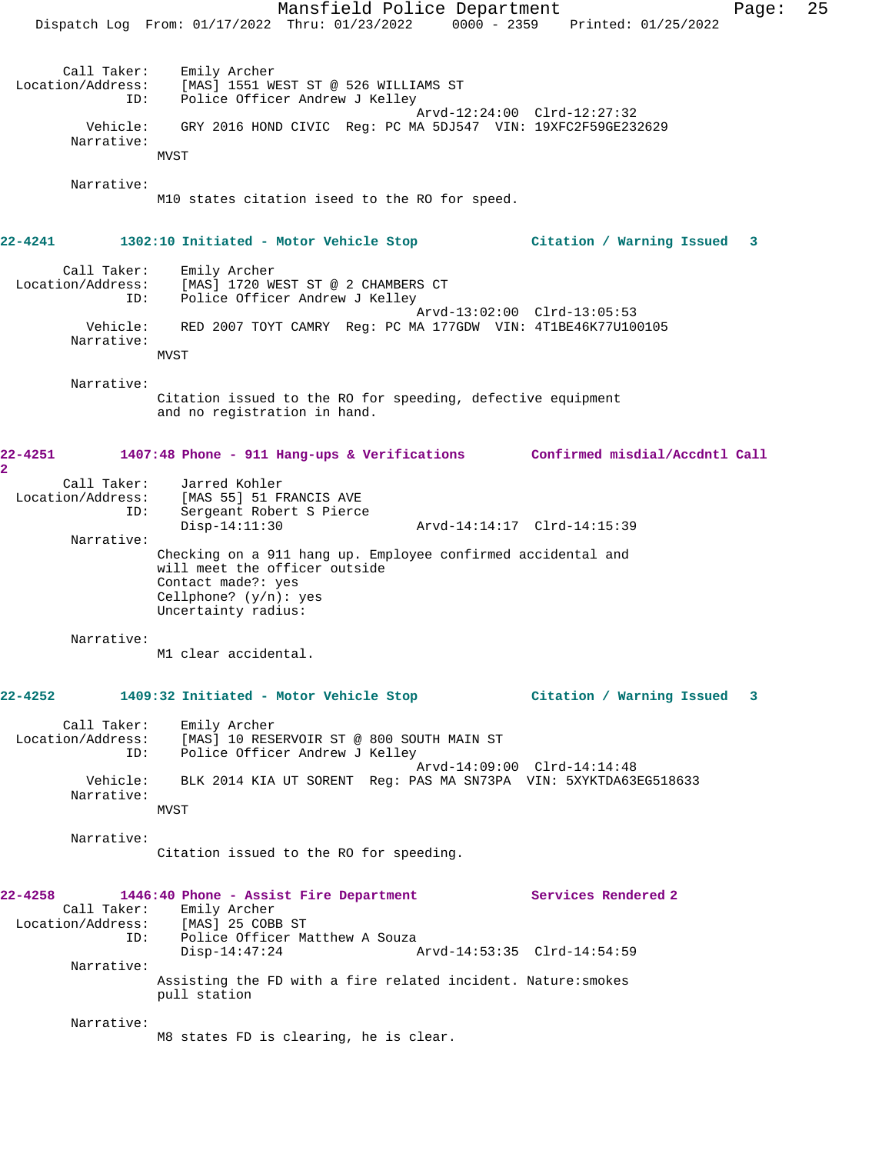Mansfield Police Department Page: 25 Dispatch Log From: 01/17/2022 Thru: 01/23/2022 0000 - 2359 Printed: 01/25/2022 Call Taker: Emily Archer Location/Address: [MAS] 1551 WEST ST @ 526 WILLIAMS ST ID: Police Officer Andrew J Kelley Arvd-12:24:00 Clrd-12:27:32 Vehicle: GRY 2016 HOND CIVIC Reg: PC MA 5DJ547 VIN: 19XFC2F59GE232629 Narrative: MVST Narrative: M10 states citation iseed to the RO for speed. **22-4241 1302:10 Initiated - Motor Vehicle Stop Citation / Warning Issued 3** Call Taker: Emily Archer Location/Address: [MAS] 1720 WEST ST @ 2 CHAMBERS CT ID: Police Officer Andrew J Kelley Arvd-13:02:00 Clrd-13:05:53 Vehicle: RED 2007 TOYT CAMRY Reg: PC MA 177GDW VIN: 4T1BE46K77U100105 Narrative: MVST Narrative: Citation issued to the RO for speeding, defective equipment and no registration in hand. **22-4251 1407:48 Phone - 911 Hang-ups & Verifications Confirmed misdial/Accdntl Call 2**  Call Taker: Jarred Kohler Location/Address: [MAS 55] 51 FRANCIS AVE ID: Sergeant Robert S Pierce Disp-14:11:30 Arvd-14:14:17 Clrd-14:15:39 Narrative: Checking on a 911 hang up. Employee confirmed accidental and will meet the officer outside Contact made?: yes Cellphone? (y/n): yes Uncertainty radius: Narrative: M1 clear accidental. **22-4252 1409:32 Initiated - Motor Vehicle Stop Citation / Warning Issued 3** Call Taker: Emily Archer Location/Address: [MAS] 10 RESERVOIR ST @ 800 SOUTH MAIN ST ID: Police Officer Andrew J Kelley Arvd-14:09:00 Clrd-14:14:48 Vehicle: BLK 2014 KIA UT SORENT Reg: PAS MA SN73PA VIN: 5XYKTDA63EG518633 Narrative: MVST Narrative: Citation issued to the RO for speeding. **22-4258 1446:40 Phone - Assist Fire Department Services Rendered 2**  Call Taker: Emily Archer<br>ion/Address: [MAS] 25 COBB ST Location/Address:<br>ID: Police Officer Matthew A Souza<br>Disp-14:47:24 Arvd-14:53:35 Clrd-14:54:59 Narrative: Assisting the FD with a fire related incident. Nature:smokes pull station Narrative: M8 states FD is clearing, he is clear.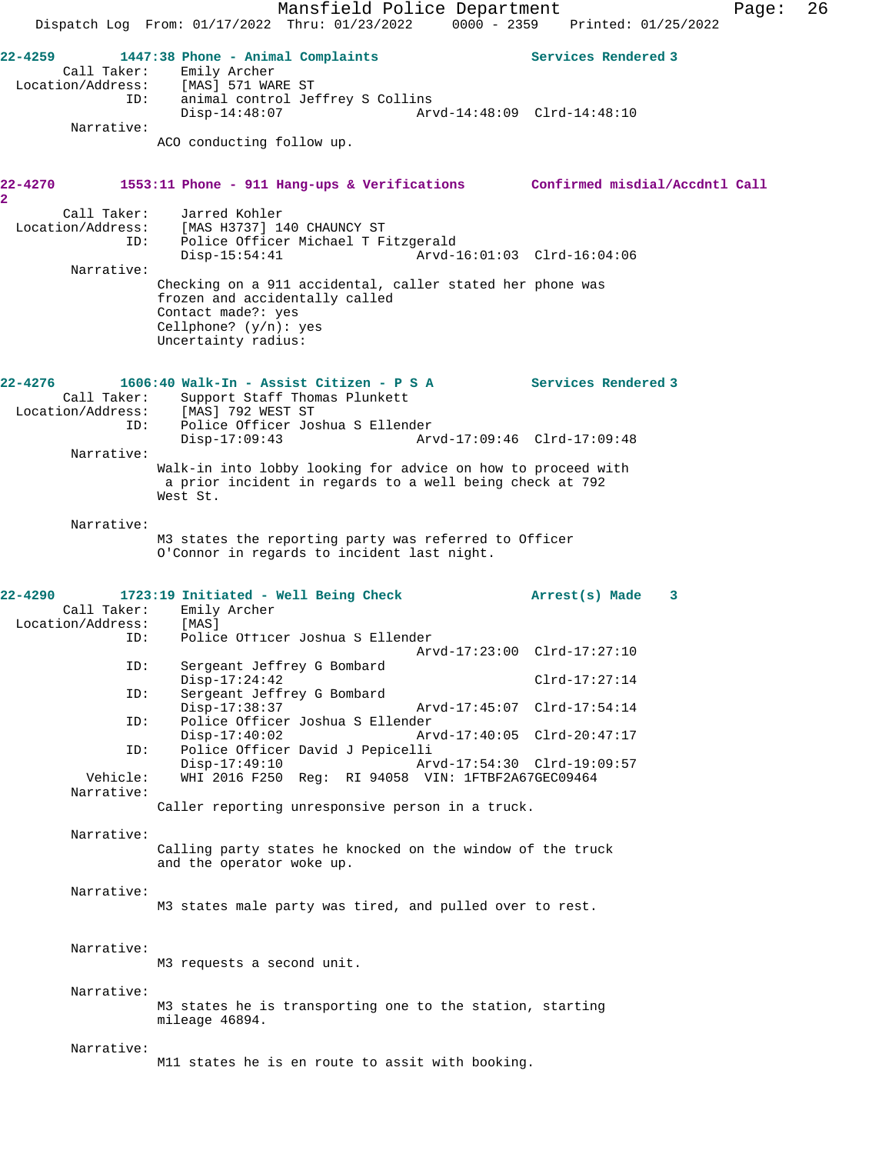Mansfield Police Department Fage: 26 Dispatch Log From: 01/17/2022 Thru: 01/23/2022 0000 - 2359 Printed: 01/25/2022 **22-4259 1447:38 Phone - Animal Complaints Services Rendered 3**  Call Taker: Emily Archer<br>Location/Address: [MAS] 571 WAR ess: [MAS] 571 WARE ST<br>ID: animal control Jef animal control Jeffrey S Collins Disp-14:48:07 Arvd-14:48:09 Clrd-14:48:10 Narrative: ACO conducting follow up. **22-4270 1553:11 Phone - 911 Hang-ups & Verifications Confirmed misdial/Accdntl Call 2**  Call Taker: Jarred Kohler Location/Address: [MAS H3737] 140 CHAUNCY ST ID: Police Officer Michael T Fitzgerald Disp-15:54:41 Arvd-16:01:03 Clrd-16:04:06 Narrative: Checking on a 911 accidental, caller stated her phone was frozen and accidentally called Contact made?: yes Cellphone? (y/n): yes Uncertainty radius: **22-4276 1606:40 Walk-In - Assist Citizen - P S A Services Rendered 3**  Call Taker: Support Staff Thomas Plunkett<br>ion/Address: [MAS] 792 WEST ST Location/Address: ID: Police Officer Joshua S Ellender Disp-17:09:43 Arvd-17:09:46 Clrd-17:09:48 Narrative: Walk-in into lobby looking for advice on how to proceed with a prior incident in regards to a well being check at 792 West St. Narrative: M3 states the reporting party was referred to Officer O'Connor in regards to incident last night. **22-4290 1723:19 Initiated - Well Being Check Arrest(s) Made 3**  Call Taker: Emily Archer<br>.on/Address: [MAS] Location/Address: ID: Police Officer Joshua S Ellender Arvd-17:23:00 Clrd-17:27:10<br>ID: Sergeant Jeffrey G Bombard Sergeant Jeffrey G Bombard Disp-17:24:42 Clrd-17:27:14<br>TD: Sergeant Jeffrey G Bombard Sergeant Jeffrey G Bombard Disp-17:38:37 Arvd-17:45:07 Clrd-17:54:14<br>TD: Police Officer Joshua S Ellender Police Officer Joshua S Ellender<br>Disp-17:40:02 Ar Disp-17:40:02 Arvd-17:40:05 Clrd-20:47:17 ID: Police Officer David J Pepicelli Disp-17:49:10 Arvd-17:54:30 Clrd-19:09:57 Vehicle: WHI 2016 F250 Reg: RI 94058 VIN: 1FTBF2A67GEC09464 Narrative: Caller reporting unresponsive person in a truck. Narrative: Calling party states he knocked on the window of the truck and the operator woke up. Narrative: M3 states male party was tired, and pulled over to rest. Narrative: M3 requests a second unit. Narrative: M3 states he is transporting one to the station, starting mileage 46894. Narrative: M11 states he is en route to assit with booking.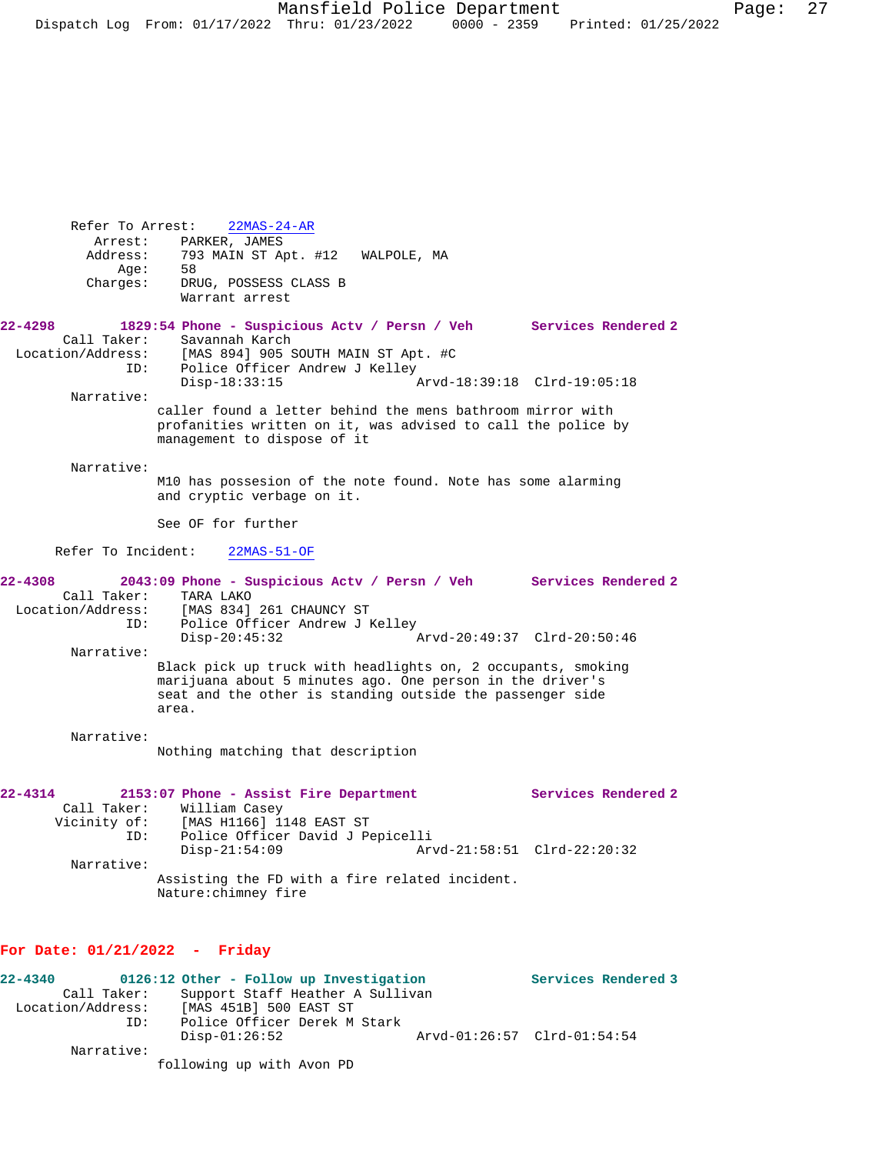Refer To Arrest: 22MAS-24-AR Arrest: PARKER, JAMES Address: 793 MAIN ST Apt. #12 WALPOLE, MA Age: 58 Charges: DRUG, POSSESS CLASS B Warrant arrest **22-4298 1829:54 Phone - Suspicious Actv / Persn / Veh Services Rendered 2**  Call Taker: Savannah Karch<br>Location/Address: [MAS 894] 905 9 ess: [MAS 894] 905 SOUTH MAIN ST Apt. #C<br>ID: Police Officer Andrew J Kelley Police Officer Andrew J Kelley<br>Disp-18:33:15 Disp-18:33:15 Arvd-18:39:18 Clrd-19:05:18 Narrative: caller found a letter behind the mens bathroom mirror with profanities written on it, was advised to call the police by management to dispose of it Narrative: M10 has possesion of the note found. Note has some alarming and cryptic verbage on it. See OF for further Refer To Incident: 22MAS-51-OF **22-4308 2043:09 Phone - Suspicious Actv / Persn / Veh Services Rendered 2**  Call Taker: TARA LAKO<br>Location/Address: [MAS 834] [MAS 834] 261 CHAUNCY ST ID: Police Officer Andrew J Kelley<br>Disp-20:45:32 Disp-20:45:32 Arvd-20:49:37 Clrd-20:50:46 Narrative: Black pick up truck with headlights on, 2 occupants, smoking marijuana about 5 minutes ago. One person in the driver's seat and the other is standing outside the passenger side area. Narrative: Nothing matching that description **22-4314 2153:07 Phone - Assist Fire Department Services Rendered 2**  Call Taker: William Casey Vicinity of: [MAS H1166] 1148 EAST ST ID: Police Officer David J Pepicelli Disp-21:54:09 Arvd-21:58:51 Clrd-22:20:32 Narrative: Assisting the FD with a fire related incident. Nature:chimney fire

## **For Date: 01/21/2022 - Friday**

| $22 - 4340$       |             | 0126:12 Other - Follow up Investigation |                             | Services Rendered 3 |
|-------------------|-------------|-----------------------------------------|-----------------------------|---------------------|
|                   | Call Taker: | Support Staff Heather A Sullivan        |                             |                     |
| Location/Address: |             | [MAS 451B] 500 EAST ST                  |                             |                     |
|                   | ID:         | Police Officer Derek M Stark            |                             |                     |
|                   |             | Disp-01:26:52                           | Arvd-01:26:57 Clrd-01:54:54 |                     |
|                   | Narrative:  |                                         |                             |                     |
|                   |             | following up with Avon PD               |                             |                     |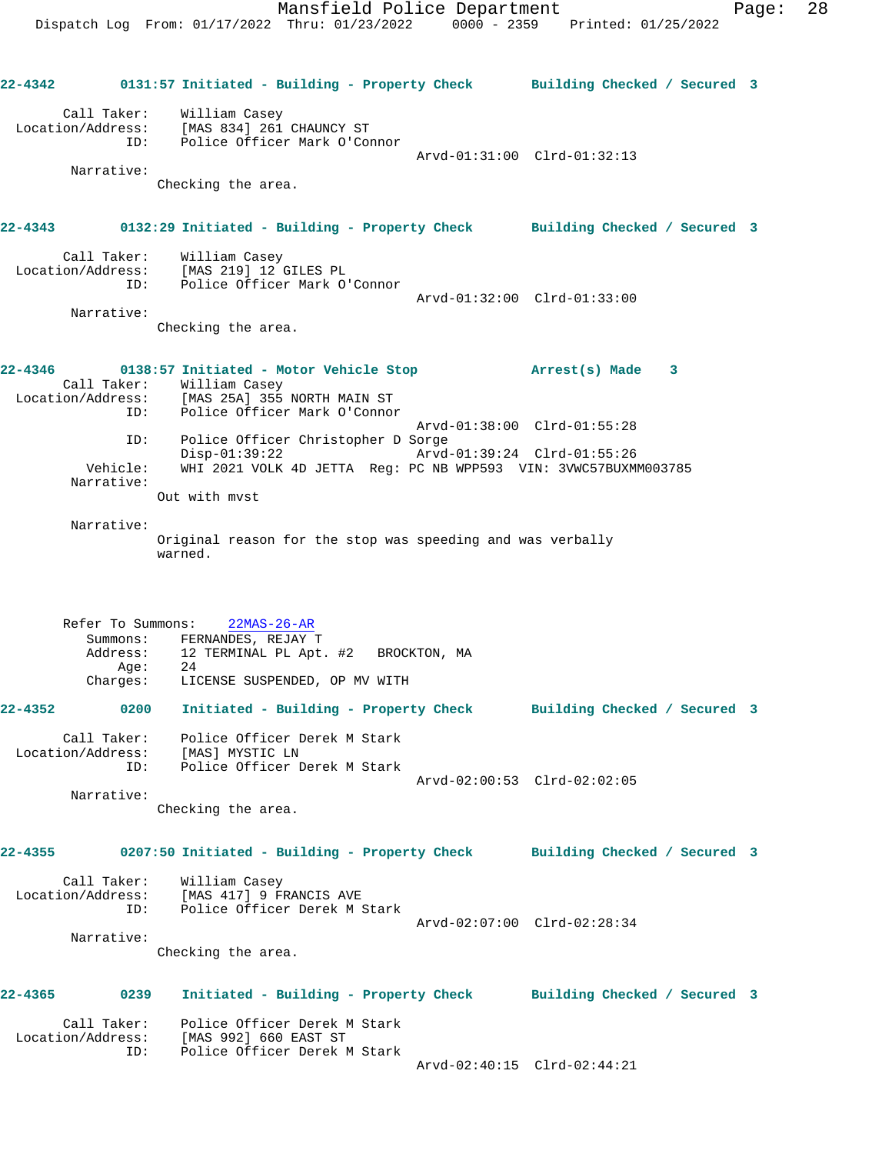**22-4342 0131:57 Initiated - Building - Property Check Building Checked / Secured 3** Call Taker: William Casey Location/Address: [MAS 834] 261 CHAUNCY ST ID: Police Officer Mark O'Connor Arvd-01:31:00 Clrd-01:32:13 Narrative: Checking the area. **22-4343 0132:29 Initiated - Building - Property Check Building Checked / Secured 3** Call Taker: William Casey Location/Address: [MAS 219] 12 GILES PL ID: Police Officer Mark O'Connor Arvd-01:32:00 Clrd-01:33:00 Narrative: Checking the area. **22-4346 0138:57 Initiated - Motor Vehicle Stop Arrest(s) Made 3**  Call Taker: William Casey Location/Address: [MAS 25A] 355 NORTH MAIN ST ID: Police Officer Mark O'Connor Arvd-01:38:00 Clrd-01:55:28 ID: Police Officer Christopher D Sorge Disp-01:39:22 Arvd-01:39:24 Clrd-01:55:26 Vehicle: WHI 2021 VOLK 4D JETTA Reg: PC NB WPP593 VIN: 3VWC57BUXMM003785 Narrative: Out with mvst Narrative: Original reason for the stop was speeding and was verbally warned. Refer To Summons: 22MAS-26-AR Summons: FERNANDES, REJAY T<br>Address: 12 TERMINAL PL Apt. 12 TERMINAL PL Apt. #2 BROCKTON, MA<br>24 Age: Charges: LICENSE SUSPENDED, OP MV WITH **22-4352 0200 Initiated - Building - Property Check Building Checked / Secured 3** Call Taker: Police Officer Derek M Stark Location/Address: [MAS] MYSTIC LN ID: Police Officer Derek M Stark Arvd-02:00:53 Clrd-02:02:05 Narrative: Checking the area. **22-4355 0207:50 Initiated - Building - Property Check Building Checked / Secured 3** Call Taker: William Casey Location/Address: [MAS 417] 9 FRANCIS AVE ID: Police Officer Derek M Stark Arvd-02:07:00 Clrd-02:28:34 Narrative: Checking the area. **22-4365 0239 Initiated - Building - Property Check Building Checked / Secured 3** Call Taker: Police Officer Derek M Stark Location/Address: [MAS 992] 660 EAST ST ID: Police Officer Derek M Stark Arvd-02:40:15 Clrd-02:44:21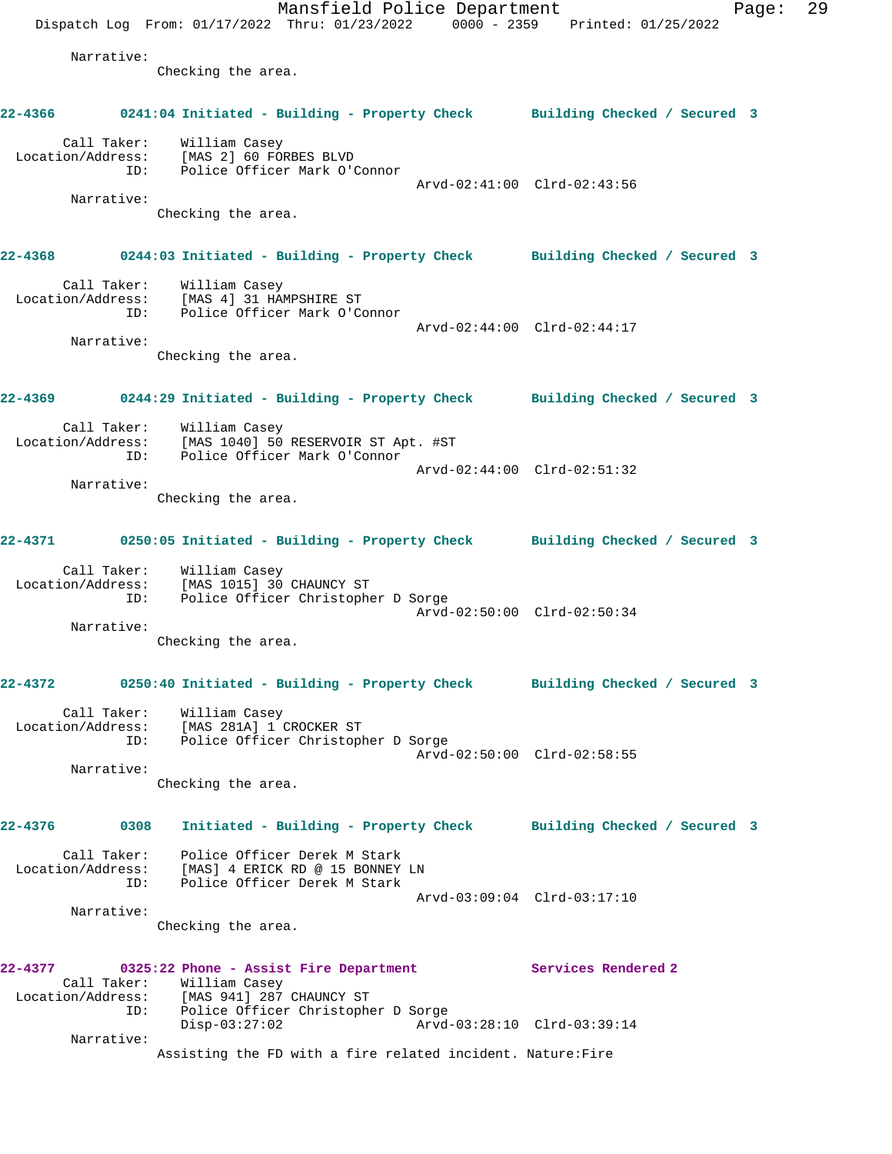Mansfield Police Department Fage: 29 Dispatch Log From: 01/17/2022 Thru: 01/23/2022 0000 - 2359 Printed: 01/25/2022 Narrative: Checking the area. **22-4366 0241:04 Initiated - Building - Property Check Building Checked / Secured 3** Call Taker: William Casey Location/Address: [MAS 2] 60 FORBES BLVD ID: Police Officer Mark O'Connor Arvd-02:41:00 Clrd-02:43:56 Narrative: Checking the area. **22-4368 0244:03 Initiated - Building - Property Check Building Checked / Secured 3** Call Taker: William Casey Location/Address: [MAS 4] 31 HAMPSHIRE ST ID: Police Officer Mark O'Connor Arvd-02:44:00 Clrd-02:44:17 Narrative: Checking the area. **22-4369 0244:29 Initiated - Building - Property Check Building Checked / Secured 3** Call Taker: William Casey Location/Address: [MAS 1040] 50 RESERVOIR ST Apt. #ST ID: Police Officer Mark O'Connor Arvd-02:44:00 Clrd-02:51:32 Narrative: Checking the area. **22-4371 0250:05 Initiated - Building - Property Check Building Checked / Secured 3** Call Taker: William Casey Location/Address: [MAS 1015] 30 CHAUNCY ST ID: Police Officer Christopher D Sorge Arvd-02:50:00 Clrd-02:50:34 Narrative: Checking the area. **22-4372 0250:40 Initiated - Building - Property Check Building Checked / Secured 3** Call Taker: William Casey Location/Address: [MAS 281A] 1 CROCKER ST ID: Police Officer Christopher D Sorge Arvd-02:50:00 Clrd-02:58:55 Narrative: Checking the area. **22-4376 0308 Initiated - Building - Property Check Building Checked / Secured 3** Call Taker: Police Officer Derek M Stark Location/Address: [MAS] 4 ERICK RD @ 15 BONNEY LN ID: Police Officer Derek M Stark Arvd-03:09:04 Clrd-03:17:10 Narrative: Checking the area. **22-4377 0325:22 Phone - Assist Fire Department Services Rendered 2**  Call Taker: William Casey Location/Address: [MAS 941] 287 CHAUNCY ST ID: Police Officer Christopher D Sorge<br>Disp-03:27:02 Arvd- Disp-03:27:02 Arvd-03:28:10 Clrd-03:39:14 Narrative: Assisting the FD with a fire related incident. Nature:Fire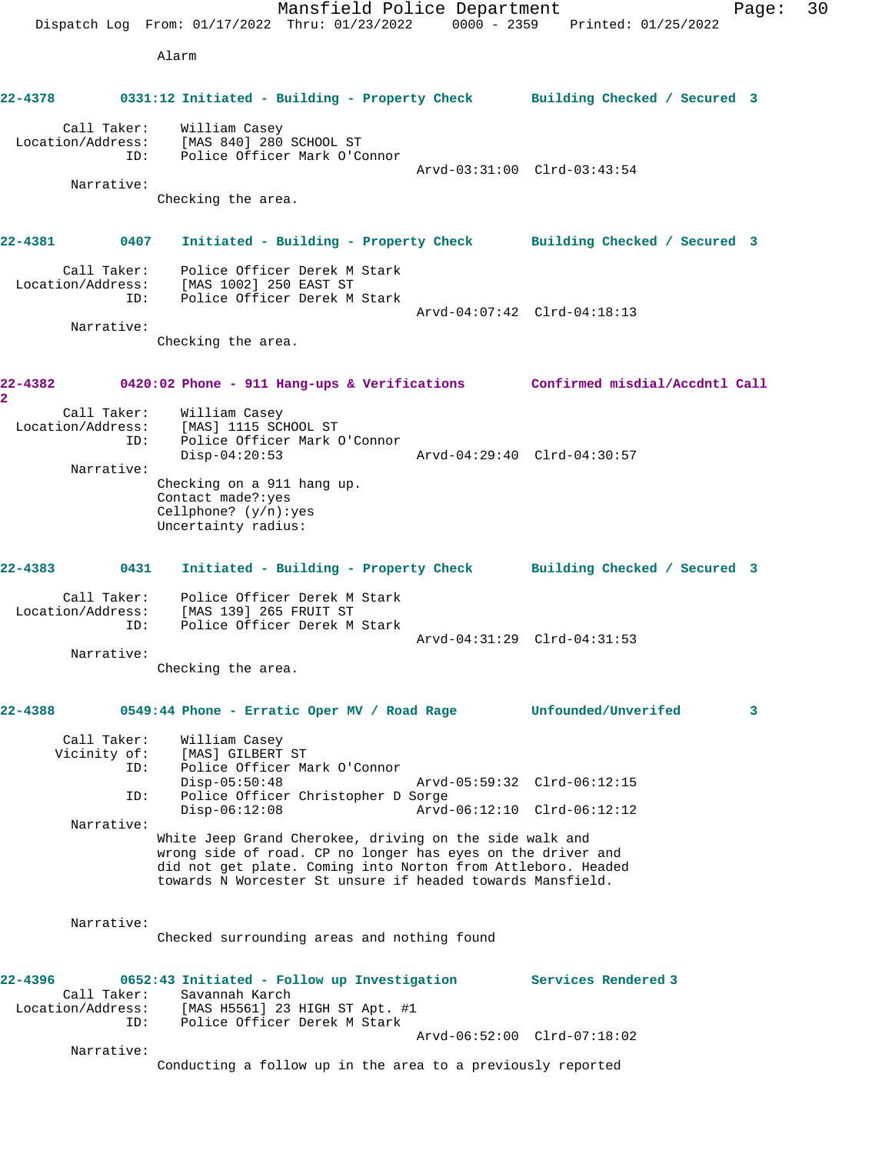Mansfield Police Department Fage: 30 Dispatch Log From: 01/17/2022 Thru: 01/23/2022 0000 - 2359 Printed: 01/25/2022 Alarm **22-4378 0331:12 Initiated - Building - Property Check Building Checked / Secured 3** Call Taker: William Casey Location/Address: [MAS 840] 280 SCHOOL ST ID: Police Officer Mark O'Connor Arvd-03:31:00 Clrd-03:43:54 Narrative: Checking the area. **22-4381 0407 Initiated - Building - Property Check Building Checked / Secured 3** Call Taker: Police Officer Derek M Stark Location/Address: [MAS 1002] 250 EAST ST ID: Police Officer Derek M Stark Arvd-04:07:42 Clrd-04:18:13 Narrative: Checking the area. **22-4382 0420:02 Phone - 911 Hang-ups & Verifications Confirmed misdial/Accdntl Call 2**  Call Taker: William Casey Location/Address: [MAS] 1115 SCHOOL ST ID: Police Officer Mark O'Connor Disp-04:20:53 Arvd-04:29:40 Clrd-04:30:57 Narrative: Checking on a 911 hang up. Contact made?:yes Cellphone? (y/n):yes Uncertainty radius: **22-4383 0431 Initiated - Building - Property Check Building Checked / Secured 3** Call Taker: Police Officer Derek M Stark Location/Address: [MAS 139] 265 FRUIT ST ID: Police Officer Derek M Stark Arvd-04:31:29 Clrd-04:31:53 Narrative: Checking the area. **22-4388 0549:44 Phone - Erratic Oper MV / Road Rage Unfounded/Unverifed 3** Call Taker: William Casey<br>Vicinity of: [MAS] GILBERT Of: [MAS] GILBERT ST<br>ID: Police Officer Ma Police Officer Mark O'Connor Disp-05:50:48 Arvd-05:59:32 Clrd-06:12:15 ID: Police Officer Christopher D Sorge Disp-06:12:08 Arvd-06:12:10 Clrd-06:12:12 Narrative: White Jeep Grand Cherokee, driving on the side walk and wrong side of road. CP no longer has eyes on the driver and did not get plate. Coming into Norton from Attleboro. Headed towards N Worcester St unsure if headed towards Mansfield. Narrative: Checked surrounding areas and nothing found **22-4396 0652:43 Initiated - Follow up Investigation Services Rendered 3**  Call Taker: Savannah Karch Location/Address: [MAS H5561] 23 HIGH ST Apt. #1 ID: Police Officer Derek M Stark Arvd-06:52:00 Clrd-07:18:02 Narrative: Conducting a follow up in the area to a previously reported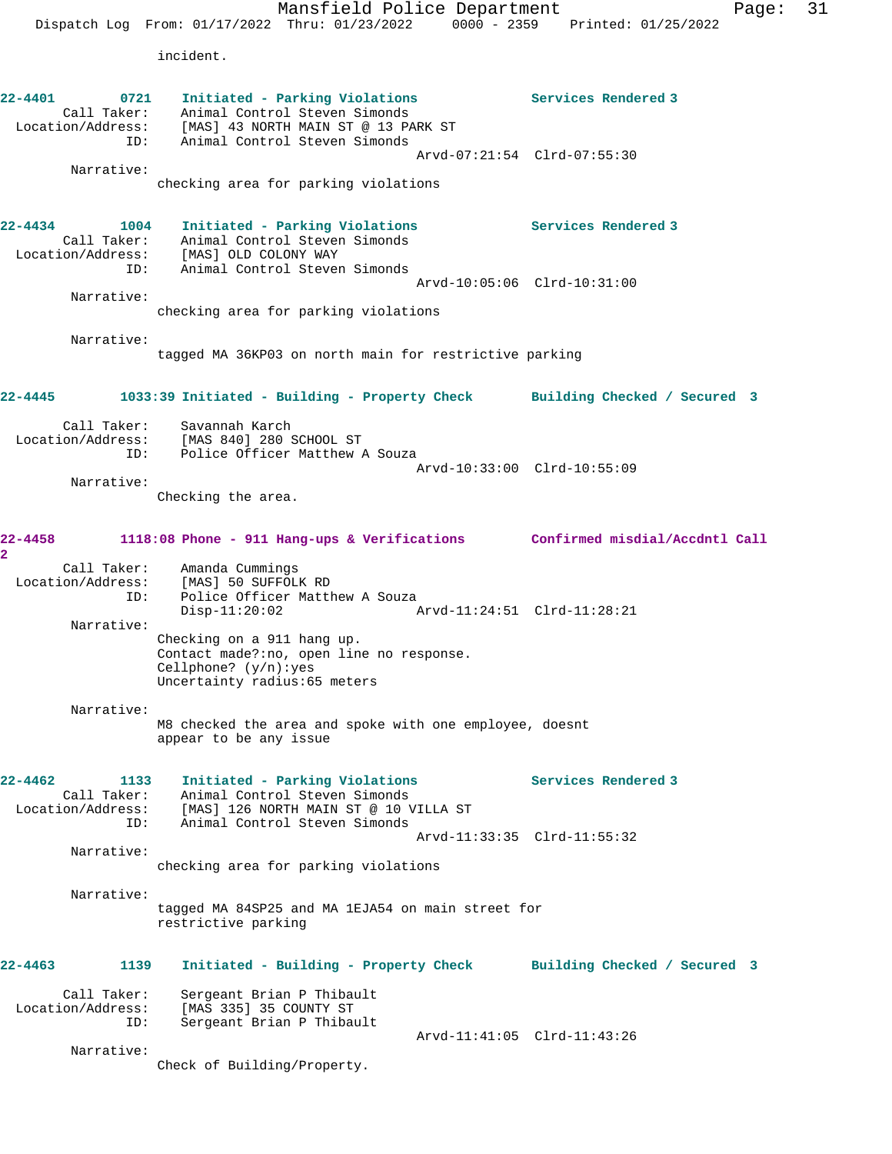Mansfield Police Department Page: 31 Dispatch Log From: 01/17/2022 Thru: 01/23/2022 0000 - 2359 Printed: 01/25/2022 incident. **22-4401 0721 Initiated - Parking Violations Services Rendered 3**  Call Taker: Animal Control Steven Simonds Location/Address: [MAS] 43 NORTH MAIN ST @ 13 PARK ST ID: Animal Control Steven Simonds Arvd-07:21:54 Clrd-07:55:30 Narrative: checking area for parking violations **22-4434 1004 Initiated - Parking Violations Services Rendered 3**  Call Taker: Animal Control Steven Simonds Location/Address: [MAS] OLD COLONY WAY ID: Animal Control Steven Simonds Arvd-10:05:06 Clrd-10:31:00 Narrative: checking area for parking violations Narrative: tagged MA 36KP03 on north main for restrictive parking **22-4445 1033:39 Initiated - Building - Property Check Building Checked / Secured 3** Call Taker: Savannah Karch Location/Address: [MAS 840] 280 SCHOOL ST ID: Police Officer Matthew A Souza Arvd-10:33:00 Clrd-10:55:09 Narrative: Checking the area. **22-4458 1118:08 Phone - 911 Hang-ups & Verifications Confirmed misdial/Accdntl Call 2**  Call Taker: Amanda Cummings Location/Address: [MAS] 50 SUFFOLK RD ID: Police Officer Matthew A Souza<br>Disp-11:20:02 A Disp-11:20:02 Arvd-11:24:51 Clrd-11:28:21 Narrative: Checking on a 911 hang up. Contact made?:no, open line no response. Cellphone? (y/n):yes Uncertainty radius:65 meters Narrative: M8 checked the area and spoke with one employee, doesnt appear to be any issue **22-4462 1133 Initiated - Parking Violations Services Rendered 3** 

| 22–4462           | 1133        | Initiated - Parking Violations        | Services Rendered 3 |  |
|-------------------|-------------|---------------------------------------|---------------------|--|
|                   | Call Taker: | Animal Control Steven Simonds         |                     |  |
| Location/Address: |             | [MAS] 126 NORTH MAIN ST @ 10 VILLA ST |                     |  |
|                   | TD:         | Animal Control Steven Simonds         |                     |  |
|                   |             | Arvd-11:33:35 Clrd-11:55:32           |                     |  |
|                   | Narrative:  |                                       |                     |  |

checking area for parking violations

Narrative:

tagged MA 84SP25 and MA 1EJA54 on main street for restrictive parking

**22-4463 1139 Initiated - Building - Property Check Building Checked / Secured 3** Call Taker: Sergeant Brian P Thibault Location/Address: [MAS 335] 35 COUNTY ST ID: Sergeant Brian P Thibault Arvd-11:41:05 Clrd-11:43:26 Narrative:

Check of Building/Property.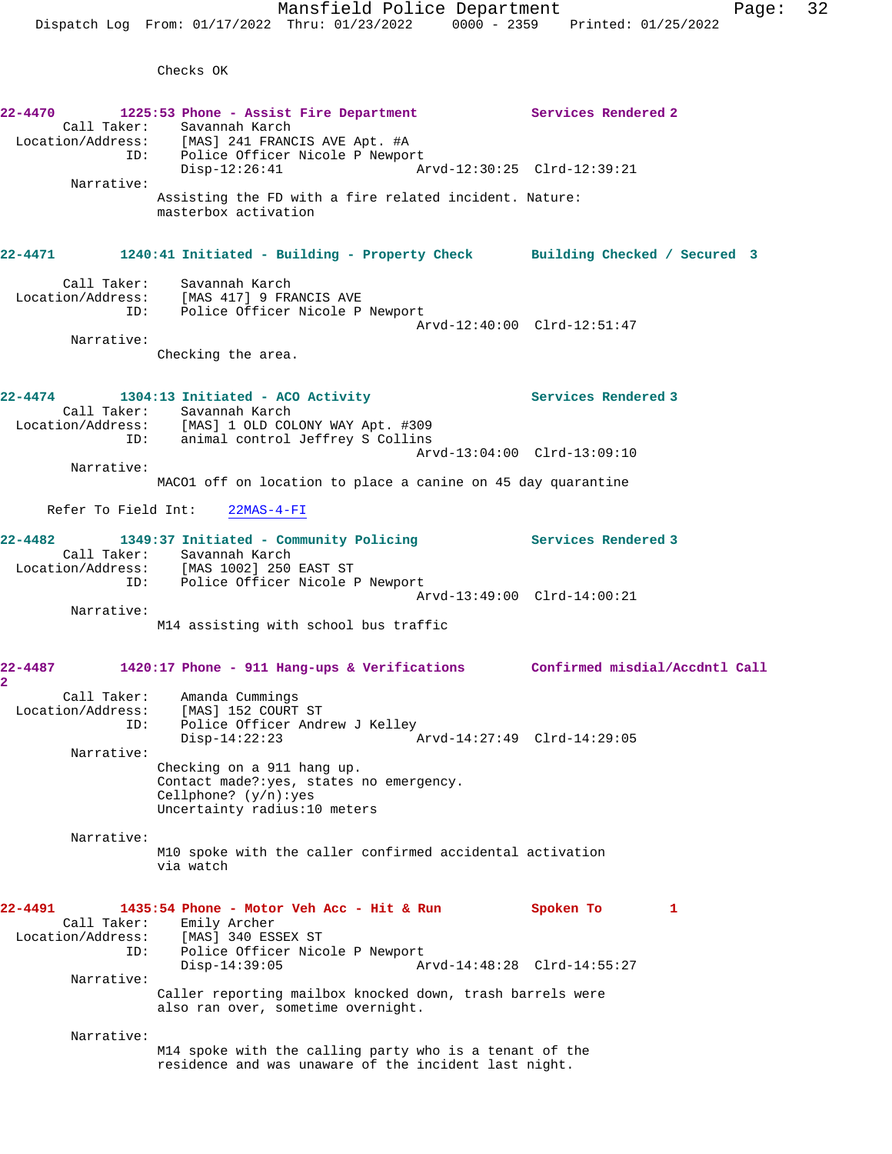Checks OK

**22-4470 1225:53 Phone - Assist Fire Department Services Rendered 2**  Call Taker: Savannah Karch Location/Address: [MAS] 241 FRANCIS AVE Apt. #A ID: Police Officer Nicole P Newport<br>Disp-12:26:41 Ar Disp-12:26:41 Arvd-12:30:25 Clrd-12:39:21 Narrative: Assisting the FD with a fire related incident. Nature: masterbox activation **22-4471 1240:41 Initiated - Building - Property Check Building Checked / Secured 3** Call Taker: Savannah Karch Location/Address: [MAS 417] 9 FRANCIS AVE ID: Police Officer Nicole P Newport Arvd-12:40:00 Clrd-12:51:47 Narrative: Checking the area. **22-4474 1304:13 Initiated - ACO Activity Services Rendered 3**  Call Taker: Savannah Karch Location/Address: [MAS] 1 OLD COLONY WAY Apt. #309 ID: animal control Jeffrey S Collins Arvd-13:04:00 Clrd-13:09:10 Narrative: MACO1 off on location to place a canine on 45 day quarantine Refer To Field Int: 22MAS-4-FI **22-4482 1349:37 Initiated - Community Policing Services Rendered 3**  Call Taker: Savannah Karch<br>Location/Address: [MAS 1002] 250 [MAS 1002] 250 EAST ST ID: Police Officer Nicole P Newport Arvd-13:49:00 Clrd-14:00:21 Narrative: M14 assisting with school bus traffic **22-4487 1420:17 Phone - 911 Hang-ups & Verifications Confirmed misdial/Accdntl Call 2**  Call Taker: Amanda Cummings Location/Address: [MAS] 152 COURT ST ID: Police Officer Andrew J Kelley<br>Disp-14:22:23 Arvd-14:27:49 Clrd-14:29:05  $Disp-14:22:23$  Narrative: Checking on a 911 hang up. Contact made?:yes, states no emergency. Cellphone? (y/n):yes Uncertainty radius:10 meters Narrative: M10 spoke with the caller confirmed accidental activation via watch **22-4491 1435:54 Phone - Motor Veh Acc - Hit & Run Spoken To 1**  Call Taker: Emily Archer Location/Address: [MAS] 340 ESSEX ST ID: Police Officer Nicole P Newport<br>Disp-14:39:05 Ar Disp-14:39:05 Arvd-14:48:28 Clrd-14:55:27 Narrative: Caller reporting mailbox knocked down, trash barrels were also ran over, sometime overnight. Narrative: M14 spoke with the calling party who is a tenant of the residence and was unaware of the incident last night.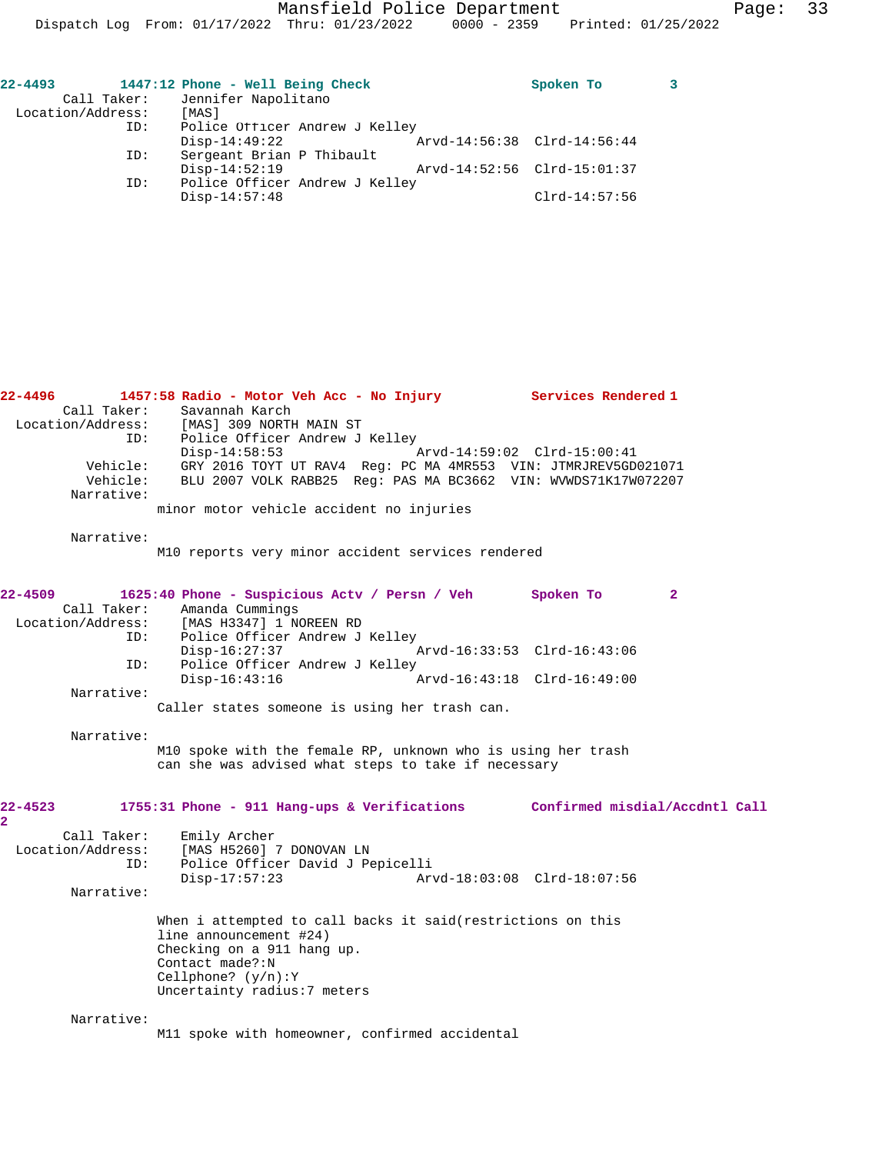Mansfield Police Department Page: 33

Dispatch Log From: 01/17/2022 Thru: 01/23/2022 0000 - 2359 Printed: 01/25/2022

| $22 - 4493$       | 1447:12 Phone - Well Being Check | Spoken To                   |  |
|-------------------|----------------------------------|-----------------------------|--|
| Call Taker:       | Jennifer Napolitano              |                             |  |
| Location/Address: | [MAS]                            |                             |  |
| ID:               | Police Officer Andrew J Kelley   |                             |  |
|                   | $Disp-14:49:22$                  | Arvd-14:56:38 Clrd-14:56:44 |  |
| ID:               | Sergeant Brian P Thibault        |                             |  |
|                   | $Disp-14:52:19$                  | Arvd-14:52:56 Clrd-15:01:37 |  |
| ID:               | Police Officer Andrew J Kelley   |                             |  |
|                   | $Disp-14:57:48$                  | $Clrd-14:57:56$             |  |
|                   |                                  |                             |  |

| 22-4496                   |                      | 1457:58 Radio - Motor Veh Acc - No Injury                                                                                        | Services Rendered 1         |  |
|---------------------------|----------------------|----------------------------------------------------------------------------------------------------------------------------------|-----------------------------|--|
|                           | Call Taker:          | Savannah Karch                                                                                                                   |                             |  |
|                           |                      | Location/Address: [MAS] 309 NORTH MAIN ST<br>ID:                                                                                 |                             |  |
|                           |                      | Police Officer Andrew J Kelley                                                                                                   |                             |  |
|                           |                      | $Disp-14:58:53$                                                                                                                  | Arvd-14:59:02 Clrd-15:00:41 |  |
|                           | Vehicle:<br>Vehicle: | GRY 2016 TOYT UT RAV4 Req: PC MA 4MR553 VIN: JTMRJREV5GD021071<br>BLU 2007 VOLK RABB25 Reg: PAS MA BC3662 VIN: WVWDS71K17W072207 |                             |  |
|                           | Narrative:           |                                                                                                                                  |                             |  |
|                           |                      | minor motor vehicle accident no injuries                                                                                         |                             |  |
|                           |                      |                                                                                                                                  |                             |  |
|                           | Narrative:           |                                                                                                                                  |                             |  |
|                           |                      | M10 reports very minor accident services rendered                                                                                |                             |  |
| 22-4509                   |                      | 1625:40 Phone - Suspicious Actv / Persn / Veh                                                                                    | Spoken To<br>$\overline{a}$ |  |
|                           | Call Taker:          | Amanda Cummings                                                                                                                  |                             |  |
|                           |                      | Location/Address: [MAS H3347] 1 NOREEN RD                                                                                        |                             |  |
|                           | ID:                  | Police Officer Andrew J Kelley                                                                                                   |                             |  |
|                           |                      | Disp-16:27:37                                                                                                                    | Arvd-16:33:53 Clrd-16:43:06 |  |
|                           | ID:                  | Police Officer Andrew J Kelley                                                                                                   |                             |  |
|                           |                      | $Disp-16:43:16$                                                                                                                  | Arvd-16:43:18 Clrd-16:49:00 |  |
|                           | Narrative:           |                                                                                                                                  |                             |  |
|                           |                      | Caller states someone is using her trash can.                                                                                    |                             |  |
|                           | Narrative:           |                                                                                                                                  |                             |  |
|                           |                      | M10 spoke with the female RP, unknown who is using her trash<br>can she was advised what steps to take if necessary              |                             |  |
|                           |                      |                                                                                                                                  |                             |  |
| 22-4523<br>$\overline{2}$ |                      | 1755:31 Phone - 911 Hang-ups & Verifications Confirmed misdial/Accdntl Call                                                      |                             |  |
|                           | Call Taker:          | Emily Archer                                                                                                                     |                             |  |
|                           | Location/Address:    | [MAS H5260] 7 DONOVAN LN                                                                                                         |                             |  |
|                           | ID:                  | Police Officer David J Pepicelli                                                                                                 |                             |  |
|                           |                      | $Disp-17:57:23$                                                                                                                  | Arvd-18:03:08 Clrd-18:07:56 |  |
|                           | Narrative:           |                                                                                                                                  |                             |  |
|                           |                      |                                                                                                                                  |                             |  |
|                           |                      | When i attempted to call backs it said(restrictions on this                                                                      |                             |  |
|                           |                      | line announcement #24)                                                                                                           |                             |  |
|                           |                      | Checking on a 911 hang up.                                                                                                       |                             |  |
|                           |                      | Contact made?:N                                                                                                                  |                             |  |
|                           |                      | Cellphone? $(y/n):Y$                                                                                                             |                             |  |
|                           |                      | Uncertainty radius: 7 meters                                                                                                     |                             |  |
|                           | Narrative:           |                                                                                                                                  |                             |  |
|                           |                      | M11 spoke with homeowner, confirmed accidental                                                                                   |                             |  |
|                           |                      |                                                                                                                                  |                             |  |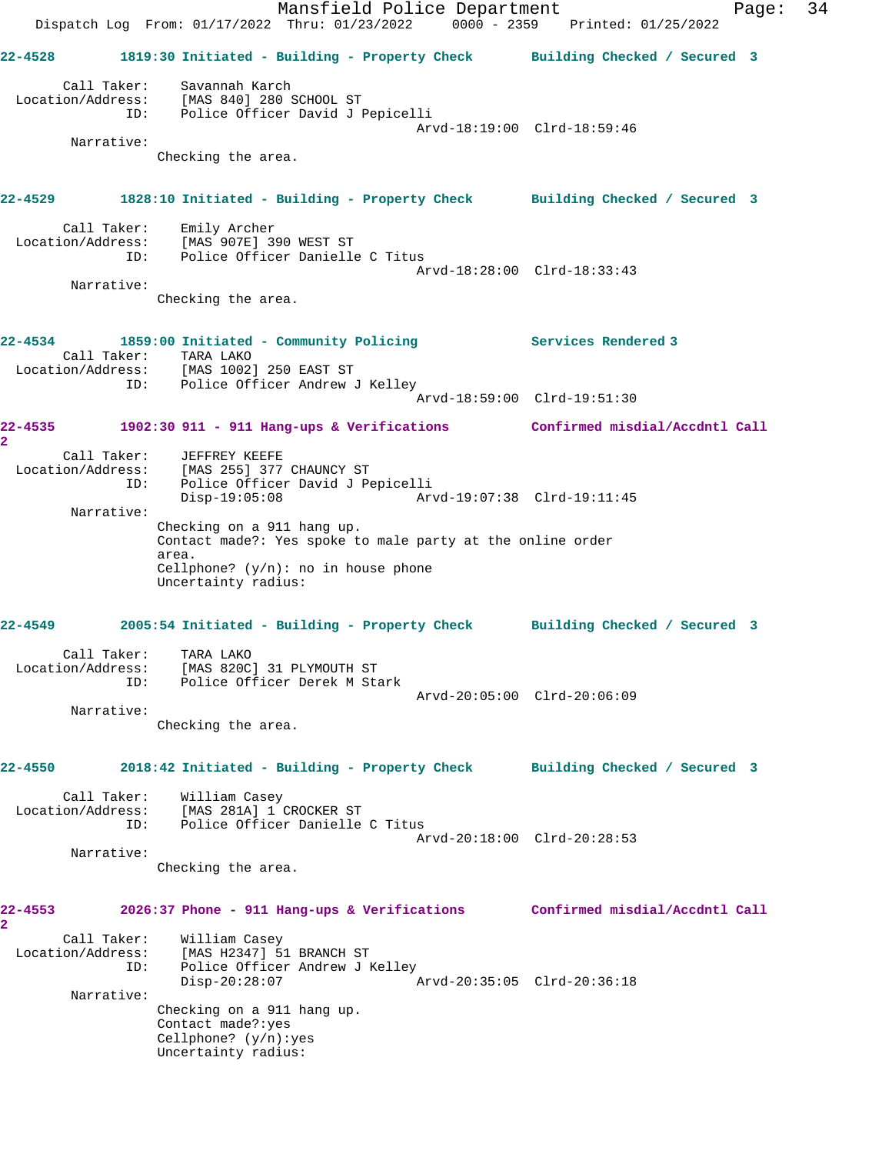Mansfield Police Department Page: 34 Dispatch Log From: 01/17/2022 Thru: 01/23/2022 0000 - 2359 Printed: 01/25/2022 **22-4528 1819:30 Initiated - Building - Property Check Building Checked / Secured 3** Call Taker: Savannah Karch Location/Address: [MAS 840] 280 SCHOOL ST ID: Police Officer David J Pepicelli Arvd-18:19:00 Clrd-18:59:46 Narrative: Checking the area. **22-4529 1828:10 Initiated - Building - Property Check Building Checked / Secured 3** Call Taker: Emily Archer Location/Address: [MAS 907E] 390 WEST ST ID: Police Officer Danielle C Titus Arvd-18:28:00 Clrd-18:33:43 Narrative: Checking the area. **22-4534 1859:00 Initiated - Community Policing Services Rendered 3**  Call Taker: TARA LAKO Location/Address: [MAS 1002] 250 EAST ST ID: Police Officer Andrew J Kelley Arvd-18:59:00 Clrd-19:51:30 **22-4535 1902:30 911 - 911 Hang-ups & Verifications Confirmed misdial/Accdntl Call 2**  Call Taker: JEFFREY KEEFE Location/Address: [MAS 255] 377 CHAUNCY ST ID: Police Officer David J Pepicelli Disp-19:05:08 Arvd-19:07:38 Clrd-19:11:45 Narrative: Checking on a 911 hang up. Contact made?: Yes spoke to male party at the online order area. Cellphone?  $(y/n)$ : no in house phone Uncertainty radius: **22-4549 2005:54 Initiated - Building - Property Check Building Checked / Secured 3** Call Taker: TARA LAKO Location/Address: [MAS 820C] 31 PLYMOUTH ST ID: Police Officer Derek M Stark Arvd-20:05:00 Clrd-20:06:09 Narrative: Checking the area. **22-4550 2018:42 Initiated - Building - Property Check Building Checked / Secured 3** Call Taker: William Casey Location/Address: [MAS 281A] 1 CROCKER ST ID: Police Officer Danielle C Titus Arvd-20:18:00 Clrd-20:28:53 Narrative: Checking the area. **22-4553 2026:37 Phone - 911 Hang-ups & Verifications Confirmed misdial/Accdntl Call 2**  Call Taker: William Casey Location/Address: [MAS H2347] 51 BRANCH ST ID: Police Officer Andrew J Kelley<br>Disp-20:28:07 Disp-20:28:07 Arvd-20:35:05 Clrd-20:36:18 Narrative: Checking on a 911 hang up. Contact made?:yes Cellphone? (y/n):yes Uncertainty radius: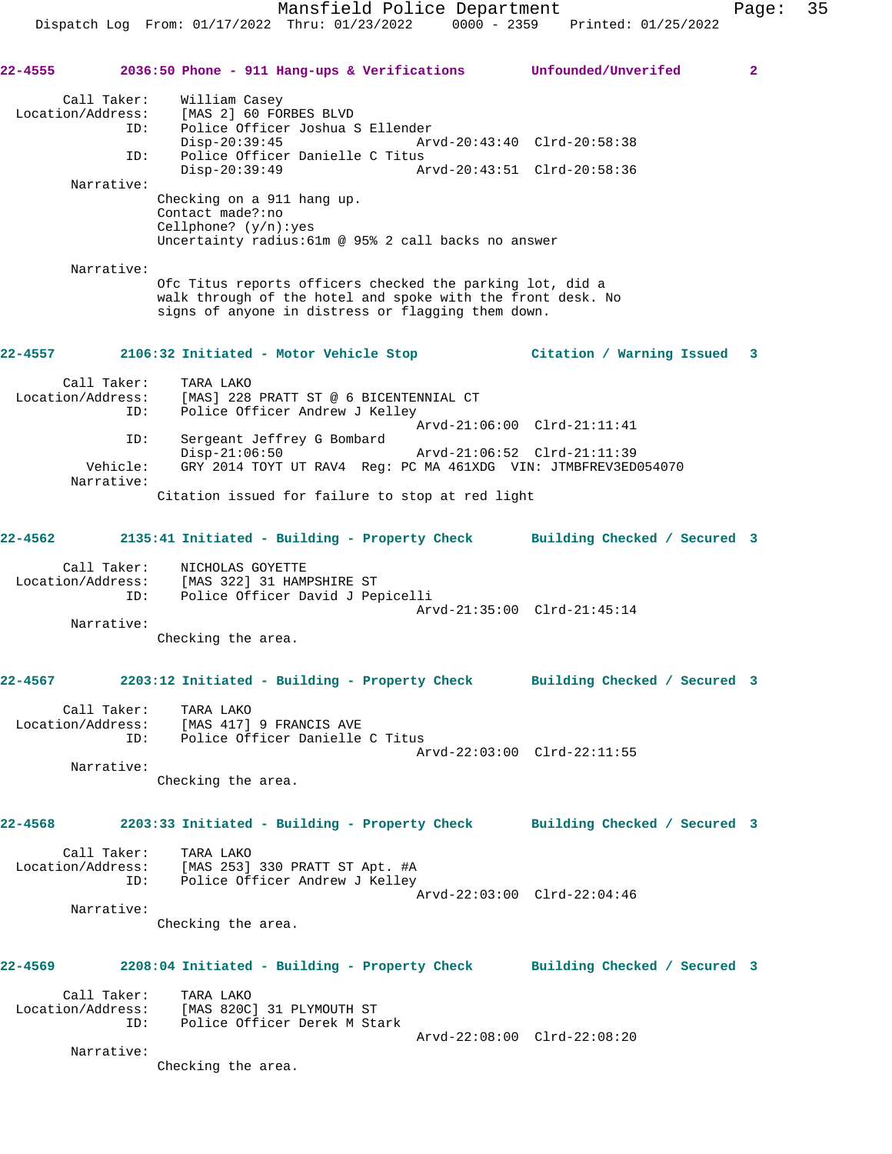**22-4555 2036:50 Phone - 911 Hang-ups & Verifications Unfounded/Unverifed 2**

 Call Taker: William Casey Location/Address: [MAS 2] 60 FORBES BLVD ID: Police Officer Joshua S Ellender<br>Disp-20:39:45 Arv Disp-20:39:45 Arvd-20:43:40 Clrd-20:58:38 ID: Police Officer Danielle C Titus Disp-20:39:49 Arvd-20:43:51 Clrd-20:58:36 Narrative: Checking on a 911 hang up. Contact made?:no Cellphone? (y/n):yes Uncertainty radius:61m @ 95% 2 call backs no answer Narrative: Ofc Titus reports officers checked the parking lot, did a walk through of the hotel and spoke with the front desk. No signs of anyone in distress or flagging them down. **22-4557 2106:32 Initiated - Motor Vehicle Stop Citation / Warning Issued 3** Call Taker: TARA LAKO Location/Address: [MAS] 228 PRATT ST @ 6 BICENTENNIAL CT<br>ID: Police Officer Andrew J Kelley Police Officer Andrew J Kelley Arvd-21:06:00 Clrd-21:11:41 ID: Sergeant Jeffrey G Bombard Disp-21:06:50 Arvd-21:06:52 Clrd-21:11:39 Vehicle: GRY 2014 TOYT UT RAV4 Reg: PC MA 461XDG VIN: JTMBFREV3ED054070 Narrative: Citation issued for failure to stop at red light **22-4562 2135:41 Initiated - Building - Property Check Building Checked / Secured 3** Call Taker: NICHOLAS GOYETTE Location/Address: [MAS 322] 31 HAMPSHIRE ST ID: Police Officer David J Pepicelli Arvd-21:35:00 Clrd-21:45:14 Narrative: Checking the area. **22-4567 2203:12 Initiated - Building - Property Check Building Checked / Secured 3** Call Taker: TARA LAKO Location/Address: [MAS 417] 9 FRANCIS AVE ID: Police Officer Danielle C Titus Arvd-22:03:00 Clrd-22:11:55 Narrative: Checking the area. **22-4568 2203:33 Initiated - Building - Property Check Building Checked / Secured 3** Call Taker: TARA LAKO Location/Address: [MAS 253] 330 PRATT ST Apt. #A ID: Police Officer Andrew J Kelley Arvd-22:03:00 Clrd-22:04:46 Narrative: Checking the area. **22-4569 2208:04 Initiated - Building - Property Check Building Checked / Secured 3** Call Taker: TARA LAKO Location/Address: [MAS 820C] 31 PLYMOUTH ST ID: Police Officer Derek M Stark Arvd-22:08:00 Clrd-22:08:20 Narrative: Checking the area.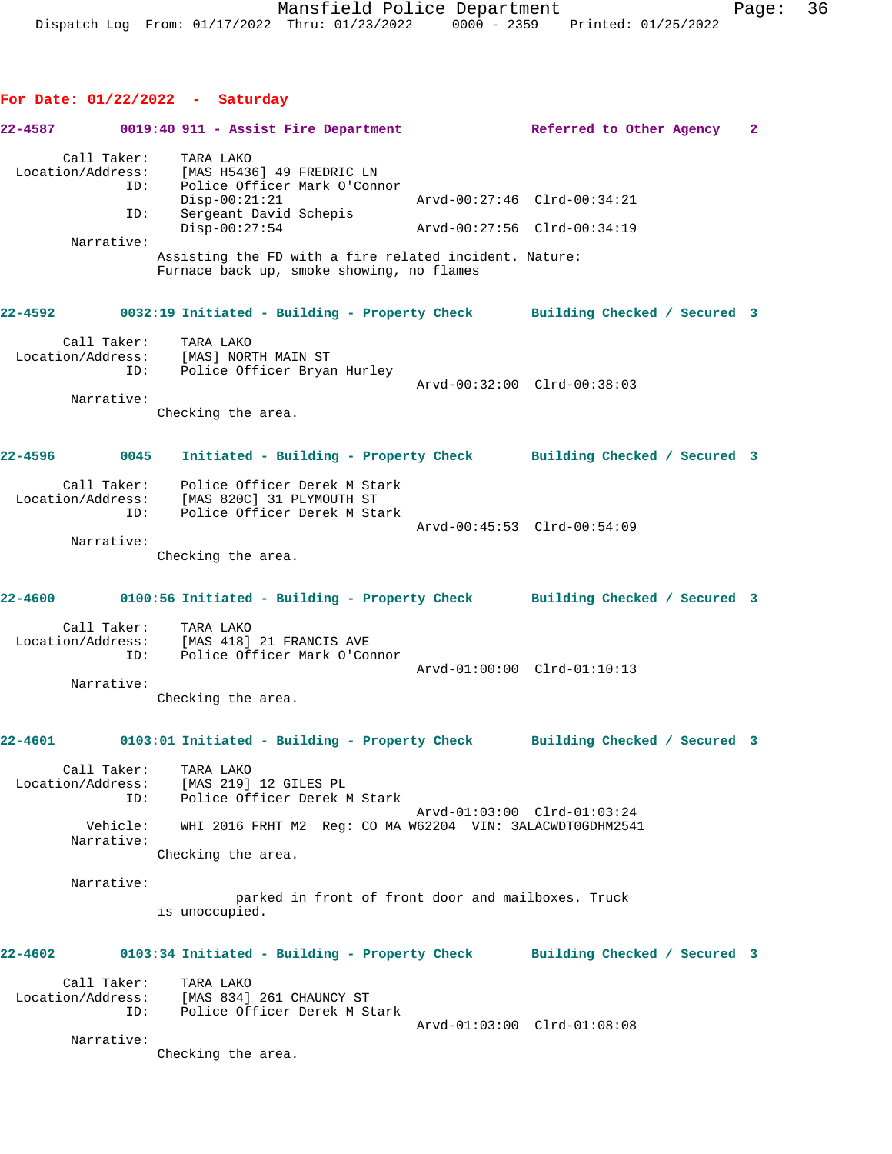## **For Date: 01/22/2022 - Saturday**

| 22-4587                                               | 0019:40 911 - Assist Fire Department                                                                                                  | Referred to Other Agency    | $\mathbf{2}$ |
|-------------------------------------------------------|---------------------------------------------------------------------------------------------------------------------------------------|-----------------------------|--------------|
| Call Taker:<br>ID:<br>ID:                             | TARA LAKO<br>Location/Address: [MAS H5436] 49 FREDRIC LN<br>Police Officer Mark O'Connor<br>$Disp-00:21:21$<br>Sergeant David Schepis | Arvd-00:27:46 Clrd-00:34:21 |              |
| Narrative:                                            | $Disp-00:27:54$<br>Assisting the FD with a fire related incident. Nature:<br>Furnace back up, smoke showing, no flames                | Arvd-00:27:56 Clrd-00:34:19 |              |
| 22-4592                                               | 0032:19 Initiated - Building - Property Check Building Checked / Secured 3                                                            |                             |              |
| Call Taker:<br>Location/Address:<br>ID:<br>Narrative: | TARA LAKO<br>[MAS] NORTH MAIN ST<br>Police Officer Bryan Hurley                                                                       | Arvd-00:32:00 Clrd-00:38:03 |              |
|                                                       | Checking the area.                                                                                                                    |                             |              |
| 22-4596<br>0045                                       | Initiated - Building - Property Check Building Checked / Secured 3                                                                    |                             |              |
| ID:                                                   | Call Taker: Police Officer Derek M Stark<br>Location/Address: [MAS 820C] 31 PLYMOUTH ST<br>Police Officer Derek M Stark               | Arvd-00:45:53 Clrd-00:54:09 |              |
| Narrative:                                            | Checking the area.                                                                                                                    |                             |              |
|                                                       | 22-4600 0100:56 Initiated - Building - Property Check Building Checked / Secured 3                                                    |                             |              |
| Call Taker:<br>ID:                                    | TARA LAKO<br>Location/Address: [MAS 418] 21 FRANCIS AVE<br>Police Officer Mark O'Connor                                               | Arvd-01:00:00 Clrd-01:10:13 |              |
| Narrative:                                            | Checking the area.                                                                                                                    |                             |              |
| 22-4601                                               | 0103:01 Initiated - Building - Property Check Building Checked / Secured 3                                                            |                             |              |
| Location/Address:<br>ID:                              | Call Taker: TARA LAKO<br>[MAS 219] 12 GILES PL<br>Police Officer Derek M Stark                                                        | Arvd-01:03:00 Clrd-01:03:24 |              |
| Vehicle:<br>Narrative:                                | WHI 2016 FRHT M2 Reg: CO MA W62204 VIN: 3ALACWDT0GDHM2541<br>Checking the area.                                                       |                             |              |
| Narrative:                                            | parked in front of front door and mailboxes. Truck<br>is unoccupied.                                                                  |                             |              |
| 22-4602                                               | 0103:34 Initiated - Building - Property Check Building Checked / Secured 3                                                            |                             |              |
| Call Taker:<br>Location/Address:<br>ID:               | TARA LAKO<br>[MAS 834] 261 CHAUNCY ST<br>Police Officer Derek M Stark                                                                 |                             |              |
| Narrative:                                            | Checking the area.                                                                                                                    | Arvd-01:03:00 Clrd-01:08:08 |              |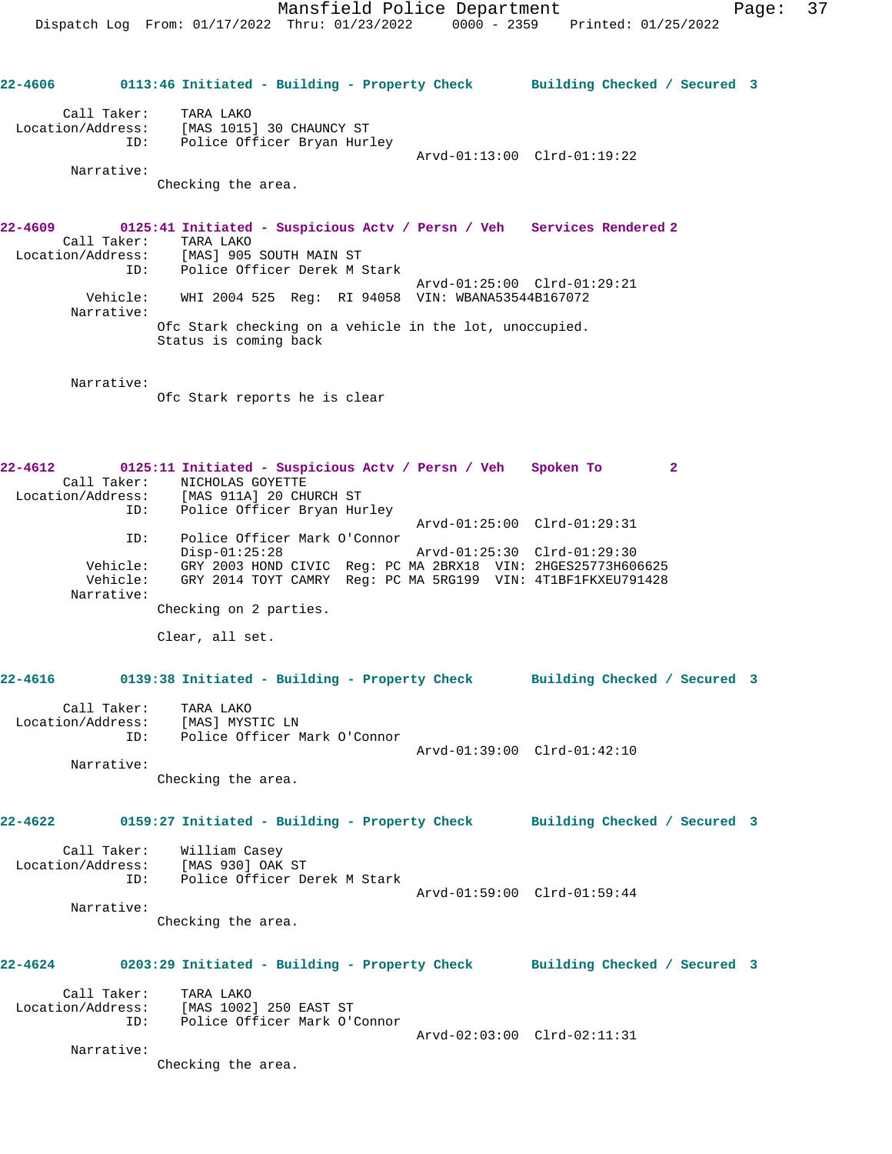**22-4606 0113:46 Initiated - Building - Property Check Building Checked / Secured 3** Call Taker: TARA LAKO Location/Address: [MAS 1015] 30 CHAUNCY ST ID: Police Officer Bryan Hurley Arvd-01:13:00 Clrd-01:19:22 Narrative: Checking the area. **22-4609 0125:41 Initiated - Suspicious Actv / Persn / Veh Services Rendered 2**  Call Taker: TARA LAKO Location/Address: [MAS] 905 SOUTH MAIN ST ID: Police Officer Derek M Stark Arvd-01:25:00 Clrd-01:29:21 Vehicle: WHI 2004 525 Reg: RI 94058 VIN: WBANA53544B167072 Narrative: Ofc Stark checking on a vehicle in the lot, unoccupied. Status is coming back Narrative: Ofc Stark reports he is clear **22-4612 0125:11 Initiated - Suspicious Actv / Persn / Veh Spoken To 2**  Call Taker: NICHOLAS GOYETTE Location/Address: [MAS 911A] 20 CHURCH ST ID: Police Officer Bryan Hurley Arvd-01:25:00 Clrd-01:29:31 ID: Police Officer Mark O'Connor Disp-01:25:28 Arvd-01:25:30 Clrd-01:29:30 Vehicle: GRY 2003 HOND CIVIC Reg: PC MA 2BRX18 VIN: 2HGES25773H606625 Vehicle: GRY 2014 TOYT CAMRY Reg: PC MA 5RG199 VIN: 4T1BF1FKXEU791428 Narrative: Checking on 2 parties. Clear, all set. **22-4616 0139:38 Initiated - Building - Property Check Building Checked / Secured 3** Call Taker: TARA LAKO Location/Address: [MAS] MYSTIC LN ID: Police Officer Mark O'Connor Arvd-01:39:00 Clrd-01:42:10 Narrative: Checking the area. **22-4622 0159:27 Initiated - Building - Property Check Building Checked / Secured 3** Call Taker: William Casey Location/Address: [MAS 930] OAK ST ID: Police Officer Derek M Stark Arvd-01:59:00 Clrd-01:59:44 Narrative: Checking the area. **22-4624 0203:29 Initiated - Building - Property Check Building Checked / Secured 3** Call Taker: TARA LAKO Location/Address: [MAS 1002] 250 EAST ST ID: Police Officer Mark O'Connor Arvd-02:03:00 Clrd-02:11:31 Narrative: Checking the area.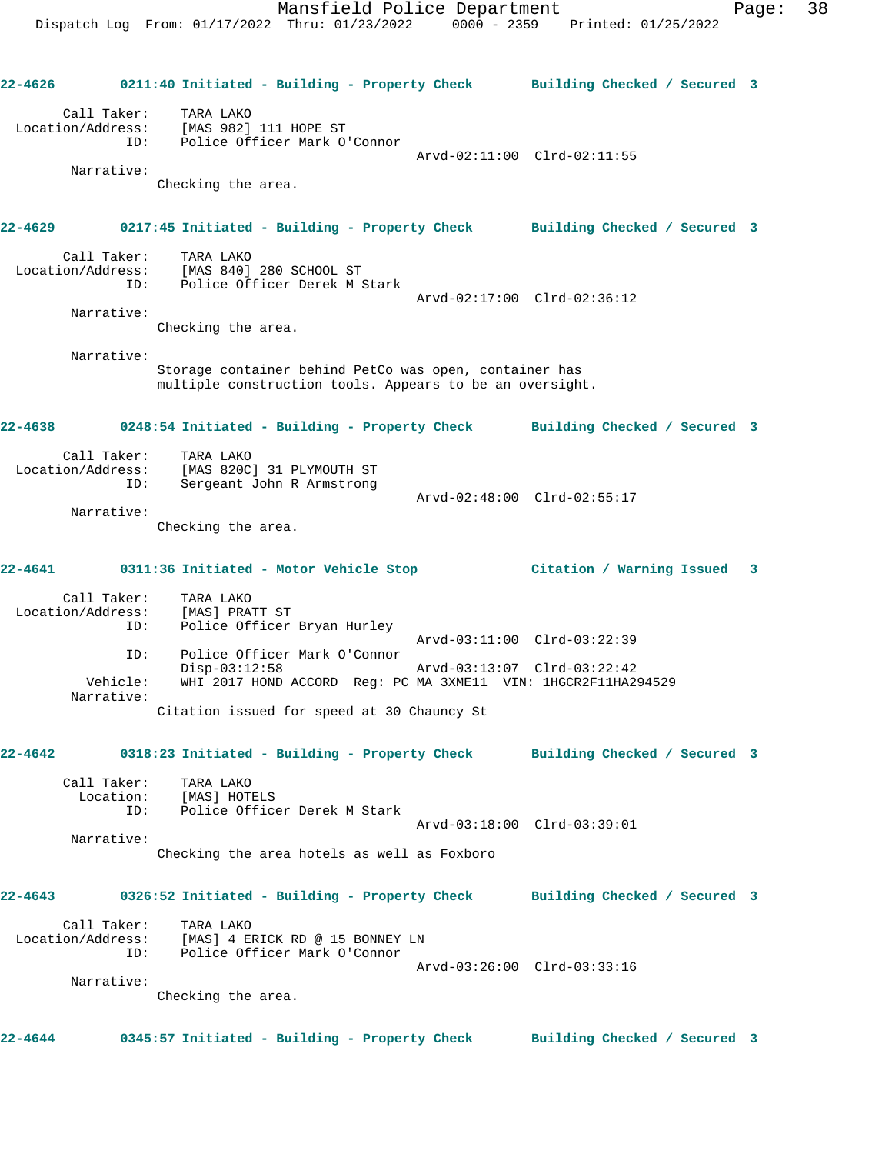**22-4626 0211:40 Initiated - Building - Property Check Building Checked / Secured 3** Call Taker: TARA LAKO Location/Address: [MAS 982] 111 HOPE ST ID: Police Officer Mark O'Connor Arvd-02:11:00 Clrd-02:11:55 Narrative: Checking the area. **22-4629 0217:45 Initiated - Building - Property Check Building Checked / Secured 3** Call Taker: TARA LAKO Location/Address: [MAS 840] 280 SCHOOL ST ID: Police Officer Derek M Stark Arvd-02:17:00 Clrd-02:36:12 Narrative: Checking the area. Narrative: Storage container behind PetCo was open, container has multiple construction tools. Appears to be an oversight. **22-4638 0248:54 Initiated - Building - Property Check Building Checked / Secured 3** Call Taker: TARA LAKO Location/Address: [MAS 820C] 31 PLYMOUTH ST ID: Sergeant John R Armstrong Arvd-02:48:00 Clrd-02:55:17 Narrative: Checking the area. **22-4641 0311:36 Initiated - Motor Vehicle Stop Citation / Warning Issued 3** Call Taker: TARA LAKO Location/Address: [MAS] PRATT ST ID: Police Officer Bryan Hurley Arvd-03:11:00 Clrd-03:22:39 ID: Police Officer Mark O'Connor Disp-03:12:58 Arvd-03:13:07 Clrd-03:22:42 Vehicle: WHI 2017 HOND ACCORD Reg: PC MA 3XME11 VIN: 1HGCR2F11HA294529 Narrative: Citation issued for speed at 30 Chauncy St **22-4642 0318:23 Initiated - Building - Property Check Building Checked / Secured 3** Call Taker: TARA LAKO Location: [MAS] HOTELS ID: Police Officer Derek M Stark Arvd-03:18:00 Clrd-03:39:01 Narrative: Checking the area hotels as well as Foxboro **22-4643 0326:52 Initiated - Building - Property Check Building Checked / Secured 3** Call Taker: TARA LAKO Location/Address: [MAS] 4 ERICK RD @ 15 BONNEY LN ID: Police Officer Mark O'Connor Arvd-03:26:00 Clrd-03:33:16 Narrative: Checking the area. **22-4644 0345:57 Initiated - Building - Property Check Building Checked / Secured 3**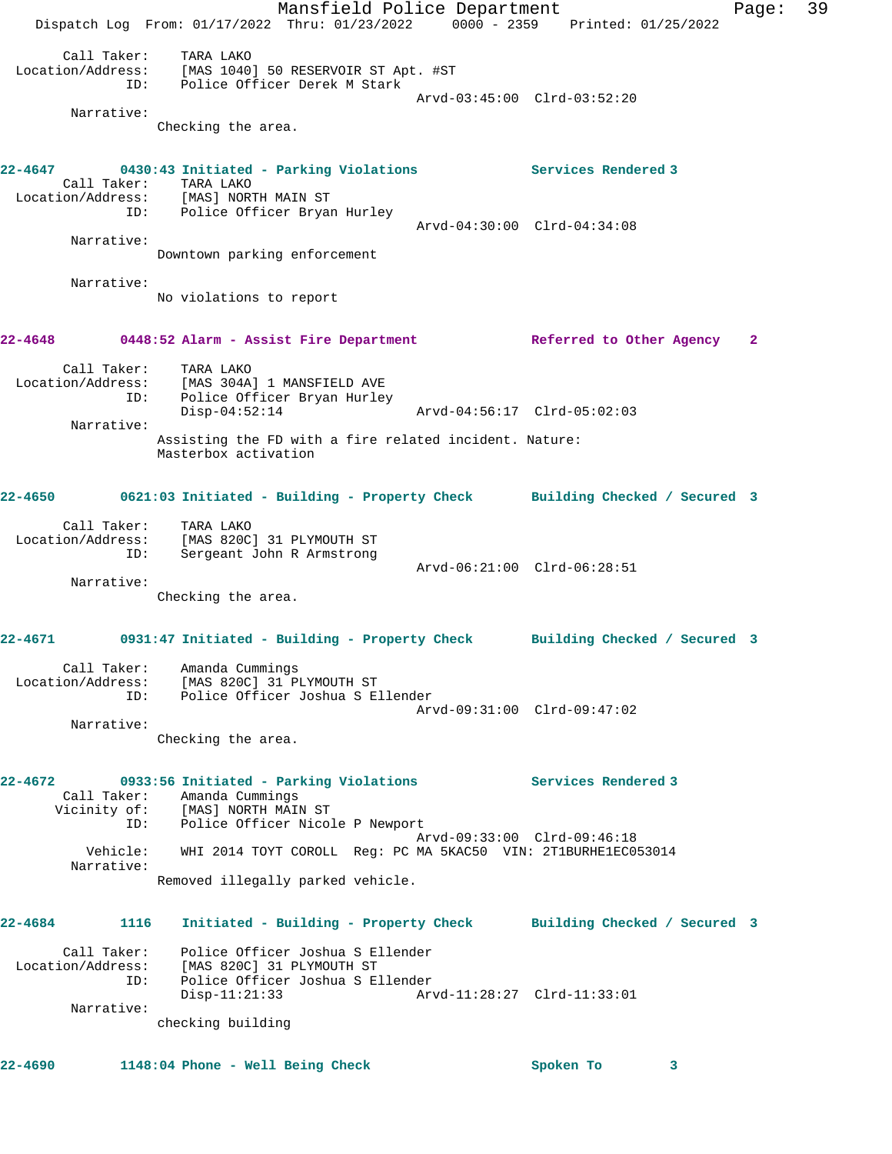Mansfield Police Department Page: 39 Dispatch Log From: 01/17/2022 Thru: 01/23/2022 0000 - 2359 Printed: 01/25/2022 Call Taker: TARA LAKO Location/Address: [MAS 1040] 50 RESERVOIR ST Apt. #ST ID: Police Officer Derek M Stark Arvd-03:45:00 Clrd-03:52:20 Narrative: Checking the area. **22-4647 0430:43 Initiated - Parking Violations Services Rendered 3**  Call Taker: TARA LAKO Location/Address: [MAS] NORTH MAIN ST ID: Police Officer Bryan Hurley Arvd-04:30:00 Clrd-04:34:08 Narrative: Downtown parking enforcement Narrative: No violations to report **22-4648 0448:52 Alarm - Assist Fire Department Referred to Other Agency 2** Call Taker: TARA LAKO<br>Location/Address: [MAS 304A] 1 MANSFIELD AVE Location/Address: [MAS 304A] 1 MANSFIELD AVE ID: Police Officer Bryan Hurley Disp-04:52:14 Arvd-04:56:17 Clrd-05:02:03 Narrative: Assisting the FD with a fire related incident. Nature: Masterbox activation **22-4650 0621:03 Initiated - Building - Property Check Building Checked / Secured 3** Call Taker: TARA LAKO Location/Address: [MAS 820C] 31 PLYMOUTH ST ID: Sergeant John R Armstrong Arvd-06:21:00 Clrd-06:28:51 Narrative: Checking the area. **22-4671 0931:47 Initiated - Building - Property Check Building Checked / Secured 3** Call Taker: Amanda Cummings Location/Address: [MAS 820C] 31 PLYMOUTH ST ID: Police Officer Joshua S Ellender Arvd-09:31:00 Clrd-09:47:02 Narrative: Checking the area. **22-4672 0933:56 Initiated - Parking Violations Services Rendered 3**  Call Taker: Amanda Cummings Vicinity of: [MAS] NORTH MAIN ST ID: Police Officer Nicole P Newport Arvd-09:33:00 Clrd-09:46:18 Vehicle: WHI 2014 TOYT COROLL Reg: PC MA 5KAC50 VIN: 2T1BURHE1EC053014 Narrative: Removed illegally parked vehicle. **22-4684 1116 Initiated - Building - Property Check Building Checked / Secured 3** Call Taker: Police Officer Joshua S Ellender Location/Address: [MAS 820C] 31 PLYMOUTH ST ID: Police Officer Joshua S Ellender Arvd-11:28:27 Clrd-11:33:01 Narrative: checking building **22-4690 1148:04 Phone - Well Being Check Spoken To 3**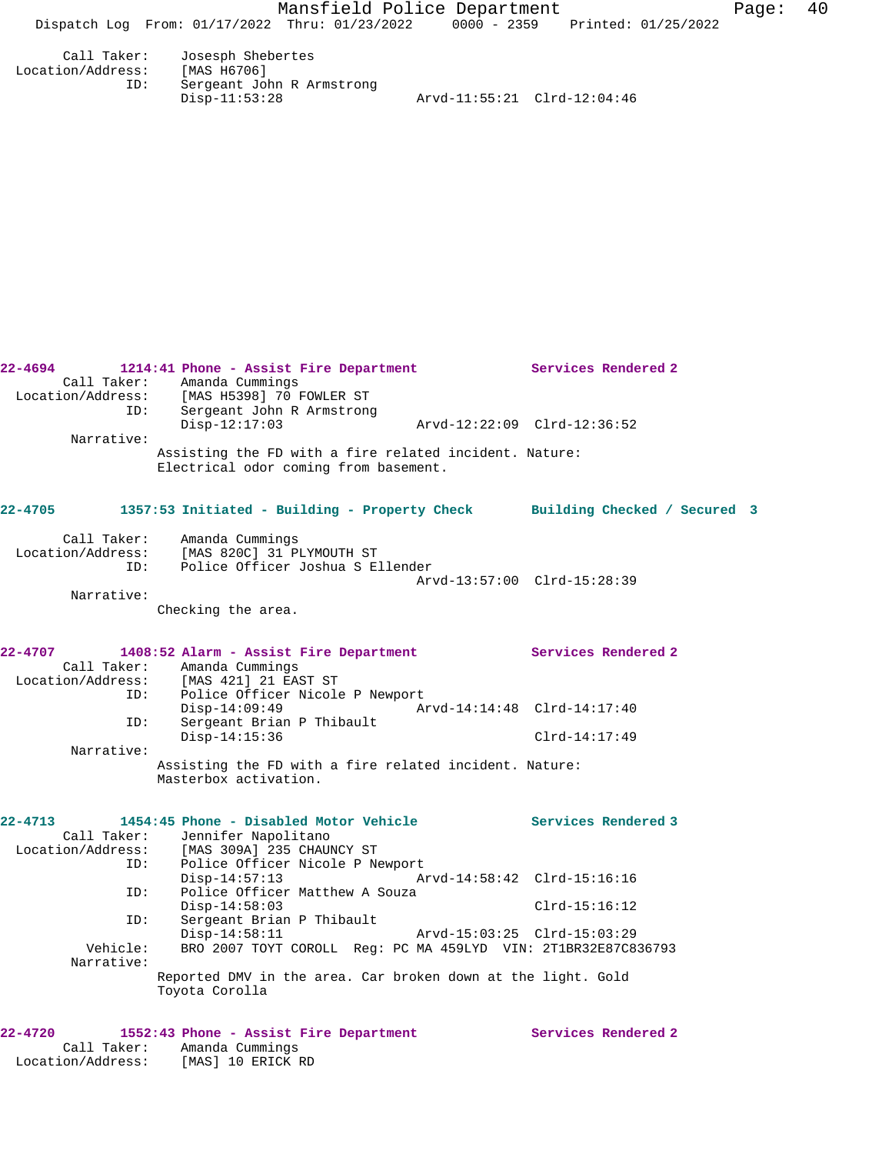|                               | 22-4694 1214:41 Phone - Assist Fire Department Services Rendered 2<br>Call Taker: Amanda Cummings<br>Location/Address: [MAS H5398] 70 FOWLER ST<br>ID: Sergeant John R Armstrong |                             |
|-------------------------------|----------------------------------------------------------------------------------------------------------------------------------------------------------------------------------|-----------------------------|
|                               | $Disp-12:17:03$                                                                                                                                                                  |                             |
| Narrative:                    | Assisting the FD with a fire related incident. Nature:<br>Electrical odor coming from basement.                                                                                  |                             |
| $22 - 4705$                   | 1357:53 Initiated - Building - Property Check Building Checked / Secured 3                                                                                                       |                             |
|                               | Call Taker: Amanda Cummings<br>Location/Address: [MAS 820C] 31 PLYMOUTH ST<br>ID: Police Officer Joshua S Ellender                                                               | Arvd-13:57:00 Clrd-15:28:39 |
| Narrative:                    | Checking the area.                                                                                                                                                               |                             |
|                               | 22-4707 1408:52 Alarm - Assist Fire Department Services Rendered 2<br>Call Taker: Amanda Cummings<br>Location/Address: [MAS 421] 21 EAST ST                                      |                             |
|                               | ID: Police Officer Nicole P Newport<br>$Disp-14:09:49$                                                                                                                           |                             |
| ID:                           | Sergeant Brian P Thibault<br>$Disp-14:15:36$                                                                                                                                     | $Clrd-14:17:49$             |
| Narrative:                    | Assisting the FD with a fire related incident. Nature:<br>Masterbox activation.                                                                                                  |                             |
| 22-4713                       | 1454:45 Phone - Disabled Motor Vehicle The Services Rendered 3                                                                                                                   |                             |
|                               | Call Taker: Jennifer Napolitano<br>Location/Address: [MAS 309A] 235 CHAUNCY ST<br>ID: Police Officer Nicole P Ne<br>Police Officer Nicole P Newport<br>$Disp-14:57:13$           |                             |
| ID:                           | Police Officer Matthew A Souza<br>$Disp-14:58:03$                                                                                                                                | $Clrd-15:16:12$             |
| ID:<br>Vehicle:<br>Narrative: | Sergeant Brian P Thibault<br>$Disp-14:58:11$<br>BRO 2007 TOYT COROLL Req: PC MA 459LYD VIN: 2T1BR32E87C836793                                                                    |                             |
|                               | Reported DMV in the area. Car broken down at the light. Gold<br>Toyota Corolla                                                                                                   |                             |
| 22-4720                       | 1552:43 Phone - Assist Fire Department Services Rendered 2                                                                                                                       |                             |

 Call Taker: Amanda Cummings Location/Address: [MAS] 10 ERICK RD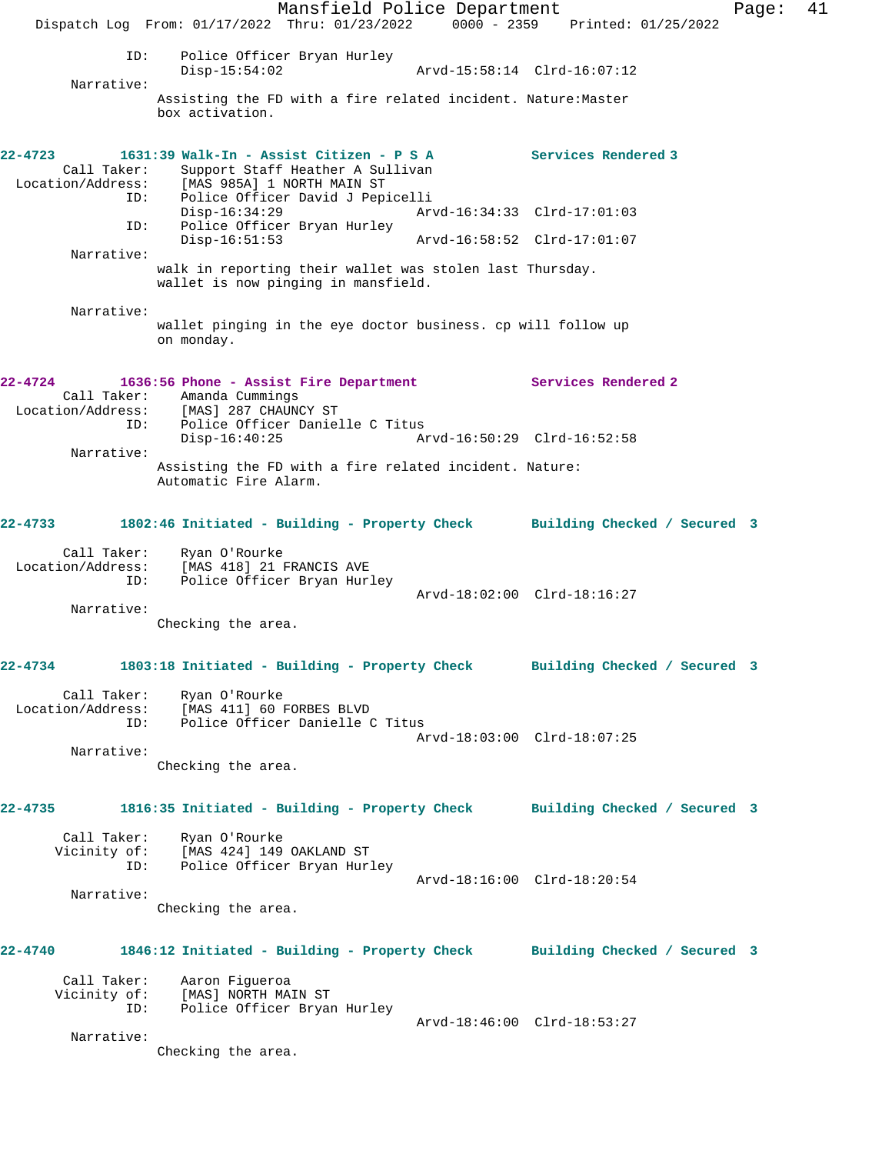Mansfield Police Department Fage: 41 Dispatch Log From: 01/17/2022 Thru: 01/23/2022 0000 - 2359 Printed: 01/25/2022 ID: Police Officer Bryan Hurley Disp-15:54:02 Arvd-15:58:14 Clrd-16:07:12 Narrative: Assisting the FD with a fire related incident. Nature:Master box activation. **22-4723 1631:39 Walk-In - Assist Citizen - P S A Services Rendered 3**  Call Taker: Support Staff Heather A Sullivan<br>Location/Address: [MAS 985A] 1 NORTH MAIN ST [MAS 985A] 1 NORTH MAIN ST ID: Police Officer David J Pepicelli<br>Disp-16:34:29 Art Disp-16:34:29 Arvd-16:34:33 Clrd-17:01:03 ID: Police Officer Bryan Hurley Disp-16:51:53 Arvd-16:58:52 Clrd-17:01:07 Narrative: walk in reporting their wallet was stolen last Thursday. wallet is now pinging in mansfield. Narrative: wallet pinging in the eye doctor business. cp will follow up on monday. **22-4724 1636:56 Phone - Assist Fire Department Services Rendered 2**  Call Taker: Amanda Cummings Location/Address: [MAS] 287 CHAUNCY ST ID: Police Officer Danielle C Titus Arvd-16:50:29 Clrd-16:52:58 Narrative: Assisting the FD with a fire related incident. Nature: Automatic Fire Alarm. **22-4733 1802:46 Initiated - Building - Property Check Building Checked / Secured 3** Call Taker: Ryan O'Rourke Location/Address: [MAS 418] 21 FRANCIS AVE ID: Police Officer Bryan Hurley Arvd-18:02:00 Clrd-18:16:27 Narrative: Checking the area. **22-4734 1803:18 Initiated - Building - Property Check Building Checked / Secured 3** Call Taker: Ryan O'Rourke Location/Address: [MAS 411] 60 FORBES BLVD<br>TD: Police Officer Danielle ( Police Officer Danielle C Titus Arvd-18:03:00 Clrd-18:07:25 Narrative: Checking the area. **22-4735 1816:35 Initiated - Building - Property Check Building Checked / Secured 3** Call Taker: Ryan O'Rourke Vicinity of: [MAS 424] 149 OAKLAND ST ID: Police Officer Bryan Hurley Arvd-18:16:00 Clrd-18:20:54 Narrative: Checking the area. **22-4740 1846:12 Initiated - Building - Property Check Building Checked / Secured 3** Call Taker: Aaron Figueroa Vicinity of: [MAS] NORTH MAIN ST ID: Police Officer Bryan Hurley Arvd-18:46:00 Clrd-18:53:27 Narrative: Checking the area.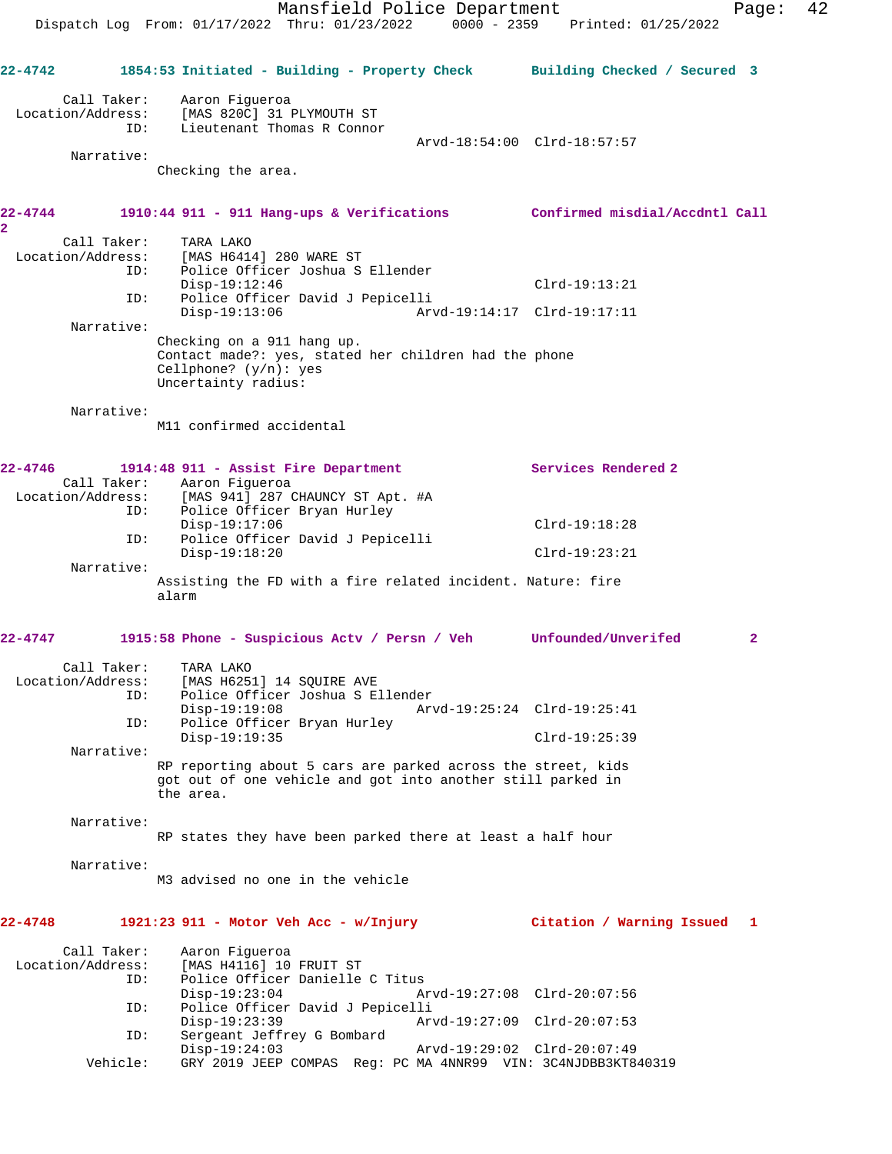Mansfield Police Department Fage: 42 Dispatch Log From: 01/17/2022 Thru: 01/23/2022 0000 - 2359 Printed: 01/25/2022 **22-4742 1854:53 Initiated - Building - Property Check Building Checked / Secured 3** Call Taker: Aaron Figueroa Location/Address: [MAS 820C] 31 PLYMOUTH ST ID: Lieutenant Thomas R Connor Arvd-18:54:00 Clrd-18:57:57 Narrative: Checking the area. **22-4744 1910:44 911 - 911 Hang-ups & Verifications Confirmed misdial/Accdntl Call 2**  Call Taker: TARA LAKO Location/Address: [MAS H6414] 280 WARE ST ID: Police Officer Joshua S Ellender Disp-19:12:46 Clrd-19:13:21<br>ID: Police Officer David J Pepicelli ID: Police Officer David J Pepicelli Disp-19:13:06 Arvd-19:14:17 Clrd-19:17:11 Narrative: Checking on a 911 hang up. Contact made?: yes, stated her children had the phone Cellphone? (y/n): yes Uncertainty radius: Narrative: M11 confirmed accidental **22-4746 1914:48 911 - Assist Fire Department Services Rendered 2**  Call Taker: Aaron Figueroa<br>Location/Address: [MAS 941] 287 [MAS 941] 287 CHAUNCY ST Apt. #A ID: Police Officer Bryan Hurley Disp-19:17:06 Clrd-19:18:28<br>ID: Police Officer David J Pepicelli Police Officer David J Pepicelli Disp-19:18:20 Clrd-19:23:21 Narrative: Assisting the FD with a fire related incident. Nature: fire alarm **22-4747 1915:58 Phone - Suspicious Actv / Persn / Veh Unfounded/Unverifed 2** Call Taker: TARA LAKO Location/Address: [MAS H6251] 14 SQUIRE AVE ID: Police Officer Joshua S Ellender Disp-19:19:08 Arvd-19:25:24 Clrd-19:25:41<br>ID: Police Officer Bryan Hurley Police Officer Bryan Hurley Disp-19:19:35 Clrd-19:25:39 Narrative: RP reporting about 5 cars are parked across the street, kids got out of one vehicle and got into another still parked in the area. Narrative: RP states they have been parked there at least a half hour Narrative: M3 advised no one in the vehicle **22-4748 1921:23 911 - Motor Veh Acc - w/Injury Citation / Warning Issued 1** Call Taker: Aaron Figueroa Location/Address: [MAS H4116] 10 FRUIT ST ID: Police Officer Danielle C Titus Disp-19:23:04 Arvd-19:27:08 Clrd-20:07:56<br>TD: Police Officer David J Pepicelli Police Officer David J Pepicelli Disp-19:23:39 Arvd-19:27:09 Clrd-20:07:53 ID: Sergeant Jeffrey G Bombard Disp-19:24:03 Arvd-19:29:02 Clrd-20:07:49<br>Vehicle: GRY 2019 JEEP COMPAS Reg: PC MA 4NNR99 VIN: 3C4NJDBB3KT8 GRY 2019 JEEP COMPAS Reg: PC MA 4NNR99 VIN: 3C4NJDBB3KT840319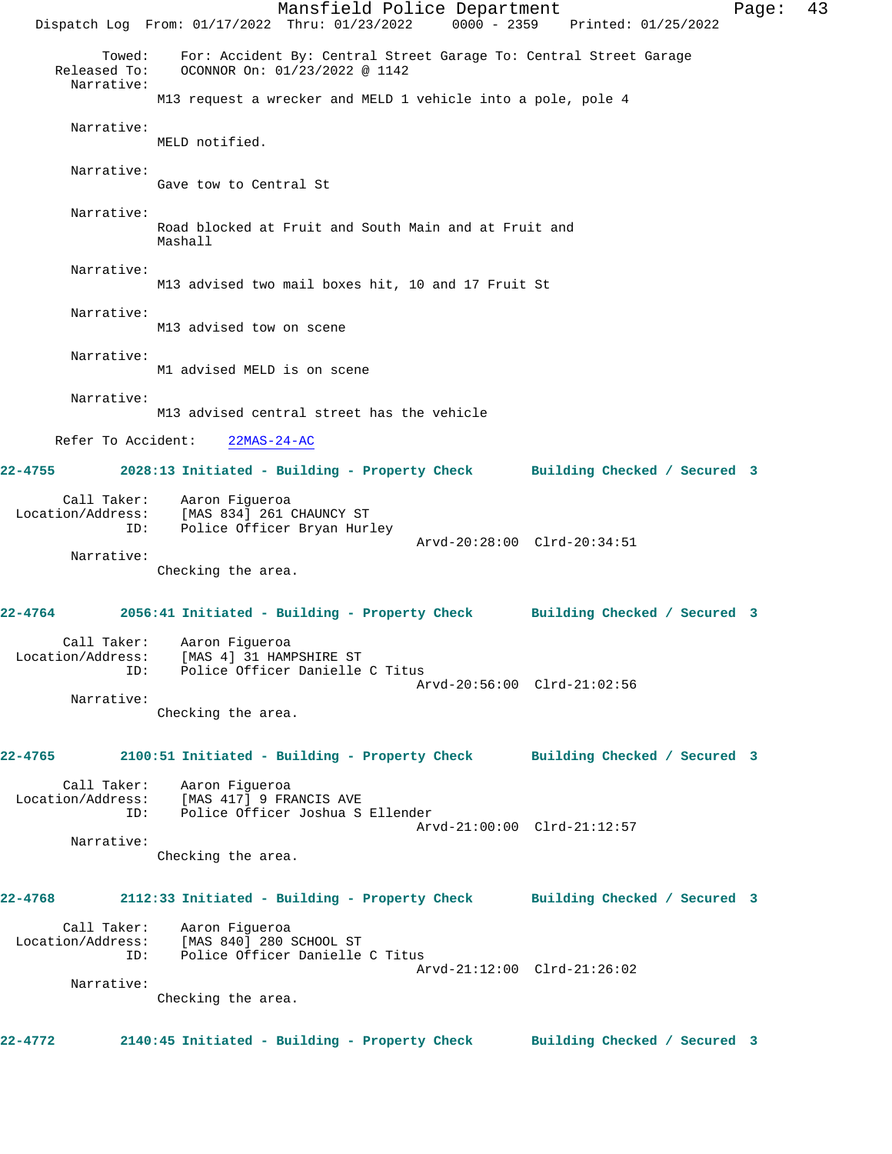Mansfield Police Department Fage: 43 Dispatch Log From: 01/17/2022 Thru: 01/23/2022 0000 - 2359 Printed: 01/25/2022 Towed: For: Accident By: Central Street Garage To: Central Street Garage Released To: OCONNOR On: 01/23/2022 @ 1142 Narrative: M13 request a wrecker and MELD 1 vehicle into a pole, pole 4 Narrative: MELD notified. Narrative: Gave tow to Central St Narrative: Road blocked at Fruit and South Main and at Fruit and Mashall Narrative: M13 advised two mail boxes hit, 10 and 17 Fruit St Narrative: M13 advised tow on scene Narrative: M1 advised MELD is on scene Narrative: M13 advised central street has the vehicle Refer To Accident: 22MAS-24-AC **22-4755 2028:13 Initiated - Building - Property Check Building Checked / Secured 3** Call Taker: Aaron Figueroa Location/Address: [MAS 834] 261 CHAUNCY ST ID: Police Officer Bryan Hurley Arvd-20:28:00 Clrd-20:34:51 Narrative: Checking the area. **22-4764 2056:41 Initiated - Building - Property Check Building Checked / Secured 3** Call Taker: Aaron Figueroa Location/Address: [MAS 4] 31 HAMPSHIRE ST ID: Police Officer Danielle C Titus Arvd-20:56:00 Clrd-21:02:56 Narrative: Checking the area. **22-4765 2100:51 Initiated - Building - Property Check Building Checked / Secured 3** Call Taker: Aaron Figueroa Location/Address: [MAS 417] 9 FRANCIS AVE ID: Police Officer Joshua S Ellender Arvd-21:00:00 Clrd-21:12:57 Narrative: Checking the area. **22-4768 2112:33 Initiated - Building - Property Check Building Checked / Secured 3** Call Taker: Aaron Figueroa Location/Address: [MAS 840] 280 SCHOOL ST ID: Police Officer Danielle C Titus Arvd-21:12:00 Clrd-21:26:02 Narrative: Checking the area. **22-4772 2140:45 Initiated - Building - Property Check Building Checked / Secured 3**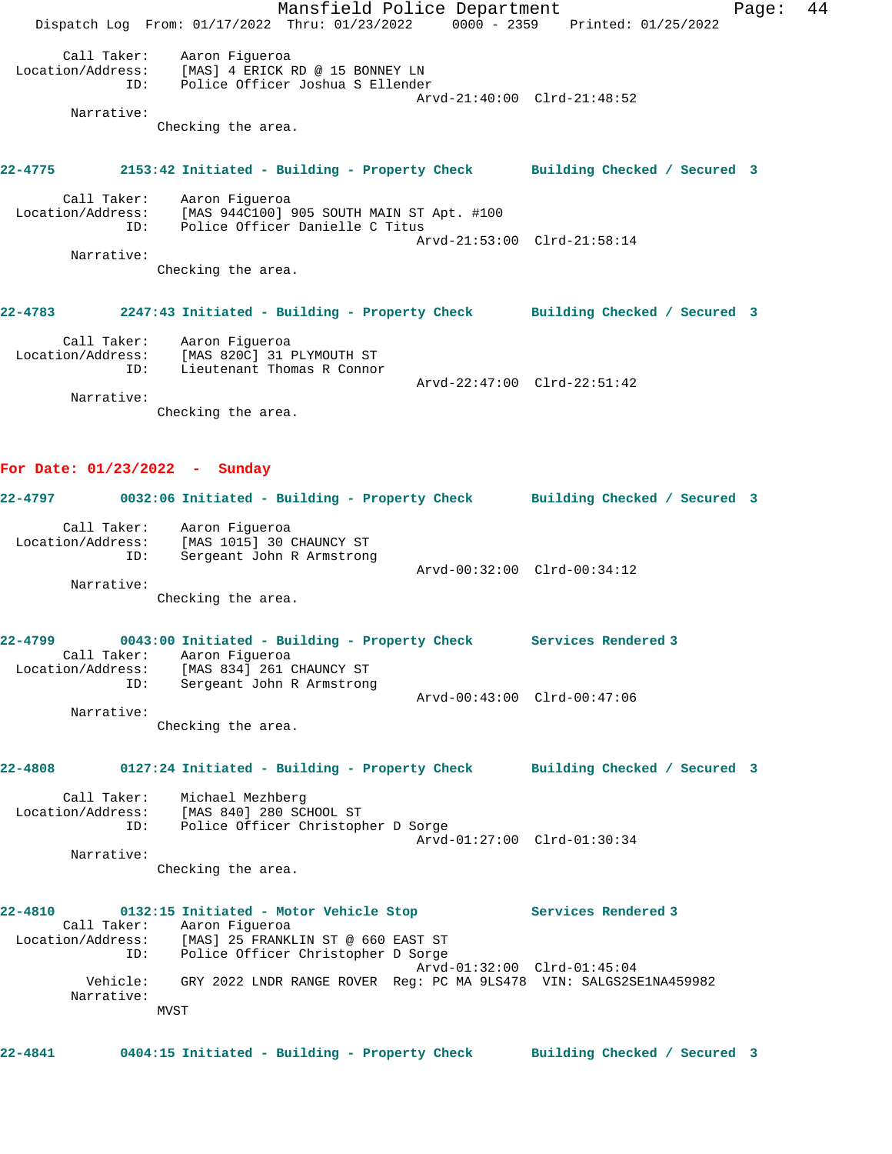Mansfield Police Department Fage: 44 Dispatch Log From: 01/17/2022 Thru: 01/23/2022 0000 - 2359 Printed: 01/25/2022 Call Taker: Aaron Figueroa Location/Address: [MAS] 4 ERICK RD @ 15 BONNEY LN ID: Police Officer Joshua S Ellender Arvd-21:40:00 Clrd-21:48:52 Narrative: Checking the area. **22-4775 2153:42 Initiated - Building - Property Check Building Checked / Secured 3** Call Taker: Aaron Figueroa Location/Address: [MAS 944C100] 905 SOUTH MAIN ST Apt. #100 ID: Police Officer Danielle C Titus Arvd-21:53:00 Clrd-21:58:14 Narrative: Checking the area. **22-4783 2247:43 Initiated - Building - Property Check Building Checked / Secured 3** Call Taker: Aaron Figueroa Location/Address: [MAS 820C] 31 PLYMOUTH ST ID: Lieutenant Thomas R Connor Arvd-22:47:00 Clrd-22:51:42 Narrative: Checking the area. **For Date: 01/23/2022 - Sunday 22-4797 0032:06 Initiated - Building - Property Check Building Checked / Secured 3** Call Taker: Aaron Figueroa Location/Address: [MAS 1015] 30 CHAUNCY ST ID: Sergeant John R Armstrong Arvd-00:32:00 Clrd-00:34:12 Narrative: Checking the area. **22-4799 0043:00 Initiated - Building - Property Check Services Rendered 3**  Call Taker: Aaron Figueroa Location/Address: [MAS 834] 261 CHAUNCY ST ID: Sergeant John R Armstrong Arvd-00:43:00 Clrd-00:47:06 Narrative: Checking the area. **22-4808 0127:24 Initiated - Building - Property Check Building Checked / Secured 3** Call Taker: Michael Mezhberg Location/Address: [MAS 840] 280 SCHOOL ST ID: Police Officer Christopher D Sorge Arvd-01:27:00 Clrd-01:30:34 Narrative: Checking the area. **22-4810 0132:15 Initiated - Motor Vehicle Stop Services Rendered 3**  Call Taker: Aaron Figueroa Location/Address: [MAS] 25 FRANKLIN ST @ 660 EAST ST ID: Police Officer Christopher D Sorge Arvd-01:32:00 Clrd-01:45:04 Vehicle: GRY 2022 LNDR RANGE ROVER Reg: PC MA 9LS478 VIN: SALGS2SE1NA459982 Narrative: MVST **22-4841 0404:15 Initiated - Building - Property Check Building Checked / Secured 3**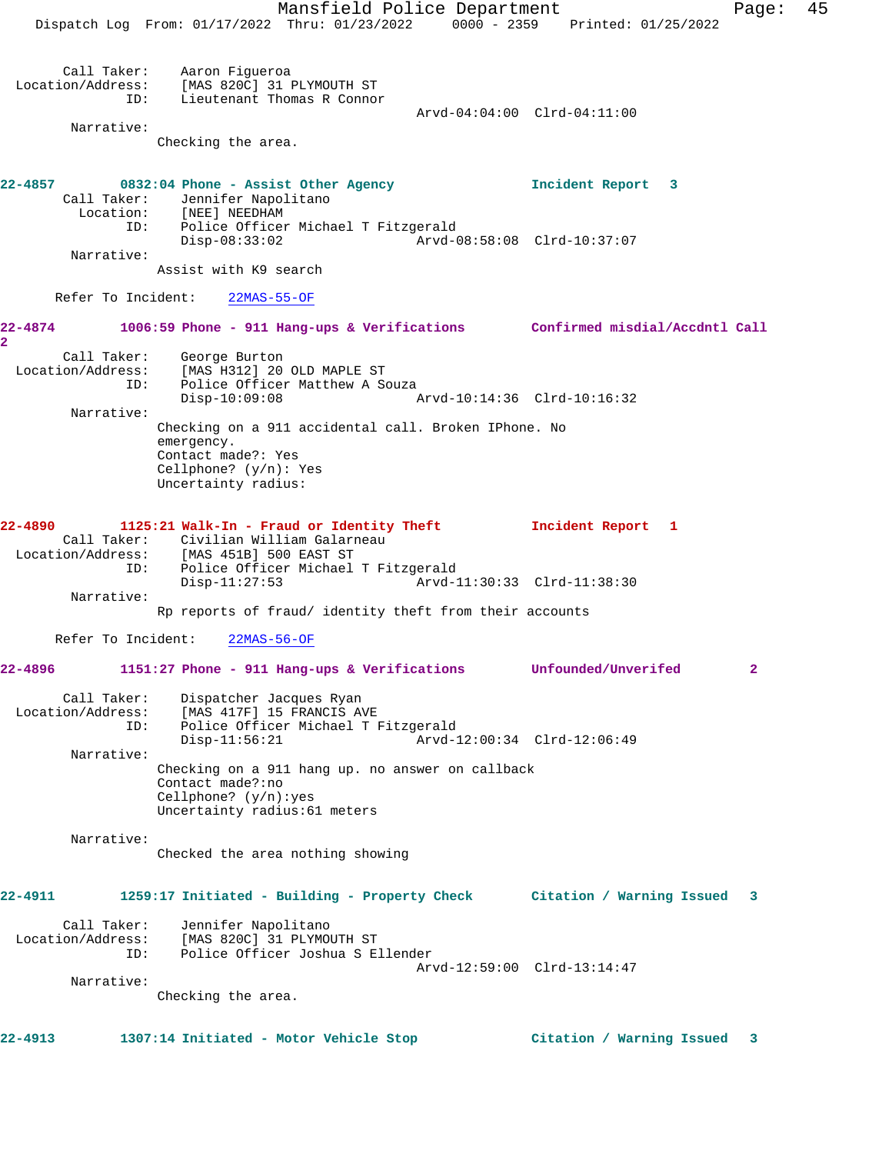Mansfield Police Department Fage: 45 Dispatch Log From: 01/17/2022 Thru: 01/23/2022 0000 - 2359 Printed: 01/25/2022 Call Taker: Aaron Figueroa Location/Address: [MAS 820C] 31 PLYMOUTH ST ID: Lieutenant Thomas R Connor Arvd-04:04:00 Clrd-04:11:00 Narrative: Checking the area. **22-4857 0832:04 Phone - Assist Other Agency Incident Report 3**  Call Taker: Jennifer Napolitano Location: [NEE] NEEDHAM ID: Police Officer Michael T Fitzgerald Disp-08:33:02 Arvd-08:58:08 Clrd-10:37:07 Narrative: Assist with K9 search Refer To Incident: 22MAS-55-OF **22-4874 1006:59 Phone - 911 Hang-ups & Verifications Confirmed misdial/Accdntl Call 2**  Call Taker: George Burton Location/Address: [MAS H312] 20 OLD MAPLE ST ID: Police Officer Matthew A Souza Disp-10:09:08 Arvd-10:14:36 Clrd-10:16:32 Narrative: Checking on a 911 accidental call. Broken IPhone. No emergency. Contact made?: Yes Cellphone? (y/n): Yes Uncertainty radius: **22-4890 1125:21 Walk-In - Fraud or Identity Theft Incident Report 1**  Call Taker: Civilian William Galarneau Location/Address: [MAS 451B] 500 EAST ST ID: Police Officer Michael T Fitzgerald Disp-11:27:53 Arvd-11:30:33 Clrd-11:38:30 Narrative: Rp reports of fraud/ identity theft from their accounts Refer To Incident: 22MAS-56-OF **22-4896 1151:27 Phone - 911 Hang-ups & Verifications Unfounded/Unverifed 2** Call Taker: Dispatcher Jacques Ryan Location/Address: [MAS 417F] 15 FRANCIS AVE ID: Police Officer Michael T Fitzgerald  $\bar{P}_{Arvd-12:00:34}$  Clrd-12:06:49 Narrative: Checking on a 911 hang up. no answer on callback Contact made?:no Cellphone? (y/n):yes Uncertainty radius:61 meters Narrative: Checked the area nothing showing **22-4911 1259:17 Initiated - Building - Property Check Citation / Warning Issued 3** Call Taker: Jennifer Napolitano Location/Address: [MAS 820C] 31 PLYMOUTH ST ID: Police Officer Joshua S Ellender Arvd-12:59:00 Clrd-13:14:47 Narrative: Checking the area. **22-4913 1307:14 Initiated - Motor Vehicle Stop Citation / Warning Issued 3**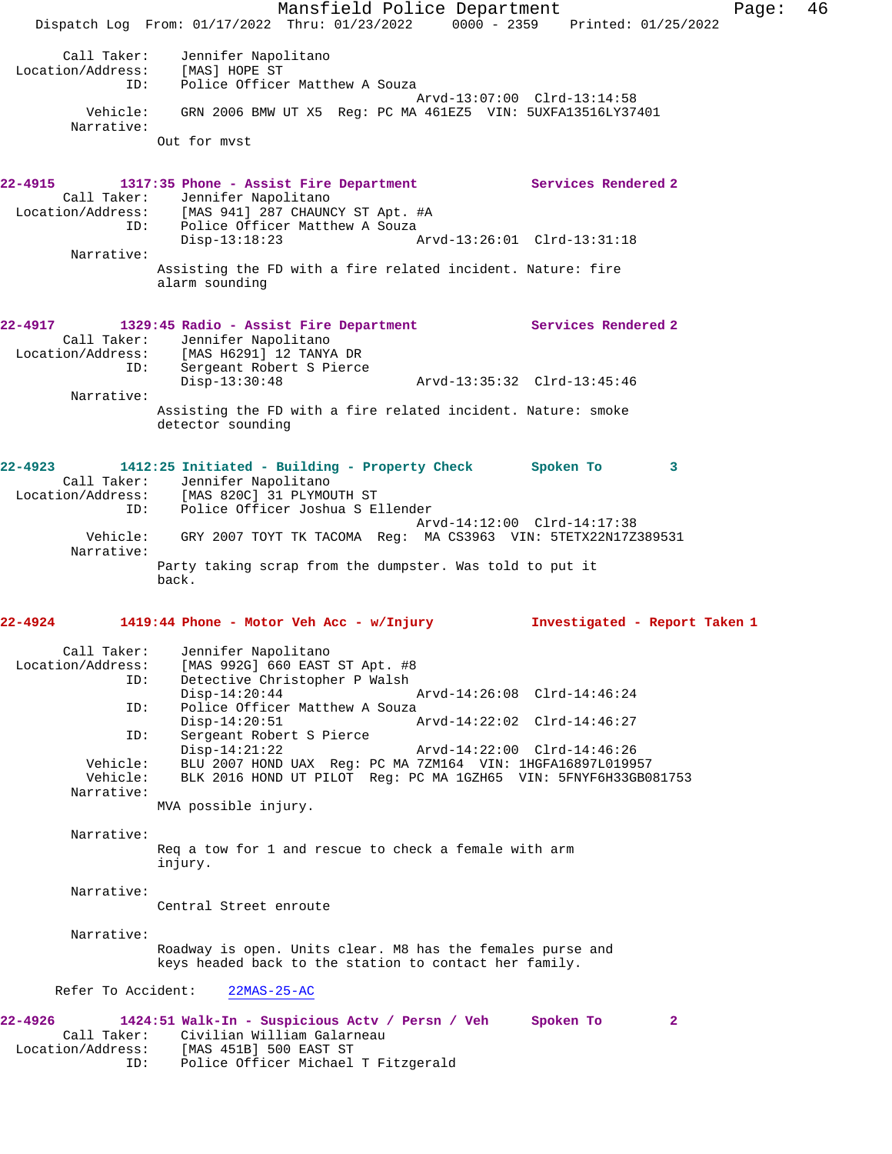Mansfield Police Department Fage: 46 Dispatch Log From: 01/17/2022 Thru: 01/23/2022 0000 - 2359 Printed: 01/25/2022 Call Taker: Jennifer Napolitano Location/Address: [MAS] HOPE ST ID: Police Officer Matthew A Souza Arvd-13:07:00 Clrd-13:14:58 Vehicle: GRN 2006 BMW UT X5 Reg: PC MA 461EZ5 VIN: 5UXFA13516LY37401 Narrative: Out for mvst **22-4915 1317:35 Phone - Assist Fire Department Services Rendered 2**  Call Taker: Jennifer Napolitano Location/Address: [MAS 941] 287 CHAUNCY ST Apt. #A ID: Police Officer Matthew A Souza<br>Disp-13:18:23 Disp-13:18:23 Arvd-13:26:01 Clrd-13:31:18 Narrative: Assisting the FD with a fire related incident. Nature: fire alarm sounding **22-4917 1329:45 Radio - Assist Fire Department Services Rendered 2**  Call Taker: Jennifer Napolitano Location/Address: [MAS H6291] 12 TANYA DR ID: Sergeant Robert S Pierce Disp-13:30:48 Arvd-13:35:32 Clrd-13:45:46 Narrative: Assisting the FD with a fire related incident. Nature: smoke detector sounding **22-4923 1412:25 Initiated - Building - Property Check Spoken To 3**  Call Taker: Jennifer Napolitano Location/Address: [MAS 820C] 31 PLYMOUTH ST ID: Police Officer Joshua S Ellender Arvd-14:12:00 Clrd-14:17:38 Vehicle: GRY 2007 TOYT TK TACOMA Reg: MA CS3963 VIN: 5TETX22N17Z389531 Narrative: Party taking scrap from the dumpster. Was told to put it back. **22-4924 1419:44 Phone - Motor Veh Acc - w/Injury Investigated - Report Taken 1** Call Taker: Jennifer Napolitano Location/Address: [MAS 992G] 660 EAST ST Apt. #8 ID: Detective Christopher P Walsh Disp-14:20:44 Arvd-14:26:08 Clrd-14:46:24<br>ID: Police Officer Matthew A Souza Police Officer Matthew A Souza Disp-14:20:51 Arvd-14:22:02 Clrd-14:46:27 ID: Sergeant Robert S Pierce Disp-14:21:22 Arvd-14:22:00 Clrd-14:46:26 Vehicle: BLU 2007 HOND UAX Reg: PC MA 7ZM164 VIN: 1HGFA16897L019957 Vehicle: BLK 2016 HOND UT PILOT Reg: PC MA 1GZH65 VIN: 5FNYF6H33GB081753 Narrative: MVA possible injury. Narrative: Req a tow for 1 and rescue to check a female with arm injury. Narrative: Central Street enroute Narrative: Roadway is open. Units clear. M8 has the females purse and keys headed back to the station to contact her family. Refer To Accident: 22MAS-25-AC **22-4926 1424:51 Walk-In - Suspicious Actv / Persn / Veh Spoken To 2**  Call Taker: Civilian William Galarneau Location/Address: [MAS 451B] 500 EAST ST ID: Police Officer Michael T Fitzgerald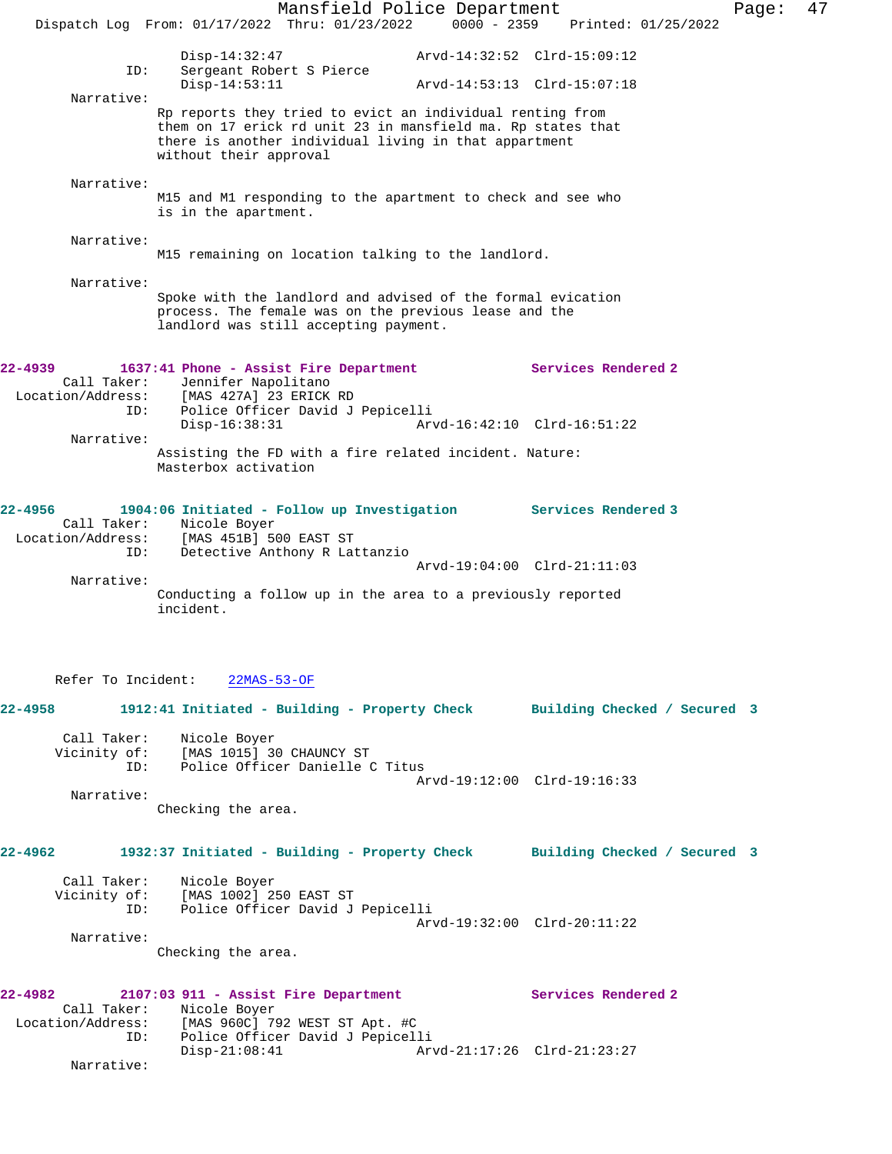Mansfield Police Department Page: 47 Dispatch Log From: 01/17/2022 Thru: 01/23/2022 0000 - 2359 Printed: 01/25/2022 Disp-14:32:47 Arvd-14:32:52 Clrd-15:09:12 ID: Sergeant Robert S Pierce Disp-14:53:11 Arvd-14:53:13 Clrd-15:07:18 Narrative: Rp reports they tried to evict an individual renting from them on 17 erick rd unit 23 in mansfield ma. Rp states that there is another individual living in that appartment without their approval Narrative: M15 and M1 responding to the apartment to check and see who is in the apartment. Narrative: M15 remaining on location talking to the landlord. Narrative: Spoke with the landlord and advised of the formal evication process. The female was on the previous lease and the landlord was still accepting payment. **22-4939 1637:41 Phone - Assist Fire Department Services Rendered 2**  Call Taker: Jennifer Napolitano Location/Address: [MAS 427A] 23 ERICK RD ID: Police Officer David J Pepicelli Disp-16:38:31 Arvd-16:42:10 Clrd-16:51:22 Narrative: Assisting the FD with a fire related incident. Nature: Masterbox activation **22-4956 1904:06 Initiated - Follow up Investigation Services Rendered 3**  Call Taker: Nicole Boyer<br>Location/Address: [MAS 451B] 5 [MAS 451B] 500 EAST ST ID: Detective Anthony R Lattanzio Arvd-19:04:00 Clrd-21:11:03 Narrative: Conducting a follow up in the area to a previously reported incident. Refer To Incident: 22MAS-53-OF **22-4958 1912:41 Initiated - Building - Property Check Building Checked / Secured 3** Call Taker: Nicole Boyer Vicinity of: [MAS 1015] 30 CHAUNCY ST ID: Police Officer Danielle C Titus Arvd-19:12:00 Clrd-19:16:33 Narrative: Checking the area. **22-4962 1932:37 Initiated - Building - Property Check Building Checked / Secured 3** Call Taker: Nicole Boyer Vicinity of: [MAS 1002] 250 EAST ST ID: Police Officer David J Pepicelli Arvd-19:32:00 Clrd-20:11:22 Narrative: Checking the area. **22-4982 2107:03 911 - Assist Fire Department Services Rendered 2**  Call Taker: Nicole Boyer Location/Address: [MAS 960C] 792 WEST ST Apt. #C ESS. ITHS 20001 724 NEWS 1 APO. TO Disp-21:08:41 Arvd-21:17:26 Clrd-21:23:27 Narrative: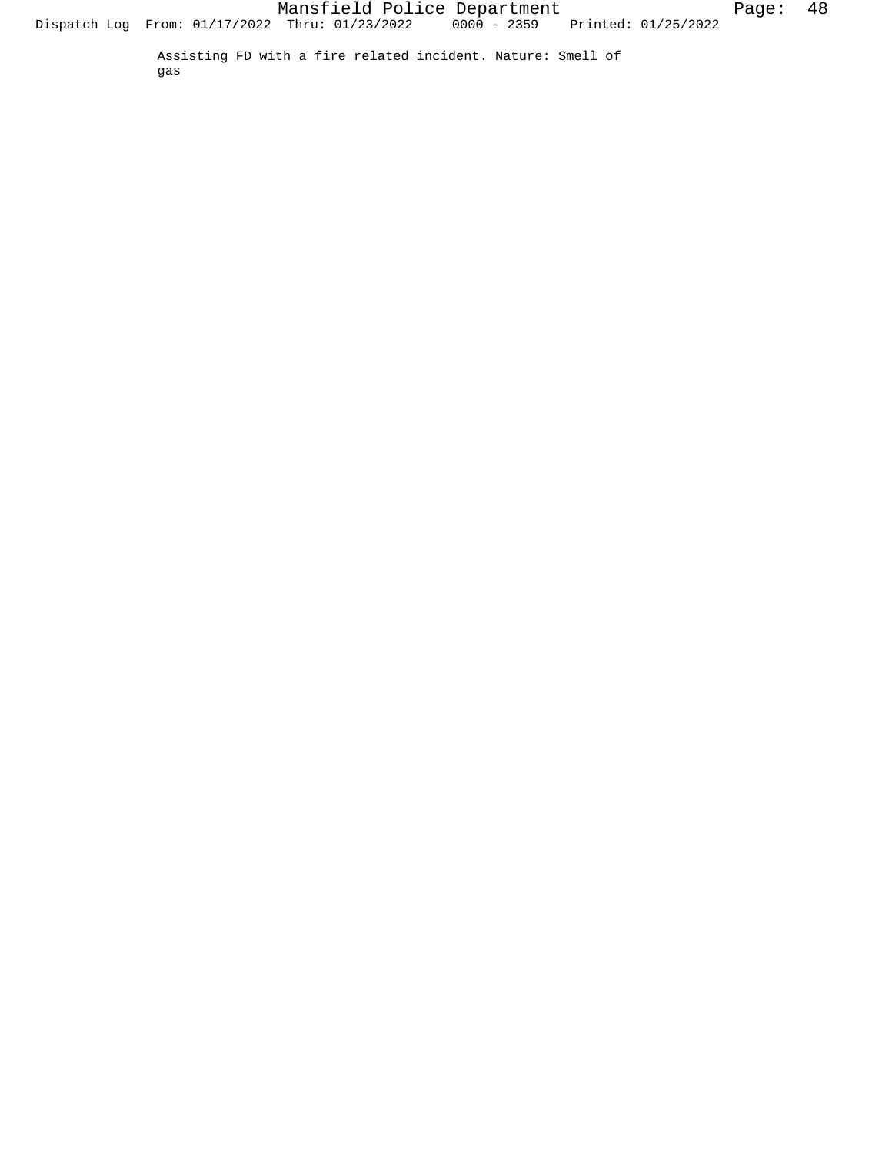Assisting FD with a fire related incident. Nature: Smell of gas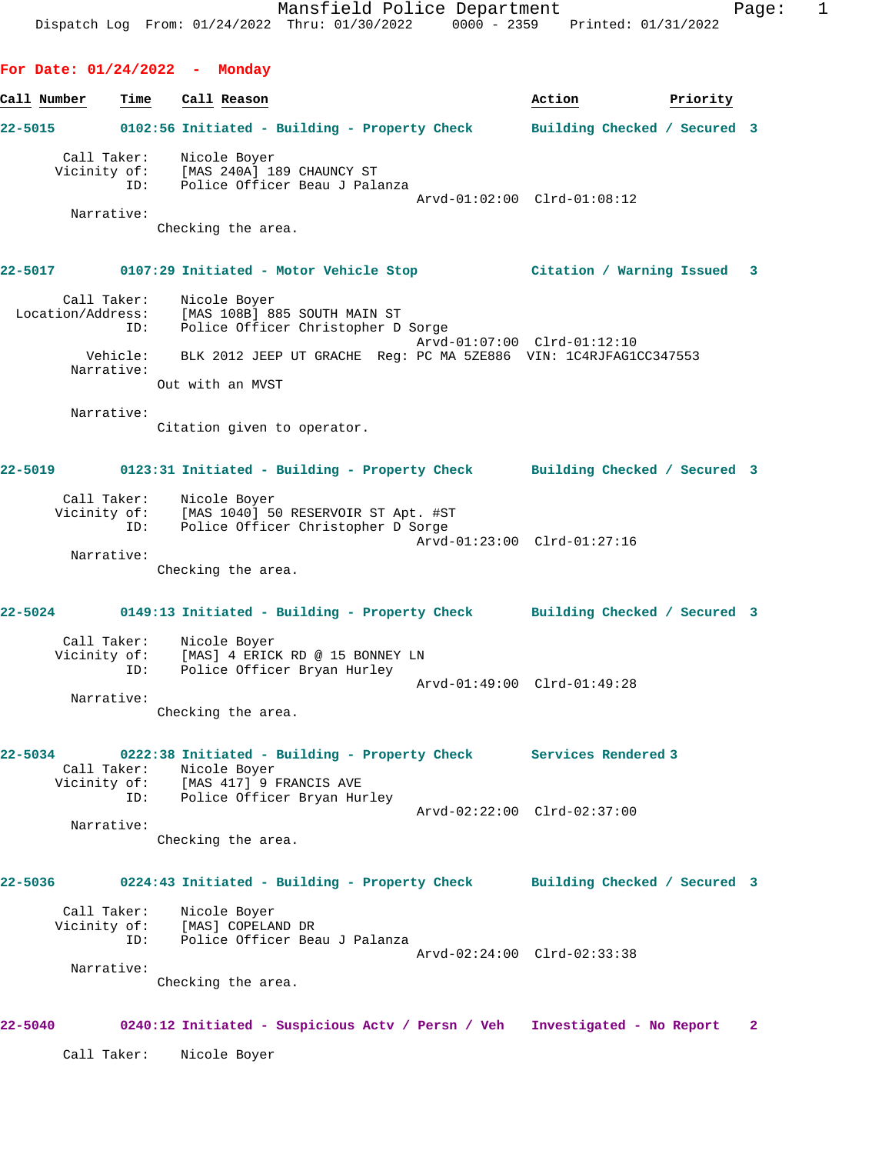**For Date: 01/24/2022 - Monday Call Number Time Call Reason Action Priority 22-5015 0102:56 Initiated - Building - Property Check Building Checked / Secured 3** Call Taker: Nicole Boyer Vicinity of: [MAS 240A] 189 CHAUNCY ST ID: Police Officer Beau J Palanza Arvd-01:02:00 Clrd-01:08:12 Narrative: Checking the area. **22-5017 0107:29 Initiated - Motor Vehicle Stop Citation / Warning Issued 3** Call Taker: Nicole Boyer Location/Address: [MAS 108B] 885 SOUTH MAIN ST ID: Police Officer Christopher D Sorge Arvd-01:07:00 Clrd-01:12:10 Vehicle: BLK 2012 JEEP UT GRACHE Reg: PC MA 5ZE886 VIN: 1C4RJFAG1CC347553 Narrative: Out with an MVST Narrative: Citation given to operator. **22-5019 0123:31 Initiated - Building - Property Check Building Checked / Secured 3** Call Taker: Nicole Boyer Vicinity of: [MAS 1040] 50 RESERVOIR ST Apt. #ST ID: Police Officer Christopher D Sorge Arvd-01:23:00 Clrd-01:27:16 Narrative: Checking the area. **22-5024 0149:13 Initiated - Building - Property Check Building Checked / Secured 3** Call Taker: Nicole Boyer Vicinity of: [MAS] 4 ERICK RD @ 15 BONNEY LN ID: Police Officer Bryan Hurley Arvd-01:49:00 Clrd-01:49:28 Narrative: Checking the area. **22-5034 0222:38 Initiated - Building - Property Check Services Rendered 3**  Call Taker: Nicole Boyer<br>Vicinity of: [MAS 417] 9 FRANCIS AVE Vicinity of: [MAS 417] 9 FRANCIS AVE ID: Police Officer Bryan Hurley Arvd-02:22:00 Clrd-02:37:00 Narrative: Checking the area. **22-5036 0224:43 Initiated - Building - Property Check Building Checked / Secured 3** Call Taker: Nicole Boyer Vicinity of: [MAS] COPELAND DR ID: Police Officer Beau J Palanza Arvd-02:24:00 Clrd-02:33:38 Narrative: Checking the area. **22-5040 0240:12 Initiated - Suspicious Actv / Persn / Veh Investigated - No Report 2** Call Taker: Nicole Boyer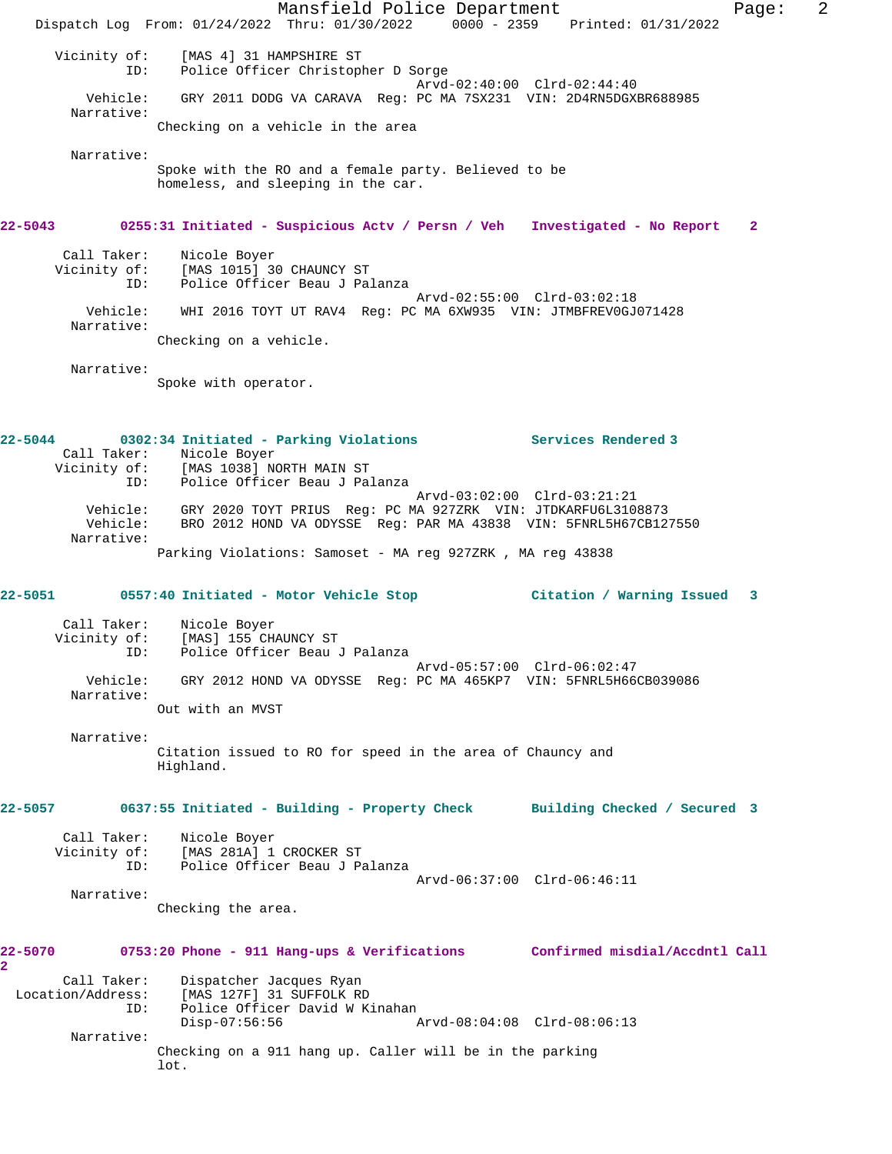Mansfield Police Department Form Page: 2 Dispatch Log From: 01/24/2022 Thru: 01/30/2022 0000 - 2359 Printed: 01/31/2022 Vicinity of: [MAS 4] 31 HAMPSHIRE ST ID: Police Officer Christopher D Sorge Arvd-02:40:00 Clrd-02:44:40 Vehicle: GRY 2011 DODG VA CARAVA Reg: PC MA 7SX231 VIN: 2D4RN5DGXBR688985 Narrative: Checking on a vehicle in the area Narrative: Spoke with the RO and a female party. Believed to be homeless, and sleeping in the car. **22-5043 0255:31 Initiated - Suspicious Actv / Persn / Veh Investigated - No Report 2** Call Taker: Nicole Boyer Vicinity of: [MAS 1015] 30 CHAUNCY ST ID: Police Officer Beau J Palanza Arvd-02:55:00 Clrd-03:02:18 Vehicle: WHI 2016 TOYT UT RAV4 Reg: PC MA 6XW935 VIN: JTMBFREV0GJ071428 Narrative: Checking on a vehicle. Narrative: Spoke with operator. **22-5044 0302:34 Initiated - Parking Violations Services Rendered 3**  Call Taker: Nicole Boyer Vicinity of: [MAS 1038] NORTH MAIN ST ID: Police Officer Beau J Palanza Arvd-03:02:00 Clrd-03:21:21 Vehicle: GRY 2020 TOYT PRIUS Reg: PC MA 927ZRK VIN: JTDKARFU6L3108873 Vehicle: BRO 2012 HOND VA ODYSSE Reg: PAR MA 43838 VIN: 5FNRL5H67CB127550 Narrative: Parking Violations: Samoset - MA reg 927ZRK , MA reg 43838 **22-5051 0557:40 Initiated - Motor Vehicle Stop Citation / Warning Issued 3** Call Taker: Nicole Boyer Vicinity of: [MAS] 155 CHAUNCY ST ID: Police Officer Beau J Palanza Arvd-05:57:00 Clrd-06:02:47 Vehicle: GRY 2012 HOND VA ODYSSE Reg: PC MA 465KP7 VIN: 5FNRL5H66CB039086 Narrative: Out with an MVST Narrative: Citation issued to RO for speed in the area of Chauncy and Highland. **22-5057 0637:55 Initiated - Building - Property Check Building Checked / Secured 3** Call Taker: Nicole Boyer Vicinity of: [MAS 281A] 1 CROCKER ST ID: Police Officer Beau J Palanza Arvd-06:37:00 Clrd-06:46:11 Narrative: Checking the area. **22-5070 0753:20 Phone - 911 Hang-ups & Verifications Confirmed misdial/Accdntl Call 2**  Call Taker: Dispatcher Jacques Ryan Location/Address: [MAS 127F] 31 SUFFOLK RD ID: Police Officer David W Kinahan Disp-07:56:56 Arvd-08:04:08 Clrd-08:06:13 Narrative: Checking on a 911 hang up. Caller will be in the parking lot.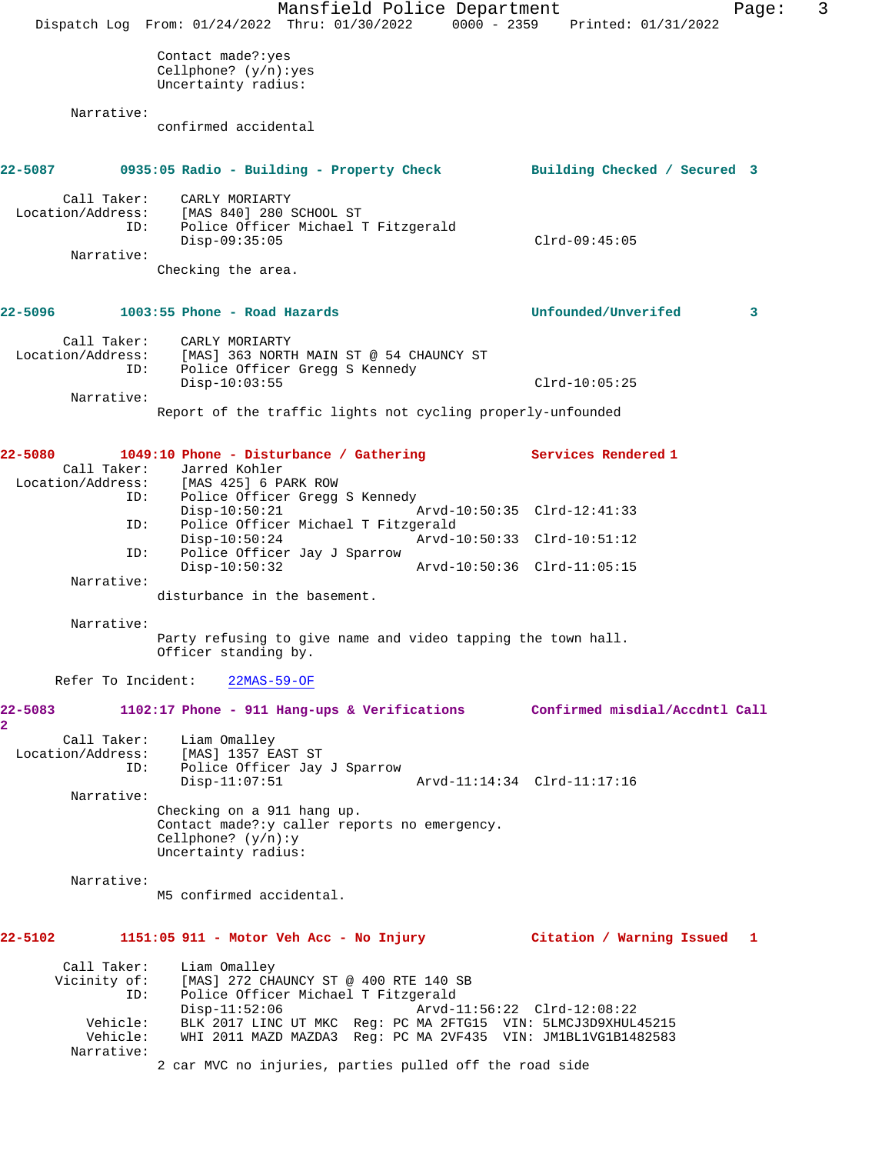|                                                                          | Mansfield Police Department<br>Dispatch Log From: 01/24/2022 Thru: 01/30/2022                                                                                                                                                                     | 3<br>Page:<br>0000 - 2359 Printed: 01/31/2022 |
|--------------------------------------------------------------------------|---------------------------------------------------------------------------------------------------------------------------------------------------------------------------------------------------------------------------------------------------|-----------------------------------------------|
|                                                                          | Contact made?: yes<br>Cellphone? $(y/n):yes$<br>Uncertainty radius:                                                                                                                                                                               |                                               |
| Narrative:                                                               | confirmed accidental                                                                                                                                                                                                                              |                                               |
| 22-5087                                                                  | 0935:05 Radio - Building - Property Check                                                                                                                                                                                                         | Building Checked / Secured 3                  |
| Call Taker:<br>Location/Address:<br>ID:<br>Narrative:                    | CARLY MORIARTY<br>[MAS 840] 280 SCHOOL ST<br>Police Officer Michael T Fitzgerald<br>$Disp-09:35:05$                                                                                                                                               | $Clrd-09:45:05$                               |
|                                                                          | Checking the area.                                                                                                                                                                                                                                |                                               |
| 22–5096                                                                  | $1003:55$ Phone - Road Hazards                                                                                                                                                                                                                    | Unfounded/Unverifed<br>3                      |
| Call Taker:<br>ID:                                                       | CARLY MORIARTY<br>Location/Address: [MAS] 363 NORTH MAIN ST @ 54 CHAUNCY ST<br>Police Officer Gregg S Kennedy<br>$Disp-10:03:55$                                                                                                                  | $Clrd-10:05:25$                               |
| Narrative:                                                               | Report of the traffic lights not cycling properly-unfounded                                                                                                                                                                                       |                                               |
|                                                                          |                                                                                                                                                                                                                                                   |                                               |
| 22-5080<br>ID:                                                           | 1049:10 Phone - Disturbance / Gathering<br>Call Taker: Jarred Kohler<br>Location/Address: [MAS 425] 6 PARK ROW<br>Police Officer Gregg S Kennedy                                                                                                  | Services Rendered 1                           |
| ID:                                                                      | $Disp-10:50:21$<br>Police Officer Michael T Fitzgerald                                                                                                                                                                                            | Arvd-10:50:35 Clrd-12:41:33                   |
| ID:                                                                      | $Disp-10:50:24$<br>Police Officer Jay J Sparrow<br>$Disp-10:50:32$                                                                                                                                                                                | Arvd-10:50:33 Clrd-10:51:12                   |
| Narrative:                                                               | disturbance in the basement.                                                                                                                                                                                                                      |                                               |
| Narrative:                                                               |                                                                                                                                                                                                                                                   |                                               |
|                                                                          | Party refusing to give name and video tapping the town hall.<br>Officer standing by.                                                                                                                                                              |                                               |
|                                                                          | Refer To Incident: 22MAS-59-OF                                                                                                                                                                                                                    |                                               |
| 22-5083<br>$\mathbf{2}$                                                  | 1102:17 Phone - 911 Hang-ups & Verifications Confirmed misdial/Accdntl Call                                                                                                                                                                       |                                               |
| Call Taker:<br>Location/Address:<br>ID:                                  | Liam Omalley<br>[MAS] 1357 EAST ST<br>Police Officer Jay J Sparrow<br>$Disp-11:07:51$                                                                                                                                                             | Arvd-11:14:34 Clrd-11:17:16                   |
| Narrative:                                                               | Checking on a 911 hang up.<br>Contact made?: y caller reports no emergency.<br>Cellphone? $(y/n):y$<br>Uncertainty radius:                                                                                                                        |                                               |
| Narrative:                                                               | M5 confirmed accidental.                                                                                                                                                                                                                          |                                               |
| 22-5102                                                                  |                                                                                                                                                                                                                                                   |                                               |
| Call Taker:<br>Vicinity of:<br>ID:<br>Vehicle:<br>Vehicle:<br>Narrative: | Liam Omalley<br>[MAS] 272 CHAUNCY ST @ 400 RTE 140 SB<br>Police Officer Michael T Fitzgerald<br>$Disp-11:52:06$<br>BLK 2017 LINC UT MKC Req: PC MA 2FTG15 VIN: 5LMCJ3D9XHUL45215<br>WHI 2011 MAZD MAZDA3 Req: PC MA 2VF435 VIN: JM1BL1VG1B1482583 | Arvd-11:56:22 Clrd-12:08:22                   |
|                                                                          | 2 car MVC no injuries, parties pulled off the road side                                                                                                                                                                                           |                                               |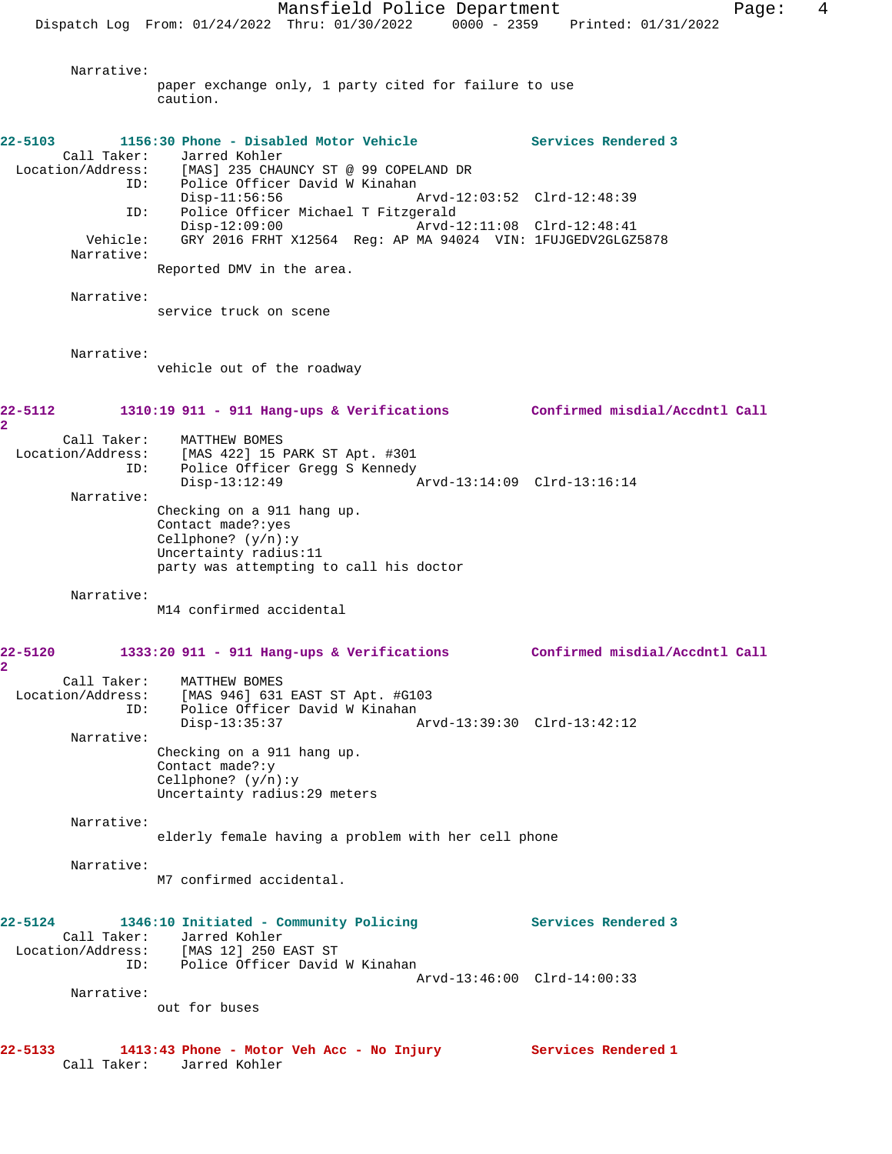Narrative:

paper exchange only, 1 party cited for failure to use caution. **22-5103 1156:30 Phone - Disabled Motor Vehicle Services Rendered 3**  Call Taker: Jarred Kohler Location/Address: [MAS] 235 CHAUNCY ST @ 99 COPELAND DR ID: Police Officer David W Kinahan Disp-11:56:56 Arvd-12:03:52 Clrd-12:48:39 ID: Police Officer Michael T Fitzgerald Disp-12:09:00 Arvd-12:11:08 Clrd-12:48:41 Vehicle: GRY 2016 FRHT X12564 Reg: AP MA 94024 VIN: 1FUJGEDV2GLGZ5878 Narrative: Reported DMV in the area. Narrative: service truck on scene Narrative: vehicle out of the roadway **22-5112 1310:19 911 - 911 Hang-ups & Verifications Confirmed misdial/Accdntl Call 2**  Call Taker: MATTHEW BOMES Location/Address: [MAS 422] 15 PARK ST Apt. #301 ID: Police Officer Gregg S Kennedy Disp-13:12:49 Arvd-13:14:09 Clrd-13:16:14 Narrative: Checking on a 911 hang up. Contact made?:yes Cellphone? (y/n):y Uncertainty radius:11 party was attempting to call his doctor Narrative: M14 confirmed accidental **22-5120 1333:20 911 - 911 Hang-ups & Verifications Confirmed misdial/Accdntl Call 2**  Call Taker: MATTHEW BOMES Location/Address: [MAS 946] 631 EAST ST Apt. #G103 ID: Police Officer David W Kinahan<br>Disp-13:35:37 Disp-13:35:37 Arvd-13:39:30 Clrd-13:42:12 Narrative: Checking on a 911 hang up. Contact made?:y Cellphone? (y/n):y Uncertainty radius:29 meters Narrative: elderly female having a problem with her cell phone Narrative: M7 confirmed accidental. **22-5124 1346:10 Initiated - Community Policing Services Rendered 3**  Call Taker: Jarred Kohler Location/Address: [MAS 12] 250 EAST ST ID: Police Officer David W Kinahan Arvd-13:46:00 Clrd-14:00:33 Narrative: out for buses

**22-5133 1413:43 Phone - Motor Veh Acc - No Injury Services Rendered 1**  Call Taker: Jarred Kohler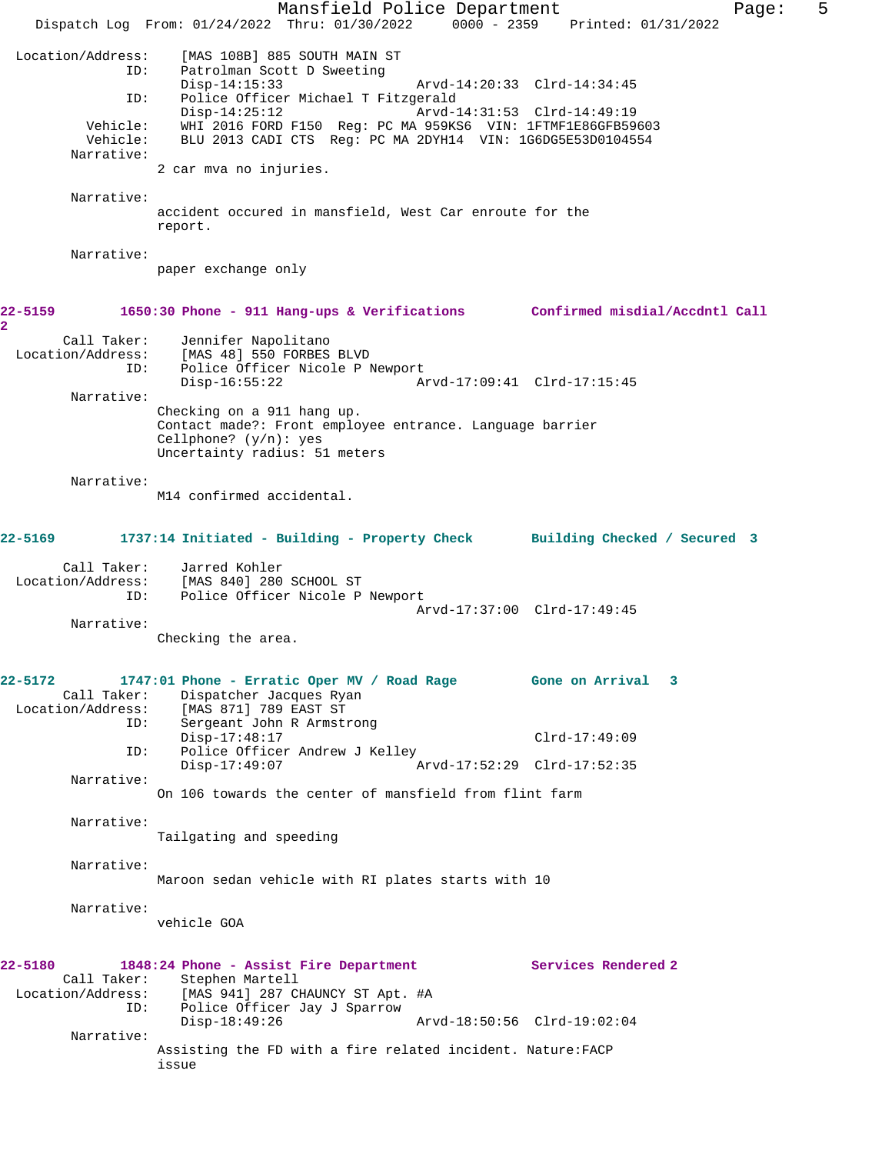Mansfield Police Department Fage: 5 Dispatch Log From: 01/24/2022 Thru: 01/30/2022 0000 - 2359 Printed: 01/31/2022 Location/Address: [MAS 108B] 885 SOUTH MAIN ST Patrolman Scott D Sweeting<br>Disp-14:15:33 Disp-14:15:33 Arvd-14:20:33 Clrd-14:34:45 ID: Police Officer Michael T Fitzgerald  $Disp-14:25:12$  Vehicle: WHI 2016 FORD F150 Reg: PC MA 959KS6 VIN: 1FTMF1E86GFB59603 Vehicle: BLU 2013 CADI CTS Reg: PC MA 2DYH14 VIN: 1G6DG5E53D0104554 Narrative: 2 car mva no injuries. Narrative: accident occured in mansfield, West Car enroute for the report. Narrative: paper exchange only **22-5159 1650:30 Phone - 911 Hang-ups & Verifications Confirmed misdial/Accdntl Call 2**  Call Taker: Jennifer Napolitano<br>Location/Address: [MAS 48] 550 FORBES ess: [MAS 48] 550 FORBES BLVD<br>ID: Police Officer Nicole P N ID: Police Officer Nicole P Newport Disp-16:55:22 Arvd-17:09:41 Clrd-17:15:45 Narrative: Checking on a 911 hang up. Contact made?: Front employee entrance. Language barrier Cellphone? (y/n): yes Uncertainty radius: 51 meters Narrative: M14 confirmed accidental. **22-5169 1737:14 Initiated - Building - Property Check Building Checked / Secured 3** Call Taker: Jarred Kohler Location/Address: [MAS 840] 280 SCHOOL ST ID: Police Officer Nicole P Newport Arvd-17:37:00 Clrd-17:49:45 Narrative: Checking the area. **22-5172 1747:01 Phone - Erratic Oper MV / Road Rage Gone on Arrival 3**  Call Taker: Dispatcher Jacques Ryan<br>Location/Address: [MAS 871] 789 EAST ST ess: [MAS 871] 789 EAST ST<br>ID: Sergeant John R Armst: Sergeant John R Armstrong Disp-17:48:17 Clrd-17:49:09<br>ID: Police Officer Andrew J Kelley Police Officer Andrew J Kelley<br>Disp-17:49:07 A Disp-17:49:07 Arvd-17:52:29 Clrd-17:52:35 Narrative: On 106 towards the center of mansfield from flint farm Narrative: Tailgating and speeding Narrative: Maroon sedan vehicle with RI plates starts with 10 Narrative: vehicle GOA **22-5180 1848:24 Phone - Assist Fire Department Services Rendered 2**  Call Taker: Stephen Martell<br>Location/Address: [MAS 941] 287 CI ess: [MAS 941] 287 CHAUNCY ST Apt. #A<br>ID: Police Officer Jay J Sparrow Police Officer Jay J Sparrow Disp-18:49:26 Arvd-18:50:56 Clrd-19:02:04 Narrative: Assisting the FD with a fire related incident. Nature:FACP issue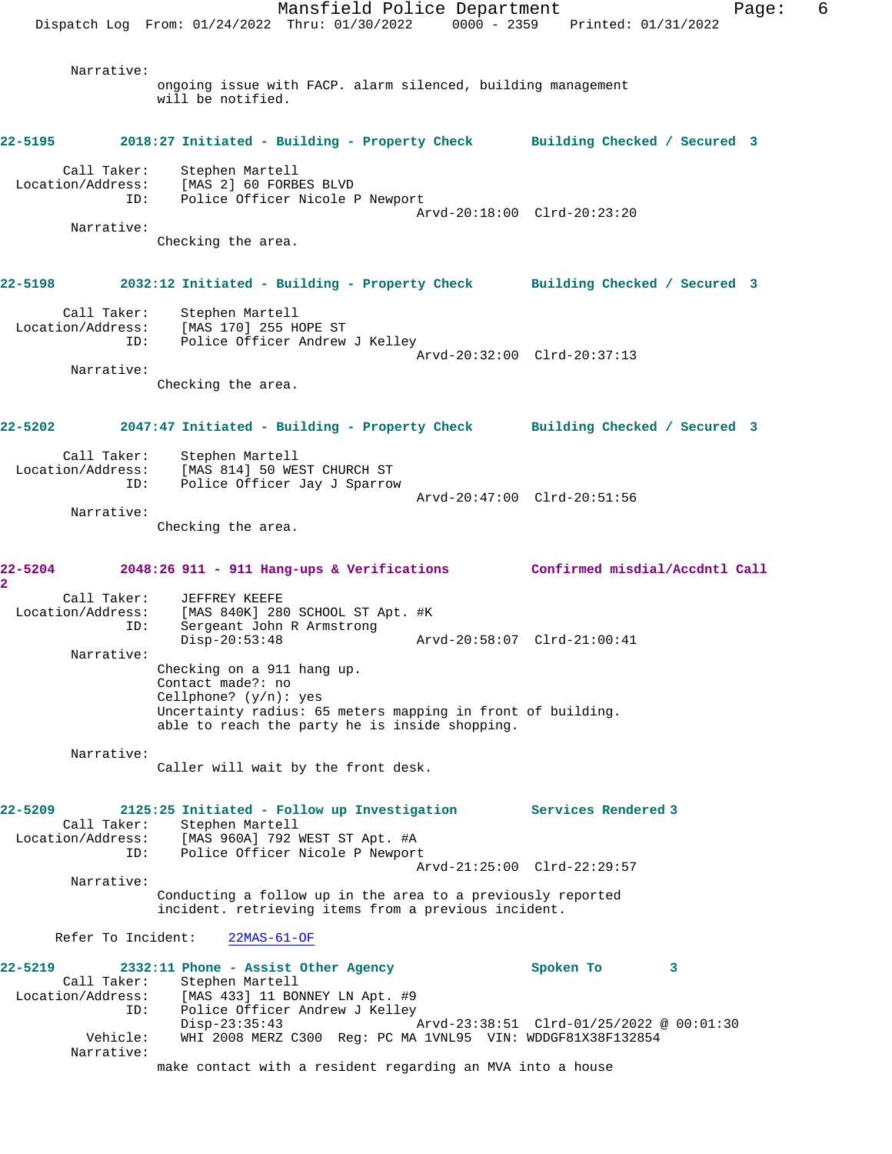Mansfield Police Department Form Page: 6 Dispatch Log From: 01/24/2022 Thru: 01/30/2022 0000 - 2359 Printed: 01/31/2022 Narrative: ongoing issue with FACP. alarm silenced, building management will be notified. **22-5195 2018:27 Initiated - Building - Property Check Building Checked / Secured 3** Call Taker: Stephen Martell<br>ion/Address: [MAS 2] 60 FORBES BLVD Location/Address:<br>ID: Police Officer Nicole P Newport Arvd-20:18:00 Clrd-20:23:20 Narrative: Checking the area. **22-5198 2032:12 Initiated - Building - Property Check Building Checked / Secured 3** Call Taker: Stephen Martell Location/Address: [MAS 170] 255 HOPE ST ID: Police Officer Andrew J Kelley Arvd-20:32:00 Clrd-20:37:13 Narrative: Checking the area. **22-5202 2047:47 Initiated - Building - Property Check Building Checked / Secured 3** Call Taker: Stephen Martell Location/Address: [MAS 814] 50 WEST CHURCH ST ID: Police Officer Jay J Sparrow Arvd-20:47:00 Clrd-20:51:56 Narrative: Checking the area. **22-5204 2048:26 911 - 911 Hang-ups & Verifications Confirmed misdial/Accdntl Call 2**  Call Taker: JEFFREY KEEFE Location/Address: [MAS 840K] 280 SCHOOL ST Apt. #K ID: Sergeant John R Armstrong Disp-20:53:48 Arvd-20:58:07 Clrd-21:00:41 Narrative: Checking on a 911 hang up. Contact made?: no Cellphone? (y/n): yes Uncertainty radius: 65 meters mapping in front of building. able to reach the party he is inside shopping. Narrative: Caller will wait by the front desk. **22-5209 2125:25 Initiated - Follow up Investigation Services Rendered 3**  Call Taker: Stephen Martell Location/Address: [MAS 960A] 792 WEST ST Apt. #A ID: Police Officer Nicole P Newport Arvd-21:25:00 Clrd-22:29:57 Narrative: Conducting a follow up in the area to a previously reported incident. retrieving items from a previous incident. Refer To Incident: 22MAS-61-OF **22-5219 2332:11 Phone - Assist Other Agency Spoken To 3**  Call Taker: Stephen Martell<br>Location/Address: [MAS 433] 11 BON  $[MAS 433] 11 BONNEY LN Apt. #9$ ID: Police Officer Andrew J Kelley<br>Disp-23:35:43 Disp-23:35:43 Arvd-23:38:51 Clrd-01/25/2022 @ 00:01:30 Vehicle: WHI 2008 MERZ C300 Reg: PC MA 1VNL95 VIN: WDDGF81X38F132854 Narrative: make contact with a resident regarding an MVA into a house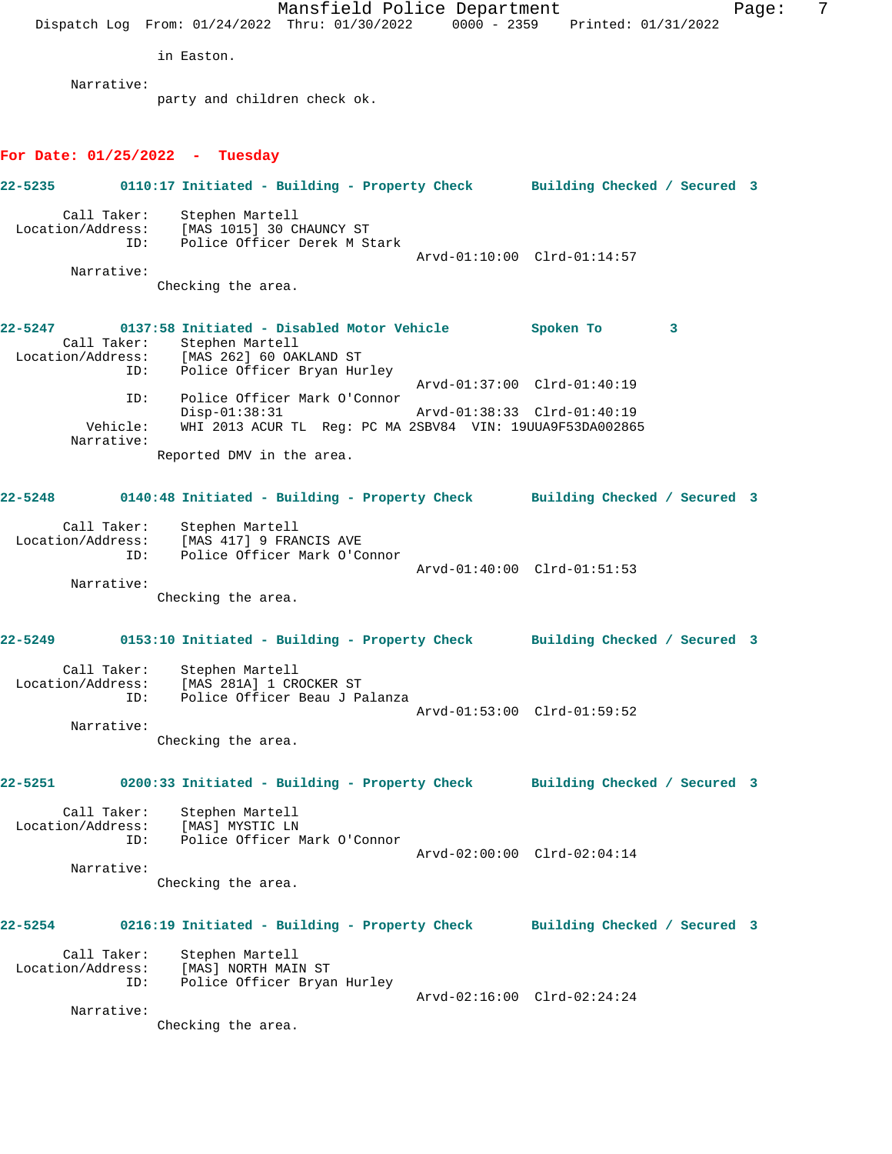Mansfield Police Department Fage: 7 Dispatch Log From: 01/24/2022 Thru: 01/30/2022 0000 - 2359 Printed: 01/31/2022 in Easton. Narrative: party and children check ok. **For Date: 01/25/2022 - Tuesday 22-5235 0110:17 Initiated - Building - Property Check Building Checked / Secured 3** Call Taker: Stephen Martell Location/Address: [MAS 1015] 30 CHAUNCY ST ID: Police Officer Derek M Stark Arvd-01:10:00 Clrd-01:14:57 Narrative: Checking the area. **22-5247 0137:58 Initiated - Disabled Motor Vehicle Spoken To 3**  Call Taker: Stephen Martell Location/Address: [MAS 262] 60 OAKLAND ST ID: Police Officer Bryan Hurley Arvd-01:37:00 Clrd-01:40:19 ID: Police Officer Mark O'Connor Disp-01:38:31 Arvd-01:38:33 Clrd-01:40:19 Vehicle: WHI 2013 ACUR TL Reg: PC MA 2SBV84 VIN: 19UUA9F53DA002865 Narrative: Reported DMV in the area. **22-5248 0140:48 Initiated - Building - Property Check Building Checked / Secured 3** Call Taker: Stephen Martell Location/Address: [MAS 417] 9 FRANCIS AVE ID: Police Officer Mark O'Connor Arvd-01:40:00 Clrd-01:51:53 Narrative: Checking the area. **22-5249 0153:10 Initiated - Building - Property Check Building Checked / Secured 3** Call Taker: Stephen Martell Location/Address: [MAS 281A] 1 CROCKER ST ID: Police Officer Beau J Palanza Arvd-01:53:00 Clrd-01:59:52 Narrative: Checking the area. **22-5251 0200:33 Initiated - Building - Property Check Building Checked / Secured 3** Call Taker: Stephen Martell Location/Address: [MAS] MYSTIC LN ID: Police Officer Mark O'Connor Arvd-02:00:00 Clrd-02:04:14 Narrative: Checking the area. **22-5254 0216:19 Initiated - Building - Property Check Building Checked / Secured 3** Call Taker: Stephen Martell Location/Address: [MAS] NORTH MAIN ST ID: Police Officer Bryan Hurley Arvd-02:16:00 Clrd-02:24:24 Narrative: Checking the area.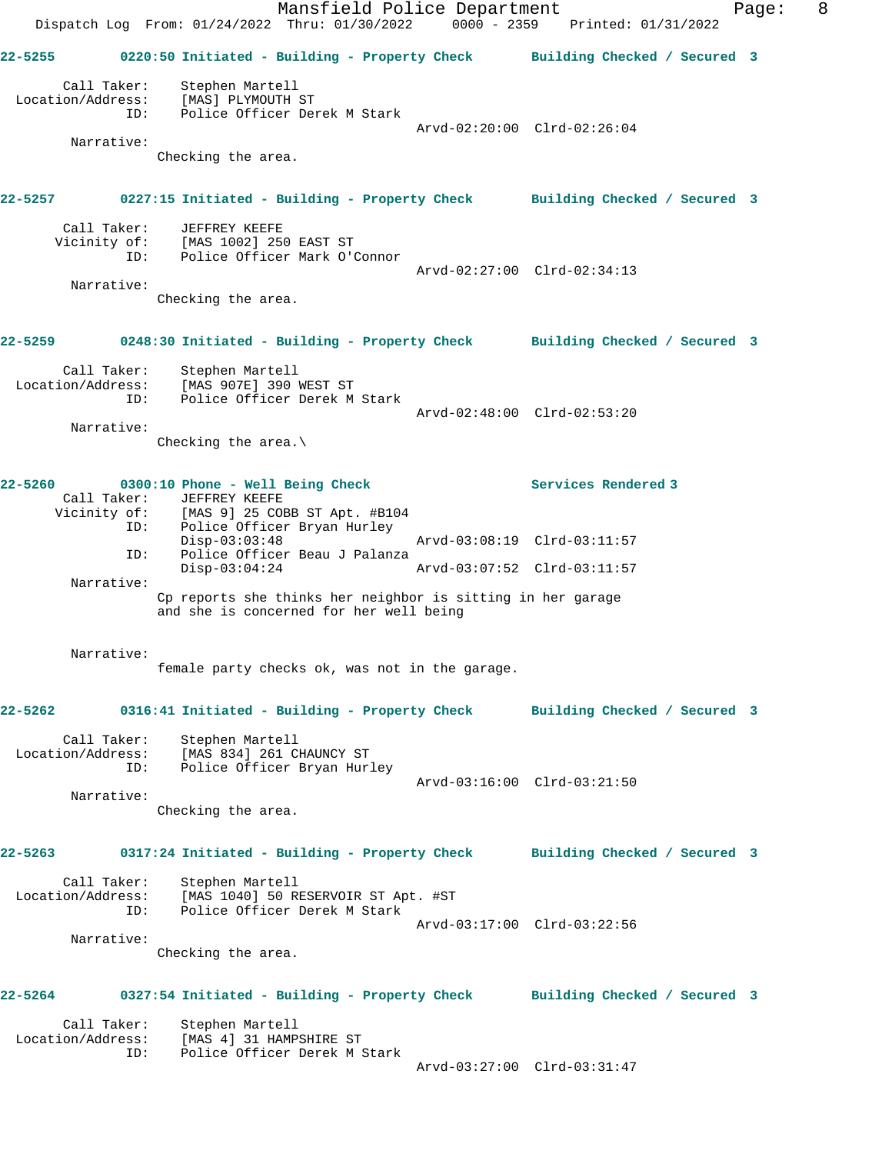Mansfield Police Department Fage: 8 Dispatch Log From: 01/24/2022 Thru: 01/30/2022 0000 - 2359 Printed: 01/31/2022 **22-5255 0220:50 Initiated - Building - Property Check Building Checked / Secured 3** Call Taker: Stephen Martell Location/Address: [MAS] PLYMOUTH ST ID: Police Officer Derek M Stark Arvd-02:20:00 Clrd-02:26:04 Narrative: Checking the area. **22-5257 0227:15 Initiated - Building - Property Check Building Checked / Secured 3** Call Taker: JEFFREY KEEFE Vicinity of: [MAS 1002] 250 EAST ST ID: Police Officer Mark O'Connor Arvd-02:27:00 Clrd-02:34:13 Narrative: Checking the area. **22-5259 0248:30 Initiated - Building - Property Check Building Checked / Secured 3** Call Taker: Stephen Martell Location/Address: [MAS 907E] 390 WEST ST ID: Police Officer Derek M Stark Arvd-02:48:00 Clrd-02:53:20 Narrative: Checking the area.\ **22-5260 0300:10 Phone - Well Being Check Services Rendered 3**  Call Taker: JEFFREY KEEFE Vicinity of: [MAS 9] 25 COBB ST Apt. #B104 ID: Police Officer Bryan Hurley Disp-03:03:48 Arvd-03:08:19 Clrd-03:11:57 ID: Police Officer Beau J Palanza Disp-03:04:24 Arvd-03:07:52 Clrd-03:11:57 Narrative: Cp reports she thinks her neighbor is sitting in her garage and she is concerned for her well being Narrative: female party checks ok, was not in the garage. **22-5262 0316:41 Initiated - Building - Property Check Building Checked / Secured 3** Call Taker: Stephen Martell Location/Address: [MAS 834] 261 CHAUNCY ST ID: Police Officer Bryan Hurley MAS 834 261 CHAUNGL CONTROLLER<br>Police Officer Bryan Hurley<br>Arvd-03:16:00 Clrd-03:21:50 Narrative: Checking the area. **22-5263 0317:24 Initiated - Building - Property Check Building Checked / Secured 3** Call Taker: Stephen Martell Location/Address: [MAS 1040] 50 RESERVOIR ST Apt. #ST ID: Police Officer Derek M Stark Arvd-03:17:00 Clrd-03:22:56 Narrative: Checking the area. **22-5264 0327:54 Initiated - Building - Property Check Building Checked / Secured 3** Call Taker: Stephen Martell Location/Address: [MAS 4] 31 HAMPSHIRE ST ID: Police Officer Derek M Stark Arvd-03:27:00 Clrd-03:31:47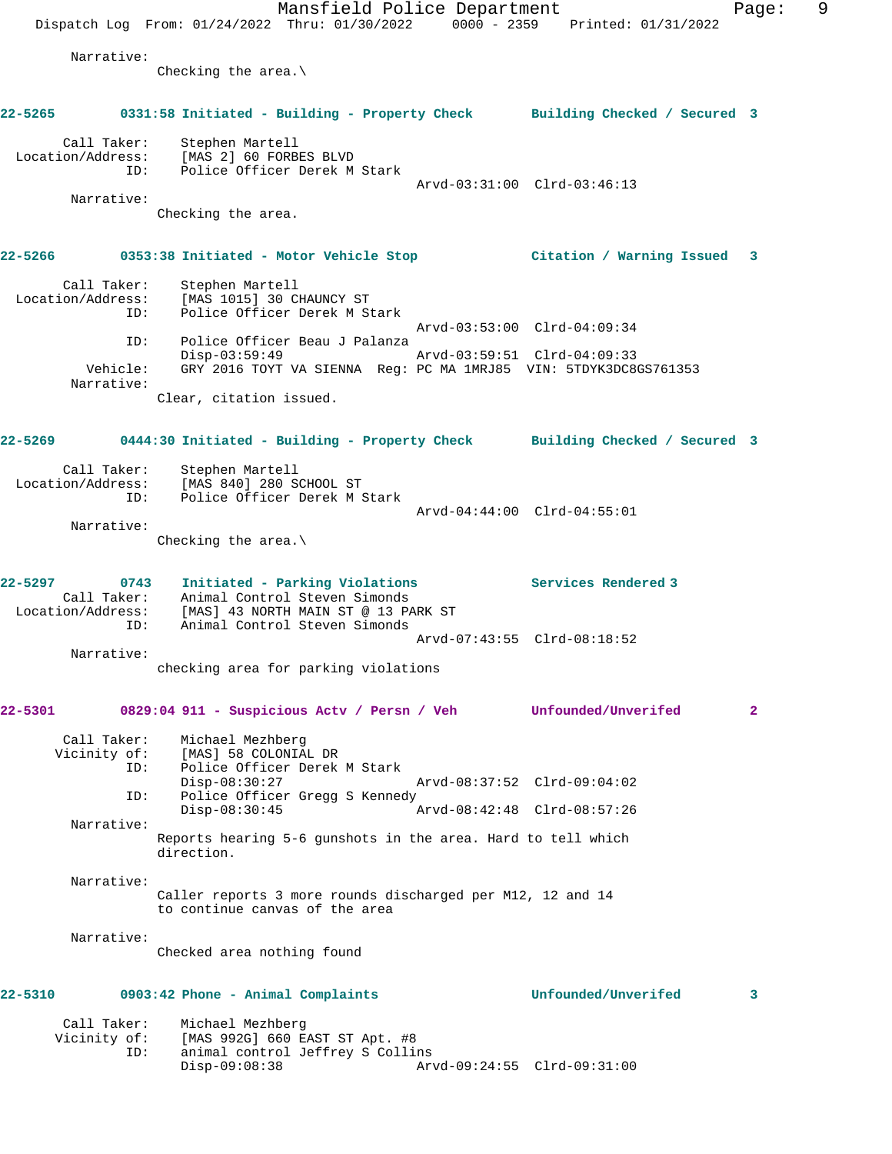Mansfield Police Department Fage: 9 Dispatch Log From: 01/24/2022 Thru: 01/30/2022 0000 - 2359 Printed: 01/31/2022 Narrative: Checking the area.\ **22-5265 0331:58 Initiated - Building - Property Check Building Checked / Secured 3** Call Taker: Stephen Martell Location/Address: [MAS 2] 60 FORBES BLVD ID: Police Officer Derek M Stark Arvd-03:31:00 Clrd-03:46:13 Narrative: Checking the area. **22-5266 0353:38 Initiated - Motor Vehicle Stop Citation / Warning Issued 3** Call Taker: Stephen Martell Location/Address: [MAS 1015] 30 CHAUNCY ST ID: Police Officer Derek M Stark Arvd-03:53:00 Clrd-04:09:34 ID: Police Officer Beau J Palanza  $Disp-03:59:49$  Vehicle: GRY 2016 TOYT VA SIENNA Reg: PC MA 1MRJ85 VIN: 5TDYK3DC8GS761353 Narrative: Clear, citation issued. **22-5269 0444:30 Initiated - Building - Property Check Building Checked / Secured 3** Call Taker: Stephen Martell Location/Address: [MAS 840] 280 SCHOOL ST ID: Police Officer Derek M Stark Arvd-04:44:00 Clrd-04:55:01 Narrative: Checking the area.\ **22-5297 0743 Initiated - Parking Violations Services Rendered 3**  Call Taker: Animal Control Steven Simonds Location/Address: [MAS] 43 NORTH MAIN ST @ 13 PARK ST ID: Animal Control Steven Simonds Arvd-07:43:55 Clrd-08:18:52 Narrative: checking area for parking violations **22-5301 0829:04 911 - Suspicious Actv / Persn / Veh Unfounded/Unverifed 2** Call Taker: Michael Mezhberg<br>Vicinity of: [MAS] 58 COLONIA Vicinity of: [MAS] 58 COLONIAL DR ID: Police Officer Derek M Stark Disp-08:30:27 Arvd-08:37:52 Clrd-09:04:02 ID: Police Officer Gregg S Kennedy Disp-08:30:45 Arvd-08:42:48 Clrd-08:57:26 Narrative: Reports hearing 5-6 gunshots in the area. Hard to tell which direction. Narrative: Caller reports 3 more rounds discharged per M12, 12 and 14 to continue canvas of the area Narrative: Checked area nothing found **22-5310 0903:42 Phone - Animal Complaints Unfounded/Unverifed 3** Call Taker: Michael Mezhberg Vicinity of: [MAS 992G] 660 EAST ST Apt. #8 ID: animal control Jeffrey S Collins Disp-09:08:38 Arvd-09:24:55 Clrd-09:31:00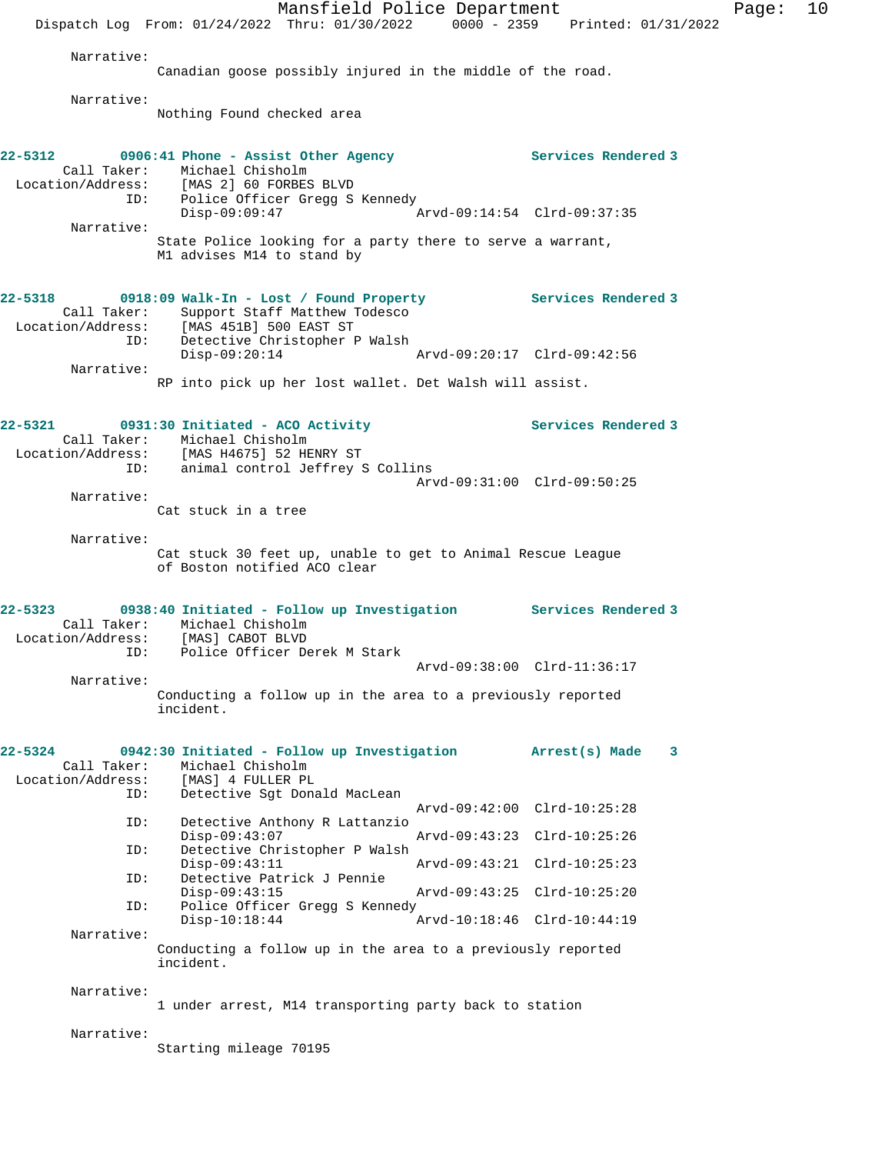Mansfield Police Department Fage: 10 Dispatch Log From: 01/24/2022 Thru: 01/30/2022 0000 - 2359 Printed: 01/31/2022 Narrative: Canadian goose possibly injured in the middle of the road. Narrative: Nothing Found checked area 22-5312 **0906:41 Phone - Assist Other Agency Services Rendered 3**  Call Taker: Michael Chisholm Location/Address: [MAS 2] 60 FORBES BLVD ID: Police Officer Gregg S Kennedy Disp-09:09:47 Arvd-09:14:54 Clrd-09:37:35 Narrative: State Police looking for a party there to serve a warrant, M1 advises M14 to stand by **22-5318 0918:09 Walk-In - Lost / Found Property Services Rendered 3**  Call Taker: Support Staff Matthew Todesco Location/Address: [MAS 451B] 500 EAST ST ID: Detective Christopher P Walsh Disp-09:20:14 Arvd-09:20:17 Clrd-09:42:56 Narrative: RP into pick up her lost wallet. Det Walsh will assist. **22-5321 0931:30 Initiated - ACO Activity Services Rendered 3**  Call Taker: Michael Chisholm Location/Address: [MAS H4675] 52 HENRY ST ID: animal control Jeffrey S Collins Arvd-09:31:00 Clrd-09:50:25 Narrative: Cat stuck in a tree Narrative: Cat stuck 30 feet up, unable to get to Animal Rescue League of Boston notified ACO clear **22-5323 0938:40 Initiated - Follow up Investigation Services Rendered 3**  Call Taker: Michael Chisholm Location/Address: [MAS] CABOT BLVD ID: Police Officer Derek M Stark Arvd-09:38:00 Clrd-11:36:17 Narrative: Conducting a follow up in the area to a previously reported incident. **22-5324 0942:30 Initiated - Follow up Investigation Arrest(s) Made 3**  Call Taker: Michael Chisholm Location/Address: [MAS] 4 FULLER PL ID: Detective Sgt Donald MacLean Arvd-09:42:00 Clrd-10:25:28 ID: Detective Anthony R Lattanzio Disp-09:43:07 Arvd-09:43:23 Clrd-10:25:26<br>ID: Detective Christopher P Walsh Detective Christopher P Walsh<br>Disp-09:43:11 Disp-09:43:11 Arvd-09:43:21 Clrd-10:25:23 ID: Detective Patrick J Pennie Disp-09:43:15 Arvd-09:43:25 Clrd-10:25:20 ID: Police Officer Gregg S Kennedy<br>Disp-10:18:44 Disp-10:18:44 Arvd-10:18:46 Clrd-10:44:19 Narrative: Conducting a follow up in the area to a previously reported incident. Narrative: 1 under arrest, M14 transporting party back to station Narrative: Starting mileage 70195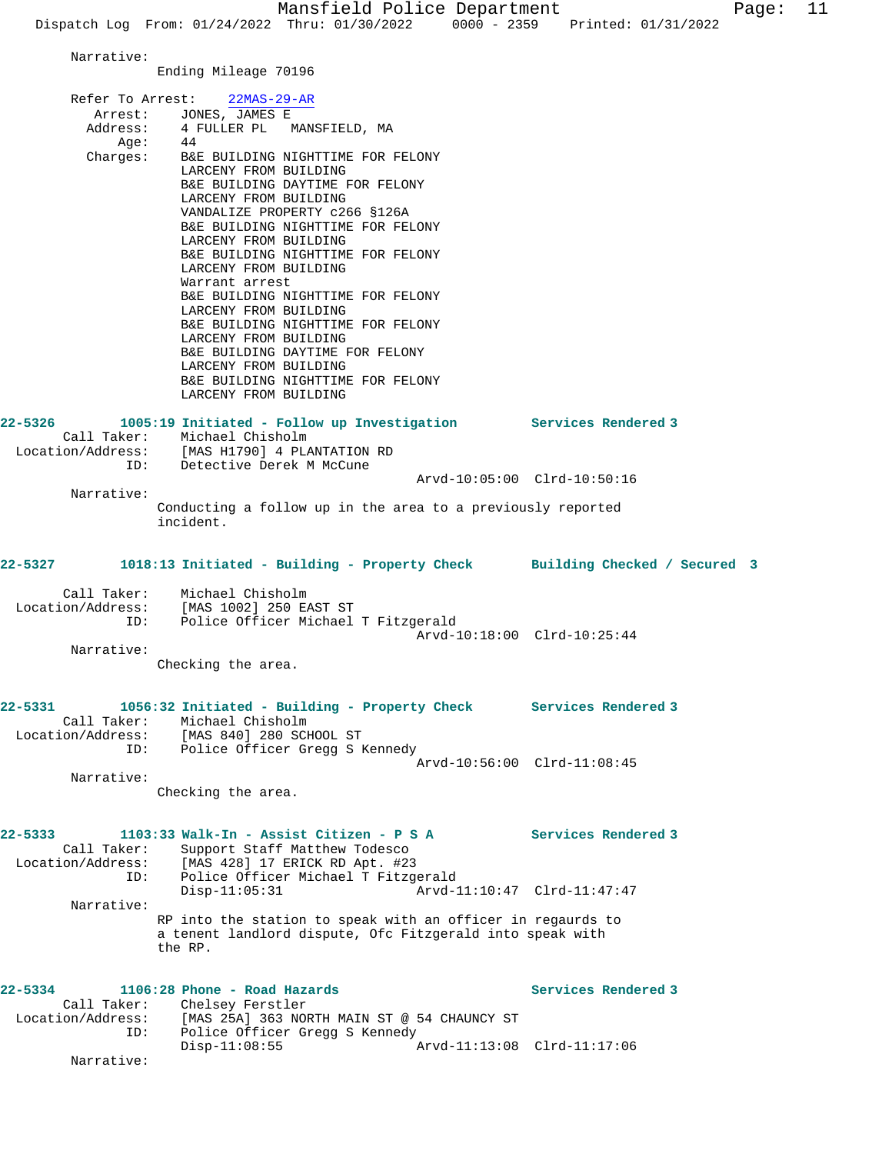Mansfield Police Department Fage: 11 Dispatch Log From: 01/24/2022 Thru: 01/30/2022 0000 - 2359 Printed: 01/31/2022 Narrative: Ending Mileage 70196 Refer To Arrest: 22MAS-29-AR Arrest: JONES, JAMES E Address: 4 FULLER PL MANSFIELD, MA<br>Ade: 44  $A$ ge: Charges: B&E BUILDING NIGHTTIME FOR FELONY LARCENY FROM BUILDING B&E BUILDING DAYTIME FOR FELONY LARCENY FROM BUILDING VANDALIZE PROPERTY c266 §126A B&E BUILDING NIGHTTIME FOR FELONY LARCENY FROM BUILDING B&E BUILDING NIGHTTIME FOR FELONY LARCENY FROM BUILDING Warrant arrest B&E BUILDING NIGHTTIME FOR FELONY LARCENY FROM BUILDING B&E BUILDING NIGHTTIME FOR FELONY LARCENY FROM BUILDING B&E BUILDING DAYTIME FOR FELONY LARCENY FROM BUILDING B&E BUILDING NIGHTTIME FOR FELONY LARCENY FROM BUILDING **22-5326 1005:19 Initiated - Follow up Investigation Services Rendered 3**  Call Taker: Michael Chisholm Location/Address: [MAS H1790] 4 PLANTATION RD ID: Detective Derek M McCune Arvd-10:05:00 Clrd-10:50:16 Narrative: Conducting a follow up in the area to a previously reported incident. **22-5327 1018:13 Initiated - Building - Property Check Building Checked / Secured 3** Call Taker: Michael Chisholm Location/Address: [MAS 1002] 250 EAST ST ID: Police Officer Michael T Fitzgerald Arvd-10:18:00 Clrd-10:25:44 Narrative: Checking the area. **22-5331 1056:32 Initiated - Building - Property Check Services Rendered 3**  Call Taker: Michael Chisholm Location/Address: [MAS 840] 280 SCHOOL ST ID: Police Officer Gregg S Kennedy Arvd-10:56:00 Clrd-11:08:45 Narrative: Checking the area. **22-5333 1103:33 Walk-In - Assist Citizen - P S A Services Rendered 3**  Call Taker: Support Staff Matthew Todesco<br>Location/Address: [MAS 428] 17 ERICK RD Apt. #23 [MAS 428] 17 ERICK RD Apt. #23 ID: Police Officer Michael T Fitzgerald Arvd-11:10:47 Clrd-11:47:47 Narrative: RP into the station to speak with an officer in regaurds to a tenent landlord dispute, Ofc Fitzgerald into speak with the RP. **22-5334 1106:28 Phone - Road Hazards Services Rendered 3**  Call Taker: Chelsey Ferstler Location/Address: [MAS 25A] 363 NORTH MAIN ST @ 54 CHAUNCY ST ID: Police Officer Gregg S Kennedy Disp-11:08:55 Arvd-11:13:08 Clrd-11:17:06 Narrative: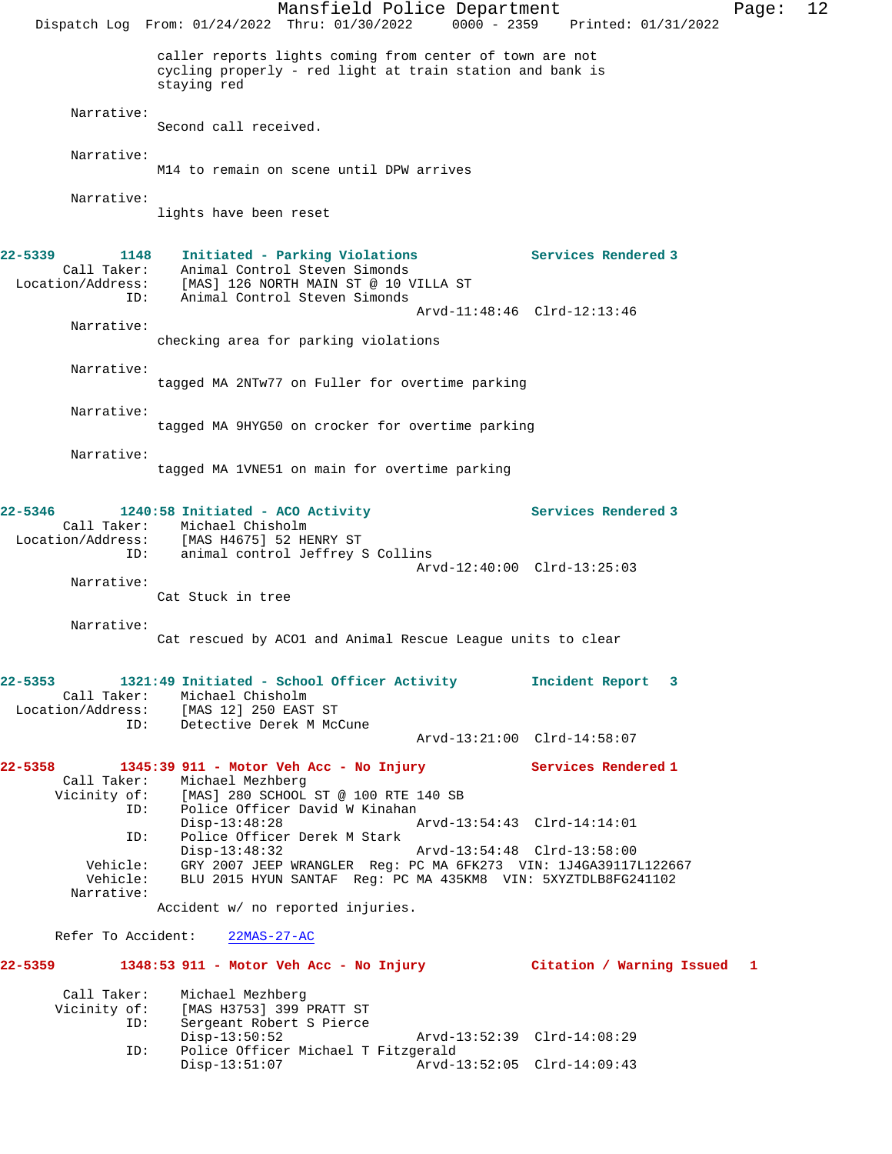Mansfield Police Department Fage: 12 Dispatch Log From: 01/24/2022 Thru: 01/30/2022 0000 - 2359 Printed: 01/31/2022 caller reports lights coming from center of town are not cycling properly - red light at train station and bank is staying red Narrative: Second call received. Narrative: M14 to remain on scene until DPW arrives Narrative: lights have been reset **22-5339 1148 Initiated - Parking Violations Services Rendered 3**  Call Taker: Animal Control Steven Simonds Location/Address: [MAS] 126 NORTH MAIN ST @ 10 VILLA ST ID: Animal Control Steven Simonds Arvd-11:48:46 Clrd-12:13:46 Narrative: checking area for parking violations Narrative: tagged MA 2NTw77 on Fuller for overtime parking Narrative: tagged MA 9HYG50 on crocker for overtime parking Narrative: tagged MA 1VNE51 on main for overtime parking **22-5346 1240:58 Initiated - ACO Activity Services Rendered 3**  Call Taker: Michael Chisholm Location/Address: [MAS H4675] 52 HENRY ST ID: animal control Jeffrey S Collins Arvd-12:40:00 Clrd-13:25:03 Narrative: Cat Stuck in tree Narrative: Cat rescued by ACO1 and Animal Rescue League units to clear **22-5353 1321:49 Initiated - School Officer Activity Incident Report 3**  Call Taker: Michael Chisholm Location/Address: [MAS 12] 250 EAST ST ID: Detective Derek M McCune Arvd-13:21:00 Clrd-14:58:07 **22-5358 1345:39 911 - Motor Veh Acc - No Injury Services Rendered 1**  Call Taker: Michael Mezhberg Vicinity of: [MAS] 280 SCHOOL ST @ 100 RTE 140 SB<br>ID: Police Officer David W Kinahan ID: Police Officer David W Kinahan Disp-13:48:28 Arvd-13:54:43 Clrd-14:14:01 ID: Police Officer Derek M Stark Disp-13:48:32 Arvd-13:54:48 Clrd-13:58:00 Vehicle: GRY 2007 JEEP WRANGLER Reg: PC MA 6FK273 VIN: 1J4GA39117L122667 Vehicle: BLU 2015 HYUN SANTAF Reg: PC MA 435KM8 VIN: 5XYZTDLB8FG241102 Narrative: Accident w/ no reported injuries. Refer To Accident: 22MAS-27-AC **22-5359 1348:53 911 - Motor Veh Acc - No Injury Citation / Warning Issued 1** Call Taker: Michael Mezhberg<br>Vicinity of: [MAS H3753] 399 of: [MAS H3753] 399 PRATT ST<br>ID: Sergeant Robert S Pierce Sergeant Robert S Pierce Disp-13:50:52 Arvd-13:52:39 Clrd-14:08:29 ID: Police Officer Michael T Fitzgerald Disp-13:51:07 Arvd-13:52:05 Clrd-14:09:43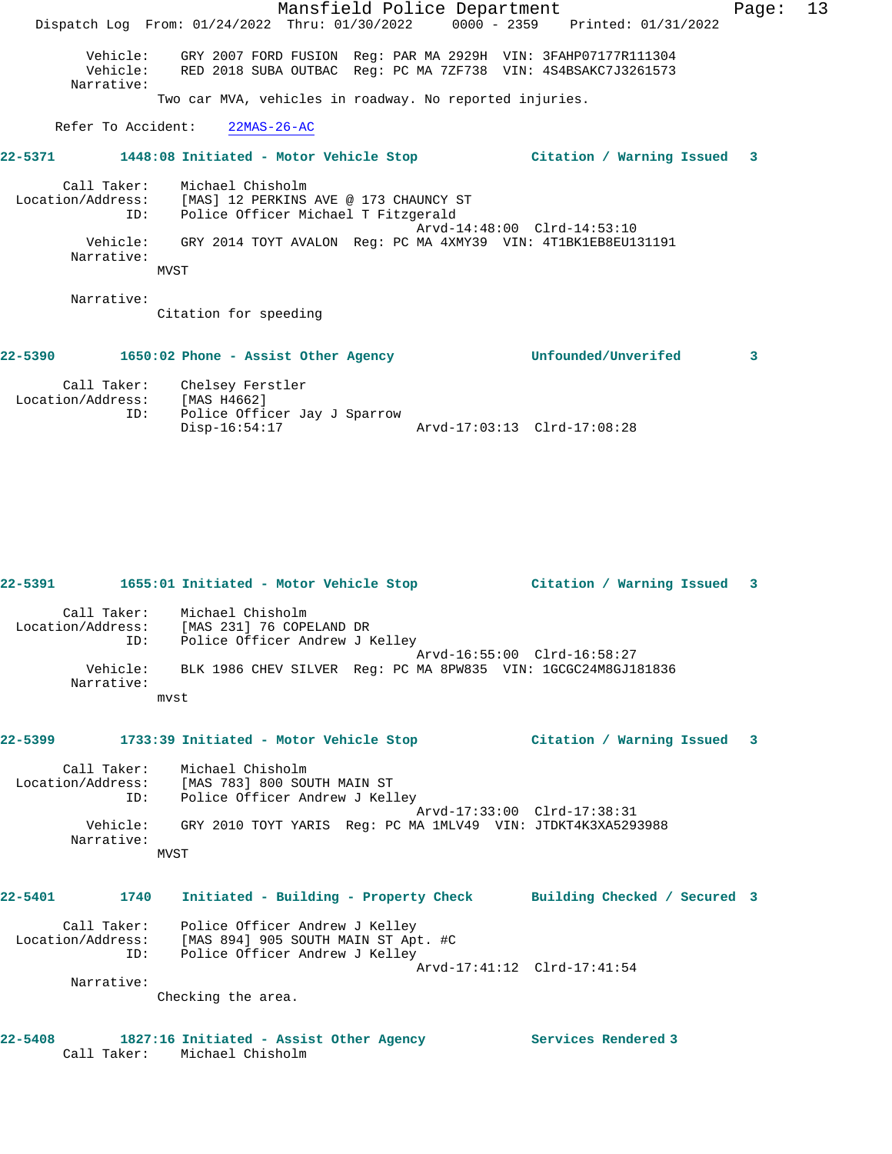Mansfield Police Department Fage: 13 Dispatch Log From: 01/24/2022 Thru: 01/30/2022 0000 - 2359 Printed: 01/31/2022 Vehicle: GRY 2007 FORD FUSION Reg: PAR MA 2929H VIN: 3FAHP07177R111304 Vehicle: RED 2018 SUBA OUTBAC Reg: PC MA 7ZF738 VIN: 4S4BSAKC7J3261573 Narrative: Two car MVA, vehicles in roadway. No reported injuries. Refer To Accident: 22MAS-26-AC **22-5371 1448:08 Initiated - Motor Vehicle Stop Citation / Warning Issued 3** Call Taker: Michael Chisholm Location/Address: [MAS] 12 PERKINS AVE @ 173 CHAUNCY ST ID: Police Officer Michael T Fitzgerald Arvd-14:48:00 Clrd-14:53:10 Vehicle: GRY 2014 TOYT AVALON Reg: PC MA 4XMY39 VIN: 4T1BK1EB8EU131191 Narrative: **MVST**  Narrative: Citation for speeding **22-5390 1650:02 Phone - Assist Other Agency Unfounded/Unverifed 3**

 Call Taker: Chelsey Ferstler Location/Address: [MAS H4662] ID: Police Officer Jay J Sparrow Disp-16:54:17 Arvd-17:03:13 Clrd-17:08:28

**22-5391 1655:01 Initiated - Motor Vehicle Stop Citation / Warning Issued 3** Call Taker: Michael Chisholm Location/Address: [MAS 231] 76 COPELAND DR ID: Police Officer Andrew J Kelley Arvd-16:55:00 Clrd-16:58:27 Vehicle: BLK 1986 CHEV SILVER Reg: PC MA 8PW835 VIN: 1GCGC24M8GJ181836 Narrative: mvst **22-5399 1733:39 Initiated - Motor Vehicle Stop Citation / Warning Issued 3**

 Call Taker: Michael Chisholm Location/Address: [MAS 783] 800 SOUTH MAIN ST ress: العام العام العام العام العام العام العام العام العام العام العام العام العام العام العام العا<br>Th: Police Officer Andrew J Kelley Arvd-17:33:00 Clrd-17:38:31 Vehicle: GRY 2010 TOYT YARIS Reg: PC MA 1MLV49 VIN: JTDKT4K3XA5293988 Narrative: MVST

**22-5401 1740 Initiated - Building - Property Check Building Checked / Secured 3** Call Taker: Police Officer Andrew J Kelley Location/Address: [MAS 894] 905 SOUTH MAIN ST Apt. #C ID: Police Officer Andrew J Kelley

 Arvd-17:41:12 Clrd-17:41:54 Narrative:

Checking the area.

**22-5408 1827:16 Initiated - Assist Other Agency Services Rendered 3**  Call Taker: Michael Chisholm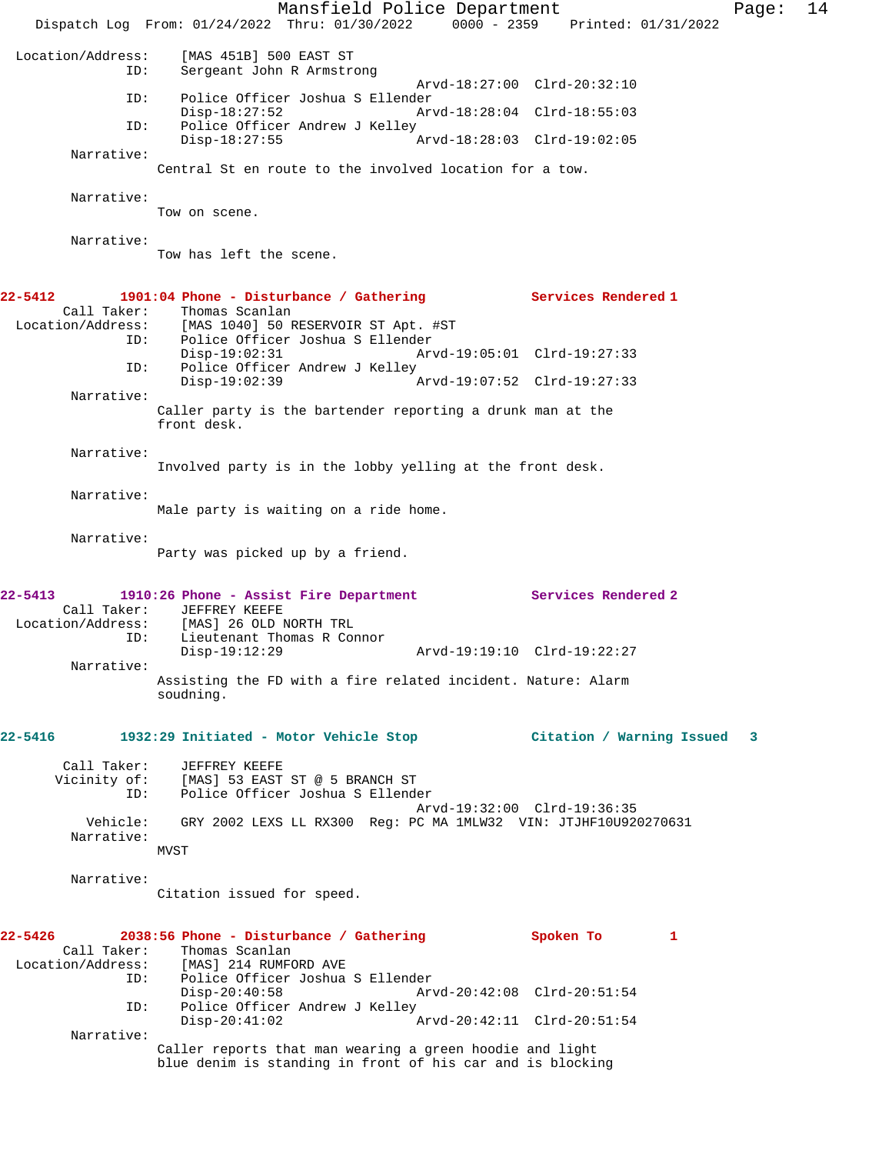Mansfield Police Department Page: 14 Dispatch Log From: 01/24/2022 Thru: 01/30/2022 0000 - 2359 Printed: 01/31/2022 Location/Address: [MAS 451B] 500 EAST ST Sergeant John R Armstrong Arvd-18:27:00 Clrd-20:32:10 ID: Police Officer Joshua S Ellender Arvd-18:28:04 Clrd-18:55:03 ID: Police Officer Andrew J Kelley Disp-18:27:55 Arvd-18:28:03 Clrd-19:02:05 Narrative: Central St en route to the involved location for a tow. Narrative: Tow on scene. Narrative: Tow has left the scene. **22-5412 1901:04 Phone - Disturbance / Gathering Services Rendered 1**  Call Taker: Thomas Scanlan<br>Location/Address: [MAS 1040] 50 1 [MAS 1040] 50 RESERVOIR ST Apt. #ST ID: Police Officer Joshua S Ellender Disp-19:02:31 Arvd-19:05:01 Clrd-19:27:33 ID: Police Officer Andrew J Kelley Disp-19:02:39 Arvd-19:07:52 Clrd-19:27:33 Narrative: Caller party is the bartender reporting a drunk man at the front desk. Narrative: Involved party is in the lobby yelling at the front desk. Narrative: Male party is waiting on a ride home. Narrative: Party was picked up by a friend. **22-5413 1910:26 Phone - Assist Fire Department Services Rendered 2**  Call Taker: JEFFREY KEEFE<br>Location/Address: [MAS] 26 OLD 1 [MAS] 26 OLD NORTH TRL ID: Lieutenant Thomas R Connor Disp-19:12:29 Arvd-19:19:10 Clrd-19:22:27 Narrative: Assisting the FD with a fire related incident. Nature: Alarm soudning. **22-5416 1932:29 Initiated - Motor Vehicle Stop Citation / Warning Issued 3** Call Taker: JEFFREY KEEFE Vicinity of: [MAS] 53 EAST ST @ 5 BRANCH ST ID: Police Officer Joshua S Ellender Arvd-19:32:00 Clrd-19:36:35 Vehicle: GRY 2002 LEXS LL RX300 Reg: PC MA 1MLW32 VIN: JTJHF10U920270631 Narrative: MVST Narrative: Citation issued for speed. **22-5426 2038:56 Phone - Disturbance / Gathering Spoken To 1**  Call Taker: Thomas Scanlan<br>Location/Address: [MAS] 214 RUMF [MAS] 214 RUMFORD AVE ID: Police Officer Joshua S Ellender Disp-20:40:58 Arvd-20:42:08 Clrd-20:51:54<br>ID: Police Officer Andrew J Kelley Police Officer Andrew J Kelley Disp-20:41:02 Arvd-20:42:11 Clrd-20:51:54 Narrative: Caller reports that man wearing a green hoodie and light blue denim is standing in front of his car and is blocking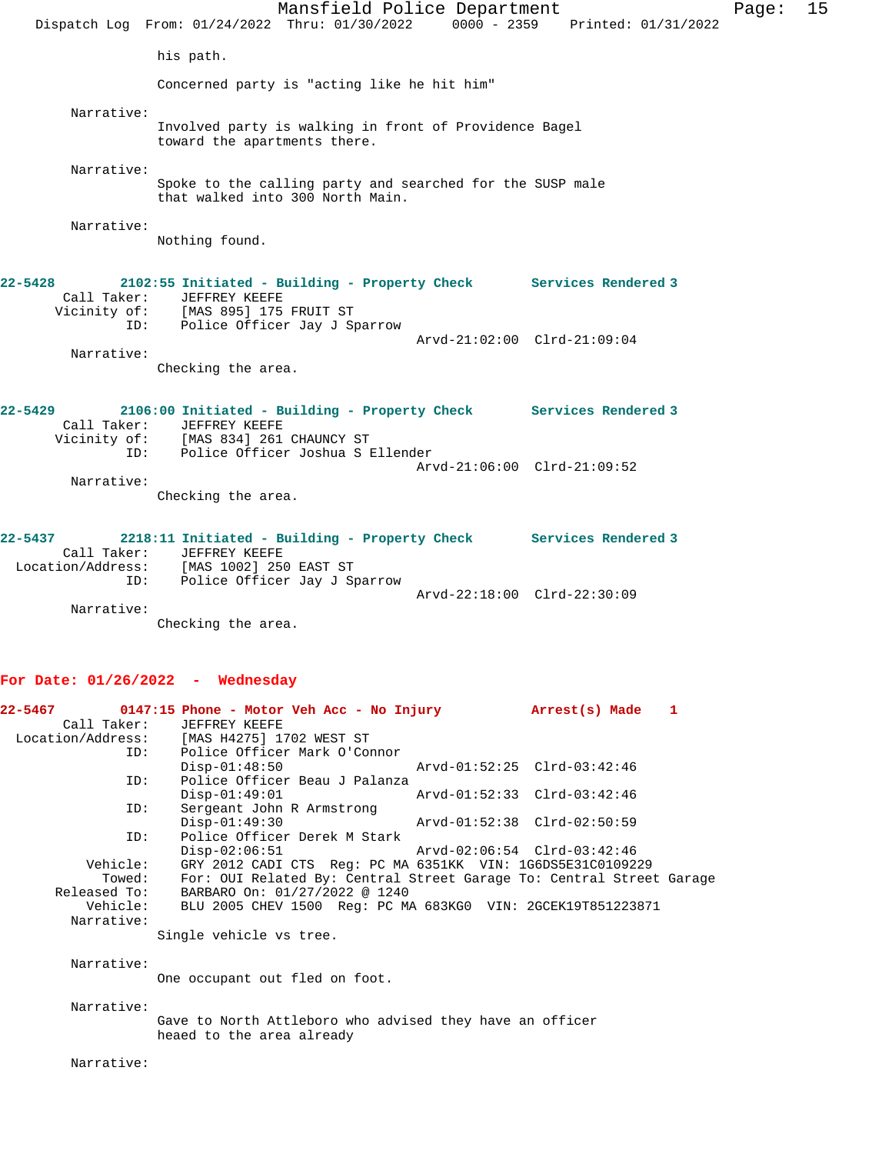Mansfield Police Department Fage: 15 Dispatch Log From: 01/24/2022 Thru: 01/30/2022 0000 - 2359 Printed: 01/31/2022 his path. Concerned party is "acting like he hit him" Narrative: Involved party is walking in front of Providence Bagel toward the apartments there. Narrative: Spoke to the calling party and searched for the SUSP male that walked into 300 North Main. Narrative: Nothing found. **22-5428 2102:55 Initiated - Building - Property Check Services Rendered 3**  Call Taker: JEFFREY KEEFE Vicinity of: [MAS 895] 175 FRUIT ST ID: Police Officer Jay J Sparrow Arvd-21:02:00 Clrd-21:09:04 Narrative: Checking the area. **22-5429 2106:00 Initiated - Building - Property Check Services Rendered 3**  Call Taker: JEFFREY KEEFE Vicinity of: [MAS 834] 261 CHAUNCY ST ID: Police Officer Joshua S Ellender Arvd-21:06:00 Clrd-21:09:52 Narrative: Checking the area. **22-5437 2218:11 Initiated - Building - Property Check Services Rendered 3**  Call Taker: JEFFREY KEEFE Location/Address: [MAS 1002] 250 EAST ST ID: Police Officer Jay J Sparrow Arvd-22:18:00 Clrd-22:30:09 Narrative: Checking the area. **For Date: 01/26/2022 - Wednesday 22-5467 0147:15 Phone - Motor Veh Acc - No Injury Arrest(s) Made 1**  Call Taker: JEFFREY KEEFE<br>Location/Address: [MAS H4275] 17 Location/Address: [MAS H4275] 1702 WEST ST ID: Police Officer Mark O'Connor Disp-01:48:50 Arvd-01:52:25 Clrd-03:42:46 ID: Police Officer Beau J Palanza Disp-01:49:01 Arvd-01:52:33 Clrd-03:42:46 ID: Sergeant John R Armstrong Disp-01:49:30 Arvd-01:52:38 Clrd-02:50:59 ID: Police Officer Derek M Stark<br>Disp-02:06:51 Disp-02:06:51 Arvd-02:06:54 Clrd-03:42:46 Vehicle: GRY 2012 CADI CTS Reg: PC MA 6351KK VIN: 1G6DS5E31C0109229 Towed: For: OUI Related By: Central Street Garage To: Central Street Garage Released To: BARBARO On: 01/27/2022 @ 1240 Vehicle: BLU 2005 CHEV 1500 Reg: PC MA 683KG0 VIN: 2GCEK19T851223871 Narrative: Single vehicle vs tree. Narrative: One occupant out fled on foot. Narrative:

> Gave to North Attleboro who advised they have an officer heaed to the area already

Narrative: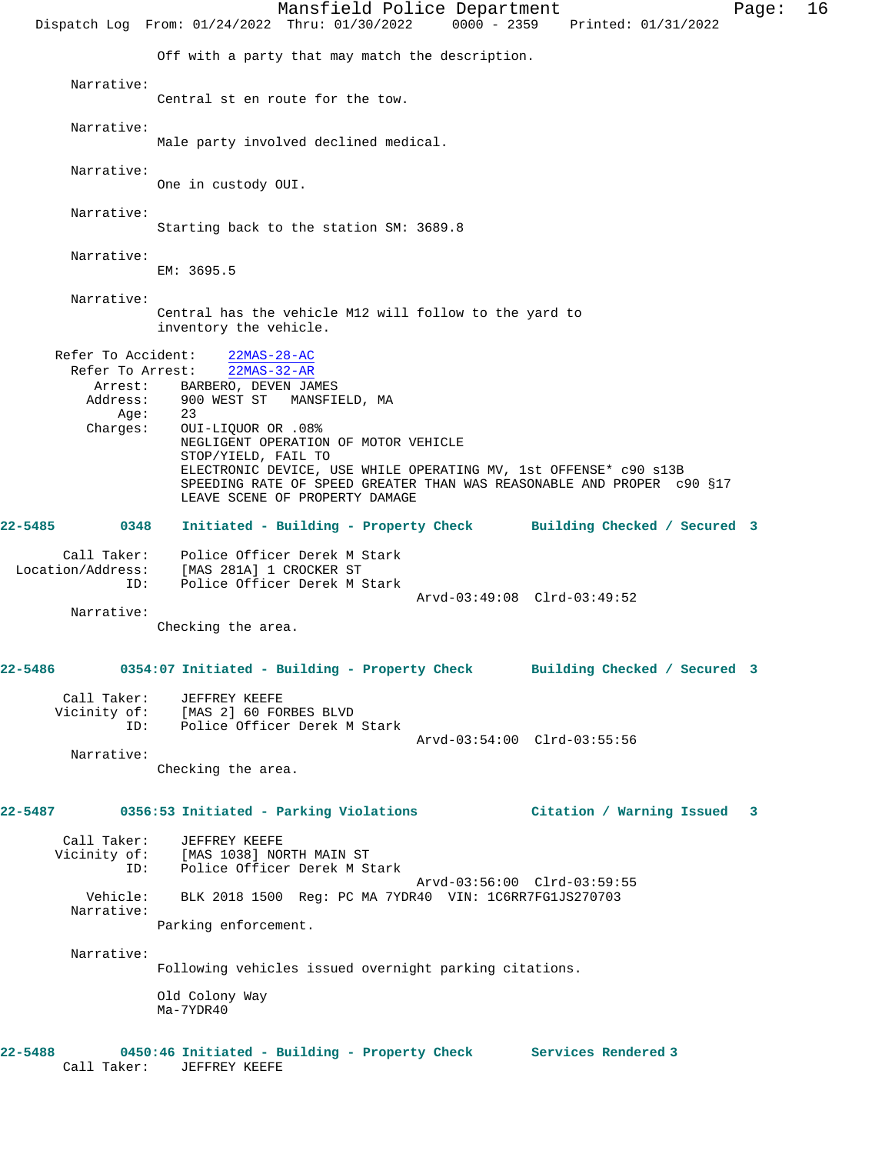Mansfield Police Department Fage: 16 Dispatch Log From: 01/24/2022 Thru: 01/30/2022 0000 - 2359 Printed: 01/31/2022 Off with a party that may match the description. Narrative: Central st en route for the tow. Narrative: Male party involved declined medical. Narrative: One in custody OUI. Narrative: Starting back to the station SM: 3689.8 Narrative: EM: 3695.5 Narrative: Central has the vehicle M12 will follow to the yard to inventory the vehicle. Refer To Accident: 22MAS-28-AC Refer To Arrest: 22MAS-32-AR Arrest: BARBERO, DEVEN JAMES<br>Address: 900 WEST ST MANSFII 900 WEST ST MANSFIELD, MA<br>23 Age: Charges: OUI-LIQUOR OR .08% NEGLIGENT OPERATION OF MOTOR VEHICLE STOP/YIELD, FAIL TO ELECTRONIC DEVICE, USE WHILE OPERATING MV, 1st OFFENSE\* c90 s13B SPEEDING RATE OF SPEED GREATER THAN WAS REASONABLE AND PROPER c90 §17 LEAVE SCENE OF PROPERTY DAMAGE **22-5485 0348 Initiated - Building - Property Check Building Checked / Secured 3** Call Taker: Police Officer Derek M Stark<br>Location/Address: [MAS 281A] 1 CROCKER ST<br>ID: Police Officer Derek M Stark Location Derek M S<br>[MAS 281A] 1 CROCKER ST<br>Police 2001 Police Officer Derek M Stark Arvd-03:49:08 Clrd-03:49:52 Narrative: Checking the area. **22-5486 0354:07 Initiated - Building - Property Check Building Checked / Secured 3** Call Taker: JEFFREY KEEFE Vicinity of: [MAS 2] 60 FORBES BLVD ID: Police Officer Derek M Stark Arvd-03:54:00 Clrd-03:55:56 Narrative: Checking the area. **22-5487 0356:53 Initiated - Parking Violations Citation / Warning Issued 3** Call Taker: JEFFREY KEEFE Vicinity of: [MAS 1038] NORTH MAIN ST ID: Police Officer Derek M Stark Arvd-03:56:00 Clrd-03:59:55 Vehicle: BLK 2018 1500 Reg: PC MA 7YDR40 VIN: 1C6RR7FG1JS270703 Narrative: Parking enforcement. Narrative: Following vehicles issued overnight parking citations. Old Colony Way Ma-7YDR40 **22-5488 0450:46 Initiated - Building - Property Check Services Rendered 3**  Call Taker: JEFFREY KEEFE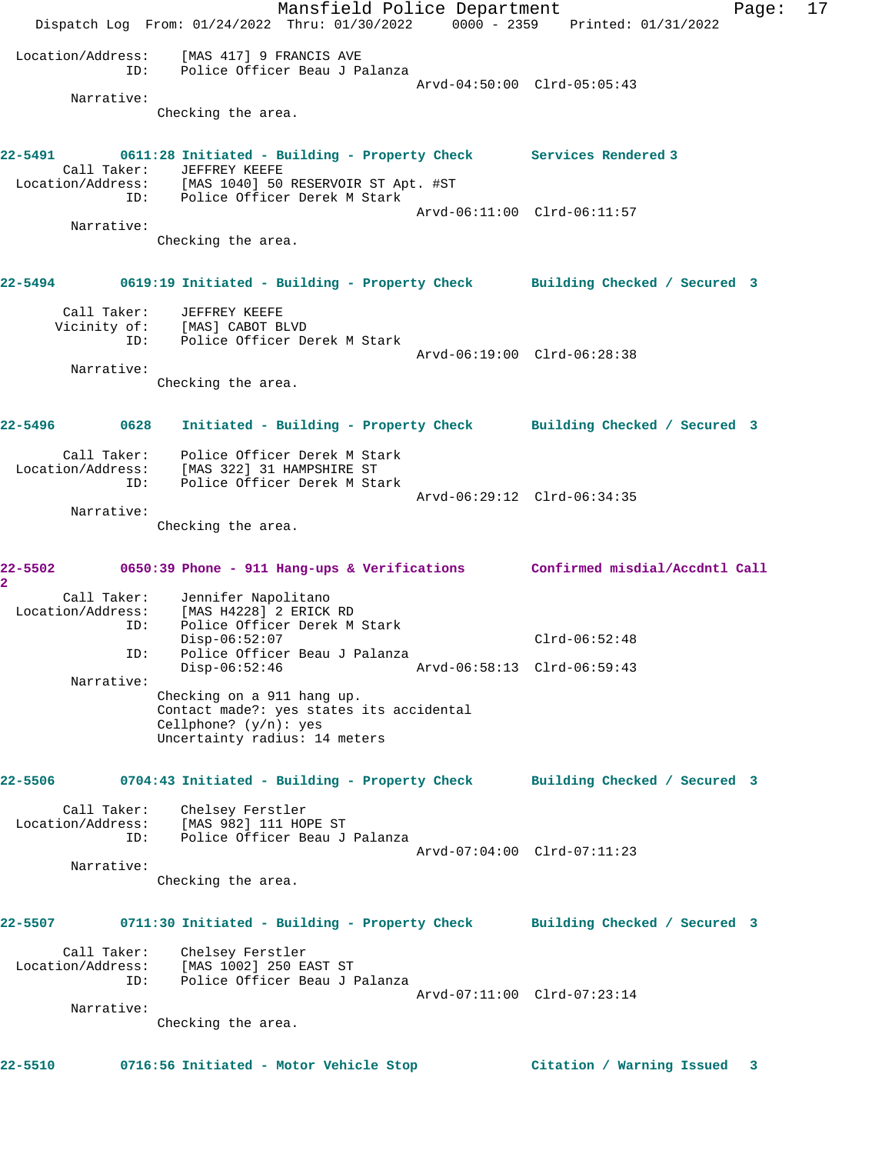Mansfield Police Department Fage: 17 Dispatch Log From: 01/24/2022 Thru: 01/30/2022 0000 - 2359 Printed: 01/31/2022 Location/Address: [MAS 417] 9 FRANCIS AVE ID: Police Officer Beau J Palanza Arvd-04:50:00 Clrd-05:05:43 Narrative: Checking the area. **22-5491 0611:28 Initiated - Building - Property Check Services Rendered 3**  Call Taker: JEFFREY KEEFE Location/Address: [MAS 1040] 50 RESERVOIR ST Apt. #ST ID: Police Officer Derek M Stark Arvd-06:11:00 Clrd-06:11:57 Narrative: Checking the area. **22-5494 0619:19 Initiated - Building - Property Check Building Checked / Secured 3** Call Taker: JEFFREY KEEFE Vicinity of: [MAS] CABOT BLVD ID: Police Officer Derek M Stark Arvd-06:19:00 Clrd-06:28:38 Narrative: Checking the area. **22-5496 0628 Initiated - Building - Property Check Building Checked / Secured 3** Call Taker: Police Officer Derek M Stark Location/Address: [MAS 322] 31 HAMPSHIRE ST ID: Police Officer Derek M Stark Arvd-06:29:12 Clrd-06:34:35 Narrative: Checking the area. **22-5502 0650:39 Phone - 911 Hang-ups & Verifications Confirmed misdial/Accdntl Call 2**  Call Taker: Jennifer Napolitano Location/Address: [MAS H4228] 2 ERICK RD ID: Police Officer Derek M Stark Disp-06:52:07 Clrd-06:52:48 ID: Police Officer Beau J Palanza Disp-06:52:46 Arvd-06:58:13 Clrd-06:59:43 Narrative: Checking on a 911 hang up. Contact made?: yes states its accidental Cellphone? (y/n): yes Uncertainty radius: 14 meters **22-5506 0704:43 Initiated - Building - Property Check Building Checked / Secured 3** Call Taker: Chelsey Ferstler Location/Address: [MAS 982] 111 HOPE ST ID: Police Officer Beau J Palanza Arvd-07:04:00 Clrd-07:11:23 Narrative: Checking the area. **22-5507 0711:30 Initiated - Building - Property Check Building Checked / Secured 3** Call Taker: Chelsey Ferstler Location/Address: [MAS 1002] 250 EAST ST ID: Police Officer Beau J Palanza Arvd-07:11:00 Clrd-07:23:14 Narrative: Checking the area. **22-5510 0716:56 Initiated - Motor Vehicle Stop Citation / Warning Issued 3**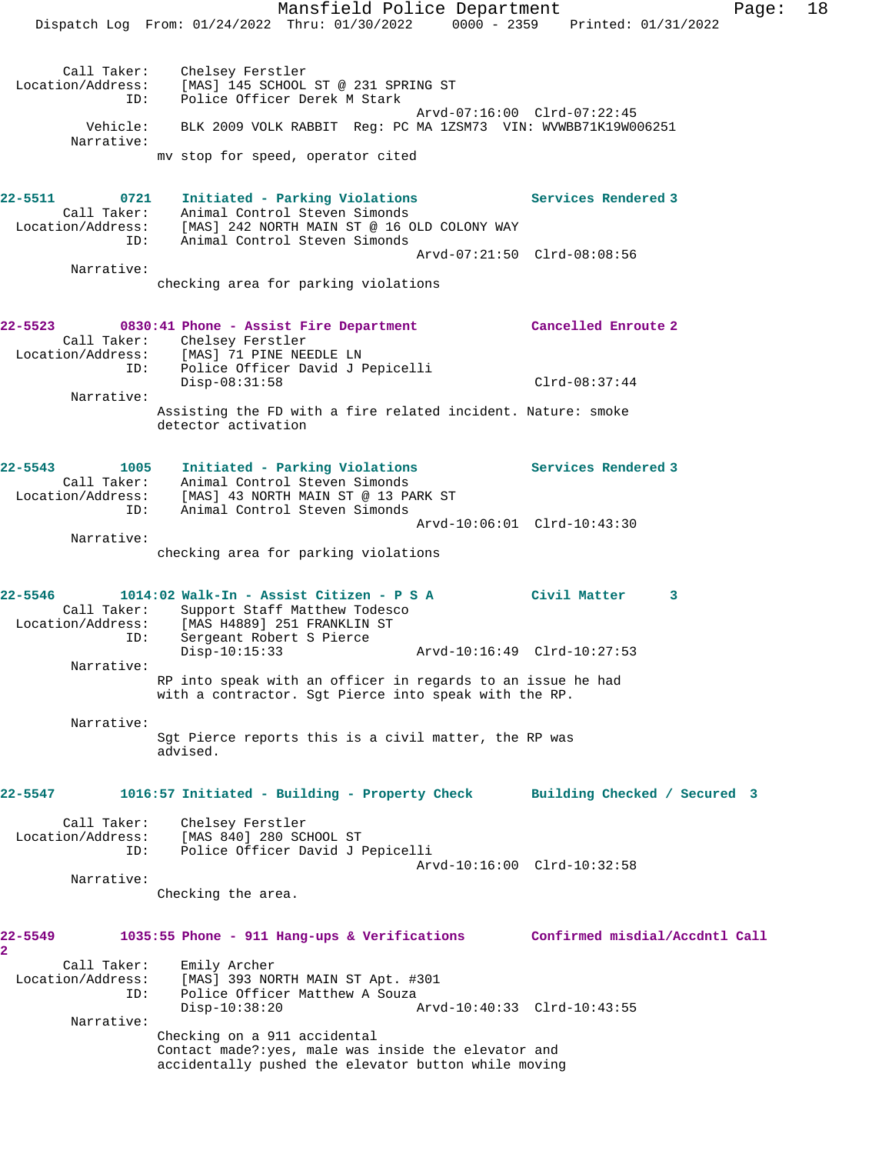Mansfield Police Department Fage: 18 Dispatch Log From: 01/24/2022 Thru: 01/30/2022 0000 - 2359 Printed: 01/31/2022 Call Taker: Chelsey Ferstler Location/Address: [MAS] 145 SCHOOL ST @ 231 SPRING ST ID: Police Officer Derek M Stark Arvd-07:16:00 Clrd-07:22:45 Vehicle: BLK 2009 VOLK RABBIT Reg: PC MA 1ZSM73 VIN: WVWBB71K19W006251 Narrative: mv stop for speed, operator cited **22-5511 0721 Initiated - Parking Violations Services Rendered 3**  Call Taker: Animal Control Steven Simonds Location/Address: [MAS] 242 NORTH MAIN ST @ 16 OLD COLONY WAY ID: Animal Control Steven Simonds Arvd-07:21:50 Clrd-08:08:56 Narrative: checking area for parking violations **22-5523 0830:41 Phone - Assist Fire Department Cancelled Enroute 2**  Call Taker: Chelsey Ferstler Location/Address: [MAS] 71 PINE NEEDLE LN ID: Police Officer David J Pepicelli Disp-08:31:58 Clrd-08:37:44 Narrative: Assisting the FD with a fire related incident. Nature: smoke detector activation **22-5543 1005 Initiated - Parking Violations Services Rendered 3**  Call Taker: Animal Control Steven Simonds Location/Address: [MAS] 43 NORTH MAIN ST @ 13 PARK ST ID: Animal Control Steven Simonds Arvd-10:06:01 Clrd-10:43:30 Narrative: checking area for parking violations **22-5546 1014:02 Walk-In - Assist Citizen - P S A Civil Matter 3**  Call Taker: Support Staff Matthew Todesco Location/Address: [MAS H4889] 251 FRANKLIN ST ID: Sergeant Robert S Pierce Disp-10:15:33 Arvd-10:16:49 Clrd-10:27:53 Narrative: RP into speak with an officer in regards to an issue he had with a contractor. Sgt Pierce into speak with the RP. Narrative: Sgt Pierce reports this is a civil matter, the RP was advised. **22-5547 1016:57 Initiated - Building - Property Check Building Checked / Secured 3** Call Taker: Chelsey Ferstler Location/Address: [MAS 840] 280 SCHOOL ST ID: Police Officer David J Pepicelli Arvd-10:16:00 Clrd-10:32:58 Narrative: Checking the area. **22-5549 1035:55 Phone - 911 Hang-ups & Verifications Confirmed misdial/Accdntl Call 2**  Call Taker: Emily Archer Location/Address: [MAS] 393 NORTH MAIN ST Apt. #301 ID: Police Officer Matthew A Souza<br>Disp-10:38:20 A Disp-10:38:20 Arvd-10:40:33 Clrd-10:43:55 Narrative:

Checking on a 911 accidental

Contact made?:yes, male was inside the elevator and accidentally pushed the elevator button while moving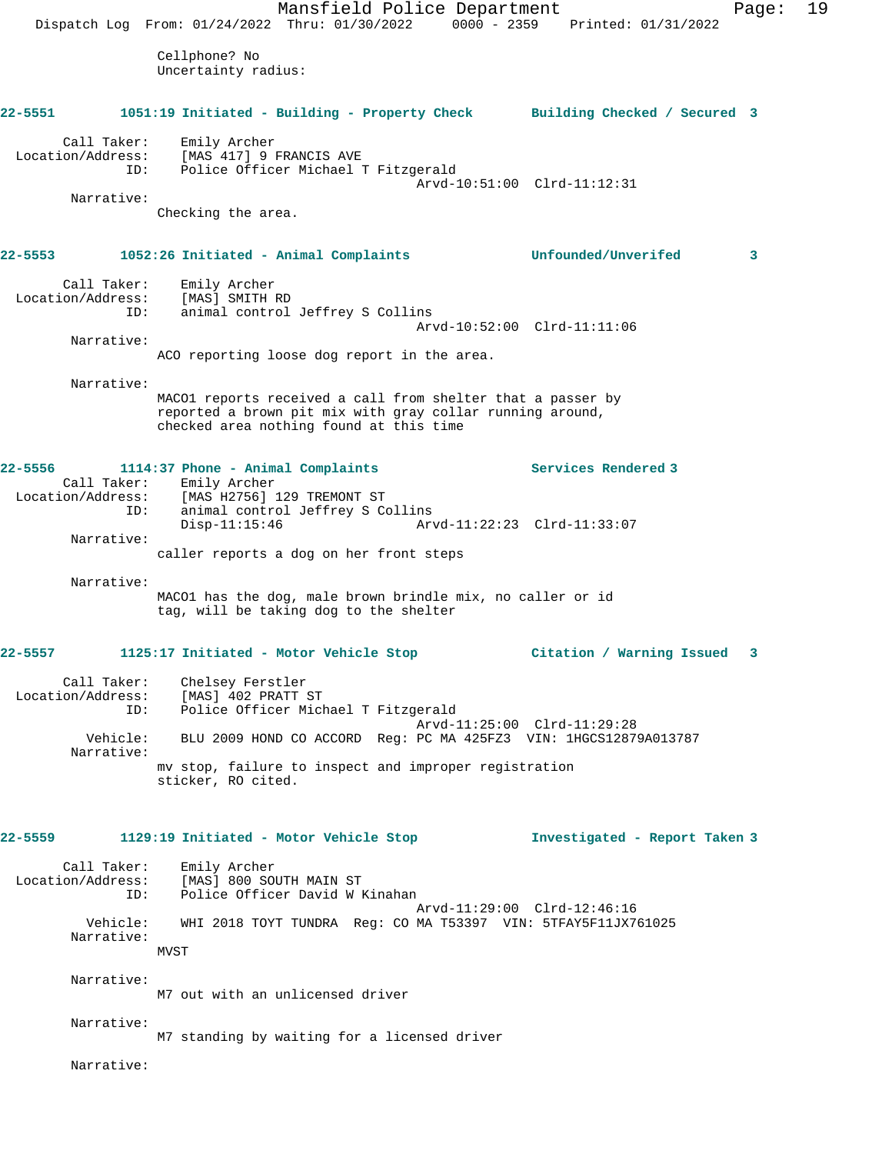Mansfield Police Department Fage: 19 Dispatch Log From: 01/24/2022 Thru: 01/30/2022 0000 - 2359 Printed: 01/31/2022 Cellphone? No Uncertainty radius: **22-5551 1051:19 Initiated - Building - Property Check Building Checked / Secured 3** Call Taker: Emily Archer Location/Address: [MAS 417] 9 FRANCIS AVE<br>: ID: Police Officer Michael Police Officer Michael T Fitzgerald Arvd-10:51:00 Clrd-11:12:31 Narrative: Checking the area. **22-5553 1052:26 Initiated - Animal Complaints Unfounded/Unverifed 3** Call Taker: Emily Archer Location/Address: [MAS] SMITH RD ID: animal control Jeffrey S Collins Arvd-10:52:00 Clrd-11:11:06 Narrative: ACO reporting loose dog report in the area. Narrative: MACO1 reports received a call from shelter that a passer by reported a brown pit mix with gray collar running around, checked area nothing found at this time **22-5556 1114:37 Phone - Animal Complaints Services Rendered 3**  Call Taker: Emily Archer Location/Address: [MAS H2756] 129 TREMONT ST ID: animal control Jeffrey S Collins Disp-11:15:46 Arvd-11:22:23 Clrd-11:33:07 Narrative: caller reports a dog on her front steps Narrative: MACO1 has the dog, male brown brindle mix, no caller or id tag, will be taking dog to the shelter **22-5557 1125:17 Initiated - Motor Vehicle Stop Citation / Warning Issued 3** Call Taker: Chelsey Ferstler Location/Address: [MAS] 402 PRATT ST ID: Police Officer Michael T Fitzgerald Arvd-11:25:00 Clrd-11:29:28 Vehicle: BLU 2009 HOND CO ACCORD Reg: PC MA 425FZ3 VIN: 1HGCS12879A013787 Narrative: mv stop, failure to inspect and improper registration sticker, RO cited. **22-5559 1129:19 Initiated - Motor Vehicle Stop Investigated - Report Taken 3** Call Taker: Emily Archer Location/Address: [MAS] 800 SOUTH MAIN ST ID: Police Officer David W Kinahan Arvd-11:29:00 Clrd-12:46:16 Vehicle: WHI 2018 TOYT TUNDRA Reg: CO MA T53397 VIN: 5TFAY5F11JX761025 Narrative: MVST Narrative: M7 out with an unlicensed driver Narrative: M7 standing by waiting for a licensed driver Narrative: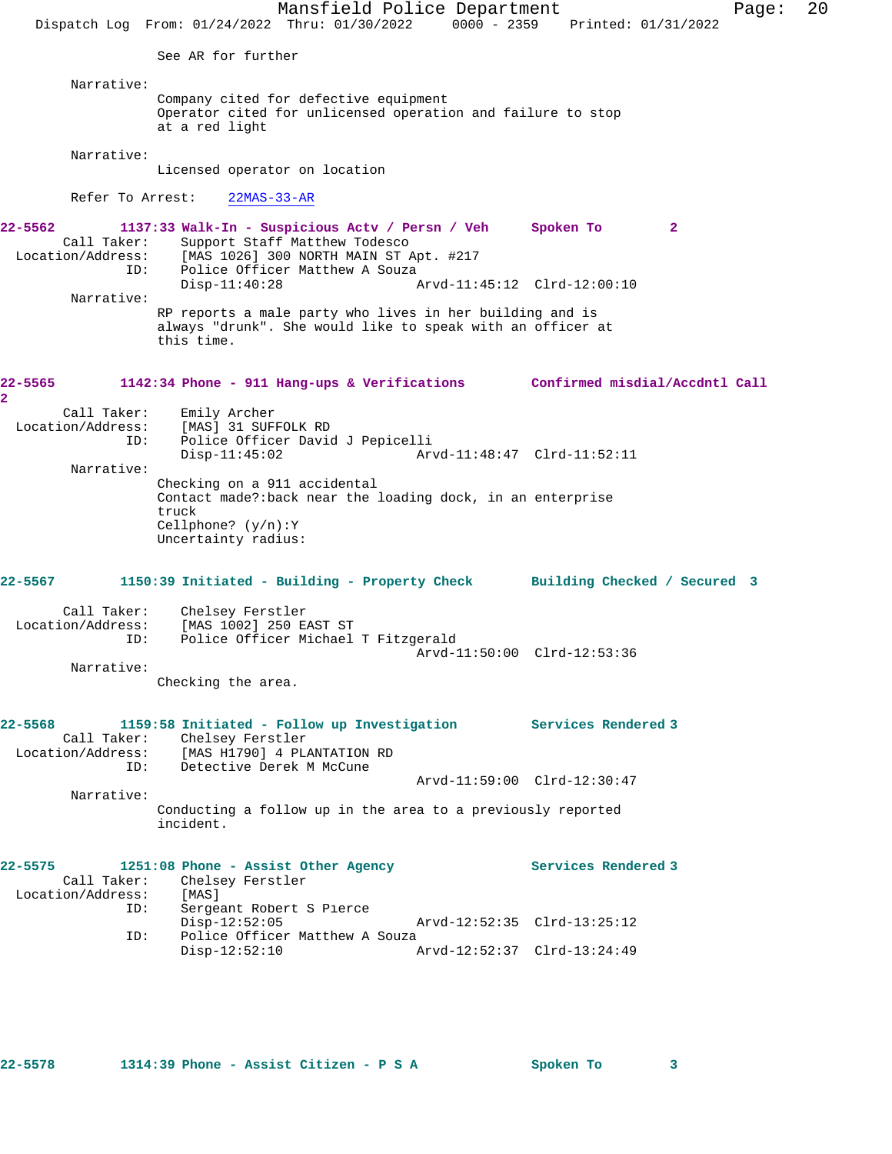Mansfield Police Department Page: 20 Dispatch Log From: 01/24/2022 Thru: 01/30/2022 0000 - 2359 Printed: 01/31/2022 See AR for further Narrative: Company cited for defective equipment Operator cited for unlicensed operation and failure to stop at a red light Narrative: Licensed operator on location Refer To Arrest: 22MAS-33-AR **22-5562 1137:33 Walk-In - Suspicious Actv / Persn / Veh Spoken To 2**  Call Taker: Support Staff Matthew Todesco Location/Address: [MAS 1026] 300 NORTH MAIN ST Apt. #217 ID: Police Officer Matthew A Souza<br>Disp-11:40:28 Disp-11:40:28 Arvd-11:45:12 Clrd-12:00:10 Narrative: RP reports a male party who lives in her building and is always "drunk". She would like to speak with an officer at this time. **22-5565 1142:34 Phone - 911 Hang-ups & Verifications Confirmed misdial/Accdntl Call 2**  Call Taker: Emily Archer Location/Address: [MAS] 31 SUFFOLK RD ID: Police Officer David J Pepicelli Disp-11:45:02 Arvd-11:48:47 Clrd-11:52:11 Narrative: Checking on a 911 accidental Contact made?:back near the loading dock, in an enterprise truck Cellphone? (y/n):Y Uncertainty radius: **22-5567 1150:39 Initiated - Building - Property Check Building Checked / Secured 3** Call Taker: Chelsey Ferstler Location/Address: [MAS 1002] 250 EAST ST ID: Police Officer Michael T Fitzgerald Arvd-11:50:00 Clrd-12:53:36 Narrative: Checking the area. **22-5568 1159:58 Initiated - Follow up Investigation Services Rendered 3**  Call Taker: Chelsey Ferstler<br>Location/Address: [MAS H1790] 4 PL [MAS H1790] 4 PLANTATION RD ID: Detective Derek M McCune Arvd-11:59:00 Clrd-12:30:47 Narrative: Conducting a follow up in the area to a previously reported incident. 22-5575 1251:08 Phone - Assist Other Agency **1251:08** Phone - Assist Other Agency Call Taker: Chelsey Ferstler Location/Address: [MAS]<br>ID: Sergea Sergeant Robert S Pierce<br>Disp-12:52:05 Disp-12:52:05 Arvd-12:52:35 Clrd-13:25:12<br>ID: Police Officer Matthew A Souza Police Officer Matthew A Souza<br>Disp-12:52:10 A Disp-12:52:10 Arvd-12:52:37 Clrd-13:24:49

**22-5578 1314:39 Phone - Assist Citizen - P S A Spoken To 3**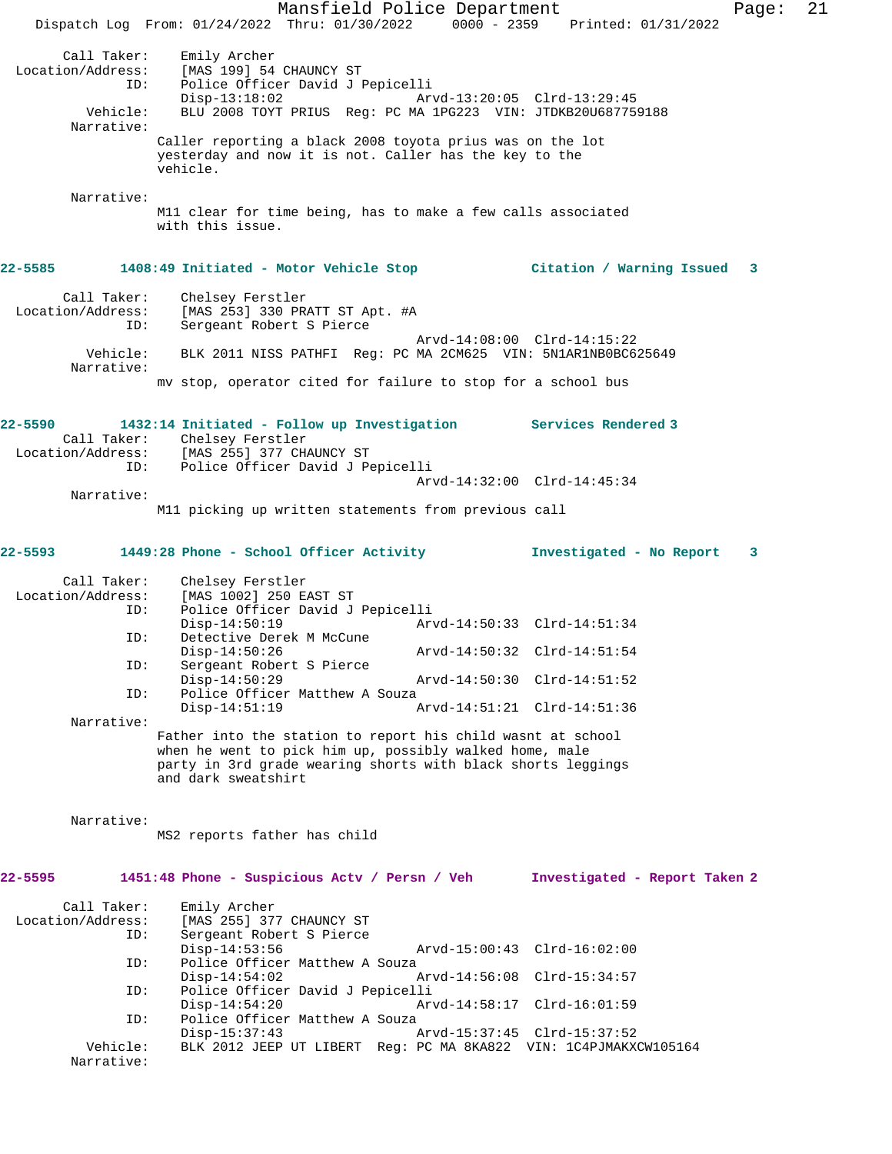Mansfield Police Department Page: 21 Dispatch Log From: 01/24/2022 Thru: 01/30/2022 0000 - 2359 Printed: 01/31/2022 Call Taker: Emily Archer<br>Location/Address: [MAS 199] 54 [MAS 199] 54 CHAUNCY ST ID: Police Officer David J Pepicelli Disp-13:18:02 Arvd-13:20:05 Clrd-13:29:45<br>Vehicle: BLU 2008 TOYT PRIUS Req: PC MA 1PG223 VIN: JTDKB20U68775 BLU 2008 TOYT PRIUS Reg: PC MA 1PG223 VIN: JTDKB20U687759188 Narrative: Caller reporting a black 2008 toyota prius was on the lot yesterday and now it is not. Caller has the key to the vehicle. Narrative: M11 clear for time being, has to make a few calls associated with this issue. **22-5585 1408:49 Initiated - Motor Vehicle Stop Citation / Warning Issued 3** Call Taker: Chelsey Ferstler Location/Address: [MAS 253] 330 PRATT ST Apt. #A ID: Sergeant Robert S Pierce Arvd-14:08:00 Clrd-14:15:22 Vehicle: BLK 2011 NISS PATHFI Reg: PC MA 2CM625 VIN: 5N1AR1NB0BC625649 Narrative: mv stop, operator cited for failure to stop for a school bus **22-5590 1432:14 Initiated - Follow up Investigation Services Rendered 3**  Call Taker: Chelsey Ferstler Location/Address: [MAS 255] 377 CHAUNCY ST ID: Police Officer David J Pepicelli Arvd-14:32:00 Clrd-14:45:34 Narrative: M11 picking up written statements from previous call **22-5593 1449:28 Phone - School Officer Activity Investigated - No Report 3** Call Taker: Chelsey Ferstler Location/Address: [MAS 1002] 250 EAST ST ID: Police Officer David J Pepicelli Disp-14:50:19 Arvd-14:50:33 Clrd-14:51:34 ID: Detective Derek M McCune Disp-14:50:26 Arvd-14:50:32 Clrd-14:51:54<br>TD: Sergeant Robert S Pierce Sergeant Robert S Pierce<br>Disp-14:50:29 Disp-14:50:29 Arvd-14:50:30 Clrd-14:51:52<br>TD: Police Officer Matthew A Souza Police Officer Matthew A Souza Disp-14:51:19 Arvd-14:51:21 Clrd-14:51:36 Narrative: Father into the station to report his child wasnt at school when he went to pick him up, possibly walked home, male party in 3rd grade wearing shorts with black shorts leggings and dark sweatshirt Narrative: MS2 reports father has child **22-5595 1451:48 Phone - Suspicious Actv / Persn / Veh Investigated - Report Taken 2** Call Taker: Emily Archer<br>Location/Address: [MAS 255] 37 [MAS 255] 377 CHAUNCY ST ID: Sergeant Robert S Pierce Disp-14:53:56 Arvd-15:00:43 Clrd-16:02:00<br>TD: Police Officer Matthew A Souza Police Officer Matthew A Souza<br>Disp-14:54:02 A Disp-14:54:02 Arvd-14:56:08 Clrd-15:34:57<br>ID: Police Officer David J Pepicelli Police Officer David J Pepicelli Disp-14:54:20 Arvd-14:58:17 Clrd-16:01:59 ID: Police Officer Matthew A Souza<br>Disp-15:37:43 Disp-15:37:43 Arvd-15:37:45 Clrd-15:37:52<br>Vehicle: BLK 2012 JEEP UT LIBERT Reg: PC MA 8KA822 VIN: 1C4PJMAKX BLK 2012 JEEP UT LIBERT Reg: PC MA 8KA822 VIN: 1C4PJMAKXCW105164 Narrative: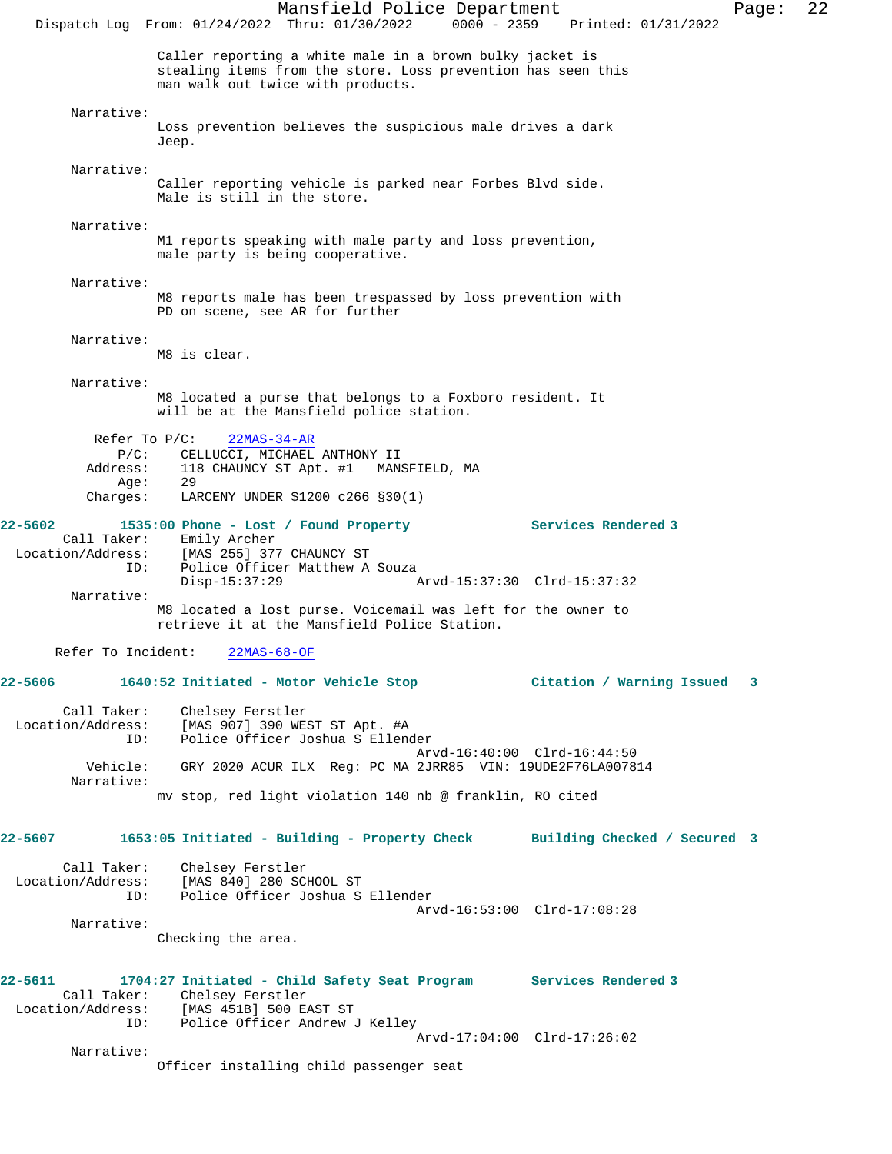Mansfield Police Department Page: 22 Dispatch Log From: 01/24/2022 Thru: 01/30/2022 0000 - 2359 Printed: 01/31/2022 Caller reporting a white male in a brown bulky jacket is stealing items from the store. Loss prevention has seen this man walk out twice with products. Narrative: Loss prevention believes the suspicious male drives a dark Jeep. Narrative: Caller reporting vehicle is parked near Forbes Blvd side. Male is still in the store. Narrative: M1 reports speaking with male party and loss prevention, male party is being cooperative. Narrative: M8 reports male has been trespassed by loss prevention with PD on scene, see AR for further Narrative: M8 is clear. Narrative: M8 located a purse that belongs to a Foxboro resident. It will be at the Mansfield police station. Refer To P/C: 22MAS-34-AR P/C: CELLUCCI, MICHAEL ANTHONY II Address: 118 CHAUNCY ST Apt. #1 MANSFIELD, MA Age: 29  $\text{Charges:}\qquad \text{LARCHY UNDER } $1200 \text{ c}266 \text{ } $30(1)$}$ **22-5602 1535:00 Phone - Lost / Found Property Services Rendered 3**  Call Taker: Emily Archer Location/Address: [MAS 255] 377 CHAUNCY ST ESS. THE 2001 CHERRY MATTHEW A SOUZA<br>Disp-15:37:29 Disp-15:37:29 Arvd-15:37:30 Clrd-15:37:32 Narrative: M8 located a lost purse. Voicemail was left for the owner to retrieve it at the Mansfield Police Station. Refer To Incident: 22MAS-68-OF **22-5606 1640:52 Initiated - Motor Vehicle Stop Citation / Warning Issued 3** Call Taker: Chelsey Ferstler Location/Address: [MAS 907] 390 WEST ST Apt. #A Police Officer Joshua S Ellender Arvd-16:40:00 Clrd-16:44:50 Vehicle: GRY 2020 ACUR ILX Reg: PC MA 2JRR85 VIN: 19UDE2F76LA007814 Narrative: mv stop, red light violation 140 nb @ franklin, RO cited **22-5607 1653:05 Initiated - Building - Property Check Building Checked / Secured 3** Call Taker: Chelsey Ferstler Location/Address: [MAS 840] 280 SCHOOL ST ID: Police Officer Joshua S Ellender Arvd-16:53:00 Clrd-17:08:28 Narrative: Checking the area. **22-5611 1704:27 Initiated - Child Safety Seat Program Services Rendered 3**  Call Taker: Chelsey Ferstler Location/Address: [MAS 451B] 500 EAST ST ID: Police Officer Andrew J Kelley Arvd-17:04:00 Clrd-17:26:02 Narrative: Officer installing child passenger seat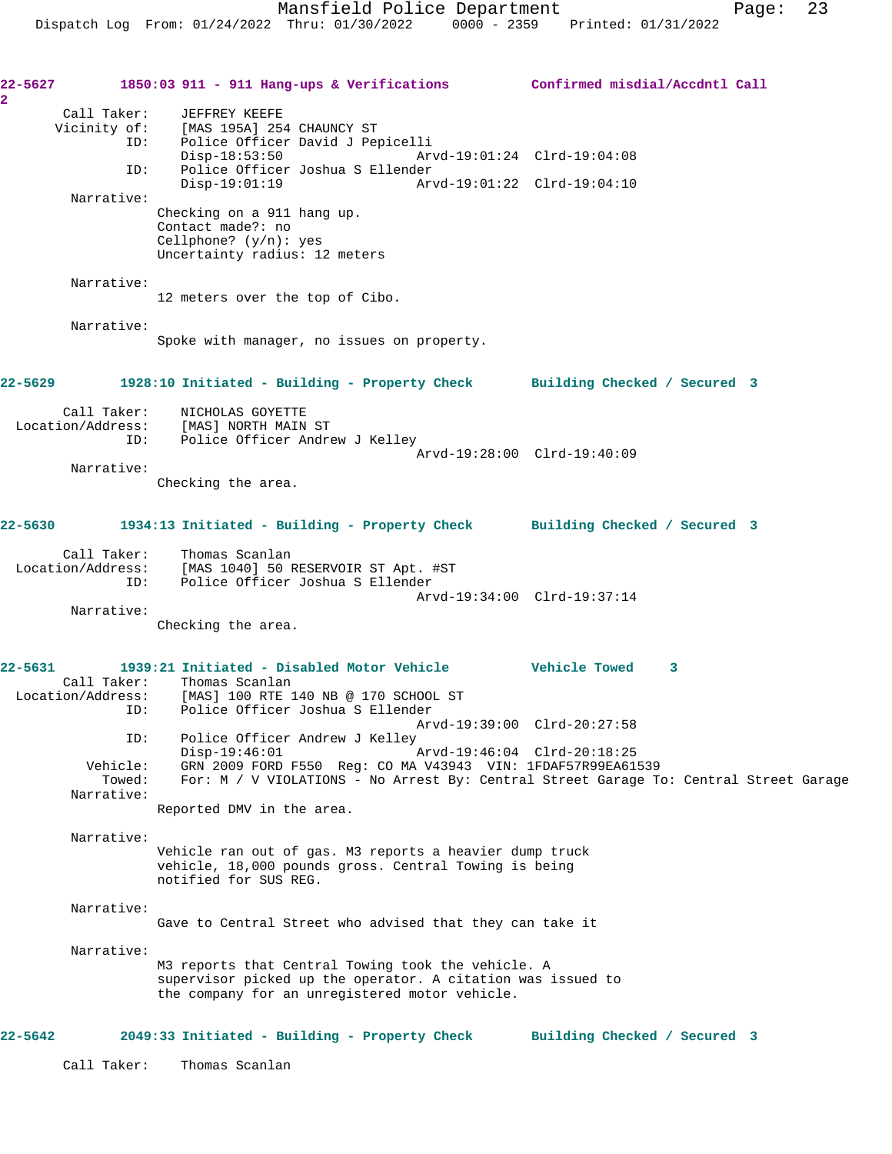Mansfield Police Department Page: 23 Dispatch Log From: 01/24/2022 Thru: 01/30/2022 0000 - 2359 Printed: 01/31/2022 **22-5627 1850:03 911 - 911 Hang-ups & Verifications Confirmed misdial/Accdntl Call** Call Taker: JEFFREY KEEFE Vicinity of: [MAS 195A] 254 CHAUNCY ST ID: Police Officer David J Pepicelli Disp-18:53:50 Arvd-19:01:24 Clrd-19:04:08 ID: Police Officer Joshua S Ellender Disp-19:01:19 Arvd-19:01:22 Clrd-19:04:10 Narrative: Checking on a 911 hang up. Contact made?: no Cellphone? (y/n): yes Uncertainty radius: 12 meters Narrative: 12 meters over the top of Cibo. Narrative: Spoke with manager, no issues on property. **22-5629 1928:10 Initiated - Building - Property Check Building Checked / Secured 3** Call Taker: NICHOLAS GOYETTE Location/Address: [MAS] NORTH MAIN ST ID: Police Officer Andrew J Kelley Arvd-19:28:00 Clrd-19:40:09 Narrative: Checking the area. **22-5630 1934:13 Initiated - Building - Property Check Building Checked / Secured 3** Call Taker: Thomas Scanlan<br>Location/Address: [MAS 1040] 50 F ess: [MAS 1040] 50 RESERVOIR ST Apt. #ST<br>ID: Police Officer Joshua S Ellender Police Officer Joshua S Ellender Arvd-19:34:00 Clrd-19:37:14 Narrative: Checking the area. **22-5631 1939:21 Initiated - Disabled Motor Vehicle Vehicle Towed 3**  Call Taker: Thomas Scanlan Location/Address: [MAS] 100 RTE 140 NB @ 170 SCHOOL ST ID: Police Officer Joshua S Ellender Arvd-19:39:00 Clrd-20:27:58<br>ID: Police Officer Andrew J Kelley Police Officer Andrew J Kelley<br>Disp-19:46:01 1 Disp-19:46:01 Arvd-19:46:04 Clrd-20:18:25 Vehicle: GRN 2009 FORD F550 Reg: CO MA V43943 VIN: 1FDAF57R99EA61539 Towed: For: M / V VIOLATIONS - No Arrest By: Central Street Garage To: Central Street Garage Narrative: Reported DMV in the area. Narrative: Vehicle ran out of gas. M3 reports a heavier dump truck vehicle, 18,000 pounds gross. Central Towing is being notified for SUS REG. Narrative: Gave to Central Street who advised that they can take it Narrative: M3 reports that Central Towing took the vehicle. A supervisor picked up the operator. A citation was issued to the company for an unregistered motor vehicle.

## **22-5642 2049:33 Initiated - Building - Property Check Building Checked / Secured 3**

**2** 

Call Taker: Thomas Scanlan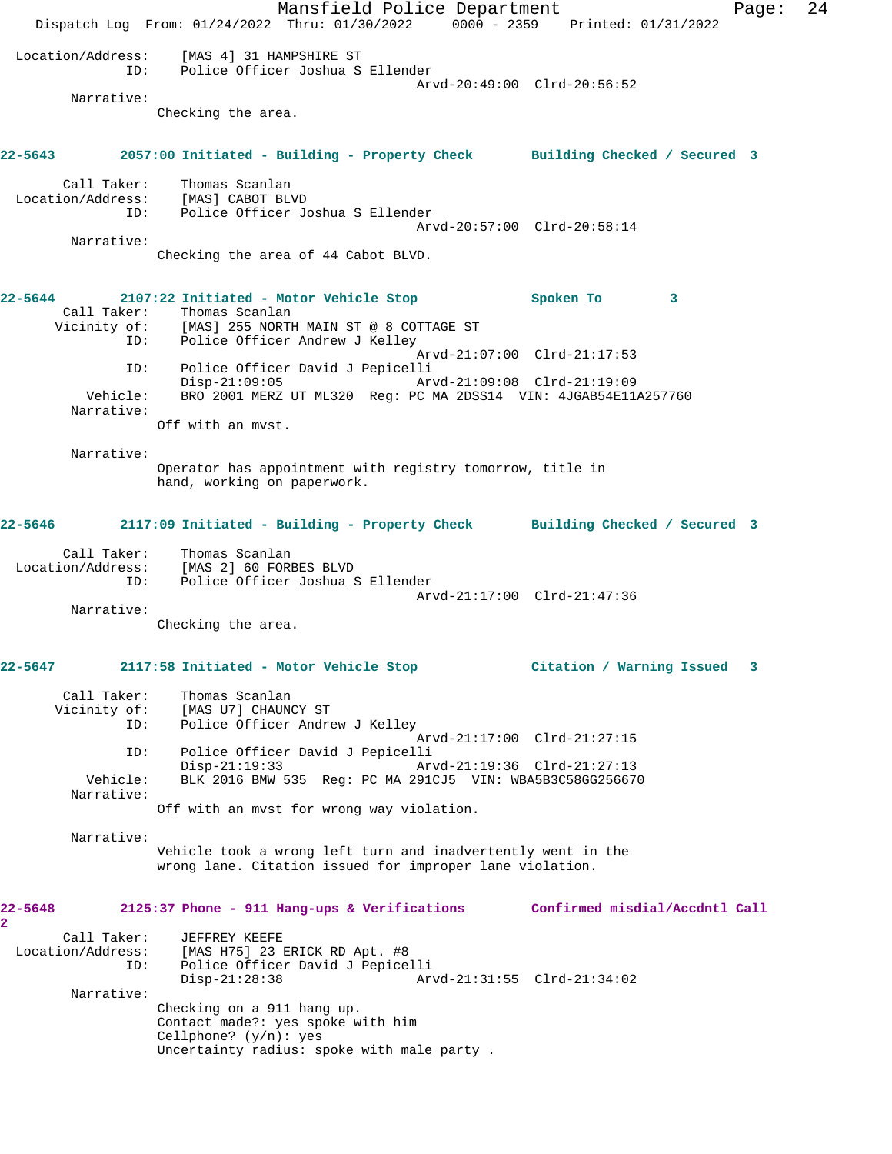Mansfield Police Department Fage: 24 Dispatch Log From: 01/24/2022 Thru: 01/30/2022 0000 - 2359 Printed: 01/31/2022 Location/Address: [MAS 4] 31 HAMPSHIRE ST ID: Police Officer Joshua S Ellender Arvd-20:49:00 Clrd-20:56:52 Narrative: Checking the area. **22-5643 2057:00 Initiated - Building - Property Check Building Checked / Secured 3** Call Taker: Thomas Scanlan Location/Address: [MAS] CABOT BLVD ID: Police Officer Joshua S Ellender Arvd-20:57:00 Clrd-20:58:14 Narrative: Checking the area of 44 Cabot BLVD. **22-5644 2107:22 Initiated - Motor Vehicle Stop Spoken To 3**  Call Taker: Thomas Scanlan Vicinity of: [MAS] 255 NORTH MAIN ST @ 8 COTTAGE ST ID: Police Officer Andrew J Kelley Arvd-21:07:00 Clrd-21:17:53 ID: Police Officer David J Pepicelli Disp-21:09:05 Arvd-21:09:08 Clrd-21:19:09 Vehicle: BRO 2001 MERZ UT ML320 Reg: PC MA 2DSS14 VIN: 4JGAB54E11A257760 Narrative: Off with an mvst. Narrative: Operator has appointment with registry tomorrow, title in hand, working on paperwork. **22-5646 2117:09 Initiated - Building - Property Check Building Checked / Secured 3** Call Taker: Thomas Scanlan Location/Address: [MAS 2] 60 FORBES BLVD ID: Police Officer Joshua S Ellender Arvd-21:17:00 Clrd-21:47:36 Narrative: Checking the area. **22-5647 2117:58 Initiated - Motor Vehicle Stop Citation / Warning Issued 3** Call Taker: Thomas Scanlan Vicinity of: [MAS U7] CHAUNCY ST ID: Police Officer Andrew J Kelley Arvd-21:17:00 Clrd-21:27:15 ID: Police Officer David J Pepicelli Arvd-21:19:36 Clrd-21:27:13 Vehicle: BLK 2016 BMW 535 Reg: PC MA 291CJ5 VIN: WBA5B3C58GG256670 Narrative: Off with an mvst for wrong way violation. Narrative: Vehicle took a wrong left turn and inadvertently went in the wrong lane. Citation issued for improper lane violation. **22-5648 2125:37 Phone - 911 Hang-ups & Verifications Confirmed misdial/Accdntl Call 2**  Call Taker: JEFFREY KEEFE<br>Location/Address: [MAS H75] 23 J [MAS H75] 23 ERICK RD Apt. #8 ID: Police Officer David J Pepicelli Disp-21:28:38 Arvd-21:31:55 Clrd-21:34:02 Narrative: Checking on a 911 hang up. Contact made?: yes spoke with him Cellphone?  $(y/n)$ : yes Uncertainty radius: spoke with male party .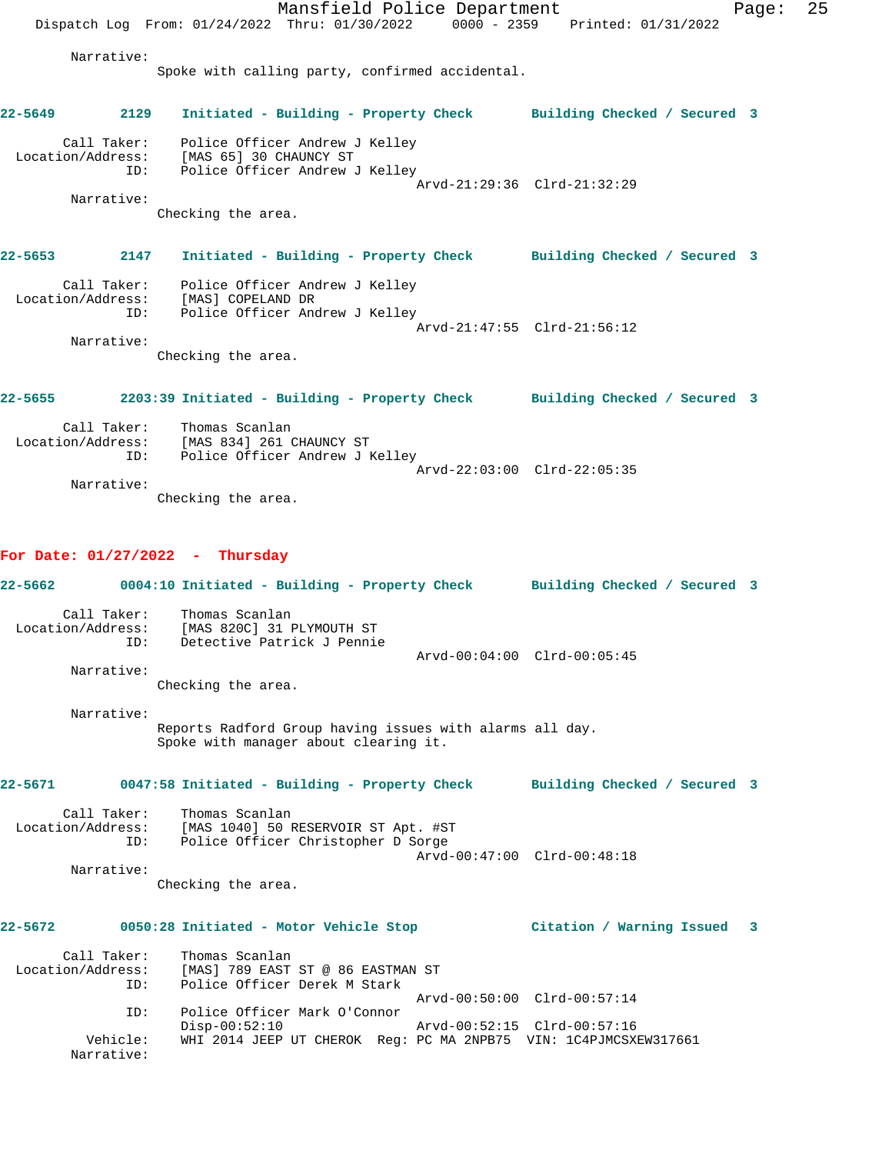|             |                                  | Mansfield Police Department                                                                       |                              | Page: | 25 |
|-------------|----------------------------------|---------------------------------------------------------------------------------------------------|------------------------------|-------|----|
|             |                                  | Dispatch Log From: 01/24/2022 Thru: 01/30/2022 0000 - 2359 Printed: 01/31/2022                    |                              |       |    |
|             | Narrative:                       |                                                                                                   |                              |       |    |
|             |                                  | Spoke with calling party, confirmed accidental.                                                   |                              |       |    |
|             |                                  |                                                                                                   |                              |       |    |
| $22 - 5649$ | 2129                             | Initiated - Building - Property Check Building Checked / Secured 3                                |                              |       |    |
|             |                                  |                                                                                                   |                              |       |    |
|             |                                  | Call Taker: Police Officer Andrew J Kelley<br>Location/Address: [MAS 65] 30 CHAUNCY ST            |                              |       |    |
|             | ID:                              | Police Officer Andrew J Kelley                                                                    |                              |       |    |
|             | Narrative:                       |                                                                                                   | Arvd-21:29:36 Clrd-21:32:29  |       |    |
|             |                                  | Checking the area.                                                                                |                              |       |    |
|             |                                  |                                                                                                   |                              |       |    |
|             | 22-5653 2147                     | Initiated - Building - Property Check Building Checked / Secured 3                                |                              |       |    |
|             |                                  | Call Taker: Police Officer Andrew J Kelley                                                        |                              |       |    |
|             |                                  | Location/Address: [MAS] COPELAND DR<br>TD: Police Officer And                                     |                              |       |    |
|             | ID:                              | Police Officer Andrew J Kelley                                                                    | Arvd-21:47:55 Clrd-21:56:12  |       |    |
|             | Narrative:                       |                                                                                                   |                              |       |    |
|             |                                  | Checking the area.                                                                                |                              |       |    |
|             |                                  |                                                                                                   |                              |       |    |
|             |                                  | 22-5655 2203:39 Initiated - Building - Property Check Building Checked / Secured 3                |                              |       |    |
|             |                                  | Call Taker: Thomas Scanlan                                                                        |                              |       |    |
|             |                                  | Location/Address: [MAS 834] 261 CHAUNCY ST                                                        |                              |       |    |
|             | ID:                              | Police Officer Andrew J Kelley                                                                    | Arvd-22:03:00 Clrd-22:05:35  |       |    |
|             | Narrative:                       |                                                                                                   |                              |       |    |
|             |                                  | Checking the area.                                                                                |                              |       |    |
|             |                                  |                                                                                                   |                              |       |    |
|             |                                  | For Date: $01/27/2022 - Thursday$                                                                 |                              |       |    |
|             |                                  |                                                                                                   |                              |       |    |
| 22–5662     |                                  | 0004:10 Initiated - Building - Property Check Building Checked / Secured 3                        |                              |       |    |
|             |                                  | Call Taker: Thomas Scanlan<br>Location/Address: [MAS 820C] 31 PLYMOUTH ST                         |                              |       |    |
|             | ID:                              | Detective Patrick J Pennie                                                                        |                              |       |    |
|             |                                  |                                                                                                   | Arvd-00:04:00 Clrd-00:05:45  |       |    |
|             | Narrative:                       |                                                                                                   |                              |       |    |
|             |                                  | Checking the area.                                                                                |                              |       |    |
|             | Narrative:                       |                                                                                                   |                              |       |    |
|             |                                  | Reports Radford Group having issues with alarms all day.<br>Spoke with manager about clearing it. |                              |       |    |
|             |                                  |                                                                                                   |                              |       |    |
| $22 - 5671$ |                                  | 0047:58 Initiated - Building - Property Check                                                     | Building Checked / Secured 3 |       |    |
|             |                                  |                                                                                                   |                              |       |    |
|             | Call Taker:<br>Location/Address: | Thomas Scanlan<br>[MAS 1040] 50 RESERVOIR ST Apt. #ST                                             |                              |       |    |
|             | ID:                              | Police Officer Christopher D Sorge                                                                |                              |       |    |
|             | Narrative:                       |                                                                                                   | Arvd-00:47:00 Clrd-00:48:18  |       |    |
|             |                                  | Checking the area.                                                                                |                              |       |    |
|             |                                  |                                                                                                   |                              |       |    |
| 22-5672     |                                  | 0050:28 Initiated - Motor Vehicle Stop                                                            | Citation / Warning Issued    | 3     |    |
|             |                                  |                                                                                                   |                              |       |    |
|             | Call Taker:<br>Location/Address: | Thomas Scanlan<br>[MAS] 789 EAST ST @ 86 EASTMAN ST                                               |                              |       |    |
|             | ID:                              | Police Officer Derek M Stark                                                                      |                              |       |    |
|             | ID:                              | Police Officer Mark O'Connor                                                                      | Arvd-00:50:00 Clrd-00:57:14  |       |    |
|             |                                  | $Disp-00:52:10$                                                                                   | Arvd-00:52:15 Clrd-00:57:16  |       |    |
|             | Vehicle:<br>Narrative:           | WHI 2014 JEEP UT CHEROK Reg: PC MA 2NPB75 VIN: 1C4PJMCSXEW317661                                  |                              |       |    |
|             |                                  |                                                                                                   |                              |       |    |
|             |                                  |                                                                                                   |                              |       |    |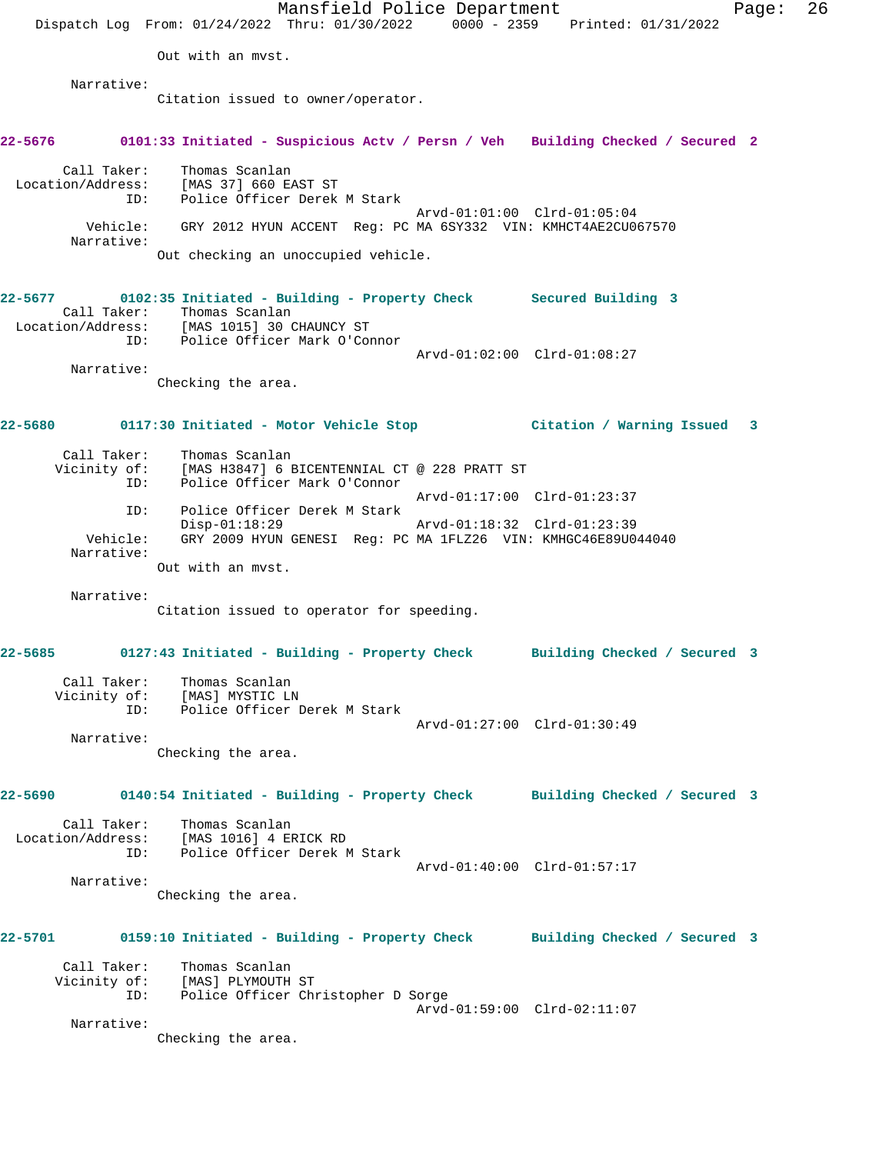|                        |                                                                                                                                              | Mansfield Police Department | Dispatch Log From: 01/24/2022 Thru: 01/30/2022 0000 - 2359 Printed: 01/31/2022               | Page: | 26 |
|------------------------|----------------------------------------------------------------------------------------------------------------------------------------------|-----------------------------|----------------------------------------------------------------------------------------------|-------|----|
|                        | Out with an myst.                                                                                                                            |                             |                                                                                              |       |    |
| Narrative:             |                                                                                                                                              |                             |                                                                                              |       |    |
|                        | Citation issued to owner/operator.                                                                                                           |                             |                                                                                              |       |    |
| 22-5676                |                                                                                                                                              |                             | 0101:33 Initiated - Suspicious Actv / Persn / Veh Building Checked / Secured 2               |       |    |
| Call Taker:<br>ID:     | Thomas Scanlan<br>Location/Address: [MAS 37] 660 EAST ST<br>Police Officer Derek M Stark                                                     |                             |                                                                                              |       |    |
| Vehicle:<br>Narrative: |                                                                                                                                              |                             | Arvd-01:01:00 Clrd-01:05:04<br>GRY 2012 HYUN ACCENT Reg: PC MA 6SY332 VIN: KMHCT4AE2CU067570 |       |    |
|                        | Out checking an unoccupied vehicle.                                                                                                          |                             |                                                                                              |       |    |
| 22–5677                | 0102:35 Initiated - Building - Property Check Secured Building 3<br>Call Taker: Thomas Scanlan<br>Location/Address: [MAS 1015] 30 CHAUNCY ST |                             |                                                                                              |       |    |
| ID:                    | Police Officer Mark O'Connor                                                                                                                 |                             | Arvd-01:02:00 Clrd-01:08:27                                                                  |       |    |
| Narrative:             | Checking the area.                                                                                                                           |                             |                                                                                              |       |    |
| 22-5680                | 0117:30 Initiated - Motor Vehicle Stop                                                                                                       |                             | Citation / Warning Issued                                                                    | 3     |    |
| Call Taker:<br>ID:     | Thomas Scanlan<br>Vicinity of: [MAS H3847] 6 BICENTENNIAL CT @ 228 PRATT ST<br>Police Officer Mark O'Connor                                  |                             |                                                                                              |       |    |
| ID:                    | Police Officer Derek M Stark                                                                                                                 |                             | Arvd-01:17:00 Clrd-01:23:37                                                                  |       |    |
| Vehicle:               | $Disp-01:18:29$                                                                                                                              |                             | Arvd-01:18:32 Clrd-01:23:39<br>GRY 2009 HYUN GENESI Reg: PC MA 1FLZ26 VIN: KMHGC46E89U044040 |       |    |
| Narrative:             | Out with an myst.                                                                                                                            |                             |                                                                                              |       |    |
| Narrative:             | Citation issued to operator for speeding.                                                                                                    |                             |                                                                                              |       |    |
| 22-5685                |                                                                                                                                              |                             | 0127:43 Initiated - Building - Property Check Building Checked / Secured 3                   |       |    |
|                        | Call Taker: Thomas Scanlan<br>Vicinity of: [MAS] MYSTIC LN<br>ID: Police Officer Derek M Stark                                               |                             |                                                                                              |       |    |
|                        |                                                                                                                                              |                             | Arvd-01:27:00 Clrd-01:30:49                                                                  |       |    |
| Narrative:             | Checking the area.                                                                                                                           |                             |                                                                                              |       |    |
|                        |                                                                                                                                              |                             | 22-5690     0140:54 Initiated - Building - Property Check     Building Checked / Secured 3   |       |    |
| Call Taker:            | Thomas Scanlan<br>Location/Address: [MAS 1016] 4 ERICK RD<br>ID: Police Officer Derek M Stark                                                |                             | Arvd-01:40:00 Clrd-01:57:17                                                                  |       |    |
| Narrative:             | Checking the area.                                                                                                                           |                             |                                                                                              |       |    |
| <b>22-5701</b>         |                                                                                                                                              |                             | 0159:10 Initiated - Building - Property Check Building Checked / Secured 3                   |       |    |
| Call Taker:            | Thomas Scanlan<br>Vicinity of: [MAS] PLYMOUTH ST<br>ID: Police Officer Christopher D Sorge                                                   |                             | Arvd-01:59:00 Clrd-02:11:07                                                                  |       |    |
| Narrative:             | Checking the area.                                                                                                                           |                             |                                                                                              |       |    |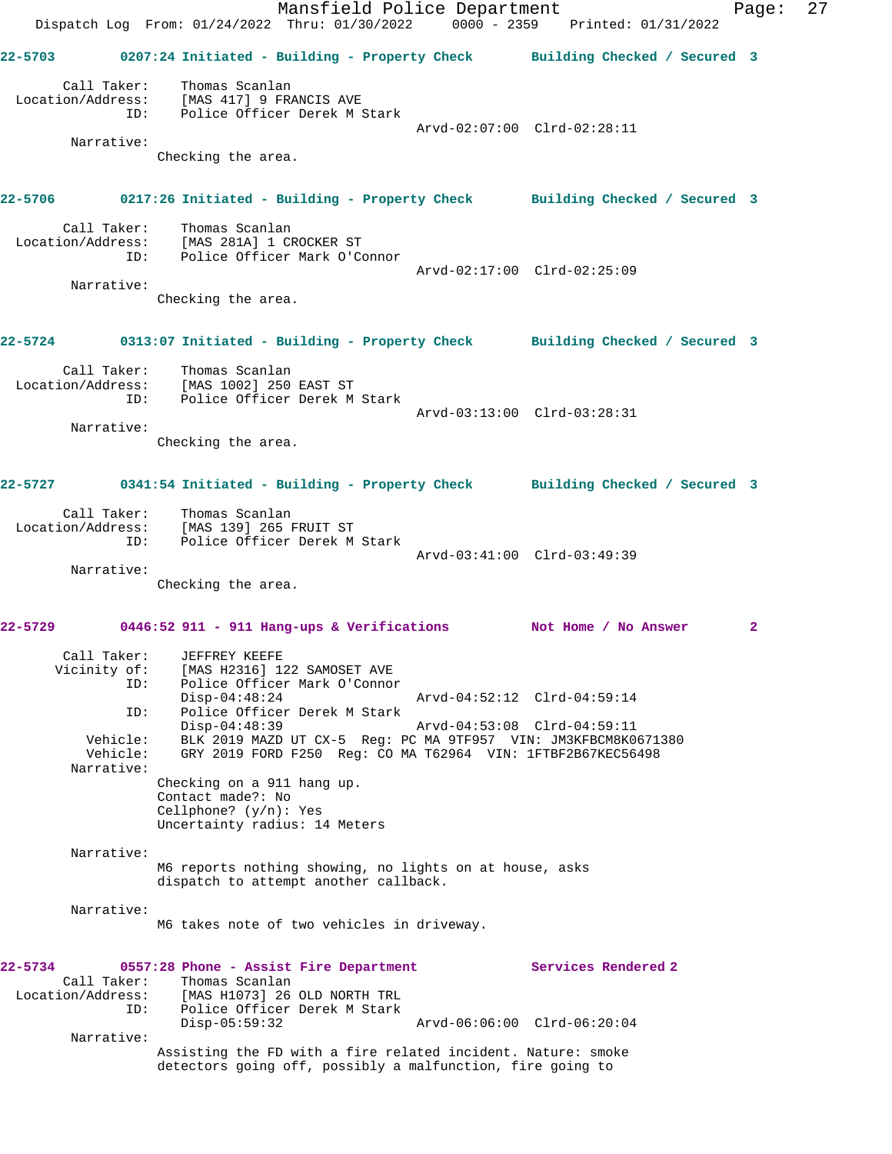Mansfield Police Department Page: 27 Dispatch Log From: 01/24/2022 Thru: 01/30/2022 0000 - 2359 Printed: 01/31/2022 **22-5703 0207:24 Initiated - Building - Property Check Building Checked / Secured 3** Call Taker: Thomas Scanlan Location/Address: [MAS 417] 9 FRANCIS AVE ID: Police Officer Derek M Stark Arvd-02:07:00 Clrd-02:28:11 Narrative: Checking the area. **22-5706 0217:26 Initiated - Building - Property Check Building Checked / Secured 3** Call Taker: Thomas Scanlan Location/Address: [MAS 281A] 1 CROCKER ST ID: Police Officer Mark O'Connor Arvd-02:17:00 Clrd-02:25:09 Narrative: Checking the area. **22-5724 0313:07 Initiated - Building - Property Check Building Checked / Secured 3** Call Taker: Thomas Scanlan Location/Address: [MAS 1002] 250 EAST ST ID: Police Officer Derek M Stark Arvd-03:13:00 Clrd-03:28:31 Narrative: Checking the area. **22-5727 0341:54 Initiated - Building - Property Check Building Checked / Secured 3** Call Taker: Thomas Scanlan Location/Address: [MAS 139] 265 FRUIT ST ID: Police Officer Derek M Stark Arvd-03:41:00 Clrd-03:49:39 Narrative: Checking the area. **22-5729 0446:52 911 - 911 Hang-ups & Verifications Not Home / No Answer 2** Call Taker: JEFFREY KEEFE<br>Vicinity of: [MAS H2316] 12 [MAS H2316] 122 SAMOSET AVE ID: Police Officer Mark O'Connor Disp-04:48:24 Arvd-04:52:12 Clrd-04:59:14 ID: Police Officer Derek M Stark Disp-04:48:39 Arvd-04:53:08 Clrd-04:59:11 Vehicle: BLK 2019 MAZD UT CX-5 Reg: PC MA 9TF957 VIN: JM3KFBCM8K0671380<br>Vehicle: GRY 2019 FORD F250 Reg: CO MA T62964 VIN: 1FTBF2B67KEC56498 GRY 2019 FORD F250 Reg: CO MA T62964 VIN: 1FTBF2B67KEC56498 Narrative: Checking on a 911 hang up. Contact made?: No Cellphone? (y/n): Yes Uncertainty radius: 14 Meters Narrative: M6 reports nothing showing, no lights on at house, asks dispatch to attempt another callback. Narrative: M6 takes note of two vehicles in driveway. **22-5734 0557:28 Phone - Assist Fire Department Services Rendered 2**  Call Taker: Thomas Scanlan Location/Address: [MAS H1073] 26 OLD NORTH TRL ID: Police Officer Derek M Stark Disp-05:59:32 Arvd-06:06:00 Clrd-06:20:04 Narrative: Assisting the FD with a fire related incident. Nature: smoke detectors going off, possibly a malfunction, fire going to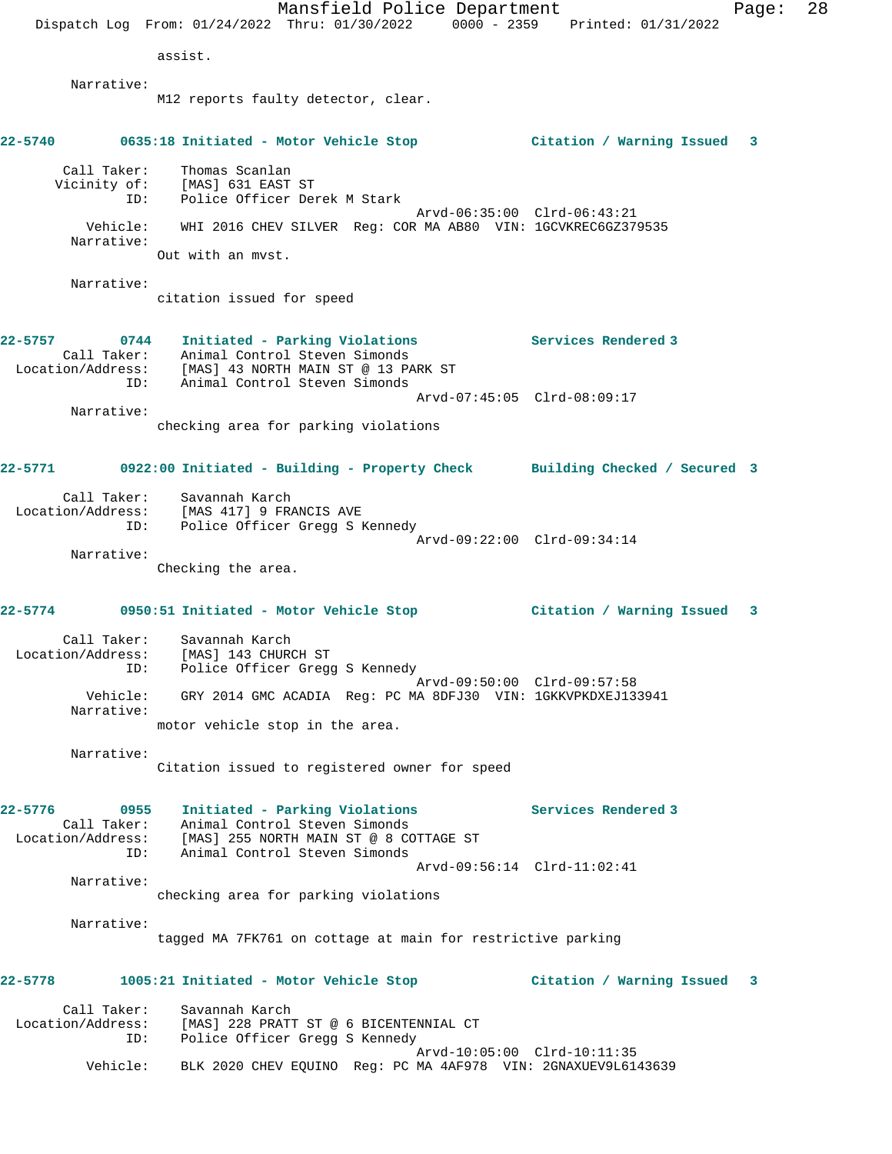Mansfield Police Department Fage: 28 Dispatch Log From: 01/24/2022 Thru: 01/30/2022 0000 - 2359 Printed: 01/31/2022 assist. Narrative: M12 reports faulty detector, clear. **22-5740 0635:18 Initiated - Motor Vehicle Stop Citation / Warning Issued 3** Call Taker: Thomas Scanlan Vicinity of: [MAS] 631 EAST ST ID: Police Officer Derek M Stark Arvd-06:35:00 Clrd-06:43:21 Vehicle: WHI 2016 CHEV SILVER Reg: COR MA AB80 VIN: 1GCVKREC6GZ379535 Narrative: Out with an mvst. Narrative: citation issued for speed **22-5757 0744 Initiated - Parking Violations Services Rendered 3**  Call Taker: Animal Control Steven Simonds Location/Address: [MAS] 43 NORTH MAIN ST @ 13 PARK ST ID: Animal Control Steven Simonds Arvd-07:45:05 Clrd-08:09:17 Narrative: checking area for parking violations **22-5771 0922:00 Initiated - Building - Property Check Building Checked / Secured 3** Call Taker: Savannah Karch Location/Address: [MAS 417] 9 FRANCIS AVE ID: Police Officer Gregg S Kennedy Arvd-09:22:00 Clrd-09:34:14 Narrative: Checking the area. **22-5774 0950:51 Initiated - Motor Vehicle Stop Citation / Warning Issued 3** Call Taker: Savannah Karch Location/Address: [MAS] 143 CHURCH ST ID: Police Officer Gregg S Kennedy Arvd-09:50:00 Clrd-09:57:58 Vehicle: GRY 2014 GMC ACADIA Reg: PC MA 8DFJ30 VIN: 1GKKVPKDXEJ133941 Narrative: motor vehicle stop in the area. Narrative: Citation issued to registered owner for speed **22-5776 0955 Initiated - Parking Violations Services Rendered 3**  Call Taker: Animal Control Steven Simonds Location/Address: [MAS] 255 NORTH MAIN ST @ 8 COTTAGE ST ID: Animal Control Steven Simonds Arvd-09:56:14 Clrd-11:02:41 Narrative: checking area for parking violations Narrative: tagged MA 7FK761 on cottage at main for restrictive parking **22-5778 1005:21 Initiated - Motor Vehicle Stop Citation / Warning Issued 3** Call Taker: Savannah Karch Location/Address: [MAS] 228 PRATT ST @ 6 BICENTENNIAL CT ID: Police Officer Gregg S Kennedy Arvd-10:05:00 Clrd-10:11:35 Vehicle: BLK 2020 CHEV EQUINO Reg: PC MA 4AF978 VIN: 2GNAXUEV9L6143639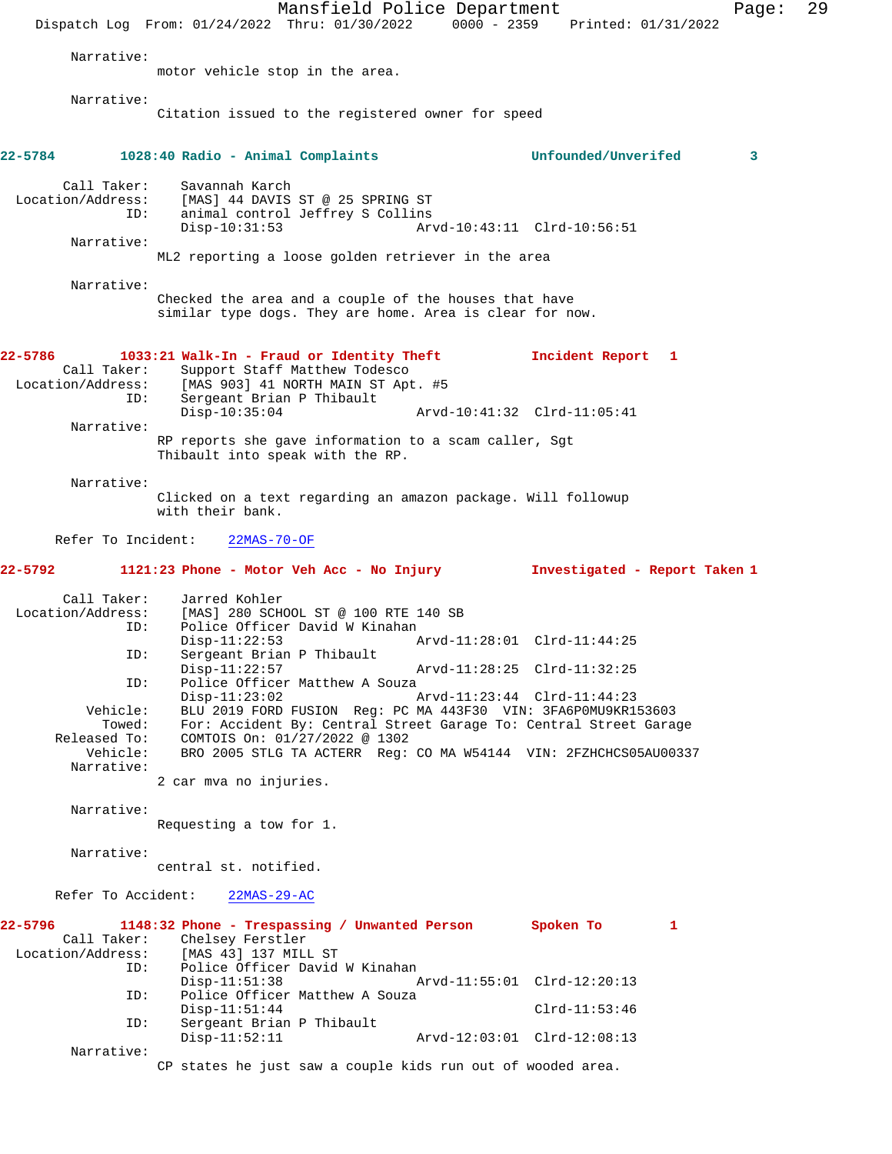Mansfield Police Department Page: 29 Dispatch Log From: 01/24/2022 Thru: 01/30/2022 0000 - 2359 Printed: 01/31/2022 Narrative: motor vehicle stop in the area. Narrative: Citation issued to the registered owner for speed **22-5784 1028:40 Radio - Animal Complaints Unfounded/Unverifed 3** Call Taker: Savannah Karch<br>Location/Address: [MAS] 44 DAVIS ess: [MAS] 44 DAVIS ST @ 25 SPRING ST<br>ID: animal control Jeffrey S Collins ID: animal control Jeffrey S Collins Disp-10:31:53 Arvd-10:43:11 Clrd-10:56:51 Narrative: ML2 reporting a loose golden retriever in the area Narrative: Checked the area and a couple of the houses that have similar type dogs. They are home. Area is clear for now. **22-5786 1033:21 Walk-In - Fraud or Identity Theft Incident Report 1**  Call Taker: Support Staff Matthew Todesco Location/Address: [MAS 903] 41 NORTH MAIN ST Apt. #5 ID: Sergeant Brian P Thibault Disp-10:35:04 Arvd-10:41:32 Clrd-11:05:41 Narrative: RP reports she gave information to a scam caller, Sgt Thibault into speak with the RP. Narrative: Clicked on a text regarding an amazon package. Will followup with their bank. Refer To Incident: 22MAS-70-OF **22-5792 1121:23 Phone - Motor Veh Acc - No Injury Investigated - Report Taken 1** Call Taker: Jarred Kohler Location/Address: [MAS] 280 SCHOOL ST @ 100 RTE 140 SB ID: Police Officer David W Kinahan<br>Disp-11:22:53 A Disp-11:22:53 Arvd-11:28:01 Clrd-11:44:25 ID: Sergeant Brian P Thibault Disp-11:22:57 Arvd-11:28:25 Clrd-11:32:25 ID: Police Officer Matthew A Souza<br>Disp-11:23:02 P Disp-11:23:02 Arvd-11:23:44 Clrd-11:44:23 Vehicle: BLU 2019 FORD FUSION Reg: PC MA 443F30 VIN: 3FA6P0MU9KR153603 Towed: For: Accident By: Central Street Garage To: Central Street Garage Released To: COMTOIS On: 01/27/2022 @ 1302 Vehicle: BRO 2005 STLG TA ACTERR Reg: CO MA W54144 VIN: 2FZHCHCS05AU00337 Narrative: 2 car mva no injuries. Narrative: Requesting a tow for 1. Narrative: central st. notified. Refer To Accident: 22MAS-29-AC **22-5796 1148:32 Phone - Trespassing / Unwanted Person Spoken To 1**  Call Taker: Chelsey Ferstler<br>Location/Address: [MAS 43] 137 MILL [MAS 43] 137 MILL ST ID: Police Officer David W Kinahan Arvd-11:55:01 Clrd-12:20:13 ID: Police Officer Matthew A Souza Disp-11:51:44 Clrd-11:53:46<br>TD: Sergeant Brian P Thibault Sergeant Brian P Thibault Disp-11:52:11 Arvd-12:03:01 Clrd-12:08:13 Narrative: CP states he just saw a couple kids run out of wooded area.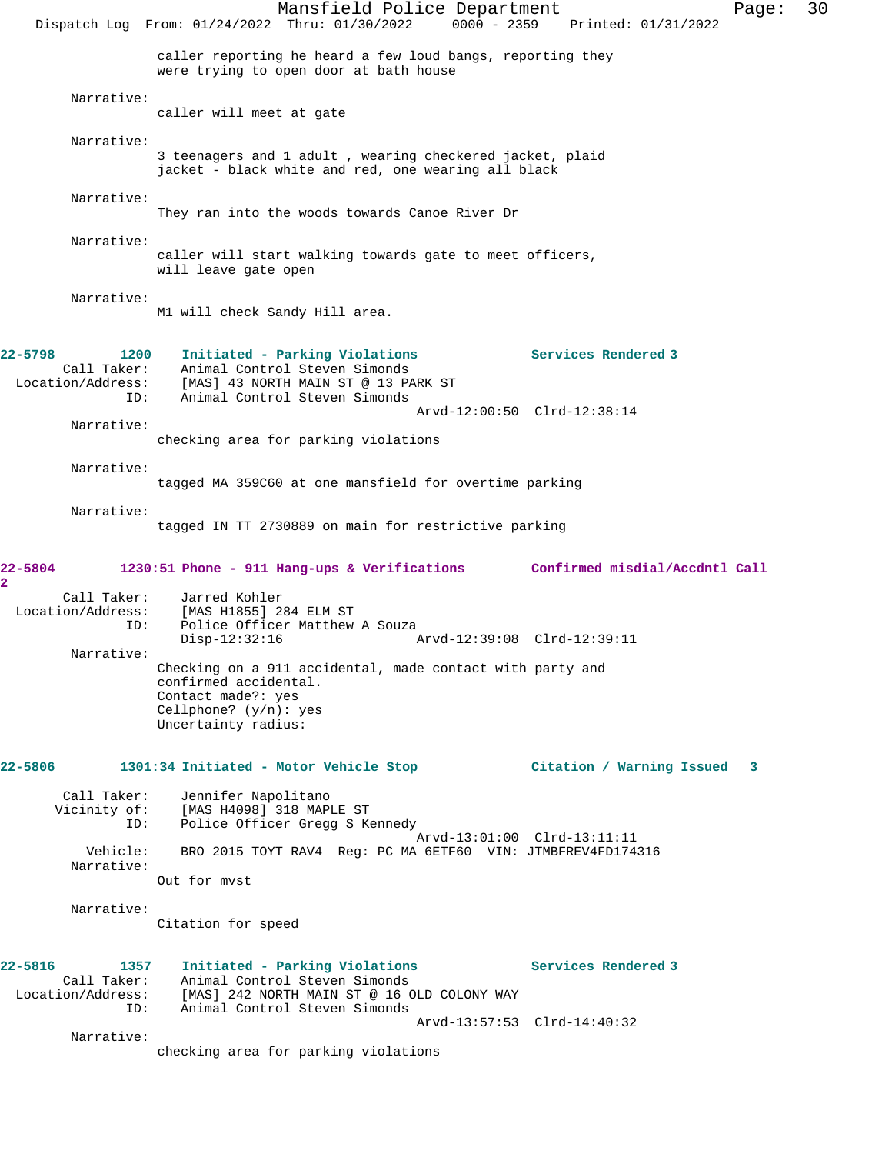Mansfield Police Department Page: 30 Dispatch Log From: 01/24/2022 Thru: 01/30/2022 0000 - 2359 Printed: 01/31/2022 caller reporting he heard a few loud bangs, reporting they were trying to open door at bath house Narrative: caller will meet at gate Narrative: 3 teenagers and 1 adult , wearing checkered jacket, plaid jacket - black white and red, one wearing all black Narrative: They ran into the woods towards Canoe River Dr Narrative: caller will start walking towards gate to meet officers, will leave gate open Narrative: M1 will check Sandy Hill area. **22-5798 1200 Initiated - Parking Violations Services Rendered 3**  Call Taker: Animal Control Steven Simonds<br>Location/Address: [MAS] 43 NORTH MAIN ST @ 13 PA [MAS] 43 NORTH MAIN ST @ 13 PARK ST ID: Animal Control Steven Simonds Arvd-12:00:50 Clrd-12:38:14 Narrative: checking area for parking violations Narrative: tagged MA 359C60 at one mansfield for overtime parking Narrative: tagged IN TT 2730889 on main for restrictive parking **22-5804 1230:51 Phone - 911 Hang-ups & Verifications Confirmed misdial/Accdntl Call 2**  Call Taker: Jarred Kohler Location/Address: [MAS H1855] 284 ELM ST ID: Police Officer Matthew A Souza<br>Disp-12:32:16 Disp-12:32:16 Arvd-12:39:08 Clrd-12:39:11 Narrative: Checking on a 911 accidental, made contact with party and confirmed accidental. Contact made?: yes Cellphone? (y/n): yes Uncertainty radius: **22-5806 1301:34 Initiated - Motor Vehicle Stop Citation / Warning Issued 3** Call Taker: Jennifer Napolitano Vicinity of: [MAS H4098] 318 MAPLE ST ID: Police Officer Gregg S Kennedy Arvd-13:01:00 Clrd-13:11:11 Vehicle: BRO 2015 TOYT RAV4 Reg: PC MA 6ETF60 VIN: JTMBFREV4FD174316 Narrative: Out for mvst Narrative: Citation for speed **22-5816 1357 Initiated - Parking Violations Services Rendered 3**  Call Taker: Animal Control Steven Simonds Location/Address: [MAS] 242 NORTH MAIN ST @ 16 OLD COLONY WAY ID: Animal Control Steven Simonds Arvd-13:57:53 Clrd-14:40:32 Narrative: checking area for parking violations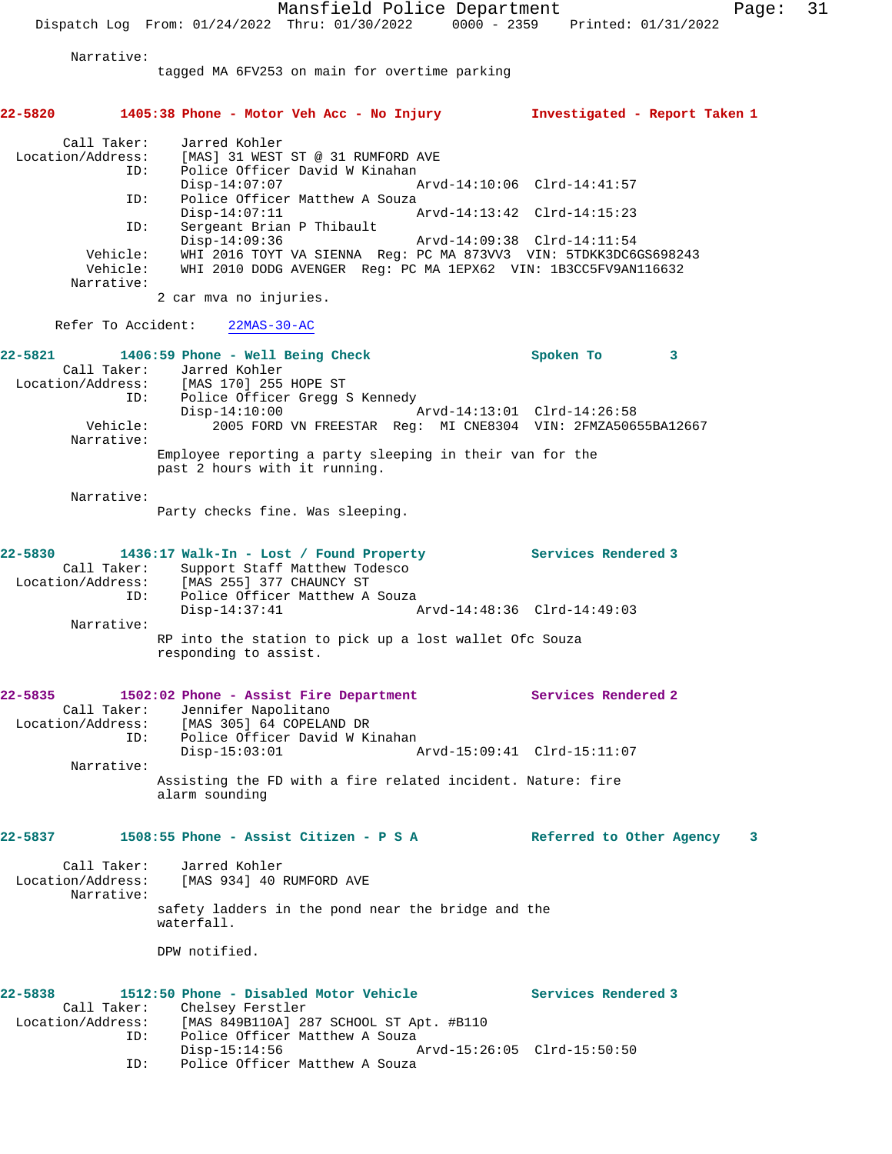Mansfield Police Department Fage: 31 Dispatch Log From: 01/24/2022 Thru: 01/30/2022 0000 - 2359 Printed: 01/31/2022 Narrative: tagged MA 6FV253 on main for overtime parking **22-5820 1405:38 Phone - Motor Veh Acc - No Injury Investigated - Report Taken 1** Call Taker: Jarred Kohler Location/Address: [MAS] 31 WEST ST @ 31 RUMFORD AVE ID: Police Officer David W Kinahan<br>Disp-14:07:07 Disp-14:07:07 Arvd-14:10:06 Clrd-14:41:57<br>ID: Police Officer Matthew A Souza Police Officer Matthew A Souza<br>Disp-14:07:11  $P$  Disp-14:07:11 Arvd-14:13:42 Clrd-14:15:23 ID: Sergeant Brian P Thibault Disp-14:09:36 Arvd-14:09:38 Clrd-14:11:54 Vehicle: WHI 2016 TOYT VA SIENNA Reg: PC MA 873VV3 VIN: 5TDKK3DC6GS698243 Vehicle: WHI 2010 DODG AVENGER Reg: PC MA 1EPX62 VIN: 1B3CC5FV9AN116632 Narrative: 2 car mva no injuries. Refer To Accident: 22MAS-30-AC **22-5821 1406:59 Phone - Well Being Check Spoken To 3**  Call Taker: Jarred Kohler<br>Location/Address: [MAS 170] 255 [MAS 170] 255 HOPE ST ID: Police Officer Gregg S Kennedy Disp-14:10:00 Arvd-14:13:01 Clrd-14:26:58 Vehicle: 2005 FORD VN FREESTAR Reg: MI CNE8304 VIN: 2FMZA50655BA12667 Narrative: Employee reporting a party sleeping in their van for the past 2 hours with it running. Narrative: Party checks fine. Was sleeping. **22-5830 1436:17 Walk-In - Lost / Found Property Services Rendered 3**  Call Taker: Support Staff Matthew Todesco Location/Address: [MAS 255] 377 CHAUNCY ST ID: Police Officer Matthew A Souza Disp-14:37:41 Arvd-14:48:36 Clrd-14:49:03 Narrative: RP into the station to pick up a lost wallet Ofc Souza responding to assist. **22-5835 1502:02 Phone - Assist Fire Department Services Rendered 2**  Call Taker: Jennifer Napolitano Location/Address: [MAS 305] 64 COPELAND DR ID: Police Officer David W Kinahan Disp-15:03:01 Arvd-15:09:41 Clrd-15:11:07 Narrative: Assisting the FD with a fire related incident. Nature: fire alarm sounding **22-5837 1508:55 Phone - Assist Citizen - P S A Referred to Other Agency 3** Call Taker: Jarred Kohler Location/Address: [MAS 934] 40 RUMFORD AVE Narrative: safety ladders in the pond near the bridge and the waterfall. DPW notified. 22-5838 1512:50 Phone - Disabled Motor Vehicle **Services Rendered 3**  Call Taker: Chelsey Ferstler Location/Address: [MAS 849B110A] 287 SCHOOL ST Apt. #B110 ID: Police Officer Matthew A Souza Disp-15:14:56 Arvd-15:26:05 Clrd-15:50:50 ID: Police Officer Matthew A Souza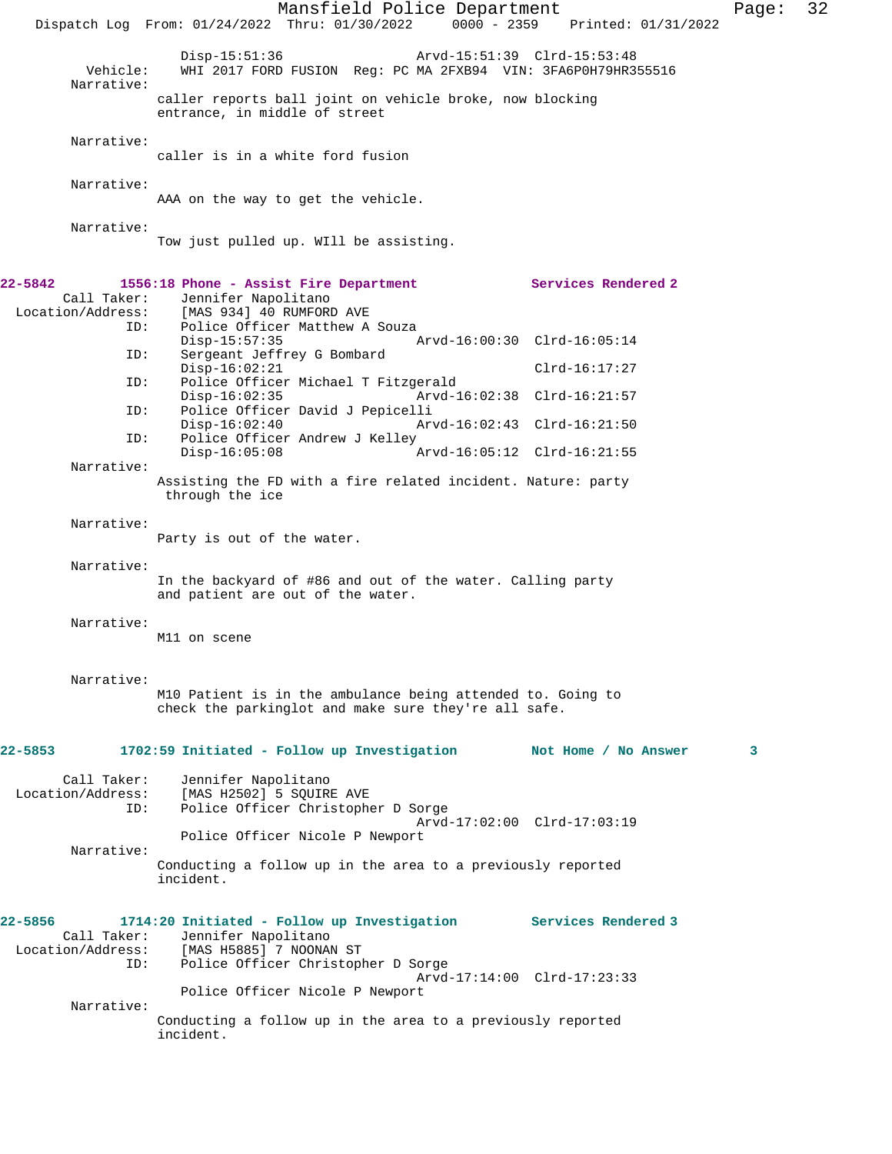|                                                    | Mansfield Police Department<br>Dispatch Log From: 01/24/2022 Thru: 01/30/2022 0000 - 2359 Printed: 01/31/2022                                           |                             | Page: | 32 |
|----------------------------------------------------|---------------------------------------------------------------------------------------------------------------------------------------------------------|-----------------------------|-------|----|
| Vehicle:<br>Narrative:                             | $Disp-15:51:36$<br>Arvd-15:51:39 Clrd-15:53:48<br>WHI 2017 FORD FUSION Req: PC MA 2FXB94 VIN: 3FA6P0H79HR355516                                         |                             |       |    |
|                                                    | caller reports ball joint on vehicle broke, now blocking<br>entrance, in middle of street                                                               |                             |       |    |
| Narrative:                                         | caller is in a white ford fusion                                                                                                                        |                             |       |    |
| Narrative:                                         | AAA on the way to get the vehicle.                                                                                                                      |                             |       |    |
| Narrative:                                         | Tow just pulled up. WIll be assisting.                                                                                                                  |                             |       |    |
| 22-5842<br>Call Taker:<br>Location/Address:        | 1556:18 Phone - Assist Fire Department<br>Jennifer Napolitano<br>[MAS 934] 40 RUMFORD AVE                                                               | <b>Services Rendered 2</b>  |       |    |
| ID:                                                | Police Officer Matthew A Souza<br>$Disp-15:57:35$                                                                                                       | Arvd-16:00:30 Clrd-16:05:14 |       |    |
| ID:                                                | Sergeant Jeffrey G Bombard<br>$Disp-16:02:21$                                                                                                           | $Clrd-16:17:27$             |       |    |
| ID:<br>ID:                                         | Police Officer Michael T Fitzgerald<br>$Disp-16:02:35$<br>Police Officer David J Pepicelli                                                              | Arvd-16:02:38 Clrd-16:21:57 |       |    |
| ID:                                                | $Disp-16:02:40$<br>Police Officer Andrew J Kelley                                                                                                       | Arvd-16:02:43 Clrd-16:21:50 |       |    |
| Narrative:                                         | $Disp-16:05:08$                                                                                                                                         | Arvd-16:05:12 Clrd-16:21:55 |       |    |
|                                                    | Assisting the FD with a fire related incident. Nature: party<br>through the ice                                                                         |                             |       |    |
| Narrative:                                         | Party is out of the water.                                                                                                                              |                             |       |    |
| Narrative:                                         | In the backyard of #86 and out of the water. Calling party<br>and patient are out of the water.                                                         |                             |       |    |
| Narrative:                                         | M11 on scene                                                                                                                                            |                             |       |    |
| Narrative:                                         | M10 Patient is in the ambulance being attended to. Going to<br>check the parkinglot and make sure they're all safe.                                     |                             |       |    |
| 22-5853                                            | 1702:59 Initiated - Follow up Investigation                                                                                                             | Not Home / No Answer        | 3     |    |
| Call Taker:<br>Location/Address:<br>ID:            | Jennifer Napolitano<br>[MAS H2502] 5 SQUIRE AVE<br>Police Officer Christopher D Sorge                                                                   |                             |       |    |
| Narrative:                                         | Police Officer Nicole P Newport                                                                                                                         | Arvd-17:02:00 Clrd-17:03:19 |       |    |
|                                                    | Conducting a follow up in the area to a previously reported<br>incident.                                                                                |                             |       |    |
| 22-5856<br>Call Taker:<br>Location/Address:<br>ID: | 1714:20 Initiated - Follow up Investigation Services Rendered 3<br>Jennifer Napolitano<br>[MAS H5885] 7 NOONAN ST<br>Police Officer Christopher D Sorge |                             |       |    |
|                                                    | Police Officer Nicole P Newport                                                                                                                         | Arvd-17:14:00 Clrd-17:23:33 |       |    |
| Narrative:                                         | Conducting a follow up in the area to a previously reported<br>incident.                                                                                |                             |       |    |
|                                                    |                                                                                                                                                         |                             |       |    |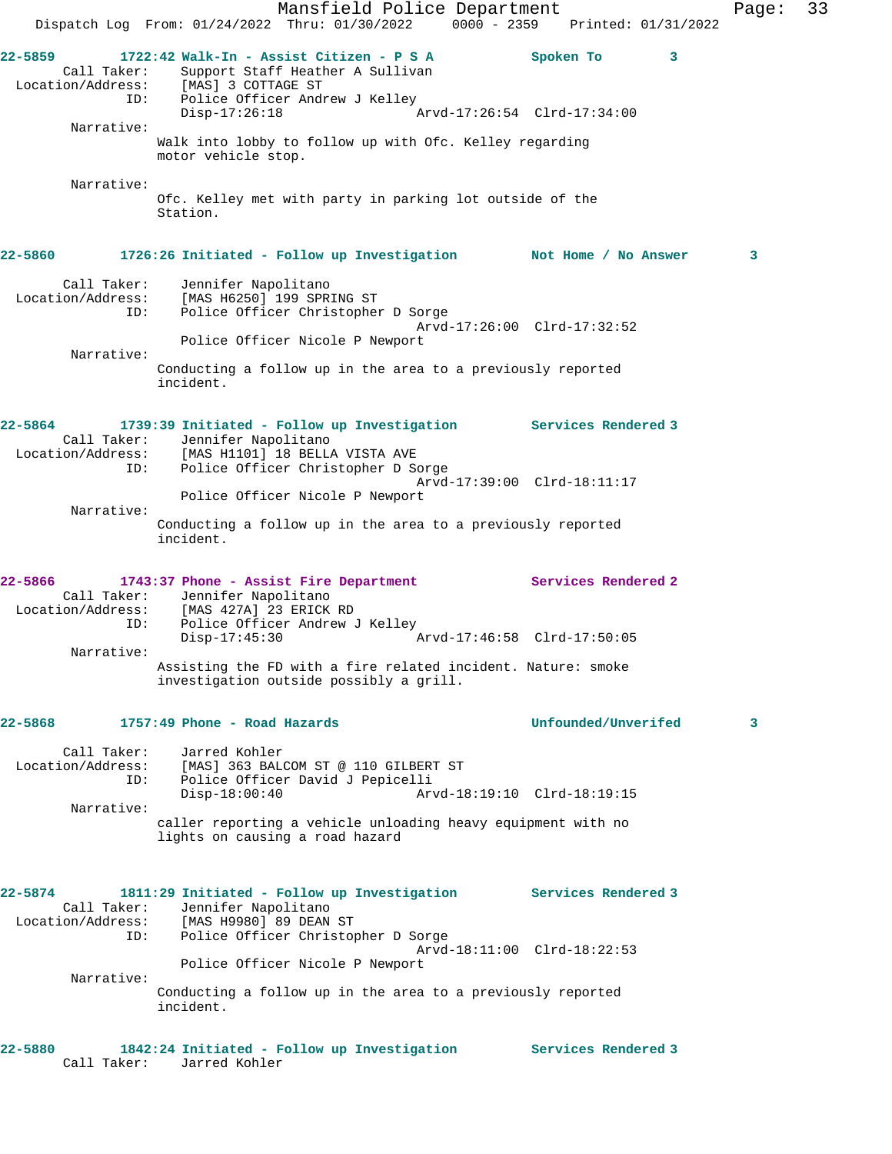Mansfield Police Department Fage: 33 Dispatch Log From: 01/24/2022 Thru: 01/30/2022 0000 - 2359 Printed: 01/31/2022 **22-5859 1722:42 Walk-In - Assist Citizen - P S A Spoken To 3**  Call Taker: Support Staff Heather A Sullivan Location/Address: [MAS] 3 COTTAGE ST ID: Police Officer Andrew J Kelley Disp-17:26:18 Arvd-17:26:54 Clrd-17:34:00 Narrative: Walk into lobby to follow up with Ofc. Kelley regarding motor vehicle stop. Narrative: Ofc. Kelley met with party in parking lot outside of the Station. **22-5860 1726:26 Initiated - Follow up Investigation Not Home / No Answer 3** Call Taker: Jennifer Napolitano Location/Address: [MAS H6250] 199 SPRING ST ID: Police Officer Christopher D Sorge Arvd-17:26:00 Clrd-17:32:52 Police Officer Nicole P Newport Narrative: Conducting a follow up in the area to a previously reported incident. **22-5864 1739:39 Initiated - Follow up Investigation Services Rendered 3**  Call Taker: Jennifer Napolitano Location/Address: [MAS H1101] 18 BELLA VISTA AVE ID: Police Officer Christopher D Sorge Arvd-17:39:00 Clrd-18:11:17 Police Officer Nicole P Newport Narrative: Conducting a follow up in the area to a previously reported incident. **22-5866 1743:37 Phone - Assist Fire Department Services Rendered 2**  Call Taker: Jennifer Napolitano Location/Address: [MAS 427A] 23 ERICK RD ID: Police Officer Andrew J Kelley Disp-17:45:30 Arvd-17:46:58 Clrd-17:50:05 Narrative: Assisting the FD with a fire related incident. Nature: smoke investigation outside possibly a grill. **22-5868 1757:49 Phone - Road Hazards Unfounded/Unverifed 3** Call Taker: Jarred Kohler Location/Address: [MAS] 363 BALCOM ST @ 110 GILBERT ST ID: Police Officer David J Pepicelli Disp-18:00:40 Arvd-18:19:10 Clrd-18:19:15 Narrative: caller reporting a vehicle unloading heavy equipment with no lights on causing a road hazard **22-5874 1811:29 Initiated - Follow up Investigation Services Rendered 3**  Call Taker: Jennifer Napolitano Location/Address: [MAS H9980] 89 DEAN ST ID: Police Officer Christopher D Sorge Arvd-18:11:00 Clrd-18:22:53 Police Officer Nicole P Newport Narrative: Conducting a follow up in the area to a previously reported incident. **22-5880 1842:24 Initiated - Follow up Investigation Services Rendered 3**  Call Taker: Jarred Kohler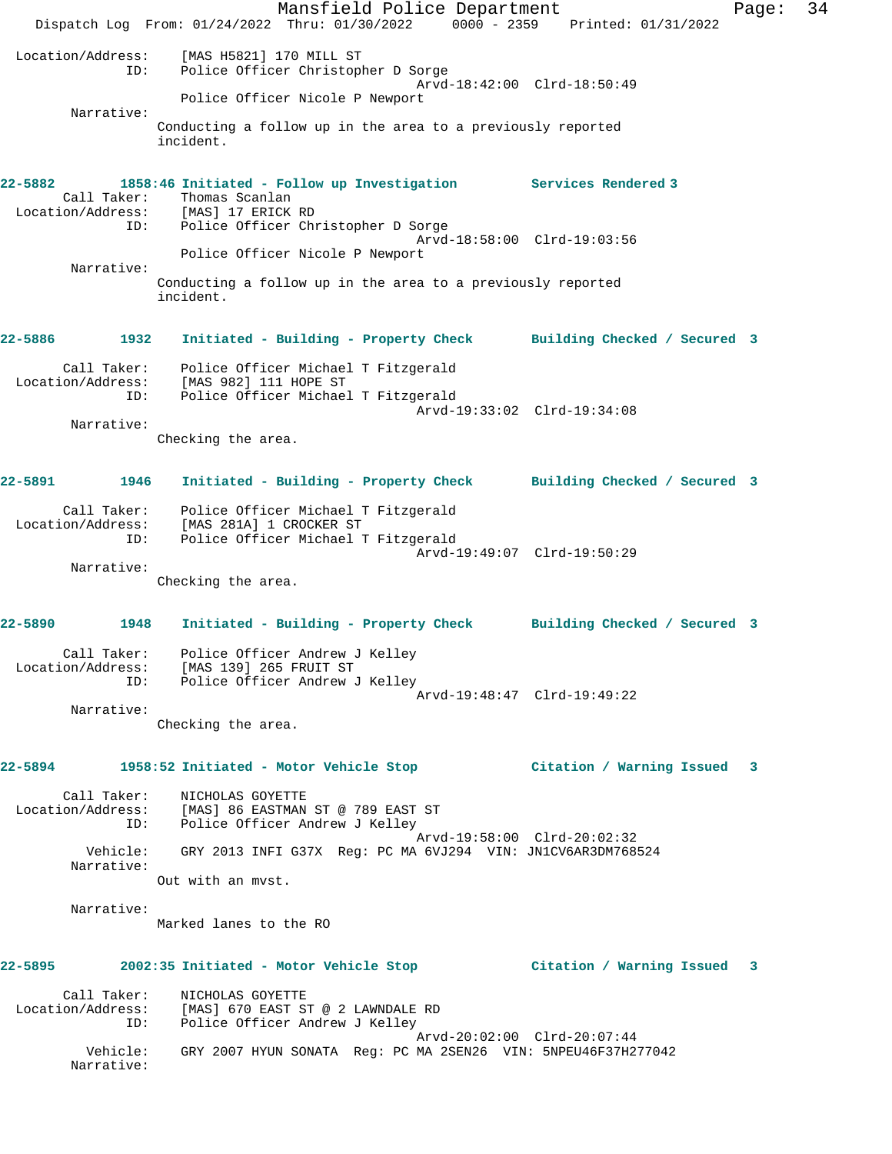Mansfield Police Department Fage: 34 Dispatch Log From: 01/24/2022 Thru: 01/30/2022 0000 - 2359 Printed: 01/31/2022 Location/Address: [MAS H5821] 170 MILL ST ID: Police Officer Christopher D Sorge Arvd-18:42:00 Clrd-18:50:49 Police Officer Nicole P Newport Narrative: Conducting a follow up in the area to a previously reported incident. **22-5882 1858:46 Initiated - Follow up Investigation Services Rendered 3**  Call Taker: Thomas Scanlan Location/Address: [MAS] 17 ERICK RD ID: Police Officer Christopher D Sorge Arvd-18:58:00 Clrd-19:03:56 Police Officer Nicole P Newport Narrative: Conducting a follow up in the area to a previously reported incident. **22-5886 1932 Initiated - Building - Property Check Building Checked / Secured 3** Call Taker: Police Officer Michael T Fitzgerald Location/Address: [MAS 982] 111 HOPE ST ID: Police Officer Michael T Fitzgerald Arvd-19:33:02 Clrd-19:34:08 Narrative: Checking the area. **22-5891 1946 Initiated - Building - Property Check Building Checked / Secured 3** Call Taker: Police Officer Michael T Fitzgerald Location/Address: [MAS 281A] 1 CROCKER ST ID: Police Officer Michael T Fitzgerald Arvd-19:49:07 Clrd-19:50:29 Narrative: Checking the area. **22-5890 1948 Initiated - Building - Property Check Building Checked / Secured 3** Call Taker: Police Officer Andrew J Kelley Location/Address: [MAS 139] 265 FRUIT ST ID: Police Officer Andrew J Kelley Arvd-19:48:47 Clrd-19:49:22 Narrative: Checking the area. **22-5894 1958:52 Initiated - Motor Vehicle Stop Citation / Warning Issued 3** Call Taker: NICHOLAS GOYETTE Location/Address: [MAS] 86 EASTMAN ST @ 789 EAST ST ID: Police Officer Andrew J Kelley Arvd-19:58:00 Clrd-20:02:32 Vehicle: GRY 2013 INFI G37X Reg: PC MA 6VJ294 VIN: JN1CV6AR3DM768524 Narrative: Out with an mvst. Narrative: Marked lanes to the RO **22-5895 2002:35 Initiated - Motor Vehicle Stop Citation / Warning Issued 3** Call Taker: NICHOLAS GOYETTE Location/Address: [MAS] 670 EAST ST @ 2 LAWNDALE RD ID: Police Officer Andrew J Kelley Arvd-20:02:00 Clrd-20:07:44 Vehicle: GRY 2007 HYUN SONATA Reg: PC MA 2SEN26 VIN: 5NPEU46F37H277042 Narrative: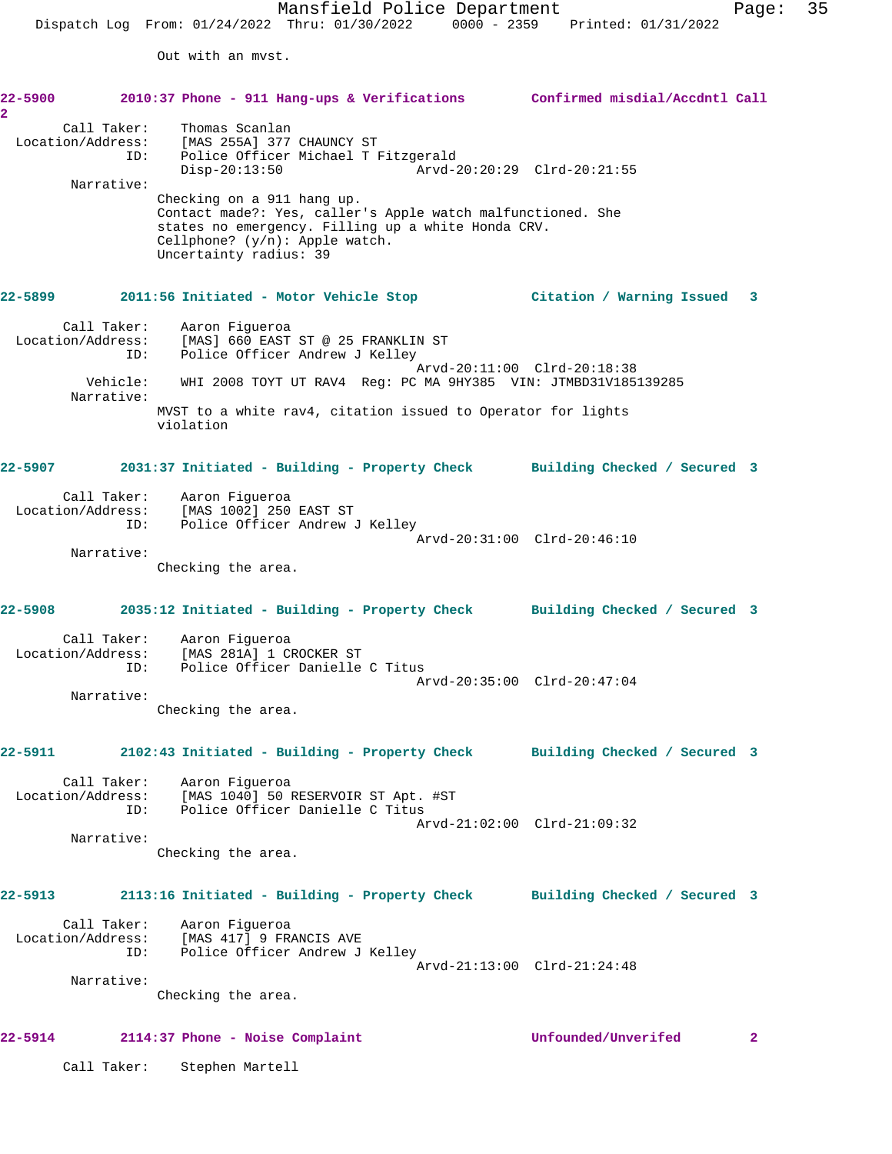Out with an mvst.

| 22–5900 година<br>$\overline{2}$ |                        | 2010:37 Phone - 911 Hang-ups & Verifications Confirmed misdial/Accdntl Call                                                                                                                                    |                             |              |
|----------------------------------|------------------------|----------------------------------------------------------------------------------------------------------------------------------------------------------------------------------------------------------------|-----------------------------|--------------|
|                                  | Call Taker:<br>ID:     | Thomas Scanlan<br>Location/Address: [MAS 255A] 377 CHAUNCY ST<br>Police Officer Michael T Fitzgerald<br>$Disp-20:13:50$                                                                                        |                             |              |
|                                  | Narrative:             | Checking on a 911 hang up.<br>Contact made?: Yes, caller's Apple watch malfunctioned. She<br>states no emergency. Filling up a white Honda CRV.<br>Cellphone? $(y/n)$ : Apple watch.<br>Uncertainty radius: 39 |                             |              |
| 22–5899                          |                        | 2011:56 Initiated - Motor Vehicle Stop                                                                                                                                                                         | Citation / Warning Issued 3 |              |
|                                  | Call Taker:<br>ID:     | Aaron Figueroa<br>Location/Address: [MAS] 660 EAST ST @ 25 FRANKLIN ST<br>Police Officer Andrew J Kelley                                                                                                       |                             |              |
|                                  | Vehicle:<br>Narrative: | WHI 2008 TOYT UT RAV4 Req: PC MA 9HY385 VIN: JTMBD31V185139285<br>MVST to a white rav4, citation issued to Operator for lights<br>violation                                                                    | Arvd-20:11:00 Clrd-20:18:38 |              |
| 22-5907                          |                        | 2031:37 Initiated - Building - Property Check Building Checked / Secured 3                                                                                                                                     |                             |              |
|                                  |                        | Call Taker: Aaron Figueroa<br>Location/Address: [MAS 1002] 250 EAST ST<br>ID: Police Officer Andrew J Kelley                                                                                                   |                             |              |
|                                  | Narrative:             | Checking the area.                                                                                                                                                                                             | Arvd-20:31:00 Clrd-20:46:10 |              |
| 22-5908                          |                        | 2035:12 Initiated - Building - Property Check Building Checked / Secured 3                                                                                                                                     |                             |              |
|                                  | Call Taker:<br>ID:     | Aaron Figueroa<br>Location/Address: [MAS 281A] 1 CROCKER ST<br>Police Officer Danielle C Titus                                                                                                                 | Arvd-20:35:00 Clrd-20:47:04 |              |
|                                  | Narrative:             | Checking the area.                                                                                                                                                                                             |                             |              |
| 22-5911                          |                        | 2102:43 Initiated - Building - Property Check Building Checked / Secured 3                                                                                                                                     |                             |              |
|                                  |                        | Call Taker: Aaron Figueroa<br>Location/Address: [MAS 1040] 50 RESERVOIR ST Apt. #ST<br>ID: Police Officer Danielle C Titus                                                                                     | Arvd-21:02:00 Clrd-21:09:32 |              |
|                                  | Narrative:             | Checking the area.                                                                                                                                                                                             |                             |              |
| 22-5913                          |                        | 2113:16 Initiated - Building - Property Check Building Checked / Secured 3                                                                                                                                     |                             |              |
|                                  |                        | Call Taker: Aaron Figueroa<br>Location/Address: [MAS 417] 9 FRANCIS AVE<br>ID: Police Officer Andrew J Kelley                                                                                                  |                             |              |
|                                  | Narrative:             | Checking the area.                                                                                                                                                                                             | Arvd-21:13:00 Clrd-21:24:48 |              |
| 22-5914                          |                        | 2114:37 Phone - Noise Complaint                                                                                                                                                                                | Unfounded/Unverifed         | $\mathbf{2}$ |

Call Taker: Stephen Martell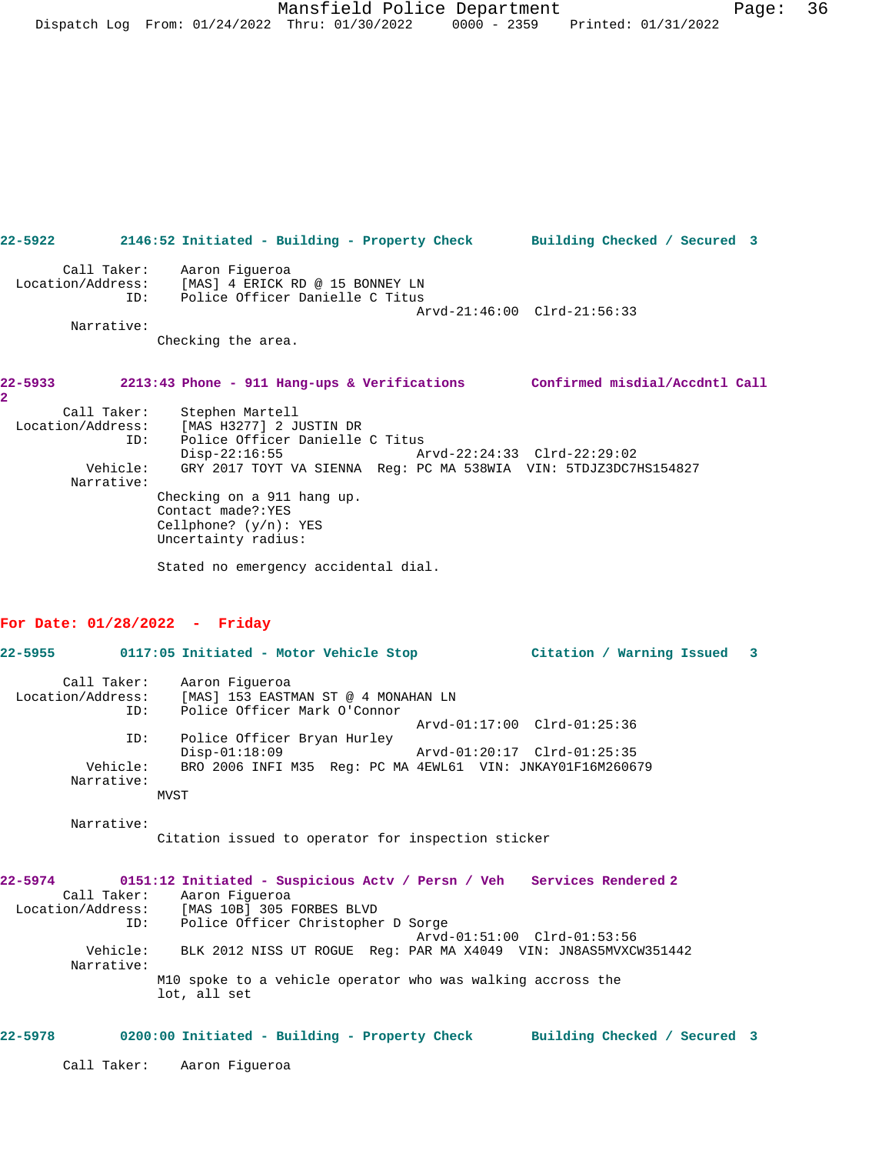Call Taker: Aaron Figueroa Location/Address: [MAS] 4 ERICK RD @ 15 BONNEY LN ID: Police Officer Danielle C Titus Arvd-21:46:00 Clrd-21:56:33 Narrative: Checking the area. **22-5933 2213:43 Phone - 911 Hang-ups & Verifications Confirmed misdial/Accdntl Call 2**  Call Taker: Stephen Martell Location/Address: [MAS H3277] 2 JUSTIN DR ID: Police Officer Danielle C Titus Disp-22:16:55 Arvd-22:24:33 Clrd-22:29:02 Vehicle: GRY 2017 TOYT VA SIENNA Reg: PC MA 538WIA VIN: 5TDJZ3DC7HS154827 Narrative: Checking on a 911 hang up.

**22-5922 2146:52 Initiated - Building - Property Check Building Checked / Secured 3**

Contact made?:YES Cellphone? (y/n): YES Uncertainty radius:

Stated no emergency accidental dial.

## **For Date: 01/28/2022 - Friday**

| 22-5955 2014           | 0117:05 Initiated - Motor Vehicle Stop<br>Citation / Warning Issued 3                                                                                      |  |
|------------------------|------------------------------------------------------------------------------------------------------------------------------------------------------------|--|
| ID:                    | Call Taker: Aaron Fiqueroa<br>Location/Address: [MAS] 153 EASTMAN ST @ 4 MONAHAN LN<br>Police Officer Mark O'Connor                                        |  |
|                        | Arvd-01:17:00 Clrd-01:25:36                                                                                                                                |  |
| ID:<br>Vehicle:        | Police Officer Bryan Hurley<br>$Disp-01:18:09$<br>Arvd-01:20:17 Clrd-01:25:35<br>BRO 2006 INFI M35 Req: PC MA 4EWL61 VIN: JNKAY01F16M260679                |  |
| Narrative:             |                                                                                                                                                            |  |
|                        | MVST                                                                                                                                                       |  |
| Narrative:             | Citation issued to operator for inspection sticker                                                                                                         |  |
|                        | 22-5974 0151:12 Initiated - Suspicious Actv / Persn / Veh Services Rendered 2<br>Call Taker: Aaron Fiqueroa<br>Location/Address: [MAS 10B] 305 FORBES BLVD |  |
| ID:                    | Police Officer Christopher D Sorge<br>Arvd-01:51:00 Clrd-01:53:56                                                                                          |  |
| Vehicle:<br>Narrative: | BLK 2012 NISS UT ROGUE Req: PAR MA X4049 VIN: JN8AS5MVXCW351442                                                                                            |  |

M10 spoke to a vehicle operator who was walking accross the lot, all set

## **22-5978 0200:00 Initiated - Building - Property Check Building Checked / Secured 3**

Call Taker: Aaron Figueroa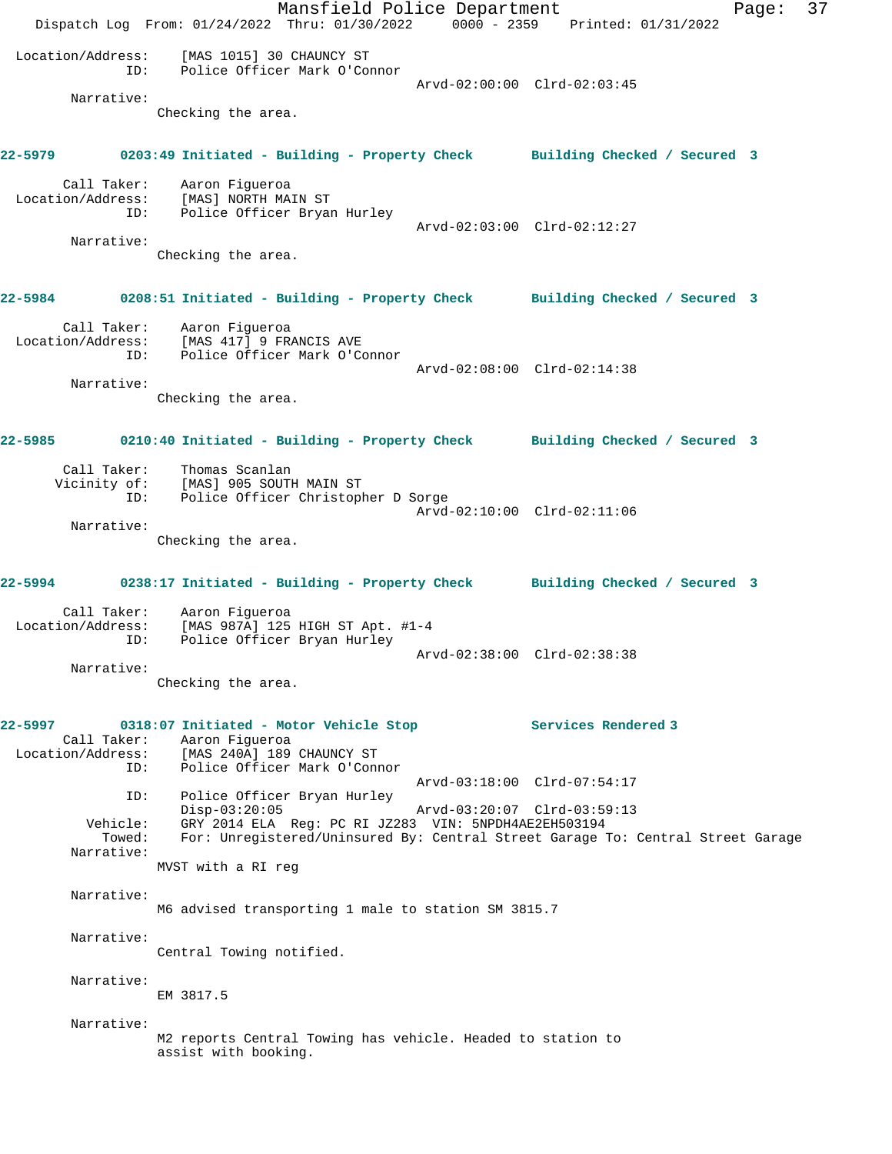Mansfield Police Department Page: 37 Dispatch Log From: 01/24/2022 Thru: 01/30/2022 0000 - 2359 Printed: 01/31/2022 Location/Address: [MAS 1015] 30 CHAUNCY ST ID: Police Officer Mark O'Connor Arvd-02:00:00 Clrd-02:03:45 Narrative: Checking the area. **22-5979 0203:49 Initiated - Building - Property Check Building Checked / Secured 3** Call Taker: Aaron Figueroa Location/Address: [MAS] NORTH MAIN ST ID: Police Officer Bryan Hurley Arvd-02:03:00 Clrd-02:12:27 Narrative: Checking the area. **22-5984 0208:51 Initiated - Building - Property Check Building Checked / Secured 3** Call Taker: Aaron Figueroa Location/Address: [MAS 417] 9 FRANCIS AVE ID: Police Officer Mark O'Connor Arvd-02:08:00 Clrd-02:14:38 Narrative: Checking the area. **22-5985 0210:40 Initiated - Building - Property Check Building Checked / Secured 3** Call Taker: Thomas Scanlan Vicinity of: [MAS] 905 SOUTH MAIN ST ID: Police Officer Christopher D Sorge Arvd-02:10:00 Clrd-02:11:06 Narrative: Checking the area. **22-5994 0238:17 Initiated - Building - Property Check Building Checked / Secured 3** Call Taker: Aaron Figueroa Location/Address: [MAS 987A] 125 HIGH ST Apt. #1-4 ID: Police Officer Bryan Hurley Arvd-02:38:00 Clrd-02:38:38 Narrative: Checking the area. **22-5997 0318:07 Initiated - Motor Vehicle Stop Services Rendered 3**  Call Taker: Aaron Figueroa<br>Location/Address: [MAS 240A] 189 للمحتوية المحتوية المحتوية :<br>ESS: [MAS 240A] 189 CHAUNCY ST<br>ID: Police Officer Mark O'Conr Police Officer Mark O'Connor Arvd-03:18:00 Clrd-07:54:17 ID: Police Officer Bryan Hurley Disp-03:20:05 Arvd-03:20:07 Clrd-03:59:13 Vehicle: GRY 2014 ELA Reg: PC RI JZ283 VIN: 5NPDH4AE2EH503194 For: Unregistered/Uninsured By: Central Street Garage To: Central Street Garage Narrative: MVST with a RI reg Narrative: M6 advised transporting 1 male to station SM 3815.7 Narrative: Central Towing notified. Narrative: EM 3817.5 Narrative: M2 reports Central Towing has vehicle. Headed to station to assist with booking.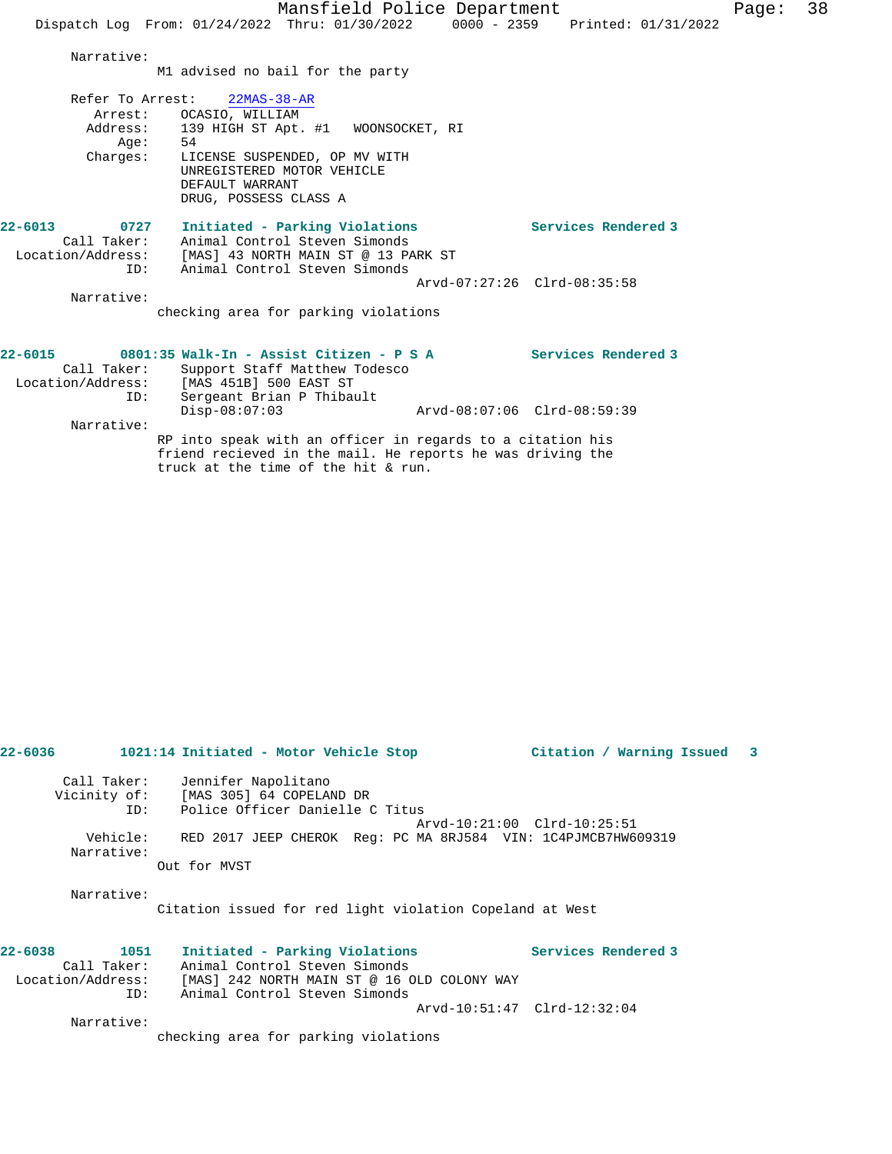|                                                                                             |                                                                                                                                                                                                                 | Mansfield Police Department                                     |                             |                     |  | Pag |
|---------------------------------------------------------------------------------------------|-----------------------------------------------------------------------------------------------------------------------------------------------------------------------------------------------------------------|-----------------------------------------------------------------|-----------------------------|---------------------|--|-----|
|                                                                                             | Dispatch Log From: 01/24/2022 Thru: 01/30/2022 0000 - 2359 Printed: 01/31/2022                                                                                                                                  |                                                                 |                             |                     |  |     |
| Narrative:                                                                                  | M1 advised no bail for the party                                                                                                                                                                                |                                                                 |                             |                     |  |     |
| Arrest:<br>Aqe:<br>Charges:                                                                 | Refer To Arrest: 22MAS-38-AR<br>OCASIO, WILLIAM<br>Address: 139 HIGH ST Apt. #1 WOONSOCKET, RI<br>54<br>LICENSE SUSPENDED, OP MV WITH<br>UNREGISTERED MOTOR VEHICLE<br>DEFAULT WARRANT<br>DRUG, POSSESS CLASS A |                                                                 |                             |                     |  |     |
| $22 - 6013$<br>0727<br>Location/Address:<br>ID:<br>Narrative:                               | Call Taker: Animal Control Steven Simonds<br>[MAS] 43 NORTH MAIN ST @ 13 PARK ST<br>checking area for parking violations                                                                                        | Initiated - Parking Violations<br>Animal Control Steven Simonds | Arvd-07:27:26 Clrd-08:35:58 | Services Rendered 3 |  |     |
| $22 - 6015$<br>Call Taker:<br>Location/Address: [MAS 451B] 500 EAST ST<br>ID:<br>Narrative: | 0801:35 Walk-In - Assist Citizen - P S A<br>Sergeant Brian P Thibault<br>$Disp-08:07:03$                                                                                                                        | Support Staff Matthew Todesco                                   | Arvd-08:07:06 Clrd-08:59:39 | Services Rendered 3 |  |     |
|                                                                                             | RP into speak with an officer in regards to a citation his<br>friend recieved in the mail. He reports he was driving the                                                                                        |                                                                 |                             |                     |  |     |

truck at the time of the hit & run.

| 22-6036 2014 |                        | 1021:14 Initiated - Motor Vehicle Stop                        | Citation / Warning Issued 3 |  |
|--------------|------------------------|---------------------------------------------------------------|-----------------------------|--|
|              |                        | Call Taker: Jennifer Napolitano                               |                             |  |
|              |                        | Vicinity of: [MAS 305] 64 COPELAND DR                         |                             |  |
|              |                        | ID: Police Officer Danielle C Titus                           |                             |  |
|              |                        |                                                               | Arvd-10:21:00 Clrd-10:25:51 |  |
|              | Vehicle:<br>Narrative: | RED 2017 JEEP CHEROK Req: PC MA 8RJ584 VIN: 1C4PJMCB7HW609319 |                             |  |
|              |                        | Out for MVST                                                  |                             |  |
|              | Narrative:             |                                                               |                             |  |
|              |                        | Citation issued for red light violation Copeland at West      |                             |  |
| $22 - 6038$  | 1051                   | Initiated - Parking Violations                                | <b>Services Rendered 3</b>  |  |
|              |                        | Call Taker: Animal Control Steven Simonds                     |                             |  |
|              |                        | Location/Address: [MAS] 242 NORTH MAIN ST @ 16 OLD COLONY WAY |                             |  |
|              | TD:                    | Animal Control Steven Simonds                                 |                             |  |
|              |                        |                                                               | Arvd-10:51:47 Clrd-12:32:04 |  |
|              | Narrative:             |                                                               |                             |  |
|              |                        | checking area for parking violations                          |                             |  |
|              |                        |                                                               |                             |  |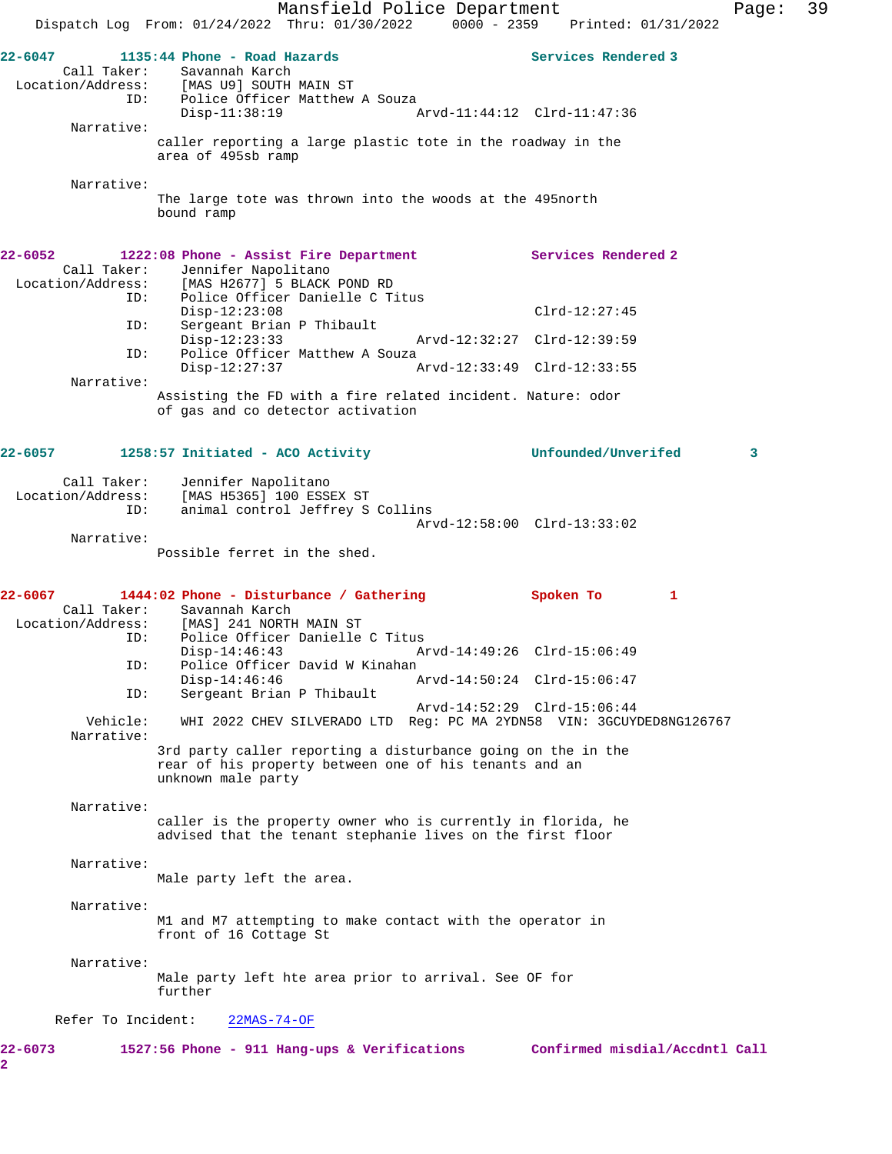Mansfield Police Department Fage: 39 Dispatch Log From: 01/24/2022 Thru: 01/30/2022 0000 - 2359 Printed: 01/31/2022 22-6047 **1135:44 Phone - Road Hazards Services Rendered 3** Call Taker: Savannah Karch<br>Location/Address: [MAS U9] SOUTH ess: [MAS U9] SOUTH MAIN ST<br>ID: Police Officer Matthew Police Officer Matthew A Souza Disp-11:38:19 Arvd-11:44:12 Clrd-11:47:36 Narrative: caller reporting a large plastic tote in the roadway in the area of 495sb ramp Narrative: The large tote was thrown into the woods at the 495north bound ramp **22-6052 1222:08 Phone - Assist Fire Department Services Rendered 2**  Call Taker: Jennifer Napolitano Location/Address: [MAS H2677] 5 BLACK POND RD ID: Police Officer Danielle C Titus Disp-12:23:08 Clrd-12:27:45<br>TD: Sergeant Brian P Thibault Sergeant Brian P Thibault<br>Disp-12:23:33 Disp-12:23:33 Arvd-12:32:27 Clrd-12:39:59 ID: Police Officer Matthew A Souza<br>Disp-12:27:37 Disp-12:27:37 Arvd-12:33:49 Clrd-12:33:55 Narrative: Assisting the FD with a fire related incident. Nature: odor of gas and co detector activation **22-6057 1258:57 Initiated - ACO Activity Unfounded/Unverifed 3** Call Taker: Jennifer Napolitano Location/Address: [MAS H5365] 100 ESSEX ST ID: animal control Jeffrey S Collins Arvd-12:58:00 Clrd-13:33:02 Narrative: Possible ferret in the shed. **22-6067 1444:02 Phone - Disturbance / Gathering Spoken To 1**  Call Taker: Savannah Karch<br>Location/Address: [MAS] 241 NORTH [MAS] 241 NORTH MAIN ST ID: Police Officer Danielle C Titus Disp-14:46:43 Arvd-14:49:26 Clrd-15:06:49 ID: Police Officer David W Kinahan Arvd-14:50:24 Clrd-15:06:47 ID: Sergeant Brian P Thibault Arvd-14:52:29 Clrd-15:06:44 Vehicle: WHI 2022 CHEV SILVERADO LTD Reg: PC MA 2YDN58 VIN: 3GCUYDED8NG126767 Narrative: 3rd party caller reporting a disturbance going on the in the rear of his property between one of his tenants and an unknown male party Narrative: caller is the property owner who is currently in florida, he advised that the tenant stephanie lives on the first floor Narrative: Male party left the area. Narrative: M1 and M7 attempting to make contact with the operator in front of 16 Cottage St Narrative: Male party left hte area prior to arrival. See OF for further Refer To Incident: 22MAS-74-OF **22-6073 1527:56 Phone - 911 Hang-ups & Verifications Confirmed misdial/Accdntl Call 2**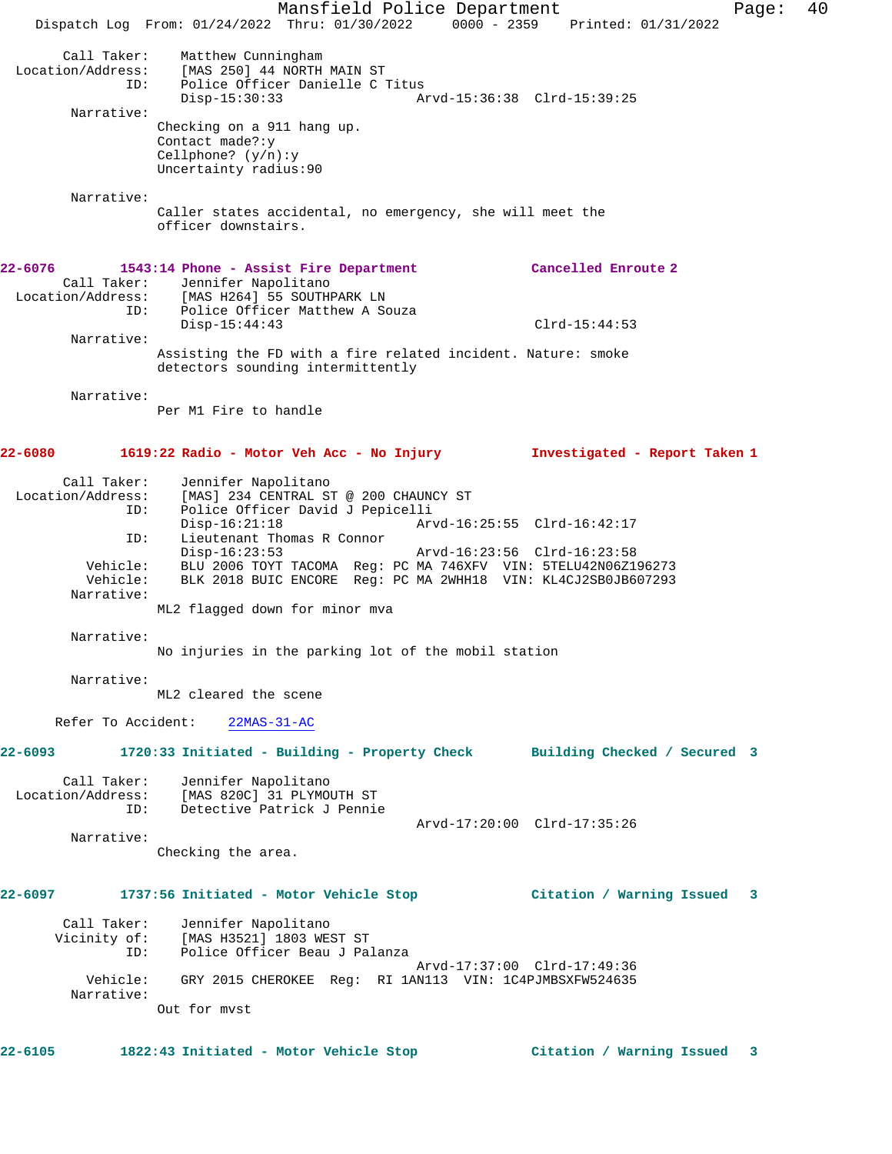Mansfield Police Department Fage: 40 Dispatch Log From: 01/24/2022 Thru: 01/30/2022 0000 - 2359 Printed: 01/31/2022 Call Taker: Matthew Cunningham Location/Address: [MAS 250] 44 NORTH MAIN ST ID: Police Officer Danielle C Titus Disp-15:30:33 Arvd-15:36:38 Clrd-15:39:25 Narrative: Checking on a 911 hang up. Contact made?:y Cellphone? (y/n):y Uncertainty radius:90 Narrative: Caller states accidental, no emergency, she will meet the officer downstairs. **22-6076 1543:14 Phone - Assist Fire Department Cancelled Enroute 2**  Call Taker: Jennifer Napolitano Location/Address: [MAS H264] 55 SOUTHPARK LN ID: Police Officer Matthew A Souza Disp-15:44:43 Clrd-15:44:53 Narrative: Assisting the FD with a fire related incident. Nature: smoke detectors sounding intermittently Narrative: Per M1 Fire to handle **22-6080 1619:22 Radio - Motor Veh Acc - No Injury Investigated - Report Taken 1** Call Taker: Jennifer Napolitano Location/Address: [MAS] 234 CENTRAL ST @ 200 CHAUNCY ST ID: Police Officer David J Pepicelli Disp-16:21:18 Arvd-16:25:55 Clrd-16:42:17<br>ID: Lieutenant Thomas R Connor Lieutenant Thomas R Connor Disp-16:23:53 Arvd-16:23:56 Clrd-16:23:58 Vehicle: BLU 2006 TOYT TACOMA Reg: PC MA 746XFV VIN: 5TELU42N06Z196273 Vehicle: BLK 2018 BUIC ENCORE Reg: PC MA 2WHH18 VIN: KL4CJ2SB0JB607293 Narrative: ML2 flagged down for minor mva Narrative: No injuries in the parking lot of the mobil station Narrative: ML2 cleared the scene Refer To Accident: 22MAS-31-AC **22-6093 1720:33 Initiated - Building - Property Check Building Checked / Secured 3** Call Taker: Jennifer Napolitano Location/Address: [MAS 820C] 31 PLYMOUTH ST ID: Detective Patrick J Pennie Arvd-17:20:00 Clrd-17:35:26 Narrative: Checking the area. **22-6097 1737:56 Initiated - Motor Vehicle Stop Citation / Warning Issued 3** Call Taker: Jennifer Napolitano<br>Vicinity of: [MAS H3521] 1803 WE: [MAS H3521] 1803 WEST ST ID: Police Officer Beau J Palanza Arvd-17:37:00 Clrd-17:49:36 Vehicle: GRY 2015 CHEROKEE Reg: RI 1AN113 VIN: 1C4PJMBSXFW524635 Narrative: Out for mvst **22-6105 1822:43 Initiated - Motor Vehicle Stop Citation / Warning Issued 3**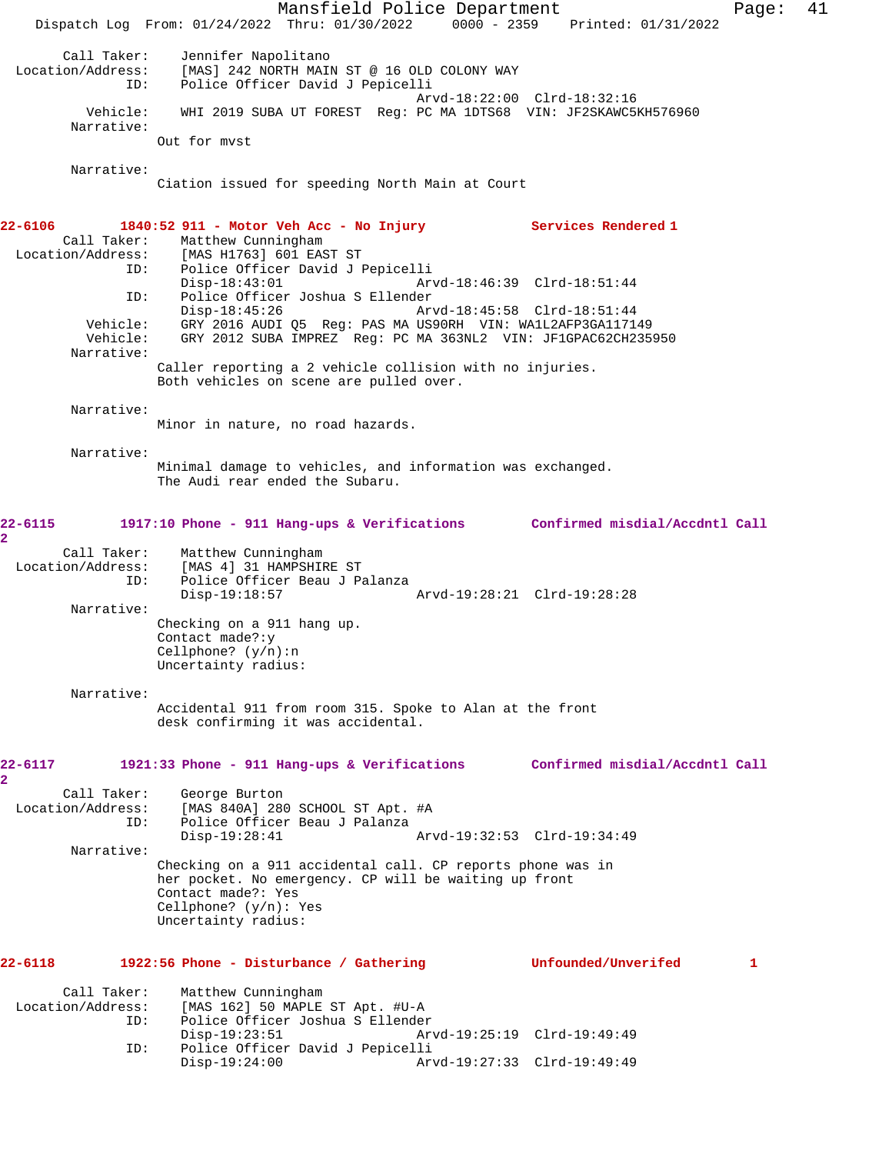Mansfield Police Department Fage: 41 Dispatch Log From: 01/24/2022 Thru: 01/30/2022 0000 - 2359 Printed: 01/31/2022 Call Taker: Jennifer Napolitano<br>Location/Address: [MAS] 242 NORTH MAI ess: [MAS] 242 NORTH MAIN ST @ 16 OLD COLONY WAY<br>ID: Police Officer David J Pepicelli Police Officer David J Pepicelli Arvd-18:22:00 Clrd-18:32:16 Vehicle: WHI 2019 SUBA UT FOREST Reg: PC MA 1DTS68 VIN: JF2SKAWC5KH576960 Narrative: Out for mvst Narrative: Ciation issued for speeding North Main at Court **22-6106 1840:52 911 - Motor Veh Acc - No Injury Services Rendered 1**  Call Taker: Matthew Cunningham<br>Location/Address: [MAS H1763] 601 EAS [MAS H1763] 601 EAST ST ID: Police Officer David J Pepicelli Disp-18:43:01 Arvd-18:46:39 Clrd-18:51:44 ID: Police Officer Joshua S Ellender Disp-18:45:26 Arvd-18:45:58 Clrd-18:51:44 Vehicle: GRY 2016 AUDI Q5 Reg: PAS MA US90RH VIN: WA1L2AFP3GA117149<br>Vehicle: GRY 2012 SUBA IMPREZ Reg: PC MA 363NL2 VIN: JF1GPAC62CH235 GRY 2012 SUBA IMPREZ Reg: PC MA 363NL2 VIN: JF1GPAC62CH235950 Narrative: Caller reporting a 2 vehicle collision with no injuries. Both vehicles on scene are pulled over. Narrative: Minor in nature, no road hazards. Narrative: Minimal damage to vehicles, and information was exchanged. The Audi rear ended the Subaru. **22-6115 1917:10 Phone - 911 Hang-ups & Verifications Confirmed misdial/Accdntl Call 2**  Call Taker: Matthew Cunningham<br>Location/Address: [MAS 4] 31 HAMPSHII [MAS 4] 31 HAMPSHIRE ST ID: Police Officer Beau J Palanza Disp-19:18:57 Arvd-19:28:21 Clrd-19:28:28 Narrative: Checking on a 911 hang up. Contact made?:y Cellphone? (y/n):n Uncertainty radius: Narrative: Accidental 911 from room 315. Spoke to Alan at the front desk confirming it was accidental. **22-6117 1921:33 Phone - 911 Hang-ups & Verifications Confirmed misdial/Accdntl Call 2**  Call Taker: George Burton<br>Location/Address: [MAS 840A] 280 [MAS 840A] 280 SCHOOL ST Apt. #A ID: Police Officer Beau J Palanza Disp-19:28:41 Arvd-19:32:53 Clrd-19:34:49 Narrative: Checking on a 911 accidental call. CP reports phone was in her pocket. No emergency. CP will be waiting up front Contact made?: Yes Cellphone? (y/n): Yes Uncertainty radius: **22-6118 1922:56 Phone - Disturbance / Gathering Unfounded/Unverifed 1** Call Taker: Matthew Cunningham<br>Location/Address: [MAS 162] 50 MAPLE  $[MAS 162] 50 MAPLE ST Apt. #U-A$  ID: Police Officer Joshua S Ellender Disp-19:23:51 Arvd-19:25:19 Clrd-19:49:49 ID: Police Officer David J Pepicelli Disp-19:24:00 Arvd-19:27:33 Clrd-19:49:49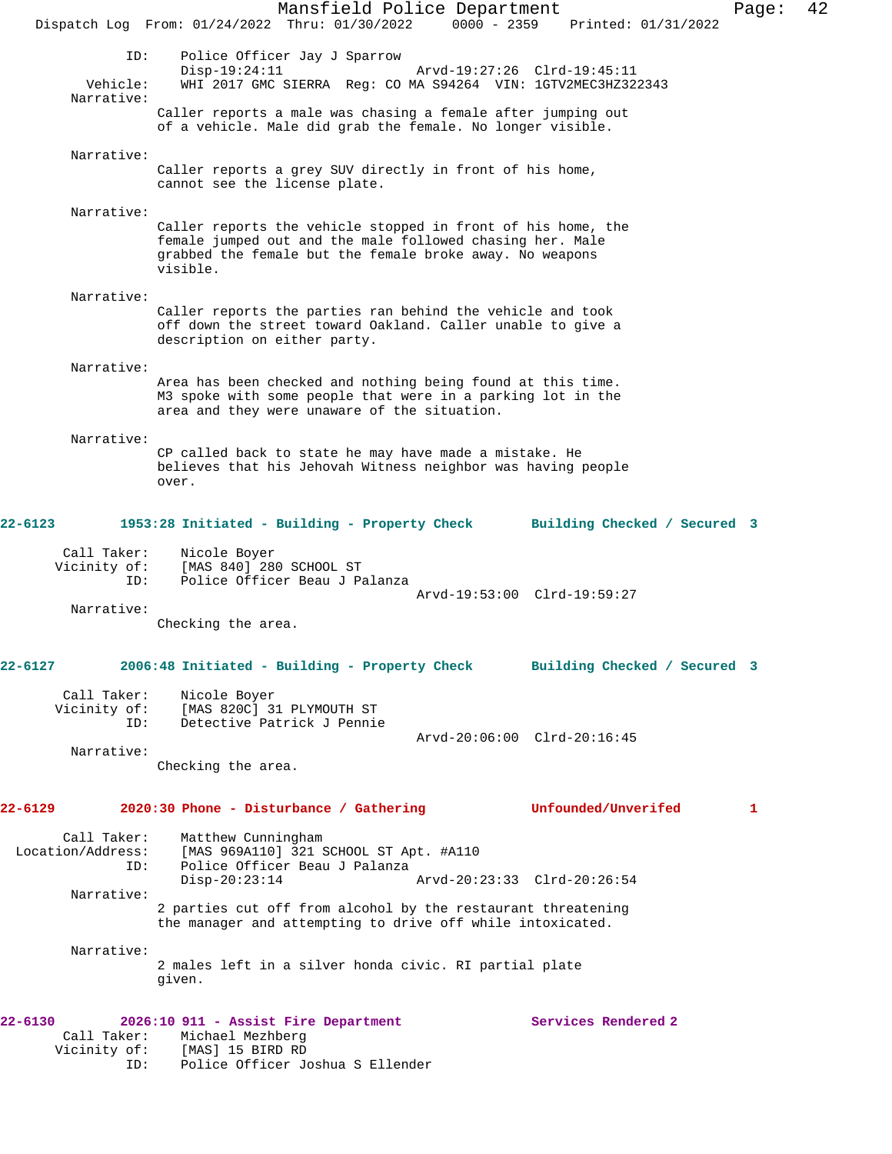Mansfield Police Department Form Page: 42 Dispatch Log From: 01/24/2022 Thru: 01/30/2022 0000 - 2359 Printed: 01/31/2022 ID: Police Officer Jay J Sparrow Disp-19:24:11 Arvd-19:27:26 Clrd-19:45:11 Vehicle: WHI 2017 GMC SIERRA Reg: CO MA S94264 VIN: 1GTV2MEC3HZ322343 Narrative: Caller reports a male was chasing a female after jumping out of a vehicle. Male did grab the female. No longer visible. Narrative: Caller reports a grey SUV directly in front of his home, cannot see the license plate. Narrative: Caller reports the vehicle stopped in front of his home, the female jumped out and the male followed chasing her. Male grabbed the female but the female broke away. No weapons visible. Narrative: Caller reports the parties ran behind the vehicle and took off down the street toward Oakland. Caller unable to give a description on either party. Narrative: Area has been checked and nothing being found at this time. M3 spoke with some people that were in a parking lot in the area and they were unaware of the situation. Narrative: CP called back to state he may have made a mistake. He believes that his Jehovah Witness neighbor was having people over. **22-6123 1953:28 Initiated - Building - Property Check Building Checked / Secured 3** Call Taker: Nicole Boyer Vicinity of: [MAS 840] 280 SCHOOL ST ID: Police Officer Beau J Palanza Arvd-19:53:00 Clrd-19:59:27 Narrative: Checking the area. **22-6127 2006:48 Initiated - Building - Property Check Building Checked / Secured 3** Call Taker: Nicole Boyer Vicinity of: [MAS 820C] 31 PLYMOUTH ST<br>TD: Detective Patrick J Pennie Detective Patrick J Pennie Arvd-20:06:00 Clrd-20:16:45 Narrative: Checking the area. **22-6129 2020:30 Phone - Disturbance / Gathering Unfounded/Unverifed 1** Call Taker: Matthew Cunningham Location/Address: [MAS 969A110] 321 SCHOOL ST Apt. #A110 ID: Police Officer Beau J Palanza Disp-20:23:14 Arvd-20:23:33 Clrd-20:26:54 Narrative: 2 parties cut off from alcohol by the restaurant threatening the manager and attempting to drive off while intoxicated. Narrative: 2 males left in a silver honda civic. RI partial plate given. **22-6130 2026:10 911 - Assist Fire Department Services Rendered 2**  Call Taker: Michael Mezhberg Vicinity of: [MAS] 15 BIRD RD ID: Police Officer Joshua S Ellender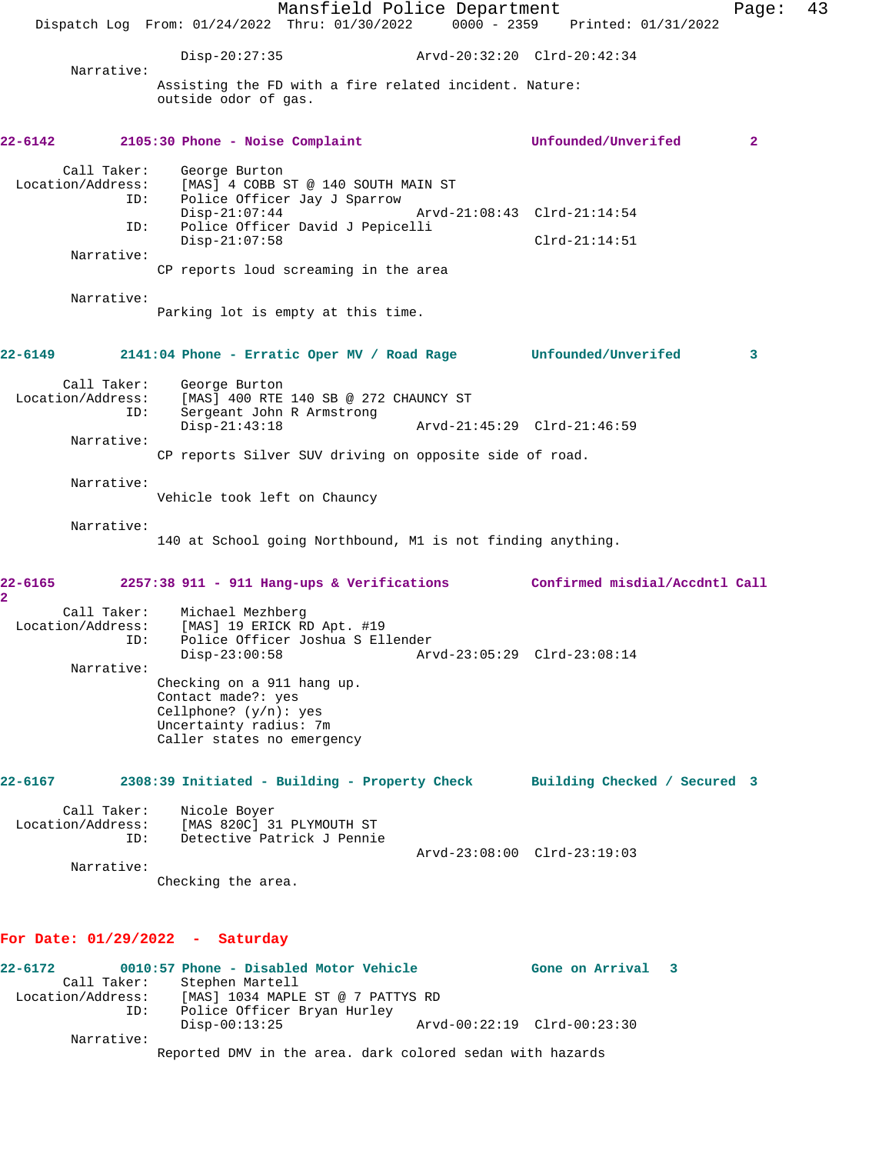Mansfield Police Department Fage: 43 Dispatch Log From: 01/24/2022 Thru: 01/30/2022 0000 - 2359 Printed: 01/31/2022 Disp-20:27:35 Arvd-20:32:20 Clrd-20:42:34 Narrative: Assisting the FD with a fire related incident. Nature: outside odor of gas. **22-6142 2105:30 Phone - Noise Complaint Unfounded/Unverifed 2** Call Taker: George Burton<br>Location/Address: [MAS] 4 COBB 9 ess: [MAS] 4 COBB ST @ 140 SOUTH MAIN ST<br>ID: Police Officer Jay J Sparrow Police Officer Jay J Sparrow<br>Disp-21:07:44 Disp-21:07:44 Arvd-21:08:43 Clrd-21:14:54 ID: Police Officer David J Pepicelli Disp-21:07:58 Clrd-21:14:51 Narrative: CP reports loud screaming in the area Narrative: Parking lot is empty at this time. **22-6149 2141:04 Phone - Erratic Oper MV / Road Rage Unfounded/Unverifed 3** Call Taker: George Burton Location/Address: [MAS] 400 RTE 140 SB @ 272 CHAUNCY ST ID: Sergeant John R Armstrong Disp-21:43:18 Arvd-21:45:29 Clrd-21:46:59 Narrative: CP reports Silver SUV driving on opposite side of road. Narrative: Vehicle took left on Chauncy Narrative: 140 at School going Northbound, M1 is not finding anything. **22-6165 2257:38 911 - 911 Hang-ups & Verifications Confirmed misdial/Accdntl Call 2**  Call Taker: Michael Mezhberg Location/Address: [MAS] 19 ERICK RD Apt. #19 ID: Police Officer Joshua S Ellender Disp-23:00:58 Arvd-23:05:29 Clrd-23:08:14 Narrative: Checking on a 911 hang up. Contact made?: yes Cellphone? (y/n): yes Uncertainty radius: 7m Caller states no emergency **22-6167 2308:39 Initiated - Building - Property Check Building Checked / Secured 3** Call Taker: Nicole Boyer Location/Address: [MAS 820C] 31 PLYMOUTH ST Detective Patrick J Pennie Arvd-23:08:00 Clrd-23:19:03 Narrative: Checking the area. **For Date: 01/29/2022 - Saturday 22-6172 0010:57 Phone - Disabled Motor Vehicle Gone on Arrival 3**  Call Taker: Stephen Martell Location/Address: [MAS] 1034 MAPLE ST @ 7 PATTYS RD ID: Police Officer Bryan Hurley Disp-00:13:25 Arvd-00:22:19 Clrd-00:23:30 Narrative: Reported DMV in the area. dark colored sedan with hazards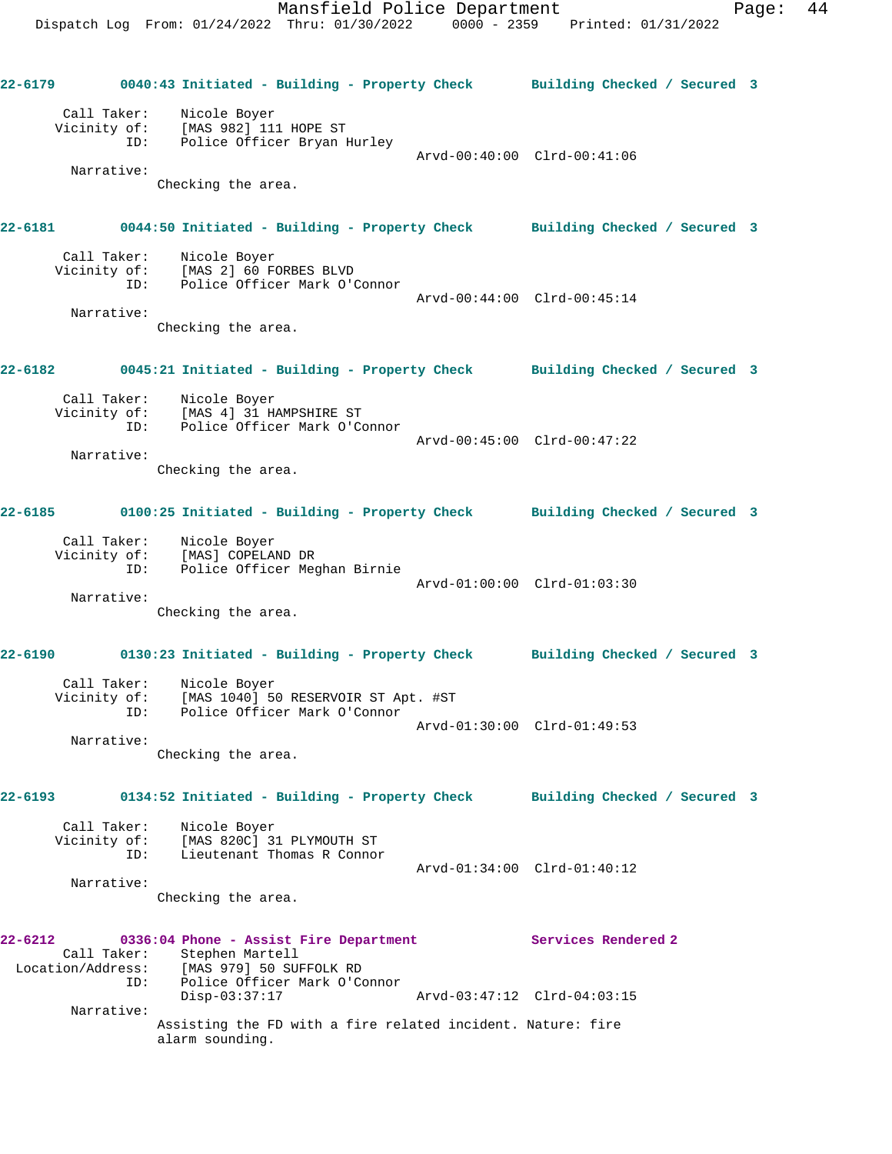**22-6179 0040:43 Initiated - Building - Property Check Building Checked / Secured 3** Call Taker: Nicole Boyer Vicinity of: [MAS 982] 111 HOPE ST ID: Police Officer Bryan Hurley Arvd-00:40:00 Clrd-00:41:06 Narrative: Checking the area. **22-6181 0044:50 Initiated - Building - Property Check Building Checked / Secured 3** Call Taker: Nicole Boyer Vicinity of: [MAS 2] 60 FORBES BLVD ID: Police Officer Mark O'Connor Arvd-00:44:00 Clrd-00:45:14 Narrative: Checking the area. **22-6182 0045:21 Initiated - Building - Property Check Building Checked / Secured 3** Call Taker: Nicole Boyer Vicinity of: [MAS 4] 31 HAMPSHIRE ST ID: Police Officer Mark O'Connor Arvd-00:45:00 Clrd-00:47:22 Narrative: Checking the area. **22-6185 0100:25 Initiated - Building - Property Check Building Checked / Secured 3** Call Taker: Nicole Boyer Vicinity of: [MAS] COPELAND DR<br>ID: Police Officer Mec Police Officer Meghan Birnie Arvd-01:00:00 Clrd-01:03:30 Narrative: Checking the area. **22-6190 0130:23 Initiated - Building - Property Check Building Checked / Secured 3** Call Taker: Nicole Boyer Vicinity of: [MAS 1040] 50 RESERVOIR ST Apt. #ST ID: Police Officer Mark O'Connor Arvd-01:30:00 Clrd-01:49:53 Narrative: Checking the area. **22-6193 0134:52 Initiated - Building - Property Check Building Checked / Secured 3** Call Taker: Nicole Boyer Vicinity of: [MAS 820C] 31 PLYMOUTH ST ID: Lieutenant Thomas R Connor Arvd-01:34:00 Clrd-01:40:12 Narrative: Checking the area. **22-6212 0336:04 Phone - Assist Fire Department Services Rendered 2**  Call Taker: Stephen Martell<br>Location/Address: [MAS 979] 50 SUI [MAS 979] 50 SUFFOLK RD ID: Police Officer Mark O'Connor<br>Disp-03:37:17 Disp-03:37:17 Arvd-03:47:12 Clrd-04:03:15 Narrative: Assisting the FD with a fire related incident. Nature: fire alarm sounding.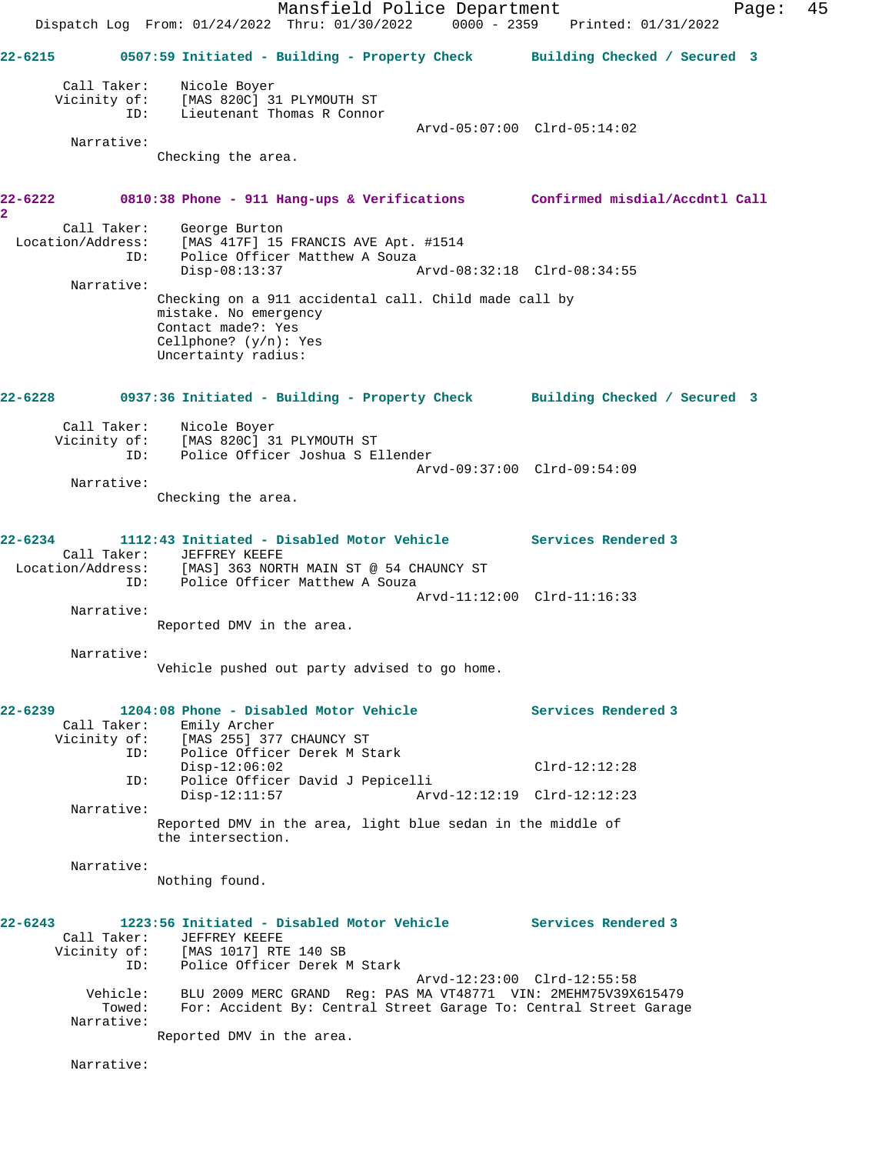|                                                                                    | Dispatch Log From: 01/24/2022 Thru: 01/30/2022 0000 - 2359 Printed: 01/31/2022                                                                                   | Mansfield Police Department |                             |                     | Page: | 45 |
|------------------------------------------------------------------------------------|------------------------------------------------------------------------------------------------------------------------------------------------------------------|-----------------------------|-----------------------------|---------------------|-------|----|
| 22-6215 0507:59 Initiated - Building - Property Check Building Checked / Secured 3 |                                                                                                                                                                  |                             |                             |                     |       |    |
| Call Taker:<br>ID:                                                                 | Nicole Boyer<br>Vicinity of: [MAS 820C] 31 PLYMOUTH ST<br>Lieutenant Thomas R Connor                                                                             |                             |                             |                     |       |    |
| Narrative:                                                                         | Checking the area.                                                                                                                                               |                             | Arvd-05:07:00 Clrd-05:14:02 |                     |       |    |
| 22-6222<br>2                                                                       | 0810:38 Phone - 911 Hang-ups & Verifications Confirmed misdial/Accdntl Call                                                                                      |                             |                             |                     |       |    |
| Call Taker:<br>Location/Address:<br>ID:                                            | George Burton<br>[MAS 417F] 15 FRANCIS AVE Apt. #1514<br>Police Officer Matthew A Souza<br>$Disp-08:13:37$                                                       |                             | Arvd-08:32:18 Clrd-08:34:55 |                     |       |    |
| Narrative:                                                                         | Checking on a 911 accidental call. Child made call by<br>mistake. No emergency<br>Contact made?: Yes<br>Cellphone? $(y/n)$ : Yes<br>Uncertainty radius:          |                             |                             |                     |       |    |
| 22-6228                                                                            | 0937:36 Initiated - Building - Property Check Building Checked / Secured 3                                                                                       |                             |                             |                     |       |    |
| ID:                                                                                | Call Taker: Nicole Boyer<br>Vicinity of: [MAS 820C] 31 PLYMOUTH ST<br>Police Officer Joshua S Ellender                                                           |                             |                             |                     |       |    |
| Narrative:                                                                         | Checking the area.                                                                                                                                               |                             | Arvd-09:37:00 Clrd-09:54:09 |                     |       |    |
| 22-6234<br>Location/Address: [MAS] 363 NORTH MAIN ST @ 54 CHAUNCY ST               | 1112:43 Initiated - Disabled Motor Vehicle Services Rendered 3<br>Call Taker: JEFFREY KEEFE                                                                      |                             |                             |                     |       |    |
| Narrative:                                                                         | ID: Police Officer Matthew A Souza<br>Reported DMV in the area.                                                                                                  |                             | Arvd-11:12:00 Clrd-11:16:33 |                     |       |    |
| Narrative:                                                                         | Vehicle pushed out party advised to go home.                                                                                                                     |                             |                             |                     |       |    |
| 22-6239<br>Call Taker:                                                             | 1204:08 Phone - Disabled Motor Vehicle<br>Emily Archer<br>Vicinity of: [MAS 255] 377 CHAUNCY ST                                                                  |                             |                             | Services Rendered 3 |       |    |
| ID:<br>ID:                                                                         | Police Officer Derek M Stark<br>$Disp-12:06:02$<br>Police Officer David J Pepicelli                                                                              |                             |                             | $Clrd-12:12:28$     |       |    |
| Narrative:                                                                         | $Disp-12:11:57$<br>Reported DMV in the area, light blue sedan in the middle of                                                                                   |                             | Arvd-12:12:19 Clrd-12:12:23 |                     |       |    |
| Narrative:                                                                         | the intersection.                                                                                                                                                |                             |                             |                     |       |    |
|                                                                                    | Nothing found.                                                                                                                                                   |                             |                             |                     |       |    |
| 22-6243<br>Call Taker:<br>Vicinity of:<br>ID:                                      | 1223:56 Initiated - Disabled Motor Vehicle Services Rendered 3<br>JEFFREY KEEFE<br>[MAS 1017] RTE 140 SB<br>Police Officer Derek M Stark                         |                             |                             |                     |       |    |
| Vehicle:<br>Towed:<br>Narrative:                                                   | BLU 2009 MERC GRAND Req: PAS MA VT48771 VIN: 2MEHM75V39X615479<br>For: Accident By: Central Street Garage To: Central Street Garage<br>Reported DMV in the area. |                             | Arvd-12:23:00 Clrd-12:55:58 |                     |       |    |
| Narrative:                                                                         |                                                                                                                                                                  |                             |                             |                     |       |    |
|                                                                                    |                                                                                                                                                                  |                             |                             |                     |       |    |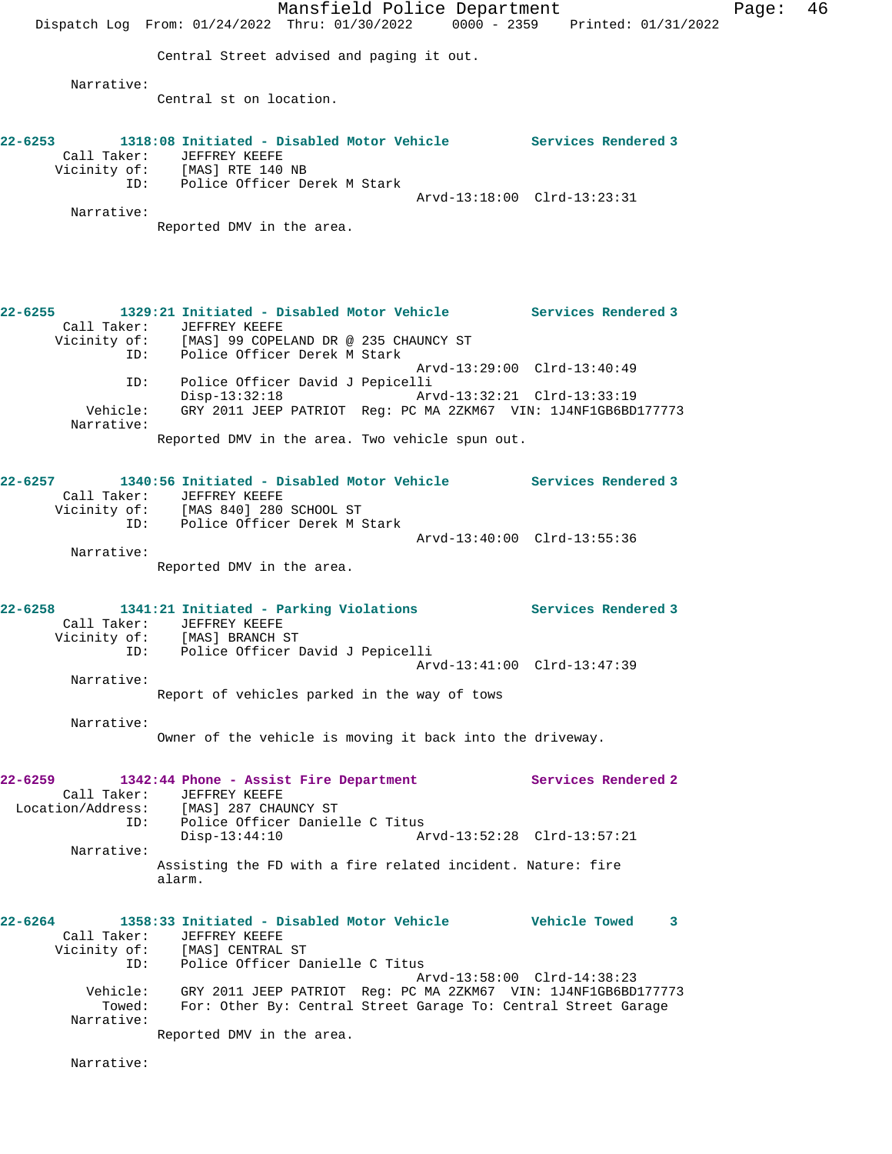Mansfield Police Department Page: 46 Dispatch Log From: 01/24/2022 Thru: 01/30/2022 0000 - 2359 Printed: 01/31/2022 Central Street advised and paging it out. Narrative: Central st on location. **22-6253 1318:08 Initiated - Disabled Motor Vehicle Services Rendered 3**  Call Taker: JEFFREY KEEFE Vicinity of: [MAS] RTE 140 NB ID: Police Officer Derek M Stark Arvd-13:18:00 Clrd-13:23:31 Narrative: Reported DMV in the area. **22-6255 1329:21 Initiated - Disabled Motor Vehicle Services Rendered 3**  Call Taker: JEFFREY KEEFE Vicinity of: [MAS] 99 COPELAND DR @ 235 CHAUNCY ST ID: Police Officer Derek M Stark Arvd-13:29:00 Clrd-13:40:49 ID: Police Officer David J Pepicelli Disp-13:32:18 Arvd-13:32:21 Clrd-13:33:19 Vehicle: GRY 2011 JEEP PATRIOT Reg: PC MA 2ZKM67 VIN: 1J4NF1GB6BD177773 Narrative: Reported DMV in the area. Two vehicle spun out. **22-6257 1340:56 Initiated - Disabled Motor Vehicle Services Rendered 3**  Call Taker: JEFFREY KEEFE Vicinity of: [MAS 840] 280 SCHOOL ST ID: Police Officer Derek M Stark Arvd-13:40:00 Clrd-13:55:36 Narrative: Reported DMV in the area. **22-6258 1341:21 Initiated - Parking Violations Services Rendered 3**  Call Taker: JEFFREY KEEFE Vicinity of: [MAS] BRANCH ST ID: Police Officer David J Pepicelli Arvd-13:41:00 Clrd-13:47:39 Narrative: Report of vehicles parked in the way of tows Narrative: Owner of the vehicle is moving it back into the driveway. **22-6259 1342:44 Phone - Assist Fire Department Services Rendered 2**  Call Taker: JEFFREY KEEFE Location/Address: [MAS] 287 CHAUNCY ST ID: Police Officer Danielle C Titus Disp-13:44:10 Arvd-13:52:28 Clrd-13:57:21 Narrative: Assisting the FD with a fire related incident. Nature: fire alarm. **22-6264 1358:33 Initiated - Disabled Motor Vehicle Vehicle Towed 3**  Call Taker: JEFFREY KEEFE Vicinity of: [MAS] CENTRAL ST ID: Police Officer Danielle C Titus Arvd-13:58:00 Clrd-14:38:23 Vehicle: GRY 2011 JEEP PATRIOT Reg: PC MA 2ZKM67 VIN: 1J4NF1GB6BD177773 Towed: For: Other By: Central Street Garage To: Central Street Garage Narrative: Reported DMV in the area. Narrative: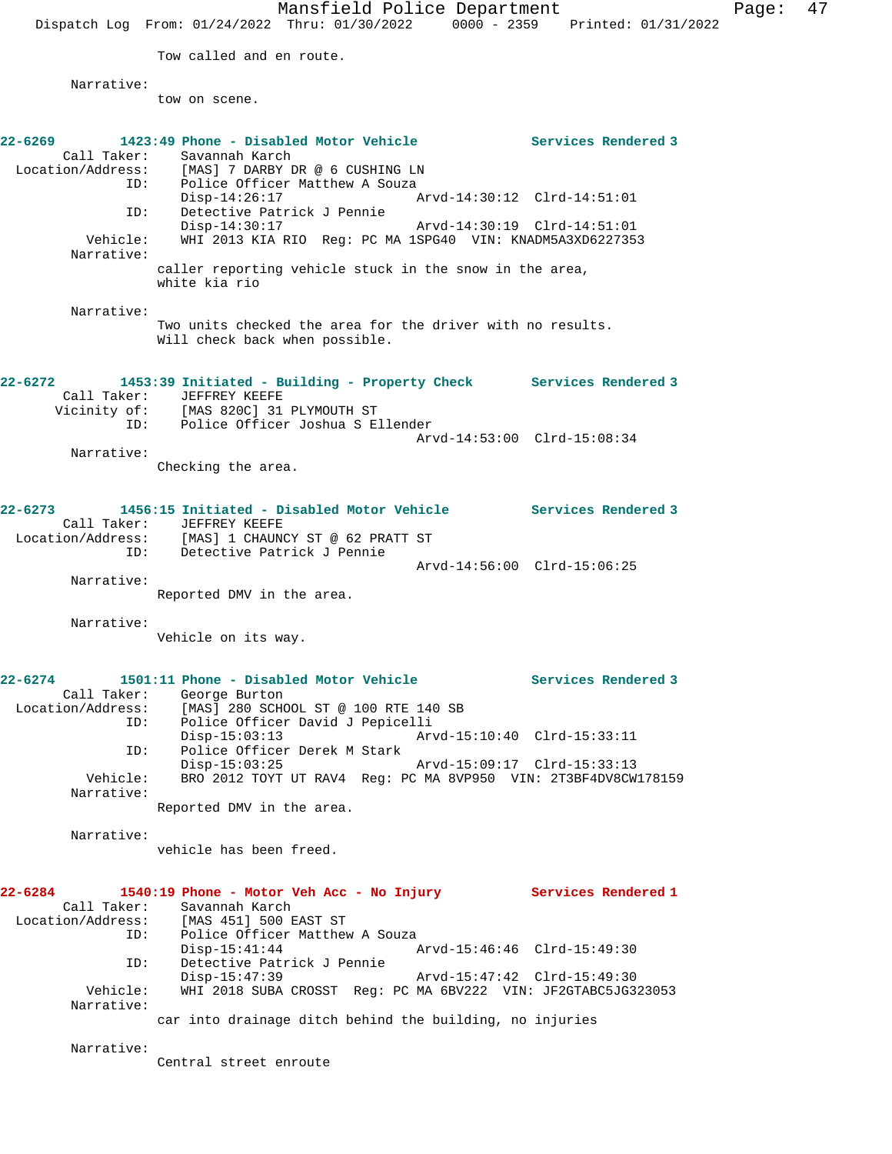Mansfield Police Department Page: 47 Dispatch Log From: 01/24/2022 Thru: 01/30/2022 0000 - 2359 Printed: 01/31/2022 Tow called and en route. Narrative: tow on scene. **22-6269 1423:49 Phone - Disabled Motor Vehicle Services Rendered 3**  Call Taker: Savannah Karch<br>Location/Address: [MAS] 7 DARBY I<br>ID: Police Officer  $\begin{array}{lll}\n & \text{if } \mathsf{I} & \mathsf{I} & \mathsf{I} \\
\hline\n & \mathsf{I} & \mathsf{I} & \mathsf{I} & \mathsf{I}\n\end{array}$ Police Officer Matthew A Souza<br>Disp-14:26:17 Disp-14:26:17 Arvd-14:30:12 Clrd-14:51:01 ID: Detective Patrick J Pennie Disp-14:30:17 Arvd-14:30:19 Clrd-14:51:01 Vehicle: WHI 2013 KIA RIO Reg: PC MA 1SPG40 VIN: KNADM5A3XD6227353 Narrative: caller reporting vehicle stuck in the snow in the area, white kia rio Narrative: Two units checked the area for the driver with no results. Will check back when possible. **22-6272 1453:39 Initiated - Building - Property Check Services Rendered 3**  Call Taker: JEFFREY KEEFE Vicinity of: [MAS 820C] 31 PLYMOUTH ST ID: Police Officer Joshua S Ellender Arvd-14:53:00 Clrd-15:08:34 Narrative: Checking the area. **22-6273 1456:15 Initiated - Disabled Motor Vehicle Services Rendered 3**  Call Taker: JEFFREY KEEFE<br>Location/Address: [MAS] 1 CHAUN [MAS] 1 CHAUNCY ST @ 62 PRATT ST ID: Detective Patrick J Pennie Arvd-14:56:00 Clrd-15:06:25 Narrative: Reported DMV in the area. Narrative: Vehicle on its way. **22-6274 1501:11 Phone - Disabled Motor Vehicle Services Rendered 3**  Call Taker: George Burton<br>Location/Address: [MAS] 280 SCHO Location (Address: English Control<br>(Address: [MAS] 280 SCHOOL ST @ 100 RTE 140 SB<br>ID: Police Officer David J Pepicelli Police Officer David J Pepicelli<br>Disp-15:03:13 Arv Disp-15:03:13 Arvd-15:10:40 Clrd-15:33:11 ID: Police Officer Derek M Stark Disp-15:03:25 Arvd-15:09:17 Clrd-15:33:13 Vehicle: BRO 2012 TOYT UT RAV4 Reg: PC MA 8VP950 VIN: 2T3BF4DV8CW178159 Narrative: Reported DMV in the area. Narrative: vehicle has been freed. **22-6284 1540:19 Phone - Motor Veh Acc - No Injury Services Rendered 1**  Call Taker: Savannah Karch<br>Location/Address: [MAS 451] 500 E [MAS 451] 500 EAST ST ID: Police Officer Matthew A Souza Disp-15:41:44 Arvd-15:46:46 Clrd-15:49:30 ID: Detective Patrick J Pennie Disp-15:47:39 Arvd-15:47:42 Clrd-15:49:30 Vehicle: WHI 2018 SUBA CROSST Reg: PC MA 6BV222 VIN: JF2GTABC5JG323053 Narrative: car into drainage ditch behind the building, no injuries Narrative: Central street enroute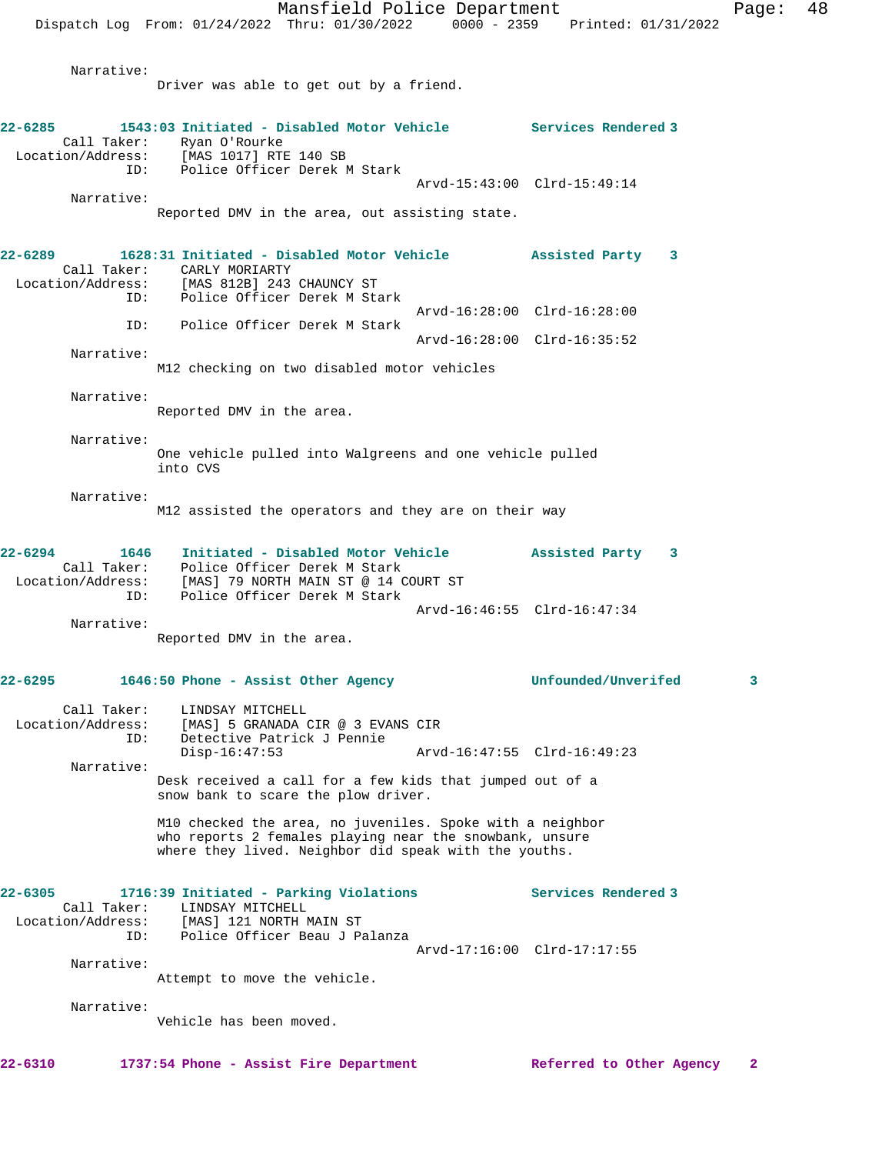Narrative:

Driver was able to get out by a friend.

| $22 - 6285$ |                                         | 1543:03 Initiated - Disabled Motor Vehicle Services Rendered 3<br>Call Taker: Ryan O'Rourke<br>Location/Address: [MAS 1017] RTE 140 SB                                        |                             |                     |   |
|-------------|-----------------------------------------|-------------------------------------------------------------------------------------------------------------------------------------------------------------------------------|-----------------------------|---------------------|---|
|             | ID:<br>Narrative:                       | Police Officer Derek M Stark                                                                                                                                                  | Arvd-15:43:00 Clrd-15:49:14 |                     |   |
|             |                                         | Reported DMV in the area, out assisting state.                                                                                                                                |                             |                     |   |
| $22 - 6289$ | ID:                                     | 1628:31 Initiated - Disabled Motor Vehicle<br>Call Taker: CARLY MORIARTY<br>Location/Address: [MAS 812B] 243 CHAUNCY ST<br>Police Officer Derek M Stark                       |                             | Assisted Party 3    |   |
|             |                                         | ID: Police Officer Derek M Stark                                                                                                                                              | Arvd-16:28:00 Clrd-16:28:00 |                     |   |
|             | Narrative:                              |                                                                                                                                                                               | Arvd-16:28:00 Clrd-16:35:52 |                     |   |
|             |                                         | M12 checking on two disabled motor vehicles                                                                                                                                   |                             |                     |   |
|             | Narrative:                              | Reported DMV in the area.                                                                                                                                                     |                             |                     |   |
|             | Narrative:                              | One vehicle pulled into Walgreens and one vehicle pulled<br>into CVS                                                                                                          |                             |                     |   |
|             | Narrative:                              | M12 assisted the operators and they are on their way                                                                                                                          |                             |                     |   |
| $22 - 6294$ | ID:                                     | 1646 Initiated - Disabled Motor Vehicle<br>Call Taker: Police Officer Derek M Stark<br>Location/Address: [MAS] 79 NORTH MAIN ST @ 14 COURT ST<br>Police Officer Derek M Stark |                             | Assisted Party 3    |   |
|             |                                         |                                                                                                                                                                               | Arvd-16:46:55 Clrd-16:47:34 |                     |   |
|             | Narrative:                              | Reported DMV in the area.                                                                                                                                                     |                             |                     |   |
| $22 - 6295$ |                                         | 1646:50 Phone - Assist Other Agency                                                                                                                                           |                             | Unfounded/Unverifed | 3 |
|             | ID:                                     | Call Taker: LINDSAY MITCHELL<br>Location/Address: [MAS] 5 GRANADA CIR @ 3 EVANS CIR<br>Detective Patrick J Pennie                                                             |                             |                     |   |
|             | Narrative:                              | $Disp-16:47:53$<br>Desk received a call for a few kids that jumped out of a                                                                                                   | Arvd-16:47:55 Clrd-16:49:23 |                     |   |
|             |                                         | snow bank to scare the plow driver.                                                                                                                                           |                             |                     |   |
|             |                                         | M10 checked the area, no juveniles. Spoke with a neighbor<br>who reports 2 females playing near the snowbank, unsure<br>where they lived. Neighbor did speak with the youths. |                             |                     |   |
| $22 - 6305$ | Call Taker:<br>Location/Address:<br>ID: | 1716:39 Initiated - Parking Violations<br>LINDSAY MITCHELL<br>[MAS] 121 NORTH MAIN ST<br>Police Officer Beau J Palanza                                                        |                             | Services Rendered 3 |   |
|             | Narrative:                              |                                                                                                                                                                               | Arvd-17:16:00 Clrd-17:17:55 |                     |   |
|             |                                         | Attempt to move the vehicle.                                                                                                                                                  |                             |                     |   |
|             | Narrative:                              | Vehicle has been moved.                                                                                                                                                       |                             |                     |   |
|             |                                         |                                                                                                                                                                               |                             |                     |   |

**22-6310 1737:54 Phone - Assist Fire Department Referred to Other Agency 2**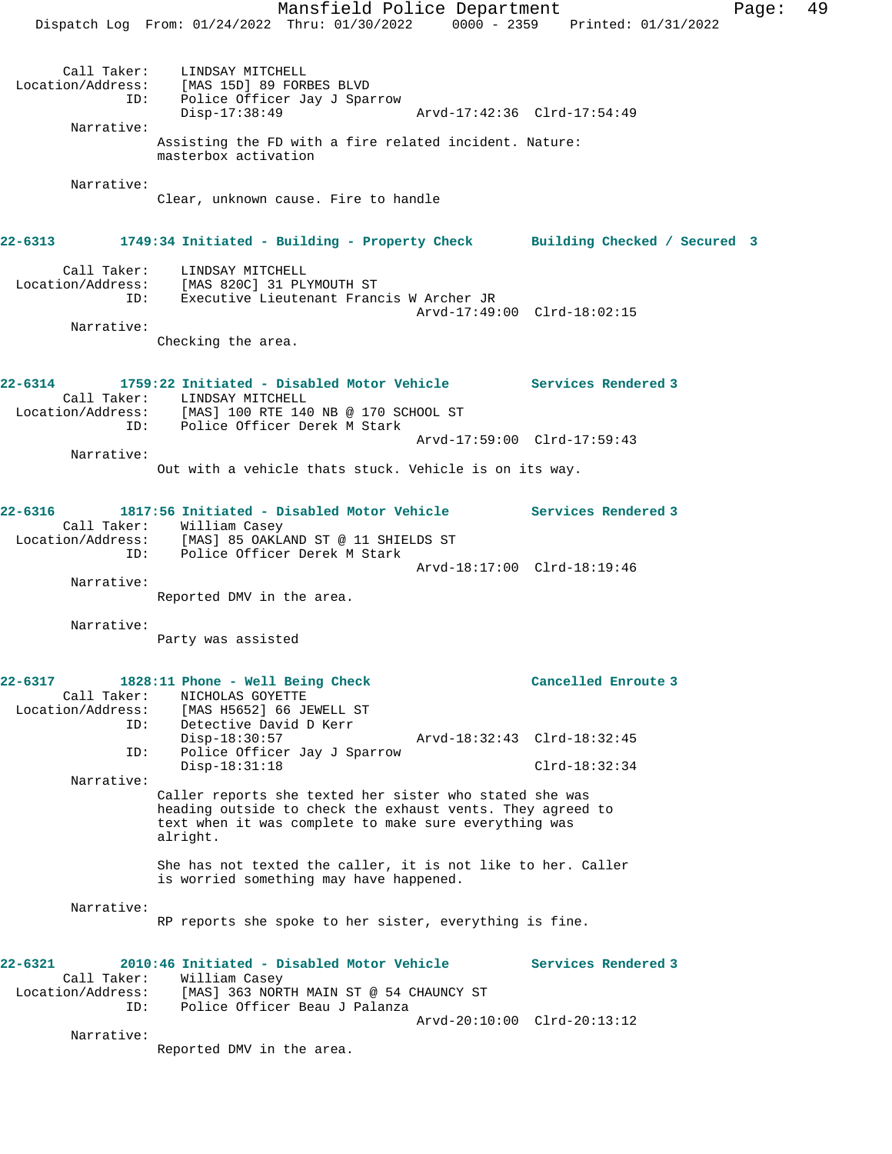Mansfield Police Department Fage: 49 Dispatch Log From: 01/24/2022 Thru: 01/30/2022 0000 - 2359 Printed: 01/31/2022 Call Taker: LINDSAY MITCHELL Location/Address: [MAS 15D] 89 FORBES BLVD ID: Police Officer Jay J Sparrow Disp-17:38:49 Arvd-17:42:36 Clrd-17:54:49 Narrative: Assisting the FD with a fire related incident. Nature: masterbox activation Narrative: Clear, unknown cause. Fire to handle **22-6313 1749:34 Initiated - Building - Property Check Building Checked / Secured 3** Call Taker: LINDSAY MITCHELL Location/Address: [MAS 820C] 31 PLYMOUTH ST ID: Executive Lieutenant Francis W Archer JR Arvd-17:49:00 Clrd-18:02:15 Narrative: Checking the area. **22-6314 1759:22 Initiated - Disabled Motor Vehicle Services Rendered 3**  Call Taker: LINDSAY MITCHELL Location/Address: [MAS] 100 RTE 140 NB @ 170 SCHOOL ST ID: Police Officer Derek M Stark Arvd-17:59:00 Clrd-17:59:43 Narrative: Out with a vehicle thats stuck. Vehicle is on its way. **22-6316 1817:56 Initiated - Disabled Motor Vehicle Services Rendered 3**  Call Taker: William Casey Location/Address: [MAS] 85 OAKLAND ST @ 11 SHIELDS ST<br>ID: Police Officer Derek M Stark Police Officer Derek M Stark Arvd-18:17:00 Clrd-18:19:46 Narrative: Reported DMV in the area. Narrative: Party was assisted **22-6317 1828:11 Phone - Well Being Check Cancelled Enroute 3**  Call Taker: NICHOLAS GOYETTE Location/Address: [MAS H5652] 66 JEWELL ST ID: Detective David D Kerr<br>Disp-18:30:57 Disp-18:30:57 Arvd-18:32:43 Clrd-18:32:45<br>ID: Police Officer Jay J Sparrow Police Officer Jay J Sparrow Disp-18:31:18 Clrd-18:32:34 Narrative: Caller reports she texted her sister who stated she was heading outside to check the exhaust vents. They agreed to text when it was complete to make sure everything was alright. She has not texted the caller, it is not like to her. Caller is worried something may have happened. Narrative: RP reports she spoke to her sister, everything is fine. **22-6321 2010:46 Initiated - Disabled Motor Vehicle Services Rendered 3**  Call Taker: William Casey Location/Address: [MAS] 363 NORTH MAIN ST @ 54 CHAUNCY ST ID: Police Officer Beau J Palanza Arvd-20:10:00 Clrd-20:13:12 Narrative: Reported DMV in the area.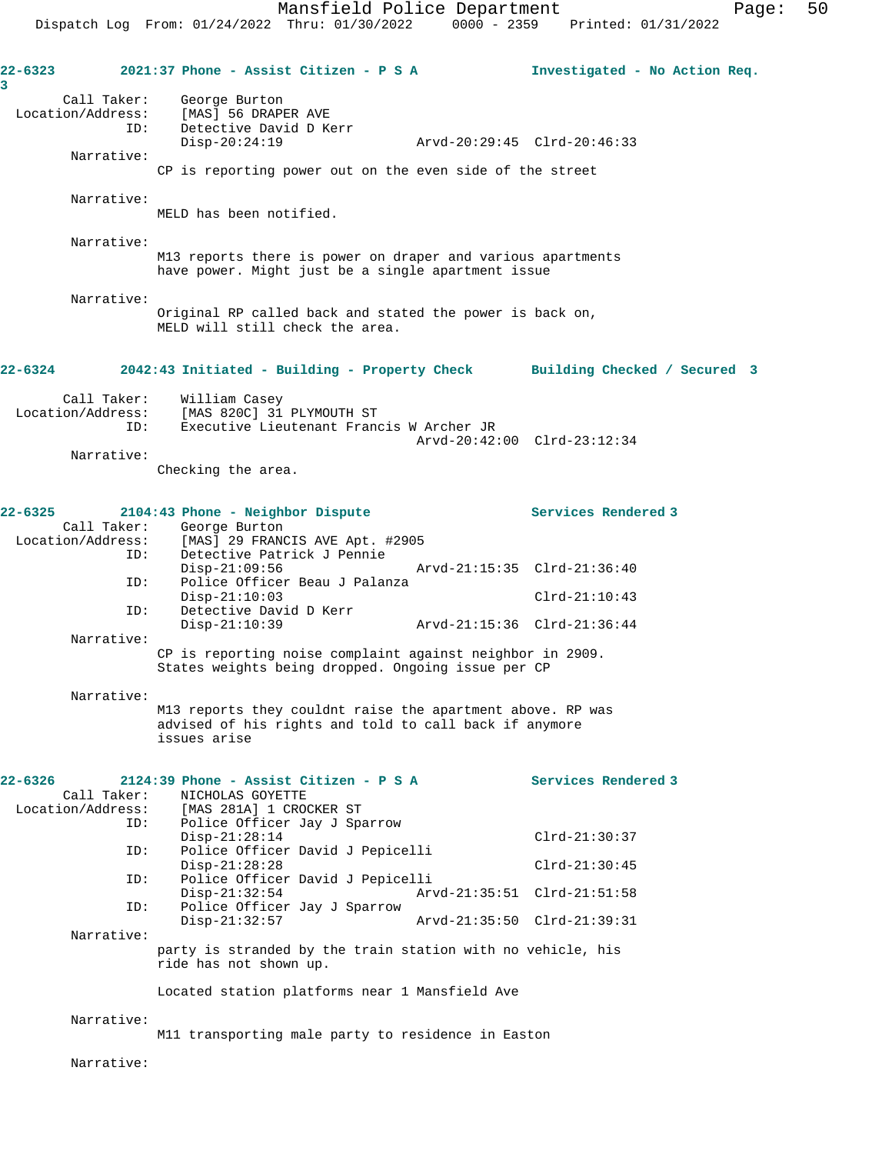|             |                                         |                                                                | Mansfield Police Department                                                                                          |                             | Dispatch Log From: 01/24/2022 Thru: 01/30/2022 0000 - 2359 Printed: 01/31/2022 | Page: | 50 |
|-------------|-----------------------------------------|----------------------------------------------------------------|----------------------------------------------------------------------------------------------------------------------|-----------------------------|--------------------------------------------------------------------------------|-------|----|
| 22-6323     |                                         |                                                                | 2021:37 Phone - Assist Citizen - P S A                                                                               |                             | Investigated - No Action Req.                                                  |       |    |
| 3           | Call Taker:<br>Location/Address:<br>ID: | George Burton<br>[MAS] 56 DRAPER AVE<br>Detective David D Kerr |                                                                                                                      |                             |                                                                                |       |    |
|             | Narrative:                              | $Disp-20:24:19$                                                |                                                                                                                      | Arvd-20:29:45 Clrd-20:46:33 |                                                                                |       |    |
|             |                                         |                                                                | CP is reporting power out on the even side of the street                                                             |                             |                                                                                |       |    |
|             | Narrative:                              | MELD has been notified.                                        |                                                                                                                      |                             |                                                                                |       |    |
|             | Narrative:                              |                                                                | M13 reports there is power on draper and various apartments<br>have power. Might just be a single apartment issue    |                             |                                                                                |       |    |
|             | Narrative:                              |                                                                | Original RP called back and stated the power is back on,<br>MELD will still check the area.                          |                             |                                                                                |       |    |
| 22-6324     |                                         |                                                                |                                                                                                                      |                             | 2042:43 Initiated - Building - Property Check Building Checked / Secured 3     |       |    |
|             | Call Taker:<br>Location/Address:<br>ID: | William Casey<br>[MAS 820C] 31 PLYMOUTH ST                     | Executive Lieutenant Francis W Archer JR                                                                             | Arvd-20:42:00 Clrd-23:12:34 |                                                                                |       |    |
|             | Narrative:                              | Checking the area.                                             |                                                                                                                      |                             |                                                                                |       |    |
| 22-6325     | Call Taker:<br>Location/Address:        | 2104:43 Phone - Neighbor Dispute<br>George Burton              | [MAS] 29 FRANCIS AVE Apt. #2905                                                                                      |                             | Services Rendered 3                                                            |       |    |
|             | ID:<br>ID:                              | $Disp-21:09:56$                                                | Detective Patrick J Pennie<br>Police Officer Beau J Palanza                                                          | Arvd-21:15:35 Clrd-21:36:40 |                                                                                |       |    |
|             | ID:                                     | $Disp-21:10:03$<br>Detective David D Kerr                      |                                                                                                                      |                             | $Clrd-21:10:43$                                                                |       |    |
|             | Narrative:                              | $Disp-21:10:39$                                                |                                                                                                                      | Arvd-21:15:36 Clrd-21:36:44 |                                                                                |       |    |
|             |                                         |                                                                | CP is reporting noise complaint against neighbor in 2909.<br>States weights being dropped. Ongoing issue per CP      |                             |                                                                                |       |    |
|             | Narrative:                              | issues arise                                                   | M13 reports they couldnt raise the apartment above. RP was<br>advised of his rights and told to call back if anymore |                             |                                                                                |       |    |
| $22 - 6326$ | Call Taker:<br>Location/Address:<br>ID: | NICHOLAS GOYETTE<br>[MAS 281A] 1 CROCKER ST                    | 2124:39 Phone - Assist Citizen - P S A<br>Police Officer Jay J Sparrow                                               |                             | Services Rendered 3                                                            |       |    |
|             |                                         | $Disp-21:28:14$                                                |                                                                                                                      |                             | $Clrd-21:30:37$                                                                |       |    |
|             | ID:<br>ID:                              | $Disp-21:28:28$                                                | Police Officer David J Pepicelli<br>Police Officer David J Pepicelli                                                 |                             | $Clrd-21:30:45$                                                                |       |    |
|             | ID:                                     | $Disp-21:32:54$                                                | Police Officer Jay J Sparrow                                                                                         | Arvd-21:35:51 Clrd-21:51:58 |                                                                                |       |    |
|             | Narrative:                              | $Disp-21:32:57$                                                |                                                                                                                      | Arvd-21:35:50 Clrd-21:39:31 |                                                                                |       |    |
|             |                                         | ride has not shown up.                                         | party is stranded by the train station with no vehicle, his                                                          |                             |                                                                                |       |    |
|             |                                         |                                                                | Located station platforms near 1 Mansfield Ave                                                                       |                             |                                                                                |       |    |
|             | Narrative:                              |                                                                | M11 transporting male party to residence in Easton                                                                   |                             |                                                                                |       |    |
|             | Narrative:                              |                                                                |                                                                                                                      |                             |                                                                                |       |    |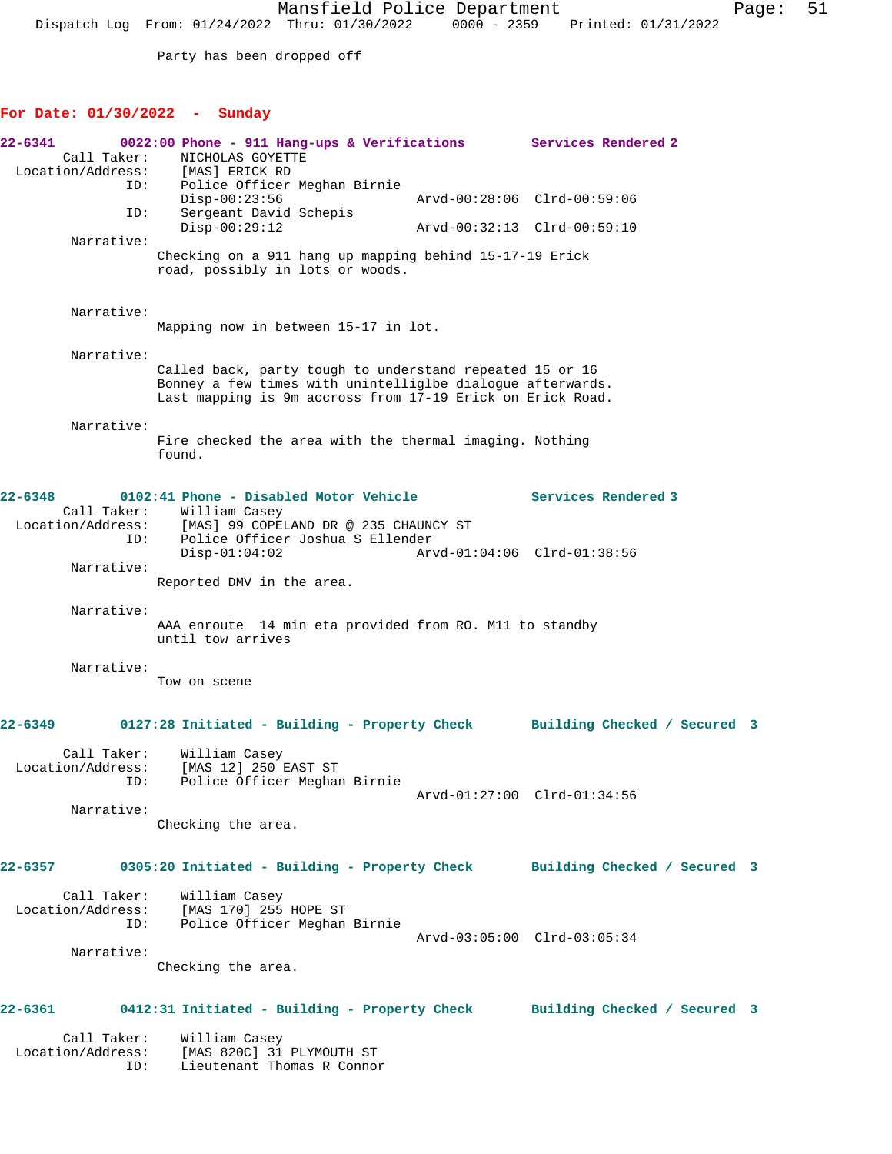Mansfield Police Department Fage: 51 Dispatch Log From: 01/24/2022 Thru: 01/30/2022 0000 - 2359 Printed: 01/31/2022

Party has been dropped off

## **For Date: 01/30/2022 - Sunday**

| 22-6341<br>Call Taker:                          | 0022:00 Phone - 911 Hang-ups & Verifications<br>NICHOLAS GOYETTE<br>Location/Address: [MAS] ERICK RD                                                                                 | Services Rendered 2 |                             |  |
|-------------------------------------------------|--------------------------------------------------------------------------------------------------------------------------------------------------------------------------------------|---------------------|-----------------------------|--|
|                                                 | Police Officer Meghan Birnie<br>ID:<br>$Disp-00:23:56$                                                                                                                               |                     | Arvd-00:28:06 Clrd-00:59:06 |  |
|                                                 | Sergeant David Schepis<br>ID:<br>$Disp-00:29:12$                                                                                                                                     |                     | Arvd-00:32:13 Clrd-00:59:10 |  |
| Narrative:                                      | Checking on a 911 hang up mapping behind 15-17-19 Erick<br>road, possibly in lots or woods.                                                                                          |                     |                             |  |
| Narrative:                                      | Mapping now in between 15-17 in lot.                                                                                                                                                 |                     |                             |  |
| Narrative:                                      | Called back, party tough to understand repeated 15 or 16<br>Bonney a few times with unintelliglbe dialogue afterwards.<br>Last mapping is 9m accross from 17-19 Erick on Erick Road. |                     |                             |  |
| Narrative:                                      | Fire checked the area with the thermal imaging. Nothing<br>found.                                                                                                                    |                     |                             |  |
| $22 - 6348$<br>Call Taker:<br>Location/Address: | 0102:41 Phone - Disabled Motor Vehicle<br>William Casey<br>[MAS] 99 COPELAND DR @ 235 CHAUNCY ST<br>Police Officer Joshua S Ellender<br>ID:                                          |                     | Services Rendered 3         |  |
| Narrative:                                      | $Disp-01:04:02$<br>Reported DMV in the area.                                                                                                                                         |                     | Arvd-01:04:06 Clrd-01:38:56 |  |
| Narrative:                                      | AAA enroute 14 min eta provided from RO. M11 to standby<br>until tow arrives                                                                                                         |                     |                             |  |
| Narrative:                                      | Tow on scene                                                                                                                                                                         |                     |                             |  |
| 22-6349                                         | 0127:28 Initiated - Building - Property Check Building Checked / Secured 3                                                                                                           |                     |                             |  |
| Call Taker:<br>Location/Address:<br>ID:         | William Casey<br>[MAS 12] 250 EAST ST<br>Police Officer Meghan Birnie                                                                                                                |                     |                             |  |
| Narrative:                                      | Checking the area.                                                                                                                                                                   |                     | Arvd-01:27:00 Clrd-01:34:56 |  |
|                                                 | 22-6357 		 0305:20 Initiated - Building - Property Check 		 Building Checked / Secured 3                                                                                             |                     |                             |  |
|                                                 | Call Taker: William Casey<br>Location/Address: [MAS 170] 255 HOPE ST<br>ID: Police Officer Meghan<br>Police Officer Meghan Birnie                                                    |                     |                             |  |
| Narrative:                                      | Checking the area.                                                                                                                                                                   |                     | Arvd-03:05:00 Clrd-03:05:34 |  |
|                                                 | 22-6361 0412:31 Initiated - Building - Property Check Building Checked / Secured 3                                                                                                   |                     |                             |  |
| Call Taker:                                     | William Casey<br>Location/Address: [MAS 820C] 31 PLYMOUTH ST<br>Lieutenant Thomas R Connor<br>ID:                                                                                    |                     |                             |  |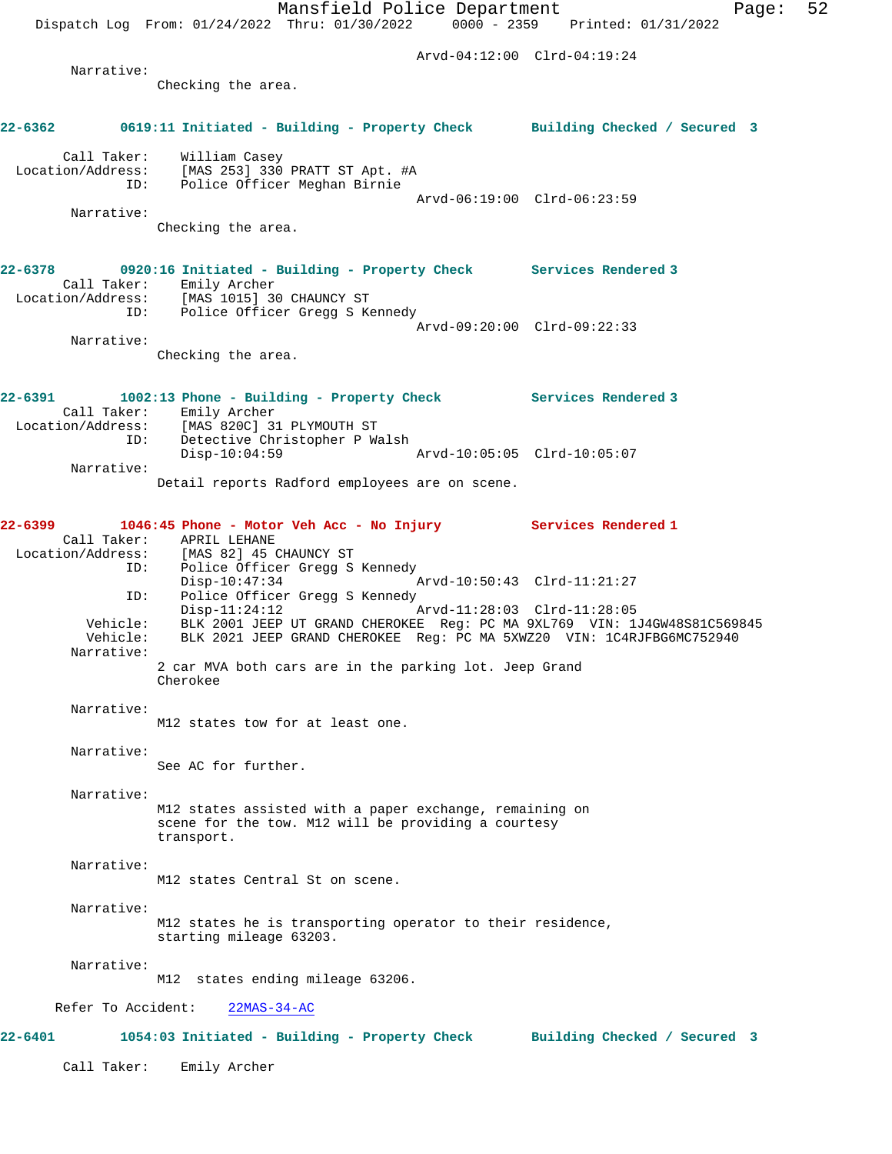Mansfield Police Department Page: 52 Dispatch Log From: 01/24/2022 Thru: 01/30/2022 0000 - 2359 Printed: 01/31/2022 Arvd-04:12:00 Clrd-04:19:24 Narrative: Checking the area. **22-6362 0619:11 Initiated - Building - Property Check Building Checked / Secured 3** Call Taker: William Casey<br>Location/Address: [MAS 253] 330 ess: [MAS 253] 330 PRATT ST Apt. #A<br>ID: Police Officer Meghan Birnie Police Officer Meghan Birnie Arvd-06:19:00 Clrd-06:23:59 Narrative: Checking the area. **22-6378 0920:16 Initiated - Building - Property Check Services Rendered 3**  Call Taker: Emily Archer Location/Address: [MAS 1015] 30 CHAUNCY ST ID: Police Officer Gregg S Kennedy Arvd-09:20:00 Clrd-09:22:33 Narrative: Checking the area. **22-6391 1002:13 Phone - Building - Property Check Services Rendered 3**  Call Taker: Emily Archer Location/Address: [MAS 820C] 31 PLYMOUTH ST ID: Detective Christopher P Walsh Disp-10:04:59 Arvd-10:05:05 Clrd-10:05:07 Narrative: Detail reports Radford employees are on scene. **22-6399 1046:45 Phone - Motor Veh Acc - No Injury Services Rendered 1**  Call Taker: APRIL LEHANE<br>Location/Address: [MAS 82] 45 0 Location<br>[MAS 82] 45 CHAUNCY ST ID: Police Officer Gregg S Kennedy  $Disp-10:47:34$ ID: Police Officer Gregg S Kennedy<br>Disp-11:24:12 Disp-11:24:12 Arvd-11:28:03 Clrd-11:28:05 Vehicle: BLK 2001 JEEP UT GRAND CHEROKEE Reg: PC MA 9XL769 VIN: 1J4GW48S81C569845 Vehicle: BLK 2021 JEEP GRAND CHEROKEE Reg: PC MA 5XWZ20 VIN: 1C4RJFBG6MC752940 Narrative: 2 car MVA both cars are in the parking lot. Jeep Grand Cherokee Narrative: M12 states tow for at least one. Narrative: See AC for further. Narrative: M12 states assisted with a paper exchange, remaining on scene for the tow. M12 will be providing a courtesy transport. Narrative: M12 states Central St on scene. Narrative: M12 states he is transporting operator to their residence, starting mileage 63203. Narrative: M12 states ending mileage 63206. Refer To Accident: 22MAS-34-AC **22-6401 1054:03 Initiated - Building - Property Check Building Checked / Secured 3** Call Taker: Emily Archer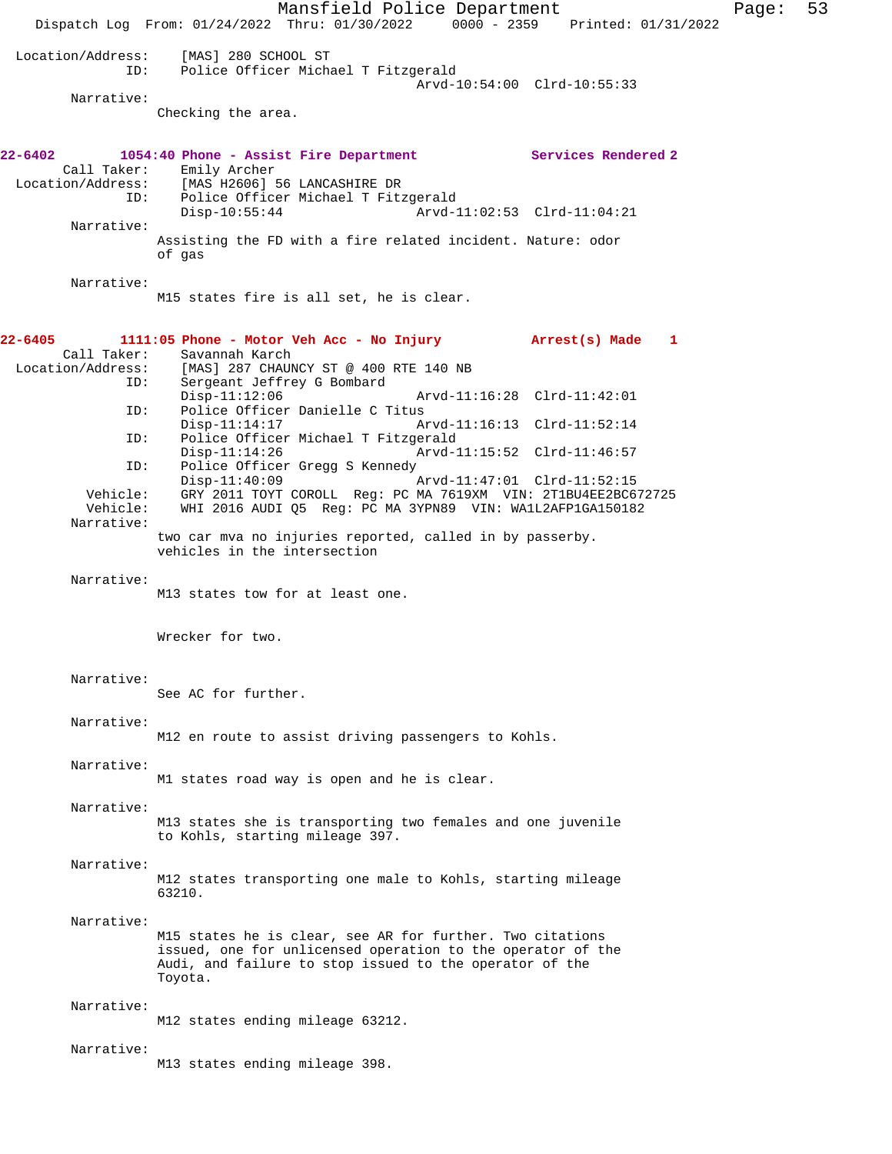Mansfield Police Department Fage: 53 Dispatch Log From: 01/24/2022 Thru: 01/30/2022 0000 - 2359 Printed: 01/31/2022 Location/Address: [MAS] 280 SCHOOL ST<br>ID: Police Officer Micha Police Officer Michael T Fitzgerald Arvd-10:54:00 Clrd-10:55:33 Narrative: Checking the area. **22-6402 1054:40 Phone - Assist Fire Department Services Rendered 2**  Call Taker: Emily Archer<br>Location/Address: [MAS H2606] [MAS H2606] 56 LANCASHIRE DR ID: Police Officer Michael T Fitzgerald<br>Disp-10:55:44 Arvd-1 Arvd-11:02:53 Clrd-11:04:21 Narrative: Assisting the FD with a fire related incident. Nature: odor of gas Narrative: M15 states fire is all set, he is clear. **22-6405 1111:05 Phone - Motor Veh Acc - No Injury Arrest(s) Made 1**  Call Taker: Savannah Karch<br>Location/Address: [MAS] 287 CHAU ess: [MAS] 287 CHAUNCY ST @ 400 RTE 140 NB<br>ID: Sergeant Jeffrey G Bombard Sergeant Jeffrey G Bombard<br>Disp-11:12:06 Disp-11:12:06 Arvd-11:16:28 Clrd-11:42:01 ID: Police Officer Danielle C Titus Disp-11:14:17 Arvd-11:16:13 Clrd-11:52:14<br>TD: Police Officer Michael T Fitzgerald Police Officer Michael T Fitzgerald Disp-11:14:26 Arvd-11:15:52 Clrd-11:46:57 ID: Police Officer Gregg S Kennedy Disp-11:40:09 Arvd-11:47:01 Clrd-11:52:15<br>Vehicle: GRY 2011 TOYT COROLL Req: PC MA 7619XM VIN: 2T1BU4EE2BC6 Vehicle: GRY 2011 TOYT COROLL Reg: PC MA 7619XM VIN: 2T1BU4EE2BC672725 WHI 2016 AUDI Q5 Reg: PC MA 3YPN89 VIN: WA1L2AFP1GA150182 Narrative: two car mva no injuries reported, called in by passerby. vehicles in the intersection Narrative: M13 states tow for at least one. Wrecker for two. Narrative: See AC for further. Narrative: M12 en route to assist driving passengers to Kohls. Narrative: M1 states road way is open and he is clear. Narrative: M13 states she is transporting two females and one juvenile to Kohls, starting mileage 397. Narrative: M12 states transporting one male to Kohls, starting mileage 63210. Narrative: M15 states he is clear, see AR for further. Two citations issued, one for unlicensed operation to the operator of the Audi, and failure to stop issued to the operator of the Toyota. Narrative: M12 states ending mileage 63212. Narrative: M13 states ending mileage 398.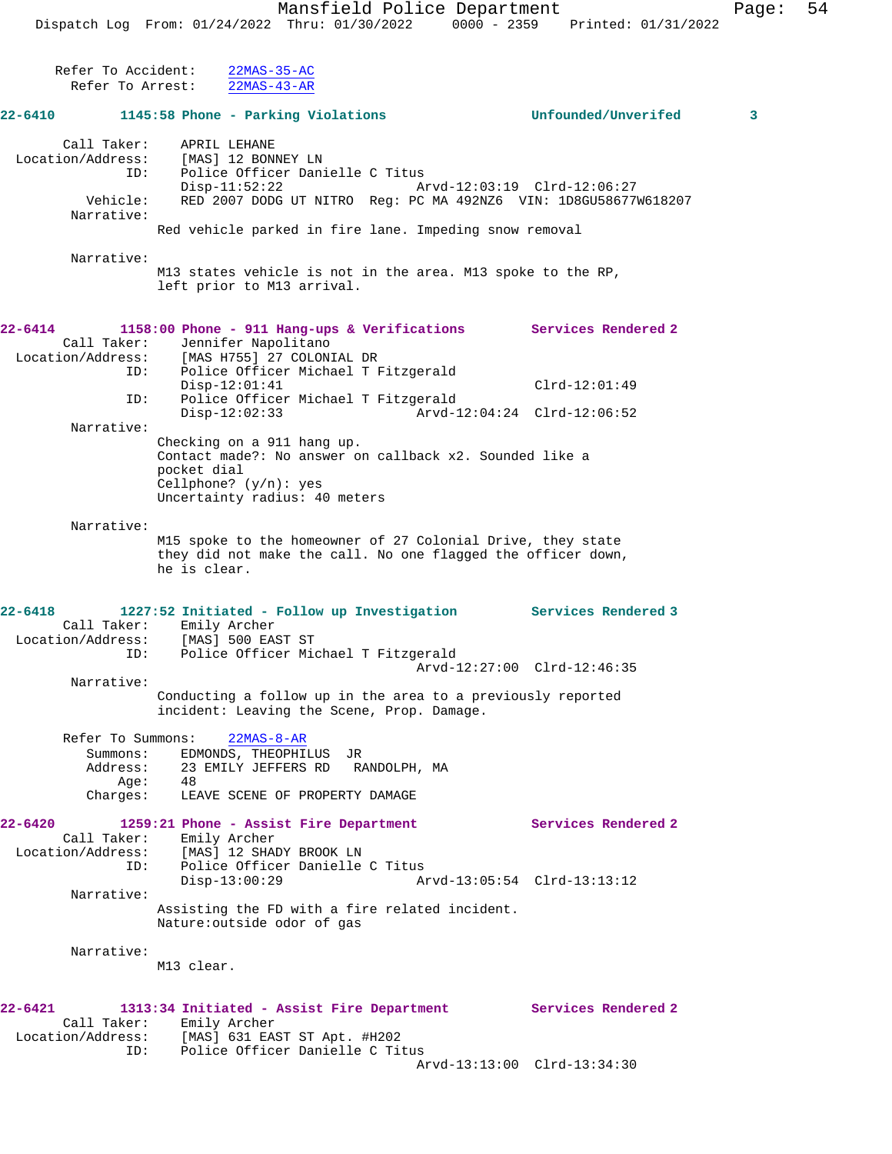Refer To Accident: 22MAS-35-AC

 Refer To Arrest: 22MAS-43-AR **22-6410 1145:58 Phone - Parking Violations Unfounded/Unverifed 3** Call Taker: APRIL LEHANE Location/Address: [MAS] 12 BONNEY LN ID: Police Officer Danielle C Titus Disp-11:52:22 Arvd-12:03:19 Clrd-12:06:27 Vehicle: RED 2007 DODG UT NITRO Reg: PC MA 492NZ6 VIN: 1D8GU58677W618207 Narrative: Red vehicle parked in fire lane. Impeding snow removal Narrative: M13 states vehicle is not in the area. M13 spoke to the RP, left prior to M13 arrival. **22-6414 1158:00 Phone - 911 Hang-ups & Verifications Services Rendered 2**  Call Taker: Jennifer Napolitano Location/Address: [MAS H755] 27 COLONIAL DR ID: Police Officer Michael T Fitzgerald Disp-12:01:41 Clrd-12:01:49 ID: Police Officer Michael T Fitzgerald Disp-12:02:33 Arvd-12:04:24 Clrd-12:06:52 Narrative: Checking on a 911 hang up. Contact made?: No answer on callback x2. Sounded like a pocket dial Cellphone? (y/n): yes Uncertainty radius: 40 meters Narrative: M15 spoke to the homeowner of 27 Colonial Drive, they state they did not make the call. No one flagged the officer down, he is clear. **22-6418 1227:52 Initiated - Follow up Investigation Services Rendered 3**  Call Taker: Emily Archer Location/Address: [MAS] 500 EAST ST ID: Police Officer Michael T Fitzgerald Arvd-12:27:00 Clrd-12:46:35 Narrative: Conducting a follow up in the area to a previously reported incident: Leaving the Scene, Prop. Damage. Refer To Summons: 22MAS-8-AR Summons: EDMONDS, THEOPHILUS JR Address: 23 EMILY JEFFERS RD RANDOLPH, MA  $Age: 48$  Charges: LEAVE SCENE OF PROPERTY DAMAGE **22-6420 1259:21 Phone - Assist Fire Department Services Rendered 2**  Call Taker: Emily Archer Location/Address: [MAS] 12 SHADY BROOK LN ID: Police Officer Danielle C Titus Disp-13:00:29 Arvd-13:05:54 Clrd-13:13:12 Narrative: Assisting the FD with a fire related incident. Nature:outside odor of gas Narrative: M13 clear. **22-6421 1313:34 Initiated - Assist Fire Department Services Rendered 2**  Call Taker: Emily Archer Location/Address: [MAS] 631 EAST ST Apt. #H202 ID: Police Officer Danielle C Titus Arvd-13:13:00 Clrd-13:34:30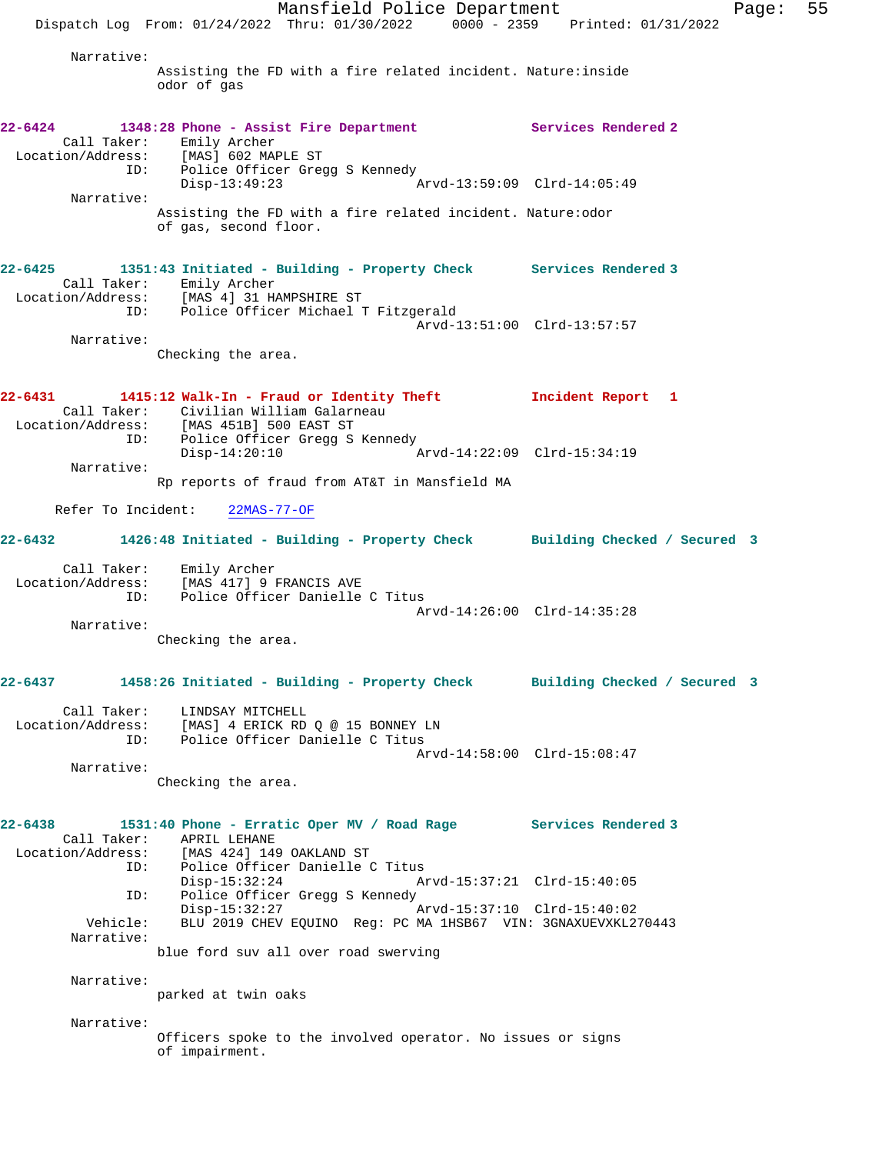Mansfield Police Department Fage: 55 Dispatch Log From: 01/24/2022 Thru: 01/30/2022 0000 - 2359 Printed: 01/31/2022 Narrative: Assisting the FD with a fire related incident. Nature:inside odor of gas **22-6424 1348:28 Phone - Assist Fire Department Services Rendered 2**  Call Taker: Emily Archer Location/Address: [MAS] 602 MAPLE ST ID: Police Officer Gregg S Kennedy Disp-13:49:23 Arvd-13:59:09 Clrd-14:05:49 Narrative: Assisting the FD with a fire related incident. Nature:odor of gas, second floor. **22-6425 1351:43 Initiated - Building - Property Check Services Rendered 3**  Call Taker: Emily Archer Location/Address: [MAS 4] 31 HAMPSHIRE ST ID: Police Officer Michael T Fitzgerald Arvd-13:51:00 Clrd-13:57:57 Narrative: Checking the area. **22-6431 1415:12 Walk-In - Fraud or Identity Theft Incident Report 1**  Call Taker: Civilian William Galarneau Location/Address: [MAS 451B] 500 EAST ST ID: Police Officer Gregg S Kennedy<br>Disp-14:20:10 A Disp-14:20:10 Arvd-14:22:09 Clrd-15:34:19 Narrative: Rp reports of fraud from AT&T in Mansfield MA Refer To Incident: 22MAS-77-OF **22-6432 1426:48 Initiated - Building - Property Check Building Checked / Secured 3** Call Taker: Emily Archer Location/Address: [MAS 417] 9 FRANCIS AVE ID: Police Officer Danielle C Titus Arvd-14:26:00 Clrd-14:35:28 Narrative: Checking the area. **22-6437 1458:26 Initiated - Building - Property Check Building Checked / Secured 3** Call Taker: LINDSAY MITCHELL Location/Address: [MAS] 4 ERICK RD Q @ 15 BONNEY LN ID: Police Officer Danielle C Titus Arvd-14:58:00 Clrd-15:08:47 Narrative: Checking the area. **22-6438 1531:40 Phone - Erratic Oper MV / Road Rage Services Rendered 3**  Call Taker: APRIL LEHANE Location/Address: [MAS 424] 149 OAKLAND ST ID: Police Officer Danielle C Titus Disp-15:32:24 Arvd-15:37:21 Clrd-15:40:05 ID: Police Officer Gregg S Kennedy<br>Disp-15:32:27 Disp-15:32:27 Arvd-15:37:10 Clrd-15:40:02 Vehicle: BLU 2019 CHEV EQUINO Reg: PC MA 1HSB67 VIN: 3GNAXUEVXKL270443 Narrative: blue ford suv all over road swerving Narrative: parked at twin oaks Narrative: Officers spoke to the involved operator. No issues or signs of impairment.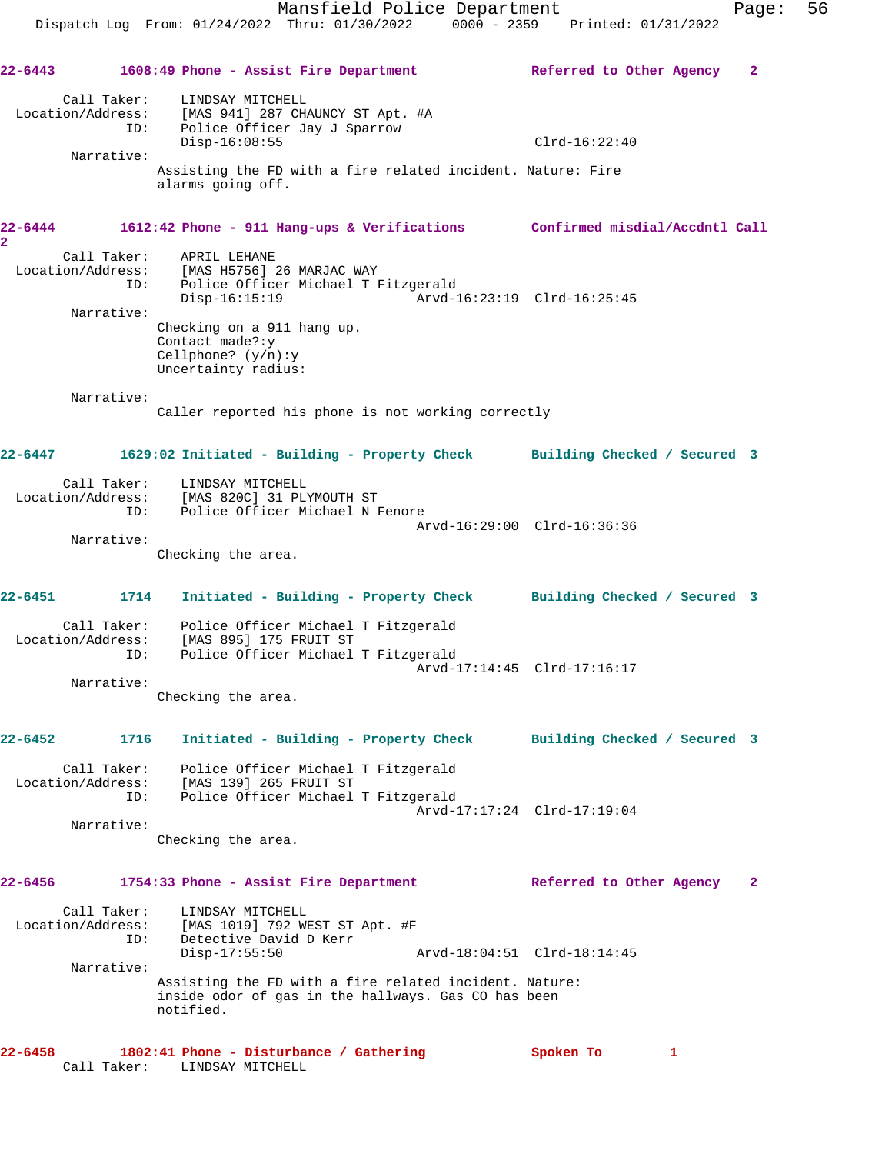| 22-6443                   |                                        | 1608:49 Phone - Assist Fire Department                                                                                                                                                                                                                      | Referred to Other Agency<br>2 |
|---------------------------|----------------------------------------|-------------------------------------------------------------------------------------------------------------------------------------------------------------------------------------------------------------------------------------------------------------|-------------------------------|
|                           | Call Taker:<br>ID:<br>Narrative:       | LINDSAY MITCHELL<br>Location/Address: [MAS 941] 287 CHAUNCY ST Apt. #A<br>Police Officer Jay J Sparrow<br>$Disp-16:08:55$<br>Assisting the FD with a fire related incident. Nature: Fire<br>alarms going off.                                               | $Clrd-16:22:40$               |
| 22-6444<br>$\overline{a}$ |                                        | 1612:42 Phone - 911 Hang-ups & Verifications Confirmed misdial/Accdntl Call                                                                                                                                                                                 |                               |
|                           | Call Taker:<br>ID:<br>Narrative:       | APRIL LEHANE<br>Location/Address: [MAS H5756] 26 MARJAC WAY<br>Police Officer Michael T Fitzgerald<br>$Disp-16:15:19$<br>Checking on a 911 hang up.<br>Contact made?: y                                                                                     | Arvd-16:23:19 Clrd-16:25:45   |
|                           |                                        | Cellphone? $(y/n):y$<br>Uncertainty radius:                                                                                                                                                                                                                 |                               |
|                           | Narrative:                             | Caller reported his phone is not working correctly                                                                                                                                                                                                          |                               |
| 22-6447                   |                                        | 1629:02 Initiated - Building - Property Check Building Checked / Secured 3                                                                                                                                                                                  |                               |
|                           | Call Taker:<br>ID:                     | LINDSAY MITCHELL<br>Location/Address: [MAS 820C] 31 PLYMOUTH ST<br>Police Officer Michael N Fenore                                                                                                                                                          | Arvd-16:29:00 Clrd-16:36:36   |
|                           | Narrative:                             | Checking the area.                                                                                                                                                                                                                                          |                               |
| 22-6451                   | 1714                                   | Initiated - Building - Property Check Building Checked / Secured 3                                                                                                                                                                                          |                               |
|                           | Call Taker:<br>Narrative:              | Police Officer Michael T Fitzgerald<br>Location/Address: [MAS 895] 175 FRUIT ST<br>ID: Police Officer Michael T Fitzgerald                                                                                                                                  | Arvd-17:14:45 Clrd-17:16:17   |
|                           |                                        | Checking the area.                                                                                                                                                                                                                                          |                               |
| $22 - 6452$               |                                        | 1716 Initiated - Building - Property Check Building Checked / Secured 3                                                                                                                                                                                     |                               |
|                           | Location/Address:<br>ID:<br>Narrative: | Call Taker: Police Officer Michael T Fitzgerald<br>[MAS 139] 265 FRUIT ST<br>Police Officer Michael T Fitzgerald                                                                                                                                            | Arvd-17:17:24 Clrd-17:19:04   |
|                           |                                        | Checking the area.                                                                                                                                                                                                                                          |                               |
| 22-6456                   |                                        | 1754:33 Phone - Assist Fire Department                                                                                                                                                                                                                      | Referred to Other Agency<br>2 |
|                           | ID:<br>Narrative:                      | Call Taker: LINDSAY MITCHELL<br>Location/Address: [MAS 1019] 792 WEST ST Apt. #F<br>Detective David D Kerr<br>$Disp-17:55:50$<br>Assisting the FD with a fire related incident. Nature:<br>inside odor of gas in the hallways. Gas CO has been<br>notified. | Arvd-18:04:51 Clrd-18:14:45   |
| 22-6458                   |                                        | 1802:41 Phone - Disturbance / Gathering<br>Call Taker: LINDSAY MITCHELL                                                                                                                                                                                     | Spoken To<br>1                |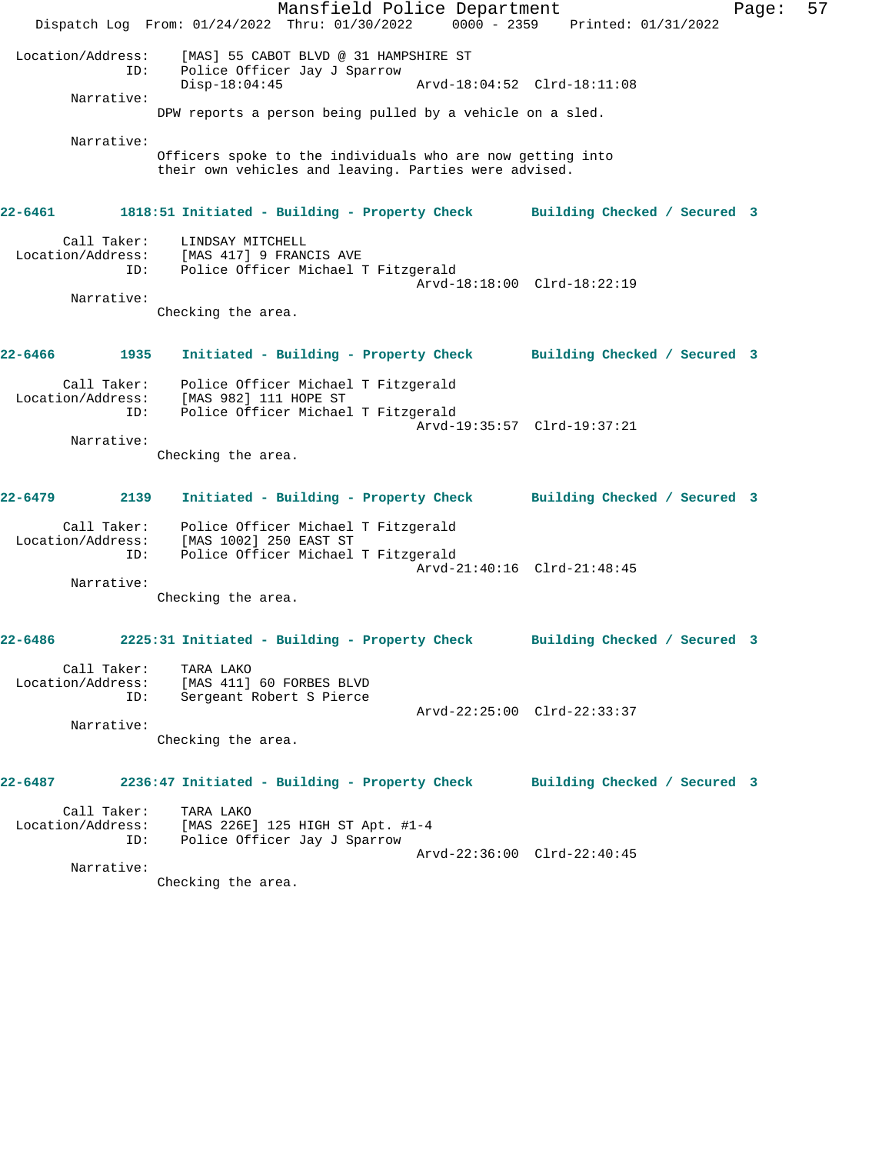Mansfield Police Department Fage: 57 Dispatch Log From: 01/24/2022 Thru: 01/30/2022 0000 - 2359 Printed: 01/31/2022 Location/Address: [MAS] 55 CABOT BLVD @ 31 HAMPSHIRE ST ID: Police Officer Jay J Sparrow Disp-18:04:45 Arvd-18:04:52 Clrd-18:11:08 Narrative: DPW reports a person being pulled by a vehicle on a sled. Narrative: Officers spoke to the individuals who are now getting into their own vehicles and leaving. Parties were advised. **22-6461 1818:51 Initiated - Building - Property Check Building Checked / Secured 3** Call Taker: LINDSAY MITCHELL Location/Address: [MAS 417] 9 FRANCIS AVE ID: Police Officer Michael T Fitzgerald Arvd-18:18:00 Clrd-18:22:19 Narrative: Checking the area. **22-6466 1935 Initiated - Building - Property Check Building Checked / Secured 3** Call Taker: Police Officer Michael T Fitzgerald Location/Address: [MAS 982] 111 HOPE ST ID: Police Officer Michael T Fitzgerald Arvd-19:35:57 Clrd-19:37:21 Narrative: Checking the area. **22-6479 2139 Initiated - Building - Property Check Building Checked / Secured 3** Call Taker: Police Officer Michael T Fitzgerald Location/Address: [MAS 1002] 250 EAST ST ID: Police Officer Michael T Fitzgerald Arvd-21:40:16 Clrd-21:48:45 Narrative: Checking the area. **22-6486 2225:31 Initiated - Building - Property Check Building Checked / Secured 3** Call Taker: TARA LAKO Location/Address: [MAS 411] 60 FORBES BLVD ID: Sergeant Robert S Pierce Arvd-22:25:00 Clrd-22:33:37 Narrative: Checking the area. **22-6487 2236:47 Initiated - Building - Property Check Building Checked / Secured 3** Call Taker: TARA LAKO Location/Address: [MAS 226E] 125 HIGH ST Apt. #1-4 ID: Police Officer Jay J Sparrow Arvd-22:36:00 Clrd-22:40:45 Narrative: Checking the area.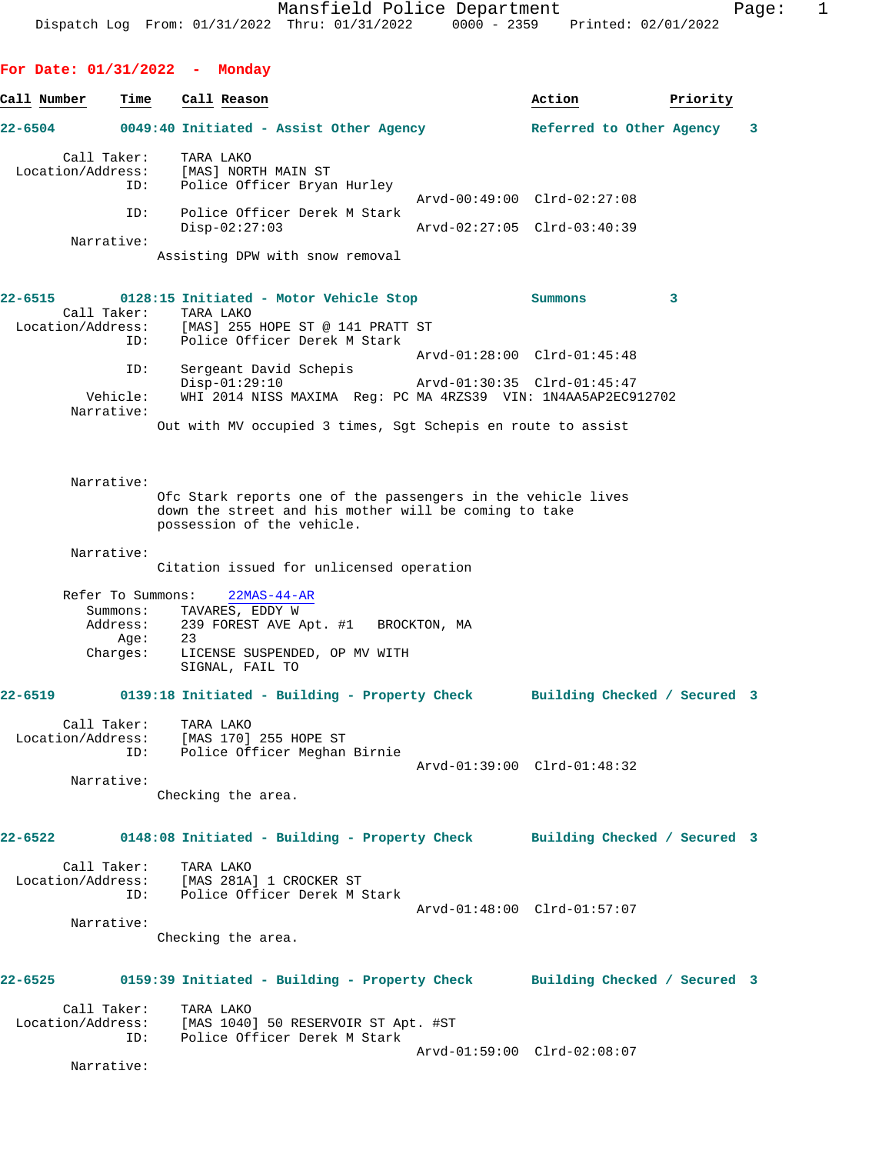**For Date: 01/31/2022 - Monday Call Number Time Call Reason Action Priority 22-6504 0049:40 Initiated - Assist Other Agency Referred to Other Agency 3** Call Taker: TARA LAKO Location/Address: [MAS] NORTH MAIN ST ID: Police Officer Bryan Hurley Arvd-00:49:00 Clrd-02:27:08 ID: Police Officer Derek M Stark Disp-02:27:03 Arvd-02:27:05 Clrd-03:40:39 Narrative: Assisting DPW with snow removal **22-6515 0128:15 Initiated - Motor Vehicle Stop Summons 3**  Call Taker: TARA LAKO Location/Address: [MAS] 255 HOPE ST @ 141 PRATT ST ID: Police Officer Derek M Stark Arvd-01:28:00 Clrd-01:45:48 ID: Sergeant David Schepis Disp-01:29:10 Arvd-01:30:35 Clrd-01:45:47 Vehicle: WHI 2014 NISS MAXIMA Reg: PC MA 4RZS39 VIN: 1N4AA5AP2EC912702 Narrative: Out with MV occupied 3 times, Sgt Schepis en route to assist Narrative: Ofc Stark reports one of the passengers in the vehicle lives down the street and his mother will be coming to take possession of the vehicle. Narrative: Citation issued for unlicensed operation Refer To Summons: 22MAS-44-AR Summons: TAVARES, EDDY W<br>Address: 239 FOREST AVE P 239 FOREST AVE Apt. #1 BROCKTON, MA Age: 23 Charges: LICENSE SUSPENDED, OP MV WITH SIGNAL, FAIL TO **22-6519 0139:18 Initiated - Building - Property Check Building Checked / Secured 3** Call Taker: TARA LAKO<br>ion/Address: [MAS 170] 255 HOPE ST Location/Address:<br>ID: Police Officer Meghan Birnie Arvd-01:39:00 Clrd-01:48:32 Narrative: Checking the area. **22-6522 0148:08 Initiated - Building - Property Check Building Checked / Secured 3** Call Taker: TARA LAKO Location/Address: [MAS 281A] 1 CROCKER ST ID: Police Officer Derek M Stark Arvd-01:48:00 Clrd-01:57:07 Narrative: Checking the area. **22-6525 0159:39 Initiated - Building - Property Check Building Checked / Secured 3**

| Call Taker:       | TARA LAKO                           |
|-------------------|-------------------------------------|
| Location/Address: | [MAS 1040] 50 RESERVOIR ST Apt. #ST |
| TD:               | Police Officer Derek M Stark        |
|                   | Arvd-01:59:00 Clrd-02:08:07         |

Narrative: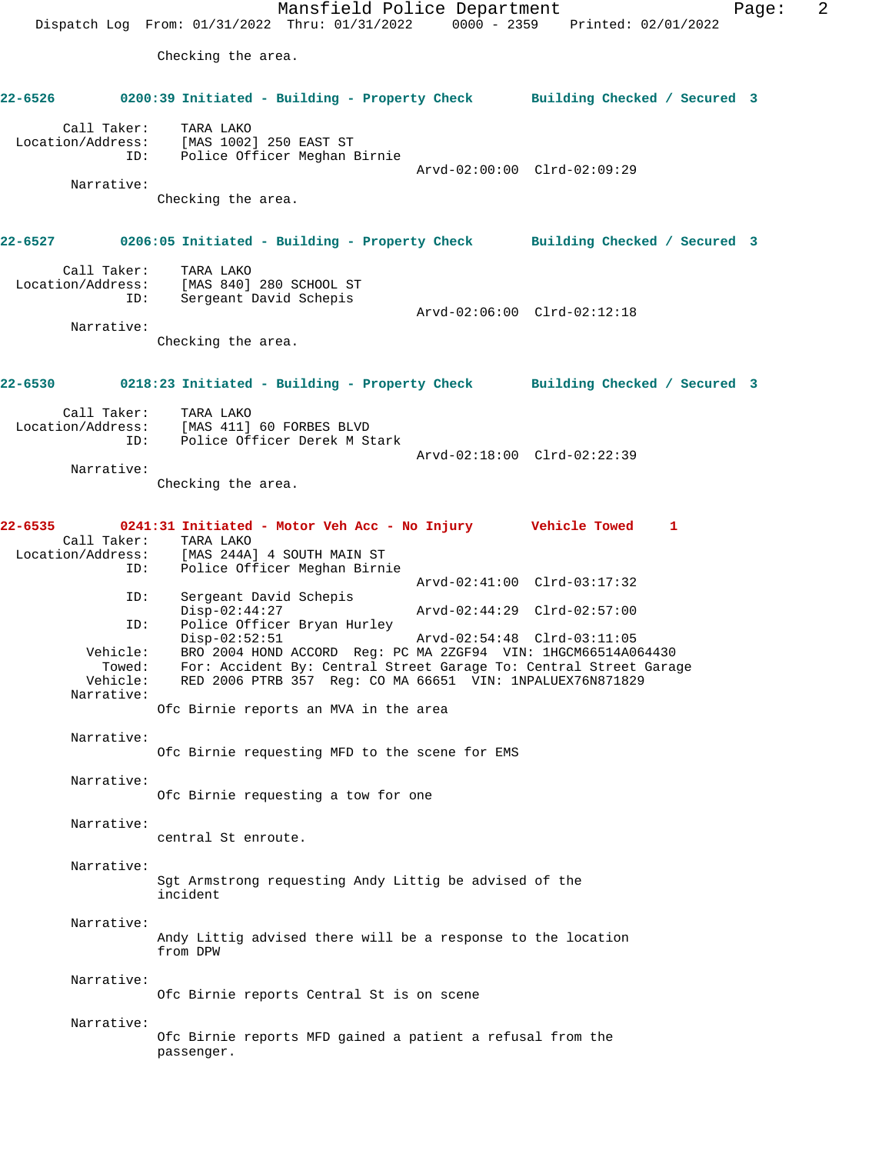Mansfield Police Department Form Page: 2 Dispatch Log From: 01/31/2022 Thru: 01/31/2022 0000 - 2359 Printed: 02/01/2022 Checking the area. **22-6526 0200:39 Initiated - Building - Property Check Building Checked / Secured 3** Call Taker: TARA LAKO Location/Address: [MAS 1002] 250 EAST ST ID: Police Officer Meghan Birnie Arvd-02:00:00 Clrd-02:09:29 Narrative: Checking the area. **22-6527 0206:05 Initiated - Building - Property Check Building Checked / Secured 3** Call Taker: TARA LAKO Location/Address: [MAS 840] 280 SCHOOL ST ID: Sergeant David Schepis Arvd-02:06:00 Clrd-02:12:18 Narrative: Checking the area. **22-6530 0218:23 Initiated - Building - Property Check Building Checked / Secured 3** Call Taker: TARA LAKO Location/Address: [MAS 411] 60 FORBES BLVD ID: Police Officer Derek M Stark Arvd-02:18:00 Clrd-02:22:39 Narrative: Checking the area. **22-6535 0241:31 Initiated - Motor Veh Acc - No Injury Vehicle Towed 1**  Call Taker: TARA LAKO Location/Address: [MAS 244A] 4 SOUTH MAIN ST Police Officer Meghan Birnie Arvd-02:41:00 Clrd-03:17:32 ID: Sergeant David Schepis<br>Disp-02:44:27 Disp-02:44:27 Arvd-02:44:29 Clrd-02:57:00 ID: Police Officer Bryan Hurley Disp-02:52:51 Arvd-02:54:48 Clrd-03:11:05 Vehicle: BRO 2004 HOND ACCORD Reg: PC MA 2ZGF94 VIN: 1HGCM66514A064430 Towed: For: Accident By: Central Street Garage To: Central Street Garage Vehicle: RED 2006 PTRB 357 Reg: CO MA 66651 VIN: 1NPALUEX76N871829 Narrative: Ofc Birnie reports an MVA in the area Narrative: Ofc Birnie requesting MFD to the scene for EMS Narrative: Ofc Birnie requesting a tow for one Narrative: central St enroute. Narrative: Sgt Armstrong requesting Andy Littig be advised of the incident Narrative: Andy Littig advised there will be a response to the location from DPW Narrative: Ofc Birnie reports Central St is on scene Narrative: Ofc Birnie reports MFD gained a patient a refusal from the passenger.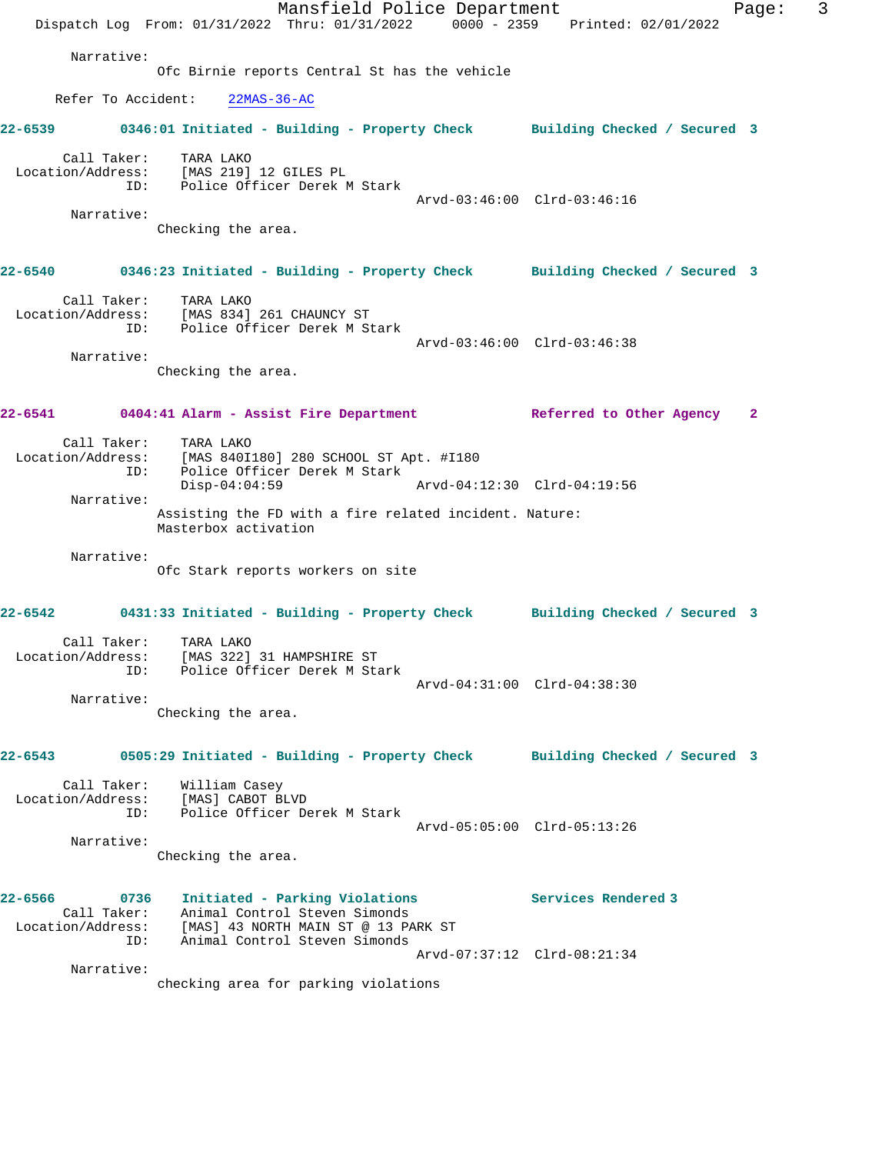|         |                                                 | Dispatch Log From: 01/31/2022 Thru: 01/31/2022 0000 - 2359 Printed: 02/01/2022                                                          | Mansfield Police Department |                             |                              | Page: | 3 |
|---------|-------------------------------------------------|-----------------------------------------------------------------------------------------------------------------------------------------|-----------------------------|-----------------------------|------------------------------|-------|---|
|         | Narrative:                                      | Ofc Birnie reports Central St has the vehicle                                                                                           |                             |                             |                              |       |   |
|         | Refer To Accident:                              | $22MAS-36-AC$                                                                                                                           |                             |                             |                              |       |   |
|         |                                                 |                                                                                                                                         |                             |                             |                              |       |   |
|         |                                                 | 22-6539 0346:01 Initiated - Building - Property Check Building Checked / Secured 3                                                      |                             |                             |                              |       |   |
|         | Call Taker:                                     | TARA LAKO<br>Location/Address: [MAS 219] 12 GILES PL<br>ID: Police Officer Derek M Stark                                                |                             |                             |                              |       |   |
|         | Narrative:                                      |                                                                                                                                         |                             | Arvd-03:46:00 Clrd-03:46:16 |                              |       |   |
|         |                                                 | Checking the area.                                                                                                                      |                             |                             |                              |       |   |
|         |                                                 | 22-6540      0346:23 Initiated - Building - Property Check     Building Checked / Secured 3                                             |                             |                             |                              |       |   |
|         | Call Taker:<br>ID:                              | TARA LAKO<br>Location/Address: [MAS 834] 261 CHAUNCY ST<br>Police Officer Derek M Stark                                                 |                             |                             |                              |       |   |
|         | Narrative:                                      |                                                                                                                                         |                             | Arvd-03:46:00 Clrd-03:46:38 |                              |       |   |
|         |                                                 | Checking the area.                                                                                                                      |                             |                             |                              |       |   |
|         |                                                 | 22-6541 0404:41 Alarm - Assist Fire Department 1992 Referred to Other Agency 2                                                          |                             |                             |                              |       |   |
|         | ID:                                             | Call Taker: TARA LAKO<br>Location/Address: [MAS 840I180] 280 SCHOOL ST Apt. #I180<br>Police Officer Derek M Stark                       |                             |                             |                              |       |   |
|         |                                                 | $Disp-04:04:59$                                                                                                                         |                             | Arvd-04:12:30 Clrd-04:19:56 |                              |       |   |
|         | Narrative:                                      | Assisting the FD with a fire related incident. Nature:<br>Masterbox activation                                                          |                             |                             |                              |       |   |
|         | Narrative:                                      | Ofc Stark reports workers on site                                                                                                       |                             |                             |                              |       |   |
|         |                                                 | 22-6542 0431:33 Initiated - Building - Property Check Building Checked / Secured 3                                                      |                             |                             |                              |       |   |
|         | Call Taker:<br>Location/Address:<br>ID:         | TARA LAKO<br>[MAS 322] 31 HAMPSHIRE ST<br>Police Officer Derek M Stark                                                                  |                             |                             |                              |       |   |
|         |                                                 |                                                                                                                                         |                             | Arvd-04:31:00 Clrd-04:38:30 |                              |       |   |
|         | Narrative:                                      | Checking the area.                                                                                                                      |                             |                             |                              |       |   |
| 22-6543 |                                                 | 0505:29 Initiated - Building - Property Check                                                                                           |                             |                             | Building Checked / Secured 3 |       |   |
|         | Call Taker:<br>ID:                              | William Casey<br>Location/Address: [MAS] CABOT BLVD<br>Police Officer Derek M Stark                                                     |                             | Arvd-05:05:00 Clrd-05:13:26 |                              |       |   |
|         | Narrative:                                      |                                                                                                                                         |                             |                             |                              |       |   |
|         |                                                 | Checking the area.                                                                                                                      |                             |                             |                              |       |   |
| 22-6566 | 0736<br>Call Taker:<br>Location/Address:<br>ID: | Initiated - Parking Violations<br>Animal Control Steven Simonds<br>[MAS] 43 NORTH MAIN ST @ 13 PARK ST<br>Animal Control Steven Simonds |                             |                             | Services Rendered 3          |       |   |
|         |                                                 |                                                                                                                                         |                             | Arvd-07:37:12 Clrd-08:21:34 |                              |       |   |
|         | Narrative:                                      | checking area for parking violations                                                                                                    |                             |                             |                              |       |   |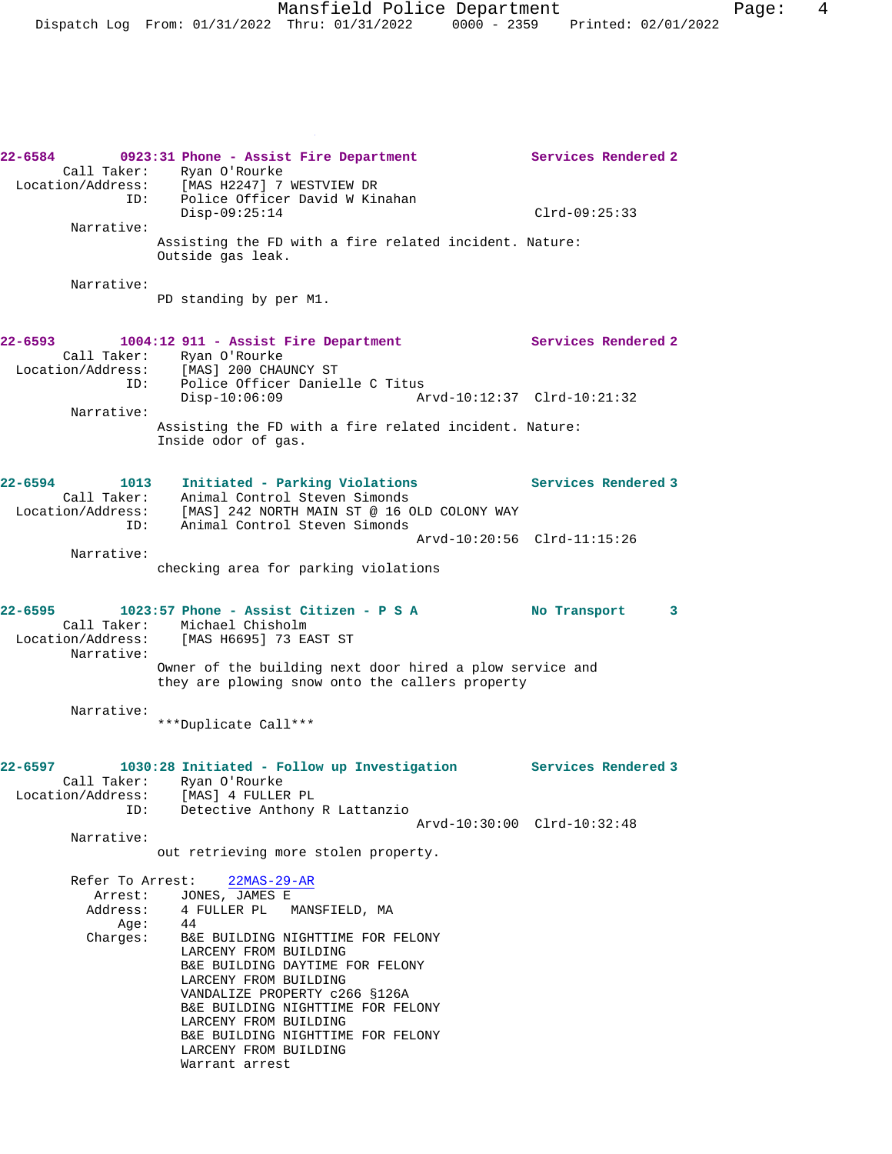**22-6584 0923:31 Phone - Assist Fire Department Services Rendered 2**  Call Taker: Ryan O'Rourke Location/Address: [MAS H2247] 7 WESTVIEW DR ID: Police Officer David W Kinahan Disp-09:25:14 Clrd-09:25:33 Narrative: Assisting the FD with a fire related incident. Nature: Outside gas leak. Narrative: PD standing by per M1. **22-6593 1004:12 911 - Assist Fire Department Services Rendered 2**  Call Taker: Ryan O'Rourke Location/Address: [MAS] 200 CHAUNCY ST ID: Police Officer Danielle C Titus Disp-10:06:09 Arvd-10:12:37 Clrd-10:21:32 Narrative: Assisting the FD with a fire related incident. Nature: Inside odor of gas. **22-6594 1013 Initiated - Parking Violations Services Rendered 3**  Call Taker: Animal Control Steven Simonds Location/Address: [MAS] 242 NORTH MAIN ST @ 16 OLD COLONY WAY ID: Animal Control Steven Simonds Arvd-10:20:56 Clrd-11:15:26 Narrative: checking area for parking violations **22-6595 1023:57 Phone - Assist Citizen - P S A No Transport 3**  Call Taker: Michael Chisholm<br>Location/Address: [MAS H6695] 73 EA [MAS H6695] 73 EAST ST Narrative: Owner of the building next door hired a plow service and they are plowing snow onto the callers property Narrative: \*\*\*Duplicate Call\*\*\* **22-6597 1030:28 Initiated - Follow up Investigation Services Rendered 3**  Call Taker: Ryan O'Rourke Location/Address: [MAS] 4 FULLER PL ID: Detective Anthony R Lattanzio Arvd-10:30:00 Clrd-10:32:48 Narrative: out retrieving more stolen property. Refer To Arrest: 22MAS-29-AR Arrest: JONES, JAMES E Address: 4 FULLER PL MANSFIELD, MA<br>Aqe: 44  $A$ ge: Charges: B&E BUILDING NIGHTTIME FOR FELONY LARCENY FROM BUILDING B&E BUILDING DAYTIME FOR FELONY LARCENY FROM BUILDING VANDALIZE PROPERTY c266 §126A B&E BUILDING NIGHTTIME FOR FELONY LARCENY FROM BUILDING B&E BUILDING NIGHTTIME FOR FELONY LARCENY FROM BUILDING Warrant arrest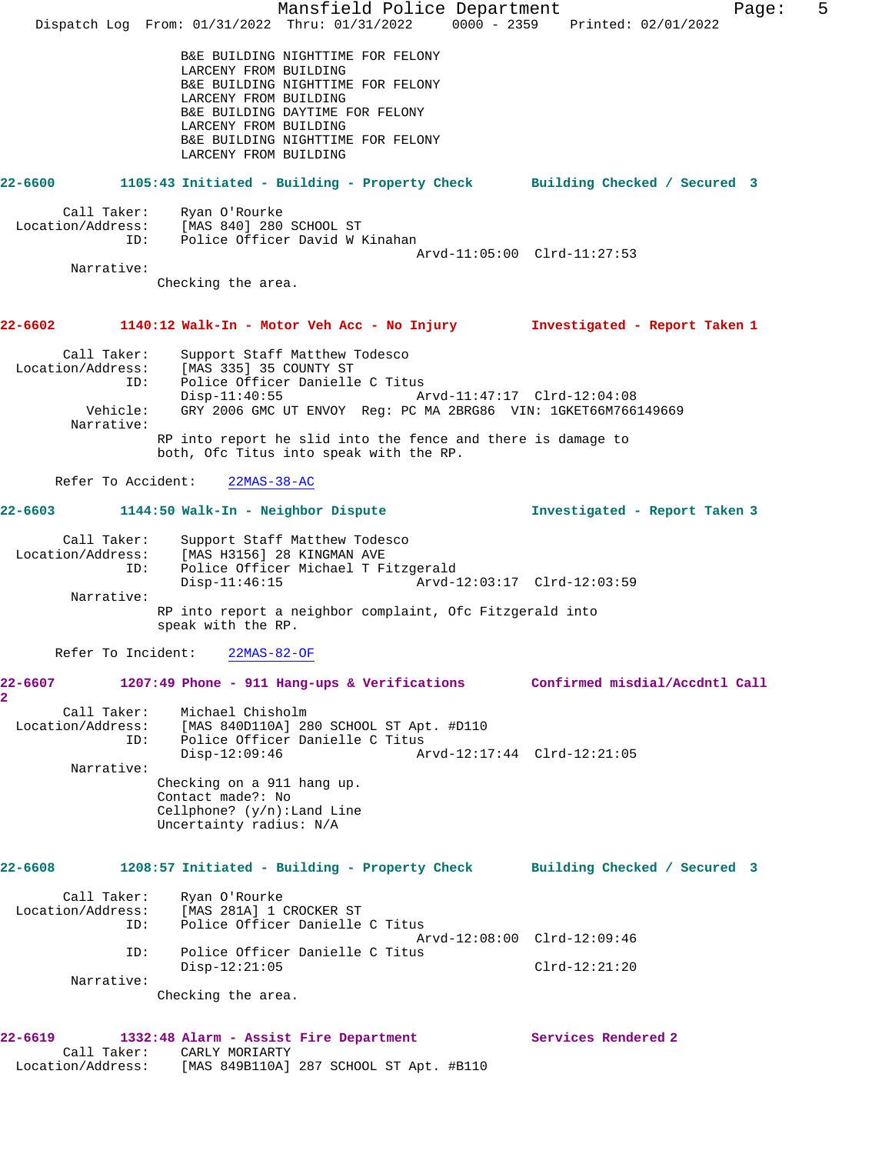Mansfield Police Department Fage: 5 Dispatch Log From: 01/31/2022 Thru: 01/31/2022 0000 - 2359 Printed: 02/01/2022 B&E BUILDING NIGHTTIME FOR FELONY LARCENY FROM BUILDING B&E BUILDING NIGHTTIME FOR FELONY LARCENY FROM BUILDING B&E BUILDING DAYTIME FOR FELONY LARCENY FROM BUILDING B&E BUILDING NIGHTTIME FOR FELONY LARCENY FROM BUILDING **22-6600 1105:43 Initiated - Building - Property Check Building Checked / Secured 3** Call Taker: Ryan O'Rourke Location/Address: [MAS 840] 280 SCHOOL ST ID: Police Officer David W Kinahan Arvd-11:05:00 Clrd-11:27:53 Narrative: Checking the area. **22-6602 1140:12 Walk-In - Motor Veh Acc - No Injury Investigated - Report Taken 1** Call Taker: Support Staff Matthew Todesco Location/Address: [MAS 335] 35 COUNTY ST Idress: נואטטט ככ נפא בואט (MAS נער בואט בי LMA)<br>ID: Police Officer Danielle C Titus<br>A: Disp-11:40:55 Disp-11:40:55 Arvd-11:47:17 Clrd-12:04:08 Vehicle: GRY 2006 GMC UT ENVOY Reg: PC MA 2BRG86 VIN: 1GKET66M766149669 Narrative: RP into report he slid into the fence and there is damage to both, Ofc Titus into speak with the RP. Refer To Accident: 22MAS-38-AC **22-6603 1144:50 Walk-In - Neighbor Dispute Investigated - Report Taken 3** Call Taker: Support Staff Matthew Todesco Location/Address: [MAS H3156] 28 KINGMAN AVE ID: Police Officer Michael T Fitzgerald Disp-11:46:15 Arvd-12:03:17 Clrd-12:03:59 Narrative: RP into report a neighbor complaint, Ofc Fitzgerald into speak with the RP. Refer To Incident: 22MAS-82-OF **22-6607 1207:49 Phone - 911 Hang-ups & Verifications Confirmed misdial/Accdntl Call 2**  Call Taker: Michael Chisholm Location/Address: [MAS 840D110A] 280 SCHOOL ST Apt. #D110 ID: Police Officer Danielle C Titus<br>Disp-12:09:46 Ar Disp-12:09:46 Arvd-12:17:44 Clrd-12:21:05 Narrative: Checking on a 911 hang up. Contact made?: No Cellphone? (y/n):Land Line Uncertainty radius: N/A **22-6608 1208:57 Initiated - Building - Property Check Building Checked / Secured 3** Call Taker: Ryan O'Rourke Location/Address: [MAS 281A] 1 CROCKER ST ID: Police Officer Danielle C Titus Arvd-12:08:00 Clrd-12:09:46 ID: Police Officer Danielle C Titus Disp-12:21:05 Clrd-12:21:20 Narrative: Checking the area. **22-6619 1332:48 Alarm - Assist Fire Department Services Rendered 2**  Call Taker: CARLY MORIARTY Location/Address: [MAS 849B110A] 287 SCHOOL ST Apt. #B110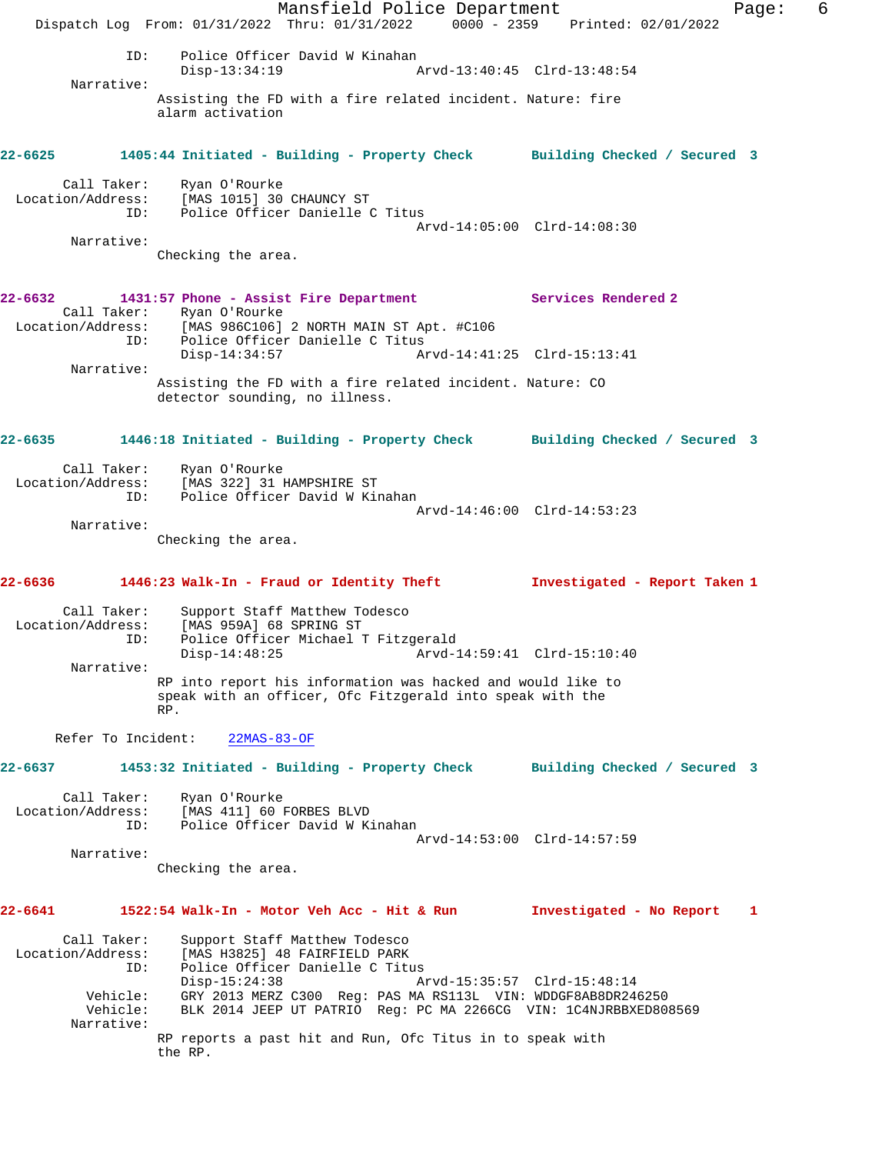Mansfield Police Department Fage: 6 Dispatch Log From: 01/31/2022 Thru: 01/31/2022 0000 - 2359 Printed: 02/01/2022 ID: Police Officer David W Kinahan<br>Disp-13:34:19 A Disp-13:34:19 Arvd-13:40:45 Clrd-13:48:54 Narrative: Assisting the FD with a fire related incident. Nature: fire alarm activation **22-6625 1405:44 Initiated - Building - Property Check Building Checked / Secured 3** Call Taker: Ryan O'Rourke Location/Address: [MAS 1015] 30 CHAUNCY ST ID: Police Officer Danielle C Titus Arvd-14:05:00 Clrd-14:08:30 Narrative: Checking the area. **22-6632 1431:57 Phone - Assist Fire Department Services Rendered 2**  Call Taker: Ryan O'Rourke Location/Address: [MAS 986C106] 2 NORTH MAIN ST Apt. #C106 ID: Police Officer Danielle C Titus<br>Disp-14:34:57 Ar Arvd-14:41:25 Clrd-15:13:41 Narrative: Assisting the FD with a fire related incident. Nature: CO detector sounding, no illness. **22-6635 1446:18 Initiated - Building - Property Check Building Checked / Secured 3** Call Taker: Ryan O'Rourke Location/Address: [MAS 322] 31 HAMPSHIRE ST ID: Police Officer David W Kinahan Arvd-14:46:00 Clrd-14:53:23 Narrative: Checking the area. **22-6636 1446:23 Walk-In - Fraud or Identity Theft Investigated - Report Taken 1** Call Taker: Support Staff Matthew Todesco Location/Address: [MAS 959A] 68 SPRING ST ID: Police Officer Michael T Fitzgerald Disp-14:48:25 Arvd-14:59:41 Clrd-15:10:40 Narrative: RP into report his information was hacked and would like to speak with an officer, Ofc Fitzgerald into speak with the RP. Refer To Incident: 22MAS-83-OF **22-6637 1453:32 Initiated - Building - Property Check Building Checked / Secured 3** Call Taker: Ryan O'Rourke Location/Address: [MAS 411] 60 FORBES BLVD ID: Police Officer David W Kinahan Arvd-14:53:00 Clrd-14:57:59 Narrative: Checking the area. **22-6641 1522:54 Walk-In - Motor Veh Acc - Hit & Run Investigated - No Report 1** Call Taker: Support Staff Matthew Todesco<br>Location/Address: [MAS H3825] 48 FAIRFIELD PARK<br>ID: Police Officer Danielle C Titu Location Fractiew Todesco<br>[MAS H3825] 48 FAIRFIELD PARK<br>Police Offi Police Officer Danielle C Titus<br>Disp-15:24:38 Disp-15:24:38 Arvd-15:35:57 Clrd-15:48:14 Vehicle: GRY 2013 MERZ C300 Reg: PAS MA RS113L VIN: WDDGF8AB8DR246250 Vehicle: BLK 2014 JEEP UT PATRIO Reg: PC MA 2266CG VIN: 1C4NJRBBXED808569 Narrative: RP reports a past hit and Run, Ofc Titus in to speak with the RP.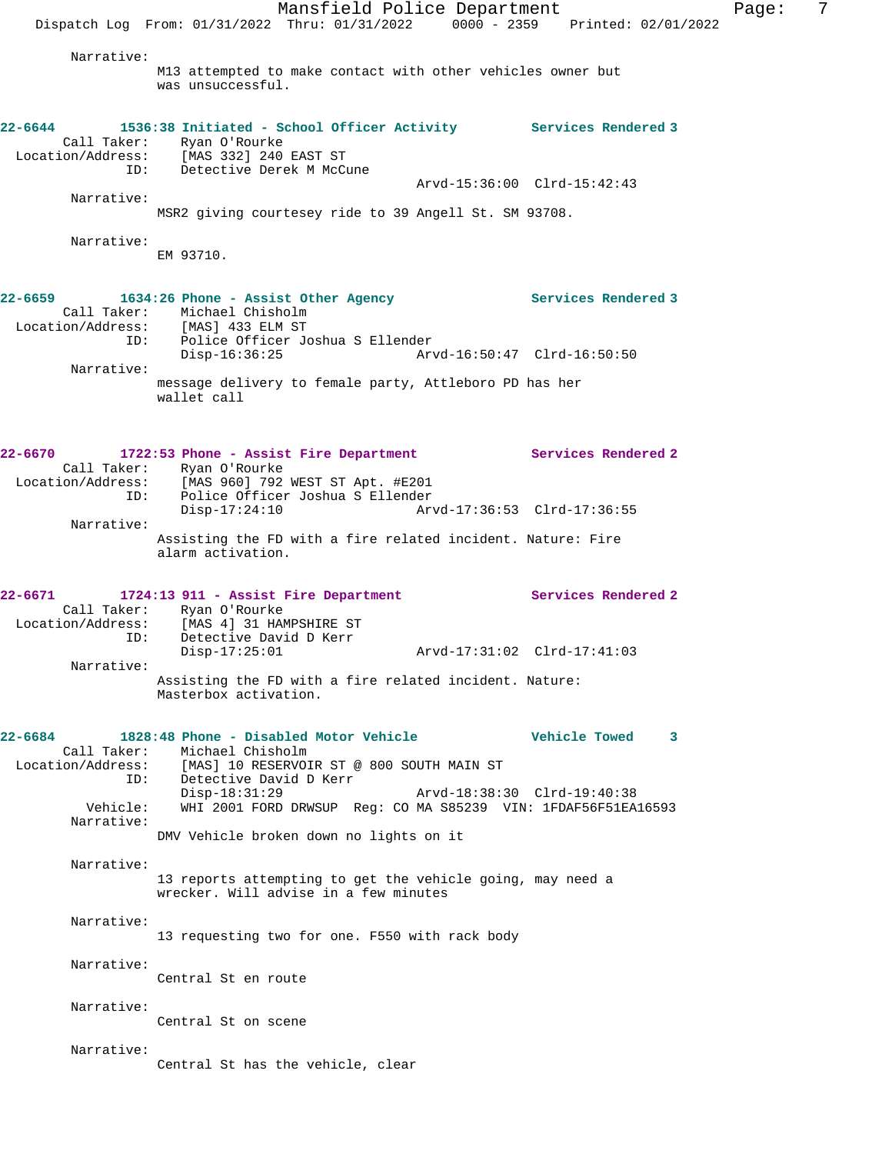ID: Detective Derek M McCune Arvd-15:36:00 Clrd-15:42:43 Narrative: MSR2 giving courtesey ride to 39 Angell St. SM 93708. Narrative: EM 93710. 22-6659 1634:26 Phone - Assist Other Agency **1654:26 Phone - Assist Other Agency** Services Rendered 3 Call Taker: Michael Chisholm Location/Address: [MAS] 433 ELM ST ID: Police Officer Joshua S Ellender Disp-16:36:25 Arvd-16:50:47 Clrd-16:50:50 Narrative: message delivery to female party, Attleboro PD has her wallet call **22-6670 1722:53 Phone - Assist Fire Department Services Rendered 2**  Call Taker: Ryan O'Rourke Location/Address: [MAS 960] 792 WEST ST Apt. #E201 ID: Police Officer Joshua S Ellender Disp-17:24:10 Arvd-17:36:53 Clrd-17:36:55 Narrative: Assisting the FD with a fire related incident. Nature: Fire alarm activation. **22-6671 1724:13 911 - Assist Fire Department Services Rendered 2**  Call Taker: Ryan O'Rourke Location/Address: [MAS 4] 31 HAMPSHIRE ST ID: Detective David D Kerr Detective David D Kerr<br>Disp-17:25:01 Arvd-17:31:02 Clrd-17:41:03 Narrative: Assisting the FD with a fire related incident. Nature: Masterbox activation. **22-6684 1828:48 Phone - Disabled Motor Vehicle Vehicle Towed 3**  Call Taker: Michael Chisholm Location/Address: [MAS] 10 RESERVOIR ST @ 800 SOUTH MAIN ST ID: Detective David D Kerr<br>Disp-18:31:29 Disp-18:31:29 Arvd-18:38:30 Clrd-19:40:38 Vehicle: WHI 2001 FORD DRWSUP Reg: CO MA S85239 VIN: 1FDAF56F51EA16593 Narrative: DMV Vehicle broken down no lights on it Narrative: 13 reports attempting to get the vehicle going, may need a wrecker. Will advise in a few minutes Narrative: 13 requesting two for one. F550 with rack body Narrative: Central St en route Narrative: Central St on scene Narrative: Central St has the vehicle, clear

**22-6644 1536:38 Initiated - School Officer Activity Services Rendered 3** 

Narrative:

 Call Taker: Ryan O'Rourke Location/Address: [MAS 332] 240 EAST ST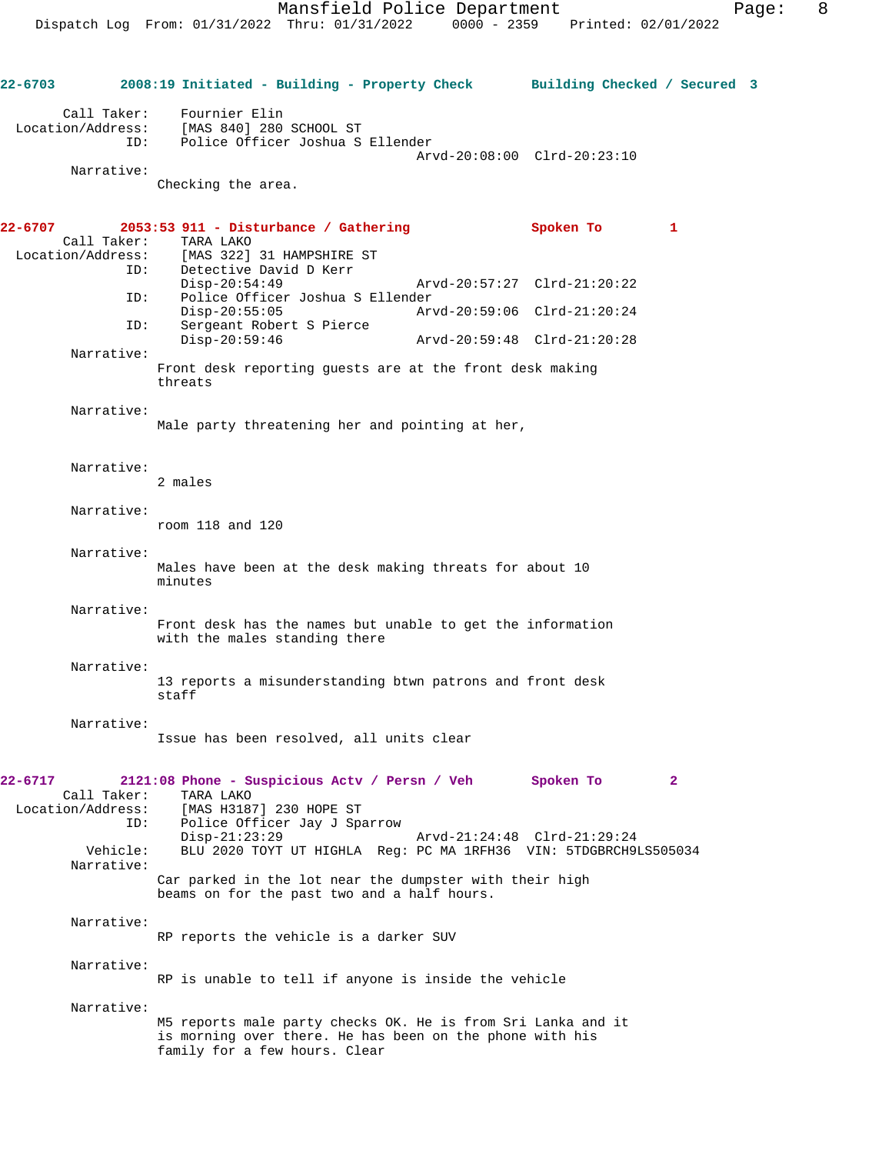**22-6703 2008:19 Initiated - Building - Property Check Building Checked / Secured 3** Call Taker: Fournier Elin Location/Address: [MAS 840] 280 SCHOOL ST ID: Police Officer Joshua S Ellender Arvd-20:08:00 Clrd-20:23:10 Narrative: Checking the area. **22-6707 2053:53 911 - Disturbance / Gathering Spoken To 1**  Call Taker: TARA LAKO<br>Location/Address: [MAS 322] ess: [MAS 322] 31 HAMPSHIRE ST<br>ID: Detective David D Kerr Detective David D Kerr Disp-20:54:49 Arvd-20:57:27 Clrd-21:20:22<br>TD: Police Officer Joshua S Ellender Police Officer Joshua S Ellender<br>Disp-20:55:05 Arv Disp-20:55:05 Arvd-20:59:06 Clrd-21:20:24<br>TD: Sergeant Robert S Pierce Sergeant Robert S Pierce<br>Disp-20:59:46 Disp-20:59:46 Arvd-20:59:48 Clrd-21:20:28 Narrative: Front desk reporting guests are at the front desk making threats Narrative: Male party threatening her and pointing at her, Narrative: 2 males Narrative: room 118 and 120 Narrative: Males have been at the desk making threats for about 10 minutes Narrative: Front desk has the names but unable to get the information with the males standing there Narrative: 13 reports a misunderstanding btwn patrons and front desk staff Narrative: Issue has been resolved, all units clear **22-6717 2121:08 Phone - Suspicious Actv / Persn / Veh Spoken To 2**  Call Taker: TARA LAKO<br>Location/Address: [MAS H318] ess: [MAS H3187] 230 HOPE ST<br>ID: Police Officer Jay J Spa Police Officer Jay J Sparrow Disp-21:23:29 Arvd-21:24:48 Clrd-21:29:24 Vehicle: BLU 2020 TOYT UT HIGHLA Reg: PC MA 1RFH36 VIN: 5TDGBRCH9LS505034 Narrative: Car parked in the lot near the dumpster with their high beams on for the past two and a half hours. Narrative: RP reports the vehicle is a darker SUV Narrative: RP is unable to tell if anyone is inside the vehicle Narrative: M5 reports male party checks OK. He is from Sri Lanka and it is morning over there. He has been on the phone with his family for a few hours. Clear